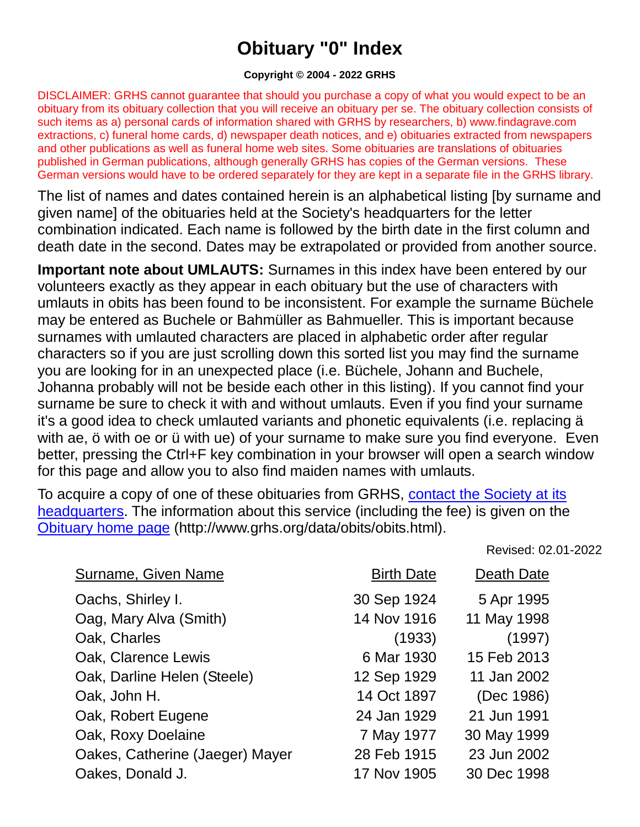## **Obituary "0" Index**

## **Copyright © 2004 - 2022 GRHS**

DISCLAIMER: GRHS cannot guarantee that should you purchase a copy of what you would expect to be an obituary from its obituary collection that you will receive an obituary per se. The obituary collection consists of such items as a) personal cards of information shared with GRHS by researchers, b) www.findagrave.com extractions, c) funeral home cards, d) newspaper death notices, and e) obituaries extracted from newspapers and other publications as well as funeral home web sites. Some obituaries are translations of obituaries published in German publications, although generally GRHS has copies of the German versions. These German versions would have to be ordered separately for they are kept in a separate file in the GRHS library.

The list of names and dates contained herein is an alphabetical listing [by surname and given name] of the obituaries held at the Society's headquarters for the letter combination indicated. Each name is followed by the birth date in the first column and death date in the second. Dates may be extrapolated or provided from another source.

**Important note about UMLAUTS:** Surnames in this index have been entered by our volunteers exactly as they appear in each obituary but the use of characters with umlauts in obits has been found to be inconsistent. For example the surname Büchele may be entered as Buchele or Bahmüller as Bahmueller. This is important because surnames with umlauted characters are placed in alphabetic order after regular characters so if you are just scrolling down this sorted list you may find the surname you are looking for in an unexpected place (i.e. Büchele, Johann and Buchele, Johanna probably will not be beside each other in this listing). If you cannot find your surname be sure to check it with and without umlauts. Even if you find your surname it's a good idea to check umlauted variants and phonetic equivalents (i.e. replacing ä with ae, ö with oe or ü with ue) of your surname to make sure you find everyone. Even better, pressing the Ctrl+F key combination in your browser will open a search window for this page and allow you to also find maiden names with umlauts.

To acquire a copy of one of these obituaries from GRHS, [contact the Society at its](https://www.grhs.org/pages/contact)  [headquarters.](https://www.grhs.org/pages/contact) The information about this service (including the fee) is given on the [Obituary home page](https://www.grhs.org/pages/obits) (http://www.grhs.org/data/obits/obits.html).

Revised: 02.01-2022

| <b>Surname, Given Name</b>      | <b>Birth Date</b> | Death Date  |
|---------------------------------|-------------------|-------------|
| Oachs, Shirley I.               | 30 Sep 1924       | 5 Apr 1995  |
| Oag, Mary Alva (Smith)          | 14 Nov 1916       | 11 May 1998 |
| Oak, Charles                    | (1933)            | (1997)      |
| Oak, Clarence Lewis             | 6 Mar 1930        | 15 Feb 2013 |
| Oak, Darline Helen (Steele)     | 12 Sep 1929       | 11 Jan 2002 |
| Oak, John H.                    | 14 Oct 1897       | (Dec 1986)  |
| Oak, Robert Eugene              | 24 Jan 1929       | 21 Jun 1991 |
| Oak, Roxy Doelaine              | 7 May 1977        | 30 May 1999 |
| Oakes, Catherine (Jaeger) Mayer | 28 Feb 1915       | 23 Jun 2002 |
| Oakes, Donald J.                | 17 Nov 1905       | 30 Dec 1998 |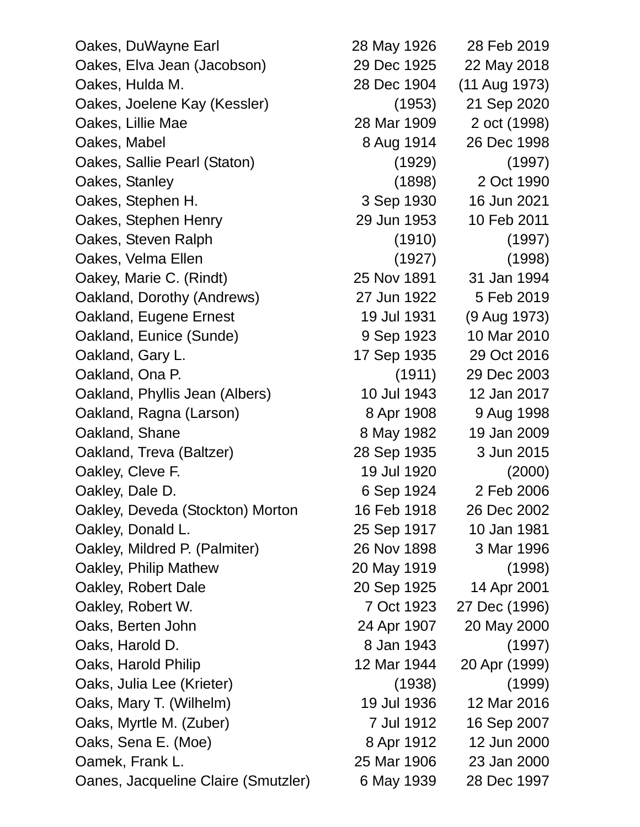Oakes, DuWayne Earl 28 May 1926 28 Feb 2019 Oakes, Elva Jean (Jacobson) 29 Dec 1925 22 May 2018 Oakes, Hulda M. 28 Dec 1904 (11 Aug 1973) Oakes, Joelene Kay (Kessler) (1953) 21 Sep 2020 Oakes, Lillie Mae 28 Mar 1909 2 oct (1998) Oakes, Mabel 8 Aug 1914 26 Dec 1998 Oakes, Sallie Pearl (Staton) (1929) (1997) Oakes, Stanley (1898) 2 Oct 1990 Oakes, Stephen H. 3 Sep 1930 16 Jun 2021 Oakes, Stephen Henry 29 Jun 1953 10 Feb 2011 Oakes, Steven Ralph (1910) (1997) Oakes, Velma Ellen (1927) (1998) Oakey, Marie C. (Rindt) 25 Nov 1891 31 Jan 1994 Oakland, Dorothy (Andrews) 27 Jun 1922 5 Feb 2019 Oakland, Eugene Ernest 19 Jul 1931 (9 Aug 1973) Oakland, Eunice (Sunde) 9 Sep 1923 10 Mar 2010 Oakland, Gary L. 17 Sep 1935 29 Oct 2016 Oakland, Ona P. (1911) 29 Dec 2003 Oakland, Phyllis Jean (Albers) 10 Jul 1943 12 Jan 2017 Oakland, Ragna (Larson) 8 Apr 1908 9 Aug 1998 Oakland, Shane 8 May 1982 19 Jan 2009 Oakland, Treva (Baltzer) 28 Sep 1935 3 Jun 2015 Oakley, Cleve F. 19 Jul 1920 (2000) Oakley, Dale D. 6 Sep 1924 2 Feb 2006 Oakley, Deveda (Stockton) Morton 16 Feb 1918 26 Dec 2002 Oakley, Donald L. 25 Sep 1917 10 Jan 1981 Oakley, Mildred P. (Palmiter) 26 Nov 1898 3 Mar 1996 Oakley, Philip Mathew 20 May 1919 (1998) Oakley, Robert Dale 20 Sep 1925 14 Apr 2001 Oakley, Robert W. 7 Oct 1923 27 Dec (1996) Oaks, Berten John 24 Apr 1907 20 May 2000 Oaks, Harold D. 8 Jan 1943 (1997) Oaks, Harold Philip 12 Mar 1944 20 Apr (1999) Oaks, Julia Lee (Krieter) (1938) (1999) Oaks, Mary T. (Wilhelm) 19 Jul 1936 12 Mar 2016 Oaks, Myrtle M. (Zuber) 7 Jul 1912 16 Sep 2007 Oaks, Sena E. (Moe) 8 Apr 1912 12 Jun 2000 Oamek, Frank L. 25 Mar 1906 23 Jan 2000 Oanes, Jacqueline Claire (Smutzler) 6 May 1939 28 Dec 1997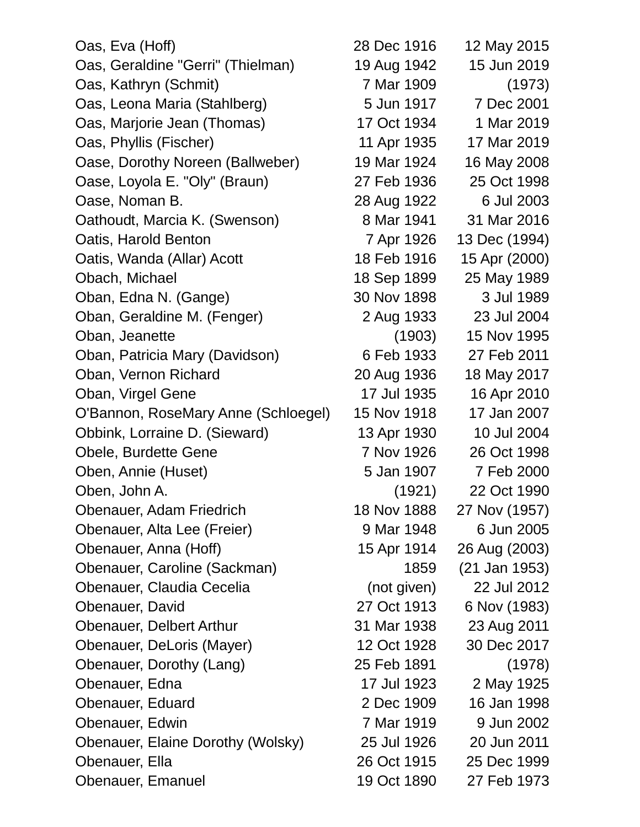| Oas, Eva (Hoff)                     | 28 Dec 1916 | 12 May 2015   |
|-------------------------------------|-------------|---------------|
| Oas, Geraldine "Gerri" (Thielman)   | 19 Aug 1942 | 15 Jun 2019   |
| Oas, Kathryn (Schmit)               | 7 Mar 1909  | (1973)        |
| Oas, Leona Maria (Stahlberg)        | 5 Jun 1917  | 7 Dec 2001    |
| Oas, Marjorie Jean (Thomas)         | 17 Oct 1934 | 1 Mar 2019    |
| Oas, Phyllis (Fischer)              | 11 Apr 1935 | 17 Mar 2019   |
| Oase, Dorothy Noreen (Ballweber)    | 19 Mar 1924 | 16 May 2008   |
| Oase, Loyola E. "Oly" (Braun)       | 27 Feb 1936 | 25 Oct 1998   |
| Oase, Noman B.                      | 28 Aug 1922 | 6 Jul 2003    |
| Oathoudt, Marcia K. (Swenson)       | 8 Mar 1941  | 31 Mar 2016   |
| Oatis, Harold Benton                | 7 Apr 1926  | 13 Dec (1994) |
| Oatis, Wanda (Allar) Acott          | 18 Feb 1916 | 15 Apr (2000) |
| Obach, Michael                      | 18 Sep 1899 | 25 May 1989   |
| Oban, Edna N. (Gange)               | 30 Nov 1898 | 3 Jul 1989    |
| Oban, Geraldine M. (Fenger)         | 2 Aug 1933  | 23 Jul 2004   |
| Oban, Jeanette                      | (1903)      | 15 Nov 1995   |
| Oban, Patricia Mary (Davidson)      | 6 Feb 1933  | 27 Feb 2011   |
| Oban, Vernon Richard                | 20 Aug 1936 | 18 May 2017   |
| Oban, Virgel Gene                   | 17 Jul 1935 | 16 Apr 2010   |
| O'Bannon, RoseMary Anne (Schloegel) | 15 Nov 1918 | 17 Jan 2007   |
| Obbink, Lorraine D. (Sieward)       | 13 Apr 1930 | 10 Jul 2004   |
| Obele, Burdette Gene                | 7 Nov 1926  | 26 Oct 1998   |
| Oben, Annie (Huset)                 | 5 Jan 1907  | 7 Feb 2000    |
| Oben, John A.                       | (1921)      | 22 Oct 1990   |
| Obenauer, Adam Friedrich            | 18 Nov 1888 | 27 Nov (1957) |
| Obenauer, Alta Lee (Freier)         | 9 Mar 1948  | 6 Jun 2005    |
| Obenauer, Anna (Hoff)               | 15 Apr 1914 | 26 Aug (2003) |
| Obenauer, Caroline (Sackman)        | 1859        | (21 Jan 1953) |
| Obenauer, Claudia Cecelia           | (not given) | 22 Jul 2012   |
| Obenauer, David                     | 27 Oct 1913 | 6 Nov (1983)  |
| <b>Obenauer, Delbert Arthur</b>     | 31 Mar 1938 | 23 Aug 2011   |
| Obenauer, DeLoris (Mayer)           | 12 Oct 1928 | 30 Dec 2017   |
| Obenauer, Dorothy (Lang)            | 25 Feb 1891 | (1978)        |
| Obenauer, Edna                      | 17 Jul 1923 | 2 May 1925    |
| Obenauer, Eduard                    | 2 Dec 1909  | 16 Jan 1998   |
| Obenauer, Edwin                     | 7 Mar 1919  | 9 Jun 2002    |
| Obenauer, Elaine Dorothy (Wolsky)   | 25 Jul 1926 | 20 Jun 2011   |
| Obenauer, Ella                      | 26 Oct 1915 | 25 Dec 1999   |
| Obenauer, Emanuel                   | 19 Oct 1890 | 27 Feb 1973   |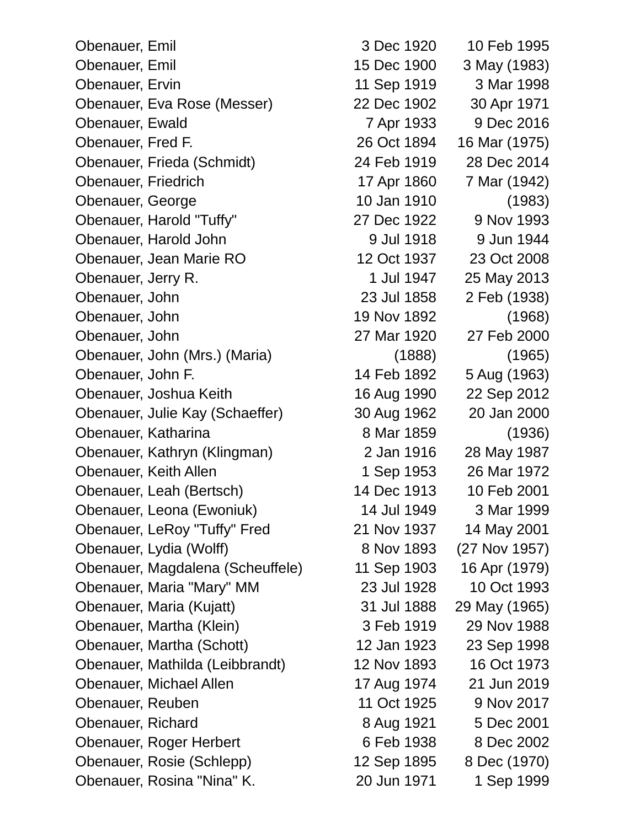Obenauer, Emil 3 Dec 1920 10 Feb 1995 Obenauer, Emil 15 Dec 1900 3 May (1983) Obenauer, Ervin 11 Sep 1919 3 Mar 1998 Obenauer, Eva Rose (Messer) 22 Dec 1902 30 Apr 1971 Obenauer, Ewald 7 Apr 1933 9 Dec 2016 Obenauer, Fred F. 26 Oct 1894 16 Mar (1975) Obenauer, Frieda (Schmidt) 24 Feb 1919 28 Dec 2014 Obenauer, Friedrich 17 Apr 1860 7 Mar (1942) Obenauer, George 10 Jan 1910 (1983) Obenauer, Harold "Tuffy" 27 Dec 1922 9 Nov 1993 Obenauer, Harold John 9 Jul 1918 9 Jul 1918 9 Jun 1944 Obenauer, Jean Marie RO 12 Oct 1937 23 Oct 2008 Obenauer, Jerry R. 1 Jul 1947 25 May 2013 Obenauer, John 23 Jul 1858 2 Feb (1938) Obenauer, John 19 Nov 1892 (1968) Obenauer, John 27 Mar 1920 27 Feb 2000 Obenauer, John (Mrs.) (Maria) (1888) (1965) Obenauer, John F. 14 Feb 1892 5 Aug (1963) Obenauer, Joshua Keith 16 Aug 1990 22 Sep 2012 Obenauer, Julie Kay (Schaeffer) 30 Aug 1962 20 Jan 2000 Obenauer, Katharina 8 Mar 1859 (1936) Obenauer, Kathryn (Klingman) 2 Jan 1916 28 May 1987 Obenauer, Keith Allen 1 Sep 1953 26 Mar 1972 Obenauer, Leah (Bertsch) 14 Dec 1913 10 Feb 2001 Obenauer, Leona (Ewoniuk) 14 Jul 1949 3 Mar 1999 Obenauer, LeRoy "Tuffy" Fred 21 Nov 1937 14 May 2001 Obenauer, Lydia (Wolff) 8 Nov 1893 (27 Nov 1957) Obenauer, Magdalena (Scheuffele) 11 Sep 1903 16 Apr (1979) Obenauer, Maria "Mary" MM 23 Jul 1928 10 Oct 1993 Obenauer, Maria (Kujatt) 31 Jul 1888 29 May (1965) Obenauer, Martha (Klein) 3 Feb 1919 29 Nov 1988 Obenauer, Martha (Schott) 12 Jan 1923 23 Sep 1998 Obenauer, Mathilda (Leibbrandt) 12 Nov 1893 16 Oct 1973 Obenauer, Michael Allen 17 Aug 1974 21 Jun 2019 Obenauer, Reuben 11 Oct 1925 9 Nov 2017 Obenauer, Richard 8 Aug 1921 5 Dec 2001 Obenauer, Roger Herbert 6 Feb 1938 8 Dec 2002 Obenauer, Rosie (Schlepp) 12 Sep 1895 8 Dec (1970) Obenauer, Rosina "Nina" K. 20 Jun 1971 1 Sep 1999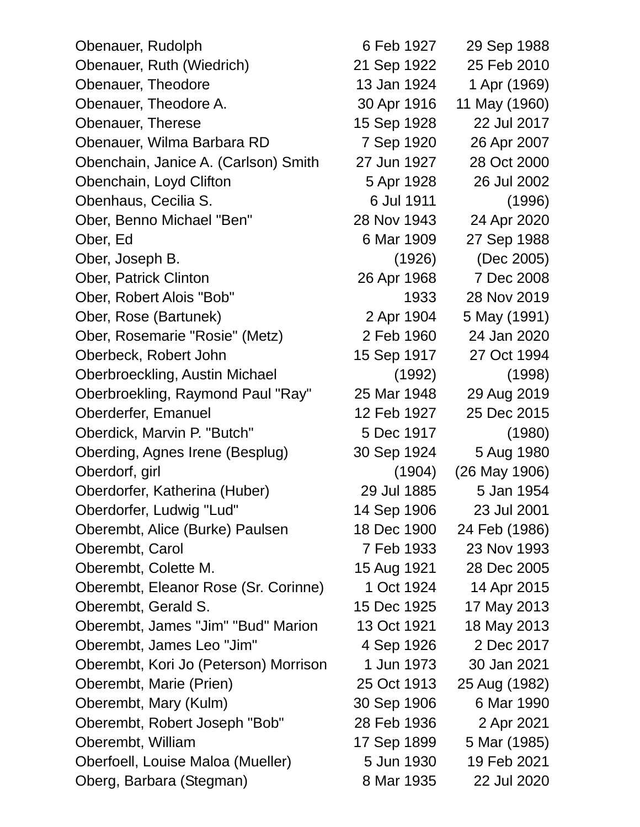Obenauer, Rudolph 6 Feb 1927 29 Sep 1988 Obenauer, Ruth (Wiedrich) 21 Sep 1922 25 Feb 2010 Obenauer, Theodore 13 Jan 1924 1 Apr (1969) Obenauer, Theodore A. 30 Apr 1916 11 May (1960) Obenauer, Therese 15 Sep 1928 22 Jul 2017 Obenauer, Wilma Barbara RD 7 Sep 1920 26 Apr 2007 Obenchain, Janice A. (Carlson) Smith 27 Jun 1927 28 Oct 2000 Obenchain, Loyd Clifton 5 Apr 1928 26 Jul 2002 Obenhaus, Cecilia S. 6 Jul 1911 (1996) Ober, Benno Michael "Ben" 28 Nov 1943 24 Apr 2020 Ober, Ed 6 Mar 1909 27 Sep 1988 Ober, Joseph B. (1926) (Dec 2005) Ober, Patrick Clinton 26 Apr 1968 7 Dec 2008 Ober, Robert Alois "Bob" 1933 28 Nov 2019 Ober, Rose (Bartunek) 2 Apr 1904 5 May (1991) Ober, Rosemarie "Rosie" (Metz) 2 Feb 1960 24 Jan 2020 Oberbeck, Robert John 15 Sep 1917 27 Oct 1994 Oberbroeckling, Austin Michael (1992) (1998) Oberbroekling, Raymond Paul "Ray" 25 Mar 1948 29 Aug 2019 Oberderfer, Emanuel 12 Feb 1927 25 Dec 2015 Oberdick, Marvin P. "Butch" 5 Dec 1917 (1980) Oberding, Agnes Irene (Besplug) 30 Sep 1924 5 Aug 1980 Oberdorf, girl (1904) (26 May 1906) Oberdorfer, Katherina (Huber) 29 Jul 1885 5 Jan 1954 Oberdorfer, Ludwig "Lud" 14 Sep 1906 23 Jul 2001 Oberembt, Alice (Burke) Paulsen 18 Dec 1900 24 Feb (1986) Oberembt, Carol 7 Feb 1933 23 Nov 1993 Oberembt, Colette M. 15 Aug 1921 28 Dec 2005 Oberembt, Eleanor Rose (Sr. Corinne) 1 Oct 1924 14 Apr 2015 Oberembt, Gerald S. 15 Dec 1925 17 May 2013 Oberembt, James "Jim" "Bud" Marion 13 Oct 1921 18 May 2013 Oberembt, James Leo "Jim" 4 Sep 1926 2 Dec 2017 Oberembt, Kori Jo (Peterson) Morrison 1 Jun 1973 30 Jan 2021 Oberembt, Marie (Prien) 25 Oct 1913 25 Aug (1982) Oberembt, Mary (Kulm) 30 Sep 1906 6 Mar 1990 Oberembt, Robert Joseph "Bob" 28 Feb 1936 2 Apr 2021 Oberembt, William 17 Sep 1899 5 Mar (1985) Oberfoell, Louise Maloa (Mueller) 5 Jun 1930 19 Feb 2021 Oberg, Barbara (Stegman) 8 Mar 1935 22 Jul 2020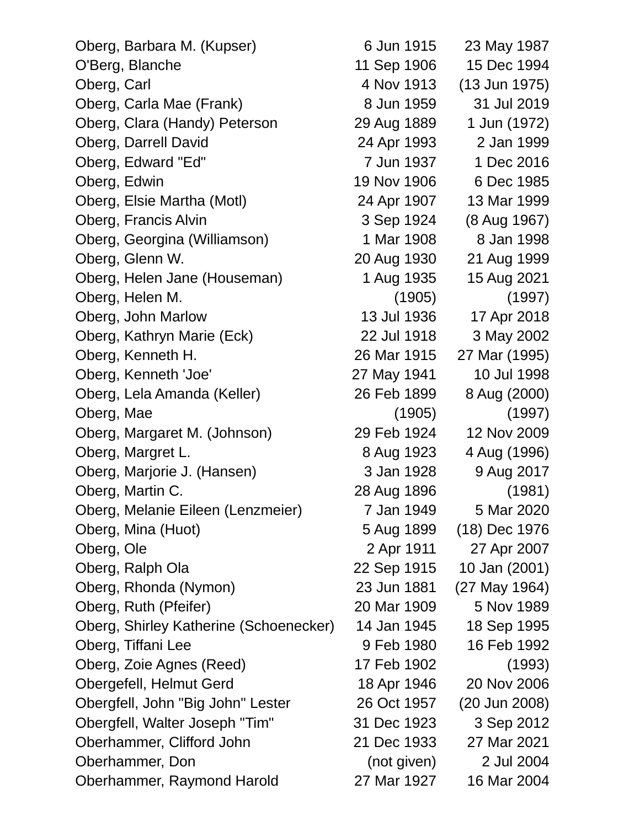| Oberg, Barbara M. (Kupser)             | 6 Jun 1915  | 23 May 1987     |
|----------------------------------------|-------------|-----------------|
| O'Berg, Blanche                        | 11 Sep 1906 | 15 Dec 1994     |
| Oberg, Carl                            | 4 Nov 1913  | $(13$ Jun 1975) |
| Oberg, Carla Mae (Frank)               | 8 Jun 1959  | 31 Jul 2019     |
| Oberg, Clara (Handy) Peterson          | 29 Aug 1889 | 1 Jun (1972)    |
| Oberg, Darrell David                   | 24 Apr 1993 | 2 Jan 1999      |
| Oberg, Edward "Ed"                     | 7 Jun 1937  | 1 Dec 2016      |
| Oberg, Edwin                           | 19 Nov 1906 | 6 Dec 1985      |
| Oberg, Elsie Martha (Motl)             | 24 Apr 1907 | 13 Mar 1999     |
| Oberg, Francis Alvin                   | 3 Sep 1924  | (8 Aug 1967)    |
| Oberg, Georgina (Williamson)           | 1 Mar 1908  | 8 Jan 1998      |
| Oberg, Glenn W.                        | 20 Aug 1930 | 21 Aug 1999     |
| Oberg, Helen Jane (Houseman)           | 1 Aug 1935  | 15 Aug 2021     |
| Oberg, Helen M.                        | (1905)      | (1997)          |
| Oberg, John Marlow                     | 13 Jul 1936 | 17 Apr 2018     |
| Oberg, Kathryn Marie (Eck)             | 22 Jul 1918 | 3 May 2002      |
| Oberg, Kenneth H.                      | 26 Mar 1915 | 27 Mar (1995)   |
| Oberg, Kenneth 'Joe'                   | 27 May 1941 | 10 Jul 1998     |
| Oberg, Lela Amanda (Keller)            | 26 Feb 1899 | 8 Aug (2000)    |
| Oberg, Mae                             | (1905)      | (1997)          |
| Oberg, Margaret M. (Johnson)           | 29 Feb 1924 | 12 Nov 2009     |
| Oberg, Margret L.                      | 8 Aug 1923  | 4 Aug (1996)    |
| Oberg, Marjorie J. (Hansen)            | 3 Jan 1928  | 9 Aug 2017      |
| Oberg, Martin C.                       | 28 Aug 1896 | (1981)          |
| Oberg, Melanie Eileen (Lenzmeier)      | 7 Jan 1949  | 5 Mar 2020      |
| Oberg, Mina (Huot)                     | 5 Aug 1899  | (18) Dec 1976   |
| Oberg, Ole                             | 2 Apr 1911  | 27 Apr 2007     |
| Oberg, Ralph Ola                       | 22 Sep 1915 | 10 Jan (2001)   |
| Oberg, Rhonda (Nymon)                  | 23 Jun 1881 | (27 May 1964)   |
| Oberg, Ruth (Pfeifer)                  | 20 Mar 1909 | 5 Nov 1989      |
| Oberg, Shirley Katherine (Schoenecker) | 14 Jan 1945 | 18 Sep 1995     |
| Oberg, Tiffani Lee                     | 9 Feb 1980  | 16 Feb 1992     |
| Oberg, Zoie Agnes (Reed)               | 17 Feb 1902 | (1993)          |
| Obergefell, Helmut Gerd                | 18 Apr 1946 | 20 Nov 2006     |
| Obergfell, John "Big John" Lester      | 26 Oct 1957 | (20 Jun 2008)   |
| Obergfell, Walter Joseph "Tim"         | 31 Dec 1923 | 3 Sep 2012      |
| Oberhammer, Clifford John              | 21 Dec 1933 | 27 Mar 2021     |
| Oberhammer, Don                        | (not given) | 2 Jul 2004      |
| Oberhammer, Raymond Harold             | 27 Mar 1927 | 16 Mar 2004     |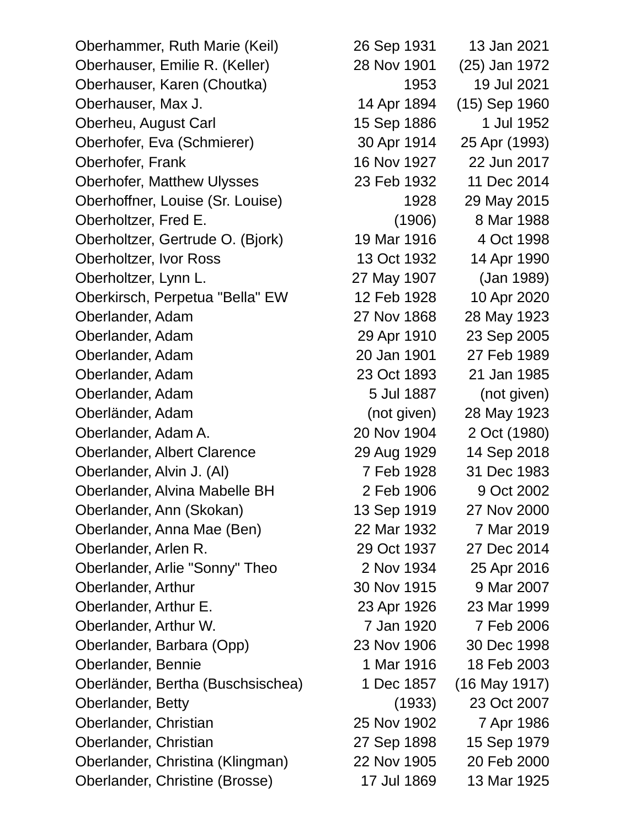Oberhammer, Ruth Marie (Keil) 26 Sep 1931 13 Jan 2021 Oberhauser, Emilie R. (Keller) 28 Nov 1901 (25) Jan 1972 Oberhauser, Karen (Choutka) 1953 19 Jul 2021 Oberhauser, Max J. 14 Apr 1894 (15) Sep 1960 Oberheu, August Carl 15 Sep 1886 1 Jul 1952 Oberhofer, Eva (Schmierer) 30 Apr 1914 25 Apr (1993) Oberhofer, Frank 16 Nov 1927 22 Jun 2017 Oberhofer, Matthew Ulysses 23 Feb 1932 11 Dec 2014 Oberhoffner, Louise (Sr. Louise) 1928 29 May 2015 Oberholtzer, Fred E. (1906) 8 Mar 1988 Oberholtzer, Gertrude O. (Bjork) 19 Mar 1916 4 Oct 1998 Oberholtzer, Ivor Ross 13 Oct 1932 14 Apr 1990 Oberholtzer, Lynn L. 27 May 1907 (Jan 1989) Oberkirsch, Perpetua "Bella" EW 12 Feb 1928 10 Apr 2020 Oberlander, Adam 27 Nov 1868 28 May 1923 Oberlander, Adam 29 Apr 1910 23 Sep 2005 Oberlander, Adam 20 Jan 1901 27 Feb 1989 Oberlander, Adam 23 Oct 1893 21 Jan 1985 Oberlander, Adam 5 Jul 1887 (not given) Oberländer, Adam (not given) 28 May 1923 Oberlander, Adam A. 20 Nov 1904 2 Oct (1980) Oberlander, Albert Clarence 29 Aug 1929 14 Sep 2018 Oberlander, Alvin J. (Al) 7 Feb 1928 31 Dec 1983 Oberlander, Alvina Mabelle BH 2 Feb 1906 9 Oct 2002 Oberlander, Ann (Skokan) 13 Sep 1919 27 Nov 2000 Oberlander, Anna Mae (Ben) 22 Mar 1932 7 Mar 2019 Oberlander, Arlen R. 29 Oct 1937 27 Dec 2014 Oberlander, Arlie "Sonny" Theo 2 Nov 1934 25 Apr 2016 Oberlander, Arthur 30 Nov 1915 9 Mar 2007 Oberlander, Arthur E. 23 Apr 1926 23 Mar 1999 Oberlander, Arthur W. 2006 7 Jan 1920 7 Feb 2006 Oberlander, Barbara (Opp) 23 Nov 1906 30 Dec 1998 Oberlander, Bennie 1 Mar 1916 18 Feb 2003 Oberländer, Bertha (Buschsischea) 1 Dec 1857 (16 May 1917) Oberlander, Betty (1933) 23 Oct 2007 Oberlander, Christian 25 Nov 1902 7 Apr 1986 Oberlander, Christian 27 Sep 1898 15 Sep 1979 Oberlander, Christina (Klingman) 22 Nov 1905 20 Feb 2000 Oberlander, Christine (Brosse) 17 Jul 1869 13 Mar 1925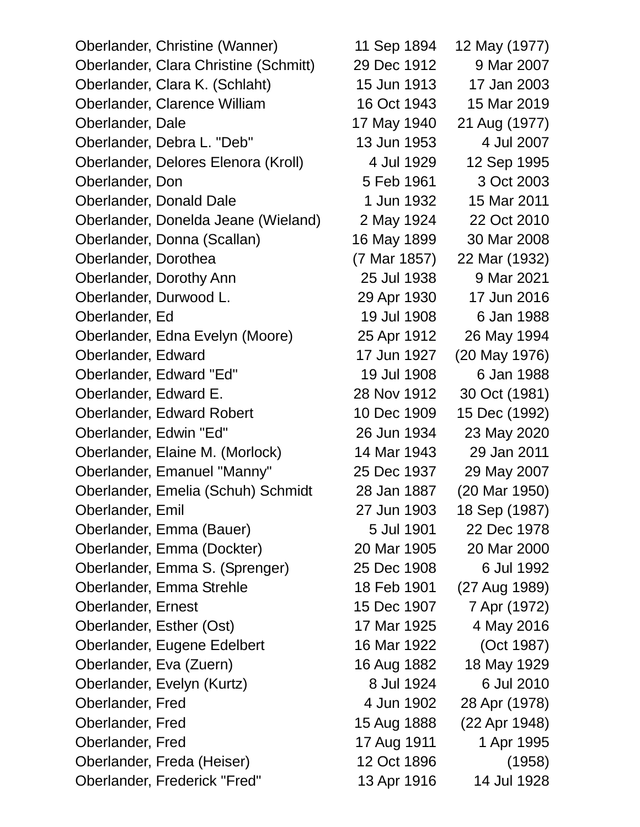Oberlander, Christine (Wanner) 11 Sep 1894 12 May (1977) Oberlander, Clara Christine (Schmitt) 29 Dec 1912 9 Mar 2007 Oberlander, Clara K. (Schlaht) 15 Jun 1913 17 Jan 2003 Oberlander, Clarence William 16 Oct 1943 15 Mar 2019 Oberlander, Dale 17 May 1940 21 Aug (1977) Oberlander, Debra L. "Deb" 13 Jun 1953 4 Jul 2007 Oberlander, Delores Elenora (Kroll) 4 Jul 1929 12 Sep 1995 Oberlander, Don 5 Feb 1961 3 Oct 2003 Oberlander, Donald Dale 1 Jun 1932 15 Mar 2011 Oberlander, Donelda Jeane (Wieland) 2 May 1924 22 Oct 2010 Oberlander, Donna (Scallan) 16 May 1899 30 Mar 2008 Oberlander, Dorothea (7 Mar 1857) 22 Mar (1932) Oberlander, Dorothy Ann 25 Jul 1938 9 Mar 2021 Oberlander, Durwood L. 29 Apr 1930 17 Jun 2016 Oberlander, Ed 19 Jul 1908 6 Jan 1988 Oberlander, Edna Evelyn (Moore) 25 Apr 1912 26 May 1994 Oberlander, Edward 17 Jun 1927 (20 May 1976) Oberlander, Edward "Ed" 19 Jul 1908 6 Jan 1988 Oberlander, Edward E. 28 Nov 1912 30 Oct (1981) Oberlander, Edward Robert 10 Dec 1909 15 Dec (1992) Oberlander, Edwin "Ed" 26 Jun 1934 23 May 2020 Oberlander, Elaine M. (Morlock) 14 Mar 1943 29 Jan 2011 Oberlander, Emanuel "Manny" 25 Dec 1937 29 May 2007 Oberlander, Emelia (Schuh) Schmidt 28 Jan 1887 (20 Mar 1950) Oberlander, Emil 27 Jun 1903 18 Sep (1987) Oberlander, Emma (Bauer) 5 Jul 1901 22 Dec 1978 Oberlander, Emma (Dockter) 20 Mar 1905 20 Mar 2000 Oberlander, Emma S. (Sprenger) 25 Dec 1908 6 Jul 1992 Oberlander, Emma Strehle 18 Feb 1901 (27 Aug 1989) Oberlander, Ernest 15 Dec 1907 7 Apr (1972) Oberlander, Esther (Ost) 17 Mar 1925 4 May 2016 Oberlander, Eugene Edelbert 16 Mar 1922 (Oct 1987) Oberlander, Eva (Zuern) 16 Aug 1882 18 May 1929 Oberlander, Evelyn (Kurtz) 8 Jul 1924 6 Jul 2010 Oberlander, Fred 4 Jun 1902 28 Apr (1978) Oberlander, Fred 15 Aug 1888 (22 Apr 1948) Oberlander, Fred 17 Aug 1911 1995 Oberlander, Freda (Heiser) 12 Oct 1896 (1958) Oberlander, Frederick "Fred" 13 Apr 1916 14 Jul 1928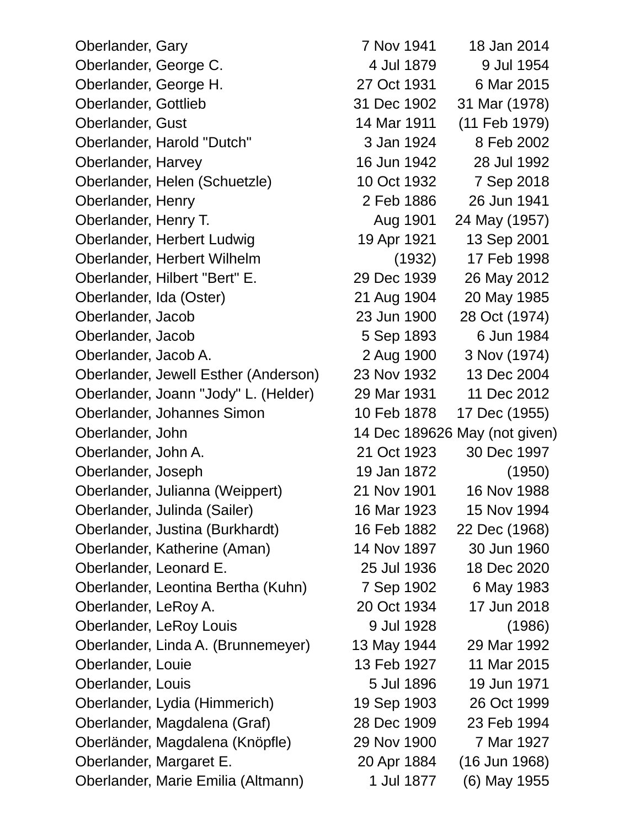Oberlander, Gary 7 Nov 1941 18 Jan 2014 Oberlander, George C. 4 Jul 1879 9 Jul 1954 Oberlander, George H. 27 Oct 1931 6 Mar 2015 Oberlander, Gottlieb 31 Dec 1902 31 Mar (1978) Oberlander, Gust 14 Mar 1911 (11 Feb 1979) Oberlander, Harold "Dutch" 3 Jan 1924 8 Feb 2002 Oberlander, Harvey 16 Jun 1942 28 Jul 1992 Oberlander, Helen (Schuetzle) 10 Oct 1932 7 Sep 2018 Oberlander, Henry 2 Feb 1886 26 Jun 1941 Oberlander, Henry T. Aug 1901 24 May (1957) Oberlander, Herbert Ludwig 19 Apr 1921 13 Sep 2001 Oberlander, Herbert Wilhelm (1932) 17 Feb 1998 Oberlander, Hilbert "Bert" E. 29 Dec 1939 26 May 2012 Oberlander, Ida (Oster) 21 Aug 1904 20 May 1985 Oberlander, Jacob 23 Jun 1900 28 Oct (1974) Oberlander, Jacob 5 Sep 1893 6 Jun 1984 Oberlander, Jacob A. 2 Aug 1900 3 Nov (1974) Oberlander, Jewell Esther (Anderson) 23 Nov 1932 13 Dec 2004 Oberlander, Joann "Jody" L. (Helder) 29 Mar 1931 11 Dec 2012 Oberlander, Johannes Simon 10 Feb 1878 17 Dec (1955) Oberlander, John 14 Dec 189626 May (not given) Oberlander, John A. 21 Oct 1923 30 Dec 1997 Oberlander, Joseph 19 Jan 1872 (1950) Oberlander, Julianna (Weippert) 21 Nov 1901 16 Nov 1988 Oberlander, Julinda (Sailer) 16 Mar 1923 15 Nov 1994 Oberlander, Justina (Burkhardt) 16 Feb 1882 22 Dec (1968) Oberlander, Katherine (Aman) 14 Nov 1897 30 Jun 1960 Oberlander, Leonard E. 25 Jul 1936 18 Dec 2020 Oberlander, Leontina Bertha (Kuhn) 7 Sep 1902 6 May 1983 Oberlander, LeRoy A. 20 Oct 1934 17 Jun 2018 Oberlander, LeRoy Louis 9 Jul 1928 (1986) Oberlander, Linda A. (Brunnemeyer) 13 May 1944 29 Mar 1992 Oberlander, Louie 13 Feb 1927 11 Mar 2015 Oberlander, Louis 5 Jul 1896 19 Jun 1971 Oberlander, Lydia (Himmerich) 19 Sep 1903 26 Oct 1999 Oberlander, Magdalena (Graf) 28 Dec 1909 23 Feb 1994 Oberländer, Magdalena (Knöpfle) 29 Nov 1900 7 Mar 1927 Oberlander, Margaret E. 20 Apr 1884 (16 Jun 1968) Oberlander, Marie Emilia (Altmann) 1 Jul 1877 (6) May 1955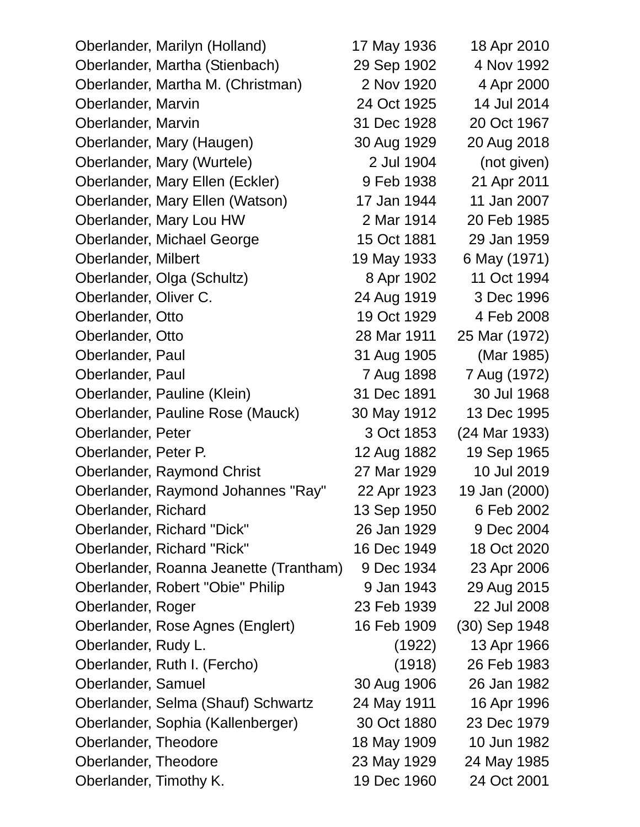| Oberlander, Marilyn (Holland)          | 17 May 1936 | 18 Apr 2010   |
|----------------------------------------|-------------|---------------|
| Oberlander, Martha (Stienbach)         | 29 Sep 1902 | 4 Nov 1992    |
| Oberlander, Martha M. (Christman)      | 2 Nov 1920  | 4 Apr 2000    |
| Oberlander, Marvin                     | 24 Oct 1925 | 14 Jul 2014   |
| Oberlander, Marvin                     | 31 Dec 1928 | 20 Oct 1967   |
| Oberlander, Mary (Haugen)              | 30 Aug 1929 | 20 Aug 2018   |
| Oberlander, Mary (Wurtele)             | 2 Jul 1904  | (not given)   |
| Oberlander, Mary Ellen (Eckler)        | 9 Feb 1938  | 21 Apr 2011   |
| Oberlander, Mary Ellen (Watson)        | 17 Jan 1944 | 11 Jan 2007   |
| Oberlander, Mary Lou HW                | 2 Mar 1914  | 20 Feb 1985   |
| Oberlander, Michael George             | 15 Oct 1881 | 29 Jan 1959   |
| Oberlander, Milbert                    | 19 May 1933 | 6 May (1971)  |
| Oberlander, Olga (Schultz)             | 8 Apr 1902  | 11 Oct 1994   |
| Oberlander, Oliver C.                  | 24 Aug 1919 | 3 Dec 1996    |
| Oberlander, Otto                       | 19 Oct 1929 | 4 Feb 2008    |
| Oberlander, Otto                       | 28 Mar 1911 | 25 Mar (1972) |
| Oberlander, Paul                       | 31 Aug 1905 | (Mar 1985)    |
| Oberlander, Paul                       | 7 Aug 1898  | 7 Aug (1972)  |
| Oberlander, Pauline (Klein)            | 31 Dec 1891 | 30 Jul 1968   |
| Oberlander, Pauline Rose (Mauck)       | 30 May 1912 | 13 Dec 1995   |
| Oberlander, Peter                      | 3 Oct 1853  | (24 Mar 1933) |
| Oberlander, Peter P.                   | 12 Aug 1882 | 19 Sep 1965   |
| Oberlander, Raymond Christ             | 27 Mar 1929 | 10 Jul 2019   |
| Oberlander, Raymond Johannes "Ray"     | 22 Apr 1923 | 19 Jan (2000) |
| Oberlander, Richard                    | 13 Sep 1950 | 6 Feb 2002    |
| Oberlander, Richard "Dick"             | 26 Jan 1929 | 9 Dec 2004    |
| Oberlander, Richard "Rick"             | 16 Dec 1949 | 18 Oct 2020   |
| Oberlander, Roanna Jeanette (Trantham) | 9 Dec 1934  | 23 Apr 2006   |
| Oberlander, Robert "Obie" Philip       | 9 Jan 1943  | 29 Aug 2015   |
| Oberlander, Roger                      | 23 Feb 1939 | 22 Jul 2008   |
| Oberlander, Rose Agnes (Englert)       | 16 Feb 1909 | (30) Sep 1948 |
| Oberlander, Rudy L.                    | (1922)      | 13 Apr 1966   |
| Oberlander, Ruth I. (Fercho)           | (1918)      | 26 Feb 1983   |
| Oberlander, Samuel                     | 30 Aug 1906 | 26 Jan 1982   |
| Oberlander, Selma (Shauf) Schwartz     | 24 May 1911 | 16 Apr 1996   |
| Oberlander, Sophia (Kallenberger)      | 30 Oct 1880 | 23 Dec 1979   |
| Oberlander, Theodore                   | 18 May 1909 | 10 Jun 1982   |
| Oberlander, Theodore                   | 23 May 1929 | 24 May 1985   |
| Oberlander, Timothy K.                 | 19 Dec 1960 | 24 Oct 2001   |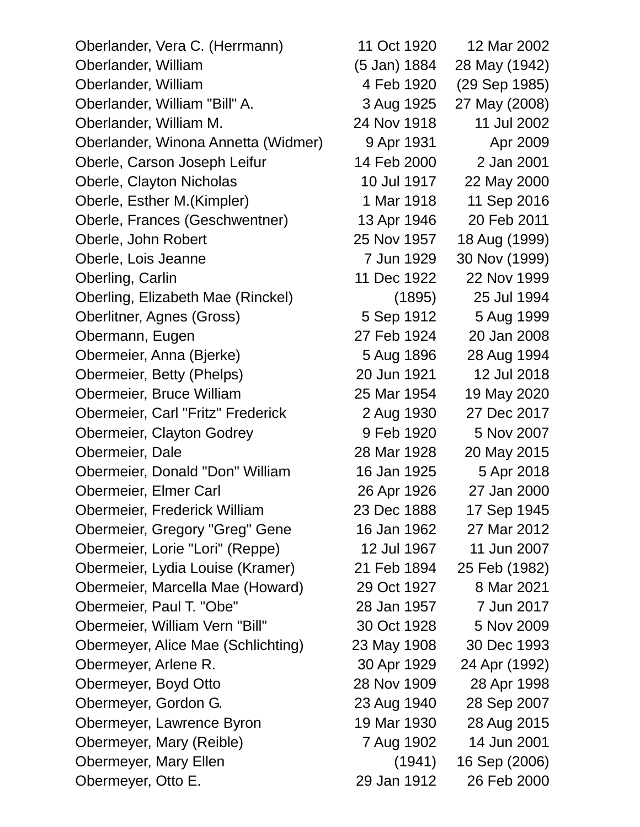| Oberlander, Vera C. (Herrmann)      | 11 Oct 1920  | 12 Mar 2002   |  |
|-------------------------------------|--------------|---------------|--|
| Oberlander, William                 | (5 Jan) 1884 | 28 May (1942) |  |
| Oberlander, William                 | 4 Feb 1920   | (29 Sep 1985) |  |
| Oberlander, William "Bill" A.       | 3 Aug 1925   | 27 May (2008) |  |
| Oberlander, William M.              | 24 Nov 1918  | 11 Jul 2002   |  |
| Oberlander, Winona Annetta (Widmer) | 9 Apr 1931   | Apr 2009      |  |
| Oberle, Carson Joseph Leifur        | 14 Feb 2000  | 2 Jan 2001    |  |
| Oberle, Clayton Nicholas            | 10 Jul 1917  | 22 May 2000   |  |
| Oberle, Esther M. (Kimpler)         | 1 Mar 1918   | 11 Sep 2016   |  |
| Oberle, Frances (Geschwentner)      | 13 Apr 1946  | 20 Feb 2011   |  |
| Oberle, John Robert                 | 25 Nov 1957  | 18 Aug (1999) |  |
| Oberle, Lois Jeanne                 | 7 Jun 1929   | 30 Nov (1999) |  |
| Oberling, Carlin                    | 11 Dec 1922  | 22 Nov 1999   |  |
| Oberling, Elizabeth Mae (Rinckel)   | (1895)       | 25 Jul 1994   |  |
| Oberlitner, Agnes (Gross)           | 5 Sep 1912   | 5 Aug 1999    |  |
| Obermann, Eugen                     | 27 Feb 1924  | 20 Jan 2008   |  |
| Obermeier, Anna (Bjerke)            | 5 Aug 1896   | 28 Aug 1994   |  |
| Obermeier, Betty (Phelps)           | 20 Jun 1921  | 12 Jul 2018   |  |
| Obermeier, Bruce William            | 25 Mar 1954  | 19 May 2020   |  |
| Obermeier, Carl "Fritz" Frederick   | 2 Aug 1930   | 27 Dec 2017   |  |
| Obermeier, Clayton Godrey           | 9 Feb 1920   | 5 Nov 2007    |  |
| Obermeier, Dale                     | 28 Mar 1928  | 20 May 2015   |  |
| Obermeier, Donald "Don" William     | 16 Jan 1925  | 5 Apr 2018    |  |
| Obermeier, Elmer Carl               | 26 Apr 1926  | 27 Jan 2000   |  |
| Obermeier, Frederick William        | 23 Dec 1888  | 17 Sep 1945   |  |
| Obermeier, Gregory "Greg" Gene      | 16 Jan 1962  | 27 Mar 2012   |  |
| Obermeier, Lorie "Lori" (Reppe)     | 12 Jul 1967  | 11 Jun 2007   |  |
| Obermeier, Lydia Louise (Kramer)    | 21 Feb 1894  | 25 Feb (1982) |  |
| Obermeier, Marcella Mae (Howard)    | 29 Oct 1927  | 8 Mar 2021    |  |
| Obermeier, Paul T. "Obe"            | 28 Jan 1957  | 7 Jun 2017    |  |
| Obermeier, William Vern "Bill"      | 30 Oct 1928  | 5 Nov 2009    |  |
| Obermeyer, Alice Mae (Schlichting)  | 23 May 1908  | 30 Dec 1993   |  |
| Obermeyer, Arlene R.                | 30 Apr 1929  | 24 Apr (1992) |  |
| Obermeyer, Boyd Otto                | 28 Nov 1909  | 28 Apr 1998   |  |
| Obermeyer, Gordon G.                | 23 Aug 1940  | 28 Sep 2007   |  |
| Obermeyer, Lawrence Byron           | 19 Mar 1930  | 28 Aug 2015   |  |
| Obermeyer, Mary (Reible)            | 7 Aug 1902   | 14 Jun 2001   |  |
| Obermeyer, Mary Ellen               | (1941)       | 16 Sep (2006) |  |
| Obermeyer, Otto E.                  | 29 Jan 1912  | 26 Feb 2000   |  |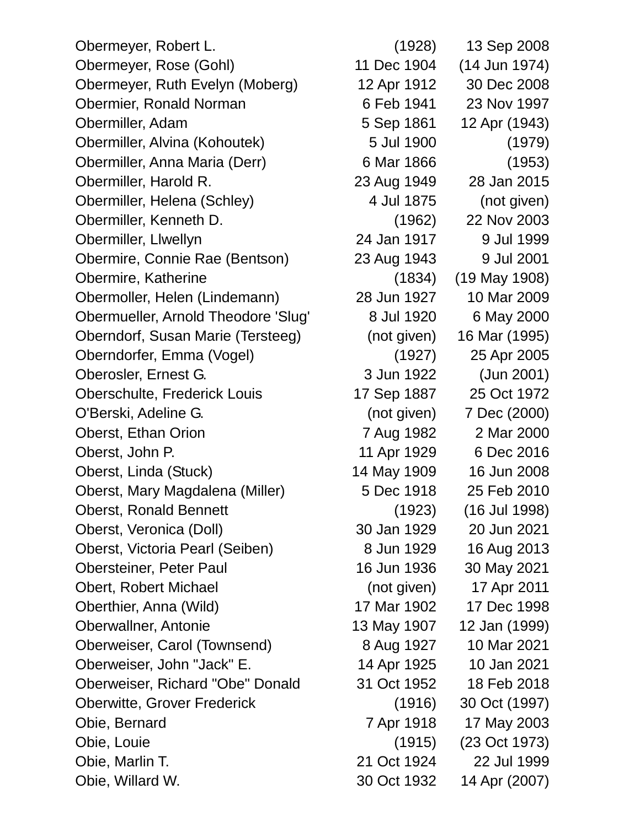Obermeyer, Robert L. (1928) 13 Sep 2008 Obermeyer, Rose (Gohl) 11 Dec 1904 (14 Jun 1974) Obermeyer, Ruth Evelyn (Moberg) 12 Apr 1912 30 Dec 2008 Obermier, Ronald Norman 6 Feb 1941 23 Nov 1997 Obermiller, Adam 5 Sep 1861 12 Apr (1943) Obermiller, Alvina (Kohoutek) 5 Jul 1900 (1979) Obermiller, Anna Maria (Derr) 6 Mar 1866 (1953) Obermiller, Harold R. 23 Aug 1949 28 Jan 2015 Obermiller, Helena (Schley) 4 Jul 1875 (not given) Obermiller, Kenneth D. (1962) 22 Nov 2003 Obermiller, Llwellyn 24 Jan 1917 9 Jul 1999 Obermire, Connie Rae (Bentson) 23 Aug 1943 9 Jul 2001 Obermire, Katherine (1834) (19 May 1908) Obermoller, Helen (Lindemann) 28 Jun 1927 10 Mar 2009 Obermueller, Arnold Theodore 'Slug' 8 Jul 1920 6 May 2000 Oberndorf, Susan Marie (Tersteeg) (not given) 16 Mar (1995) Oberndorfer, Emma (Vogel) (1927) 25 Apr 2005 Oberosler, Ernest G. 3 Jun 1922 (Jun 2001) Oberschulte, Frederick Louis 17 Sep 1887 25 Oct 1972 O'Berski, Adeline G. (not given) 7 Dec (2000) Oberst, Ethan Orion 7 Aug 1982 2 Mar 2000 Oberst, John P. 11 Apr 1929 6 Dec 2016 Oberst, Linda (Stuck) 14 May 1909 16 Jun 2008 Oberst, Mary Magdalena (Miller) 5 Dec 1918 25 Feb 2010 Oberst, Ronald Bennett (1923) (16 Jul 1998) Oberst, Veronica (Doll) 30 Jan 1929 20 Jun 2021 Oberst, Victoria Pearl (Seiben) 8 Jun 1929 16 Aug 2013 Obersteiner, Peter Paul 16 Jun 1936 30 May 2021 Obert, Robert Michael (not given) 17 Apr 2011 Oberthier, Anna (Wild) 17 Mar 1902 17 Dec 1998 Oberwallner, Antonie 13 May 1907 12 Jan (1999) Oberweiser, Carol (Townsend) 8 Aug 1927 10 Mar 2021 Oberweiser, John "Jack" E. 14 Apr 1925 10 Jan 2021 Oberweiser, Richard "Obe" Donald 31 Oct 1952 18 Feb 2018 Oberwitte, Grover Frederick (1916) 30 Oct (1997) Obie, Bernard 7 Apr 1918 17 May 2003 Obie, Louie (1915) (23 Oct 1973) Obie, Marlin T. 21 Oct 1924 22 Jul 1999 Obie, Willard W. 30 Oct 1932 14 Apr (2007)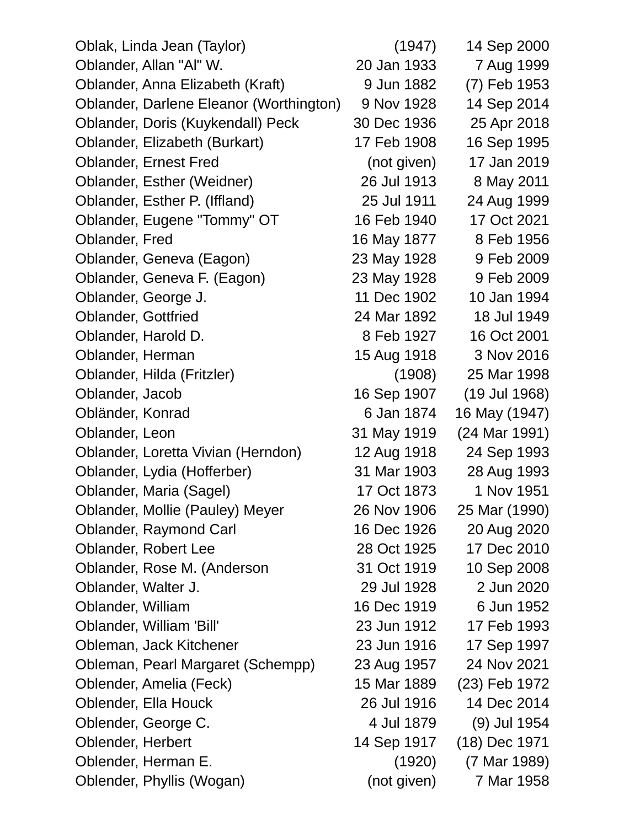| Oblak, Linda Jean (Taylor)              | (1947)      | 14 Sep 2000   |
|-----------------------------------------|-------------|---------------|
| Oblander, Allan "Al" W.                 | 20 Jan 1933 | 7 Aug 1999    |
| Oblander, Anna Elizabeth (Kraft)        | 9 Jun 1882  | (7) Feb 1953  |
| Oblander, Darlene Eleanor (Worthington) | 9 Nov 1928  | 14 Sep 2014   |
| Oblander, Doris (Kuykendall) Peck       | 30 Dec 1936 | 25 Apr 2018   |
| Oblander, Elizabeth (Burkart)           | 17 Feb 1908 | 16 Sep 1995   |
| <b>Oblander, Ernest Fred</b>            | (not given) | 17 Jan 2019   |
| Oblander, Esther (Weidner)              | 26 Jul 1913 | 8 May 2011    |
| Oblander, Esther P. (Iffland)           | 25 Jul 1911 | 24 Aug 1999   |
| Oblander, Eugene "Tommy" OT             | 16 Feb 1940 | 17 Oct 2021   |
| Oblander, Fred                          | 16 May 1877 | 8 Feb 1956    |
| Oblander, Geneva (Eagon)                | 23 May 1928 | 9 Feb 2009    |
| Oblander, Geneva F. (Eagon)             | 23 May 1928 | 9 Feb 2009    |
| Oblander, George J.                     | 11 Dec 1902 | 10 Jan 1994   |
| <b>Oblander, Gottfried</b>              | 24 Mar 1892 | 18 Jul 1949   |
| Oblander, Harold D.                     | 8 Feb 1927  | 16 Oct 2001   |
| Oblander, Herman                        | 15 Aug 1918 | 3 Nov 2016    |
| Oblander, Hilda (Fritzler)              | (1908)      | 25 Mar 1998   |
| Oblander, Jacob                         | 16 Sep 1907 | (19 Jul 1968) |
| Obländer, Konrad                        | 6 Jan 1874  | 16 May (1947) |
| Oblander, Leon                          | 31 May 1919 | (24 Mar 1991) |
| Oblander, Loretta Vivian (Herndon)      | 12 Aug 1918 | 24 Sep 1993   |
| Oblander, Lydia (Hofferber)             | 31 Mar 1903 | 28 Aug 1993   |
| Oblander, Maria (Sagel)                 | 17 Oct 1873 | 1 Nov 1951    |
| Oblander, Mollie (Pauley) Meyer         | 26 Nov 1906 | 25 Mar (1990) |
| <b>Oblander, Raymond Carl</b>           | 16 Dec 1926 | 20 Aug 2020   |
| <b>Oblander, Robert Lee</b>             | 28 Oct 1925 | 17 Dec 2010   |
| Oblander, Rose M. (Anderson             | 31 Oct 1919 | 10 Sep 2008   |
| Oblander, Walter J.                     | 29 Jul 1928 | 2 Jun 2020    |
| Oblander, William                       | 16 Dec 1919 | 6 Jun 1952    |
| Oblander, William 'Bill'                | 23 Jun 1912 | 17 Feb 1993   |
| Obleman, Jack Kitchener                 | 23 Jun 1916 | 17 Sep 1997   |
| Obleman, Pearl Margaret (Schempp)       | 23 Aug 1957 | 24 Nov 2021   |
| Oblender, Amelia (Feck)                 | 15 Mar 1889 | (23) Feb 1972 |
| Oblender, Ella Houck                    | 26 Jul 1916 | 14 Dec 2014   |
| Oblender, George C.                     | 4 Jul 1879  | (9) Jul 1954  |
| Oblender, Herbert                       | 14 Sep 1917 | (18) Dec 1971 |
| Oblender, Herman E.                     | (1920)      | (7 Mar 1989)  |
| Oblender, Phyllis (Wogan)               | (not given) | 7 Mar 1958    |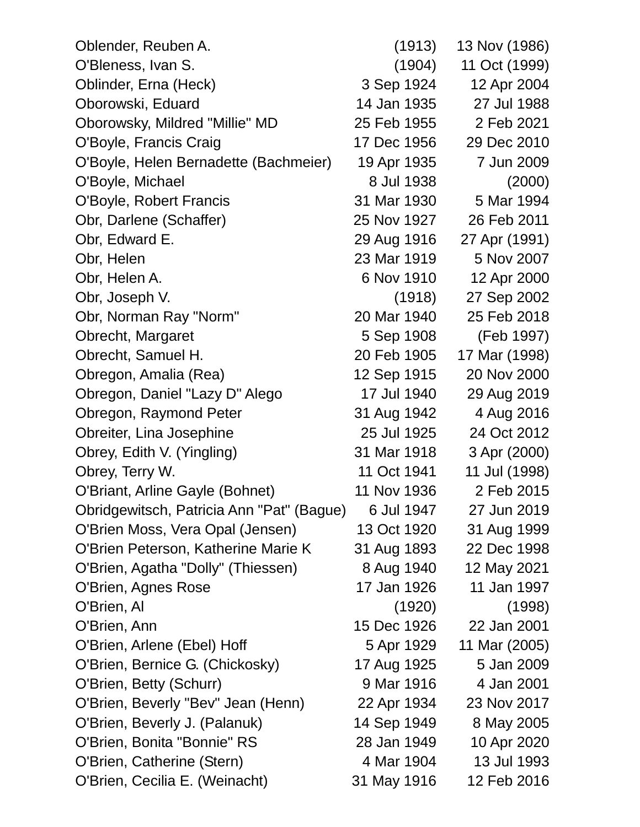| Oblender, Reuben A.                       | (1913)      | 13 Nov (1986) |
|-------------------------------------------|-------------|---------------|
| O'Bleness, Ivan S.                        | (1904)      | 11 Oct (1999) |
| Oblinder, Erna (Heck)                     | 3 Sep 1924  | 12 Apr 2004   |
| Oborowski, Eduard                         | 14 Jan 1935 | 27 Jul 1988   |
| Oborowsky, Mildred "Millie" MD            | 25 Feb 1955 | 2 Feb 2021    |
| O'Boyle, Francis Craig                    | 17 Dec 1956 | 29 Dec 2010   |
| O'Boyle, Helen Bernadette (Bachmeier)     | 19 Apr 1935 | 7 Jun 2009    |
| O'Boyle, Michael                          | 8 Jul 1938  | (2000)        |
| O'Boyle, Robert Francis                   | 31 Mar 1930 | 5 Mar 1994    |
| Obr, Darlene (Schaffer)                   | 25 Nov 1927 | 26 Feb 2011   |
| Obr, Edward E.                            | 29 Aug 1916 | 27 Apr (1991) |
| Obr, Helen                                | 23 Mar 1919 | 5 Nov 2007    |
| Obr, Helen A.                             | 6 Nov 1910  | 12 Apr 2000   |
| Obr, Joseph V.                            | (1918)      | 27 Sep 2002   |
| Obr, Norman Ray "Norm"                    | 20 Mar 1940 | 25 Feb 2018   |
| Obrecht, Margaret                         | 5 Sep 1908  | (Feb 1997)    |
| Obrecht, Samuel H.                        | 20 Feb 1905 | 17 Mar (1998) |
| Obregon, Amalia (Rea)                     | 12 Sep 1915 | 20 Nov 2000   |
| Obregon, Daniel "Lazy D" Alego            | 17 Jul 1940 | 29 Aug 2019   |
| Obregon, Raymond Peter                    | 31 Aug 1942 | 4 Aug 2016    |
| Obreiter, Lina Josephine                  | 25 Jul 1925 | 24 Oct 2012   |
| Obrey, Edith V. (Yingling)                | 31 Mar 1918 | 3 Apr (2000)  |
| Obrey, Terry W.                           | 11 Oct 1941 | 11 Jul (1998) |
| O'Briant, Arline Gayle (Bohnet)           | 11 Nov 1936 | 2 Feb 2015    |
| Obridgewitsch, Patricia Ann "Pat" (Bague) | 6 Jul 1947  | 27 Jun 2019   |
| O'Brien Moss, Vera Opal (Jensen)          | 13 Oct 1920 | 31 Aug 1999   |
| O'Brien Peterson, Katherine Marie K       | 31 Aug 1893 | 22 Dec 1998   |
| O'Brien, Agatha "Dolly" (Thiessen)        | 8 Aug 1940  | 12 May 2021   |
| O'Brien, Agnes Rose                       | 17 Jan 1926 | 11 Jan 1997   |
| O'Brien, Al                               | (1920)      | (1998)        |
| O'Brien, Ann                              | 15 Dec 1926 | 22 Jan 2001   |
| O'Brien, Arlene (Ebel) Hoff               | 5 Apr 1929  | 11 Mar (2005) |
| O'Brien, Bernice G. (Chickosky)           | 17 Aug 1925 | 5 Jan 2009    |
| O'Brien, Betty (Schurr)                   | 9 Mar 1916  | 4 Jan 2001    |
| O'Brien, Beverly "Bev" Jean (Henn)        | 22 Apr 1934 | 23 Nov 2017   |
| O'Brien, Beverly J. (Palanuk)             | 14 Sep 1949 | 8 May 2005    |
| O'Brien, Bonita "Bonnie" RS               | 28 Jan 1949 | 10 Apr 2020   |
| O'Brien, Catherine (Stern)                | 4 Mar 1904  | 13 Jul 1993   |
| O'Brien, Cecilia E. (Weinacht)            | 31 May 1916 | 12 Feb 2016   |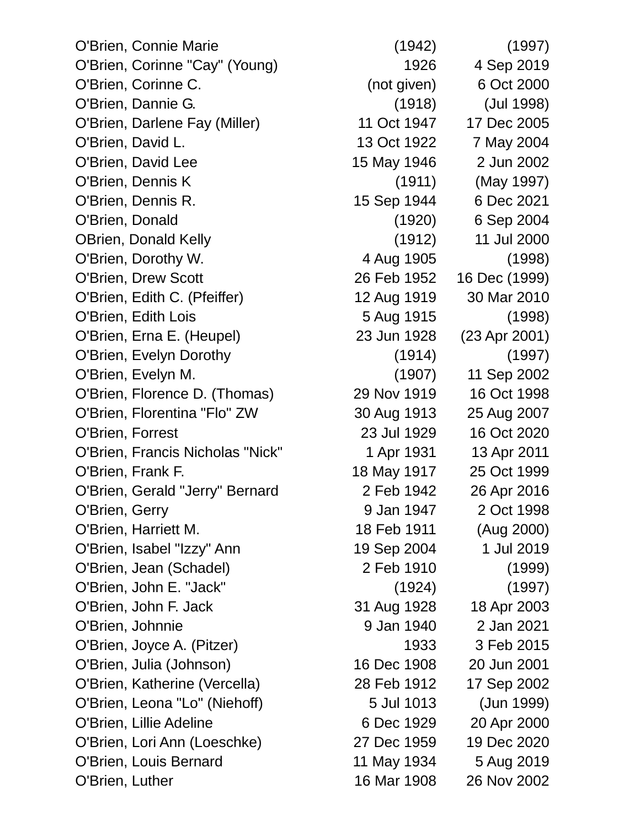O'Brien, Connie Marie (1942) (1997) O'Brien, Corinne "Cay" (Young) 1926 4 Sep 2019 O'Brien, Corinne C. (not given) 6 Oct 2000 O'Brien, Dannie G. (1918) (Jul 1998) O'Brien, Darlene Fay (Miller) 11 Oct 1947 17 Dec 2005 O'Brien, David L. 13 Oct 1922 7 May 2004 O'Brien, David Lee 15 May 1946 2 Jun 2002 O'Brien, Dennis K (1911) (May 1997) O'Brien, Dennis R. 15 Sep 1944 6 Dec 2021 O'Brien, Donald (1920) 6 Sep 2004 OBrien, Donald Kelly (1912) 11 Jul 2000 O'Brien, Dorothy W. 4 Aug 1905 (1998) O'Brien, Drew Scott 26 Feb 1952 16 Dec (1999) O'Brien, Edith C. (Pfeiffer) 12 Aug 1919 30 Mar 2010 O'Brien, Edith Lois 6 aug 1915 (1998) O'Brien, Erna E. (Heupel) 23 Jun 1928 (23 Apr 2001) O'Brien, Evelyn Dorothy (1914) (1997) O'Brien, Evelyn M. (1907) 11 Sep 2002 O'Brien, Florence D. (Thomas) 29 Nov 1919 16 Oct 1998 O'Brien, Florentina "Flo" ZW 30 Aug 1913 25 Aug 2007 O'Brien, Forrest 23 Jul 1929 16 Oct 2020 O'Brien, Francis Nicholas "Nick" 1 Apr 1931 13 Apr 2011 O'Brien, Frank F. 18 May 1917 25 Oct 1999 O'Brien, Gerald "Jerry" Bernard 2 Feb 1942 26 Apr 2016 O'Brien, Gerry 61 Company 1947 2 Oct 1998 O'Brien, Harriett M. 18 Feb 1911 (Aug 2000) O'Brien, Isabel "Izzy" Ann 19 Sep 2004 1 Jul 2019 O'Brien, Jean (Schadel) 2 Feb 1910 (1999) O'Brien, John E. "Jack" (1924) (1997) O'Brien, John F. Jack 31 Aug 1928 18 Apr 2003 O'Brien, Johnnie 9 Jan 1940 2 Jan 2021 O'Brien, Joyce A. (Pitzer) 1933 3 Feb 2015 O'Brien, Julia (Johnson) 16 Dec 1908 20 Jun 2001 O'Brien, Katherine (Vercella) 28 Feb 1912 17 Sep 2002 O'Brien, Leona "Lo" (Niehoff) 5 Jul 1013 (Jun 1999) O'Brien, Lillie Adeline 6 Dec 1929 20 Apr 2000 O'Brien, Lori Ann (Loeschke) 27 Dec 1959 19 Dec 2020 O'Brien, Louis Bernard 11 May 1934 5 Aug 2019 O'Brien, Luther 16 Mar 1908 26 Nov 2002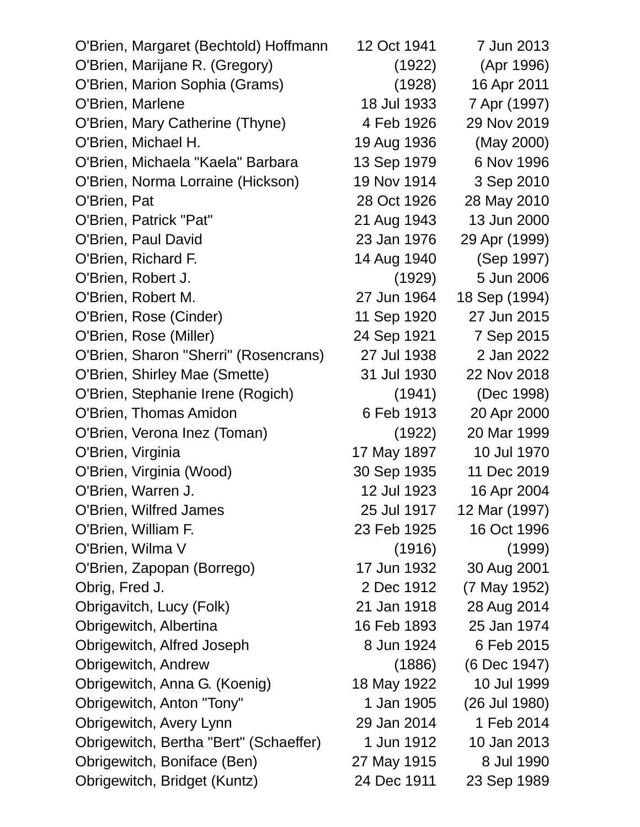| O'Brien, Margaret (Bechtold) Hoffmann  | 12 Oct 1941 | 7 Jun 2013    |
|----------------------------------------|-------------|---------------|
| O'Brien, Marijane R. (Gregory)         | (1922)      | (Apr 1996)    |
| O'Brien, Marion Sophia (Grams)         | (1928)      | 16 Apr 2011   |
| O'Brien, Marlene                       | 18 Jul 1933 | 7 Apr (1997)  |
| O'Brien, Mary Catherine (Thyne)        | 4 Feb 1926  | 29 Nov 2019   |
| O'Brien, Michael H.                    | 19 Aug 1936 | (May 2000)    |
| O'Brien, Michaela "Kaela" Barbara      | 13 Sep 1979 | 6 Nov 1996    |
| O'Brien, Norma Lorraine (Hickson)      | 19 Nov 1914 | 3 Sep 2010    |
| O'Brien, Pat                           | 28 Oct 1926 | 28 May 2010   |
| O'Brien, Patrick "Pat"                 | 21 Aug 1943 | 13 Jun 2000   |
| O'Brien, Paul David                    | 23 Jan 1976 | 29 Apr (1999) |
| O'Brien, Richard F.                    | 14 Aug 1940 | (Sep 1997)    |
| O'Brien, Robert J.                     | (1929)      | 5 Jun 2006    |
| O'Brien, Robert M.                     | 27 Jun 1964 | 18 Sep (1994) |
| O'Brien, Rose (Cinder)                 | 11 Sep 1920 | 27 Jun 2015   |
| O'Brien, Rose (Miller)                 | 24 Sep 1921 | 7 Sep 2015    |
| O'Brien, Sharon "Sherri" (Rosencrans)  | 27 Jul 1938 | 2 Jan 2022    |
| O'Brien, Shirley Mae (Smette)          | 31 Jul 1930 | 22 Nov 2018   |
| O'Brien, Stephanie Irene (Rogich)      | (1941)      | (Dec 1998)    |
| O'Brien, Thomas Amidon                 | 6 Feb 1913  | 20 Apr 2000   |
| O'Brien, Verona Inez (Toman)           | (1922)      | 20 Mar 1999   |
| O'Brien, Virginia                      | 17 May 1897 | 10 Jul 1970   |
| O'Brien, Virginia (Wood)               | 30 Sep 1935 | 11 Dec 2019   |
| O'Brien, Warren J.                     | 12 Jul 1923 | 16 Apr 2004   |
| O'Brien, Wilfred James                 | 25 Jul 1917 | 12 Mar (1997) |
| O'Brien, William F.                    | 23 Feb 1925 | 16 Oct 1996   |
| O'Brien, Wilma V                       | (1916)      | (1999)        |
| O'Brien, Zapopan (Borrego)             | 17 Jun 1932 | 30 Aug 2001   |
| Obrig, Fred J.                         | 2 Dec 1912  | (7 May 1952)  |
| Obrigavitch, Lucy (Folk)               | 21 Jan 1918 | 28 Aug 2014   |
| Obrigewitch, Albertina                 | 16 Feb 1893 | 25 Jan 1974   |
| Obrigewitch, Alfred Joseph             | 8 Jun 1924  | 6 Feb 2015    |
| Obrigewitch, Andrew                    | (1886)      | (6 Dec 1947)  |
| Obrigewitch, Anna G. (Koenig)          | 18 May 1922 | 10 Jul 1999   |
| Obrigewitch, Anton "Tony"              | 1 Jan 1905  | (26 Jul 1980) |
| Obrigewitch, Avery Lynn                | 29 Jan 2014 | 1 Feb 2014    |
| Obrigewitch, Bertha "Bert" (Schaeffer) | 1 Jun 1912  | 10 Jan 2013   |
| Obrigewitch, Boniface (Ben)            | 27 May 1915 | 8 Jul 1990    |
| Obrigewitch, Bridget (Kuntz)           | 24 Dec 1911 | 23 Sep 1989   |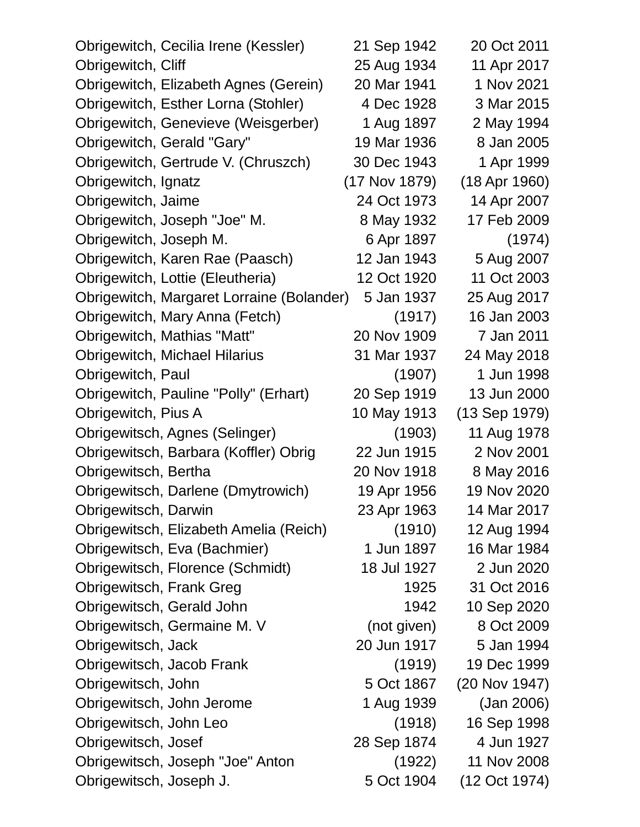| Obrigewitch, Cecilia Irene (Kessler)      | 21 Sep 1942   | 20 Oct 2011   |
|-------------------------------------------|---------------|---------------|
| Obrigewitch, Cliff                        | 25 Aug 1934   | 11 Apr 2017   |
| Obrigewitch, Elizabeth Agnes (Gerein)     | 20 Mar 1941   | 1 Nov 2021    |
| Obrigewitch, Esther Lorna (Stohler)       | 4 Dec 1928    | 3 Mar 2015    |
| Obrigewitch, Genevieve (Weisgerber)       | 1 Aug 1897    | 2 May 1994    |
| Obrigewitch, Gerald "Gary"                | 19 Mar 1936   | 8 Jan 2005    |
| Obrigewitch, Gertrude V. (Chruszch)       | 30 Dec 1943   | 1 Apr 1999    |
| Obrigewitch, Ignatz                       | (17 Nov 1879) | (18 Apr 1960) |
| Obrigewitch, Jaime                        | 24 Oct 1973   | 14 Apr 2007   |
| Obrigewitch, Joseph "Joe" M.              | 8 May 1932    | 17 Feb 2009   |
| Obrigewitch, Joseph M.                    | 6 Apr 1897    | (1974)        |
| Obrigewitch, Karen Rae (Paasch)           | 12 Jan 1943   | 5 Aug 2007    |
| Obrigewitch, Lottie (Eleutheria)          | 12 Oct 1920   | 11 Oct 2003   |
| Obrigewitch, Margaret Lorraine (Bolander) | 5 Jan 1937    | 25 Aug 2017   |
| Obrigewitch, Mary Anna (Fetch)            | (1917)        | 16 Jan 2003   |
| Obrigewitch, Mathias "Matt"               | 20 Nov 1909   | 7 Jan 2011    |
| <b>Obrigewitch, Michael Hilarius</b>      | 31 Mar 1937   | 24 May 2018   |
| Obrigewitch, Paul                         | (1907)        | 1 Jun 1998    |
| Obrigewitch, Pauline "Polly" (Erhart)     | 20 Sep 1919   | 13 Jun 2000   |
| Obrigewitch, Pius A                       | 10 May 1913   | (13 Sep 1979) |
| Obrigewitsch, Agnes (Selinger)            | (1903)        | 11 Aug 1978   |
| Obrigewitsch, Barbara (Koffler) Obrig     | 22 Jun 1915   | 2 Nov 2001    |
| Obrigewitsch, Bertha                      | 20 Nov 1918   | 8 May 2016    |
| Obrigewitsch, Darlene (Dmytrowich)        | 19 Apr 1956   | 19 Nov 2020   |
| Obrigewitsch, Darwin                      | 23 Apr 1963   | 14 Mar 2017   |
| Obrigewitsch, Elizabeth Amelia (Reich)    | (1910)        | 12 Aug 1994   |
| Obrigewitsch, Eva (Bachmier)              | 1 Jun 1897    | 16 Mar 1984   |
| Obrigewitsch, Florence (Schmidt)          | 18 Jul 1927   | 2 Jun 2020    |
| Obrigewitsch, Frank Greg                  | 1925          | 31 Oct 2016   |
| Obrigewitsch, Gerald John                 | 1942          | 10 Sep 2020   |
| Obrigewitsch, Germaine M. V               | (not given)   | 8 Oct 2009    |
| Obrigewitsch, Jack                        | 20 Jun 1917   | 5 Jan 1994    |
| Obrigewitsch, Jacob Frank                 | (1919)        | 19 Dec 1999   |
| Obrigewitsch, John                        | 5 Oct 1867    | (20 Nov 1947) |
| Obrigewitsch, John Jerome                 | 1 Aug 1939    | (Jan 2006)    |
| Obrigewitsch, John Leo                    | (1918)        | 16 Sep 1998   |
| Obrigewitsch, Josef                       | 28 Sep 1874   | 4 Jun 1927    |
| Obrigewitsch, Joseph "Joe" Anton          | (1922)        | 11 Nov 2008   |
| Obrigewitsch, Joseph J.                   | 5 Oct 1904    | (12 Oct 1974) |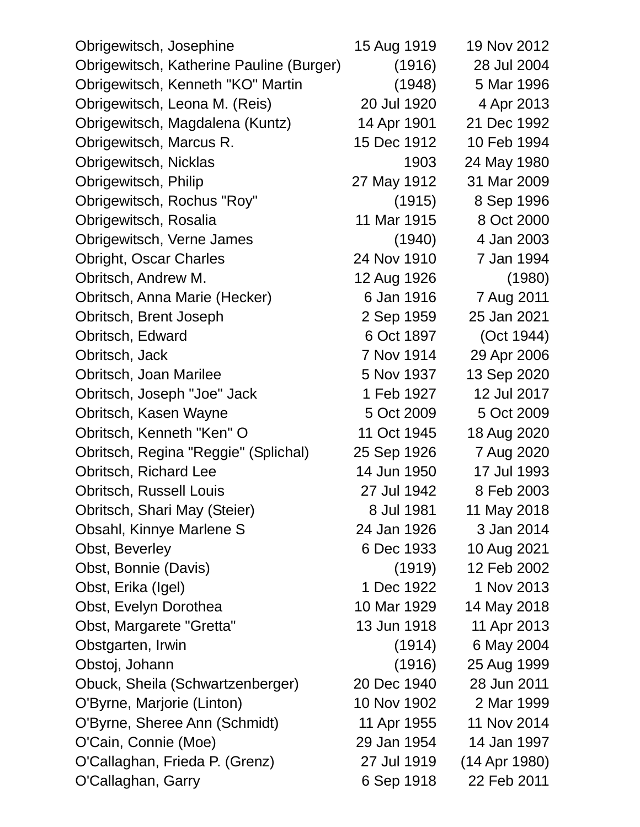| Obrigewitsch, Josephine                  | 15 Aug 1919 | 19 Nov 2012   |
|------------------------------------------|-------------|---------------|
| Obrigewitsch, Katherine Pauline (Burger) | (1916)      | 28 Jul 2004   |
| Obrigewitsch, Kenneth "KO" Martin        | (1948)      | 5 Mar 1996    |
| Obrigewitsch, Leona M. (Reis)            | 20 Jul 1920 | 4 Apr 2013    |
| Obrigewitsch, Magdalena (Kuntz)          | 14 Apr 1901 | 21 Dec 1992   |
| Obrigewitsch, Marcus R.                  | 15 Dec 1912 | 10 Feb 1994   |
| Obrigewitsch, Nicklas                    | 1903        | 24 May 1980   |
| Obrigewitsch, Philip                     | 27 May 1912 | 31 Mar 2009   |
| Obrigewitsch, Rochus "Roy"               | (1915)      | 8 Sep 1996    |
| Obrigewitsch, Rosalia                    | 11 Mar 1915 | 8 Oct 2000    |
| Obrigewitsch, Verne James                | (1940)      | 4 Jan 2003    |
| <b>Obright, Oscar Charles</b>            | 24 Nov 1910 | 7 Jan 1994    |
| Obritsch, Andrew M.                      | 12 Aug 1926 | (1980)        |
| Obritsch, Anna Marie (Hecker)            | 6 Jan 1916  | 7 Aug 2011    |
| Obritsch, Brent Joseph                   | 2 Sep 1959  | 25 Jan 2021   |
| Obritsch, Edward                         | 6 Oct 1897  | (Oct 1944)    |
| Obritsch, Jack                           | 7 Nov 1914  | 29 Apr 2006   |
| Obritsch, Joan Marilee                   | 5 Nov 1937  | 13 Sep 2020   |
| Obritsch, Joseph "Joe" Jack              | 1 Feb 1927  | 12 Jul 2017   |
| Obritsch, Kasen Wayne                    | 5 Oct 2009  | 5 Oct 2009    |
| Obritsch, Kenneth "Ken" O                | 11 Oct 1945 | 18 Aug 2020   |
| Obritsch, Regina "Reggie" (Splichal)     | 25 Sep 1926 | 7 Aug 2020    |
| Obritsch, Richard Lee                    | 14 Jun 1950 | 17 Jul 1993   |
| <b>Obritsch, Russell Louis</b>           | 27 Jul 1942 | 8 Feb 2003    |
| Obritsch, Shari May (Steier)             | 8 Jul 1981  | 11 May 2018   |
| Obsahl, Kinnye Marlene S                 | 24 Jan 1926 | 3 Jan 2014    |
| Obst, Beverley                           | 6 Dec 1933  | 10 Aug 2021   |
| Obst, Bonnie (Davis)                     | (1919)      | 12 Feb 2002   |
| Obst, Erika (Igel)                       | 1 Dec 1922  | 1 Nov 2013    |
| Obst, Evelyn Dorothea                    | 10 Mar 1929 | 14 May 2018   |
| Obst, Margarete "Gretta"                 | 13 Jun 1918 | 11 Apr 2013   |
| Obstgarten, Irwin                        | (1914)      | 6 May 2004    |
| Obstoj, Johann                           | (1916)      | 25 Aug 1999   |
| Obuck, Sheila (Schwartzenberger)         | 20 Dec 1940 | 28 Jun 2011   |
| O'Byrne, Marjorie (Linton)               | 10 Nov 1902 | 2 Mar 1999    |
| O'Byrne, Sheree Ann (Schmidt)            | 11 Apr 1955 | 11 Nov 2014   |
| O'Cain, Connie (Moe)                     | 29 Jan 1954 | 14 Jan 1997   |
| O'Callaghan, Frieda P. (Grenz)           | 27 Jul 1919 | (14 Apr 1980) |
| O'Callaghan, Garry                       | 6 Sep 1918  | 22 Feb 2011   |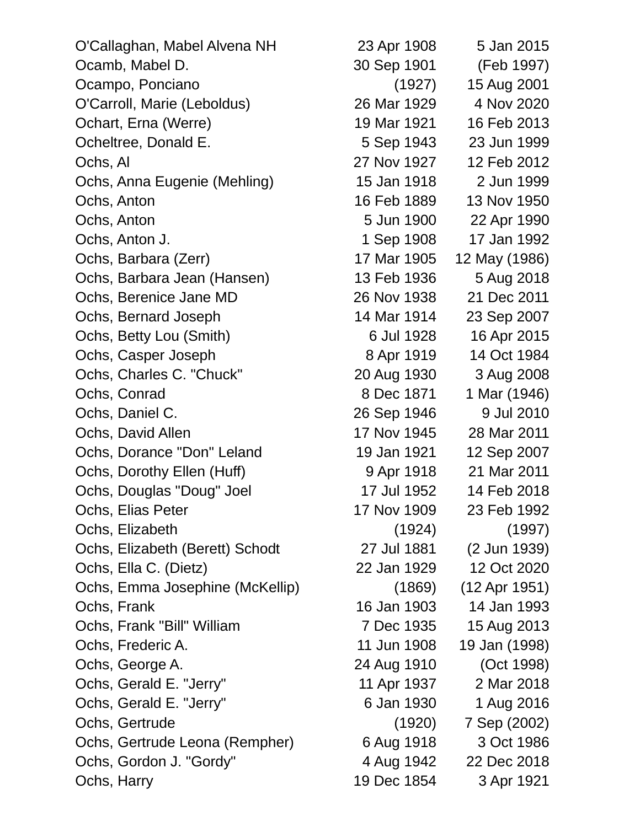O'Callaghan, Mabel Alvena NH 23 Apr 1908 5 Jan 2015 Ocamb, Mabel D. 30 Sep 1901 (Feb 1997) Ocampo, Ponciano (1927) 15 Aug 2001 O'Carroll, Marie (Leboldus) 26 Mar 1929 4 Nov 2020 Ochart, Erna (Werre) 19 Mar 1921 16 Feb 2013 Ocheltree, Donald E. 6 Sep 1943 23 Jun 1999 Ochs, Al 27 Nov 1927 12 Feb 2012 Ochs, Anna Eugenie (Mehling) 15 Jan 1918 2 Jun 1999 Ochs, Anton 16 Feb 1889 13 Nov 1950 Ochs, Anton 5 Jun 1900 22 Apr 1990 Ochs, Anton J. 1 Sep 1908 17 Jan 1992 Ochs, Barbara (Zerr) 17 Mar 1905 12 May (1986) Ochs, Barbara Jean (Hansen) 13 Feb 1936 5 Aug 2018 Ochs, Berenice Jane MD 26 Nov 1938 21 Dec 2011 Ochs, Bernard Joseph 14 Mar 1914 23 Sep 2007 Ochs, Betty Lou (Smith) 6 Jul 1928 16 Apr 2015 Ochs, Casper Joseph 8 Apr 1919 14 Oct 1984 Ochs, Charles C. "Chuck" 20 Aug 1930 3 Aug 2008 Ochs, Conrad 8 Dec 1871 1 Mar (1946) Ochs, Daniel C. 26 Sep 1946 9 Jul 2010 Ochs, David Allen 17 Nov 1945 28 Mar 2011 Ochs, Dorance "Don" Leland 19 Jan 1921 12 Sep 2007 Ochs, Dorothy Ellen (Huff) 9 Apr 1918 21 Mar 2011 Ochs, Douglas "Doug" Joel 17 Jul 1952 14 Feb 2018 Ochs, Elias Peter 17 Nov 1909 23 Feb 1992 Ochs, Elizabeth (1924) (1997) Ochs, Elizabeth (Berett) Schodt 27 Jul 1881 (2 Jun 1939) Ochs, Ella C. (Dietz) 22 Jan 1929 12 Oct 2020 Ochs, Emma Josephine (McKellip) (1869) (12 Apr 1951) Ochs, Frank 16 Jan 1903 14 Jan 1993 Ochs, Frank "Bill" William 7 Dec 1935 15 Aug 2013 Ochs, Frederic A. 11 Jun 1908 19 Jan (1998) Ochs, George A. 24 Aug 1910 (Oct 1998) Ochs, Gerald E. "Jerry" 11 Apr 1937 2 Mar 2018 Ochs, Gerald E. "Jerry" 6 Jan 1930 1 Aug 2016 Ochs, Gertrude (1920) 7 Sep (2002) Ochs, Gertrude Leona (Rempher) 6 Aug 1918 3 Oct 1986 Ochs, Gordon J. "Gordy" 4 Aug 1942 22 Dec 2018 Ochs, Harry 1921 19 Dec 1854 3 Apr 1921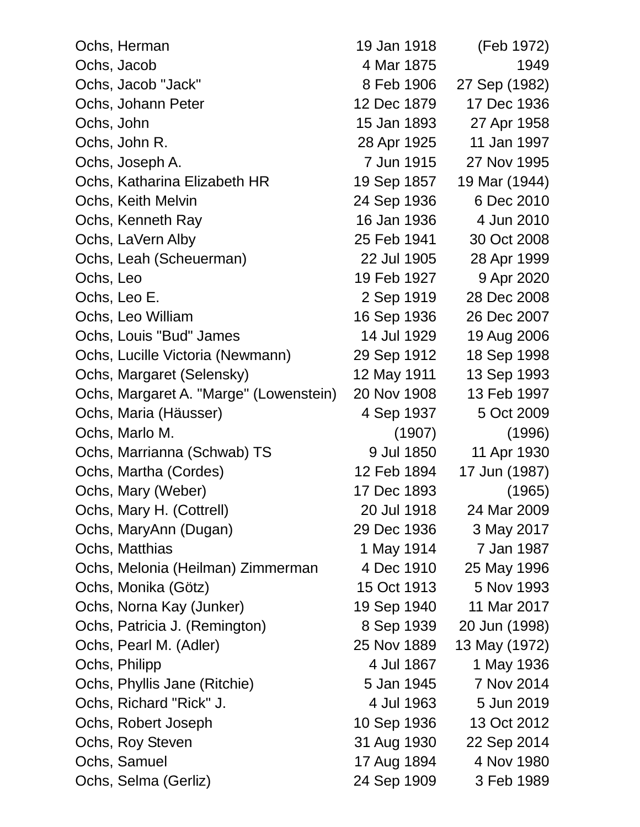| Ochs, Herman                           | 19 Jan 1918 | (Feb 1972)    |
|----------------------------------------|-------------|---------------|
| Ochs, Jacob                            | 4 Mar 1875  | 1949          |
| Ochs, Jacob "Jack"                     | 8 Feb 1906  | 27 Sep (1982) |
| Ochs, Johann Peter                     | 12 Dec 1879 | 17 Dec 1936   |
| Ochs, John                             | 15 Jan 1893 | 27 Apr 1958   |
| Ochs, John R.                          | 28 Apr 1925 | 11 Jan 1997   |
| Ochs, Joseph A.                        | 7 Jun 1915  | 27 Nov 1995   |
| Ochs, Katharina Elizabeth HR           | 19 Sep 1857 | 19 Mar (1944) |
| Ochs, Keith Melvin                     | 24 Sep 1936 | 6 Dec 2010    |
| Ochs, Kenneth Ray                      | 16 Jan 1936 | 4 Jun 2010    |
| Ochs, LaVern Alby                      | 25 Feb 1941 | 30 Oct 2008   |
| Ochs, Leah (Scheuerman)                | 22 Jul 1905 | 28 Apr 1999   |
| Ochs, Leo                              | 19 Feb 1927 | 9 Apr 2020    |
| Ochs, Leo E.                           | 2 Sep 1919  | 28 Dec 2008   |
| Ochs, Leo William                      | 16 Sep 1936 | 26 Dec 2007   |
| Ochs, Louis "Bud" James                | 14 Jul 1929 | 19 Aug 2006   |
| Ochs, Lucille Victoria (Newmann)       | 29 Sep 1912 | 18 Sep 1998   |
| Ochs, Margaret (Selensky)              | 12 May 1911 | 13 Sep 1993   |
| Ochs, Margaret A. "Marge" (Lowenstein) | 20 Nov 1908 | 13 Feb 1997   |
| Ochs, Maria (Häusser)                  | 4 Sep 1937  | 5 Oct 2009    |
| Ochs, Marlo M.                         | (1907)      | (1996)        |
| Ochs, Marrianna (Schwab) TS            | 9 Jul 1850  | 11 Apr 1930   |
| Ochs, Martha (Cordes)                  | 12 Feb 1894 | 17 Jun (1987) |
| Ochs, Mary (Weber)                     | 17 Dec 1893 | (1965)        |
| Ochs, Mary H. (Cottrell)               | 20 Jul 1918 | 24 Mar 2009   |
| Ochs, MaryAnn (Dugan)                  | 29 Dec 1936 | 3 May 2017    |
| Ochs, Matthias                         | 1 May 1914  | 7 Jan 1987    |
| Ochs, Melonia (Heilman) Zimmerman      | 4 Dec 1910  | 25 May 1996   |
| Ochs, Monika (Götz)                    | 15 Oct 1913 | 5 Nov 1993    |
| Ochs, Norna Kay (Junker)               | 19 Sep 1940 | 11 Mar 2017   |
| Ochs, Patricia J. (Remington)          | 8 Sep 1939  | 20 Jun (1998) |
| Ochs, Pearl M. (Adler)                 | 25 Nov 1889 | 13 May (1972) |
| Ochs, Philipp                          | 4 Jul 1867  | 1 May 1936    |
| Ochs, Phyllis Jane (Ritchie)           | 5 Jan 1945  | 7 Nov 2014    |
| Ochs, Richard "Rick" J.                | 4 Jul 1963  | 5 Jun 2019    |
| Ochs, Robert Joseph                    | 10 Sep 1936 | 13 Oct 2012   |
| Ochs, Roy Steven                       | 31 Aug 1930 | 22 Sep 2014   |
| Ochs, Samuel                           | 17 Aug 1894 | 4 Nov 1980    |
| Ochs, Selma (Gerliz)                   | 24 Sep 1909 | 3 Feb 1989    |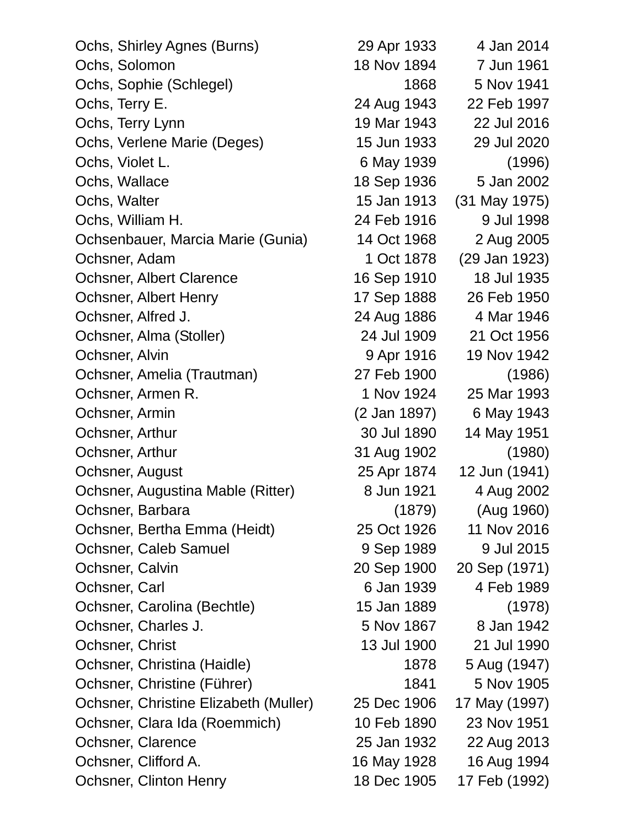| Ochs, Shirley Agnes (Burns)           | 29 Apr 1933  | 4 Jan 2014    |
|---------------------------------------|--------------|---------------|
| Ochs, Solomon                         | 18 Nov 1894  | 7 Jun 1961    |
| Ochs, Sophie (Schlegel)               | 1868         | 5 Nov 1941    |
| Ochs, Terry E.                        | 24 Aug 1943  | 22 Feb 1997   |
| Ochs, Terry Lynn                      | 19 Mar 1943  | 22 Jul 2016   |
| Ochs, Verlene Marie (Deges)           | 15 Jun 1933  | 29 Jul 2020   |
| Ochs, Violet L.                       | 6 May 1939   | (1996)        |
| Ochs, Wallace                         | 18 Sep 1936  | 5 Jan 2002    |
| Ochs, Walter                          | 15 Jan 1913  | (31 May 1975) |
| Ochs, William H.                      | 24 Feb 1916  | 9 Jul 1998    |
| Ochsenbauer, Marcia Marie (Gunia)     | 14 Oct 1968  | 2 Aug 2005    |
| Ochsner, Adam                         | 1 Oct 1878   | (29 Jan 1923) |
| <b>Ochsner, Albert Clarence</b>       | 16 Sep 1910  | 18 Jul 1935   |
| <b>Ochsner, Albert Henry</b>          | 17 Sep 1888  | 26 Feb 1950   |
| Ochsner, Alfred J.                    | 24 Aug 1886  | 4 Mar 1946    |
| Ochsner, Alma (Stoller)               | 24 Jul 1909  | 21 Oct 1956   |
| Ochsner, Alvin                        | 9 Apr 1916   | 19 Nov 1942   |
| Ochsner, Amelia (Trautman)            | 27 Feb 1900  | (1986)        |
| Ochsner, Armen R.                     | 1 Nov 1924   | 25 Mar 1993   |
| Ochsner, Armin                        | (2 Jan 1897) | 6 May 1943    |
| Ochsner, Arthur                       | 30 Jul 1890  | 14 May 1951   |
| Ochsner, Arthur                       | 31 Aug 1902  | (1980)        |
| Ochsner, August                       | 25 Apr 1874  | 12 Jun (1941) |
| Ochsner, Augustina Mable (Ritter)     | 8 Jun 1921   | 4 Aug 2002    |
| Ochsner, Barbara                      | (1879)       | (Aug 1960)    |
| Ochsner, Bertha Emma (Heidt)          | 25 Oct 1926  | 11 Nov 2016   |
| Ochsner, Caleb Samuel                 | 9 Sep 1989   | 9 Jul 2015    |
| Ochsner, Calvin                       | 20 Sep 1900  | 20 Sep (1971) |
| Ochsner, Carl                         | 6 Jan 1939   | 4 Feb 1989    |
| Ochsner, Carolina (Bechtle)           | 15 Jan 1889  | (1978)        |
| Ochsner, Charles J.                   | 5 Nov 1867   | 8 Jan 1942    |
| Ochsner, Christ                       | 13 Jul 1900  | 21 Jul 1990   |
| Ochsner, Christina (Haidle)           | 1878         | 5 Aug (1947)  |
| Ochsner, Christine (Führer)           | 1841         | 5 Nov 1905    |
| Ochsner, Christine Elizabeth (Muller) | 25 Dec 1906  | 17 May (1997) |
| Ochsner, Clara Ida (Roemmich)         | 10 Feb 1890  | 23 Nov 1951   |
| Ochsner, Clarence                     | 25 Jan 1932  | 22 Aug 2013   |
| Ochsner, Clifford A.                  | 16 May 1928  | 16 Aug 1994   |
| <b>Ochsner, Clinton Henry</b>         | 18 Dec 1905  | 17 Feb (1992) |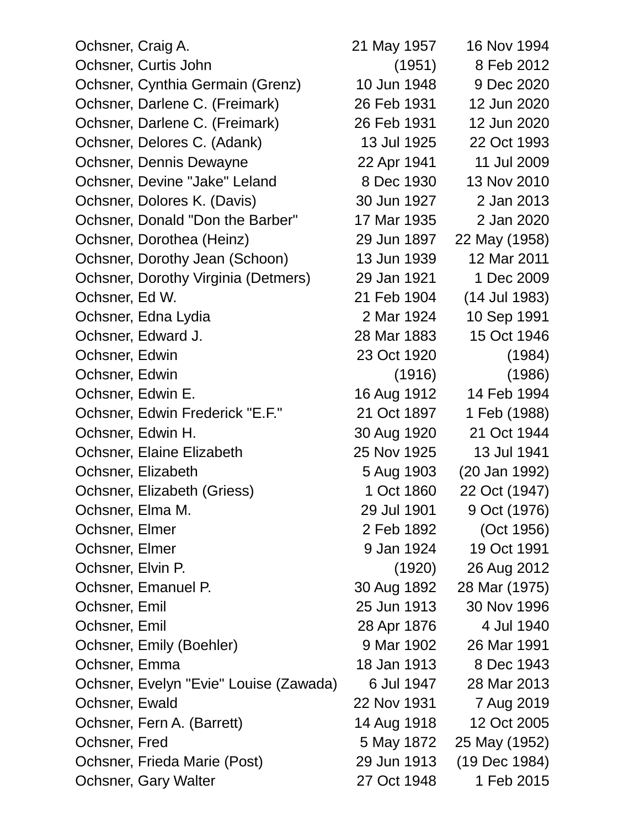| Ochsner, Craig A.                      | 21 May 1957 | 16 Nov 1994   |
|----------------------------------------|-------------|---------------|
| Ochsner, Curtis John                   | (1951)      | 8 Feb 2012    |
| Ochsner, Cynthia Germain (Grenz)       | 10 Jun 1948 | 9 Dec 2020    |
| Ochsner, Darlene C. (Freimark)         | 26 Feb 1931 | 12 Jun 2020   |
| Ochsner, Darlene C. (Freimark)         | 26 Feb 1931 | 12 Jun 2020   |
| Ochsner, Delores C. (Adank)            | 13 Jul 1925 | 22 Oct 1993   |
| Ochsner, Dennis Dewayne                | 22 Apr 1941 | 11 Jul 2009   |
| Ochsner, Devine "Jake" Leland          | 8 Dec 1930  | 13 Nov 2010   |
| Ochsner, Dolores K. (Davis)            | 30 Jun 1927 | 2 Jan 2013    |
| Ochsner, Donald "Don the Barber"       | 17 Mar 1935 | 2 Jan 2020    |
| Ochsner, Dorothea (Heinz)              | 29 Jun 1897 | 22 May (1958) |
| Ochsner, Dorothy Jean (Schoon)         | 13 Jun 1939 | 12 Mar 2011   |
| Ochsner, Dorothy Virginia (Detmers)    | 29 Jan 1921 | 1 Dec 2009    |
| Ochsner, Ed W.                         | 21 Feb 1904 | (14 Jul 1983) |
| Ochsner, Edna Lydia                    | 2 Mar 1924  | 10 Sep 1991   |
| Ochsner, Edward J.                     | 28 Mar 1883 | 15 Oct 1946   |
| Ochsner, Edwin                         | 23 Oct 1920 | (1984)        |
| Ochsner, Edwin                         | (1916)      | (1986)        |
| Ochsner, Edwin E.                      | 16 Aug 1912 | 14 Feb 1994   |
| Ochsner, Edwin Frederick "E.F."        | 21 Oct 1897 | 1 Feb (1988)  |
| Ochsner, Edwin H.                      | 30 Aug 1920 | 21 Oct 1944   |
| Ochsner, Elaine Elizabeth              | 25 Nov 1925 | 13 Jul 1941   |
| Ochsner, Elizabeth                     | 5 Aug 1903  | (20 Jan 1992) |
| Ochsner, Elizabeth (Griess)            | 1 Oct 1860  | 22 Oct (1947) |
| Ochsner, Elma M.                       | 29 Jul 1901 | 9 Oct (1976)  |
| Ochsner, Elmer                         | 2 Feb 1892  | (Oct 1956)    |
| Ochsner, Elmer                         | 9 Jan 1924  | 19 Oct 1991   |
| Ochsner, Elvin P.                      | (1920)      | 26 Aug 2012   |
| Ochsner, Emanuel P.                    | 30 Aug 1892 | 28 Mar (1975) |
| Ochsner, Emil                          | 25 Jun 1913 | 30 Nov 1996   |
| Ochsner, Emil                          | 28 Apr 1876 | 4 Jul 1940    |
| Ochsner, Emily (Boehler)               | 9 Mar 1902  | 26 Mar 1991   |
| Ochsner, Emma                          | 18 Jan 1913 | 8 Dec 1943    |
| Ochsner, Evelyn "Evie" Louise (Zawada) | 6 Jul 1947  | 28 Mar 2013   |
| Ochsner, Ewald                         | 22 Nov 1931 | 7 Aug 2019    |
| Ochsner, Fern A. (Barrett)             | 14 Aug 1918 | 12 Oct 2005   |
| Ochsner, Fred                          | 5 May 1872  | 25 May (1952) |
| Ochsner, Frieda Marie (Post)           | 29 Jun 1913 | (19 Dec 1984) |
| Ochsner, Gary Walter                   | 27 Oct 1948 | 1 Feb 2015    |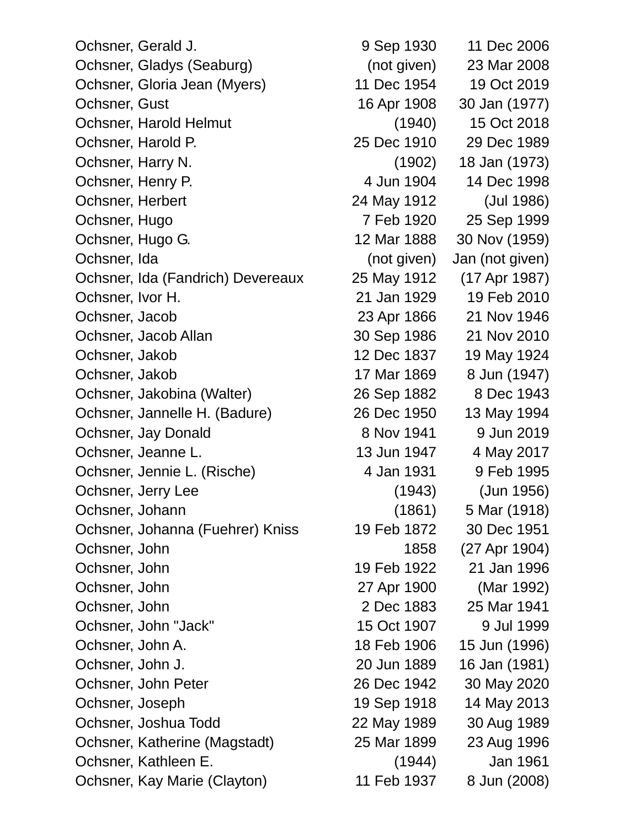Ochsner, Gerald J. (2006) 9 Sep 1930 11 Dec 2006 Ochsner, Gladys (Seaburg) (not given) 23 Mar 2008 Ochsner, Gloria Jean (Myers) 11 Dec 1954 19 Oct 2019 Ochsner, Gust 16 Apr 1908 30 Jan (1977) Ochsner, Harold Helmut (1940) 15 Oct 2018 Ochsner, Harold P. 25 Dec 1910 29 Dec 1989 Ochsner, Harry N. (1902) 18 Jan (1973) Ochsner, Henry P. 4 Jun 1904 14 Dec 1998 Ochsner, Herbert 24 May 1912 (Jul 1986) Ochsner, Hugo 7 Feb 1920 25 Sep 1999 Ochsner, Hugo G. 12 Mar 1888 30 Nov (1959) Ochsner, Ida (not given) Jan (not given) Ochsner, Ida (Fandrich) Devereaux 25 May 1912 (17 Apr 1987) Ochsner, Ivor H. 21 Jan 1929 19 Feb 2010 Ochsner, Jacob 23 Apr 1866 21 Nov 1946 Ochsner, Jacob Allan 30 Sep 1986 21 Nov 2010 Ochsner, Jakob 12 Dec 1837 19 May 1924 Ochsner, Jakob 17 Mar 1869 8 Jun (1947) Ochsner, Jakobina (Walter) 26 Sep 1882 8 Dec 1943 Ochsner, Jannelle H. (Badure) 26 Dec 1950 13 May 1994 Ochsner, Jay Donald 8 Nov 1941 9 Jun 2019 Ochsner, Jeanne L. 13 Jun 1947 4 May 2017 Ochsner, Jennie L. (Rische) 4 Jan 1931 9 Feb 1995 Ochsner, Jerry Lee (1943) (Jun 1956) Ochsner, Johann (1861) 5 Mar (1918) Ochsner, Johanna (Fuehrer) Kniss 19 Feb 1872 30 Dec 1951 Ochsner, John 1858 (27 Apr 1904) Ochsner, John 19 Feb 1922 21 Jan 1996 Ochsner, John 27 Apr 1900 (Mar 1992) Ochsner, John 2 Dec 1883 25 Mar 1941 Ochsner, John "Jack" 15 Oct 1907 9 Jul 1999 Ochsner, John A. 18 Feb 1906 15 Jun (1996) Ochsner, John J. 20 Jun 1889 16 Jan (1981) Ochsner, John Peter 26 Dec 1942 30 May 2020 Ochsner, Joseph 19 Sep 1918 14 May 2013 Ochsner, Joshua Todd 22 May 1989 30 Aug 1989 Ochsner, Katherine (Magstadt) 25 Mar 1899 23 Aug 1996 Ochsner, Kathleen E. (1944) Jan 1961 Ochsner, Kay Marie (Clayton) 11 Feb 1937 8 Jun (2008)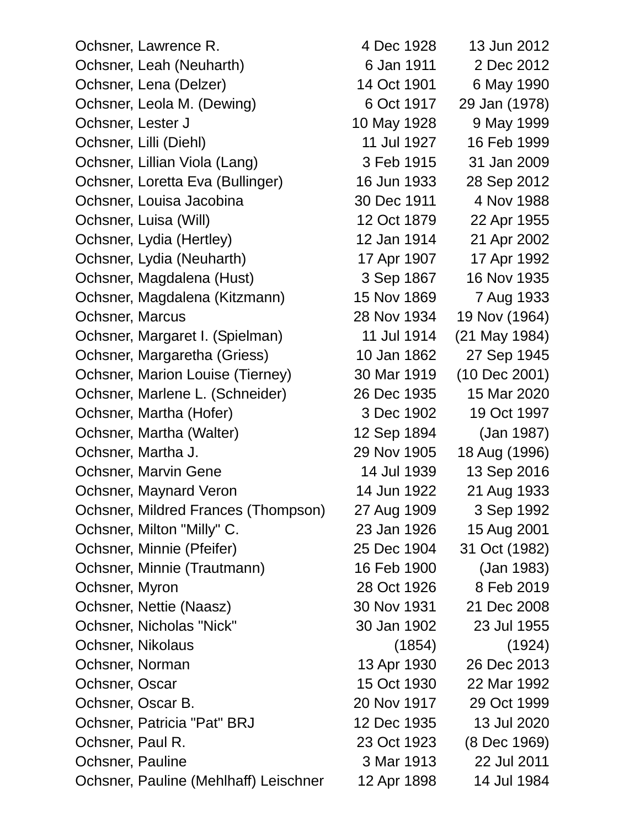Ochsner, Lawrence R. 4 Dec 1928 13 Jun 2012 Ochsner, Leah (Neuharth) 6 Jan 1911 2 Dec 2012 Ochsner, Lena (Delzer) 14 Oct 1901 6 May 1990 Ochsner, Leola M. (Dewing) 6 Oct 1917 29 Jan (1978) Ochsner, Lester J<br>
10 May 1928 9 May 1999 Ochsner, Lilli (Diehl) 11 Jul 1927 16 Feb 1999 Ochsner, Lillian Viola (Lang) 3 Feb 1915 31 Jan 2009 Ochsner, Loretta Eva (Bullinger) 16 Jun 1933 28 Sep 2012 Ochsner, Louisa Jacobina 1988 and 1988 and 1988 and 1988 Ochsner, Luisa (Will) 12 Oct 1879 22 Apr 1955 Ochsner, Lydia (Hertley) 12 Jan 1914 21 Apr 2002 Ochsner, Lydia (Neuharth) 17 Apr 1907 17 Apr 1992 Ochsner, Magdalena (Hust) 3 Sep 1867 16 Nov 1935 Ochsner, Magdalena (Kitzmann) 15 Nov 1869 7 Aug 1933 Ochsner, Marcus 28 Nov 1934 19 Nov (1964) Ochsner, Margaret I. (Spielman) 11 Jul 1914 (21 May 1984) Ochsner, Margaretha (Griess) 10 Jan 1862 27 Sep 1945 Ochsner, Marion Louise (Tierney) 30 Mar 1919 (10 Dec 2001) Ochsner, Marlene L. (Schneider) 26 Dec 1935 15 Mar 2020 Ochsner, Martha (Hofer) 3 Dec 1902 19 Oct 1997 Ochsner, Martha (Walter) 12 Sep 1894 (Jan 1987) Ochsner, Martha J. 29 Nov 1905 18 Aug (1996) Ochsner, Marvin Gene 14 Jul 1939 13 Sep 2016 Ochsner, Maynard Veron 14 Jun 1922 21 Aug 1933 Ochsner, Mildred Frances (Thompson) 27 Aug 1909 3 Sep 1992 Ochsner, Milton "Milly" C. 23 Jan 1926 15 Aug 2001 Ochsner, Minnie (Pfeifer) 25 Dec 1904 31 Oct (1982) Ochsner, Minnie (Trautmann) 16 Feb 1900 (Jan 1983) Ochsner, Myron 28 Oct 1926 8 Feb 2019 Ochsner, Nettie (Naasz) 30 Nov 1931 21 Dec 2008 Ochsner, Nicholas "Nick" 30 Jan 1902 23 Jul 1955 Ochsner, Nikolaus (1854) (1924) Ochsner, Norman 13 Apr 1930 26 Dec 2013 Ochsner, Oscar 15 Oct 1930 22 Mar 1992 Ochsner, Oscar B. 20 Nov 1917 29 Oct 1999 Ochsner, Patricia "Pat" BRJ 12 Dec 1935 13 Jul 2020 Ochsner, Paul R. 23 Oct 1923 (8 Dec 1969) Ochsner, Pauline 3 Mar 1913 22 Jul 2011 Ochsner, Pauline (Mehlhaff) Leischner 12 Apr 1898 14 Jul 1984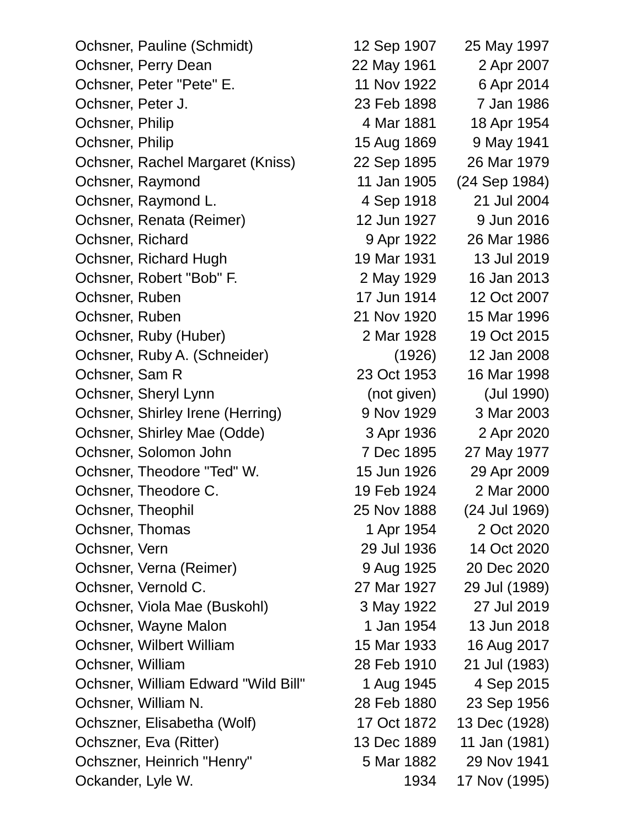Ochsner, Pauline (Schmidt) 12 Sep 1907 25 May 1997 Ochsner, Perry Dean 22 May 1961 2 Apr 2007 Ochsner, Peter "Pete" E. 11 Nov 1922 6 Apr 2014 Ochsner, Peter J. 23 Feb 1898 7 Jan 1986 Ochsner, Philip 1881 1881 18 Apr 1954 Ochsner, Philip 15 Aug 1869 9 May 1941 Ochsner, Rachel Margaret (Kniss) 22 Sep 1895 26 Mar 1979 Ochsner, Raymond 11 Jan 1905 (24 Sep 1984) Ochsner, Raymond L. 4 Sep 1918 21 Jul 2004 Ochsner, Renata (Reimer) 12 Jun 1927 9 Jun 2016 Ochsner, Richard 9 Apr 1922 26 Mar 1986 Ochsner, Richard Hugh 19 Mar 1931 13 Jul 2019 Ochsner, Robert "Bob" F. 2 May 1929 16 Jan 2013 Ochsner, Ruben 17 Jun 1914 12 Oct 2007 Ochsner, Ruben 21 Nov 1920 15 Mar 1996 Ochsner, Ruby (Huber) 2 Mar 1928 19 Oct 2015 Ochsner, Ruby A. (Schneider) (1926) 12 Jan 2008 Ochsner, Sam R 23 Oct 1953 16 Mar 1998 Ochsner, Sheryl Lynn (not given) (Jul 1990) Ochsner, Shirley Irene (Herring) 9 Nov 1929 3 Mar 2003 Ochsner, Shirley Mae (Odde) 3 Apr 1936 2 Apr 2020 Ochsner, Solomon John 7 Dec 1895 27 May 1977 Ochsner, Theodore "Ted" W. 15 Jun 1926 29 Apr 2009 Ochsner, Theodore C. 19 Feb 1924 2 Mar 2000 Ochsner, Theophil 25 Nov 1888 (24 Jul 1969) Ochsner, Thomas 1 Apr 1954 2 Oct 2020 Ochsner, Vern 29 Jul 1936 14 Oct 2020 Ochsner, Verna (Reimer) 9 Aug 1925 20 Dec 2020 Ochsner, Vernold C. 27 Mar 1927 29 Jul (1989) Ochsner, Viola Mae (Buskohl) 3 May 1922 27 Jul 2019 Ochsner, Wayne Malon 1 Jan 1954 13 Jun 2018 Ochsner, Wilbert William 15 Mar 1933 16 Aug 2017 Ochsner, William 28 Feb 1910 21 Jul (1983) Ochsner, William Edward "Wild Bill" 1 Aug 1945 4 Sep 2015 Ochsner, William N. 28 Feb 1880 23 Sep 1956 Ochszner, Elisabetha (Wolf) 17 Oct 1872 13 Dec (1928) Ochszner, Eva (Ritter) 13 Dec 1889 11 Jan (1981) Ochszner, Heinrich "Henry" 5 Mar 1882 29 Nov 1941 Ockander, Lyle W. 1934 17 Nov (1995)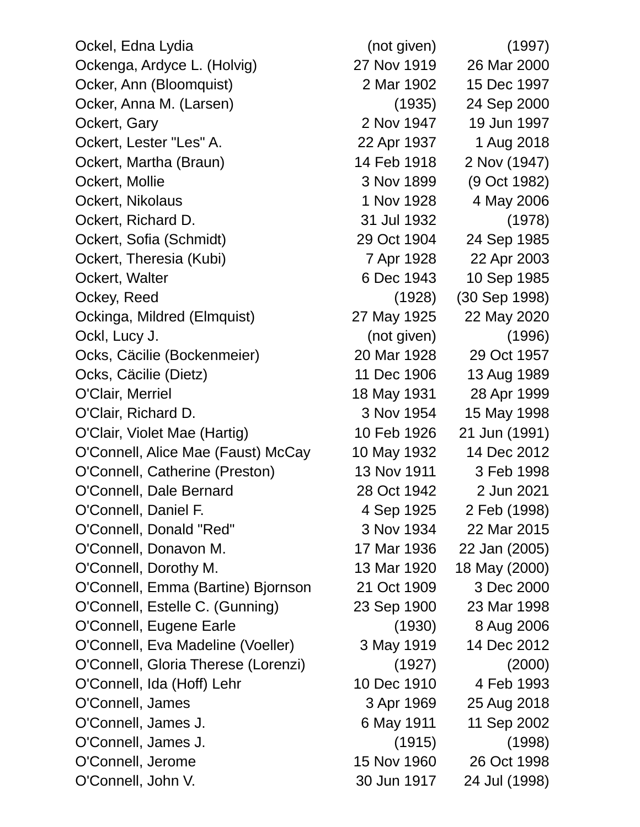Ockel, Edna Lydia (not given) (1997) Ockenga, Ardyce L. (Holvig) 27 Nov 1919 26 Mar 2000 Ocker, Ann (Bloomquist) 2 Mar 1902 15 Dec 1997 Ocker, Anna M. (Larsen) (1935) 24 Sep 2000 Ockert, Gary 2 Nov 1947 19 Jun 1997 Ockert, Lester "Les" A. 22 Apr 1937 1 Aug 2018 Ockert, Martha (Braun) 14 Feb 1918 2 Nov (1947) Ockert, Mollie 3 Nov 1899 (9 Oct 1982) Ockert, Nikolaus 1 Nov 1928 4 May 2006 Ockert, Richard D. 31 Jul 1932 (1978) Ockert, Sofia (Schmidt) 29 Oct 1904 24 Sep 1985 Ockert, Theresia (Kubi) 7 Apr 1928 22 Apr 2003 Ockert, Walter 6 Dec 1943 10 Sep 1985 Ockey, Reed (1928) (30 Sep 1998) Ockinga, Mildred (Elmquist) 27 May 1925 22 May 2020 Ockl, Lucy J. (not given) (1996) Ocks, Cäcilie (Bockenmeier) 20 Mar 1928 29 Oct 1957 Ocks, Cäcilie (Dietz) 11 Dec 1906 13 Aug 1989 O'Clair, Merriel 18 May 1931 28 Apr 1999 O'Clair, Richard D. 3 Nov 1954 15 May 1998 O'Clair, Violet Mae (Hartig) 10 Feb 1926 21 Jun (1991) O'Connell, Alice Mae (Faust) McCay 10 May 1932 14 Dec 2012 O'Connell, Catherine (Preston) 13 Nov 1911 3 Feb 1998 O'Connell, Dale Bernard 28 Oct 1942 2 Jun 2021 O'Connell, Daniel F. 4 Sep 1925 2 Feb (1998) O'Connell, Donald "Red" 3 Nov 1934 22 Mar 2015 O'Connell, Donavon M. 17 Mar 1936 22 Jan (2005) O'Connell, Dorothy M. 13 Mar 1920 18 May (2000) O'Connell, Emma (Bartine) Bjornson 21 Oct 1909 3 Dec 2000 O'Connell, Estelle C. (Gunning) 23 Sep 1900 23 Mar 1998 O'Connell, Eugene Earle (1930) 8 Aug 2006 O'Connell, Eva Madeline (Voeller) 3 May 1919 14 Dec 2012 O'Connell, Gloria Therese (Lorenzi) (1927) (2000) O'Connell, Ida (Hoff) Lehr 10 Dec 1910 4 Feb 1993 O'Connell, James 3 Apr 1969 25 Aug 2018 O'Connell, James J. 6 May 1911 11 Sep 2002 O'Connell, James J. (1915) (1998) O'Connell, Jerome 15 Nov 1960 26 Oct 1998 O'Connell, John V. 30 Jun 1917 24 Jul (1998)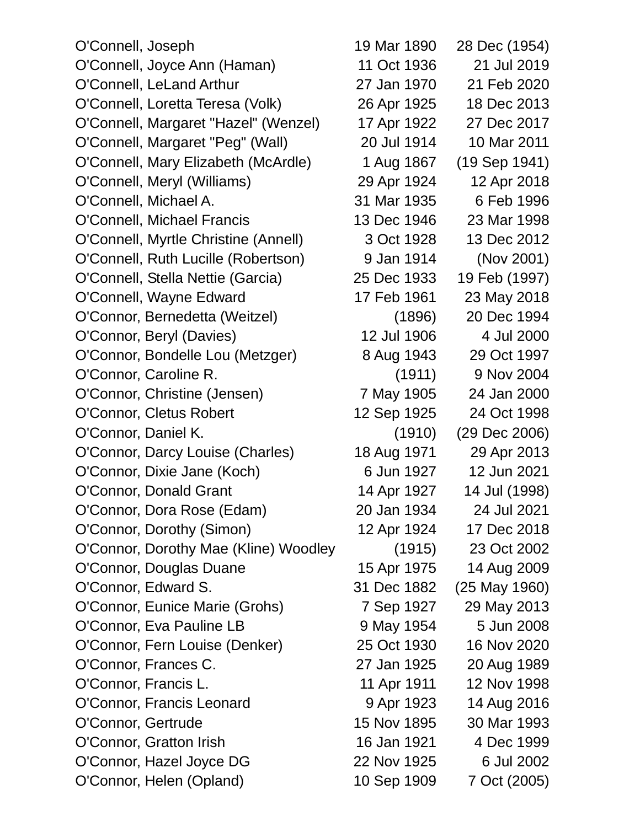| O'Connell, Joseph                     | 19 Mar 1890 | 28 Dec (1954)     |
|---------------------------------------|-------------|-------------------|
| O'Connell, Joyce Ann (Haman)          | 11 Oct 1936 | 21 Jul 2019       |
| O'Connell, LeLand Arthur              | 27 Jan 1970 | 21 Feb 2020       |
| O'Connell, Loretta Teresa (Volk)      | 26 Apr 1925 | 18 Dec 2013       |
| O'Connell, Margaret "Hazel" (Wenzel)  | 17 Apr 1922 | 27 Dec 2017       |
| O'Connell, Margaret "Peg" (Wall)      | 20 Jul 1914 | 10 Mar 2011       |
| O'Connell, Mary Elizabeth (McArdle)   | 1 Aug 1867  | $(19$ Sep $1941)$ |
| O'Connell, Meryl (Williams)           | 29 Apr 1924 | 12 Apr 2018       |
| O'Connell, Michael A.                 | 31 Mar 1935 | 6 Feb 1996        |
| O'Connell, Michael Francis            | 13 Dec 1946 | 23 Mar 1998       |
| O'Connell, Myrtle Christine (Annell)  | 3 Oct 1928  | 13 Dec 2012       |
| O'Connell, Ruth Lucille (Robertson)   | 9 Jan 1914  | (Nov 2001)        |
| O'Connell, Stella Nettie (Garcia)     | 25 Dec 1933 | 19 Feb (1997)     |
| O'Connell, Wayne Edward               | 17 Feb 1961 | 23 May 2018       |
| O'Connor, Bernedetta (Weitzel)        | (1896)      | 20 Dec 1994       |
| O'Connor, Beryl (Davies)              | 12 Jul 1906 | 4 Jul 2000        |
| O'Connor, Bondelle Lou (Metzger)      | 8 Aug 1943  | 29 Oct 1997       |
| O'Connor, Caroline R.                 | (1911)      | 9 Nov 2004        |
| O'Connor, Christine (Jensen)          | 7 May 1905  | 24 Jan 2000       |
| O'Connor, Cletus Robert               | 12 Sep 1925 | 24 Oct 1998       |
| O'Connor, Daniel K.                   | (1910)      | (29 Dec 2006)     |
| O'Connor, Darcy Louise (Charles)      | 18 Aug 1971 | 29 Apr 2013       |
| O'Connor, Dixie Jane (Koch)           | 6 Jun 1927  | 12 Jun 2021       |
| O'Connor, Donald Grant                | 14 Apr 1927 | 14 Jul (1998)     |
| O'Connor, Dora Rose (Edam)            | 20 Jan 1934 | 24 Jul 2021       |
| O'Connor, Dorothy (Simon)             | 12 Apr 1924 | 17 Dec 2018       |
| O'Connor, Dorothy Mae (Kline) Woodley | (1915)      | 23 Oct 2002       |
| O'Connor, Douglas Duane               | 15 Apr 1975 | 14 Aug 2009       |
| O'Connor, Edward S.                   | 31 Dec 1882 | $(25$ May 1960)   |
| O'Connor, Eunice Marie (Grohs)        | 7 Sep 1927  | 29 May 2013       |
| O'Connor, Eva Pauline LB              | 9 May 1954  | 5 Jun 2008        |
| O'Connor, Fern Louise (Denker)        | 25 Oct 1930 | 16 Nov 2020       |
| O'Connor, Frances C.                  | 27 Jan 1925 | 20 Aug 1989       |
| O'Connor, Francis L.                  | 11 Apr 1911 | 12 Nov 1998       |
| O'Connor, Francis Leonard             | 9 Apr 1923  | 14 Aug 2016       |
| O'Connor, Gertrude                    | 15 Nov 1895 | 30 Mar 1993       |
| O'Connor, Gratton Irish               | 16 Jan 1921 | 4 Dec 1999        |
| O'Connor, Hazel Joyce DG              | 22 Nov 1925 | 6 Jul 2002        |
| O'Connor, Helen (Opland)              | 10 Sep 1909 | 7 Oct (2005)      |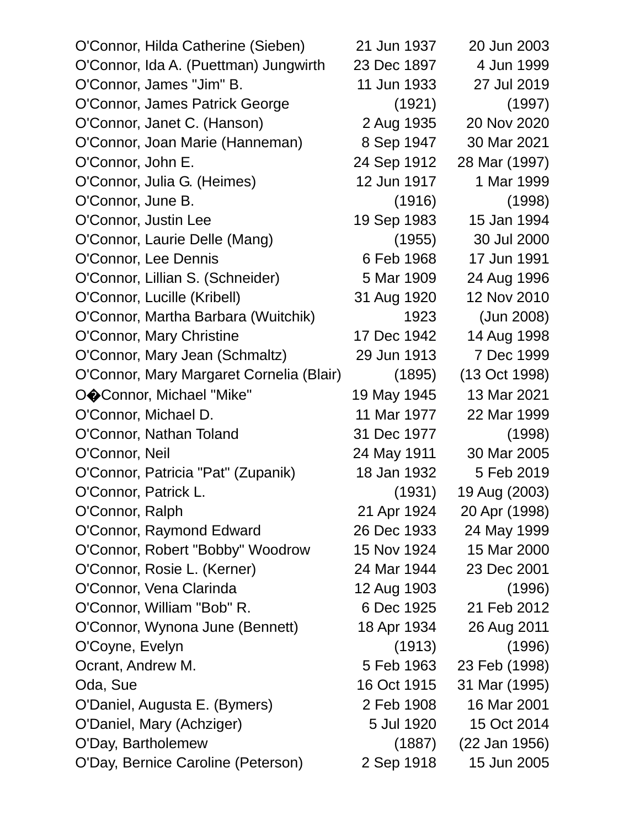| O'Connor, Hilda Catherine (Sieben)       | 21 Jun 1937 | 20 Jun 2003   |
|------------------------------------------|-------------|---------------|
| O'Connor, Ida A. (Puettman) Jungwirth    | 23 Dec 1897 | 4 Jun 1999    |
| O'Connor, James "Jim" B.                 | 11 Jun 1933 | 27 Jul 2019   |
| O'Connor, James Patrick George           | (1921)      | (1997)        |
| O'Connor, Janet C. (Hanson)              | 2 Aug 1935  | 20 Nov 2020   |
| O'Connor, Joan Marie (Hanneman)          | 8 Sep 1947  | 30 Mar 2021   |
| O'Connor, John E.                        | 24 Sep 1912 | 28 Mar (1997) |
| O'Connor, Julia G. (Heimes)              | 12 Jun 1917 | 1 Mar 1999    |
| O'Connor, June B.                        | (1916)      | (1998)        |
| O'Connor, Justin Lee                     | 19 Sep 1983 | 15 Jan 1994   |
| O'Connor, Laurie Delle (Mang)            | (1955)      | 30 Jul 2000   |
| O'Connor, Lee Dennis                     | 6 Feb 1968  | 17 Jun 1991   |
| O'Connor, Lillian S. (Schneider)         | 5 Mar 1909  | 24 Aug 1996   |
| O'Connor, Lucille (Kribell)              | 31 Aug 1920 | 12 Nov 2010   |
| O'Connor, Martha Barbara (Wuitchik)      | 1923        | (Jun 2008)    |
| O'Connor, Mary Christine                 | 17 Dec 1942 | 14 Aug 1998   |
| O'Connor, Mary Jean (Schmaltz)           | 29 Jun 1913 | 7 Dec 1999    |
| O'Connor, Mary Margaret Cornelia (Blair) | (1895)      | (13 Oct 1998) |
| OOConnor, Michael "Mike"                 | 19 May 1945 | 13 Mar 2021   |
| O'Connor, Michael D.                     | 11 Mar 1977 | 22 Mar 1999   |
| O'Connor, Nathan Toland                  | 31 Dec 1977 | (1998)        |
| O'Connor, Neil                           | 24 May 1911 | 30 Mar 2005   |
| O'Connor, Patricia "Pat" (Zupanik)       | 18 Jan 1932 | 5 Feb 2019    |
| O'Connor, Patrick L.                     | (1931)      | 19 Aug (2003) |
| O'Connor, Ralph                          | 21 Apr 1924 | 20 Apr (1998) |
| O'Connor, Raymond Edward                 | 26 Dec 1933 | 24 May 1999   |
| O'Connor, Robert "Bobby" Woodrow         | 15 Nov 1924 | 15 Mar 2000   |
| O'Connor, Rosie L. (Kerner)              | 24 Mar 1944 | 23 Dec 2001   |
| O'Connor, Vena Clarinda                  | 12 Aug 1903 | (1996)        |
| O'Connor, William "Bob" R.               | 6 Dec 1925  | 21 Feb 2012   |
| O'Connor, Wynona June (Bennett)          | 18 Apr 1934 | 26 Aug 2011   |
| O'Coyne, Evelyn                          | (1913)      | (1996)        |
| Ocrant, Andrew M.                        | 5 Feb 1963  | 23 Feb (1998) |
| Oda, Sue                                 | 16 Oct 1915 | 31 Mar (1995) |
| O'Daniel, Augusta E. (Bymers)            | 2 Feb 1908  | 16 Mar 2001   |
| O'Daniel, Mary (Achziger)                | 5 Jul 1920  | 15 Oct 2014   |
| O'Day, Bartholemew                       | (1887)      | (22 Jan 1956) |
| O'Day, Bernice Caroline (Peterson)       | 2 Sep 1918  | 15 Jun 2005   |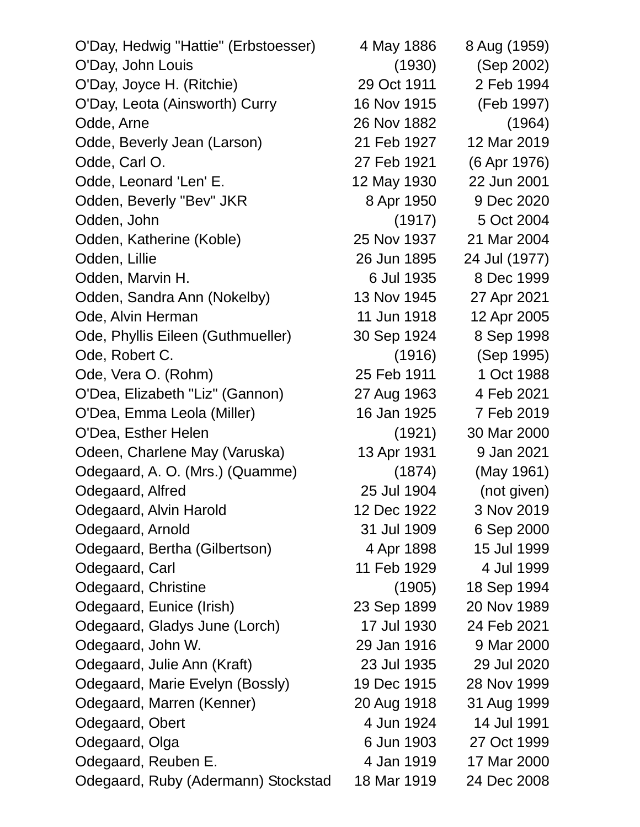| 4 May 1886  | 8 Aug (1959)  |
|-------------|---------------|
| (1930)      | (Sep 2002)    |
| 29 Oct 1911 | 2 Feb 1994    |
| 16 Nov 1915 | (Feb 1997)    |
| 26 Nov 1882 | (1964)        |
| 21 Feb 1927 | 12 Mar 2019   |
| 27 Feb 1921 | (6 Apr 1976)  |
| 12 May 1930 | 22 Jun 2001   |
| 8 Apr 1950  | 9 Dec 2020    |
| (1917)      | 5 Oct 2004    |
| 25 Nov 1937 | 21 Mar 2004   |
| 26 Jun 1895 | 24 Jul (1977) |
| 6 Jul 1935  | 8 Dec 1999    |
| 13 Nov 1945 | 27 Apr 2021   |
| 11 Jun 1918 | 12 Apr 2005   |
| 30 Sep 1924 | 8 Sep 1998    |
| (1916)      | (Sep 1995)    |
| 25 Feb 1911 | 1 Oct 1988    |
| 27 Aug 1963 | 4 Feb 2021    |
| 16 Jan 1925 | 7 Feb 2019    |
| (1921)      | 30 Mar 2000   |
| 13 Apr 1931 | 9 Jan 2021    |
| (1874)      | (May 1961)    |
| 25 Jul 1904 | (not given)   |
| 12 Dec 1922 | 3 Nov 2019    |
| 31 Jul 1909 | 6 Sep 2000    |
| 4 Apr 1898  | 15 Jul 1999   |
| 11 Feb 1929 | 4 Jul 1999    |
| (1905)      | 18 Sep 1994   |
| 23 Sep 1899 | 20 Nov 1989   |
| 17 Jul 1930 | 24 Feb 2021   |
| 29 Jan 1916 | 9 Mar 2000    |
| 23 Jul 1935 | 29 Jul 2020   |
| 19 Dec 1915 | 28 Nov 1999   |
| 20 Aug 1918 | 31 Aug 1999   |
| 4 Jun 1924  | 14 Jul 1991   |
| 6 Jun 1903  | 27 Oct 1999   |
| 4 Jan 1919  | 17 Mar 2000   |
| 18 Mar 1919 | 24 Dec 2008   |
|             |               |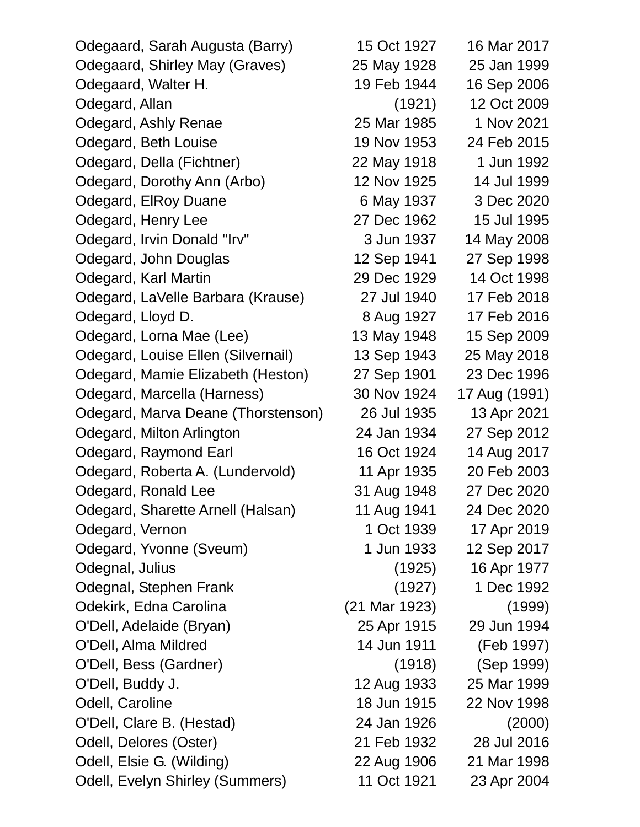| Odegaard, Sarah Augusta (Barry)    | 15 Oct 1927   | 16 Mar 2017   |
|------------------------------------|---------------|---------------|
| Odegaard, Shirley May (Graves)     | 25 May 1928   | 25 Jan 1999   |
| Odegaard, Walter H.                | 19 Feb 1944   | 16 Sep 2006   |
| Odegard, Allan                     | (1921)        | 12 Oct 2009   |
| Odegard, Ashly Renae               | 25 Mar 1985   | 1 Nov 2021    |
| Odegard, Beth Louise               | 19 Nov 1953   | 24 Feb 2015   |
| Odegard, Della (Fichtner)          | 22 May 1918   | 1 Jun 1992    |
| Odegard, Dorothy Ann (Arbo)        | 12 Nov 1925   | 14 Jul 1999   |
| Odegard, EIRoy Duane               | 6 May 1937    | 3 Dec 2020    |
| Odegard, Henry Lee                 | 27 Dec 1962   | 15 Jul 1995   |
| Odegard, Irvin Donald "Irv"        | 3 Jun 1937    | 14 May 2008   |
| Odegard, John Douglas              | 12 Sep 1941   | 27 Sep 1998   |
| Odegard, Karl Martin               | 29 Dec 1929   | 14 Oct 1998   |
| Odegard, LaVelle Barbara (Krause)  | 27 Jul 1940   | 17 Feb 2018   |
| Odegard, Lloyd D.                  | 8 Aug 1927    | 17 Feb 2016   |
| Odegard, Lorna Mae (Lee)           | 13 May 1948   | 15 Sep 2009   |
| Odegard, Louise Ellen (Silvernail) | 13 Sep 1943   | 25 May 2018   |
| Odegard, Mamie Elizabeth (Heston)  | 27 Sep 1901   | 23 Dec 1996   |
| Odegard, Marcella (Harness)        | 30 Nov 1924   | 17 Aug (1991) |
| Odegard, Marva Deane (Thorstenson) | 26 Jul 1935   | 13 Apr 2021   |
| Odegard, Milton Arlington          | 24 Jan 1934   | 27 Sep 2012   |
| Odegard, Raymond Earl              | 16 Oct 1924   | 14 Aug 2017   |
| Odegard, Roberta A. (Lundervold)   | 11 Apr 1935   | 20 Feb 2003   |
| Odegard, Ronald Lee                | 31 Aug 1948   | 27 Dec 2020   |
| Odegard, Sharette Arnell (Halsan)  | 11 Aug 1941   | 24 Dec 2020   |
| Odegard, Vernon                    | 1 Oct 1939    | 17 Apr 2019   |
| Odegard, Yvonne (Sveum)            | 1 Jun 1933    | 12 Sep 2017   |
| Odegnal, Julius                    | (1925)        | 16 Apr 1977   |
| Odegnal, Stephen Frank             | (1927)        | 1 Dec 1992    |
| Odekirk, Edna Carolina             | (21 Mar 1923) | (1999)        |
| O'Dell, Adelaide (Bryan)           | 25 Apr 1915   | 29 Jun 1994   |
| O'Dell, Alma Mildred               | 14 Jun 1911   | (Feb 1997)    |
| O'Dell, Bess (Gardner)             | (1918)        | (Sep 1999)    |
| O'Dell, Buddy J.                   | 12 Aug 1933   | 25 Mar 1999   |
| Odell, Caroline                    | 18 Jun 1915   | 22 Nov 1998   |
| O'Dell, Clare B. (Hestad)          | 24 Jan 1926   | (2000)        |
| Odell, Delores (Oster)             | 21 Feb 1932   | 28 Jul 2016   |
| Odell, Elsie G. (Wilding)          | 22 Aug 1906   | 21 Mar 1998   |
| Odell, Evelyn Shirley (Summers)    | 11 Oct 1921   | 23 Apr 2004   |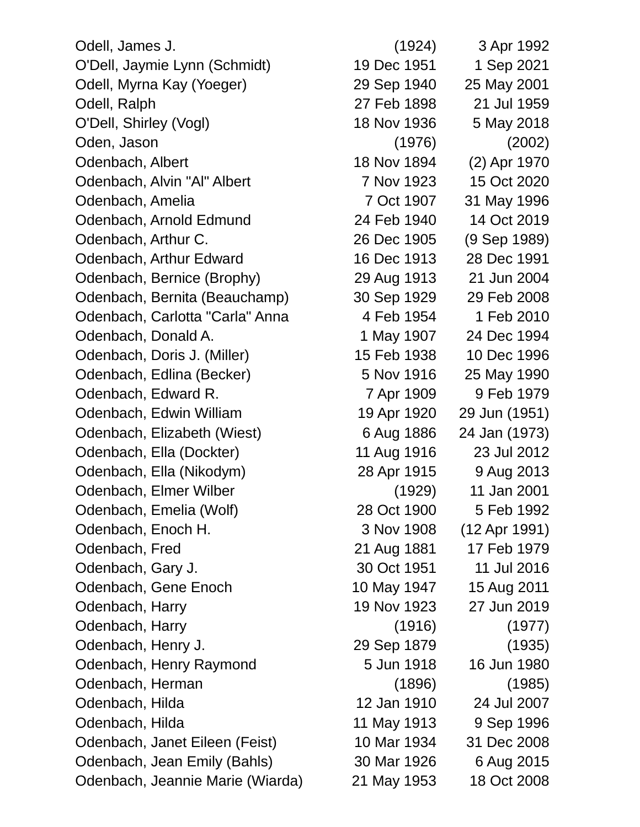Odell, James J. (1924) 3 Apr 1992 O'Dell, Jaymie Lynn (Schmidt) 19 Dec 1951 1 Sep 2021 Odell, Myrna Kay (Yoeger) 29 Sep 1940 25 May 2001 Odell, Ralph 27 Feb 1898 21 Jul 1959 O'Dell, Shirley (Vogl) 18 Nov 1936 5 May 2018 Oden, Jason (1976) (2002) Odenbach, Albert 18 Nov 1894 (2) Apr 1970 Odenbach, Alvin "Al" Albert 7 Nov 1923 15 Oct 2020 Odenbach, Amelia 7 Oct 1907 31 May 1996 Odenbach, Arnold Edmund 24 Feb 1940 14 Oct 2019 Odenbach, Arthur C. 26 Dec 1905 (9 Sep 1989) Odenbach, Arthur Edward 16 Dec 1913 28 Dec 1991 Odenbach, Bernice (Brophy) 29 Aug 1913 21 Jun 2004 Odenbach, Bernita (Beauchamp) 30 Sep 1929 29 Feb 2008 Odenbach, Carlotta "Carla" Anna 1954 1 Feb 2010 Odenbach, Donald A. 1 May 1907 24 Dec 1994 Odenbach, Doris J. (Miller) 15 Feb 1938 10 Dec 1996 Odenbach, Edlina (Becker) 5 Nov 1916 25 May 1990 Odenbach, Edward R. 7 Apr 1909 9 Feb 1979 Odenbach, Edwin William 19 Apr 1920 29 Jun (1951) Odenbach, Elizabeth (Wiest) 6 Aug 1886 24 Jan (1973) Odenbach, Ella (Dockter) 11 Aug 1916 23 Jul 2012 Odenbach, Ella (Nikodym) 28 Apr 1915 9 Aug 2013 Odenbach, Elmer Wilber (1929) 11 Jan 2001 Odenbach, Emelia (Wolf) 28 Oct 1900 5 Feb 1992 Odenbach, Enoch H. 3 Nov 1908 (12 Apr 1991) Odenbach, Fred 21 Aug 1881 17 Feb 1979 Odenbach, Gary J. 30 Oct 1951 11 Jul 2016 Odenbach, Gene Enoch 10 May 1947 15 Aug 2011 Odenbach, Harry 19 Nov 1923 27 Jun 2019 Odenbach, Harry (1916) (1977) Odenbach, Henry J. 29 Sep 1879 (1935) Odenbach, Henry Raymond 5 Jun 1918 16 Jun 1980 Odenbach, Herman (1896) (1985) Odenbach, Hilda 12 Jan 1910 24 Jul 2007 Odenbach, Hilda 11 May 1913 9 Sep 1996 Odenbach, Janet Eileen (Feist) 10 Mar 1934 31 Dec 2008 Odenbach, Jean Emily (Bahls) 30 Mar 1926 6 Aug 2015 Odenbach, Jeannie Marie (Wiarda) 21 May 1953 18 Oct 2008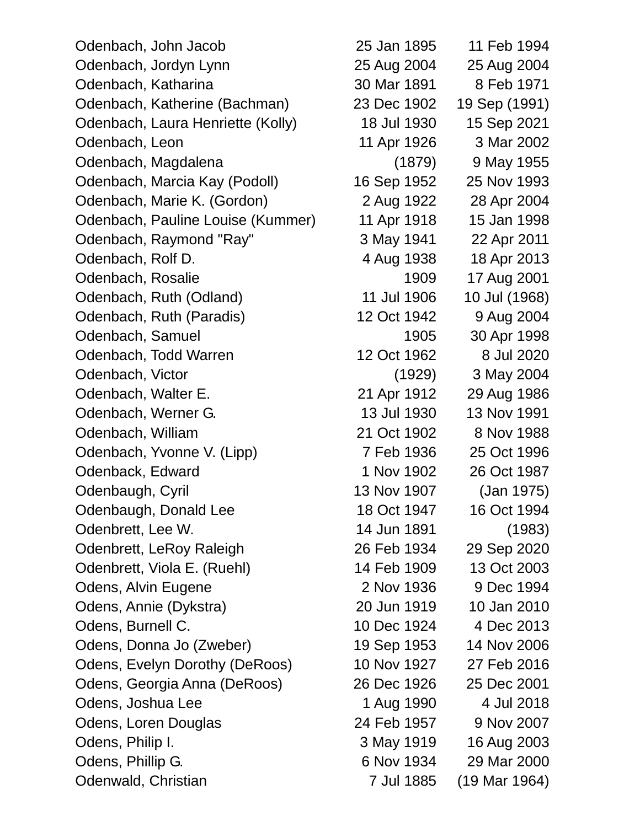| Odenbach, John Jacob              | 25 Jan 1895 | 11 Feb 1994   |
|-----------------------------------|-------------|---------------|
| Odenbach, Jordyn Lynn             | 25 Aug 2004 | 25 Aug 2004   |
| Odenbach, Katharina               | 30 Mar 1891 | 8 Feb 1971    |
| Odenbach, Katherine (Bachman)     | 23 Dec 1902 | 19 Sep (1991) |
| Odenbach, Laura Henriette (Kolly) | 18 Jul 1930 | 15 Sep 2021   |
| Odenbach, Leon                    | 11 Apr 1926 | 3 Mar 2002    |
| Odenbach, Magdalena               | (1879)      | 9 May 1955    |
| Odenbach, Marcia Kay (Podoll)     | 16 Sep 1952 | 25 Nov 1993   |
| Odenbach, Marie K. (Gordon)       | 2 Aug 1922  | 28 Apr 2004   |
| Odenbach, Pauline Louise (Kummer) | 11 Apr 1918 | 15 Jan 1998   |
| Odenbach, Raymond "Ray"           | 3 May 1941  | 22 Apr 2011   |
| Odenbach, Rolf D.                 | 4 Aug 1938  | 18 Apr 2013   |
| Odenbach, Rosalie                 | 1909        | 17 Aug 2001   |
| Odenbach, Ruth (Odland)           | 11 Jul 1906 | 10 Jul (1968) |
| Odenbach, Ruth (Paradis)          | 12 Oct 1942 | 9 Aug 2004    |
| Odenbach, Samuel                  | 1905        | 30 Apr 1998   |
| Odenbach, Todd Warren             | 12 Oct 1962 | 8 Jul 2020    |
| Odenbach, Victor                  | (1929)      | 3 May 2004    |
| Odenbach, Walter E.               | 21 Apr 1912 | 29 Aug 1986   |
| Odenbach, Werner G.               | 13 Jul 1930 | 13 Nov 1991   |
| Odenbach, William                 | 21 Oct 1902 | 8 Nov 1988    |
| Odenbach, Yvonne V. (Lipp)        | 7 Feb 1936  | 25 Oct 1996   |
| Odenback, Edward                  | 1 Nov 1902  | 26 Oct 1987   |
| Odenbaugh, Cyril                  | 13 Nov 1907 | (Jan 1975)    |
| Odenbaugh, Donald Lee             | 18 Oct 1947 | 16 Oct 1994   |
| Odenbrett, Lee W.                 | 14 Jun 1891 | (1983)        |
| Odenbrett, LeRoy Raleigh          | 26 Feb 1934 | 29 Sep 2020   |
| Odenbrett, Viola E. (Ruehl)       | 14 Feb 1909 | 13 Oct 2003   |
| Odens, Alvin Eugene               | 2 Nov 1936  | 9 Dec 1994    |
| Odens, Annie (Dykstra)            | 20 Jun 1919 | 10 Jan 2010   |
| Odens, Burnell C.                 | 10 Dec 1924 | 4 Dec 2013    |
| Odens, Donna Jo (Zweber)          | 19 Sep 1953 | 14 Nov 2006   |
| Odens, Evelyn Dorothy (DeRoos)    | 10 Nov 1927 | 27 Feb 2016   |
| Odens, Georgia Anna (DeRoos)      | 26 Dec 1926 | 25 Dec 2001   |
| Odens, Joshua Lee                 | 1 Aug 1990  | 4 Jul 2018    |
| Odens, Loren Douglas              | 24 Feb 1957 | 9 Nov 2007    |
| Odens, Philip I.                  | 3 May 1919  | 16 Aug 2003   |
| Odens, Phillip G.                 | 6 Nov 1934  | 29 Mar 2000   |
| Odenwald, Christian               | 7 Jul 1885  | (19 Mar 1964) |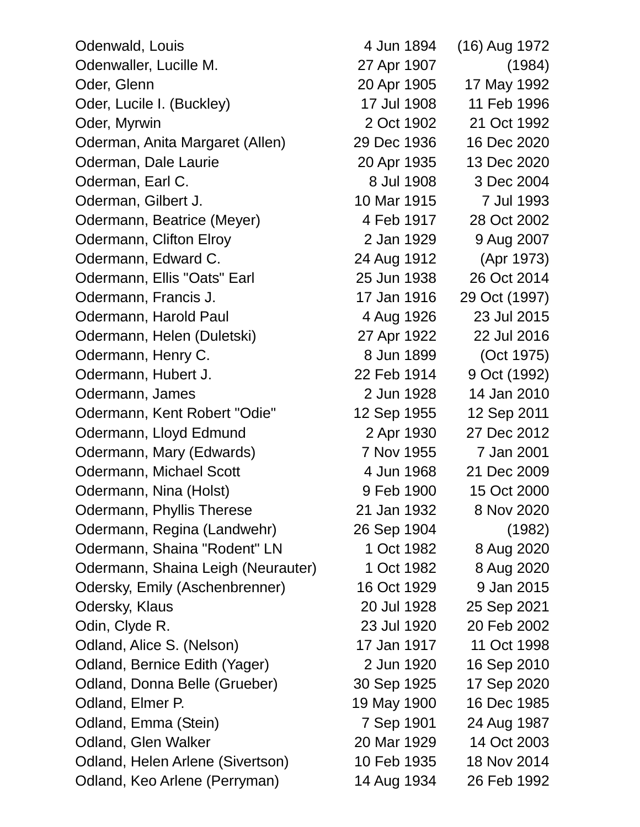Odenwald, Louis 1972 Odenwaller, Lucille M. 27 Apr 1907 (1984) Oder, Glenn 20 Apr 1905 17 May 1992 Oder, Lucile I. (Buckley) 17 Jul 1908 11 Feb 1996 Oder, Myrwin 2 Oct 1902 21 Oct 1992 Oderman, Anita Margaret (Allen) 29 Dec 1936 16 Dec 2020 Oderman, Dale Laurie 20 Apr 1935 13 Dec 2020 Oderman, Earl C. 6 and 2004 8 Jul 1908 3 Dec 2004 Oderman, Gilbert J. 10 Mar 1915 7 Jul 1993 Odermann, Beatrice (Meyer) 4 Feb 1917 28 Oct 2002 Odermann, Clifton Elroy 2 Jan 1929 9 Aug 2007 Odermann, Edward C. 24 Aug 1912 (Apr 1973) Odermann, Ellis "Oats" Earl 25 Jun 1938 26 Oct 2014 Odermann, Francis J. 17 Jan 1916 29 Oct (1997) Odermann, Harold Paul 4 Aug 1926 23 Jul 2015 Odermann, Helen (Duletski) 27 Apr 1922 22 Jul 2016 Odermann, Henry C. 68 Jun 1899 (Oct 1975) Odermann, Hubert J. 22 Feb 1914 9 Oct (1992) Odermann, James 2 Jun 1928 14 Jan 2010 Odermann, Kent Robert "Odie" 12 Sep 1955 12 Sep 2011 Odermann, Lloyd Edmund 2 Apr 1930 27 Dec 2012 Odermann, Mary (Edwards) 7 Nov 1955 7 Jan 2001 Odermann, Michael Scott 4 Jun 1968 21 Dec 2009 Odermann, Nina (Holst) 9 Feb 1900 15 Oct 2000 Odermann, Phyllis Therese 21 Jan 1932 8 Nov 2020 Odermann, Regina (Landwehr) 26 Sep 1904 (1982) Odermann, Shaina "Rodent" LN 1 Oct 1982 8 Aug 2020 Odermann, Shaina Leigh (Neurauter) 1 Oct 1982 8 Aug 2020 Odersky, Emily (Aschenbrenner) 16 Oct 1929 9 Jan 2015 Odersky, Klaus 20 Jul 1928 25 Sep 2021 Odin, Clyde R. 23 Jul 1920 20 Feb 2002 Odland, Alice S. (Nelson) 17 Jan 1917 11 Oct 1998 Odland, Bernice Edith (Yager) 2 Jun 1920 16 Sep 2010 Odland, Donna Belle (Grueber) 30 Sep 1925 17 Sep 2020 Odland, Elmer P. 19 May 1900 16 Dec 1985 Odland, Emma (Stein) 7 Sep 1901 24 Aug 1987 Odland, Glen Walker 20 Mar 1929 14 Oct 2003 Odland, Helen Arlene (Sivertson) 10 Feb 1935 18 Nov 2014 Odland, Keo Arlene (Perryman) 14 Aug 1934 26 Feb 1992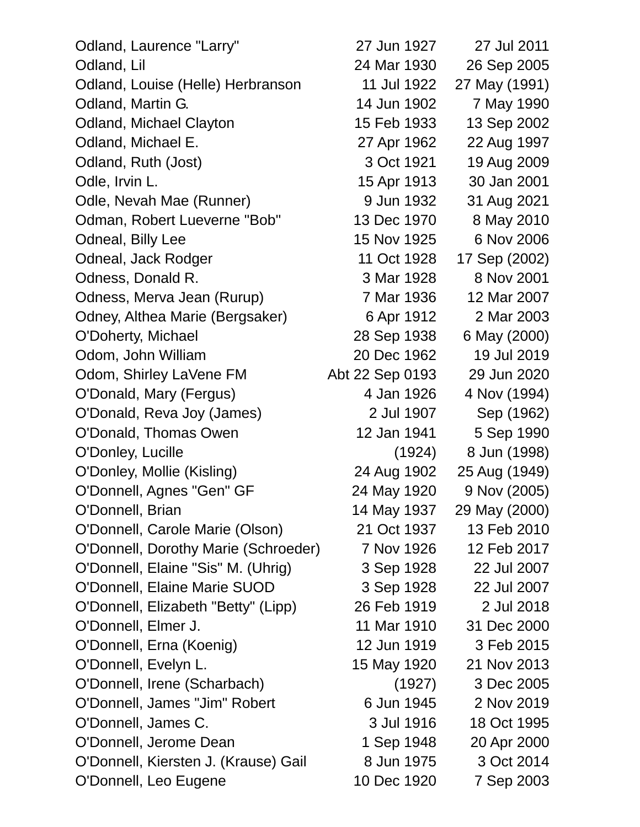| Odland, Laurence "Larry"             | 27 Jun 1927     | 27 Jul 2011   |
|--------------------------------------|-----------------|---------------|
| Odland, Lil                          | 24 Mar 1930     | 26 Sep 2005   |
| Odland, Louise (Helle) Herbranson    | 11 Jul 1922     | 27 May (1991) |
| Odland, Martin G.                    | 14 Jun 1902     | 7 May 1990    |
| <b>Odland, Michael Clayton</b>       | 15 Feb 1933     | 13 Sep 2002   |
| Odland, Michael E.                   | 27 Apr 1962     | 22 Aug 1997   |
| Odland, Ruth (Jost)                  | 3 Oct 1921      | 19 Aug 2009   |
| Odle, Irvin L.                       | 15 Apr 1913     | 30 Jan 2001   |
| Odle, Nevah Mae (Runner)             | 9 Jun 1932      | 31 Aug 2021   |
| Odman, Robert Lueverne "Bob"         | 13 Dec 1970     | 8 May 2010    |
| Odneal, Billy Lee                    | 15 Nov 1925     | 6 Nov 2006    |
| Odneal, Jack Rodger                  | 11 Oct 1928     | 17 Sep (2002) |
| Odness, Donald R.                    | 3 Mar 1928      | 8 Nov 2001    |
| Odness, Merva Jean (Rurup)           | 7 Mar 1936      | 12 Mar 2007   |
| Odney, Althea Marie (Bergsaker)      | 6 Apr 1912      | 2 Mar 2003    |
| O'Doherty, Michael                   | 28 Sep 1938     | 6 May (2000)  |
| Odom, John William                   | 20 Dec 1962     | 19 Jul 2019   |
| Odom, Shirley LaVene FM              | Abt 22 Sep 0193 | 29 Jun 2020   |
| O'Donald, Mary (Fergus)              | 4 Jan 1926      | 4 Nov (1994)  |
| O'Donald, Reva Joy (James)           | 2 Jul 1907      | Sep (1962)    |
| O'Donald, Thomas Owen                | 12 Jan 1941     | 5 Sep 1990    |
| O'Donley, Lucille                    | (1924)          | 8 Jun (1998)  |
| O'Donley, Mollie (Kisling)           | 24 Aug 1902     | 25 Aug (1949) |
| O'Donnell, Agnes "Gen" GF            | 24 May 1920     | 9 Nov (2005)  |
| O'Donnell, Brian                     | 14 May 1937     | 29 May (2000) |
| O'Donnell, Carole Marie (Olson)      | 21 Oct 1937     | 13 Feb 2010   |
| O'Donnell, Dorothy Marie (Schroeder) | 7 Nov 1926      | 12 Feb 2017   |
| O'Donnell, Elaine "Sis" M. (Uhrig)   | 3 Sep 1928      | 22 Jul 2007   |
| O'Donnell, Elaine Marie SUOD         | 3 Sep 1928      | 22 Jul 2007   |
| O'Donnell, Elizabeth "Betty" (Lipp)  | 26 Feb 1919     | 2 Jul 2018    |
| O'Donnell, Elmer J.                  | 11 Mar 1910     | 31 Dec 2000   |
| O'Donnell, Erna (Koenig)             | 12 Jun 1919     | 3 Feb 2015    |
| O'Donnell, Evelyn L.                 | 15 May 1920     | 21 Nov 2013   |
| O'Donnell, Irene (Scharbach)         | (1927)          | 3 Dec 2005    |
| O'Donnell, James "Jim" Robert        | 6 Jun 1945      | 2 Nov 2019    |
| O'Donnell, James C.                  | 3 Jul 1916      | 18 Oct 1995   |
| O'Donnell, Jerome Dean               | 1 Sep 1948      | 20 Apr 2000   |
| O'Donnell, Kiersten J. (Krause) Gail | 8 Jun 1975      | 3 Oct 2014    |
| O'Donnell, Leo Eugene                | 10 Dec 1920     | 7 Sep 2003    |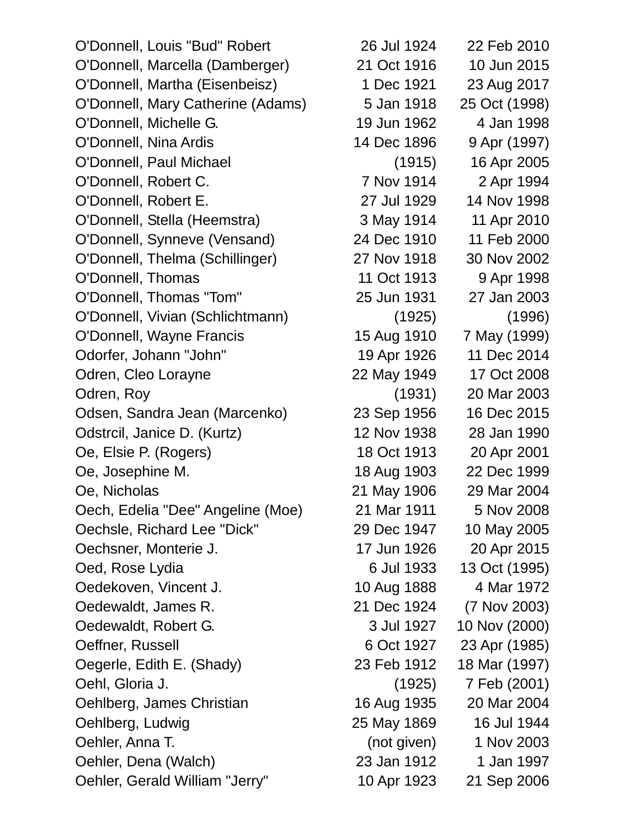O'Donnell, Louis "Bud" Robert 26 Jul 1924 22 Feb 2010 O'Donnell, Marcella (Damberger) 21 Oct 1916 10 Jun 2015 O'Donnell, Martha (Eisenbeisz) 1 Dec 1921 23 Aug 2017 O'Donnell, Mary Catherine (Adams) 5 Jan 1918 25 Oct (1998) O'Donnell, Michelle G. 19 Jun 1962 4 Jan 1998 O'Donnell, Nina Ardis 14 Dec 1896 9 Apr (1997) O'Donnell, Paul Michael (1915) 16 Apr 2005 O'Donnell, Robert C. 7 Nov 1914 2 Apr 1994 O'Donnell, Robert E. 27 Jul 1929 14 Nov 1998 O'Donnell, Stella (Heemstra) 3 May 1914 11 Apr 2010 O'Donnell, Synneve (Vensand) 24 Dec 1910 11 Feb 2000 O'Donnell, Thelma (Schillinger) 27 Nov 1918 30 Nov 2002 O'Donnell, Thomas 11 Oct 1913 9 Apr 1998 O'Donnell, Thomas "Tom" 25 Jun 1931 27 Jan 2003 O'Donnell, Vivian (Schlichtmann) (1925) (1996) O'Donnell, Wayne Francis 15 Aug 1910 7 May (1999) Odorfer, Johann "John" 19 Apr 1926 11 Dec 2014 Odren, Cleo Lorayne 22 May 1949 17 Oct 2008 Odren, Roy (1931) 20 Mar 2003 Odsen, Sandra Jean (Marcenko) 23 Sep 1956 16 Dec 2015 Odstrcil, Janice D. (Kurtz) 12 Nov 1938 28 Jan 1990 Oe, Elsie P. (Rogers) 18 Oct 1913 20 Apr 2001 Oe, Josephine M. 18 Aug 1903 22 Dec 1999 Oe, Nicholas 21 May 1906 29 Mar 2004 Oech, Edelia "Dee" Angeline (Moe) 21 Mar 1911 5 Nov 2008 Oechsle, Richard Lee "Dick" 29 Dec 1947 10 May 2005 Oechsner, Monterie J. 17 Jun 1926 20 Apr 2015 Oed, Rose Lydia 6 Jul 1933 13 Oct (1995) Oedekoven, Vincent J. 10 Aug 1888 4 Mar 1972 Oedewaldt, James R. 21 Dec 1924 (7 Nov 2003) Oedewaldt, Robert G. 3 Jul 1927 10 Nov (2000) Oeffner, Russell 6 Oct 1927 23 Apr (1985) Oegerle, Edith E. (Shady) 23 Feb 1912 18 Mar (1997) Oehl, Gloria J. (1925) 7 Feb (2001) Oehlberg, James Christian 16 Aug 1935 20 Mar 2004 Oehlberg, Ludwig 25 May 1869 16 Jul 1944 Oehler, Anna T. (not given) 1 Nov 2003 Oehler, Dena (Walch) 23 Jan 1912 1 Jan 1997 Oehler, Gerald William "Jerry" 10 Apr 1923 21 Sep 2006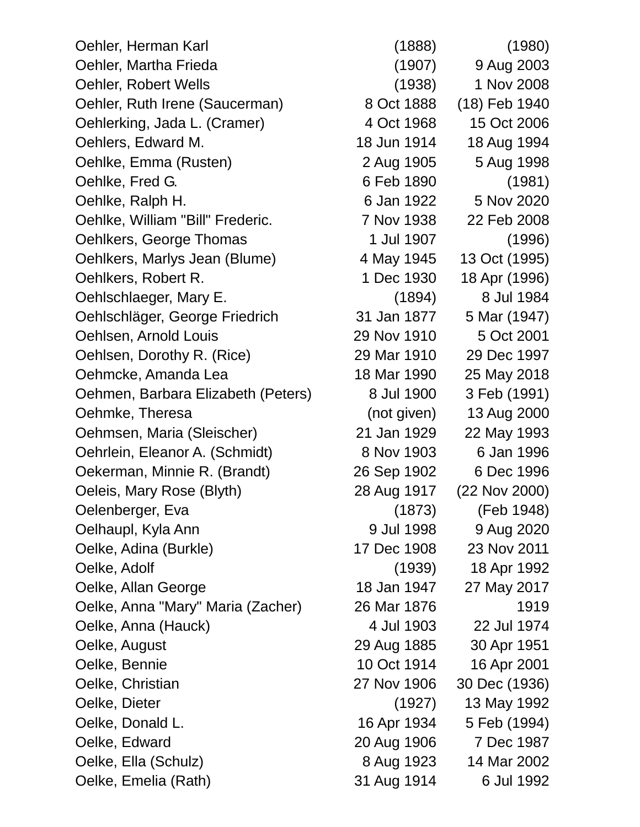Oehler, Herman Karl (1888) (1980) Oehler, Martha Frieda (1907) 9 Aug 2003 Oehler, Robert Wells (1938) 1 Nov 2008 Oehler, Ruth Irene (Saucerman) 8 Oct 1888 (18) Feb 1940 Oehlerking, Jada L. (Cramer) 4 Oct 1968 15 Oct 2006 Oehlers, Edward M. 18 Jun 1914 18 Aug 1994 Oehlke, Emma (Rusten) 2 Aug 1905 5 Aug 1998 Oehlke, Fred G. 6 Feb 1890 (1981) Oehlke, Ralph H. 6 Jan 1922 5 Nov 2020 Oehlke, William "Bill" Frederic. 7 Nov 1938 22 Feb 2008 Oehlkers, George Thomas 1 Jul 1907 (1996) Oehlkers, Marlys Jean (Blume) 4 May 1945 13 Oct (1995) Oehlkers, Robert R. 1 Dec 1930 18 Apr (1996) Oehlschlaeger, Mary E. (1894) 8 Jul 1984 Oehlschläger, George Friedrich 31 Jan 1877 5 Mar (1947) Oehlsen, Arnold Louis 29 Nov 1910 5 Oct 2001 Oehlsen, Dorothy R. (Rice) 29 Mar 1910 29 Dec 1997 Oehmcke, Amanda Lea 18 Mar 1990 25 May 2018 Oehmen, Barbara Elizabeth (Peters) 8 Jul 1900 3 Feb (1991) Oehmke, Theresa (not given) 13 Aug 2000 Oehmsen, Maria (Sleischer) 21 Jan 1929 22 May 1993 Oehrlein, Eleanor A. (Schmidt) 8 Nov 1903 6 Jan 1996 Oekerman, Minnie R. (Brandt) 26 Sep 1902 6 Dec 1996 Oeleis, Mary Rose (Blyth) 28 Aug 1917 (22 Nov 2000) Oelenberger, Eva (1873) (Feb 1948) Oelhaupl, Kyla Ann 9 Jul 1998 9 Aug 2020 Oelke, Adina (Burkle) 17 Dec 1908 23 Nov 2011 Oelke, Adolf (1939) 18 Apr 1992 Oelke, Allan George 18 Jan 1947 27 May 2017 Oelke, Anna "Mary" Maria (Zacher) 26 Mar 1876 1919 Oelke, Anna (Hauck) 4 Jul 1903 22 Jul 1974 Oelke, August 29 Aug 1885 30 Apr 1951 Oelke, Bennie 10 Oct 1914 16 Apr 2001 Oelke, Christian 27 Nov 1906 30 Dec (1936) Oelke, Dieter (1927) 13 May 1992 Oelke, Donald L. 16 Apr 1934 5 Feb (1994) Oelke, Edward 20 Aug 1906 7 Dec 1987 Oelke, Ella (Schulz) 8 Aug 1923 14 Mar 2002

Oelke, Emelia (Rath) 31 Aug 1914 6 Jul 1992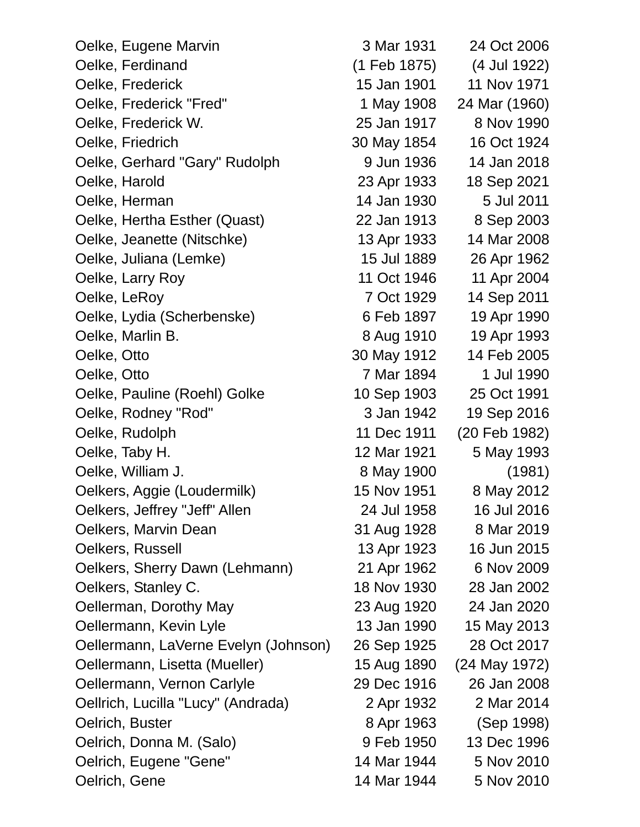| Oelke, Eugene Marvin                 | 3 Mar 1931   | 24 Oct 2006   |
|--------------------------------------|--------------|---------------|
| Oelke, Ferdinand                     | (1 Feb 1875) | (4 Jul 1922)  |
| Oelke, Frederick                     | 15 Jan 1901  | 11 Nov 1971   |
| Oelke, Frederick "Fred"              | 1 May 1908   | 24 Mar (1960) |
| Oelke, Frederick W.                  | 25 Jan 1917  | 8 Nov 1990    |
| Oelke, Friedrich                     | 30 May 1854  | 16 Oct 1924   |
| Oelke, Gerhard "Gary" Rudolph        | 9 Jun 1936   | 14 Jan 2018   |
| Oelke, Harold                        | 23 Apr 1933  | 18 Sep 2021   |
| Oelke, Herman                        | 14 Jan 1930  | 5 Jul 2011    |
| Oelke, Hertha Esther (Quast)         | 22 Jan 1913  | 8 Sep 2003    |
| Oelke, Jeanette (Nitschke)           | 13 Apr 1933  | 14 Mar 2008   |
| Oelke, Juliana (Lemke)               | 15 Jul 1889  | 26 Apr 1962   |
| Oelke, Larry Roy                     | 11 Oct 1946  | 11 Apr 2004   |
| Oelke, LeRoy                         | 7 Oct 1929   | 14 Sep 2011   |
| Oelke, Lydia (Scherbenske)           | 6 Feb 1897   | 19 Apr 1990   |
| Oelke, Marlin B.                     | 8 Aug 1910   | 19 Apr 1993   |
| Oelke, Otto                          | 30 May 1912  | 14 Feb 2005   |
| Oelke, Otto                          | 7 Mar 1894   | 1 Jul 1990    |
| Oelke, Pauline (Roehl) Golke         | 10 Sep 1903  | 25 Oct 1991   |
| Oelke, Rodney "Rod"                  | 3 Jan 1942   | 19 Sep 2016   |
| Oelke, Rudolph                       | 11 Dec 1911  | (20 Feb 1982) |
| Oelke, Taby H.                       | 12 Mar 1921  | 5 May 1993    |
| Oelke, William J.                    | 8 May 1900   | (1981)        |
| Oelkers, Aggie (Loudermilk)          | 15 Nov 1951  | 8 May 2012    |
| Oelkers, Jeffrey "Jeff" Allen        | 24 Jul 1958  | 16 Jul 2016   |
| Oelkers, Marvin Dean                 | 31 Aug 1928  | 8 Mar 2019    |
| Oelkers, Russell                     | 13 Apr 1923  | 16 Jun 2015   |
| Oelkers, Sherry Dawn (Lehmann)       | 21 Apr 1962  | 6 Nov 2009    |
| Oelkers, Stanley C.                  | 18 Nov 1930  | 28 Jan 2002   |
| Oellerman, Dorothy May               | 23 Aug 1920  | 24 Jan 2020   |
| Oellermann, Kevin Lyle               | 13 Jan 1990  | 15 May 2013   |
| Oellermann, LaVerne Evelyn (Johnson) | 26 Sep 1925  | 28 Oct 2017   |
| Oellermann, Lisetta (Mueller)        | 15 Aug 1890  | (24 May 1972) |
| Oellermann, Vernon Carlyle           | 29 Dec 1916  | 26 Jan 2008   |
| Oellrich, Lucilla "Lucy" (Andrada)   | 2 Apr 1932   | 2 Mar 2014    |
| Oelrich, Buster                      | 8 Apr 1963   | (Sep 1998)    |
| Oelrich, Donna M. (Salo)             | 9 Feb 1950   | 13 Dec 1996   |
| Oelrich, Eugene "Gene"               | 14 Mar 1944  | 5 Nov 2010    |
| Oelrich, Gene                        | 14 Mar 1944  | 5 Nov 2010    |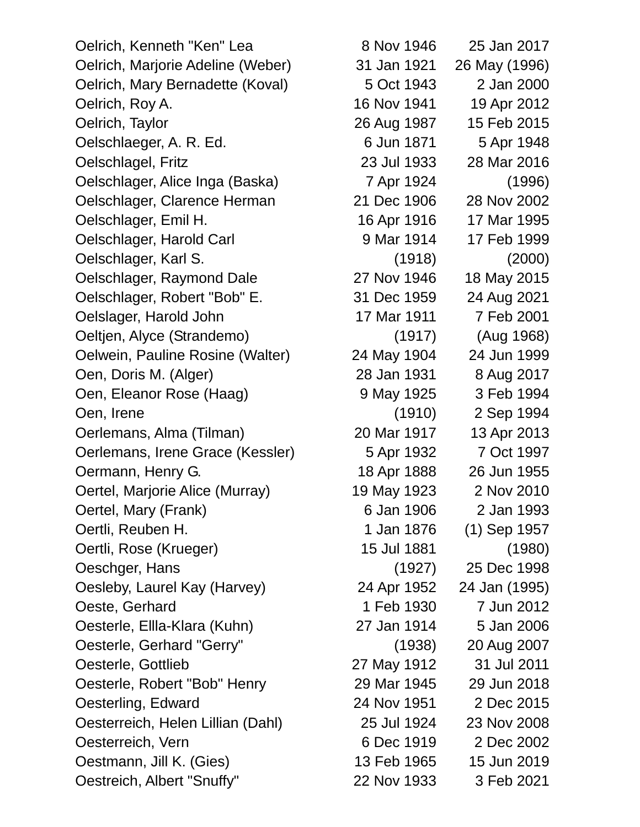Oelrich, Kenneth "Ken" Lea 8 Nov 1946 25 Jan 2017 Oelrich, Marjorie Adeline (Weber) 31 Jan 1921 26 May (1996) Oelrich, Mary Bernadette (Koval) 5 Oct 1943 2 Jan 2000 Oelrich, Roy A. 16 Nov 1941 19 Apr 2012 Oelrich, Taylor 26 Aug 1987 15 Feb 2015 Oelschlaeger, A. R. Ed. 6 Jun 1871 5 Apr 1948 Oelschlagel, Fritz 23 Jul 1933 28 Mar 2016 Oelschlager, Alice Inga (Baska) 7 Apr 1924 (1996) Oelschlager, Clarence Herman 21 Dec 1906 28 Nov 2002 Oelschlager, Emil H. 16 Apr 1916 17 Mar 1995 Oelschlager, Harold Carl 9 Mar 1914 17 Feb 1999 Oelschlager, Karl S. (1918) (2000) Oelschlager, Raymond Dale 27 Nov 1946 18 May 2015 Oelschlager, Robert "Bob" E. 31 Dec 1959 24 Aug 2021 Oelslager, Harold John 17 Mar 1911 7 Feb 2001 Oeltjen, Alyce (Strandemo) (1917) (Aug 1968) Oelwein, Pauline Rosine (Walter) 24 May 1904 24 Jun 1999 Oen, Doris M. (Alger) 28 Jan 1931 8 Aug 2017 Oen, Eleanor Rose (Haag) 9 May 1925 3 Feb 1994 Oen, Irene (1910) 2 Sep 1994 Oerlemans, Alma (Tilman) 20 Mar 1917 13 Apr 2013 Oerlemans, Irene Grace (Kessler) 5 Apr 1932 7 Oct 1997 Oermann, Henry G. 18 Apr 1888 26 Jun 1955 Oertel, Marjorie Alice (Murray) 19 May 1923 2 Nov 2010 Oertel, Mary (Frank) 6 Jan 1906 2 Jan 1993 Oertli, Reuben H. 1 Jan 1876 (1) Sep 1957 Oertli, Rose (Krueger) 15 Jul 1881 (1980) Oeschger, Hans (1927) 25 Dec 1998 Oesleby, Laurel Kay (Harvey) 24 Apr 1952 24 Jan (1995) Oeste, Gerhard 1 Feb 1930 7 Jun 2012 Oesterle, Ellla-Klara (Kuhn) 27 Jan 1914 5 Jan 2006 Oesterle, Gerhard "Gerry" (1938) 20 Aug 2007 Oesterle, Gottlieb 27 May 1912 31 Jul 2011 Oesterle, Robert "Bob" Henry 29 Mar 1945 29 Jun 2018 Oesterling, Edward 24 Nov 1951 2 Dec 2015 Oesterreich, Helen Lillian (Dahl) 25 Jul 1924 23 Nov 2008 Oesterreich, Vern 6 Dec 1919 2 Dec 2002 Oestmann, Jill K. (Gies) 13 Feb 1965 15 Jun 2019 Oestreich, Albert "Snuffy" 22 Nov 1933 3 Feb 2021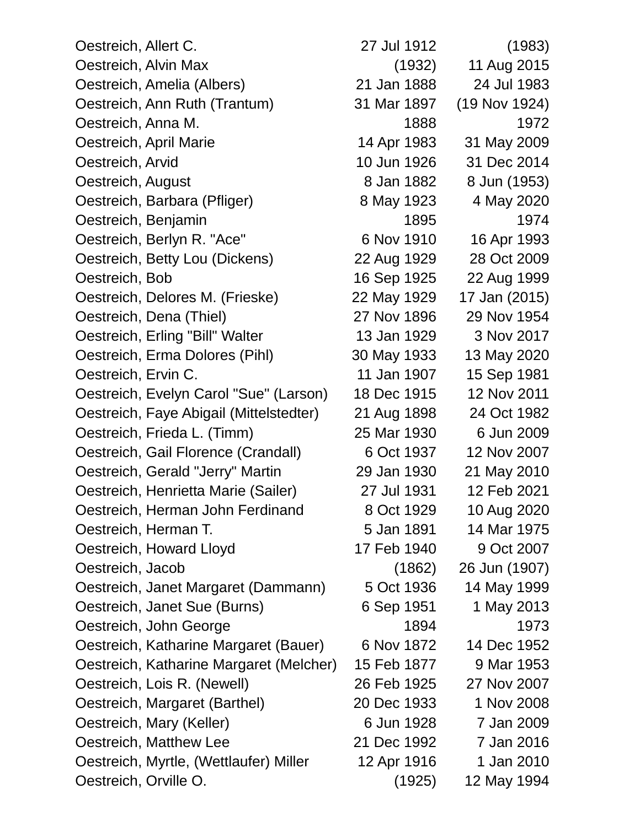| Oestreich, Allert C.                    | 27 Jul 1912 | (1983)        |
|-----------------------------------------|-------------|---------------|
| Oestreich, Alvin Max                    | (1932)      | 11 Aug 2015   |
| Oestreich, Amelia (Albers)              | 21 Jan 1888 | 24 Jul 1983   |
| Oestreich, Ann Ruth (Trantum)           | 31 Mar 1897 | (19 Nov 1924) |
| Oestreich, Anna M.                      | 1888        | 1972          |
| Oestreich, April Marie                  | 14 Apr 1983 | 31 May 2009   |
| Oestreich, Arvid                        | 10 Jun 1926 | 31 Dec 2014   |
| Oestreich, August                       | 8 Jan 1882  | 8 Jun (1953)  |
| Oestreich, Barbara (Pfliger)            | 8 May 1923  | 4 May 2020    |
| Oestreich, Benjamin                     | 1895        | 1974          |
| Oestreich, Berlyn R. "Ace"              | 6 Nov 1910  | 16 Apr 1993   |
| Oestreich, Betty Lou (Dickens)          | 22 Aug 1929 | 28 Oct 2009   |
| Oestreich, Bob                          | 16 Sep 1925 | 22 Aug 1999   |
| Oestreich, Delores M. (Frieske)         | 22 May 1929 | 17 Jan (2015) |
| Oestreich, Dena (Thiel)                 | 27 Nov 1896 | 29 Nov 1954   |
| Oestreich, Erling "Bill" Walter         | 13 Jan 1929 | 3 Nov 2017    |
| Oestreich, Erma Dolores (Pihl)          | 30 May 1933 | 13 May 2020   |
| Oestreich, Ervin C.                     | 11 Jan 1907 | 15 Sep 1981   |
| Oestreich, Evelyn Carol "Sue" (Larson)  | 18 Dec 1915 | 12 Nov 2011   |
| Oestreich, Faye Abigail (Mittelstedter) | 21 Aug 1898 | 24 Oct 1982   |
| Oestreich, Frieda L. (Timm)             | 25 Mar 1930 | 6 Jun 2009    |
| Oestreich, Gail Florence (Crandall)     | 6 Oct 1937  | 12 Nov 2007   |
| Oestreich, Gerald "Jerry" Martin        | 29 Jan 1930 | 21 May 2010   |
| Oestreich, Henrietta Marie (Sailer)     | 27 Jul 1931 | 12 Feb 2021   |
| Oestreich, Herman John Ferdinand        | 8 Oct 1929  | 10 Aug 2020   |
| Oestreich, Herman T.                    | 5 Jan 1891  | 14 Mar 1975   |
| Oestreich, Howard Lloyd                 | 17 Feb 1940 | 9 Oct 2007    |
| Oestreich, Jacob                        | (1862)      | 26 Jun (1907) |
| Oestreich, Janet Margaret (Dammann)     | 5 Oct 1936  | 14 May 1999   |
| Oestreich, Janet Sue (Burns)            | 6 Sep 1951  | 1 May 2013    |
| Oestreich, John George                  | 1894        | 1973          |
| Oestreich, Katharine Margaret (Bauer)   | 6 Nov 1872  | 14 Dec 1952   |
| Oestreich, Katharine Margaret (Melcher) | 15 Feb 1877 | 9 Mar 1953    |
| Oestreich, Lois R. (Newell)             | 26 Feb 1925 | 27 Nov 2007   |
| Oestreich, Margaret (Barthel)           | 20 Dec 1933 | 1 Nov 2008    |
| Oestreich, Mary (Keller)                | 6 Jun 1928  | 7 Jan 2009    |
| Oestreich, Matthew Lee                  | 21 Dec 1992 | 7 Jan 2016    |
| Oestreich, Myrtle, (Wettlaufer) Miller  | 12 Apr 1916 | 1 Jan 2010    |
| Oestreich, Orville O.                   | (1925)      | 12 May 1994   |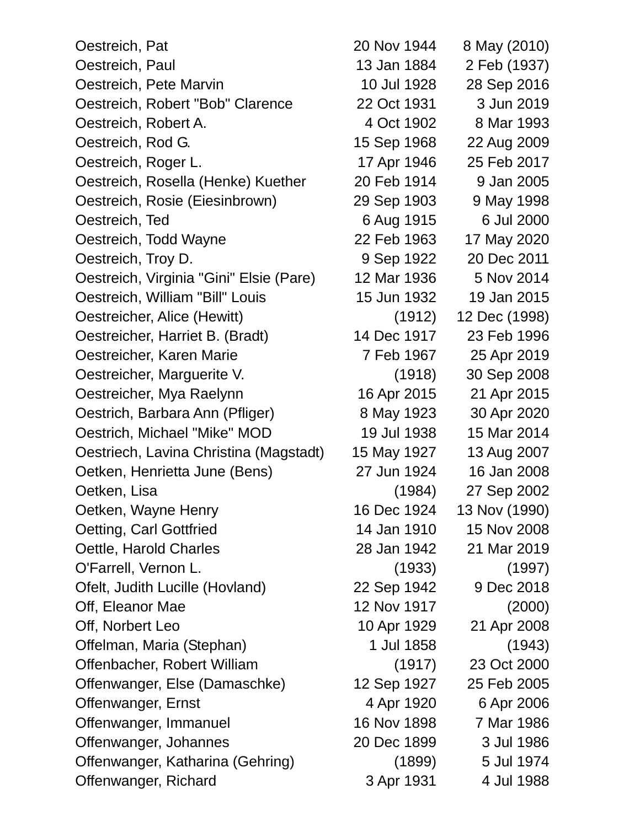| Oestreich, Pat                          | 20 Nov 1944 | 8 May (2010)  |
|-----------------------------------------|-------------|---------------|
| Oestreich, Paul                         | 13 Jan 1884 | 2 Feb (1937)  |
| Oestreich, Pete Marvin                  | 10 Jul 1928 | 28 Sep 2016   |
| Oestreich, Robert "Bob" Clarence        | 22 Oct 1931 | 3 Jun 2019    |
| Oestreich, Robert A.                    | 4 Oct 1902  | 8 Mar 1993    |
| Oestreich, Rod G.                       | 15 Sep 1968 | 22 Aug 2009   |
| Oestreich, Roger L.                     | 17 Apr 1946 | 25 Feb 2017   |
| Oestreich, Rosella (Henke) Kuether      | 20 Feb 1914 | 9 Jan 2005    |
| Oestreich, Rosie (Eiesinbrown)          | 29 Sep 1903 | 9 May 1998    |
| Oestreich, Ted                          | 6 Aug 1915  | 6 Jul 2000    |
| Oestreich, Todd Wayne                   | 22 Feb 1963 | 17 May 2020   |
| Oestreich, Troy D.                      | 9 Sep 1922  | 20 Dec 2011   |
| Oestreich, Virginia "Gini" Elsie (Pare) | 12 Mar 1936 | 5 Nov 2014    |
| Oestreich, William "Bill" Louis         | 15 Jun 1932 | 19 Jan 2015   |
| Oestreicher, Alice (Hewitt)             | (1912)      | 12 Dec (1998) |
| Oestreicher, Harriet B. (Bradt)         | 14 Dec 1917 | 23 Feb 1996   |
| Oestreicher, Karen Marie                | 7 Feb 1967  | 25 Apr 2019   |
| Oestreicher, Marguerite V.              | (1918)      | 30 Sep 2008   |
| Oestreicher, Mya Raelynn                | 16 Apr 2015 | 21 Apr 2015   |
| Oestrich, Barbara Ann (Pfliger)         | 8 May 1923  | 30 Apr 2020   |
| Oestrich, Michael "Mike" MOD            | 19 Jul 1938 | 15 Mar 2014   |
| Oestriech, Lavina Christina (Magstadt)  | 15 May 1927 | 13 Aug 2007   |
| Oetken, Henrietta June (Bens)           | 27 Jun 1924 | 16 Jan 2008   |
| Oetken, Lisa                            | (1984)      | 27 Sep 2002   |
| Oetken, Wayne Henry                     | 16 Dec 1924 | 13 Nov (1990) |
| Oetting, Carl Gottfried                 | 14 Jan 1910 | 15 Nov 2008   |
| Oettle, Harold Charles                  | 28 Jan 1942 | 21 Mar 2019   |
| O'Farrell, Vernon L.                    | (1933)      | (1997)        |
| Ofelt, Judith Lucille (Hovland)         | 22 Sep 1942 | 9 Dec 2018    |
| Off, Eleanor Mae                        | 12 Nov 1917 | (2000)        |
| Off, Norbert Leo                        | 10 Apr 1929 | 21 Apr 2008   |
| Offelman, Maria (Stephan)               | 1 Jul 1858  | (1943)        |
| Offenbacher, Robert William             | (1917)      | 23 Oct 2000   |
| Offenwanger, Else (Damaschke)           | 12 Sep 1927 | 25 Feb 2005   |
| Offenwanger, Ernst                      | 4 Apr 1920  | 6 Apr 2006    |
| Offenwanger, Immanuel                   | 16 Nov 1898 | 7 Mar 1986    |
| Offenwanger, Johannes                   | 20 Dec 1899 | 3 Jul 1986    |
| Offenwanger, Katharina (Gehring)        | (1899)      | 5 Jul 1974    |
| Offenwanger, Richard                    | 3 Apr 1931  | 4 Jul 1988    |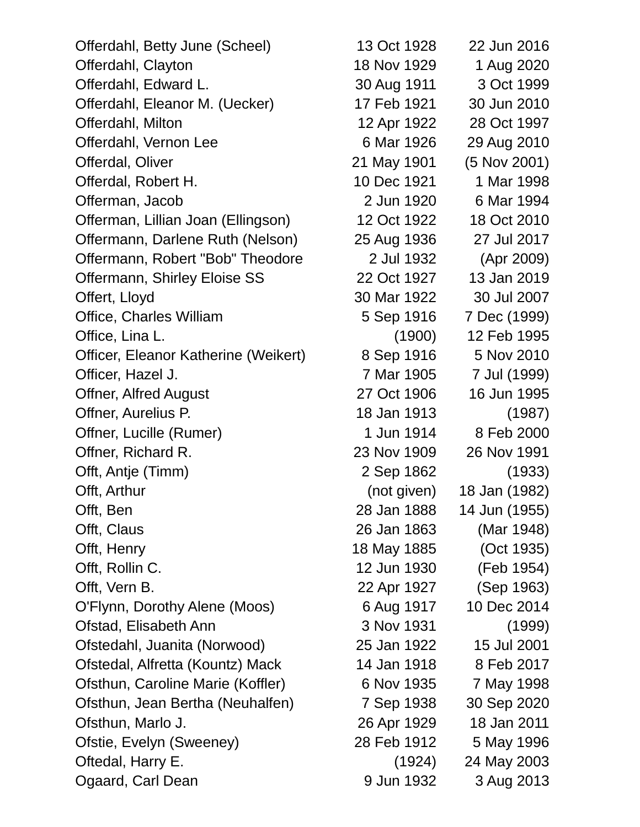| Offerdahl, Betty June (Scheel)       | 13 Oct 1928 | 22 Jun 2016   |
|--------------------------------------|-------------|---------------|
| Offerdahl, Clayton                   | 18 Nov 1929 | 1 Aug 2020    |
| Offerdahl, Edward L.                 | 30 Aug 1911 | 3 Oct 1999    |
| Offerdahl, Eleanor M. (Uecker)       | 17 Feb 1921 | 30 Jun 2010   |
| Offerdahl, Milton                    | 12 Apr 1922 | 28 Oct 1997   |
| Offerdahl, Vernon Lee                | 6 Mar 1926  | 29 Aug 2010   |
| Offerdal, Oliver                     | 21 May 1901 | (5 Nov 2001)  |
| Offerdal, Robert H.                  | 10 Dec 1921 | 1 Mar 1998    |
| Offerman, Jacob                      | 2 Jun 1920  | 6 Mar 1994    |
| Offerman, Lillian Joan (Ellingson)   | 12 Oct 1922 | 18 Oct 2010   |
| Offermann, Darlene Ruth (Nelson)     | 25 Aug 1936 | 27 Jul 2017   |
| Offermann, Robert "Bob" Theodore     | 2 Jul 1932  | (Apr 2009)    |
| Offermann, Shirley Eloise SS         | 22 Oct 1927 | 13 Jan 2019   |
| Offert, Lloyd                        | 30 Mar 1922 | 30 Jul 2007   |
| <b>Office, Charles William</b>       | 5 Sep 1916  | 7 Dec (1999)  |
| Office, Lina L.                      | (1900)      | 12 Feb 1995   |
| Officer, Eleanor Katherine (Weikert) | 8 Sep 1916  | 5 Nov 2010    |
| Officer, Hazel J.                    | 7 Mar 1905  | 7 Jul (1999)  |
| <b>Offner, Alfred August</b>         | 27 Oct 1906 | 16 Jun 1995   |
| Offner, Aurelius P.                  | 18 Jan 1913 | (1987)        |
| Offner, Lucille (Rumer)              | 1 Jun 1914  | 8 Feb 2000    |
| Offner, Richard R.                   | 23 Nov 1909 | 26 Nov 1991   |
| Offt, Antje (Timm)                   | 2 Sep 1862  | (1933)        |
| Offt, Arthur                         | (not given) | 18 Jan (1982) |
| Offt, Ben                            | 28 Jan 1888 | 14 Jun (1955) |
| Offt, Claus                          | 26 Jan 1863 | (Mar 1948)    |
| Offt, Henry                          | 18 May 1885 | (Oct 1935)    |
| Offt, Rollin C.                      | 12 Jun 1930 | (Feb 1954)    |
| Offt, Vern B.                        | 22 Apr 1927 | (Sep 1963)    |
| O'Flynn, Dorothy Alene (Moos)        | 6 Aug 1917  | 10 Dec 2014   |
| Ofstad, Elisabeth Ann                | 3 Nov 1931  | (1999)        |
| Ofstedahl, Juanita (Norwood)         | 25 Jan 1922 | 15 Jul 2001   |
| Ofstedal, Alfretta (Kountz) Mack     | 14 Jan 1918 | 8 Feb 2017    |
| Ofsthun, Caroline Marie (Koffler)    | 6 Nov 1935  | 7 May 1998    |
| Ofsthun, Jean Bertha (Neuhalfen)     | 7 Sep 1938  | 30 Sep 2020   |
| Ofsthun, Marlo J.                    | 26 Apr 1929 | 18 Jan 2011   |
| Ofstie, Evelyn (Sweeney)             | 28 Feb 1912 | 5 May 1996    |
| Oftedal, Harry E.                    | (1924)      | 24 May 2003   |
| Ogaard, Carl Dean                    | 9 Jun 1932  | 3 Aug 2013    |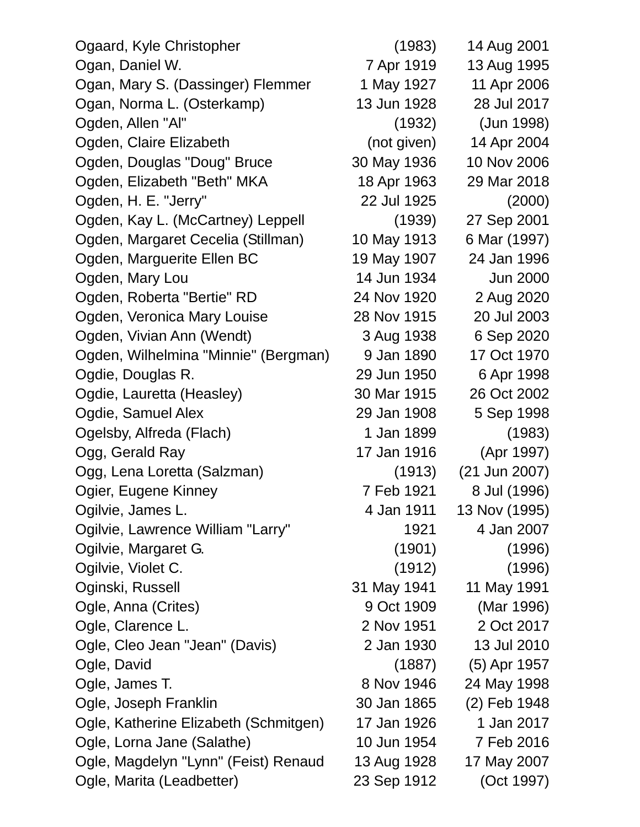| Ogaard, Kyle Christopher              | (1983)      | 14 Aug 2001     |
|---------------------------------------|-------------|-----------------|
| Ogan, Daniel W.                       | 7 Apr 1919  | 13 Aug 1995     |
| Ogan, Mary S. (Dassinger) Flemmer     | 1 May 1927  | 11 Apr 2006     |
| Ogan, Norma L. (Osterkamp)            | 13 Jun 1928 | 28 Jul 2017     |
| Ogden, Allen "Al"                     | (1932)      | (Jun 1998)      |
| Ogden, Claire Elizabeth               | (not given) | 14 Apr 2004     |
| Ogden, Douglas "Doug" Bruce           | 30 May 1936 | 10 Nov 2006     |
| Ogden, Elizabeth "Beth" MKA           | 18 Apr 1963 | 29 Mar 2018     |
| Ogden, H. E. "Jerry"                  | 22 Jul 1925 | (2000)          |
| Ogden, Kay L. (McCartney) Leppell     | (1939)      | 27 Sep 2001     |
| Ogden, Margaret Cecelia (Stillman)    | 10 May 1913 | 6 Mar (1997)    |
| Ogden, Marguerite Ellen BC            | 19 May 1907 | 24 Jan 1996     |
| Ogden, Mary Lou                       | 14 Jun 1934 | <b>Jun 2000</b> |
| Ogden, Roberta "Bertie" RD            | 24 Nov 1920 | 2 Aug 2020      |
| Ogden, Veronica Mary Louise           | 28 Nov 1915 | 20 Jul 2003     |
| Ogden, Vivian Ann (Wendt)             | 3 Aug 1938  | 6 Sep 2020      |
| Ogden, Wilhelmina "Minnie" (Bergman)  | 9 Jan 1890  | 17 Oct 1970     |
| Ogdie, Douglas R.                     | 29 Jun 1950 | 6 Apr 1998      |
| Ogdie, Lauretta (Heasley)             | 30 Mar 1915 | 26 Oct 2002     |
| Ogdie, Samuel Alex                    | 29 Jan 1908 | 5 Sep 1998      |
| Ogelsby, Alfreda (Flach)              | 1 Jan 1899  | (1983)          |
| Ogg, Gerald Ray                       | 17 Jan 1916 | (Apr 1997)      |
| Ogg, Lena Loretta (Salzman)           | (1913)      | (21 Jun 2007)   |
| Ogier, Eugene Kinney                  | 7 Feb 1921  | 8 Jul (1996)    |
| Ogilvie, James L.                     | 4 Jan 1911  | 13 Nov (1995)   |
| Ogilvie, Lawrence William "Larry"     | 1921        | 4 Jan 2007      |
| Ogilvie, Margaret G.                  | (1901)      | (1996)          |
| Ogilvie, Violet C.                    | (1912)      | (1996)          |
| Oginski, Russell                      | 31 May 1941 | 11 May 1991     |
| Ogle, Anna (Crites)                   | 9 Oct 1909  | (Mar 1996)      |
| Ogle, Clarence L.                     | 2 Nov 1951  | 2 Oct 2017      |
| Ogle, Cleo Jean "Jean" (Davis)        | 2 Jan 1930  | 13 Jul 2010     |
| Ogle, David                           | (1887)      | (5) Apr 1957    |
| Ogle, James T.                        | 8 Nov 1946  | 24 May 1998     |
| Ogle, Joseph Franklin                 | 30 Jan 1865 | (2) Feb 1948    |
| Ogle, Katherine Elizabeth (Schmitgen) | 17 Jan 1926 | 1 Jan 2017      |
| Ogle, Lorna Jane (Salathe)            | 10 Jun 1954 | 7 Feb 2016      |
| Ogle, Magdelyn "Lynn" (Feist) Renaud  | 13 Aug 1928 | 17 May 2007     |
| Ogle, Marita (Leadbetter)             | 23 Sep 1912 | (Oct 1997)      |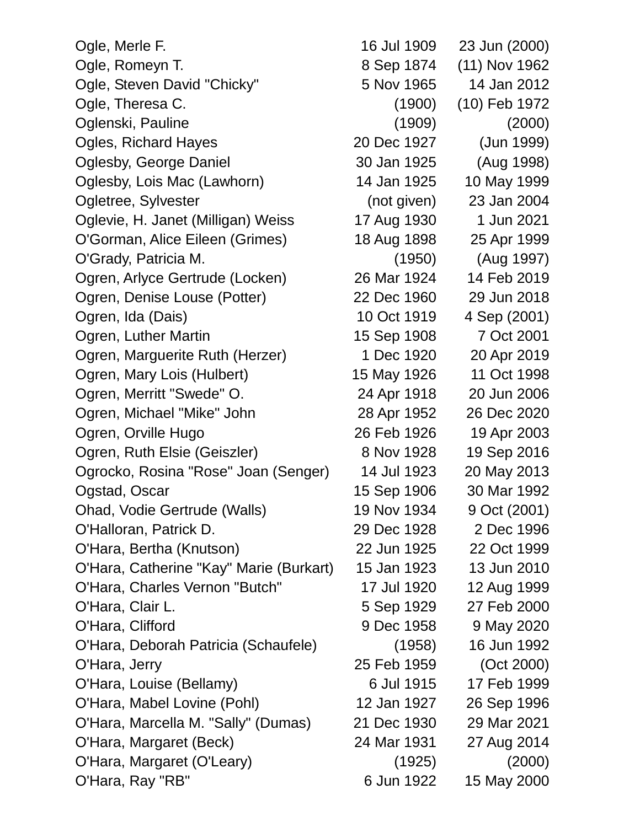| Ogle, Merle F.                          | 16 Jul 1909 | 23 Jun (2000) |
|-----------------------------------------|-------------|---------------|
| Ogle, Romeyn T.                         | 8 Sep 1874  | (11) Nov 1962 |
| Ogle, Steven David "Chicky"             | 5 Nov 1965  | 14 Jan 2012   |
| Ogle, Theresa C.                        | (1900)      | (10) Feb 1972 |
| Oglenski, Pauline                       | (1909)      | (2000)        |
| <b>Ogles, Richard Hayes</b>             | 20 Dec 1927 | (Jun 1999)    |
| Oglesby, George Daniel                  | 30 Jan 1925 | (Aug 1998)    |
| Oglesby, Lois Mac (Lawhorn)             | 14 Jan 1925 | 10 May 1999   |
| Ogletree, Sylvester                     | (not given) | 23 Jan 2004   |
| Oglevie, H. Janet (Milligan) Weiss      | 17 Aug 1930 | 1 Jun 2021    |
| O'Gorman, Alice Eileen (Grimes)         | 18 Aug 1898 | 25 Apr 1999   |
| O'Grady, Patricia M.                    | (1950)      | (Aug 1997)    |
| Ogren, Arlyce Gertrude (Locken)         | 26 Mar 1924 | 14 Feb 2019   |
| Ogren, Denise Louse (Potter)            | 22 Dec 1960 | 29 Jun 2018   |
| Ogren, Ida (Dais)                       | 10 Oct 1919 | 4 Sep (2001)  |
| Ogren, Luther Martin                    | 15 Sep 1908 | 7 Oct 2001    |
| Ogren, Marguerite Ruth (Herzer)         | 1 Dec 1920  | 20 Apr 2019   |
| Ogren, Mary Lois (Hulbert)              | 15 May 1926 | 11 Oct 1998   |
| Ogren, Merritt "Swede" O.               | 24 Apr 1918 | 20 Jun 2006   |
| Ogren, Michael "Mike" John              | 28 Apr 1952 | 26 Dec 2020   |
| Ogren, Orville Hugo                     | 26 Feb 1926 | 19 Apr 2003   |
| Ogren, Ruth Elsie (Geiszler)            | 8 Nov 1928  | 19 Sep 2016   |
| Ogrocko, Rosina "Rose" Joan (Senger)    | 14 Jul 1923 | 20 May 2013   |
| Ogstad, Oscar                           | 15 Sep 1906 | 30 Mar 1992   |
| Ohad, Vodie Gertrude (Walls)            | 19 Nov 1934 | 9 Oct (2001)  |
| O'Halloran, Patrick D.                  | 29 Dec 1928 | 2 Dec 1996    |
| O'Hara, Bertha (Knutson)                | 22 Jun 1925 | 22 Oct 1999   |
| O'Hara, Catherine "Kay" Marie (Burkart) | 15 Jan 1923 | 13 Jun 2010   |
| O'Hara, Charles Vernon "Butch"          | 17 Jul 1920 | 12 Aug 1999   |
| O'Hara, Clair L.                        | 5 Sep 1929  | 27 Feb 2000   |
| O'Hara, Clifford                        | 9 Dec 1958  | 9 May 2020    |
| O'Hara, Deborah Patricia (Schaufele)    | (1958)      | 16 Jun 1992   |
| O'Hara, Jerry                           | 25 Feb 1959 | (Oct 2000)    |
| O'Hara, Louise (Bellamy)                | 6 Jul 1915  | 17 Feb 1999   |
| O'Hara, Mabel Lovine (Pohl)             | 12 Jan 1927 | 26 Sep 1996   |
| O'Hara, Marcella M. "Sally" (Dumas)     | 21 Dec 1930 | 29 Mar 2021   |
| O'Hara, Margaret (Beck)                 | 24 Mar 1931 | 27 Aug 2014   |
| O'Hara, Margaret (O'Leary)              | (1925)      | (2000)        |
| O'Hara, Ray "RB"                        | 6 Jun 1922  | 15 May 2000   |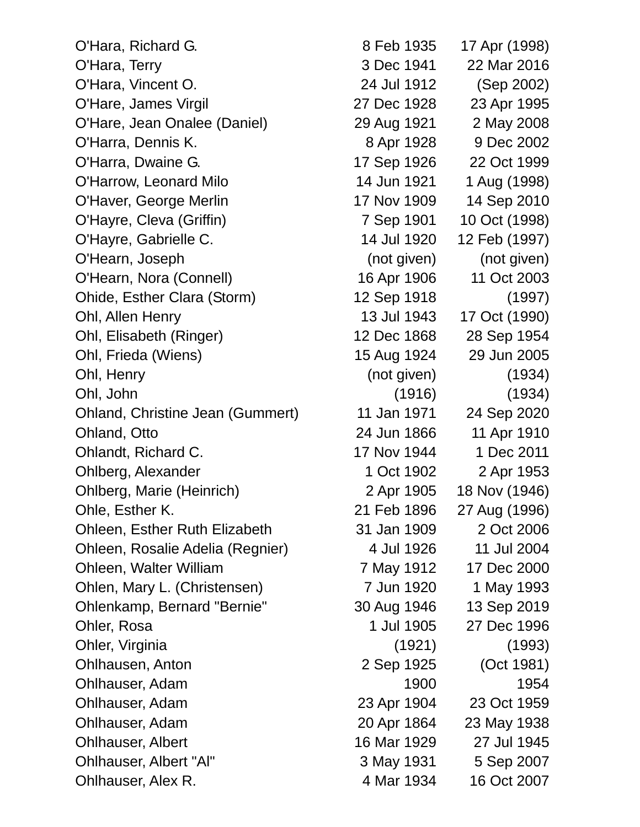O'Hara, Richard G. 8 Feb 1935 17 Apr (1998) O'Hara, Terry 3 Dec 1941 22 Mar 2016 O'Hara, Vincent O. 24 Jul 1912 (Sep 2002) O'Hare, James Virgil 27 Dec 1928 23 Apr 1995 O'Hare, Jean Onalee (Daniel) 29 Aug 1921 2 May 2008 O'Harra, Dennis K. 8 Apr 1928 9 Dec 2002 O'Harra, Dwaine G. 17 Sep 1926 22 Oct 1999 O'Harrow, Leonard Milo 14 Jun 1921 1 Aug (1998) O'Haver, George Merlin 17 Nov 1909 14 Sep 2010 O'Hayre, Cleva (Griffin) 7 Sep 1901 10 Oct (1998) O'Hayre, Gabrielle C. 14 Jul 1920 12 Feb (1997) O'Hearn, Joseph (not given) (not given) O'Hearn, Nora (Connell) 16 Apr 1906 11 Oct 2003 Ohide, Esther Clara (Storm) 12 Sep 1918 (1997) Ohl, Allen Henry 13 Jul 1943 17 Oct (1990) Ohl, Elisabeth (Ringer) 12 Dec 1868 28 Sep 1954 Ohl, Frieda (Wiens) 15 Aug 1924 29 Jun 2005 Ohl, Henry (not given) (1934) Ohl, John (1916) (1934) Ohland, Christine Jean (Gummert) 11 Jan 1971 24 Sep 2020 Ohland, Otto 24 Jun 1866 11 Apr 1910 Ohlandt, Richard C. 17 Nov 1944 1 Dec 2011 Ohlberg, Alexander 1 Oct 1902 2 Apr 1953 Ohlberg, Marie (Heinrich) 2 Apr 1905 18 Nov (1946) Ohle, Esther K. 21 Feb 1896 27 Aug (1996) Ohleen, Esther Ruth Elizabeth 31 Jan 1909 2 Oct 2006 Ohleen, Rosalie Adelia (Regnier) 4 Jul 1926 11 Jul 2004 Ohleen, Walter William 7 May 1912 17 Dec 2000 Ohlen, Mary L. (Christensen) 7 Jun 1920 1 May 1993 Ohlenkamp, Bernard "Bernie" 30 Aug 1946 13 Sep 2019 Ohler, Rosa 1 Jul 1905 27 Dec 1996 Ohler, Virginia (1921) (1993) Ohlhausen, Anton 2 Sep 1925 (Oct 1981) Ohlhauser, Adam 1900 1954 Ohlhauser, Adam 23 Apr 1904 23 Oct 1959 Ohlhauser, Adam 20 Apr 1864 23 May 1938 Ohlhauser, Albert 16 Mar 1929 27 Jul 1945 Ohlhauser, Albert "Al" 3 May 1931 5 Sep 2007 Ohlhauser, Alex R. 1934 16 Oct 2007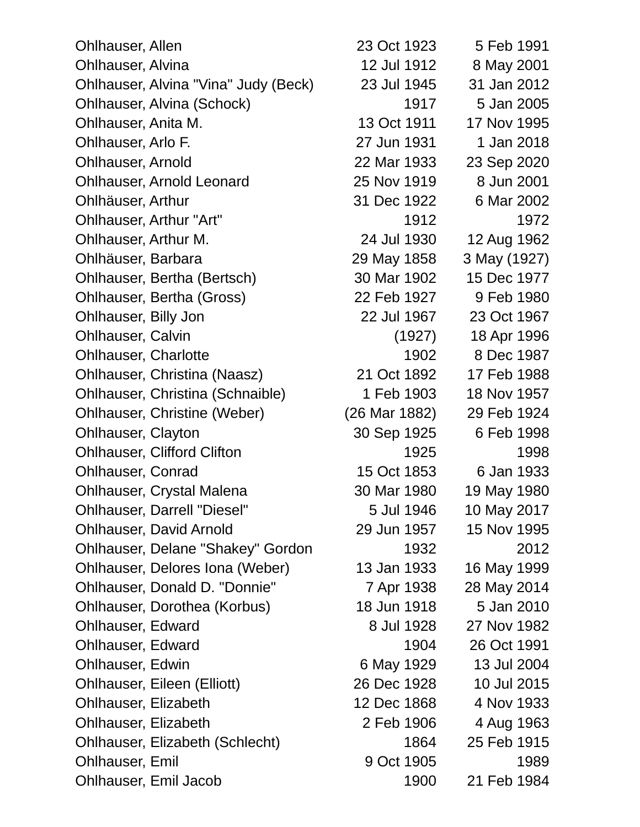| <b>Ohlhauser, Allen</b>                  | 23 Oct 1923   | 5 Feb 1991   |
|------------------------------------------|---------------|--------------|
| Ohlhauser, Alvina                        | 12 Jul 1912   | 8 May 2001   |
| Ohlhauser, Alvina "Vina" Judy (Beck)     | 23 Jul 1945   | 31 Jan 2012  |
| Ohlhauser, Alvina (Schock)               | 1917          | 5 Jan 2005   |
| Ohlhauser, Anita M.                      | 13 Oct 1911   | 17 Nov 1995  |
| Ohlhauser, Arlo F.                       | 27 Jun 1931   | 1 Jan 2018   |
| <b>Ohlhauser, Arnold</b>                 | 22 Mar 1933   | 23 Sep 2020  |
| <b>Ohlhauser, Arnold Leonard</b>         | 25 Nov 1919   | 8 Jun 2001   |
| Ohlhäuser, Arthur                        | 31 Dec 1922   | 6 Mar 2002   |
| Ohlhauser, Arthur "Art"                  | 1912          | 1972         |
| Ohlhauser, Arthur M.                     | 24 Jul 1930   | 12 Aug 1962  |
| Ohlhäuser, Barbara                       | 29 May 1858   | 3 May (1927) |
| Ohlhauser, Bertha (Bertsch)              | 30 Mar 1902   | 15 Dec 1977  |
| Ohlhauser, Bertha (Gross)                | 22 Feb 1927   | 9 Feb 1980   |
| Ohlhauser, Billy Jon                     | 22 Jul 1967   | 23 Oct 1967  |
| <b>Ohlhauser, Calvin</b>                 | (1927)        | 18 Apr 1996  |
| <b>Ohlhauser, Charlotte</b>              | 1902          | 8 Dec 1987   |
| Ohlhauser, Christina (Naasz)             | 21 Oct 1892   | 17 Feb 1988  |
| Ohlhauser, Christina (Schnaible)         | 1 Feb 1903    | 18 Nov 1957  |
| Ohlhauser, Christine (Weber)             | (26 Mar 1882) | 29 Feb 1924  |
| <b>Ohlhauser, Clayton</b>                | 30 Sep 1925   | 6 Feb 1998   |
| <b>Ohlhauser, Clifford Clifton</b>       | 1925          | 1998         |
| <b>Ohlhauser, Conrad</b>                 | 15 Oct 1853   | 6 Jan 1933   |
| <b>Ohlhauser, Crystal Malena</b>         | 30 Mar 1980   | 19 May 1980  |
| <b>Ohlhauser, Darrell "Diesel"</b>       | 5 Jul 1946    | 10 May 2017  |
| <b>Ohlhauser, David Arnold</b>           | 29 Jun 1957   | 15 Nov 1995  |
| <b>Ohlhauser, Delane "Shakey" Gordon</b> | 1932          | 2012         |
| Ohlhauser, Delores Iona (Weber)          | 13 Jan 1933   | 16 May 1999  |
| Ohlhauser, Donald D. "Donnie"            | 7 Apr 1938    | 28 May 2014  |
| Ohlhauser, Dorothea (Korbus)             | 18 Jun 1918   | 5 Jan 2010   |
| <b>Ohlhauser, Edward</b>                 | 8 Jul 1928    | 27 Nov 1982  |
| <b>Ohlhauser, Edward</b>                 | 1904          | 26 Oct 1991  |
| <b>Ohlhauser, Edwin</b>                  | 6 May 1929    | 13 Jul 2004  |
| Ohlhauser, Eileen (Elliott)              | 26 Dec 1928   | 10 Jul 2015  |
| Ohlhauser, Elizabeth                     | 12 Dec 1868   | 4 Nov 1933   |
| <b>Ohlhauser, Elizabeth</b>              | 2 Feb 1906    | 4 Aug 1963   |
| Ohlhauser, Elizabeth (Schlecht)          | 1864          | 25 Feb 1915  |
| <b>Ohlhauser, Emil</b>                   | 9 Oct 1905    | 1989         |
| Ohlhauser, Emil Jacob                    | 1900          | 21 Feb 1984  |
|                                          |               |              |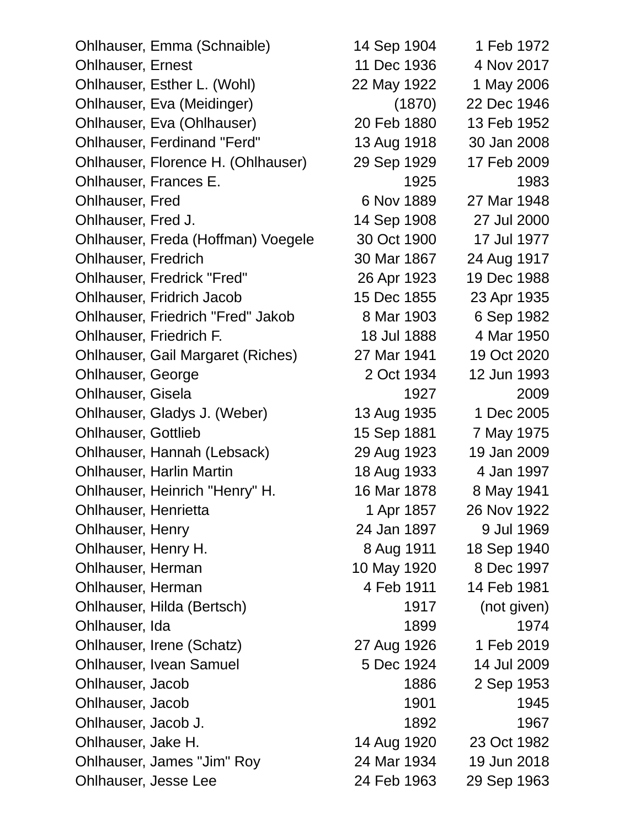| Ohlhauser, Emma (Schnaible)              | 14 Sep 1904 | 1 Feb 1972  |
|------------------------------------------|-------------|-------------|
| <b>Ohlhauser, Ernest</b>                 | 11 Dec 1936 | 4 Nov 2017  |
| Ohlhauser, Esther L. (Wohl)              | 22 May 1922 | 1 May 2006  |
| Ohlhauser, Eva (Meidinger)               | (1870)      | 22 Dec 1946 |
| Ohlhauser, Eva (Ohlhauser)               | 20 Feb 1880 | 13 Feb 1952 |
| <b>Ohlhauser, Ferdinand "Ferd"</b>       | 13 Aug 1918 | 30 Jan 2008 |
| Ohlhauser, Florence H. (Ohlhauser)       | 29 Sep 1929 | 17 Feb 2009 |
| Ohlhauser, Frances E.                    | 1925        | 1983        |
| <b>Ohlhauser, Fred</b>                   | 6 Nov 1889  | 27 Mar 1948 |
| Ohlhauser, Fred J.                       | 14 Sep 1908 | 27 Jul 2000 |
| Ohlhauser, Freda (Hoffman) Voegele       | 30 Oct 1900 | 17 Jul 1977 |
| <b>Ohlhauser, Fredrich</b>               | 30 Mar 1867 | 24 Aug 1917 |
| <b>Ohlhauser, Fredrick "Fred"</b>        | 26 Apr 1923 | 19 Dec 1988 |
| <b>Ohlhauser, Fridrich Jacob</b>         | 15 Dec 1855 | 23 Apr 1935 |
| <b>Ohlhauser, Friedrich "Fred" Jakob</b> | 8 Mar 1903  | 6 Sep 1982  |
| Ohlhauser, Friedrich F.                  | 18 Jul 1888 | 4 Mar 1950  |
| <b>Ohlhauser, Gail Margaret (Riches)</b> | 27 Mar 1941 | 19 Oct 2020 |
| Ohlhauser, George                        | 2 Oct 1934  | 12 Jun 1993 |
| <b>Ohlhauser, Gisela</b>                 | 1927        | 2009        |
| Ohlhauser, Gladys J. (Weber)             | 13 Aug 1935 | 1 Dec 2005  |
| <b>Ohlhauser, Gottlieb</b>               | 15 Sep 1881 | 7 May 1975  |
| Ohlhauser, Hannah (Lebsack)              | 29 Aug 1923 | 19 Jan 2009 |
| <b>Ohlhauser, Harlin Martin</b>          | 18 Aug 1933 | 4 Jan 1997  |
| Ohlhauser, Heinrich "Henry" H.           | 16 Mar 1878 | 8 May 1941  |
| Ohlhauser, Henrietta                     | 1 Apr 1857  | 26 Nov 1922 |
| Ohlhauser, Henry                         | 24 Jan 1897 | 9 Jul 1969  |
| Ohlhauser, Henry H.                      | 8 Aug 1911  | 18 Sep 1940 |
| Ohlhauser, Herman                        | 10 May 1920 | 8 Dec 1997  |
| Ohlhauser, Herman                        | 4 Feb 1911  | 14 Feb 1981 |
| Ohlhauser, Hilda (Bertsch)               | 1917        | (not given) |
| Ohlhauser, Ida                           | 1899        | 1974        |
| Ohlhauser, Irene (Schatz)                | 27 Aug 1926 | 1 Feb 2019  |
| <b>Ohlhauser, Ivean Samuel</b>           | 5 Dec 1924  | 14 Jul 2009 |
| Ohlhauser, Jacob                         | 1886        | 2 Sep 1953  |
| Ohlhauser, Jacob                         | 1901        | 1945        |
| Ohlhauser, Jacob J.                      | 1892        | 1967        |
| Ohlhauser, Jake H.                       | 14 Aug 1920 | 23 Oct 1982 |
| Ohlhauser, James "Jim" Roy               | 24 Mar 1934 | 19 Jun 2018 |
| Ohlhauser, Jesse Lee                     | 24 Feb 1963 | 29 Sep 1963 |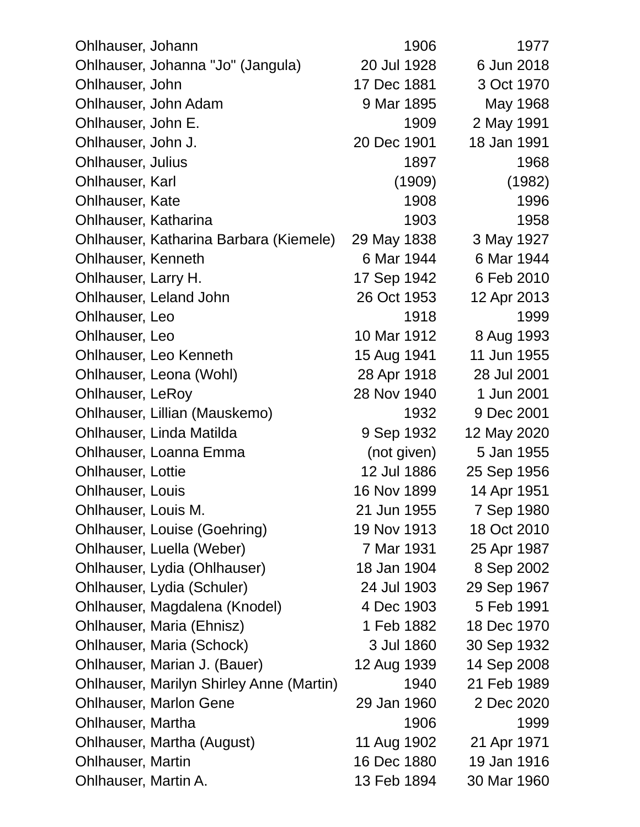| Ohlhauser, Johann                               | 1906        | 1977        |
|-------------------------------------------------|-------------|-------------|
| Ohlhauser, Johanna "Jo" (Jangula)               | 20 Jul 1928 | 6 Jun 2018  |
| Ohlhauser, John                                 | 17 Dec 1881 | 3 Oct 1970  |
| Ohlhauser, John Adam                            | 9 Mar 1895  | May 1968    |
| Ohlhauser, John E.                              | 1909        | 2 May 1991  |
| Ohlhauser, John J.                              | 20 Dec 1901 | 18 Jan 1991 |
| <b>Ohlhauser, Julius</b>                        | 1897        | 1968        |
| Ohlhauser, Karl                                 | (1909)      | (1982)      |
| <b>Ohlhauser, Kate</b>                          | 1908        | 1996        |
| Ohlhauser, Katharina                            | 1903        | 1958        |
| Ohlhauser, Katharina Barbara (Kiemele)          | 29 May 1838 | 3 May 1927  |
| <b>Ohlhauser, Kenneth</b>                       | 6 Mar 1944  | 6 Mar 1944  |
| Ohlhauser, Larry H.                             | 17 Sep 1942 | 6 Feb 2010  |
| Ohlhauser, Leland John                          | 26 Oct 1953 | 12 Apr 2013 |
| Ohlhauser, Leo                                  | 1918        | 1999        |
| Ohlhauser, Leo                                  | 10 Mar 1912 | 8 Aug 1993  |
| Ohlhauser, Leo Kenneth                          | 15 Aug 1941 | 11 Jun 1955 |
| Ohlhauser, Leona (Wohl)                         | 28 Apr 1918 | 28 Jul 2001 |
| <b>Ohlhauser, LeRoy</b>                         | 28 Nov 1940 | 1 Jun 2001  |
| Ohlhauser, Lillian (Mauskemo)                   | 1932        | 9 Dec 2001  |
| Ohlhauser, Linda Matilda                        | 9 Sep 1932  | 12 May 2020 |
| Ohlhauser, Loanna Emma                          | (not given) | 5 Jan 1955  |
| <b>Ohlhauser, Lottie</b>                        | 12 Jul 1886 | 25 Sep 1956 |
| <b>Ohlhauser, Louis</b>                         | 16 Nov 1899 | 14 Apr 1951 |
| Ohlhauser, Louis M.                             | 21 Jun 1955 | 7 Sep 1980  |
| Ohlhauser, Louise (Goehring)                    | 19 Nov 1913 | 18 Oct 2010 |
| Ohlhauser, Luella (Weber)                       | 7 Mar 1931  | 25 Apr 1987 |
| Ohlhauser, Lydia (Ohlhauser)                    | 18 Jan 1904 | 8 Sep 2002  |
| Ohlhauser, Lydia (Schuler)                      | 24 Jul 1903 | 29 Sep 1967 |
| Ohlhauser, Magdalena (Knodel)                   | 4 Dec 1903  | 5 Feb 1991  |
| Ohlhauser, Maria (Ehnisz)                       | 1 Feb 1882  | 18 Dec 1970 |
| Ohlhauser, Maria (Schock)                       | 3 Jul 1860  | 30 Sep 1932 |
| Ohlhauser, Marian J. (Bauer)                    | 12 Aug 1939 | 14 Sep 2008 |
| <b>Ohlhauser, Marilyn Shirley Anne (Martin)</b> | 1940        | 21 Feb 1989 |
| <b>Ohlhauser, Marlon Gene</b>                   | 29 Jan 1960 | 2 Dec 2020  |
| Ohlhauser, Martha                               | 1906        | 1999        |
| Ohlhauser, Martha (August)                      | 11 Aug 1902 | 21 Apr 1971 |
| <b>Ohlhauser, Martin</b>                        | 16 Dec 1880 | 19 Jan 1916 |
| Ohlhauser, Martin A.                            | 13 Feb 1894 | 30 Mar 1960 |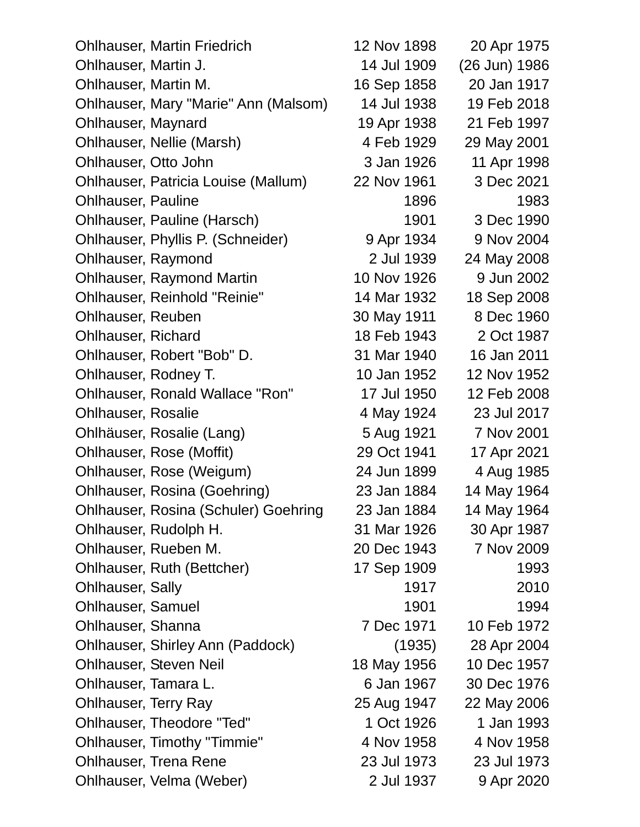| <b>Ohlhauser, Martin Friedrich</b>          | 12 Nov 1898 | 20 Apr 1975   |
|---------------------------------------------|-------------|---------------|
| Ohlhauser, Martin J.                        | 14 Jul 1909 | (26 Jun) 1986 |
| Ohlhauser, Martin M.                        | 16 Sep 1858 | 20 Jan 1917   |
| Ohlhauser, Mary "Marie" Ann (Malsom)        | 14 Jul 1938 | 19 Feb 2018   |
| Ohlhauser, Maynard                          | 19 Apr 1938 | 21 Feb 1997   |
| Ohlhauser, Nellie (Marsh)                   | 4 Feb 1929  | 29 May 2001   |
| Ohlhauser, Otto John                        | 3 Jan 1926  | 11 Apr 1998   |
| Ohlhauser, Patricia Louise (Mallum)         | 22 Nov 1961 | 3 Dec 2021    |
| <b>Ohlhauser, Pauline</b>                   | 1896        | 1983          |
| Ohlhauser, Pauline (Harsch)                 | 1901        | 3 Dec 1990    |
| Ohlhauser, Phyllis P. (Schneider)           | 9 Apr 1934  | 9 Nov 2004    |
| Ohlhauser, Raymond                          | 2 Jul 1939  | 24 May 2008   |
| <b>Ohlhauser, Raymond Martin</b>            | 10 Nov 1926 | 9 Jun 2002    |
| <b>Ohlhauser, Reinhold "Reinie"</b>         | 14 Mar 1932 | 18 Sep 2008   |
| Ohlhauser, Reuben                           | 30 May 1911 | 8 Dec 1960    |
| <b>Ohlhauser, Richard</b>                   | 18 Feb 1943 | 2 Oct 1987    |
| Ohlhauser, Robert "Bob" D.                  | 31 Mar 1940 | 16 Jan 2011   |
| Ohlhauser, Rodney T.                        | 10 Jan 1952 | 12 Nov 1952   |
| <b>Ohlhauser, Ronald Wallace "Ron"</b>      | 17 Jul 1950 | 12 Feb 2008   |
| <b>Ohlhauser, Rosalie</b>                   | 4 May 1924  | 23 Jul 2017   |
| Ohlhäuser, Rosalie (Lang)                   | 5 Aug 1921  | 7 Nov 2001    |
| Ohlhauser, Rose (Moffit)                    | 29 Oct 1941 | 17 Apr 2021   |
| Ohlhauser, Rose (Weigum)                    | 24 Jun 1899 | 4 Aug 1985    |
| Ohlhauser, Rosina (Goehring)                | 23 Jan 1884 | 14 May 1964   |
| <b>Ohlhauser, Rosina (Schuler) Goehring</b> | 23 Jan 1884 | 14 May 1964   |
| Ohlhauser, Rudolph H.                       | 31 Mar 1926 | 30 Apr 1987   |
| Ohlhauser, Rueben M.                        | 20 Dec 1943 | 7 Nov 2009    |
| Ohlhauser, Ruth (Bettcher)                  | 17 Sep 1909 | 1993          |
| <b>Ohlhauser, Sally</b>                     | 1917        | 2010          |
| <b>Ohlhauser, Samuel</b>                    | 1901        | 1994          |
| Ohlhauser, Shanna                           | 7 Dec 1971  | 10 Feb 1972   |
| Ohlhauser, Shirley Ann (Paddock)            | (1935)      | 28 Apr 2004   |
| <b>Ohlhauser, Steven Neil</b>               | 18 May 1956 | 10 Dec 1957   |
| Ohlhauser, Tamara L.                        | 6 Jan 1967  | 30 Dec 1976   |
| Ohlhauser, Terry Ray                        | 25 Aug 1947 | 22 May 2006   |
| <b>Ohlhauser, Theodore "Ted"</b>            | 1 Oct 1926  | 1 Jan 1993    |
| <b>Ohlhauser, Timothy "Timmie"</b>          | 4 Nov 1958  | 4 Nov 1958    |
| <b>Ohlhauser, Trena Rene</b>                | 23 Jul 1973 | 23 Jul 1973   |
| Ohlhauser, Velma (Weber)                    | 2 Jul 1937  | 9 Apr 2020    |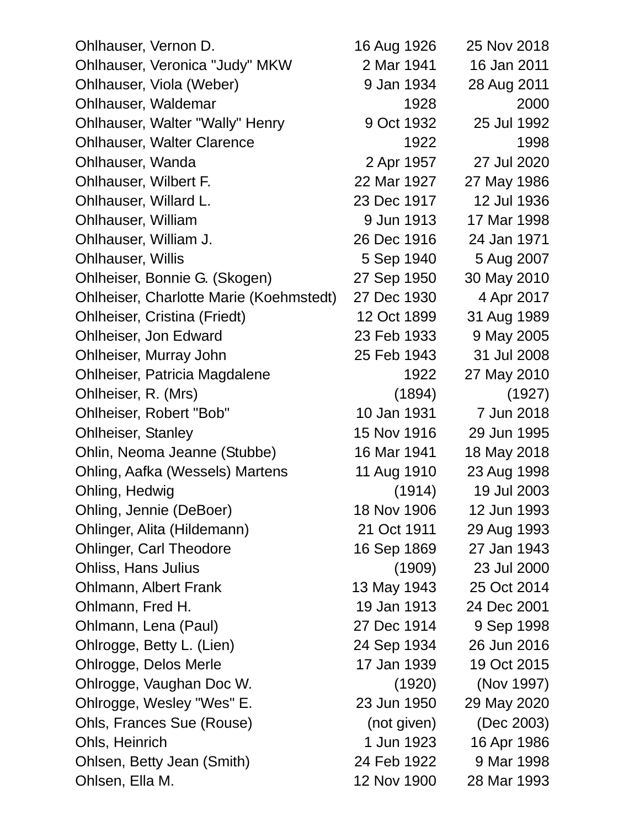| 16 Aug 1926 | 25 Nov 2018                                                                      |
|-------------|----------------------------------------------------------------------------------|
| 2 Mar 1941  | 16 Jan 2011                                                                      |
| 9 Jan 1934  | 28 Aug 2011                                                                      |
| 1928        | 2000                                                                             |
| 9 Oct 1932  | 25 Jul 1992                                                                      |
| 1922        | 1998                                                                             |
| 2 Apr 1957  | 27 Jul 2020                                                                      |
| 22 Mar 1927 | 27 May 1986                                                                      |
| 23 Dec 1917 | 12 Jul 1936                                                                      |
| 9 Jun 1913  | 17 Mar 1998                                                                      |
| 26 Dec 1916 | 24 Jan 1971                                                                      |
| 5 Sep 1940  | 5 Aug 2007                                                                       |
| 27 Sep 1950 | 30 May 2010                                                                      |
| 27 Dec 1930 | 4 Apr 2017                                                                       |
| 12 Oct 1899 | 31 Aug 1989                                                                      |
| 23 Feb 1933 | 9 May 2005                                                                       |
| 25 Feb 1943 | 31 Jul 2008                                                                      |
| 1922        | 27 May 2010                                                                      |
| (1894)      | (1927)                                                                           |
| 10 Jan 1931 | 7 Jun 2018                                                                       |
| 15 Nov 1916 | 29 Jun 1995                                                                      |
| 16 Mar 1941 | 18 May 2018                                                                      |
| 11 Aug 1910 | 23 Aug 1998                                                                      |
| (1914)      | 19 Jul 2003                                                                      |
| 18 Nov 1906 | 12 Jun 1993                                                                      |
| 21 Oct 1911 | 29 Aug 1993                                                                      |
|             | 27 Jan 1943                                                                      |
|             | 23 Jul 2000                                                                      |
|             | 25 Oct 2014                                                                      |
| 19 Jan 1913 | 24 Dec 2001                                                                      |
| 27 Dec 1914 | 9 Sep 1998                                                                       |
| 24 Sep 1934 | 26 Jun 2016                                                                      |
| 17 Jan 1939 | 19 Oct 2015                                                                      |
| (1920)      | (Nov 1997)                                                                       |
| 23 Jun 1950 | 29 May 2020                                                                      |
|             | (Dec 2003)                                                                       |
|             | 16 Apr 1986                                                                      |
|             | 9 Mar 1998                                                                       |
| 12 Nov 1900 | 28 Mar 1993                                                                      |
|             | 16 Sep 1869<br>(1909)<br>13 May 1943<br>(not given)<br>1 Jun 1923<br>24 Feb 1922 |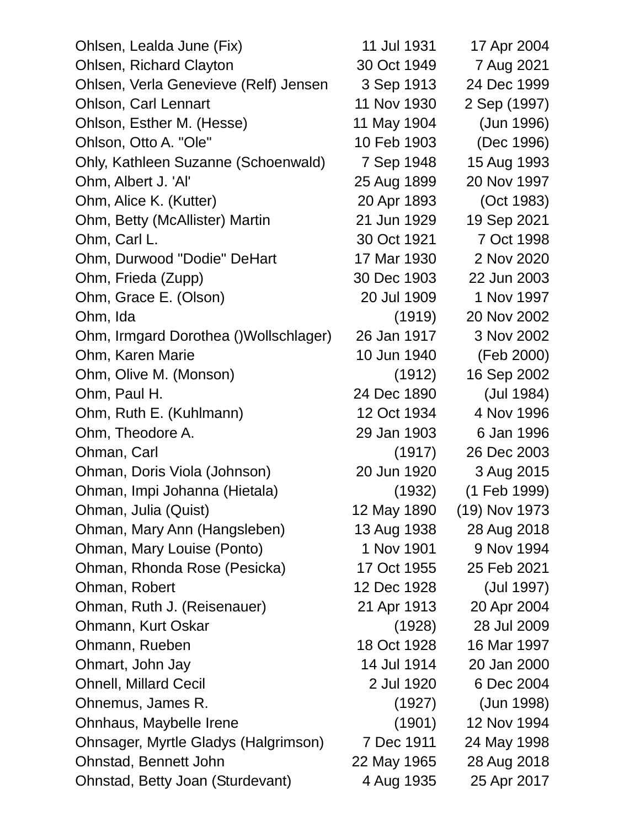| Ohlsen, Lealda June (Fix)             | 11 Jul 1931 | 17 Apr 2004   |
|---------------------------------------|-------------|---------------|
| <b>Ohlsen, Richard Clayton</b>        | 30 Oct 1949 | 7 Aug 2021    |
| Ohlsen, Verla Genevieve (Relf) Jensen | 3 Sep 1913  | 24 Dec 1999   |
| <b>Ohlson, Carl Lennart</b>           | 11 Nov 1930 | 2 Sep (1997)  |
| Ohlson, Esther M. (Hesse)             | 11 May 1904 | (Jun 1996)    |
| Ohlson, Otto A. "Ole"                 | 10 Feb 1903 | (Dec 1996)    |
| Ohly, Kathleen Suzanne (Schoenwald)   | 7 Sep 1948  | 15 Aug 1993   |
| Ohm, Albert J. 'Al'                   | 25 Aug 1899 | 20 Nov 1997   |
| Ohm, Alice K. (Kutter)                | 20 Apr 1893 | (Oct 1983)    |
| Ohm, Betty (McAllister) Martin        | 21 Jun 1929 | 19 Sep 2021   |
| Ohm, Carl L.                          | 30 Oct 1921 | 7 Oct 1998    |
| Ohm, Durwood "Dodie" DeHart           | 17 Mar 1930 | 2 Nov 2020    |
| Ohm, Frieda (Zupp)                    | 30 Dec 1903 | 22 Jun 2003   |
| Ohm, Grace E. (Olson)                 | 20 Jul 1909 | 1 Nov 1997    |
| Ohm, Ida                              | (1919)      | 20 Nov 2002   |
| Ohm, Irmgard Dorothea ()Wollschlager) | 26 Jan 1917 | 3 Nov 2002    |
| Ohm, Karen Marie                      | 10 Jun 1940 | (Feb 2000)    |
| Ohm, Olive M. (Monson)                | (1912)      | 16 Sep 2002   |
| Ohm, Paul H.                          | 24 Dec 1890 | (Jul 1984)    |
| Ohm, Ruth E. (Kuhlmann)               | 12 Oct 1934 | 4 Nov 1996    |
| Ohm, Theodore A.                      | 29 Jan 1903 | 6 Jan 1996    |
| Ohman, Carl                           | (1917)      | 26 Dec 2003   |
| Ohman, Doris Viola (Johnson)          | 20 Jun 1920 | 3 Aug 2015    |
| Ohman, Impi Johanna (Hietala)         | (1932)      | (1 Feb 1999)  |
| Ohman, Julia (Quist)                  | 12 May 1890 | (19) Nov 1973 |
| Ohman, Mary Ann (Hangsleben)          | 13 Aug 1938 | 28 Aug 2018   |
| Ohman, Mary Louise (Ponto)            | 1 Nov 1901  | 9 Nov 1994    |
| Ohman, Rhonda Rose (Pesicka)          | 17 Oct 1955 | 25 Feb 2021   |
| Ohman, Robert                         | 12 Dec 1928 | (Jul 1997)    |
| Ohman, Ruth J. (Reisenauer)           | 21 Apr 1913 | 20 Apr 2004   |
| Ohmann, Kurt Oskar                    | (1928)      | 28 Jul 2009   |
| Ohmann, Rueben                        | 18 Oct 1928 | 16 Mar 1997   |
| Ohmart, John Jay                      | 14 Jul 1914 | 20 Jan 2000   |
| <b>Ohnell, Millard Cecil</b>          | 2 Jul 1920  | 6 Dec 2004    |
| Ohnemus, James R.                     | (1927)      | (Jun 1998)    |
| Ohnhaus, Maybelle Irene               | (1901)      | 12 Nov 1994   |
| Ohnsager, Myrtle Gladys (Halgrimson)  | 7 Dec 1911  | 24 May 1998   |
| Ohnstad, Bennett John                 | 22 May 1965 | 28 Aug 2018   |
| Ohnstad, Betty Joan (Sturdevant)      | 4 Aug 1935  | 25 Apr 2017   |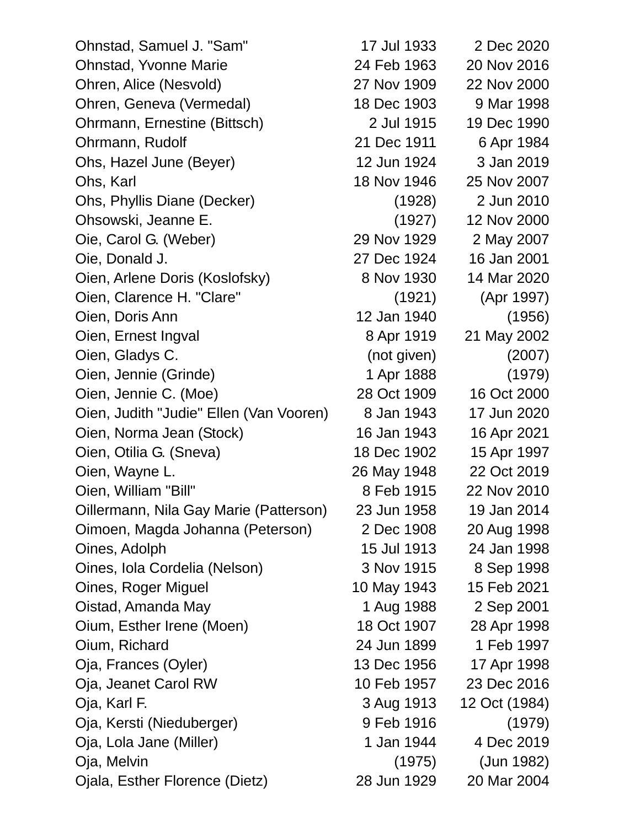Ohnstad, Samuel J. "Sam" 17 Jul 1933 2 Dec 2020 Ohnstad, Yvonne Marie 24 Feb 1963 20 Nov 2016 Ohren, Alice (Nesvold) 27 Nov 1909 22 Nov 2000 Ohren, Geneva (Vermedal) 18 Dec 1903 9 Mar 1998 Ohrmann, Ernestine (Bittsch) 2 Jul 1915 19 Dec 1990 Ohrmann, Rudolf 21 Dec 1911 6 Apr 1984 Ohs, Hazel June (Beyer) 12 Jun 1924 3 Jan 2019 Ohs, Karl 18 Nov 1946 25 Nov 2007 Ohs, Phyllis Diane (Decker) (1928) 2 Jun 2010 Ohsowski, Jeanne E. (1927) 12 Nov 2000 Oie, Carol G. (Weber) 29 Nov 1929 2 May 2007 Oie, Donald J. 27 Dec 1924 16 Jan 2001 Oien, Arlene Doris (Koslofsky) 8 Nov 1930 14 Mar 2020 Oien, Clarence H. "Clare" (1921) (Apr 1997) Oien, Doris Ann 12 Jan 1940 (1956) Oien, Ernest Ingval **8 Apr 1919** 21 May 2002 Oien, Gladys C. (not given) (2007) Oien, Jennie (Grinde) 1 Apr 1888 (1979) Oien, Jennie C. (Moe) 28 Oct 1909 16 Oct 2000 Oien, Judith "Judie" Ellen (Van Vooren) 8 Jan 1943 17 Jun 2020 Oien, Norma Jean (Stock) 16 Jan 1943 16 Apr 2021 Oien, Otilia G. (Sneva) 18 Dec 1902 15 Apr 1997 Oien, Wayne L. 26 May 1948 22 Oct 2019 Oien, William "Bill" 8 Feb 1915 22 Nov 2010 Oillermann, Nila Gay Marie (Patterson) 23 Jun 1958 19 Jan 2014 Oimoen, Magda Johanna (Peterson) 2 Dec 1908 20 Aug 1998 Oines, Adolph 15 Jul 1913 24 Jan 1998 Oines, Iola Cordelia (Nelson) 3 Nov 1915 8 Sep 1998 Oines, Roger Miguel 10 May 1943 15 Feb 2021 Oistad, Amanda May 1 Aug 1988 2 Sep 2001 Oium, Esther Irene (Moen) 18 Oct 1907 28 Apr 1998 Oium, Richard 24 Jun 1899 1 Feb 1997 Oja, Frances (Oyler) 13 Dec 1956 17 Apr 1998 Oja, Jeanet Carol RW 10 Feb 1957 23 Dec 2016 Oja, Karl F. 3 Aug 1913 12 Oct (1984) Oja, Kersti (Nieduberger) 9 Feb 1916 (1979) Oja, Lola Jane (Miller) 1 Jan 1944 4 Dec 2019 Oja, Melvin (1975) (Jun 1982) Ojala, Esther Florence (Dietz) 28 Jun 1929 20 Mar 2004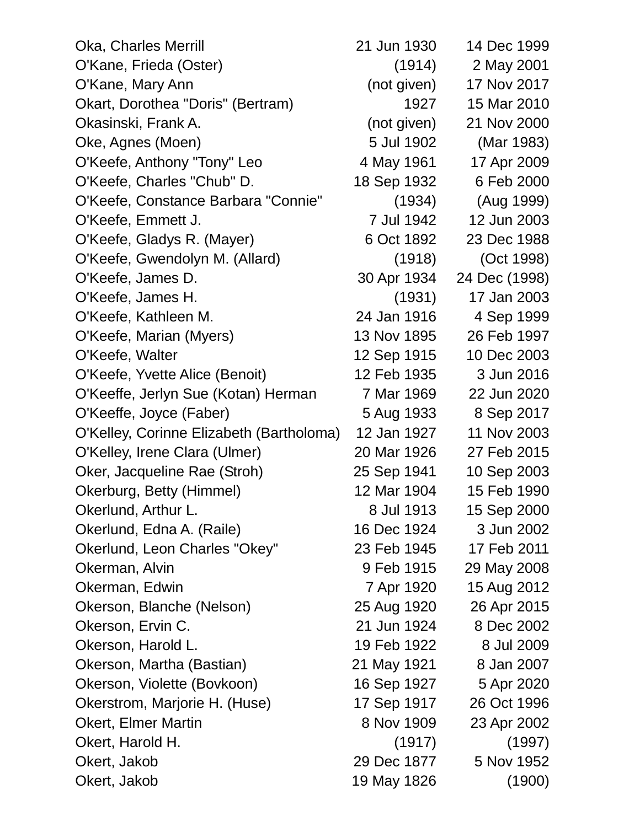| Oka, Charles Merrill                     | 21 Jun 1930 | 14 Dec 1999   |
|------------------------------------------|-------------|---------------|
| O'Kane, Frieda (Oster)                   | (1914)      | 2 May 2001    |
| O'Kane, Mary Ann                         | (not given) | 17 Nov 2017   |
| Okart, Dorothea "Doris" (Bertram)        | 1927        | 15 Mar 2010   |
| Okasinski, Frank A.                      | (not given) | 21 Nov 2000   |
| Oke, Agnes (Moen)                        | 5 Jul 1902  | (Mar 1983)    |
| O'Keefe, Anthony "Tony" Leo              | 4 May 1961  | 17 Apr 2009   |
| O'Keefe, Charles "Chub" D.               | 18 Sep 1932 | 6 Feb 2000    |
| O'Keefe, Constance Barbara "Connie"      | (1934)      | (Aug 1999)    |
| O'Keefe, Emmett J.                       | 7 Jul 1942  | 12 Jun 2003   |
| O'Keefe, Gladys R. (Mayer)               | 6 Oct 1892  | 23 Dec 1988   |
| O'Keefe, Gwendolyn M. (Allard)           | (1918)      | (Oct 1998)    |
| O'Keefe, James D.                        | 30 Apr 1934 | 24 Dec (1998) |
| O'Keefe, James H.                        | (1931)      | 17 Jan 2003   |
| O'Keefe, Kathleen M.                     | 24 Jan 1916 | 4 Sep 1999    |
| O'Keefe, Marian (Myers)                  | 13 Nov 1895 | 26 Feb 1997   |
| O'Keefe, Walter                          | 12 Sep 1915 | 10 Dec 2003   |
| O'Keefe, Yvette Alice (Benoit)           | 12 Feb 1935 | 3 Jun 2016    |
| O'Keeffe, Jerlyn Sue (Kotan) Herman      | 7 Mar 1969  | 22 Jun 2020   |
| O'Keeffe, Joyce (Faber)                  | 5 Aug 1933  | 8 Sep 2017    |
| O'Kelley, Corinne Elizabeth (Bartholoma) | 12 Jan 1927 | 11 Nov 2003   |
| O'Kelley, Irene Clara (Ulmer)            | 20 Mar 1926 | 27 Feb 2015   |
| Oker, Jacqueline Rae (Stroh)             | 25 Sep 1941 | 10 Sep 2003   |
| Okerburg, Betty (Himmel)                 | 12 Mar 1904 | 15 Feb 1990   |
| Okerlund, Arthur L.                      | 8 Jul 1913  | 15 Sep 2000   |
| Okerlund, Edna A. (Raile)                | 16 Dec 1924 | 3 Jun 2002    |
| Okerlund, Leon Charles "Okey"            | 23 Feb 1945 | 17 Feb 2011   |
| Okerman, Alvin                           | 9 Feb 1915  | 29 May 2008   |
| Okerman, Edwin                           | 7 Apr 1920  | 15 Aug 2012   |
| Okerson, Blanche (Nelson)                | 25 Aug 1920 | 26 Apr 2015   |
| Okerson, Ervin C.                        | 21 Jun 1924 | 8 Dec 2002    |
| Okerson, Harold L.                       | 19 Feb 1922 | 8 Jul 2009    |
| Okerson, Martha (Bastian)                | 21 May 1921 | 8 Jan 2007    |
| Okerson, Violette (Bovkoon)              | 16 Sep 1927 | 5 Apr 2020    |
| Okerstrom, Marjorie H. (Huse)            | 17 Sep 1917 | 26 Oct 1996   |
| <b>Okert, Elmer Martin</b>               | 8 Nov 1909  | 23 Apr 2002   |
| Okert, Harold H.                         | (1917)      | (1997)        |
| Okert, Jakob                             | 29 Dec 1877 | 5 Nov 1952    |
| Okert, Jakob                             | 19 May 1826 | (1900)        |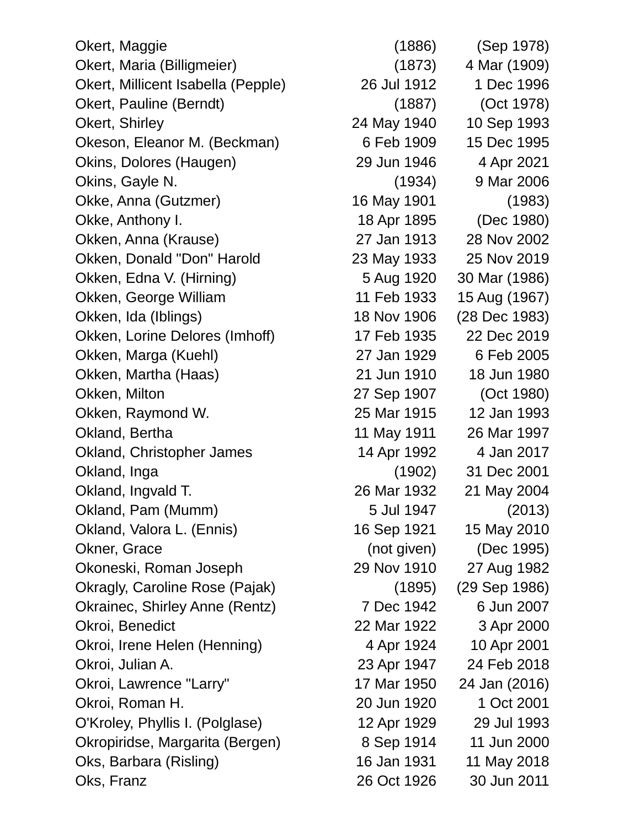Okert, Maggie (1886) (Sep 1978) Okert, Maria (Billigmeier) (1873) 4 Mar (1909) Okert, Millicent Isabella (Pepple) 26 Jul 1912 1 Dec 1996 Okert, Pauline (Berndt) (1887) (Oct 1978) Okert, Shirley 24 May 1940 10 Sep 1993 Okeson, Eleanor M. (Beckman) 6 Feb 1909 15 Dec 1995 Okins, Dolores (Haugen) 29 Jun 1946 4 Apr 2021 Okins, Gayle N. (1934) 9 Mar 2006 Okke, Anna (Gutzmer) 16 May 1901 (1983) Okke, Anthony I. 18 Apr 1895 (Dec 1980) Okken, Anna (Krause) 27 Jan 1913 28 Nov 2002 Okken, Donald "Don" Harold 23 May 1933 25 Nov 2019 Okken, Edna V. (Hirning) 5 Aug 1920 30 Mar (1986) Okken, George William 11 Feb 1933 15 Aug (1967) Okken, Ida (Iblings) 18 Nov 1906 (28 Dec 1983) Okken, Lorine Delores (Imhoff) 17 Feb 1935 22 Dec 2019 Okken, Marga (Kuehl) 27 Jan 1929 6 Feb 2005 Okken, Martha (Haas) 21 Jun 1910 18 Jun 1980 Okken, Milton 27 Sep 1907 (Oct 1980) Okken, Raymond W. 25 Mar 1915 12 Jan 1993 Okland, Bertha 11 May 1911 26 Mar 1997 Okland, Christopher James 14 Apr 1992 4 Jan 2017 Okland, Inga (1902) 31 Dec 2001 Okland, Ingvald T. 26 Mar 1932 21 May 2004 Okland, Pam (Mumm) 5 Jul 1947 (2013) Okland, Valora L. (Ennis) 16 Sep 1921 15 May 2010 Okner, Grace (not given) (Dec 1995) Okoneski, Roman Joseph 29 Nov 1910 27 Aug 1982 Okragly, Caroline Rose (Pajak) (1895) (29 Sep 1986) Okrainec, Shirley Anne (Rentz) 7 Dec 1942 6 Jun 2007 Okroi, Benedict 22 Mar 1922 3 Apr 2000 Okroi, Irene Helen (Henning) 4 Apr 1924 10 Apr 2001 Okroi, Julian A. 23 Apr 1947 24 Feb 2018 Okroi, Lawrence "Larry" 17 Mar 1950 24 Jan (2016) Okroi, Roman H. 20 Jun 1920 1 Oct 2001 O'Kroley, Phyllis I. (Polglase) 12 Apr 1929 29 Jul 1993 Okropiridse, Margarita (Bergen) 8 Sep 1914 11 Jun 2000 Oks, Barbara (Risling) 16 Jan 1931 11 May 2018 Oks, Franz 26 Oct 1926 30 Jun 2011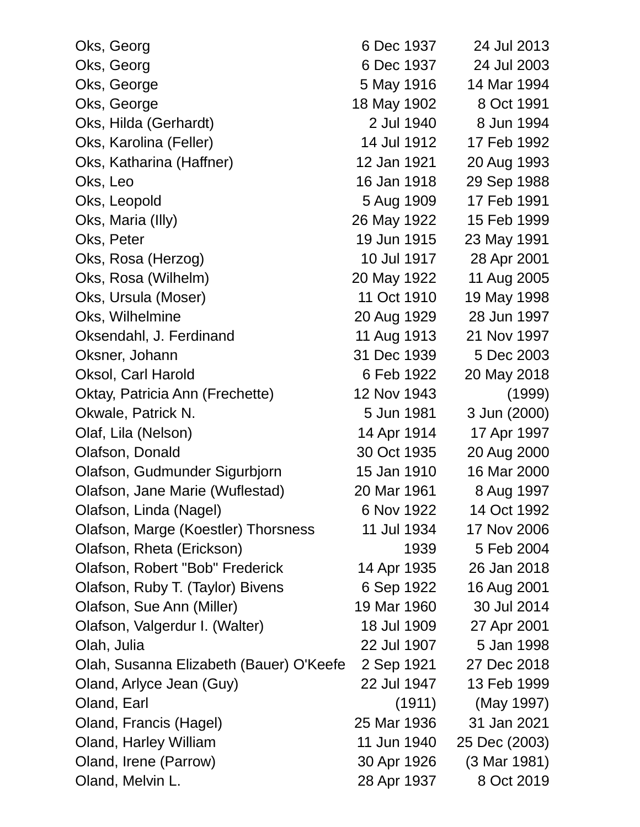| Oks, Georg                              | 6 Dec 1937  | 24 Jul 2013   |
|-----------------------------------------|-------------|---------------|
| Oks, Georg                              | 6 Dec 1937  | 24 Jul 2003   |
| Oks, George                             | 5 May 1916  | 14 Mar 1994   |
| Oks, George                             | 18 May 1902 | 8 Oct 1991    |
| Oks, Hilda (Gerhardt)                   | 2 Jul 1940  | 8 Jun 1994    |
| Oks, Karolina (Feller)                  | 14 Jul 1912 | 17 Feb 1992   |
| Oks, Katharina (Haffner)                | 12 Jan 1921 | 20 Aug 1993   |
| Oks, Leo                                | 16 Jan 1918 | 29 Sep 1988   |
| Oks, Leopold                            | 5 Aug 1909  | 17 Feb 1991   |
| Oks, Maria (Illy)                       | 26 May 1922 | 15 Feb 1999   |
| Oks, Peter                              | 19 Jun 1915 | 23 May 1991   |
| Oks, Rosa (Herzog)                      | 10 Jul 1917 | 28 Apr 2001   |
| Oks, Rosa (Wilhelm)                     | 20 May 1922 | 11 Aug 2005   |
| Oks, Ursula (Moser)                     | 11 Oct 1910 | 19 May 1998   |
| Oks, Wilhelmine                         | 20 Aug 1929 | 28 Jun 1997   |
| Oksendahl, J. Ferdinand                 | 11 Aug 1913 | 21 Nov 1997   |
| Oksner, Johann                          | 31 Dec 1939 | 5 Dec 2003    |
| Oksol, Carl Harold                      | 6 Feb 1922  | 20 May 2018   |
| Oktay, Patricia Ann (Frechette)         | 12 Nov 1943 | (1999)        |
| Okwale, Patrick N.                      | 5 Jun 1981  | 3 Jun (2000)  |
| Olaf, Lila (Nelson)                     | 14 Apr 1914 | 17 Apr 1997   |
| Olafson, Donald                         | 30 Oct 1935 | 20 Aug 2000   |
| Olafson, Gudmunder Sigurbjorn           | 15 Jan 1910 | 16 Mar 2000   |
| Olafson, Jane Marie (Wuflestad)         | 20 Mar 1961 | 8 Aug 1997    |
| Olafson, Linda (Nagel)                  | 6 Nov 1922  | 14 Oct 1992   |
| Olafson, Marge (Koestler) Thorsness     | 11 Jul 1934 | 17 Nov 2006   |
| Olafson, Rheta (Erickson)               | 1939        | 5 Feb 2004    |
| Olafson, Robert "Bob" Frederick         | 14 Apr 1935 | 26 Jan 2018   |
| Olafson, Ruby T. (Taylor) Bivens        | 6 Sep 1922  | 16 Aug 2001   |
| Olafson, Sue Ann (Miller)               | 19 Mar 1960 | 30 Jul 2014   |
| Olafson, Valgerdur I. (Walter)          | 18 Jul 1909 | 27 Apr 2001   |
| Olah, Julia                             | 22 Jul 1907 | 5 Jan 1998    |
| Olah, Susanna Elizabeth (Bauer) O'Keefe | 2 Sep 1921  | 27 Dec 2018   |
| Oland, Arlyce Jean (Guy)                | 22 Jul 1947 | 13 Feb 1999   |
| Oland, Earl                             | (1911)      | (May 1997)    |
| Oland, Francis (Hagel)                  | 25 Mar 1936 | 31 Jan 2021   |
| Oland, Harley William                   | 11 Jun 1940 | 25 Dec (2003) |
| Oland, Irene (Parrow)                   | 30 Apr 1926 | (3 Mar 1981)  |
| Oland, Melvin L.                        | 28 Apr 1937 | 8 Oct 2019    |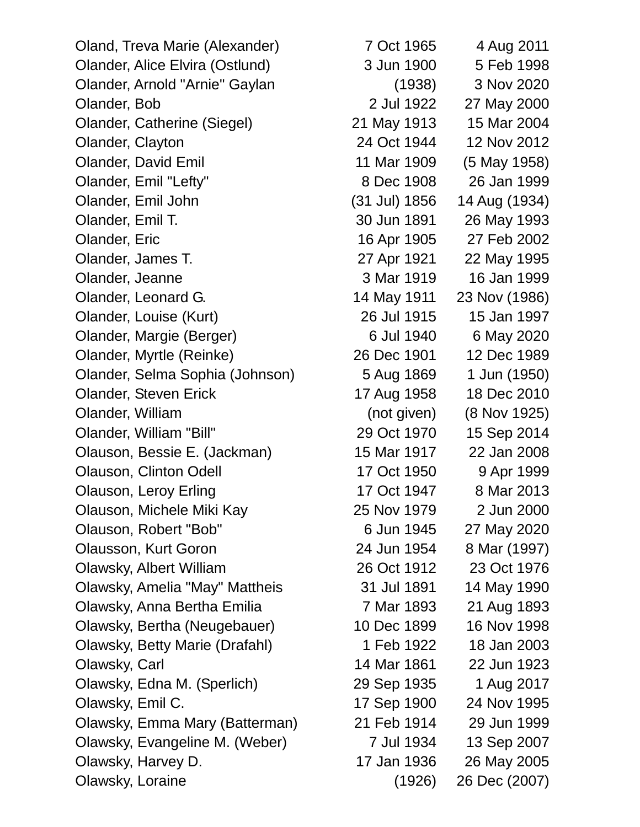Oland, Treva Marie (Alexander) 7 Oct 1965 4 Aug 2011 Olander, Alice Elvira (Ostlund) 3 Jun 1900 5 Feb 1998 Olander, Arnold "Arnie" Gaylan (1938) 3 Nov 2020 Olander, Bob 2 Jul 1922 27 May 2000 Olander, Catherine (Siegel) 21 May 1913 15 Mar 2004 Olander, Clayton 24 Oct 1944 12 Nov 2012 Olander, David Emil 11 Mar 1909 (5 May 1958) Olander, Emil "Lefty" 8 Dec 1908 26 Jan 1999 Olander, Emil John (31 Jul) 1856 14 Aug (1934) Olander, Emil T. 30 Jun 1891 26 May 1993 Olander, Eric 16 Apr 1905 27 Feb 2002 Olander, James T. 27 Apr 1921 22 May 1995 Olander, Jeanne 3 Mar 1919 16 Jan 1999 Olander, Leonard G. 14 May 1911 23 Nov (1986) Olander, Louise (Kurt) 26 Jul 1915 15 Jan 1997 Olander, Margie (Berger) 6 Jul 1940 6 May 2020 Olander, Myrtle (Reinke) 26 Dec 1901 12 Dec 1989 Olander, Selma Sophia (Johnson) 5 Aug 1869 1 Jun (1950) Olander, Steven Erick 17 Aug 1958 18 Dec 2010 Olander, William (not given) (8 Nov 1925) Olander, William "Bill" 29 Oct 1970 15 Sep 2014 Olauson, Bessie E. (Jackman) 15 Mar 1917 22 Jan 2008 Olauson, Clinton Odell 17 Oct 1950 9 Apr 1999 Olauson, Leroy Erling 17 Oct 1947 8 Mar 2013 Olauson, Michele Miki Kay 25 Nov 1979 2 Jun 2000 Olauson, Robert "Bob" 6 Jun 1945 27 May 2020 Olausson, Kurt Goron 24 Jun 1954 8 Mar (1997) Olawsky, Albert William 26 Oct 1912 23 Oct 1976 Olawsky, Amelia "May" Mattheis 31 Jul 1891 14 May 1990 Olawsky, Anna Bertha Emilia 7 Mar 1893 21 Aug 1893 Olawsky, Bertha (Neugebauer) 10 Dec 1899 16 Nov 1998 Olawsky, Betty Marie (Drafahl) 1 Feb 1922 18 Jan 2003 Olawsky, Carl 14 Mar 1861 22 Jun 1923 Olawsky, Edna M. (Sperlich) 29 Sep 1935 1 Aug 2017 Olawsky, Emil C. 17 Sep 1900 24 Nov 1995 Olawsky, Emma Mary (Batterman) 21 Feb 1914 29 Jun 1999 Olawsky, Evangeline M. (Weber) 7 Jul 1934 13 Sep 2007 Olawsky, Harvey D. 17 Jan 1936 26 May 2005

Olawsky, Loraine (1926) 26 Dec (2007)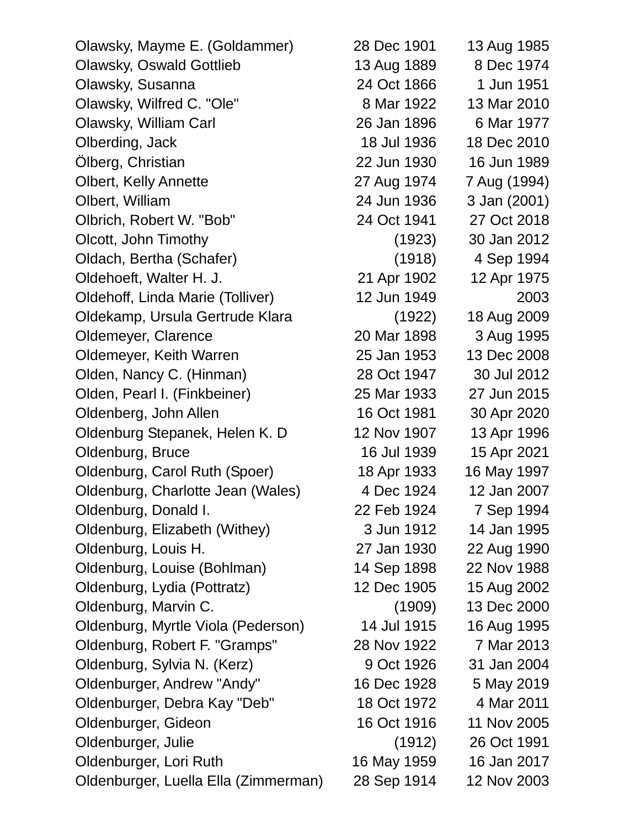| Olawsky, Mayme E. (Goldammer)        | 28 Dec 1901 | 13 Aug 1985  |
|--------------------------------------|-------------|--------------|
| <b>Olawsky, Oswald Gottlieb</b>      | 13 Aug 1889 | 8 Dec 1974   |
| Olawsky, Susanna                     | 24 Oct 1866 | 1 Jun 1951   |
| Olawsky, Wilfred C. "Ole"            | 8 Mar 1922  | 13 Mar 2010  |
| Olawsky, William Carl                | 26 Jan 1896 | 6 Mar 1977   |
| Olberding, Jack                      | 18 Jul 1936 | 18 Dec 2010  |
| Olberg, Christian                    | 22 Jun 1930 | 16 Jun 1989  |
| <b>Olbert, Kelly Annette</b>         | 27 Aug 1974 | 7 Aug (1994) |
| Olbert, William                      | 24 Jun 1936 | 3 Jan (2001) |
| Olbrich, Robert W. "Bob"             | 24 Oct 1941 | 27 Oct 2018  |
| Olcott, John Timothy                 | (1923)      | 30 Jan 2012  |
| Oldach, Bertha (Schafer)             | (1918)      | 4 Sep 1994   |
| Oldehoeft, Walter H. J.              | 21 Apr 1902 | 12 Apr 1975  |
| Oldehoff, Linda Marie (Tolliver)     | 12 Jun 1949 | 2003         |
| Oldekamp, Ursula Gertrude Klara      | (1922)      | 18 Aug 2009  |
| Oldemeyer, Clarence                  | 20 Mar 1898 | 3 Aug 1995   |
| Oldemeyer, Keith Warren              | 25 Jan 1953 | 13 Dec 2008  |
| Olden, Nancy C. (Hinman)             | 28 Oct 1947 | 30 Jul 2012  |
| Olden, Pearl I. (Finkbeiner)         | 25 Mar 1933 | 27 Jun 2015  |
| Oldenberg, John Allen                | 16 Oct 1981 | 30 Apr 2020  |
| Oldenburg Stepanek, Helen K. D       | 12 Nov 1907 | 13 Apr 1996  |
| Oldenburg, Bruce                     | 16 Jul 1939 | 15 Apr 2021  |
| Oldenburg, Carol Ruth (Spoer)        | 18 Apr 1933 | 16 May 1997  |
| Oldenburg, Charlotte Jean (Wales)    | 4 Dec 1924  | 12 Jan 2007  |
| Oldenburg, Donald I.                 | 22 Feb 1924 | 7 Sep 1994   |
| Oldenburg, Elizabeth (Withey)        | 3 Jun 1912  | 14 Jan 1995  |
| Oldenburg, Louis H.                  | 27 Jan 1930 | 22 Aug 1990  |
| Oldenburg, Louise (Bohlman)          | 14 Sep 1898 | 22 Nov 1988  |
| Oldenburg, Lydia (Pottratz)          | 12 Dec 1905 | 15 Aug 2002  |
| Oldenburg, Marvin C.                 | (1909)      | 13 Dec 2000  |
| Oldenburg, Myrtle Viola (Pederson)   | 14 Jul 1915 | 16 Aug 1995  |
| Oldenburg, Robert F. "Gramps"        | 28 Nov 1922 | 7 Mar 2013   |
| Oldenburg, Sylvia N. (Kerz)          | 9 Oct 1926  | 31 Jan 2004  |
| Oldenburger, Andrew "Andy"           | 16 Dec 1928 | 5 May 2019   |
| Oldenburger, Debra Kay "Deb"         | 18 Oct 1972 | 4 Mar 2011   |
| Oldenburger, Gideon                  | 16 Oct 1916 | 11 Nov 2005  |
| Oldenburger, Julie                   | (1912)      | 26 Oct 1991  |
| Oldenburger, Lori Ruth               | 16 May 1959 | 16 Jan 2017  |
| Oldenburger, Luella Ella (Zimmerman) | 28 Sep 1914 | 12 Nov 2003  |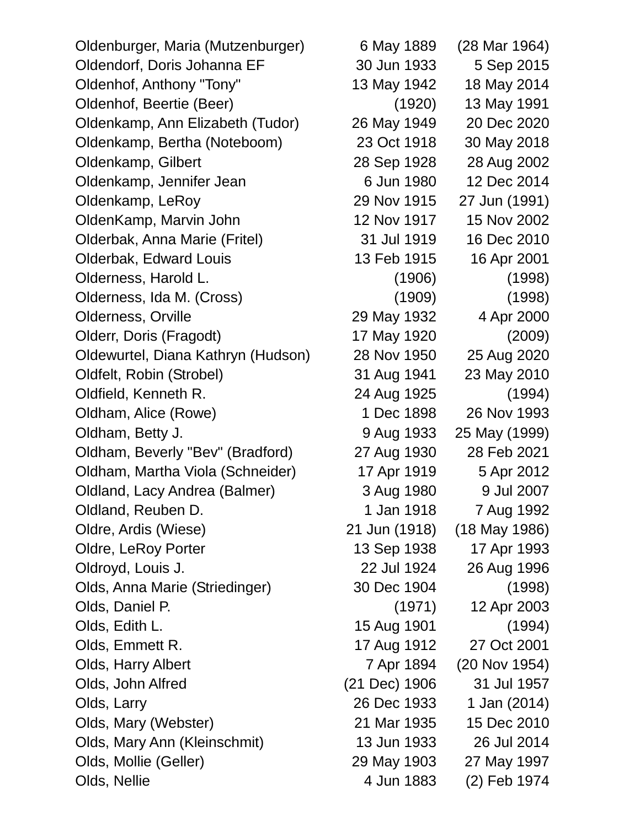Oldenburger, Maria (Mutzenburger) 6 May 1889 (28 Mar 1964) Oldendorf, Doris Johanna EF 30 Jun 1933 5 Sep 2015 Oldenhof, Anthony "Tony" 13 May 1942 18 May 2014 Oldenhof, Beertie (Beer) (1920) 13 May 1991 Oldenkamp, Ann Elizabeth (Tudor) 26 May 1949 20 Dec 2020 Oldenkamp, Bertha (Noteboom) 23 Oct 1918 30 May 2018 Oldenkamp, Gilbert 28 Sep 1928 28 Aug 2002 Oldenkamp, Jennifer Jean 6 Jun 1980 12 Dec 2014 Oldenkamp, LeRoy 29 Nov 1915 27 Jun (1991) OldenKamp, Marvin John 12 Nov 1917 15 Nov 2002 Olderbak, Anna Marie (Fritel) 31 Jul 1919 16 Dec 2010 Olderbak, Edward Louis 13 Feb 1915 16 Apr 2001 Olderness, Harold L. (1906) (1998) Olderness, Ida M. (Cross) (1909) (1998) Olderness, Orville 29 May 1932 4 Apr 2000 Olderr, Doris (Fragodt) 17 May 1920 (2009) Oldewurtel, Diana Kathryn (Hudson) 28 Nov 1950 25 Aug 2020 Oldfelt, Robin (Strobel) 31 Aug 1941 23 May 2010 Oldfield, Kenneth R. 24 Aug 1925 (1994) Oldham, Alice (Rowe) 1 Dec 1898 26 Nov 1993 Oldham, Betty J. 9 Aug 1933 25 May (1999) Oldham, Beverly "Bev" (Bradford) 27 Aug 1930 28 Feb 2021 Oldham, Martha Viola (Schneider) 17 Apr 1919 5 Apr 2012 Oldland, Lacy Andrea (Balmer) 3 Aug 1980 9 Jul 2007 Oldland, Reuben D. 1 Jan 1918 7 Aug 1992 Oldre, Ardis (Wiese) 21 Jun (1918) (18 May 1986) Oldre, LeRoy Porter 13 Sep 1938 17 Apr 1993 Oldroyd, Louis J. 22 Jul 1924 26 Aug 1996 Olds, Anna Marie (Striedinger) 30 Dec 1904 (1998) Olds, Daniel P. (1971) 12 Apr 2003 Olds, Edith L. 15 Aug 1901 (1994) Olds, Emmett R. 17 Aug 1912 27 Oct 2001 Olds, Harry Albert 7 Apr 1894 (20 Nov 1954) Olds, John Alfred (21 Dec) 1906 31 Jul 1957 Olds, Larry 26 Dec 1933 1 Jan (2014) Olds, Mary (Webster) 21 Mar 1935 15 Dec 2010 Olds, Mary Ann (Kleinschmit) 13 Jun 1933 26 Jul 2014 Olds, Mollie (Geller) 29 May 1903 27 May 1997 Olds, Nellie **4 Jun 1883** (2) Feb 1974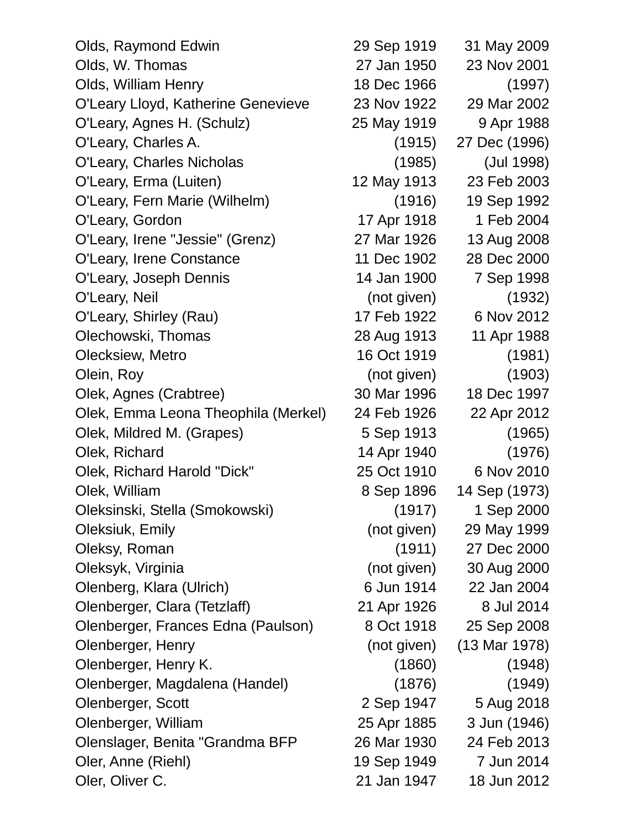| Olds, Raymond Edwin                 | 29 Sep 1919 | 31 May 2009   |
|-------------------------------------|-------------|---------------|
| Olds, W. Thomas                     | 27 Jan 1950 | 23 Nov 2001   |
| Olds, William Henry                 | 18 Dec 1966 | (1997)        |
| O'Leary Lloyd, Katherine Genevieve  | 23 Nov 1922 | 29 Mar 2002   |
| O'Leary, Agnes H. (Schulz)          | 25 May 1919 | 9 Apr 1988    |
| O'Leary, Charles A.                 | (1915)      | 27 Dec (1996) |
| <b>O'Leary, Charles Nicholas</b>    | (1985)      | (Jul 1998)    |
| O'Leary, Erma (Luiten)              | 12 May 1913 | 23 Feb 2003   |
| O'Leary, Fern Marie (Wilhelm)       | (1916)      | 19 Sep 1992   |
| O'Leary, Gordon                     | 17 Apr 1918 | 1 Feb 2004    |
| O'Leary, Irene "Jessie" (Grenz)     | 27 Mar 1926 | 13 Aug 2008   |
| O'Leary, Irene Constance            | 11 Dec 1902 | 28 Dec 2000   |
| O'Leary, Joseph Dennis              | 14 Jan 1900 | 7 Sep 1998    |
| O'Leary, Neil                       | (not given) | (1932)        |
| O'Leary, Shirley (Rau)              | 17 Feb 1922 | 6 Nov 2012    |
| Olechowski, Thomas                  | 28 Aug 1913 | 11 Apr 1988   |
| Olecksiew, Metro                    | 16 Oct 1919 | (1981)        |
| Olein, Roy                          | (not given) | (1903)        |
| Olek, Agnes (Crabtree)              | 30 Mar 1996 | 18 Dec 1997   |
| Olek, Emma Leona Theophila (Merkel) | 24 Feb 1926 | 22 Apr 2012   |
| Olek, Mildred M. (Grapes)           | 5 Sep 1913  | (1965)        |
| Olek, Richard                       | 14 Apr 1940 | (1976)        |
| Olek, Richard Harold "Dick"         | 25 Oct 1910 | 6 Nov 2010    |
| Olek, William                       | 8 Sep 1896  | 14 Sep (1973) |
| Oleksinski, Stella (Smokowski)      | (1917)      | 1 Sep 2000    |
| Oleksiuk, Emily                     | (not given) | 29 May 1999   |
| Oleksy, Roman                       | (1911)      | 27 Dec 2000   |
| Oleksyk, Virginia                   | (not given) | 30 Aug 2000   |
| Olenberg, Klara (Ulrich)            | 6 Jun 1914  | 22 Jan 2004   |
| Olenberger, Clara (Tetzlaff)        | 21 Apr 1926 | 8 Jul 2014    |
| Olenberger, Frances Edna (Paulson)  | 8 Oct 1918  | 25 Sep 2008   |
| Olenberger, Henry                   | (not given) | (13 Mar 1978) |
| Olenberger, Henry K.                | (1860)      | (1948)        |
| Olenberger, Magdalena (Handel)      | (1876)      | (1949)        |
| Olenberger, Scott                   | 2 Sep 1947  | 5 Aug 2018    |
| Olenberger, William                 | 25 Apr 1885 | 3 Jun (1946)  |
| Olenslager, Benita "Grandma BFP     | 26 Mar 1930 | 24 Feb 2013   |
| Oler, Anne (Riehl)                  | 19 Sep 1949 | 7 Jun 2014    |
| Oler, Oliver C.                     | 21 Jan 1947 | 18 Jun 2012   |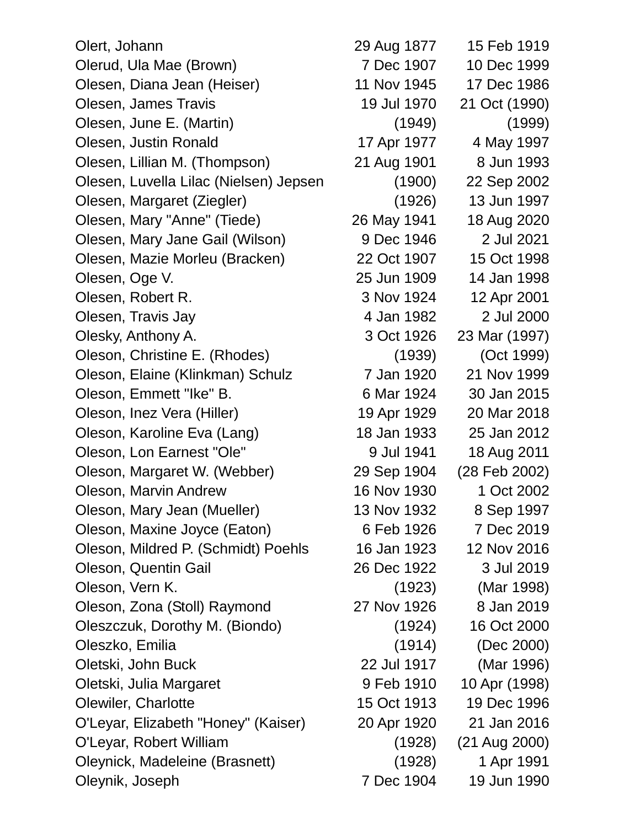| Olert, Johann                          | 29 Aug 1877 | 15 Feb 1919   |
|----------------------------------------|-------------|---------------|
| Olerud, Ula Mae (Brown)                | 7 Dec 1907  | 10 Dec 1999   |
| Olesen, Diana Jean (Heiser)            | 11 Nov 1945 | 17 Dec 1986   |
| Olesen, James Travis                   | 19 Jul 1970 | 21 Oct (1990) |
| Olesen, June E. (Martin)               | (1949)      | (1999)        |
| Olesen, Justin Ronald                  | 17 Apr 1977 | 4 May 1997    |
| Olesen, Lillian M. (Thompson)          | 21 Aug 1901 | 8 Jun 1993    |
| Olesen, Luvella Lilac (Nielsen) Jepsen | (1900)      | 22 Sep 2002   |
| Olesen, Margaret (Ziegler)             | (1926)      | 13 Jun 1997   |
| Olesen, Mary "Anne" (Tiede)            | 26 May 1941 | 18 Aug 2020   |
| Olesen, Mary Jane Gail (Wilson)        | 9 Dec 1946  | 2 Jul 2021    |
| Olesen, Mazie Morleu (Bracken)         | 22 Oct 1907 | 15 Oct 1998   |
| Olesen, Oge V.                         | 25 Jun 1909 | 14 Jan 1998   |
| Olesen, Robert R.                      | 3 Nov 1924  | 12 Apr 2001   |
| Olesen, Travis Jay                     | 4 Jan 1982  | 2 Jul 2000    |
| Olesky, Anthony A.                     | 3 Oct 1926  | 23 Mar (1997) |
| Oleson, Christine E. (Rhodes)          | (1939)      | (Oct 1999)    |
| Oleson, Elaine (Klinkman) Schulz       | 7 Jan 1920  | 21 Nov 1999   |
| Oleson, Emmett "Ike" B.                | 6 Mar 1924  | 30 Jan 2015   |
| Oleson, Inez Vera (Hiller)             | 19 Apr 1929 | 20 Mar 2018   |
| Oleson, Karoline Eva (Lang)            | 18 Jan 1933 | 25 Jan 2012   |
| Oleson, Lon Earnest "Ole"              | 9 Jul 1941  | 18 Aug 2011   |
| Oleson, Margaret W. (Webber)           | 29 Sep 1904 | (28 Feb 2002) |
| Oleson, Marvin Andrew                  | 16 Nov 1930 | 1 Oct 2002    |
| Oleson, Mary Jean (Mueller)            | 13 Nov 1932 | 8 Sep 1997    |
| Oleson, Maxine Joyce (Eaton)           | 6 Feb 1926  | 7 Dec 2019    |
| Oleson, Mildred P. (Schmidt) Poehls    | 16 Jan 1923 | 12 Nov 2016   |
| Oleson, Quentin Gail                   | 26 Dec 1922 | 3 Jul 2019    |
| Oleson, Vern K.                        | (1923)      | (Mar 1998)    |
| Oleson, Zona (Stoll) Raymond           | 27 Nov 1926 | 8 Jan 2019    |
| Oleszczuk, Dorothy M. (Biondo)         | (1924)      | 16 Oct 2000   |
| Oleszko, Emilia                        | (1914)      | (Dec 2000)    |
| Oletski, John Buck                     | 22 Jul 1917 | (Mar 1996)    |
| Oletski, Julia Margaret                | 9 Feb 1910  | 10 Apr (1998) |
| Olewiler, Charlotte                    | 15 Oct 1913 | 19 Dec 1996   |
| O'Leyar, Elizabeth "Honey" (Kaiser)    | 20 Apr 1920 | 21 Jan 2016   |
| O'Leyar, Robert William                | (1928)      | (21 Aug 2000) |
| Oleynick, Madeleine (Brasnett)         | (1928)      | 1 Apr 1991    |
| Oleynik, Joseph                        | 7 Dec 1904  | 19 Jun 1990   |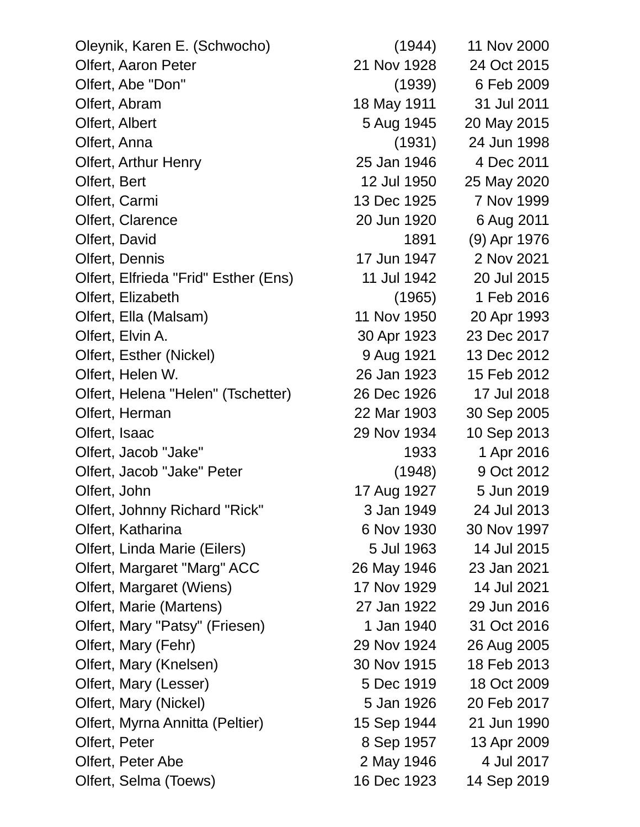| Oleynik, Karen E. (Schwocho)         | (1944)      | 11 Nov 2000  |
|--------------------------------------|-------------|--------------|
| Olfert, Aaron Peter                  | 21 Nov 1928 | 24 Oct 2015  |
| Olfert, Abe "Don"                    | (1939)      | 6 Feb 2009   |
| Olfert, Abram                        | 18 May 1911 | 31 Jul 2011  |
| Olfert, Albert                       | 5 Aug 1945  | 20 May 2015  |
| Olfert, Anna                         | (1931)      | 24 Jun 1998  |
| Olfert, Arthur Henry                 | 25 Jan 1946 | 4 Dec 2011   |
| Olfert, Bert                         | 12 Jul 1950 | 25 May 2020  |
| Olfert, Carmi                        | 13 Dec 1925 | 7 Nov 1999   |
| Olfert, Clarence                     | 20 Jun 1920 | 6 Aug 2011   |
| Olfert, David                        | 1891        | (9) Apr 1976 |
| Olfert, Dennis                       | 17 Jun 1947 | 2 Nov 2021   |
| Olfert, Elfrieda "Frid" Esther (Ens) | 11 Jul 1942 | 20 Jul 2015  |
| Olfert, Elizabeth                    | (1965)      | 1 Feb 2016   |
| Olfert, Ella (Malsam)                | 11 Nov 1950 | 20 Apr 1993  |
| Olfert, Elvin A.                     | 30 Apr 1923 | 23 Dec 2017  |
| Olfert, Esther (Nickel)              | 9 Aug 1921  | 13 Dec 2012  |
| Olfert, Helen W.                     | 26 Jan 1923 | 15 Feb 2012  |
| Olfert, Helena "Helen" (Tschetter)   | 26 Dec 1926 | 17 Jul 2018  |
| Olfert, Herman                       | 22 Mar 1903 | 30 Sep 2005  |
| Olfert, Isaac                        | 29 Nov 1934 | 10 Sep 2013  |
| Olfert, Jacob "Jake"                 | 1933        | 1 Apr 2016   |
| Olfert, Jacob "Jake" Peter           | (1948)      | 9 Oct 2012   |
| Olfert, John                         | 17 Aug 1927 | 5 Jun 2019   |
| Olfert, Johnny Richard "Rick"        | 3 Jan 1949  | 24 Jul 2013  |
| Olfert, Katharina                    | 6 Nov 1930  | 30 Nov 1997  |
| Olfert, Linda Marie (Eilers)         | 5 Jul 1963  | 14 Jul 2015  |
| Olfert, Margaret "Marg" ACC          | 26 May 1946 | 23 Jan 2021  |
| Olfert, Margaret (Wiens)             | 17 Nov 1929 | 14 Jul 2021  |
| Olfert, Marie (Martens)              | 27 Jan 1922 | 29 Jun 2016  |
| Olfert, Mary "Patsy" (Friesen)       | 1 Jan 1940  | 31 Oct 2016  |
| Olfert, Mary (Fehr)                  | 29 Nov 1924 | 26 Aug 2005  |
| Olfert, Mary (Knelsen)               | 30 Nov 1915 | 18 Feb 2013  |
| Olfert, Mary (Lesser)                | 5 Dec 1919  | 18 Oct 2009  |
| Olfert, Mary (Nickel)                | 5 Jan 1926  | 20 Feb 2017  |
| Olfert, Myrna Annitta (Peltier)      | 15 Sep 1944 | 21 Jun 1990  |
| Olfert, Peter                        | 8 Sep 1957  | 13 Apr 2009  |
| Olfert, Peter Abe                    | 2 May 1946  | 4 Jul 2017   |
| Olfert, Selma (Toews)                | 16 Dec 1923 | 14 Sep 2019  |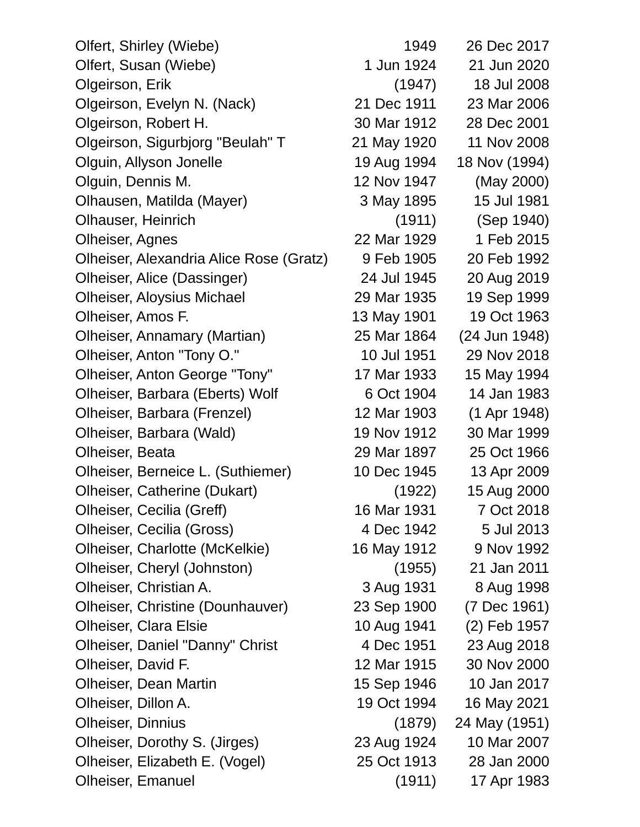| Olfert, Shirley (Wiebe)                 | 1949        | 26 Dec 2017   |
|-----------------------------------------|-------------|---------------|
| Olfert, Susan (Wiebe)                   | 1 Jun 1924  | 21 Jun 2020   |
| Olgeirson, Erik                         | (1947)      | 18 Jul 2008   |
| Olgeirson, Evelyn N. (Nack)             | 21 Dec 1911 | 23 Mar 2006   |
| Olgeirson, Robert H.                    | 30 Mar 1912 | 28 Dec 2001   |
| Olgeirson, Sigurbjorg "Beulah" T        | 21 May 1920 | 11 Nov 2008   |
| Olguin, Allyson Jonelle                 | 19 Aug 1994 | 18 Nov (1994) |
| Olguin, Dennis M.                       | 12 Nov 1947 | (May 2000)    |
| Olhausen, Matilda (Mayer)               | 3 May 1895  | 15 Jul 1981   |
| Olhauser, Heinrich                      | (1911)      | (Sep 1940)    |
| Olheiser, Agnes                         | 22 Mar 1929 | 1 Feb 2015    |
| Olheiser, Alexandria Alice Rose (Gratz) | 9 Feb 1905  | 20 Feb 1992   |
| Olheiser, Alice (Dassinger)             | 24 Jul 1945 | 20 Aug 2019   |
| <b>Olheiser, Aloysius Michael</b>       | 29 Mar 1935 | 19 Sep 1999   |
| Olheiser, Amos F.                       | 13 May 1901 | 19 Oct 1963   |
| Olheiser, Annamary (Martian)            | 25 Mar 1864 | (24 Jun 1948) |
| Olheiser, Anton "Tony O."               | 10 Jul 1951 | 29 Nov 2018   |
| Olheiser, Anton George "Tony"           | 17 Mar 1933 | 15 May 1994   |
| Olheiser, Barbara (Eberts) Wolf         | 6 Oct 1904  | 14 Jan 1983   |
| Olheiser, Barbara (Frenzel)             | 12 Mar 1903 | (1 Apr 1948)  |
| Olheiser, Barbara (Wald)                | 19 Nov 1912 | 30 Mar 1999   |
| Olheiser, Beata                         | 29 Mar 1897 | 25 Oct 1966   |
| Olheiser, Berneice L. (Suthiemer)       | 10 Dec 1945 | 13 Apr 2009   |
| <b>Olheiser, Catherine (Dukart)</b>     | (1922)      | 15 Aug 2000   |
| Olheiser, Cecilia (Greff)               | 16 Mar 1931 | 7 Oct 2018    |
| Olheiser, Cecilia (Gross)               | 4 Dec 1942  | 5 Jul 2013    |
| Olheiser, Charlotte (McKelkie)          | 16 May 1912 | 9 Nov 1992    |
| Olheiser, Cheryl (Johnston)             | (1955)      | 21 Jan 2011   |
| Olheiser, Christian A.                  | 3 Aug 1931  | 8 Aug 1998    |
| Olheiser, Christine (Dounhauver)        | 23 Sep 1900 | (7 Dec 1961)  |
| <b>Olheiser, Clara Elsie</b>            | 10 Aug 1941 | (2) Feb 1957  |
| Olheiser, Daniel "Danny" Christ         | 4 Dec 1951  | 23 Aug 2018   |
| Olheiser, David F.                      | 12 Mar 1915 | 30 Nov 2000   |
| Olheiser, Dean Martin                   | 15 Sep 1946 | 10 Jan 2017   |
| Olheiser, Dillon A.                     | 19 Oct 1994 | 16 May 2021   |
| <b>Olheiser, Dinnius</b>                | (1879)      | 24 May (1951) |
| Olheiser, Dorothy S. (Jirges)           | 23 Aug 1924 | 10 Mar 2007   |
| Olheiser, Elizabeth E. (Vogel)          | 25 Oct 1913 | 28 Jan 2000   |
| <b>Olheiser, Emanuel</b>                | (1911)      | 17 Apr 1983   |

| 49  | 26 Dec 2017   |
|-----|---------------|
| 24  | 21 Jun 2020   |
| I7) | 18 Jul 2008   |
| 11  | 23 Mar 2006   |
| 12  | 28 Dec 2001   |
| 20  | 11 Nov 2008   |
| 94  | 18 Nov (1994) |
| 47  | (May 2000)    |
| 95  | 15 Jul 1981   |
| 1)  | (Sep 1940)    |
| 29  | 1 Feb 2015    |
| 05  | 20 Feb 1992   |
| 45  | 20 Aug 2019   |
| 35  | 19 Sep 1999   |
| 01  | 19 Oct 1963   |
| 64  | (24 Jun 1948) |
| 51  | 29 Nov 2018   |
| 33  | 15 May 1994   |
| 04  | 14 Jan 1983   |
| 03  | (1 Apr 1948)  |
| 12  | 30 Mar 1999   |
| 97  | 25 Oct 1966   |
| 45  | 13 Apr 2009   |
| :2) | 15 Aug 2000   |
| 31  | 7 Oct 2018    |
| 42  | 5 Jul 2013    |
| 12  | 9 Nov 1992    |
| i5) | 21 Jan 2011   |
| 31  | 8 Aug 1998    |
| 00  | (7 Dec 1961)  |
| 41  | (2) Feb 1957  |
| 51  | 23 Aug 2018   |
| 15  | 30 Nov 2000   |
| 46  | 10 Jan 2017   |
| 94  | 16 May 2021   |
| '9) | 24 May (1951) |
| 24  | 10 Mar 2007   |
| 13  | 28 Jan 2000   |
| 1)  | 17 Apr 1983   |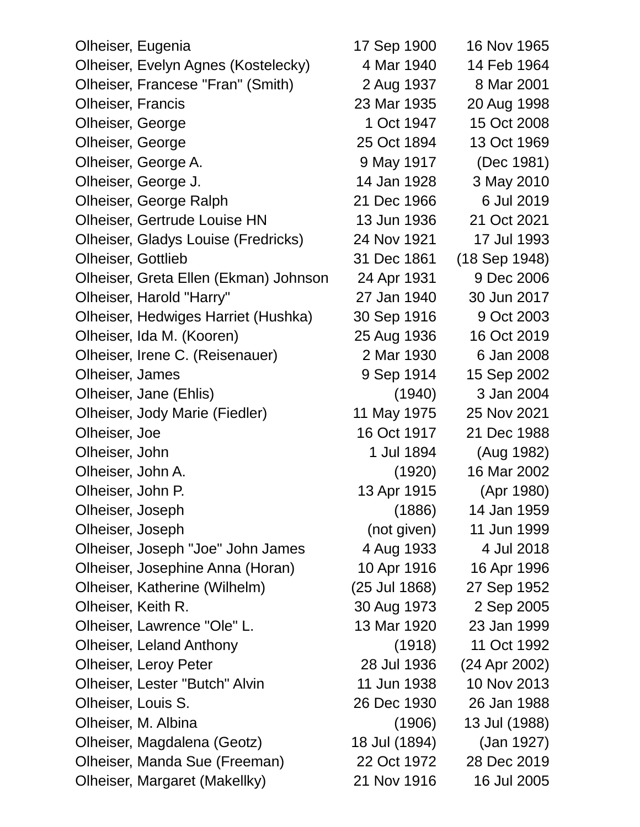Olheiser, Eugenia 17 Sep 1900 16 Nov 1965 Olheiser, Evelyn Agnes (Kostelecky) 4 Mar 1940 14 Feb 1964 Olheiser, Francese "Fran" (Smith) 2 Aug 1937 8 Mar 2001 Olheiser, Francis 23 Mar 1935 20 Aug 1998 Olheiser, George 1 Oct 1947 15 Oct 2008 Olheiser, George 25 Oct 1894 13 Oct 1969 Olheiser, George A. 39 May 1917 (Dec 1981) Olheiser, George J. 14 Jan 1928 3 May 2010 Olheiser, George Ralph 21 Dec 1966 6 Jul 2019 Olheiser, Gertrude Louise HN 13 Jun 1936 21 Oct 2021 Olheiser, Gladys Louise (Fredricks) 24 Nov 1921 17 Jul 1993 Olheiser, Gottlieb 31 Dec 1861 (18 Sep 1948) Olheiser, Greta Ellen (Ekman) Johnson 24 Apr 1931 9 Dec 2006 Olheiser, Harold "Harry" 27 Jan 1940 30 Jun 2017 Olheiser, Hedwiges Harriet (Hushka) 30 Sep 1916 9 Oct 2003 Olheiser, Ida M. (Kooren) 25 Aug 1936 16 Oct 2019 Olheiser, Irene C. (Reisenauer) 2 Mar 1930 6 Jan 2008 Olheiser, James 9 Sep 1914 15 Sep 2002 Olheiser, Jane (Ehlis) (1940) 3 Jan 2004 Olheiser, Jody Marie (Fiedler) 11 May 1975 25 Nov 2021 Olheiser, Joe 16 Oct 1917 21 Dec 1988 Olheiser, John 1 Jul 1894 (Aug 1982) Olheiser, John A. (1920) 16 Mar 2002 Olheiser, John P. 13 Apr 1915 (Apr 1980) Olheiser, Joseph (1886) 14 Jan 1959 Olheiser, Joseph (not given) 11 Jun 1999 Olheiser, Joseph "Joe" John James 4 Aug 1933 4 Jul 2018 Olheiser, Josephine Anna (Horan) 10 Apr 1916 16 Apr 1996 Olheiser, Katherine (Wilhelm) (25 Jul 1868) 27 Sep 1952 Olheiser, Keith R. 30 Aug 1973 2 Sep 2005 Olheiser, Lawrence "Ole" L. 13 Mar 1920 23 Jan 1999 Olheiser, Leland Anthony (1918) 11 Oct 1992 Olheiser, Leroy Peter 28 Jul 1936 (24 Apr 2002) Olheiser, Lester "Butch" Alvin 11 Jun 1938 10 Nov 2013 Olheiser, Louis S. 26 Dec 1930 26 Jan 1988 Olheiser, M. Albina (1906) 13 Jul (1988) Olheiser, Magdalena (Geotz) 18 Jul (1894) (Jan 1927) Olheiser, Manda Sue (Freeman) 22 Oct 1972 28 Dec 2019 Olheiser, Margaret (Makellky) 21 Nov 1916 16 Jul 2005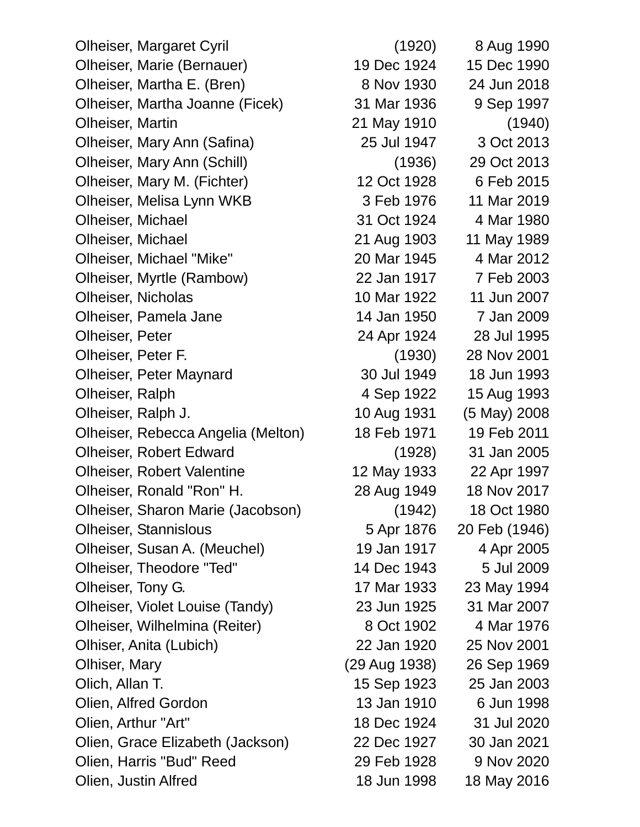Olheiser, Margaret Cyril (1920) 8 Aug 1990 Olheiser, Marie (Bernauer) 19 Dec 1924 15 Dec 1990 Olheiser, Martha E. (Bren) 8 Nov 1930 24 Jun 2018 Olheiser, Martha Joanne (Ficek) 31 Mar 1936 9 Sep 1997 Olheiser, Martin 21 May 1910 (1940) Olheiser, Mary Ann (Safina) 25 Jul 1947 3 Oct 2013 Olheiser, Mary Ann (Schill) (1936) 29 Oct 2013 Olheiser, Mary M. (Fichter) 12 Oct 1928 6 Feb 2015 Olheiser, Melisa Lynn WKB 3 Feb 1976 11 Mar 2019 Olheiser, Michael 31 Oct 1924 4 Mar 1980 Olheiser, Michael 21 Aug 1903 11 May 1989 Olheiser, Michael "Mike" 20 Mar 1945 4 Mar 2012 Olheiser, Myrtle (Rambow) 22 Jan 1917 7 Feb 2003 Olheiser, Nicholas 10 Mar 1922 11 Jun 2007 Olheiser, Pamela Jane 14 Jan 1950 7 Jan 2009 Olheiser, Peter 24 Apr 1924 28 Jul 1995 Olheiser, Peter F. (1930) 28 Nov 2001 Olheiser, Peter Maynard 30 Jul 1949 18 Jun 1993 Olheiser, Ralph 4 Sep 1922 15 Aug 1993 Olheiser, Ralph J. 10 Aug 1931 (5 May) 2008 Olheiser, Rebecca Angelia (Melton) 18 Feb 1971 19 Feb 2011 Olheiser, Robert Edward (1928) 31 Jan 2005 Olheiser, Robert Valentine 12 May 1933 22 Apr 1997 Olheiser, Ronald "Ron" H. 28 Aug 1949 18 Nov 2017 Olheiser, Sharon Marie (Jacobson) (1942) 18 Oct 1980 Olheiser, Stannislous 5 Apr 1876 20 Feb (1946) Olheiser, Susan A. (Meuchel) 19 Jan 1917 4 Apr 2005 Olheiser, Theodore "Ted" 14 Dec 1943 5 Jul 2009 Olheiser, Tony G. 17 Mar 1933 23 May 1994 Olheiser, Violet Louise (Tandy) 23 Jun 1925 31 Mar 2007 Olheiser, Wilhelmina (Reiter) 8 Oct 1902 4 Mar 1976 Olhiser, Anita (Lubich) 22 Jan 1920 25 Nov 2001 Olhiser, Mary (29 Aug 1938) 26 Sep 1969 Olich, Allan T. 15 Sep 1923 25 Jan 2003 Olien, Alfred Gordon 13 Jan 1910 6 Jun 1998 Olien, Arthur "Art" 18 Dec 1924 31 Jul 2020 Olien, Grace Elizabeth (Jackson) 22 Dec 1927 30 Jan 2021 Olien, Harris "Bud" Reed 29 Feb 1928 9 Nov 2020 Olien, Justin Alfred 18 Jun 1998 18 May 2016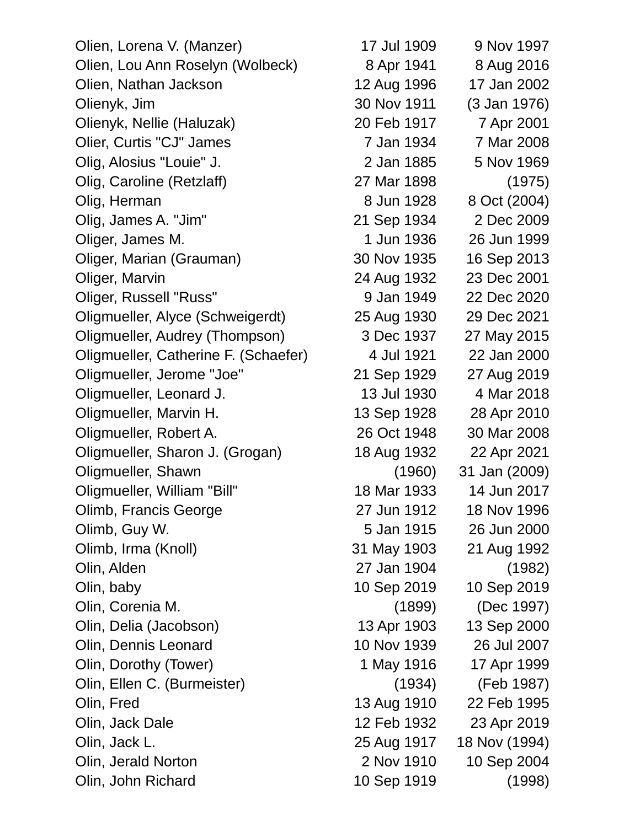Olien, Lorena V. (Manzer) 17 Jul 1909 9 Nov 1997 Olien, Lou Ann Roselyn (Wolbeck) 8 Apr 1941 8 Aug 2016 Olien, Nathan Jackson 12 Aug 1996 17 Jan 2002 Olienyk, Jim 30 Nov 1911 (3 Jan 1976) Olienyk, Nellie (Haluzak) 20 Feb 1917 7 Apr 2001 Olier, Curtis "CJ" James 7 Jan 1934 7 Mar 2008 Olig, Alosius "Louie" J. 2 Jan 1885 5 Nov 1969 Olig, Caroline (Retzlaff) 27 Mar 1898 (1975) Olig, Herman 8 Jun 1928 8 Oct (2004) Olig, James A. "Jim" 21 Sep 1934 2 Dec 2009 Oliger, James M. 1 1 Jun 1936 26 Jun 1999 Oliger, Marian (Grauman) 30 Nov 1935 16 Sep 2013 Oliger, Marvin 24 Aug 1932 23 Dec 2001 Oliger, Russell "Russ" 9 Jan 1949 22 Dec 2020 Oligmueller, Alyce (Schweigerdt) 25 Aug 1930 29 Dec 2021 Oligmueller, Audrey (Thompson) 3 Dec 1937 27 May 2015 Oligmueller, Catherine F. (Schaefer) 4 Jul 1921 22 Jan 2000 Oligmueller, Jerome "Joe" 21 Sep 1929 27 Aug 2019 Oligmueller, Leonard J. 13 Jul 1930 4 Mar 2018 Oligmueller, Marvin H. 13 Sep 1928 28 Apr 2010 Oligmueller, Robert A. 26 Oct 1948 30 Mar 2008 Oligmueller, Sharon J. (Grogan) 18 Aug 1932 22 Apr 2021 Oligmueller, Shawn (1960) 31 Jan (2009) Oligmueller, William "Bill" 18 Mar 1933 14 Jun 2017 Olimb, Francis George 27 Jun 1912 18 Nov 1996 Olimb, Guy W. 5 Jan 1915 26 Jun 2000 Olimb, Irma (Knoll) 31 May 1903 21 Aug 1992 Olin, Alden 27 Jan 1904 (1982) Olin, baby 10 Sep 2019 10 Sep 2019 Olin, Corenia M. (1899) (Dec 1997) Olin, Delia (Jacobson) 13 Apr 1903 13 Sep 2000 Olin, Dennis Leonard 10 Nov 1939 26 Jul 2007 Olin, Dorothy (Tower) 1 May 1916 17 Apr 1999 Olin, Ellen C. (Burmeister) (1934) (Feb 1987) Olin, Fred 13 Aug 1910 22 Feb 1995 Olin, Jack Dale 12 Feb 1932 23 Apr 2019 Olin, Jack L. 25 Aug 1917 18 Nov (1994) Olin, Jerald Norton 2 Nov 1910 10 Sep 2004 Olin, John Richard 10 Sep 1919 (1998)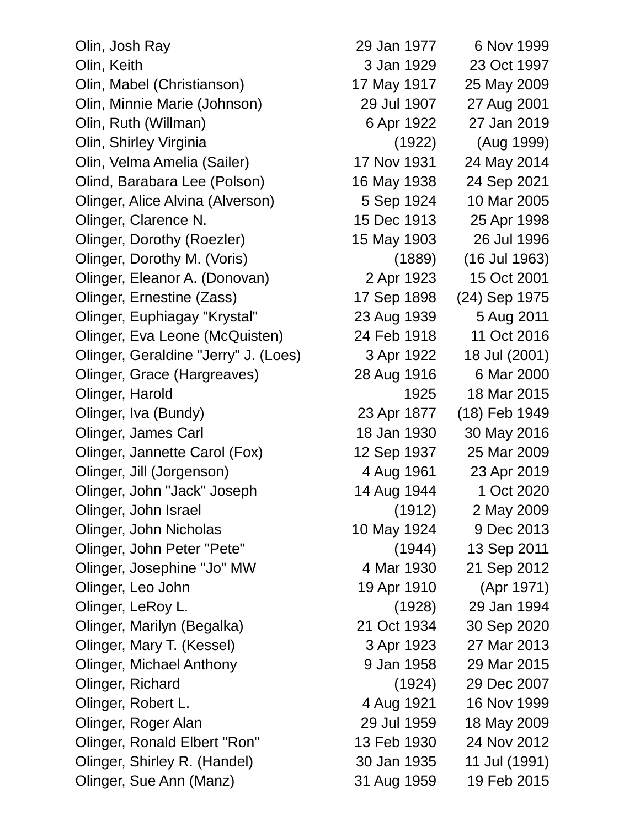Olin, Josh Ray 29 Jan 1977 6 Nov 1999 Olin, Keith 3 Jan 1929 23 Oct 1997 Olin, Mabel (Christianson) 17 May 1917 25 May 2009 Olin, Minnie Marie (Johnson) 29 Jul 1907 27 Aug 2001 Olin, Ruth (Willman) 6 Apr 1922 27 Jan 2019 Olin, Shirley Virginia (1922) (Aug 1999) Olin, Velma Amelia (Sailer) 17 Nov 1931 24 May 2014 Olind, Barabara Lee (Polson) 16 May 1938 24 Sep 2021 Olinger, Alice Alvina (Alverson) 5 Sep 1924 10 Mar 2005 Olinger, Clarence N. 15 Dec 1913 25 Apr 1998 Olinger, Dorothy (Roezler) 15 May 1903 26 Jul 1996 Olinger, Dorothy M. (Voris) (1889) (16 Jul 1963) Olinger, Eleanor A. (Donovan) 2 Apr 1923 15 Oct 2001 Olinger, Ernestine (Zass) 17 Sep 1898 (24) Sep 1975 Olinger, Euphiagay "Krystal" 23 Aug 1939 5 Aug 2011 Olinger, Eva Leone (McQuisten) 24 Feb 1918 11 Oct 2016 Olinger, Geraldine "Jerry" J. (Loes) 3 Apr 1922 18 Jul (2001) Olinger, Grace (Hargreaves) 28 Aug 1916 6 Mar 2000 Olinger, Harold 1925 18 Mar 2015 Olinger, Iva (Bundy) 23 Apr 1877 (18) Feb 1949 Olinger, James Carl 18 Jan 1930 30 May 2016 Olinger, Jannette Carol (Fox) 12 Sep 1937 25 Mar 2009 Olinger, Jill (Jorgenson) 4 Aug 1961 23 Apr 2019 Olinger, John "Jack" Joseph 14 Aug 1944 1 Oct 2020 Olinger, John Israel (1912) 2 May 2009 Olinger, John Nicholas 10 May 1924 9 Dec 2013 Olinger, John Peter "Pete" (1944) 13 Sep 2011 Olinger, Josephine "Jo" MW 4 Mar 1930 21 Sep 2012 Olinger, Leo John 19 Apr 1910 (Apr 1971) Olinger, LeRoy L. (1928) 29 Jan 1994 Olinger, Marilyn (Begalka) 21 Oct 1934 30 Sep 2020 Olinger, Mary T. (Kessel) 3 Apr 1923 27 Mar 2013 Olinger, Michael Anthony 9 Jan 1958 29 Mar 2015 Olinger, Richard (1924) 29 Dec 2007 Olinger, Robert L. 4 Aug 1921 16 Nov 1999 Olinger, Roger Alan 29 Jul 1959 18 May 2009 Olinger, Ronald Elbert "Ron" 13 Feb 1930 24 Nov 2012 Olinger, Shirley R. (Handel) 30 Jan 1935 11 Jul (1991) Olinger, Sue Ann (Manz) 31 Aug 1959 19 Feb 2015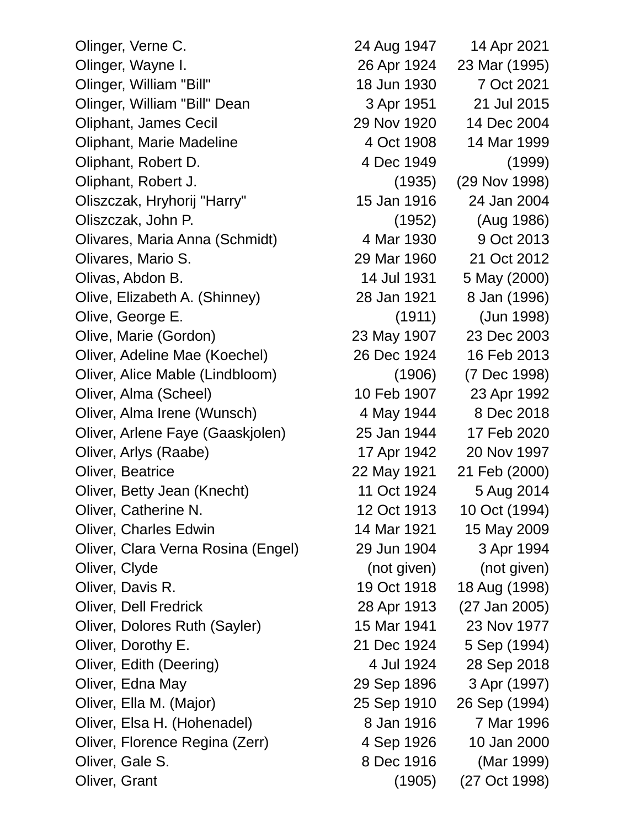Olinger, Verne C. 24 Aug 1947 14 Apr 2021 Olinger, Wayne I. 26 Apr 1924 23 Mar (1995) Olinger, William "Bill" 18 Jun 1930 7 Oct 2021 Olinger, William "Bill" Dean 3 Apr 1951 21 Jul 2015 Oliphant, James Cecil 29 Nov 1920 14 Dec 2004 Oliphant, Marie Madeline 4 Oct 1908 14 Mar 1999 Oliphant, Robert D. 4 Dec 1949 (1999) Oliphant, Robert J. (1935) (29 Nov 1998) Oliszczak, Hryhorij "Harry" 15 Jan 1916 24 Jan 2004 Oliszczak, John P. (1952) (Aug 1986) Olivares, Maria Anna (Schmidt) 4 Mar 1930 9 Oct 2013 Olivares, Mario S. 29 Mar 1960 21 Oct 2012 Olivas, Abdon B. 14 Jul 1931 5 May (2000) Olive, Elizabeth A. (Shinney) 28 Jan 1921 8 Jan (1996) Olive, George E. (1911) (Jun 1998) Olive, Marie (Gordon) 23 May 1907 23 Dec 2003 Oliver, Adeline Mae (Koechel) 26 Dec 1924 16 Feb 2013 Oliver, Alice Mable (Lindbloom) (1906) (7 Dec 1998) Oliver, Alma (Scheel) 10 Feb 1907 23 Apr 1992 Oliver, Alma Irene (Wunsch) 4 May 1944 8 Dec 2018 Oliver, Arlene Faye (Gaaskjolen) 25 Jan 1944 17 Feb 2020 Oliver, Arlys (Raabe) 17 Apr 1942 20 Nov 1997 Oliver, Beatrice 22 May 1921 21 Feb (2000) Oliver, Betty Jean (Knecht) 11 Oct 1924 5 Aug 2014 Oliver, Catherine N. 12 Oct 1913 10 Oct (1994) Oliver, Charles Edwin 14 Mar 1921 15 May 2009 Oliver, Clara Verna Rosina (Engel) 29 Jun 1904 3 Apr 1994 Oliver, Clyde (not given) (not given) (not given) Oliver, Davis R. 19 Oct 1918 18 Aug (1998) Oliver, Dell Fredrick 28 Apr 1913 (27 Jan 2005) Oliver, Dolores Ruth (Sayler) 15 Mar 1941 23 Nov 1977 Oliver, Dorothy E. 21 Dec 1924 5 Sep (1994) Oliver, Edith (Deering) 4 Jul 1924 28 Sep 2018 Oliver, Edna May 29 Sep 1896 3 Apr (1997) Oliver, Ella M. (Major) 25 Sep 1910 26 Sep (1994) Oliver, Elsa H. (Hohenadel) 8 Jan 1916 7 Mar 1996 Oliver, Florence Regina (Zerr) 4 Sep 1926 10 Jan 2000 Oliver, Gale S. 8 Dec 1916 (Mar 1999) Oliver, Grant (1905) (27 Oct 1998)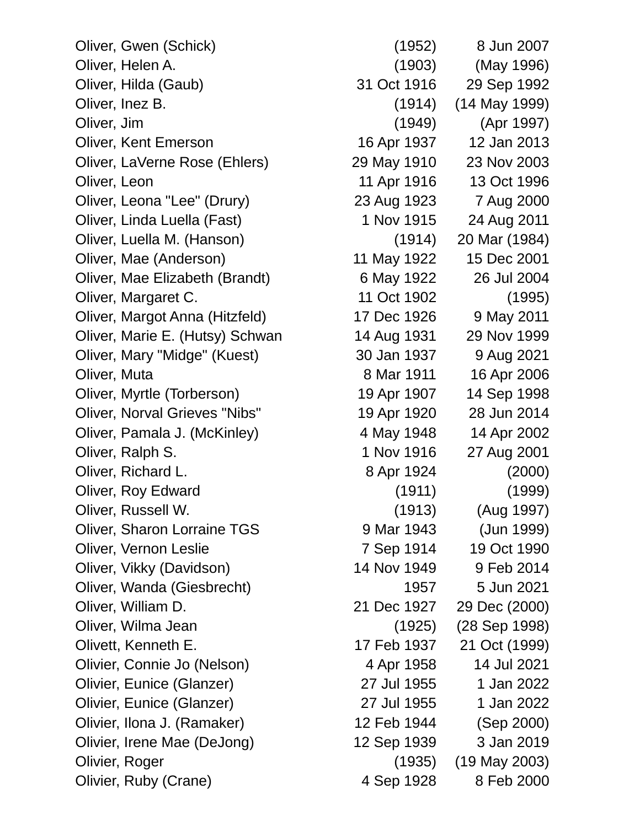Oliver, Gwen (Schick) (1952) 8 Jun 2007 Oliver, Helen A. (1903) (May 1996) Oliver, Hilda (Gaub) 31 Oct 1916 29 Sep 1992 Oliver, Inez B. (1914) (14 May 1999) Oliver, Jim (1949) (Apr 1997) Oliver, Kent Emerson 16 Apr 1937 12 Jan 2013 Oliver, LaVerne Rose (Ehlers) 29 May 1910 23 Nov 2003 Oliver, Leon 11 Apr 1916 13 Oct 1996 Oliver, Leona "Lee" (Drury) 23 Aug 1923 7 Aug 2000 Oliver, Linda Luella (Fast) 1 Nov 1915 24 Aug 2011 Oliver, Luella M. (Hanson) (1914) 20 Mar (1984) Oliver, Mae (Anderson) 11 May 1922 15 Dec 2001 Oliver, Mae Elizabeth (Brandt) 6 May 1922 26 Jul 2004 Oliver, Margaret C. 11 Oct 1902 (1995) Oliver, Margot Anna (Hitzfeld) 17 Dec 1926 9 May 2011 Oliver, Marie E. (Hutsy) Schwan 14 Aug 1931 29 Nov 1999 Oliver, Mary "Midge" (Kuest) 30 Jan 1937 9 Aug 2021 Oliver, Muta 8 Mar 1911 16 Apr 2006 Oliver, Myrtle (Torberson) 19 Apr 1907 14 Sep 1998 Oliver, Norval Grieves "Nibs" 19 Apr 1920 28 Jun 2014 Oliver, Pamala J. (McKinley) 4 May 1948 14 Apr 2002 Oliver, Ralph S. 1 Nov 1916 27 Aug 2001 Oliver, Richard L. 8 Apr 1924 (2000) Oliver, Roy Edward (1911) (1999) Oliver, Russell W. (1913) (Aug 1997) Oliver, Sharon Lorraine TGS 9 Mar 1943 (Jun 1999) Oliver, Vernon Leslie 7 Sep 1914 19 Oct 1990 Oliver, Vikky (Davidson) 14 Nov 1949 9 Feb 2014 Oliver, Wanda (Giesbrecht) 1957 5 Jun 2021 Oliver, William D. 21 Dec 1927 29 Dec (2000) Oliver, Wilma Jean (1925) (28 Sep 1998) Olivett, Kenneth E. 17 Feb 1937 21 Oct (1999) Olivier, Connie Jo (Nelson) 4 Apr 1958 14 Jul 2021 Olivier, Eunice (Glanzer) 27 Jul 1955 1 Jan 2022 Olivier, Eunice (Glanzer) 27 Jul 1955 1 Jan 2022 Olivier, Ilona J. (Ramaker) 12 Feb 1944 (Sep 2000) Olivier, Irene Mae (DeJong) 12 Sep 1939 3 Jan 2019 Olivier, Roger (1935) (19 May 2003) Olivier, Ruby (Crane) 4 Sep 1928 8 Feb 2000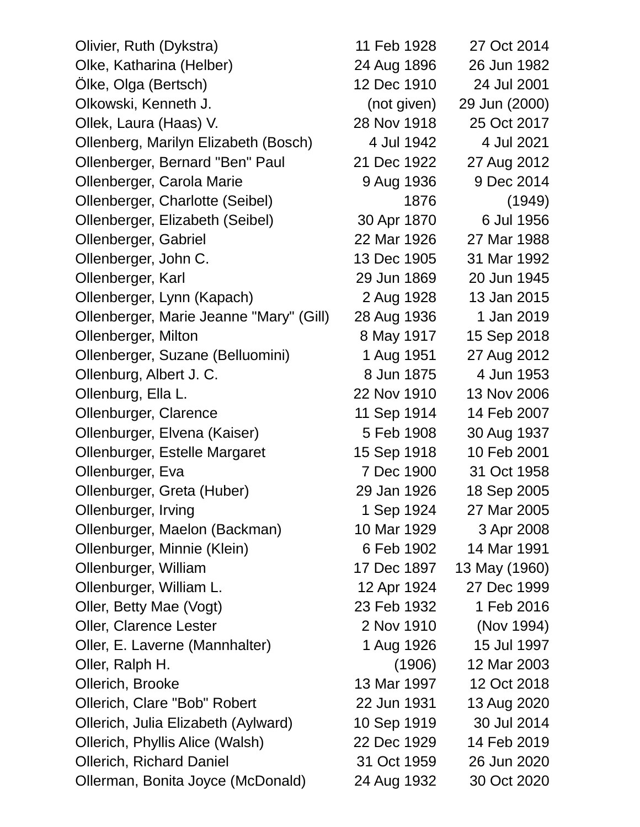| Olivier, Ruth (Dykstra)                 | 11 Feb 1928 | 27 Oct 2014   |
|-----------------------------------------|-------------|---------------|
| Olke, Katharina (Helber)                | 24 Aug 1896 | 26 Jun 1982   |
| Ölke, Olga (Bertsch)                    | 12 Dec 1910 | 24 Jul 2001   |
| Olkowski, Kenneth J.                    | (not given) | 29 Jun (2000) |
| Ollek, Laura (Haas) V.                  | 28 Nov 1918 | 25 Oct 2017   |
| Ollenberg, Marilyn Elizabeth (Bosch)    | 4 Jul 1942  | 4 Jul 2021    |
| Ollenberger, Bernard "Ben" Paul         | 21 Dec 1922 | 27 Aug 2012   |
| Ollenberger, Carola Marie               | 9 Aug 1936  | 9 Dec 2014    |
| Ollenberger, Charlotte (Seibel)         | 1876        | (1949)        |
| Ollenberger, Elizabeth (Seibel)         | 30 Apr 1870 | 6 Jul 1956    |
| Ollenberger, Gabriel                    | 22 Mar 1926 | 27 Mar 1988   |
| Ollenberger, John C.                    | 13 Dec 1905 | 31 Mar 1992   |
| Ollenberger, Karl                       | 29 Jun 1869 | 20 Jun 1945   |
| Ollenberger, Lynn (Kapach)              | 2 Aug 1928  | 13 Jan 2015   |
| Ollenberger, Marie Jeanne "Mary" (Gill) | 28 Aug 1936 | 1 Jan 2019    |
| Ollenberger, Milton                     | 8 May 1917  | 15 Sep 2018   |
| Ollenberger, Suzane (Belluomini)        | 1 Aug 1951  | 27 Aug 2012   |
| Ollenburg, Albert J. C.                 | 8 Jun 1875  | 4 Jun 1953    |
| Ollenburg, Ella L.                      | 22 Nov 1910 | 13 Nov 2006   |
| Ollenburger, Clarence                   | 11 Sep 1914 | 14 Feb 2007   |
| Ollenburger, Elvena (Kaiser)            | 5 Feb 1908  | 30 Aug 1937   |
| Ollenburger, Estelle Margaret           | 15 Sep 1918 | 10 Feb 2001   |
| Ollenburger, Eva                        | 7 Dec 1900  | 31 Oct 1958   |
| Ollenburger, Greta (Huber)              | 29 Jan 1926 | 18 Sep 2005   |
| Ollenburger, Irving                     | 1 Sep 1924  | 27 Mar 2005   |
| Ollenburger, Maelon (Backman)           | 10 Mar 1929 | 3 Apr 2008    |
| Ollenburger, Minnie (Klein)             | 6 Feb 1902  | 14 Mar 1991   |
| Ollenburger, William                    | 17 Dec 1897 | 13 May (1960) |
| Ollenburger, William L.                 | 12 Apr 1924 | 27 Dec 1999   |
| Oller, Betty Mae (Vogt)                 | 23 Feb 1932 | 1 Feb 2016    |
| <b>Oller, Clarence Lester</b>           | 2 Nov 1910  | (Nov 1994)    |
| Oller, E. Laverne (Mannhalter)          | 1 Aug 1926  | 15 Jul 1997   |
| Oller, Ralph H.                         | (1906)      | 12 Mar 2003   |
| Ollerich, Brooke                        | 13 Mar 1997 | 12 Oct 2018   |
| Ollerich, Clare "Bob" Robert            | 22 Jun 1931 | 13 Aug 2020   |
| Ollerich, Julia Elizabeth (Aylward)     | 10 Sep 1919 | 30 Jul 2014   |
| Ollerich, Phyllis Alice (Walsh)         | 22 Dec 1929 | 14 Feb 2019   |
| <b>Ollerich, Richard Daniel</b>         | 31 Oct 1959 | 26 Jun 2020   |
| Ollerman, Bonita Joyce (McDonald)       | 24 Aug 1932 | 30 Oct 2020   |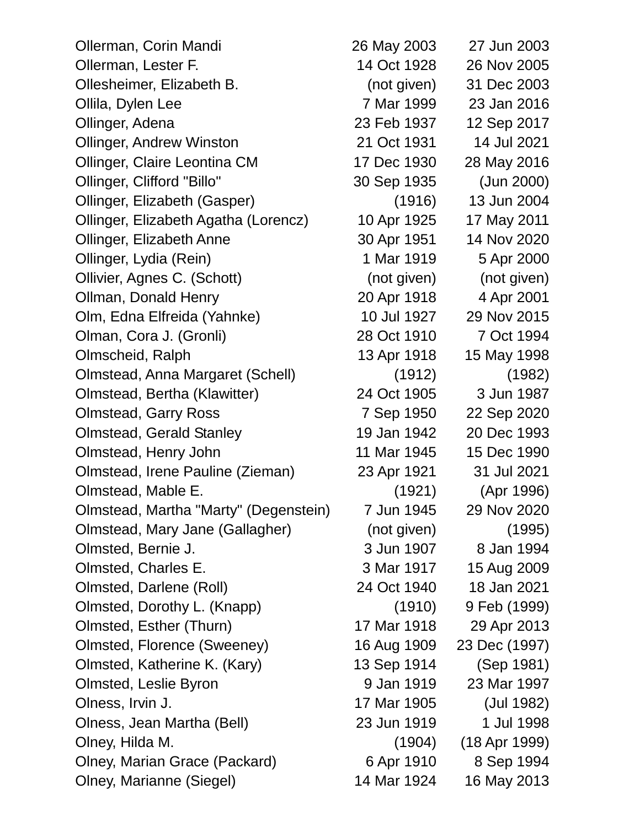Ollerman, Corin Mandi 26 May 2003 27 Jun 2003 Ollerman, Lester F. 14 Oct 1928 26 Nov 2005 Ollesheimer, Elizabeth B. (not given) 31 Dec 2003 Ollila, Dylen Lee 7 Mar 1999 23 Jan 2016 Ollinger, Adena 23 Feb 1937 12 Sep 2017 Ollinger, Andrew Winston 21 Oct 1931 14 Jul 2021 Ollinger, Claire Leontina CM 17 Dec 1930 28 May 2016 Ollinger, Clifford "Billo" 30 Sep 1935 (Jun 2000) Ollinger, Elizabeth (Gasper) (1916) 13 Jun 2004 Ollinger, Elizabeth Agatha (Lorencz) 10 Apr 1925 17 May 2011 Ollinger, Elizabeth Anne 30 Apr 1951 14 Nov 2020 Ollinger, Lydia (Rein) 1 Mar 1919 5 Apr 2000 Ollivier, Agnes C. (Schott) (not given) (not given) Ollman, Donald Henry 20 Apr 1918 4 Apr 2001 Olm, Edna Elfreida (Yahnke) 10 Jul 1927 29 Nov 2015 Olman, Cora J. (Gronli) 28 Oct 1910 7 Oct 1994 Olmscheid, Ralph 13 Apr 1918 15 May 1998 Olmstead, Anna Margaret (Schell) (1912) (1982) Olmstead, Bertha (Klawitter) 24 Oct 1905 3 Jun 1987 Olmstead, Garry Ross 7 Sep 1950 22 Sep 2020 Olmstead, Gerald Stanley 19 Jan 1942 20 Dec 1993 Olmstead, Henry John 11 Mar 1945 15 Dec 1990 Olmstead, Irene Pauline (Zieman) 23 Apr 1921 31 Jul 2021 Olmstead, Mable E. (1921) (Apr 1996) Olmstead, Martha "Marty" (Degenstein) 7 Jun 1945 29 Nov 2020 Olmstead, Mary Jane (Gallagher) (not given) (1995) Olmsted, Bernie J. 3 Jun 1907 8 Jan 1994 Olmsted, Charles E. 3 Mar 1917 15 Aug 2009 Olmsted, Darlene (Roll) 24 Oct 1940 18 Jan 2021 Olmsted, Dorothy L. (Knapp) (1910) 9 Feb (1999) Olmsted, Esther (Thurn) 17 Mar 1918 29 Apr 2013 Olmsted, Florence (Sweeney) 16 Aug 1909 23 Dec (1997) Olmsted, Katherine K. (Kary) 13 Sep 1914 (Sep 1981) Olmsted, Leslie Byron 9 Jan 1919 23 Mar 1997 Olness, Irvin J. 17 Mar 1905 (Jul 1982) Olness, Jean Martha (Bell) 23 Jun 1919 1 Jul 1998 Olney, Hilda M. (1904) (18 Apr 1999) Olney, Marian Grace (Packard) 6 Apr 1910 8 Sep 1994 Olney, Marianne (Siegel) 14 Mar 1924 16 May 2013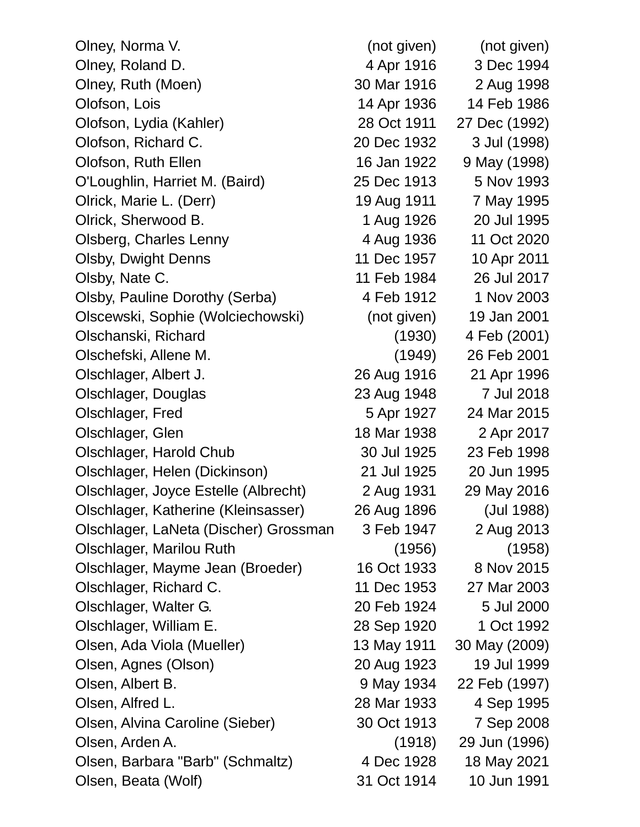| Olney, Norma V.                       | (not given) | (not given)   |
|---------------------------------------|-------------|---------------|
| Olney, Roland D.                      | 4 Apr 1916  | 3 Dec 1994    |
| Olney, Ruth (Moen)                    | 30 Mar 1916 | 2 Aug 1998    |
| Olofson, Lois                         | 14 Apr 1936 | 14 Feb 1986   |
| Olofson, Lydia (Kahler)               | 28 Oct 1911 | 27 Dec (1992) |
| Olofson, Richard C.                   | 20 Dec 1932 | 3 Jul (1998)  |
| Olofson, Ruth Ellen                   | 16 Jan 1922 | 9 May (1998)  |
| O'Loughlin, Harriet M. (Baird)        | 25 Dec 1913 | 5 Nov 1993    |
| Olrick, Marie L. (Derr)               | 19 Aug 1911 | 7 May 1995    |
| Olrick, Sherwood B.                   | 1 Aug 1926  | 20 Jul 1995   |
| Olsberg, Charles Lenny                | 4 Aug 1936  | 11 Oct 2020   |
| <b>Olsby, Dwight Denns</b>            | 11 Dec 1957 | 10 Apr 2011   |
| Olsby, Nate C.                        | 11 Feb 1984 | 26 Jul 2017   |
| Olsby, Pauline Dorothy (Serba)        | 4 Feb 1912  | 1 Nov 2003    |
| Olscewski, Sophie (Wolciechowski)     | (not given) | 19 Jan 2001   |
| Olschanski, Richard                   | (1930)      | 4 Feb (2001)  |
| Olschefski, Allene M.                 | (1949)      | 26 Feb 2001   |
| Olschlager, Albert J.                 | 26 Aug 1916 | 21 Apr 1996   |
| Olschlager, Douglas                   | 23 Aug 1948 | 7 Jul 2018    |
| Olschlager, Fred                      | 5 Apr 1927  | 24 Mar 2015   |
| Olschlager, Glen                      | 18 Mar 1938 | 2 Apr 2017    |
| Olschlager, Harold Chub               | 30 Jul 1925 | 23 Feb 1998   |
| Olschlager, Helen (Dickinson)         | 21 Jul 1925 | 20 Jun 1995   |
| Olschlager, Joyce Estelle (Albrecht)  | 2 Aug 1931  | 29 May 2016   |
| Olschlager, Katherine (Kleinsasser)   | 26 Aug 1896 | (Jul 1988)    |
| Olschlager, LaNeta (Discher) Grossman | 3 Feb 1947  | 2 Aug 2013    |
| Olschlager, Marilou Ruth              | (1956)      | (1958)        |
| Olschlager, Mayme Jean (Broeder)      | 16 Oct 1933 | 8 Nov 2015    |
| Olschlager, Richard C.                | 11 Dec 1953 | 27 Mar 2003   |
| Olschlager, Walter G.                 | 20 Feb 1924 | 5 Jul 2000    |
| Olschlager, William E.                | 28 Sep 1920 | 1 Oct 1992    |
| Olsen, Ada Viola (Mueller)            | 13 May 1911 | 30 May (2009) |
| Olsen, Agnes (Olson)                  | 20 Aug 1923 | 19 Jul 1999   |
| Olsen, Albert B.                      | 9 May 1934  | 22 Feb (1997) |
| Olsen, Alfred L.                      | 28 Mar 1933 | 4 Sep 1995    |
| Olsen, Alvina Caroline (Sieber)       | 30 Oct 1913 | 7 Sep 2008    |
| Olsen, Arden A.                       | (1918)      | 29 Jun (1996) |
| Olsen, Barbara "Barb" (Schmaltz)      | 4 Dec 1928  | 18 May 2021   |
| Olsen, Beata (Wolf)                   | 31 Oct 1914 | 10 Jun 1991   |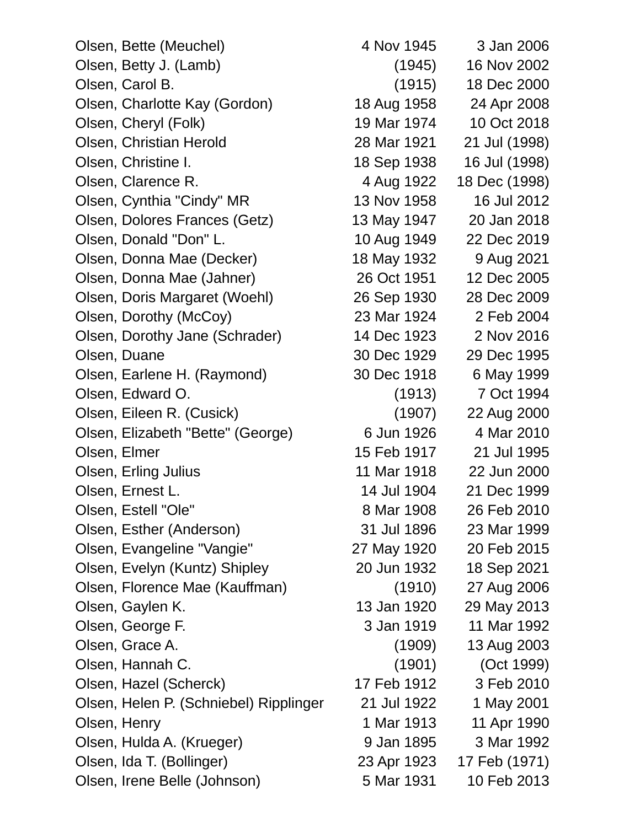| Olsen, Bette (Meuchel)                 | 4 Nov 1945  | 3 Jan 2006    |
|----------------------------------------|-------------|---------------|
| Olsen, Betty J. (Lamb)                 | (1945)      | 16 Nov 2002   |
| Olsen, Carol B.                        | (1915)      | 18 Dec 2000   |
| Olsen, Charlotte Kay (Gordon)          | 18 Aug 1958 | 24 Apr 2008   |
| Olsen, Cheryl (Folk)                   | 19 Mar 1974 | 10 Oct 2018   |
| Olsen, Christian Herold                | 28 Mar 1921 | 21 Jul (1998) |
| Olsen, Christine I.                    | 18 Sep 1938 | 16 Jul (1998) |
| Olsen, Clarence R.                     | 4 Aug 1922  | 18 Dec (1998) |
| Olsen, Cynthia "Cindy" MR              | 13 Nov 1958 | 16 Jul 2012   |
| Olsen, Dolores Frances (Getz)          | 13 May 1947 | 20 Jan 2018   |
| Olsen, Donald "Don" L.                 | 10 Aug 1949 | 22 Dec 2019   |
| Olsen, Donna Mae (Decker)              | 18 May 1932 | 9 Aug 2021    |
| Olsen, Donna Mae (Jahner)              | 26 Oct 1951 | 12 Dec 2005   |
| Olsen, Doris Margaret (Woehl)          | 26 Sep 1930 | 28 Dec 2009   |
| Olsen, Dorothy (McCoy)                 | 23 Mar 1924 | 2 Feb 2004    |
| Olsen, Dorothy Jane (Schrader)         | 14 Dec 1923 | 2 Nov 2016    |
| Olsen, Duane                           | 30 Dec 1929 | 29 Dec 1995   |
| Olsen, Earlene H. (Raymond)            | 30 Dec 1918 | 6 May 1999    |
| Olsen, Edward O.                       | (1913)      | 7 Oct 1994    |
| Olsen, Eileen R. (Cusick)              | (1907)      | 22 Aug 2000   |
| Olsen, Elizabeth "Bette" (George)      | 6 Jun 1926  | 4 Mar 2010    |
| Olsen, Elmer                           | 15 Feb 1917 | 21 Jul 1995   |
| Olsen, Erling Julius                   | 11 Mar 1918 | 22 Jun 2000   |
| Olsen, Ernest L.                       | 14 Jul 1904 | 21 Dec 1999   |
| Olsen, Estell "Ole"                    | 8 Mar 1908  | 26 Feb 2010   |
| Olsen, Esther (Anderson)               | 31 Jul 1896 | 23 Mar 1999   |
| Olsen, Evangeline "Vangie"             | 27 May 1920 | 20 Feb 2015   |
| Olsen, Evelyn (Kuntz) Shipley          | 20 Jun 1932 | 18 Sep 2021   |
| Olsen, Florence Mae (Kauffman)         | (1910)      | 27 Aug 2006   |
| Olsen, Gaylen K.                       | 13 Jan 1920 | 29 May 2013   |
| Olsen, George F.                       | 3 Jan 1919  | 11 Mar 1992   |
| Olsen, Grace A.                        | (1909)      | 13 Aug 2003   |
| Olsen, Hannah C.                       | (1901)      | (Oct 1999)    |
| Olsen, Hazel (Scherck)                 | 17 Feb 1912 | 3 Feb 2010    |
| Olsen, Helen P. (Schniebel) Ripplinger | 21 Jul 1922 | 1 May 2001    |
| Olsen, Henry                           | 1 Mar 1913  | 11 Apr 1990   |
| Olsen, Hulda A. (Krueger)              | 9 Jan 1895  | 3 Mar 1992    |
| Olsen, Ida T. (Bollinger)              | 23 Apr 1923 | 17 Feb (1971) |
| Olsen, Irene Belle (Johnson)           | 5 Mar 1931  | 10 Feb 2013   |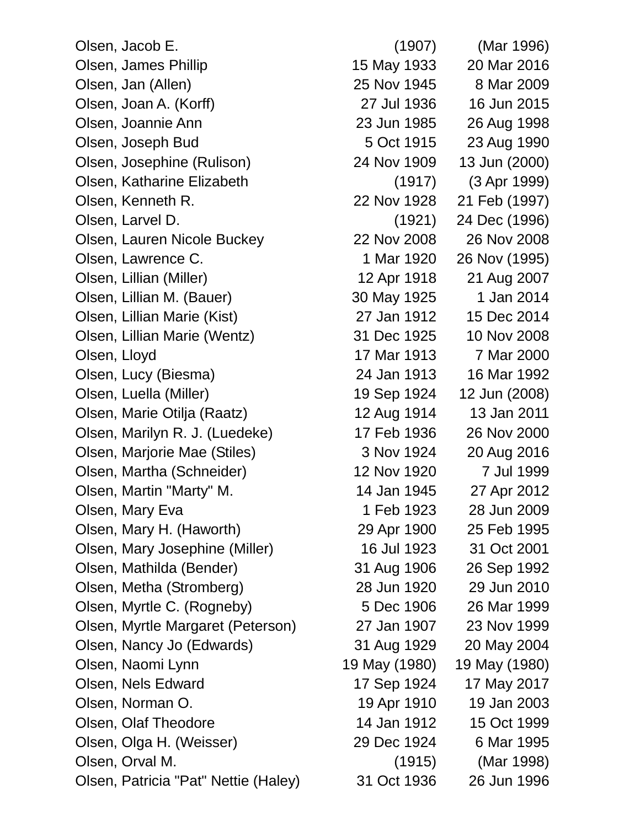Olsen, Jacob E. (1907) (Mar 1996) Olsen, James Phillip 15 May 1933 20 Mar 2016 Olsen, Jan (Allen) 25 Nov 1945 8 Mar 2009 Olsen, Joan A. (Korff) 27 Jul 1936 16 Jun 2015 Olsen, Joannie Ann 23 Jun 1985 26 Aug 1998 Olsen, Joseph Bud 5 Oct 1915 23 Aug 1990 Olsen, Josephine (Rulison) 24 Nov 1909 13 Jun (2000) Olsen, Katharine Elizabeth (1917) (3 Apr 1999) Olsen, Kenneth R. 22 Nov 1928 21 Feb (1997) Olsen, Larvel D. (1921) 24 Dec (1996) Olsen, Lauren Nicole Buckey 22 Nov 2008 26 Nov 2008 Olsen, Lawrence C. 1 Mar 1920 26 Nov (1995) Olsen, Lillian (Miller) 12 Apr 1918 21 Aug 2007 Olsen, Lillian M. (Bauer) 30 May 1925 1 Jan 2014 Olsen, Lillian Marie (Kist) 27 Jan 1912 15 Dec 2014 Olsen, Lillian Marie (Wentz) 31 Dec 1925 10 Nov 2008 Olsen, Lloyd 17 Mar 1913 7 Mar 2000 Olsen, Lucy (Biesma) 24 Jan 1913 16 Mar 1992 Olsen, Luella (Miller) 19 Sep 1924 12 Jun (2008) Olsen, Marie Otilja (Raatz) 12 Aug 1914 13 Jan 2011 Olsen, Marilyn R. J. (Luedeke) 17 Feb 1936 26 Nov 2000 Olsen, Marjorie Mae (Stiles) 3 Nov 1924 20 Aug 2016 Olsen, Martha (Schneider) 12 Nov 1920 7 Jul 1999 Olsen, Martin "Marty" M. 14 Jan 1945 27 Apr 2012 Olsen, Mary Eva 1 1 Feb 1923 28 Jun 2009 Olsen, Mary H. (Haworth) 29 Apr 1900 25 Feb 1995 Olsen, Mary Josephine (Miller) 16 Jul 1923 31 Oct 2001 Olsen, Mathilda (Bender) 31 Aug 1906 26 Sep 1992 Olsen, Metha (Stromberg) 28 Jun 1920 29 Jun 2010 Olsen, Myrtle C. (Rogneby) 5 Dec 1906 26 Mar 1999 Olsen, Myrtle Margaret (Peterson) 27 Jan 1907 23 Nov 1999 Olsen, Nancy Jo (Edwards) 31 Aug 1929 20 May 2004 Olsen, Naomi Lynn 19 May (1980) 19 May (1980) Olsen, Nels Edward 17 Sep 1924 17 May 2017 Olsen, Norman O. 19 Apr 1910 19 Jan 2003 Olsen, Olaf Theodore 14 Jan 1912 15 Oct 1999 Olsen, Olga H. (Weisser) 29 Dec 1924 6 Mar 1995 Olsen, Orval M. (1915) (Mar 1998)

Olsen, Patricia "Pat" Nettie (Haley) 31 Oct 1936 26 Jun 1996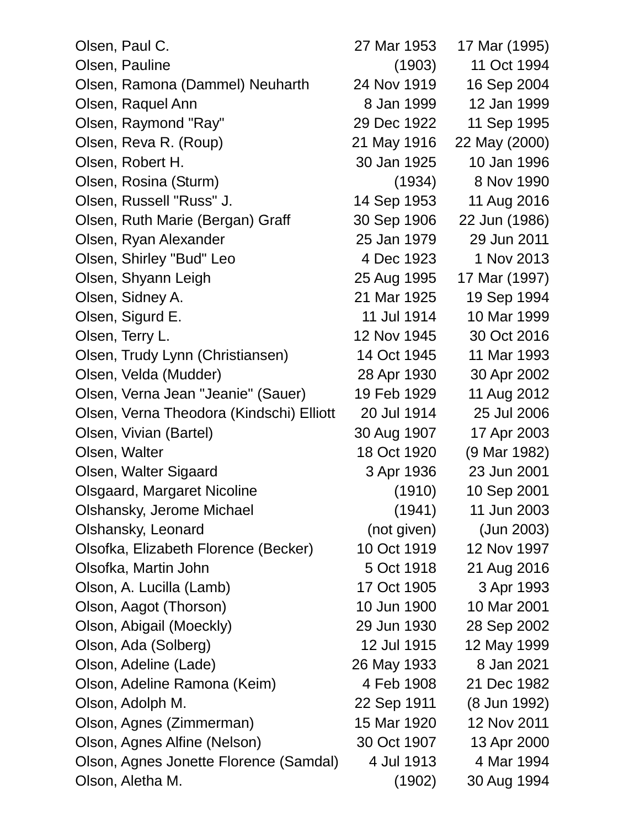| Olsen, Paul C.                           | 27 Mar 1953 | 17 Mar (1995) |
|------------------------------------------|-------------|---------------|
| Olsen, Pauline                           | (1903)      | 11 Oct 1994   |
| Olsen, Ramona (Dammel) Neuharth          | 24 Nov 1919 | 16 Sep 2004   |
| Olsen, Raquel Ann                        | 8 Jan 1999  | 12 Jan 1999   |
| Olsen, Raymond "Ray"                     | 29 Dec 1922 | 11 Sep 1995   |
| Olsen, Reva R. (Roup)                    | 21 May 1916 | 22 May (2000) |
| Olsen, Robert H.                         | 30 Jan 1925 | 10 Jan 1996   |
| Olsen, Rosina (Sturm)                    | (1934)      | 8 Nov 1990    |
| Olsen, Russell "Russ" J.                 | 14 Sep 1953 | 11 Aug 2016   |
| Olsen, Ruth Marie (Bergan) Graff         | 30 Sep 1906 | 22 Jun (1986) |
| Olsen, Ryan Alexander                    | 25 Jan 1979 | 29 Jun 2011   |
| Olsen, Shirley "Bud" Leo                 | 4 Dec 1923  | 1 Nov 2013    |
| Olsen, Shyann Leigh                      | 25 Aug 1995 | 17 Mar (1997) |
| Olsen, Sidney A.                         | 21 Mar 1925 | 19 Sep 1994   |
| Olsen, Sigurd E.                         | 11 Jul 1914 | 10 Mar 1999   |
| Olsen, Terry L.                          | 12 Nov 1945 | 30 Oct 2016   |
| Olsen, Trudy Lynn (Christiansen)         | 14 Oct 1945 | 11 Mar 1993   |
| Olsen, Velda (Mudder)                    | 28 Apr 1930 | 30 Apr 2002   |
| Olsen, Verna Jean "Jeanie" (Sauer)       | 19 Feb 1929 | 11 Aug 2012   |
| Olsen, Verna Theodora (Kindschi) Elliott | 20 Jul 1914 | 25 Jul 2006   |
| Olsen, Vivian (Bartel)                   | 30 Aug 1907 | 17 Apr 2003   |
| Olsen, Walter                            | 18 Oct 1920 | (9 Mar 1982)  |
| Olsen, Walter Sigaard                    | 3 Apr 1936  | 23 Jun 2001   |
| <b>Olsgaard, Margaret Nicoline</b>       | (1910)      | 10 Sep 2001   |
| Olshansky, Jerome Michael                | (1941)      | 11 Jun 2003   |
| Olshansky, Leonard                       | (not given) | (Jun 2003)    |
| Olsofka, Elizabeth Florence (Becker)     | 10 Oct 1919 | 12 Nov 1997   |
| Olsofka, Martin John                     | 5 Oct 1918  | 21 Aug 2016   |
| Olson, A. Lucilla (Lamb)                 | 17 Oct 1905 | 3 Apr 1993    |
| Olson, Aagot (Thorson)                   | 10 Jun 1900 | 10 Mar 2001   |
| Olson, Abigail (Moeckly)                 | 29 Jun 1930 | 28 Sep 2002   |
| Olson, Ada (Solberg)                     | 12 Jul 1915 | 12 May 1999   |
| Olson, Adeline (Lade)                    | 26 May 1933 | 8 Jan 2021    |
| Olson, Adeline Ramona (Keim)             | 4 Feb 1908  | 21 Dec 1982   |
| Olson, Adolph M.                         | 22 Sep 1911 | (8 Jun 1992)  |
| Olson, Agnes (Zimmerman)                 | 15 Mar 1920 | 12 Nov 2011   |
| Olson, Agnes Alfine (Nelson)             | 30 Oct 1907 | 13 Apr 2000   |
| Olson, Agnes Jonette Florence (Samdal)   | 4 Jul 1913  | 4 Mar 1994    |
| Olson, Aletha M.                         | (1902)      | 30 Aug 1994   |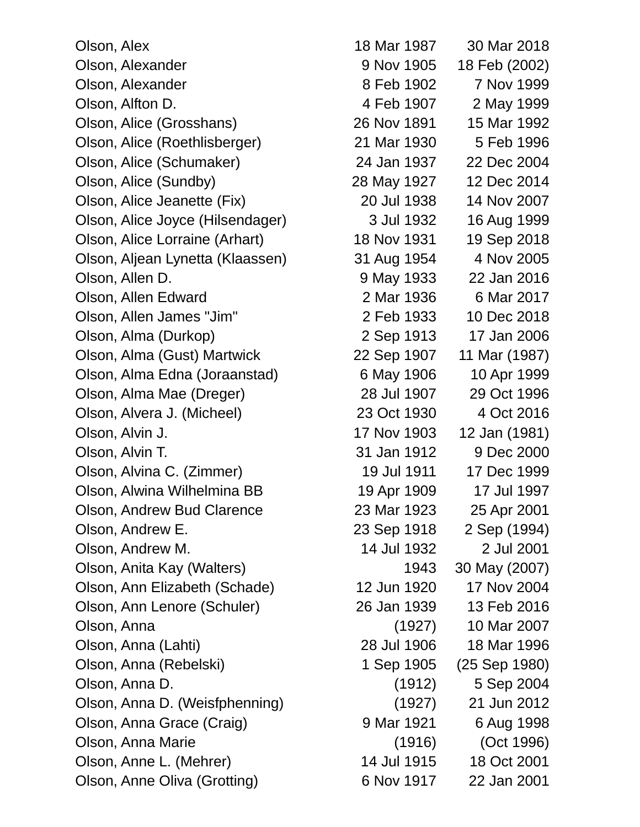Olson, Alex 18 Mar 1987 30 Mar 2018 Olson, Alexander 9 Nov 1905 18 Feb (2002) Olson, Alexander 8 Feb 1902 7 Nov 1999 Olson, Alfton D. 4 Feb 1907 2 May 1999 Olson, Alice (Grosshans) 26 Nov 1891 15 Mar 1992 Olson, Alice (Roethlisberger) 21 Mar 1930 5 Feb 1996 Olson, Alice (Schumaker) 24 Jan 1937 22 Dec 2004 Olson, Alice (Sundby) 28 May 1927 12 Dec 2014 Olson, Alice Jeanette (Fix) 20 Jul 1938 14 Nov 2007 Olson, Alice Joyce (Hilsendager) 3 Jul 1932 16 Aug 1999 Olson, Alice Lorraine (Arhart) 18 Nov 1931 19 Sep 2018 Olson, Aljean Lynetta (Klaassen) 31 Aug 1954 4 Nov 2005 Olson, Allen D. 9 May 1933 22 Jan 2016 Olson, Allen Edward 2 Mar 1936 6 Mar 2017 Olson, Allen James "Jim" 2 Feb 1933 10 Dec 2018 Olson, Alma (Durkop) 2 Sep 1913 17 Jan 2006 Olson, Alma (Gust) Martwick 22 Sep 1907 11 Mar (1987) Olson, Alma Edna (Joraanstad) 6 May 1906 10 Apr 1999 Olson, Alma Mae (Dreger) 28 Jul 1907 29 Oct 1996 Olson, Alvera J. (Micheel) 23 Oct 1930 4 Oct 2016 Olson, Alvin J. 17 Nov 1903 12 Jan (1981) Olson, Alvin T. 31 Jan 1912 9 Dec 2000 Olson, Alvina C. (Zimmer) 19 Jul 1911 17 Dec 1999 Olson, Alwina Wilhelmina BB 19 Apr 1909 17 Jul 1997 Olson, Andrew Bud Clarence 23 Mar 1923 25 Apr 2001 Olson, Andrew E. 23 Sep 1918 2 Sep (1994) Olson, Andrew M. 14 Jul 1932 2 Jul 2001 Olson, Anita Kay (Walters) 1943 30 May (2007) Olson, Ann Elizabeth (Schade) 12 Jun 1920 17 Nov 2004 Olson, Ann Lenore (Schuler) 26 Jan 1939 13 Feb 2016 Olson, Anna (1927) 10 Mar 2007 Olson, Anna (Lahti) 28 Jul 1906 18 Mar 1996 Olson, Anna (Rebelski) 1 Sep 1905 (25 Sep 1980) Olson, Anna D. (1912) 5 Sep 2004 Olson, Anna D. (Weisfphenning) (1927) 21 Jun 2012 Olson, Anna Grace (Craig) 9 Mar 1921 6 Aug 1998 Olson, Anna Marie (1916) (Oct 1996) Olson, Anne L. (Mehrer) 14 Jul 1915 18 Oct 2001

Olson, Anne Oliva (Grotting) 6 Nov 1917 22 Jan 2001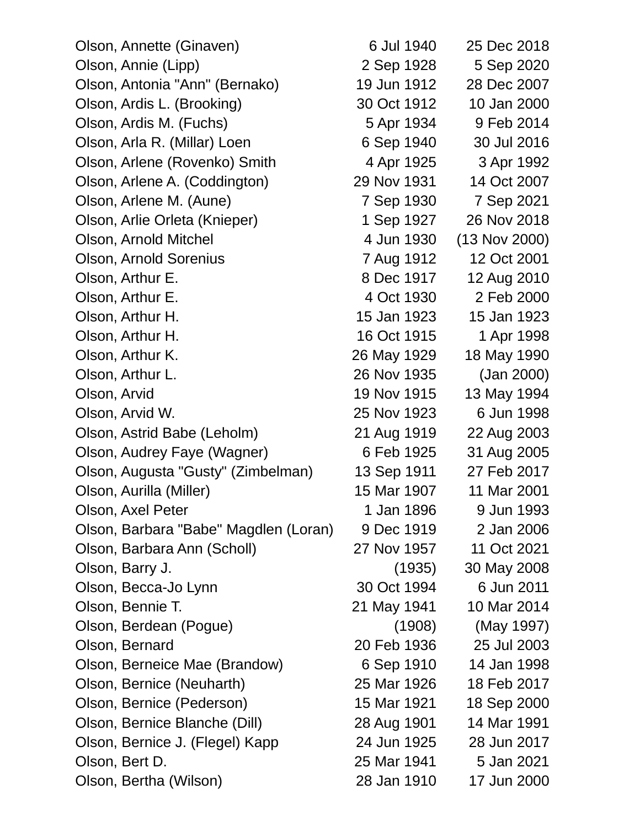| Olson, Annette (Ginaven)              | 6 Jul 1940  | 25 Dec 2018     |
|---------------------------------------|-------------|-----------------|
| Olson, Annie (Lipp)                   | 2 Sep 1928  | 5 Sep 2020      |
| Olson, Antonia "Ann" (Bernako)        | 19 Jun 1912 | 28 Dec 2007     |
| Olson, Ardis L. (Brooking)            | 30 Oct 1912 | 10 Jan 2000     |
| Olson, Ardis M. (Fuchs)               | 5 Apr 1934  | 9 Feb 2014      |
| Olson, Arla R. (Millar) Loen          | 6 Sep 1940  | 30 Jul 2016     |
| Olson, Arlene (Rovenko) Smith         | 4 Apr 1925  | 3 Apr 1992      |
| Olson, Arlene A. (Coddington)         | 29 Nov 1931 | 14 Oct 2007     |
| Olson, Arlene M. (Aune)               | 7 Sep 1930  | 7 Sep 2021      |
| Olson, Arlie Orleta (Knieper)         | 1 Sep 1927  | 26 Nov 2018     |
| Olson, Arnold Mitchel                 | 4 Jun 1930  | $(13$ Nov 2000) |
| <b>Olson, Arnold Sorenius</b>         | 7 Aug 1912  | 12 Oct 2001     |
| Olson, Arthur E.                      | 8 Dec 1917  | 12 Aug 2010     |
| Olson, Arthur E.                      | 4 Oct 1930  | 2 Feb 2000      |
| Olson, Arthur H.                      | 15 Jan 1923 | 15 Jan 1923     |
| Olson, Arthur H.                      | 16 Oct 1915 | 1 Apr 1998      |
| Olson, Arthur K.                      | 26 May 1929 | 18 May 1990     |
| Olson, Arthur L.                      | 26 Nov 1935 | (Jan 2000)      |
| Olson, Arvid                          | 19 Nov 1915 | 13 May 1994     |
| Olson, Arvid W.                       | 25 Nov 1923 | 6 Jun 1998      |
| Olson, Astrid Babe (Leholm)           | 21 Aug 1919 | 22 Aug 2003     |
| Olson, Audrey Faye (Wagner)           | 6 Feb 1925  | 31 Aug 2005     |
| Olson, Augusta "Gusty" (Zimbelman)    | 13 Sep 1911 | 27 Feb 2017     |
| Olson, Aurilla (Miller)               | 15 Mar 1907 | 11 Mar 2001     |
| Olson, Axel Peter                     | 1 Jan 1896  | 9 Jun 1993      |
| Olson, Barbara "Babe" Magdlen (Loran) | 9 Dec 1919  | 2 Jan 2006      |
| Olson, Barbara Ann (Scholl)           | 27 Nov 1957 | 11 Oct 2021     |
| Olson, Barry J.                       | (1935)      | 30 May 2008     |
| Olson, Becca-Jo Lynn                  | 30 Oct 1994 | 6 Jun 2011      |
| Olson, Bennie T.                      | 21 May 1941 | 10 Mar 2014     |
| Olson, Berdean (Pogue)                | (1908)      | (May 1997)      |
| Olson, Bernard                        | 20 Feb 1936 | 25 Jul 2003     |
| Olson, Berneice Mae (Brandow)         | 6 Sep 1910  | 14 Jan 1998     |
| Olson, Bernice (Neuharth)             | 25 Mar 1926 | 18 Feb 2017     |
| Olson, Bernice (Pederson)             | 15 Mar 1921 | 18 Sep 2000     |
| Olson, Bernice Blanche (Dill)         | 28 Aug 1901 | 14 Mar 1991     |
| Olson, Bernice J. (Flegel) Kapp       | 24 Jun 1925 | 28 Jun 2017     |
| Olson, Bert D.                        | 25 Mar 1941 | 5 Jan 2021      |
| Olson, Bertha (Wilson)                | 28 Jan 1910 | 17 Jun 2000     |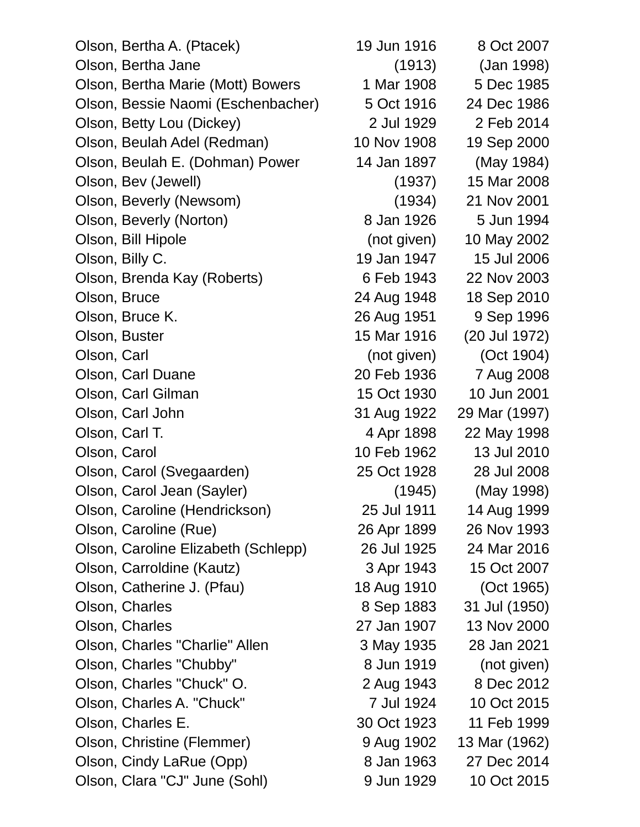| Olson, Bertha A. (Ptacek)           | 19 Jun 1916 | 8 Oct 2007    |
|-------------------------------------|-------------|---------------|
| Olson, Bertha Jane                  | (1913)      | (Jan 1998)    |
| Olson, Bertha Marie (Mott) Bowers   | 1 Mar 1908  | 5 Dec 1985    |
| Olson, Bessie Naomi (Eschenbacher)  | 5 Oct 1916  | 24 Dec 1986   |
| Olson, Betty Lou (Dickey)           | 2 Jul 1929  | 2 Feb 2014    |
| Olson, Beulah Adel (Redman)         | 10 Nov 1908 | 19 Sep 2000   |
| Olson, Beulah E. (Dohman) Power     | 14 Jan 1897 | (May 1984)    |
| Olson, Bev (Jewell)                 | (1937)      | 15 Mar 2008   |
| Olson, Beverly (Newsom)             | (1934)      | 21 Nov 2001   |
| Olson, Beverly (Norton)             | 8 Jan 1926  | 5 Jun 1994    |
| Olson, Bill Hipole                  | (not given) | 10 May 2002   |
| Olson, Billy C.                     | 19 Jan 1947 | 15 Jul 2006   |
| Olson, Brenda Kay (Roberts)         | 6 Feb 1943  | 22 Nov 2003   |
| Olson, Bruce                        | 24 Aug 1948 | 18 Sep 2010   |
| Olson, Bruce K.                     | 26 Aug 1951 | 9 Sep 1996    |
| Olson, Buster                       | 15 Mar 1916 | (20 Jul 1972) |
| Olson, Carl                         | (not given) | (Oct 1904)    |
| Olson, Carl Duane                   | 20 Feb 1936 | 7 Aug 2008    |
| Olson, Carl Gilman                  | 15 Oct 1930 | 10 Jun 2001   |
| Olson, Carl John                    | 31 Aug 1922 | 29 Mar (1997) |
| Olson, Carl T.                      | 4 Apr 1898  | 22 May 1998   |
| Olson, Carol                        | 10 Feb 1962 | 13 Jul 2010   |
| Olson, Carol (Svegaarden)           | 25 Oct 1928 | 28 Jul 2008   |
| Olson, Carol Jean (Sayler)          | (1945)      | (May 1998)    |
| Olson, Caroline (Hendrickson)       | 25 Jul 1911 | 14 Aug 1999   |
| Olson, Caroline (Rue)               | 26 Apr 1899 | 26 Nov 1993   |
| Olson, Caroline Elizabeth (Schlepp) | 26 Jul 1925 | 24 Mar 2016   |
| Olson, Carroldine (Kautz)           | 3 Apr 1943  | 15 Oct 2007   |
| Olson, Catherine J. (Pfau)          | 18 Aug 1910 | (Oct 1965)    |
| Olson, Charles                      | 8 Sep 1883  | 31 Jul (1950) |
| Olson, Charles                      | 27 Jan 1907 | 13 Nov 2000   |
| Olson, Charles "Charlie" Allen      | 3 May 1935  | 28 Jan 2021   |
| Olson, Charles "Chubby"             | 8 Jun 1919  | (not given)   |
| Olson, Charles "Chuck" O.           | 2 Aug 1943  | 8 Dec 2012    |
| Olson, Charles A. "Chuck"           | 7 Jul 1924  | 10 Oct 2015   |
| Olson, Charles E.                   | 30 Oct 1923 | 11 Feb 1999   |
| Olson, Christine (Flemmer)          | 9 Aug 1902  | 13 Mar (1962) |
| Olson, Cindy LaRue (Opp)            | 8 Jan 1963  | 27 Dec 2014   |
| Olson, Clara "CJ" June (Sohl)       | 9 Jun 1929  | 10 Oct 2015   |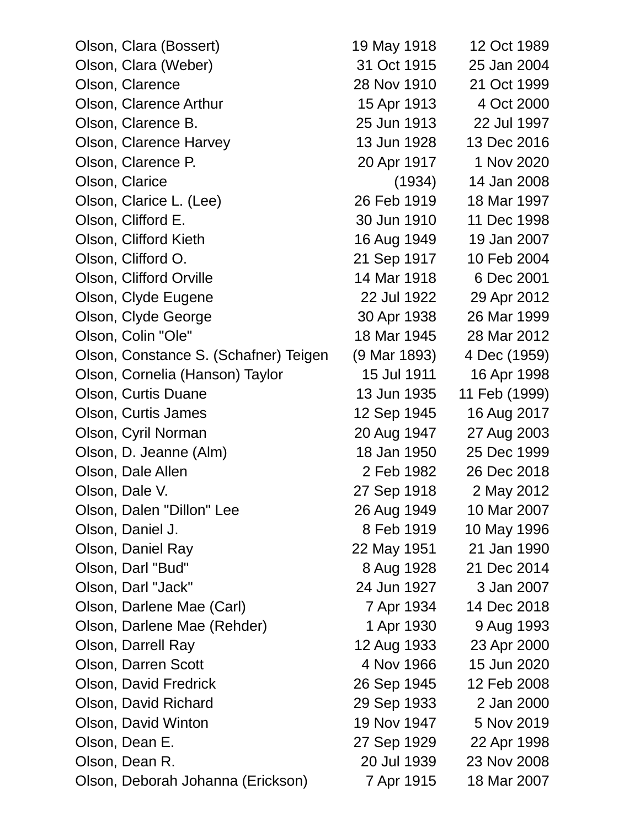| Olson, Clara (Bossert)                | 19 May 1918  | 12 Oct 1989   |
|---------------------------------------|--------------|---------------|
| Olson, Clara (Weber)                  | 31 Oct 1915  | 25 Jan 2004   |
| Olson, Clarence                       | 28 Nov 1910  | 21 Oct 1999   |
| Olson, Clarence Arthur                | 15 Apr 1913  | 4 Oct 2000    |
| Olson, Clarence B.                    | 25 Jun 1913  | 22 Jul 1997   |
| Olson, Clarence Harvey                | 13 Jun 1928  | 13 Dec 2016   |
| Olson, Clarence P.                    | 20 Apr 1917  | 1 Nov 2020    |
| Olson, Clarice                        | (1934)       | 14 Jan 2008   |
| Olson, Clarice L. (Lee)               | 26 Feb 1919  | 18 Mar 1997   |
| Olson, Clifford E.                    | 30 Jun 1910  | 11 Dec 1998   |
| Olson, Clifford Kieth                 | 16 Aug 1949  | 19 Jan 2007   |
| Olson, Clifford O.                    | 21 Sep 1917  | 10 Feb 2004   |
| Olson, Clifford Orville               | 14 Mar 1918  | 6 Dec 2001    |
| Olson, Clyde Eugene                   | 22 Jul 1922  | 29 Apr 2012   |
| Olson, Clyde George                   | 30 Apr 1938  | 26 Mar 1999   |
| Olson, Colin "Ole"                    | 18 Mar 1945  | 28 Mar 2012   |
| Olson, Constance S. (Schafner) Teigen | (9 Mar 1893) | 4 Dec (1959)  |
| Olson, Cornelia (Hanson) Taylor       | 15 Jul 1911  | 16 Apr 1998   |
| Olson, Curtis Duane                   | 13 Jun 1935  | 11 Feb (1999) |
| Olson, Curtis James                   | 12 Sep 1945  | 16 Aug 2017   |
| Olson, Cyril Norman                   | 20 Aug 1947  | 27 Aug 2003   |
| Olson, D. Jeanne (Alm)                | 18 Jan 1950  | 25 Dec 1999   |
| Olson, Dale Allen                     | 2 Feb 1982   | 26 Dec 2018   |
| Olson, Dale V.                        | 27 Sep 1918  | 2 May 2012    |
| Olson, Dalen "Dillon" Lee             | 26 Aug 1949  | 10 Mar 2007   |
| Olson, Daniel J.                      | 8 Feb 1919   | 10 May 1996   |
| Olson, Daniel Ray                     | 22 May 1951  | 21 Jan 1990   |
| Olson, Darl "Bud"                     | 8 Aug 1928   | 21 Dec 2014   |
| Olson, Darl "Jack"                    | 24 Jun 1927  | 3 Jan 2007    |
| Olson, Darlene Mae (Carl)             | 7 Apr 1934   | 14 Dec 2018   |
| Olson, Darlene Mae (Rehder)           | 1 Apr 1930   | 9 Aug 1993    |
| Olson, Darrell Ray                    | 12 Aug 1933  | 23 Apr 2000   |
| Olson, Darren Scott                   | 4 Nov 1966   | 15 Jun 2020   |
| Olson, David Fredrick                 | 26 Sep 1945  | 12 Feb 2008   |
| Olson, David Richard                  | 29 Sep 1933  | 2 Jan 2000    |
| Olson, David Winton                   | 19 Nov 1947  | 5 Nov 2019    |
| Olson, Dean E.                        | 27 Sep 1929  | 22 Apr 1998   |
| Olson, Dean R.                        | 20 Jul 1939  | 23 Nov 2008   |
| Olson, Deborah Johanna (Erickson)     | 7 Apr 1915   | 18 Mar 2007   |
|                                       |              |               |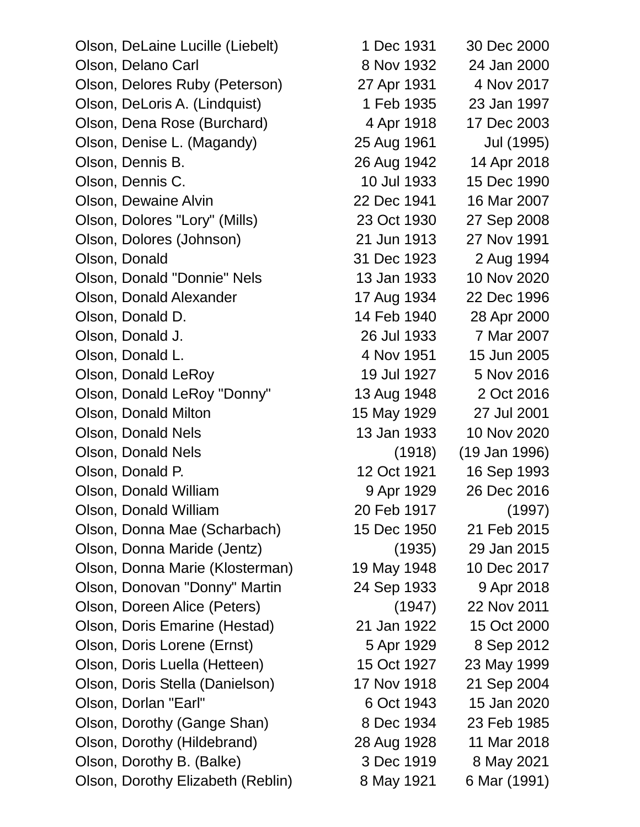Olson, DeLaine Lucille (Liebelt) 1 Dec 1931 30 Dec 2000 Olson, Delano Carl 8 Nov 1932 24 Jan 2000 Olson, Delores Ruby (Peterson) 27 Apr 1931 4 Nov 2017 Olson, DeLoris A. (Lindquist) 1 Feb 1935 23 Jan 1997 Olson, Dena Rose (Burchard) 4 Apr 1918 17 Dec 2003 Olson, Denise L. (Magandy) 25 Aug 1961 Jul (1995) Olson, Dennis B. 26 Aug 1942 14 Apr 2018 Olson, Dennis C. 10 Jul 1933 15 Dec 1990 Olson, Dewaine Alvin 22 Dec 1941 16 Mar 2007 Olson, Dolores "Lory" (Mills) 23 Oct 1930 27 Sep 2008 Olson, Dolores (Johnson) 21 Jun 1913 27 Nov 1991 Olson, Donald 31 Dec 1923 2 Aug 1994 Olson, Donald "Donnie" Nels 13 Jan 1933 10 Nov 2020 Olson, Donald Alexander 17 Aug 1934 22 Dec 1996 Olson, Donald D. 14 Feb 1940 28 Apr 2000 Olson, Donald J. 26 Jul 1933 7 Mar 2007 Olson, Donald L. 4 Nov 1951 15 Jun 2005 Olson, Donald LeRoy 19 Jul 1927 5 Nov 2016 Olson, Donald LeRoy "Donny" 13 Aug 1948 2 Oct 2016 Olson, Donald Milton 15 May 1929 27 Jul 2001 Olson, Donald Nels 13 Jan 1933 10 Nov 2020 Olson, Donald Nels (1918) (19 Jan 1996) Olson, Donald P. 12 Oct 1921 16 Sep 1993 Olson, Donald William 9 Apr 1929 26 Dec 2016 Olson, Donald William 20 Feb 1917 (1997) Olson, Donna Mae (Scharbach) 15 Dec 1950 21 Feb 2015 Olson, Donna Maride (Jentz) (1935) 29 Jan 2015 Olson, Donna Marie (Klosterman) 19 May 1948 10 Dec 2017 Olson, Donovan "Donny" Martin 24 Sep 1933 9 Apr 2018 Olson, Doreen Alice (Peters) (1947) 22 Nov 2011 Olson, Doris Emarine (Hestad) 21 Jan 1922 15 Oct 2000 Olson, Doris Lorene (Ernst) 5 Apr 1929 8 Sep 2012 Olson, Doris Luella (Hetteen) 15 Oct 1927 23 May 1999 Olson, Doris Stella (Danielson) 17 Nov 1918 21 Sep 2004 Olson, Dorlan "Earl" 6 Oct 1943 15 Jan 2020 Olson, Dorothy (Gange Shan) 8 Dec 1934 23 Feb 1985 Olson, Dorothy (Hildebrand) 28 Aug 1928 11 Mar 2018 Olson, Dorothy B. (Balke) 3 Dec 1919 8 May 2021

Olson, Dorothy Elizabeth (Reblin) 8 May 1921 6 Mar (1991)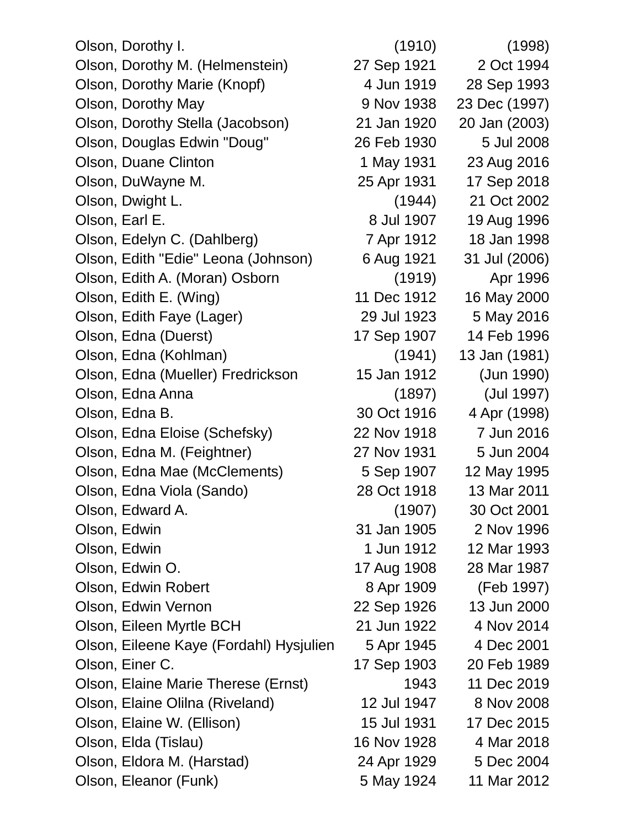Olson, Dorothy I. (1910) (1998) Olson, Dorothy M. (Helmenstein) 27 Sep 1921 2 Oct 1994 Olson, Dorothy Marie (Knopf) 4 Jun 1919 28 Sep 1993 Olson, Dorothy May 9 Nov 1938 23 Dec (1997) Olson, Dorothy Stella (Jacobson) 21 Jan 1920 20 Jan (2003) Olson, Douglas Edwin "Doug" 26 Feb 1930 5 Jul 2008 Olson, Duane Clinton 1 May 1931 23 Aug 2016 Olson, DuWayne M. 25 Apr 1931 17 Sep 2018 Olson, Dwight L. (1944) 21 Oct 2002 Olson, Earl E. 8 Jul 1907 19 Aug 1996 Olson, Edelyn C. (Dahlberg) 7 Apr 1912 18 Jan 1998 Olson, Edith "Edie" Leona (Johnson) 6 Aug 1921 31 Jul (2006) Olson, Edith A. (Moran) Osborn (1919) Apr 1996 Olson, Edith E. (Wing) 11 Dec 1912 16 May 2000 Olson, Edith Faye (Lager) 29 Jul 1923 5 May 2016 Olson, Edna (Duerst) 17 Sep 1907 14 Feb 1996 Olson, Edna (Kohlman) (1941) 13 Jan (1981) Olson, Edna (Mueller) Fredrickson 15 Jan 1912 (Jun 1990) Olson, Edna Anna (1897) (Jul 1997) Olson, Edna B. 30 Oct 1916 4 Apr (1998) Olson, Edna Eloise (Schefsky) 22 Nov 1918 7 Jun 2016 Olson, Edna M. (Feightner) 27 Nov 1931 5 Jun 2004 Olson, Edna Mae (McClements) 5 Sep 1907 12 May 1995 Olson, Edna Viola (Sando) 28 Oct 1918 13 Mar 2011 Olson, Edward A. (1907) 30 Oct 2001 Olson, Edwin 31 Jan 1905 2 Nov 1996 Olson, Edwin 1 Jun 1912 12 Mar 1993 Olson, Edwin O. 17 Aug 1908 28 Mar 1987 Olson, Edwin Robert 8 Apr 1909 (Feb 1997) Olson, Edwin Vernon 22 Sep 1926 13 Jun 2000 Olson, Eileen Myrtle BCH 21 Jun 1922 4 Nov 2014 Olson, Eileene Kaye (Fordahl) Hysjulien 5 Apr 1945 4 Dec 2001 Olson, Einer C. 17 Sep 1903 20 Feb 1989 Olson, Elaine Marie Therese (Ernst) 1943 11 Dec 2019 Olson, Elaine Olilna (Riveland) 12 Jul 1947 8 Nov 2008 Olson, Elaine W. (Ellison) 15 Jul 1931 17 Dec 2015 Olson, Elda (Tislau) 16 Nov 1928 4 Mar 2018 Olson, Eldora M. (Harstad) 24 Apr 1929 5 Dec 2004 Olson, Eleanor (Funk) 5 May 1924 11 Mar 2012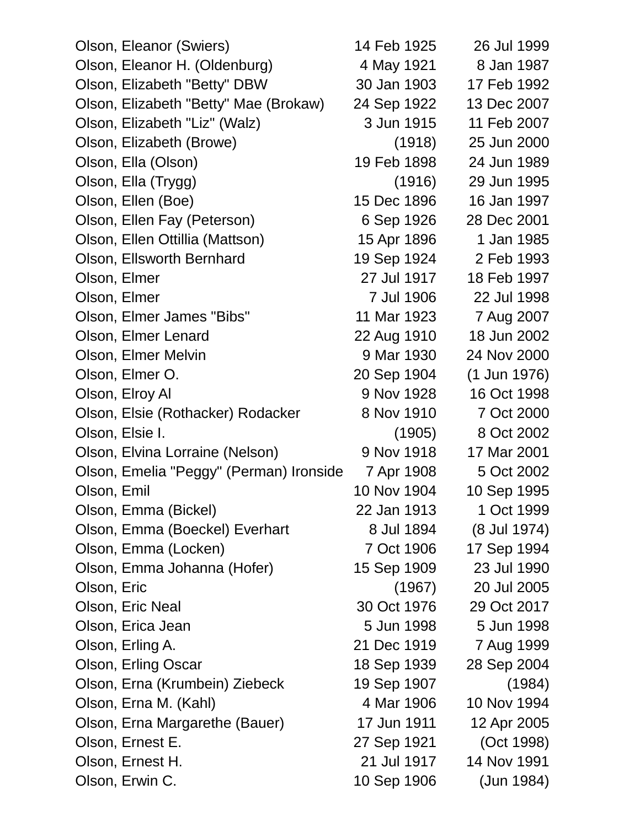| Olson, Eleanor (Swiers)                 | 14 Feb 1925 | 26 Jul 1999    |
|-----------------------------------------|-------------|----------------|
| Olson, Eleanor H. (Oldenburg)           | 4 May 1921  | 8 Jan 1987     |
| Olson, Elizabeth "Betty" DBW            | 30 Jan 1903 | 17 Feb 1992    |
| Olson, Elizabeth "Betty" Mae (Brokaw)   | 24 Sep 1922 | 13 Dec 2007    |
| Olson, Elizabeth "Liz" (Walz)           | 3 Jun 1915  | 11 Feb 2007    |
| Olson, Elizabeth (Browe)                | (1918)      | 25 Jun 2000    |
| Olson, Ella (Olson)                     | 19 Feb 1898 | 24 Jun 1989    |
| Olson, Ella (Trygg)                     | (1916)      | 29 Jun 1995    |
| Olson, Ellen (Boe)                      | 15 Dec 1896 | 16 Jan 1997    |
| Olson, Ellen Fay (Peterson)             | 6 Sep 1926  | 28 Dec 2001    |
| Olson, Ellen Ottillia (Mattson)         | 15 Apr 1896 | 1 Jan 1985     |
| Olson, Ellsworth Bernhard               | 19 Sep 1924 | 2 Feb 1993     |
| Olson, Elmer                            | 27 Jul 1917 | 18 Feb 1997    |
| Olson, Elmer                            | 7 Jul 1906  | 22 Jul 1998    |
| Olson, Elmer James "Bibs"               | 11 Mar 1923 | 7 Aug 2007     |
| Olson, Elmer Lenard                     | 22 Aug 1910 | 18 Jun 2002    |
| Olson, Elmer Melvin                     | 9 Mar 1930  | 24 Nov 2000    |
| Olson, Elmer O.                         | 20 Sep 1904 | $(1$ Jun 1976) |
| Olson, Elroy Al                         | 9 Nov 1928  | 16 Oct 1998    |
| Olson, Elsie (Rothacker) Rodacker       | 8 Nov 1910  | 7 Oct 2000     |
| Olson, Elsie I.                         | (1905)      | 8 Oct 2002     |
| Olson, Elvina Lorraine (Nelson)         | 9 Nov 1918  | 17 Mar 2001    |
| Olson, Emelia "Peggy" (Perman) Ironside | 7 Apr 1908  | 5 Oct 2002     |
| Olson, Emil                             | 10 Nov 1904 | 10 Sep 1995    |
| Olson, Emma (Bickel)                    | 22 Jan 1913 | 1 Oct 1999     |
| Olson, Emma (Boeckel) Everhart          | 8 Jul 1894  | (8 Jul 1974)   |
| Olson, Emma (Locken)                    | 7 Oct 1906  | 17 Sep 1994    |
| Olson, Emma Johanna (Hofer)             | 15 Sep 1909 | 23 Jul 1990    |
| Olson, Eric                             | (1967)      | 20 Jul 2005    |
| Olson, Eric Neal                        | 30 Oct 1976 | 29 Oct 2017    |
| Olson, Erica Jean                       | 5 Jun 1998  | 5 Jun 1998     |
| Olson, Erling A.                        | 21 Dec 1919 | 7 Aug 1999     |
| Olson, Erling Oscar                     | 18 Sep 1939 | 28 Sep 2004    |
| Olson, Erna (Krumbein) Ziebeck          | 19 Sep 1907 | (1984)         |
| Olson, Erna M. (Kahl)                   | 4 Mar 1906  | 10 Nov 1994    |
| Olson, Erna Margarethe (Bauer)          | 17 Jun 1911 | 12 Apr 2005    |
| Olson, Ernest E.                        | 27 Sep 1921 | (Oct 1998)     |
| Olson, Ernest H.                        | 21 Jul 1917 | 14 Nov 1991    |
| Olson, Erwin C.                         | 10 Sep 1906 | (Jun 1984)     |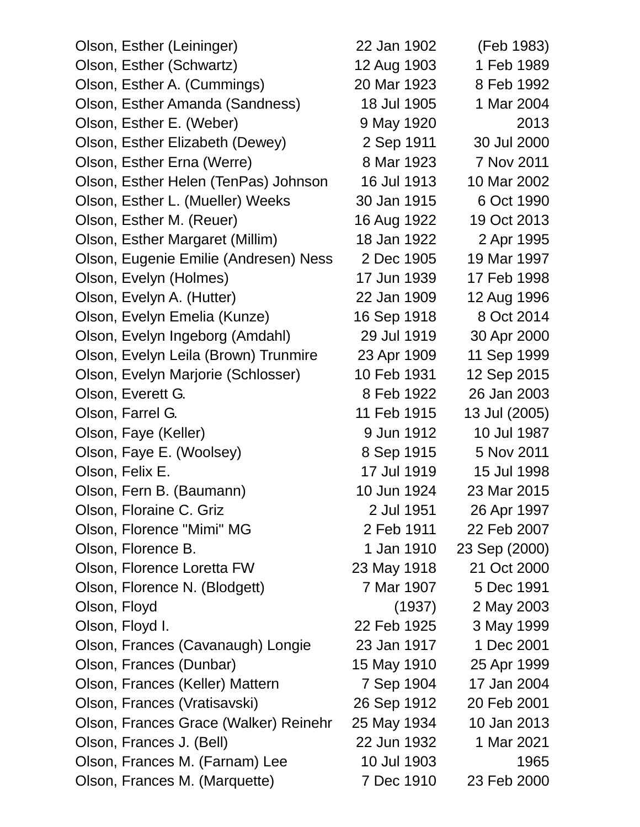| Olson, Esther (Leininger)             | 22 Jan 1902 | (Feb 1983)    |
|---------------------------------------|-------------|---------------|
| Olson, Esther (Schwartz)              | 12 Aug 1903 | 1 Feb 1989    |
| Olson, Esther A. (Cummings)           | 20 Mar 1923 | 8 Feb 1992    |
| Olson, Esther Amanda (Sandness)       | 18 Jul 1905 | 1 Mar 2004    |
| Olson, Esther E. (Weber)              | 9 May 1920  | 2013          |
| Olson, Esther Elizabeth (Dewey)       | 2 Sep 1911  | 30 Jul 2000   |
| Olson, Esther Erna (Werre)            | 8 Mar 1923  | 7 Nov 2011    |
| Olson, Esther Helen (TenPas) Johnson  | 16 Jul 1913 | 10 Mar 2002   |
| Olson, Esther L. (Mueller) Weeks      | 30 Jan 1915 | 6 Oct 1990    |
| Olson, Esther M. (Reuer)              | 16 Aug 1922 | 19 Oct 2013   |
| Olson, Esther Margaret (Millim)       | 18 Jan 1922 | 2 Apr 1995    |
| Olson, Eugenie Emilie (Andresen) Ness | 2 Dec 1905  | 19 Mar 1997   |
| Olson, Evelyn (Holmes)                | 17 Jun 1939 | 17 Feb 1998   |
| Olson, Evelyn A. (Hutter)             | 22 Jan 1909 | 12 Aug 1996   |
| Olson, Evelyn Emelia (Kunze)          | 16 Sep 1918 | 8 Oct 2014    |
| Olson, Evelyn Ingeborg (Amdahl)       | 29 Jul 1919 | 30 Apr 2000   |
| Olson, Evelyn Leila (Brown) Trunmire  | 23 Apr 1909 | 11 Sep 1999   |
| Olson, Evelyn Marjorie (Schlosser)    | 10 Feb 1931 | 12 Sep 2015   |
| Olson, Everett G.                     | 8 Feb 1922  | 26 Jan 2003   |
| Olson, Farrel G.                      | 11 Feb 1915 | 13 Jul (2005) |
| Olson, Faye (Keller)                  | 9 Jun 1912  | 10 Jul 1987   |
| Olson, Faye E. (Woolsey)              | 8 Sep 1915  | 5 Nov 2011    |
| Olson, Felix E.                       | 17 Jul 1919 | 15 Jul 1998   |
| Olson, Fern B. (Baumann)              | 10 Jun 1924 | 23 Mar 2015   |
| Olson, Floraine C. Griz               | 2 Jul 1951  | 26 Apr 1997   |
| Olson, Florence "Mimi" MG             | 2 Feb 1911  | 22 Feb 2007   |
| Olson, Florence B.                    | 1 Jan 1910  | 23 Sep (2000) |
| Olson, Florence Loretta FW            | 23 May 1918 | 21 Oct 2000   |
| Olson, Florence N. (Blodgett)         | 7 Mar 1907  | 5 Dec 1991    |
| Olson, Floyd                          | (1937)      | 2 May 2003    |
| Olson, Floyd I.                       | 22 Feb 1925 | 3 May 1999    |
| Olson, Frances (Cavanaugh) Longie     | 23 Jan 1917 | 1 Dec 2001    |
| Olson, Frances (Dunbar)               | 15 May 1910 | 25 Apr 1999   |
| Olson, Frances (Keller) Mattern       | 7 Sep 1904  | 17 Jan 2004   |
| Olson, Frances (Vratisavski)          | 26 Sep 1912 | 20 Feb 2001   |
| Olson, Frances Grace (Walker) Reinehr | 25 May 1934 | 10 Jan 2013   |
| Olson, Frances J. (Bell)              | 22 Jun 1932 | 1 Mar 2021    |
| Olson, Frances M. (Farnam) Lee        | 10 Jul 1903 | 1965          |
| Olson, Frances M. (Marquette)         | 7 Dec 1910  | 23 Feb 2000   |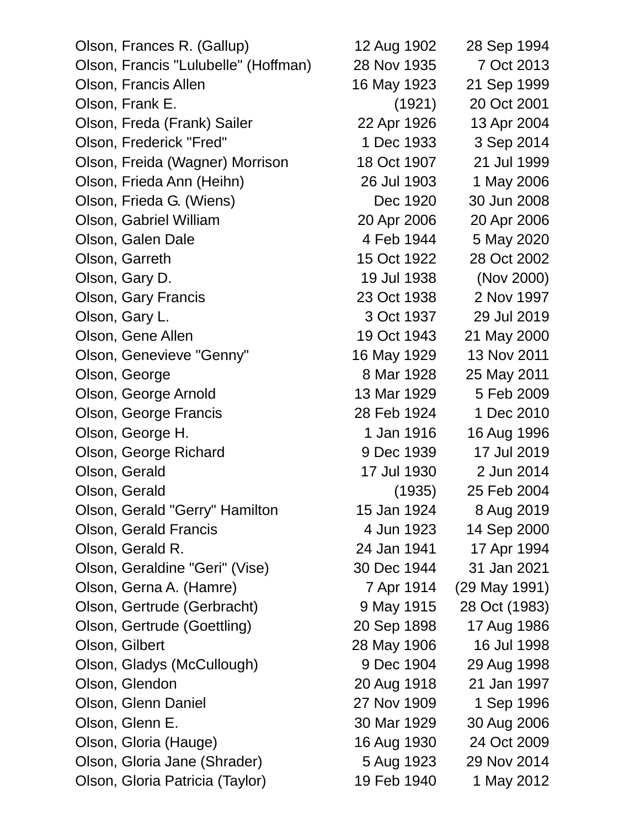| Olson, Frances R. (Gallup)           | 12 Aug 1902 | 28 Sep 1994   |
|--------------------------------------|-------------|---------------|
| Olson, Francis "Lulubelle" (Hoffman) | 28 Nov 1935 | 7 Oct 2013    |
| Olson, Francis Allen                 | 16 May 1923 | 21 Sep 1999   |
| Olson, Frank E.                      | (1921)      | 20 Oct 2001   |
| Olson, Freda (Frank) Sailer          | 22 Apr 1926 | 13 Apr 2004   |
| Olson, Frederick "Fred"              | 1 Dec 1933  | 3 Sep 2014    |
| Olson, Freida (Wagner) Morrison      | 18 Oct 1907 | 21 Jul 1999   |
| Olson, Frieda Ann (Heihn)            | 26 Jul 1903 | 1 May 2006    |
| Olson, Frieda G. (Wiens)             | Dec 1920    | 30 Jun 2008   |
| Olson, Gabriel William               | 20 Apr 2006 | 20 Apr 2006   |
| Olson, Galen Dale                    | 4 Feb 1944  | 5 May 2020    |
| Olson, Garreth                       | 15 Oct 1922 | 28 Oct 2002   |
| Olson, Gary D.                       | 19 Jul 1938 | (Nov 2000)    |
| <b>Olson, Gary Francis</b>           | 23 Oct 1938 | 2 Nov 1997    |
| Olson, Gary L.                       | 3 Oct 1937  | 29 Jul 2019   |
| Olson, Gene Allen                    | 19 Oct 1943 | 21 May 2000   |
| Olson, Genevieve "Genny"             | 16 May 1929 | 13 Nov 2011   |
| Olson, George                        | 8 Mar 1928  | 25 May 2011   |
| Olson, George Arnold                 | 13 Mar 1929 | 5 Feb 2009    |
| Olson, George Francis                | 28 Feb 1924 | 1 Dec 2010    |
| Olson, George H.                     | 1 Jan 1916  | 16 Aug 1996   |
| Olson, George Richard                | 9 Dec 1939  | 17 Jul 2019   |
| Olson, Gerald                        | 17 Jul 1930 | 2 Jun 2014    |
| Olson, Gerald                        | (1935)      | 25 Feb 2004   |
| Olson, Gerald "Gerry" Hamilton       | 15 Jan 1924 | 8 Aug 2019    |
| Olson, Gerald Francis                | 4 Jun 1923  | 14 Sep 2000   |
| Olson, Gerald R.                     | 24 Jan 1941 | 17 Apr 1994   |
| Olson, Geraldine "Geri" (Vise)       | 30 Dec 1944 | 31 Jan 2021   |
| Olson, Gerna A. (Hamre)              | 7 Apr 1914  | (29 May 1991) |
| Olson, Gertrude (Gerbracht)          | 9 May 1915  | 28 Oct (1983) |
| Olson, Gertrude (Goettling)          | 20 Sep 1898 | 17 Aug 1986   |
| Olson, Gilbert                       | 28 May 1906 | 16 Jul 1998   |
| Olson, Gladys (McCullough)           | 9 Dec 1904  | 29 Aug 1998   |
| Olson, Glendon                       | 20 Aug 1918 | 21 Jan 1997   |
| Olson, Glenn Daniel                  | 27 Nov 1909 | 1 Sep 1996    |
| Olson, Glenn E.                      | 30 Mar 1929 | 30 Aug 2006   |
| Olson, Gloria (Hauge)                | 16 Aug 1930 | 24 Oct 2009   |
| Olson, Gloria Jane (Shrader)         | 5 Aug 1923  | 29 Nov 2014   |
| Olson, Gloria Patricia (Taylor)      | 19 Feb 1940 | 1 May 2012    |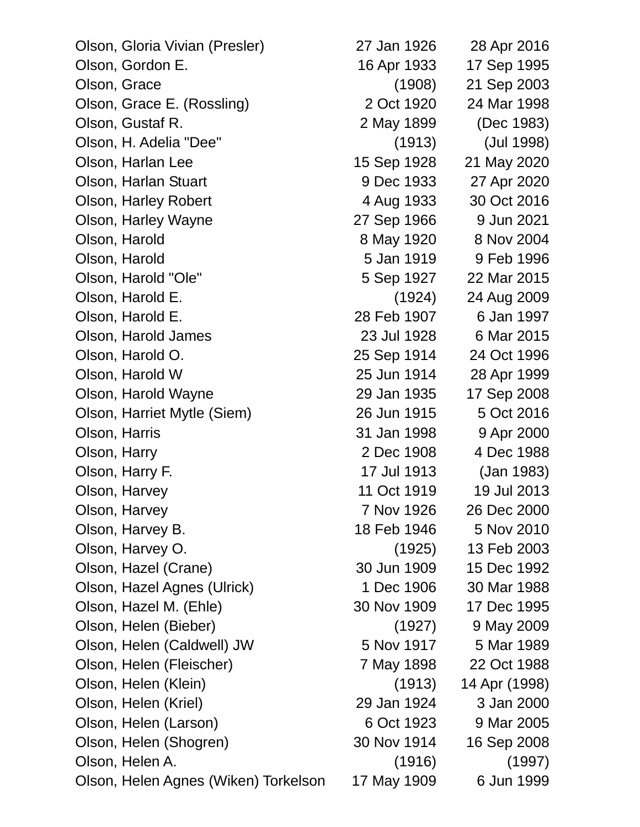| Olson, Gloria Vivian (Presler)       | 27 Jan 1926 | 28 Apr 2016   |
|--------------------------------------|-------------|---------------|
| Olson, Gordon E.                     | 16 Apr 1933 | 17 Sep 1995   |
| Olson, Grace                         | (1908)      | 21 Sep 2003   |
| Olson, Grace E. (Rossling)           | 2 Oct 1920  | 24 Mar 1998   |
| Olson, Gustaf R.                     | 2 May 1899  | (Dec 1983)    |
| Olson, H. Adelia "Dee"               | (1913)      | (Jul 1998)    |
| Olson, Harlan Lee                    | 15 Sep 1928 | 21 May 2020   |
| Olson, Harlan Stuart                 | 9 Dec 1933  | 27 Apr 2020   |
| <b>Olson, Harley Robert</b>          | 4 Aug 1933  | 30 Oct 2016   |
| Olson, Harley Wayne                  | 27 Sep 1966 | 9 Jun 2021    |
| Olson, Harold                        | 8 May 1920  | 8 Nov 2004    |
| Olson, Harold                        | 5 Jan 1919  | 9 Feb 1996    |
| Olson, Harold "Ole"                  | 5 Sep 1927  | 22 Mar 2015   |
| Olson, Harold E.                     | (1924)      | 24 Aug 2009   |
| Olson, Harold E.                     | 28 Feb 1907 | 6 Jan 1997    |
| Olson, Harold James                  | 23 Jul 1928 | 6 Mar 2015    |
| Olson, Harold O.                     | 25 Sep 1914 | 24 Oct 1996   |
| Olson, Harold W                      | 25 Jun 1914 | 28 Apr 1999   |
| Olson, Harold Wayne                  | 29 Jan 1935 | 17 Sep 2008   |
| Olson, Harriet Mytle (Siem)          | 26 Jun 1915 | 5 Oct 2016    |
| Olson, Harris                        | 31 Jan 1998 | 9 Apr 2000    |
| Olson, Harry                         | 2 Dec 1908  | 4 Dec 1988    |
| Olson, Harry F.                      | 17 Jul 1913 | (Jan 1983)    |
| Olson, Harvey                        | 11 Oct 1919 | 19 Jul 2013   |
| Olson, Harvey                        | 7 Nov 1926  | 26 Dec 2000   |
| Olson, Harvey B.                     | 18 Feb 1946 | 5 Nov 2010    |
| Olson, Harvey O.                     | (1925)      | 13 Feb 2003   |
| Olson, Hazel (Crane)                 | 30 Jun 1909 | 15 Dec 1992   |
| Olson, Hazel Agnes (Ulrick)          | 1 Dec 1906  | 30 Mar 1988   |
| Olson, Hazel M. (Ehle)               | 30 Nov 1909 | 17 Dec 1995   |
| Olson, Helen (Bieber)                | (1927)      | 9 May 2009    |
| Olson, Helen (Caldwell) JW           | 5 Nov 1917  | 5 Mar 1989    |
| Olson, Helen (Fleischer)             | 7 May 1898  | 22 Oct 1988   |
| Olson, Helen (Klein)                 | (1913)      | 14 Apr (1998) |
| Olson, Helen (Kriel)                 | 29 Jan 1924 | 3 Jan 2000    |
| Olson, Helen (Larson)                | 6 Oct 1923  | 9 Mar 2005    |
| Olson, Helen (Shogren)               | 30 Nov 1914 | 16 Sep 2008   |
| Olson, Helen A.                      | (1916)      | (1997)        |
| Olson, Helen Agnes (Wiken) Torkelson | 17 May 1909 | 6 Jun 1999    |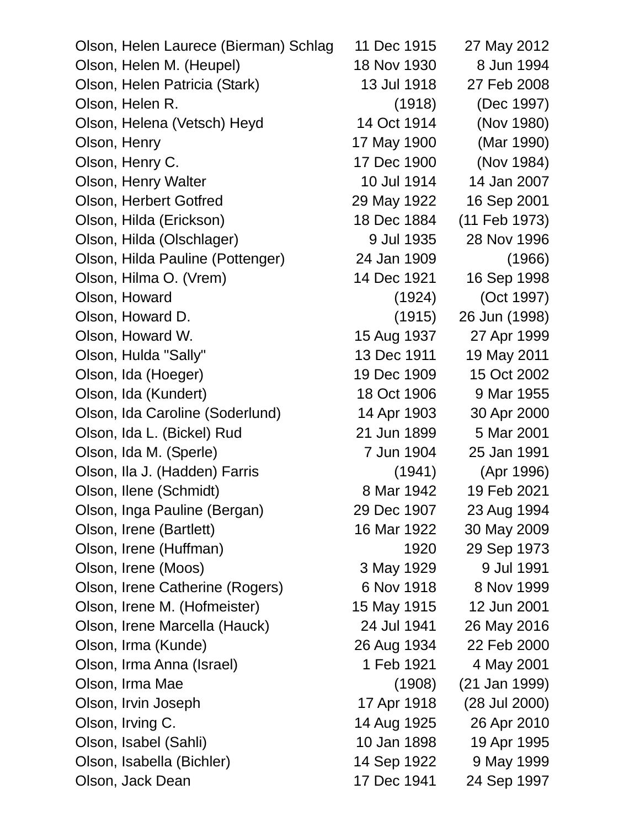Olson, Helen Laurece (Bierman) Schlag 11 Dec 1915 27 May 2012 Olson, Helen M. (Heupel) 18 Nov 1930 8 Jun 1994 Olson, Helen Patricia (Stark) 13 Jul 1918 27 Feb 2008 Olson, Helen R. (1918) (Dec 1997) Olson, Helena (Vetsch) Heyd 14 Oct 1914 (Nov 1980) Olson, Henry 17 May 1900 (Mar 1990) Olson, Henry C. 17 Dec 1900 (Nov 1984) Olson, Henry Walter 10 Jul 1914 14 Jan 2007 Olson, Herbert Gotfred 29 May 1922 16 Sep 2001 Olson, Hilda (Erickson) 18 Dec 1884 (11 Feb 1973) Olson, Hilda (Olschlager) 9 Jul 1935 28 Nov 1996 Olson, Hilda Pauline (Pottenger) 24 Jan 1909 (1966) Olson, Hilma O. (Vrem) 14 Dec 1921 16 Sep 1998 Olson, Howard (1924) (Oct 1997) Olson, Howard D. (1915) 26 Jun (1998) Olson, Howard W. 15 Aug 1937 27 Apr 1999 Olson, Hulda "Sally" 13 Dec 1911 19 May 2011 Olson, Ida (Hoeger) 19 Dec 1909 15 Oct 2002 Olson, Ida (Kundert) 18 Oct 1906 9 Mar 1955 Olson, Ida Caroline (Soderlund) 14 Apr 1903 30 Apr 2000 Olson, Ida L. (Bickel) Rud 21 Jun 1899 5 Mar 2001 Olson, Ida M. (Sperle) 7 Jun 1904 25 Jan 1991 Olson, Ila J. (Hadden) Farris (1941) (Apr 1996) Olson, Ilene (Schmidt) 8 Mar 1942 19 Feb 2021 Olson, Inga Pauline (Bergan) 29 Dec 1907 23 Aug 1994 Olson, Irene (Bartlett) 16 Mar 1922 30 May 2009 Olson, Irene (Huffman) 1920 29 Sep 1973 Olson, Irene (Moos) 3 May 1929 9 Jul 1991 Olson, Irene Catherine (Rogers) 6 Nov 1918 8 Nov 1999 Olson, Irene M. (Hofmeister) 15 May 1915 12 Jun 2001 Olson, Irene Marcella (Hauck) 24 Jul 1941 26 May 2016 Olson, Irma (Kunde) 26 Aug 1934 22 Feb 2000 Olson, Irma Anna (Israel) 1 Feb 1921 4 May 2001 Olson, Irma Mae (1908) (21 Jan 1999) Olson, Irvin Joseph 17 Apr 1918 (28 Jul 2000) Olson, Irving C. 14 Aug 1925 26 Apr 2010 Olson, Isabel (Sahli) 10 Jan 1898 19 Apr 1995 Olson, Isabella (Bichler) 14 Sep 1922 9 May 1999 Olson, Jack Dean 17 Dec 1941 24 Sep 1997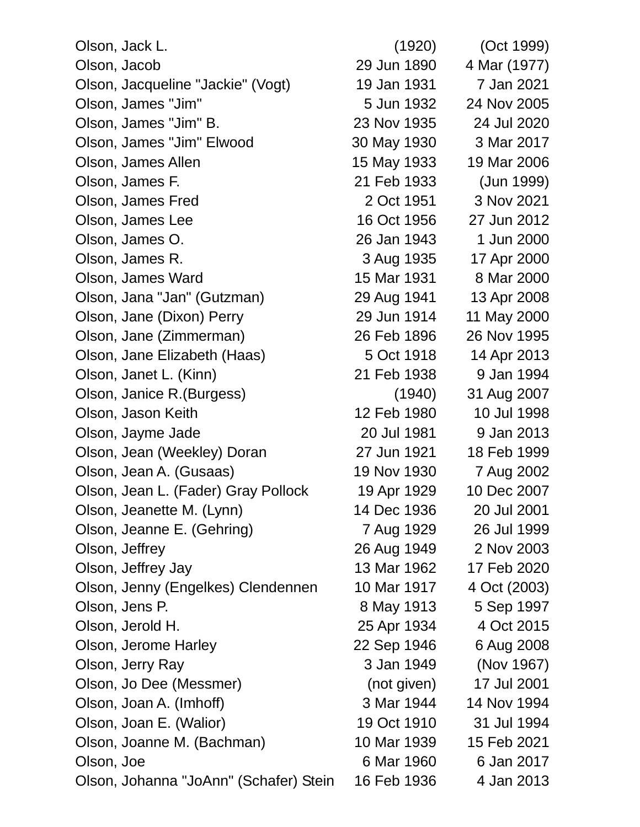Olson, Jack L. (1920) (Oct 1999) Olson, Jacob 29 Jun 1890 4 Mar (1977) Olson, Jacqueline "Jackie" (Vogt) 19 Jan 1931 7 Jan 2021 Olson, James "Jim" 5 Jun 1932 24 Nov 2005 Olson, James "Jim" B. 23 Nov 1935 24 Jul 2020 Olson, James "Jim" Elwood 30 May 1930 3 Mar 2017 Olson, James Allen 15 May 1933 19 Mar 2006 Olson, James F. 21 Feb 1933 (Jun 1999) Olson, James Fred 2 Oct 1951 3 Nov 2021 Olson, James Lee 16 Oct 1956 27 Jun 2012 Olson, James O. 26 Jan 1943 1 Jun 2000 Olson, James R. 3 Aug 1935 17 Apr 2000 Olson, James Ward 15 Mar 1931 8 Mar 2000 Olson, Jana "Jan" (Gutzman) 29 Aug 1941 13 Apr 2008 Olson, Jane (Dixon) Perry 29 Jun 1914 11 May 2000 Olson, Jane (Zimmerman) 26 Feb 1896 26 Nov 1995 Olson, Jane Elizabeth (Haas) 5 Oct 1918 14 Apr 2013 Olson, Janet L. (Kinn) 21 Feb 1938 9 Jan 1994 Olson, Janice R.(Burgess) (1940) 31 Aug 2007 Olson, Jason Keith 12 Feb 1980 10 Jul 1998 Olson, Jayme Jade 20 Jul 1981 9 Jan 2013 Olson, Jean (Weekley) Doran 27 Jun 1921 18 Feb 1999 Olson, Jean A. (Gusaas) 19 Nov 1930 7 Aug 2002 Olson, Jean L. (Fader) Gray Pollock 19 Apr 1929 10 Dec 2007 Olson, Jeanette M. (Lynn) 14 Dec 1936 20 Jul 2001 Olson, Jeanne E. (Gehring) 7 Aug 1929 26 Jul 1999 Olson, Jeffrey 26 Aug 1949 2 Nov 2003 Olson, Jeffrey Jay 13 Mar 1962 17 Feb 2020 Olson, Jenny (Engelkes) Clendennen 10 Mar 1917 4 Oct (2003) Olson, Jens P. 6 (1997) 8 May 1913 5 Sep 1997 Olson, Jerold H. 25 Apr 1934 4 Oct 2015 Olson, Jerome Harley 22 Sep 1946 6 Aug 2008 Olson, Jerry Ray 3 Jan 1949 (Nov 1967) Olson, Jo Dee (Messmer) (not given) 17 Jul 2001 Olson, Joan A. (Imhoff) 3 Mar 1944 14 Nov 1994 Olson, Joan E. (Walior) 19 Oct 1910 31 Jul 1994 Olson, Joanne M. (Bachman) 10 Mar 1939 15 Feb 2021 Olson, Joe 6 Mar 1960 6 Jan 2017 Olson, Johanna "JoAnn" (Schafer) Stein 16 Feb 1936 4 Jan 2013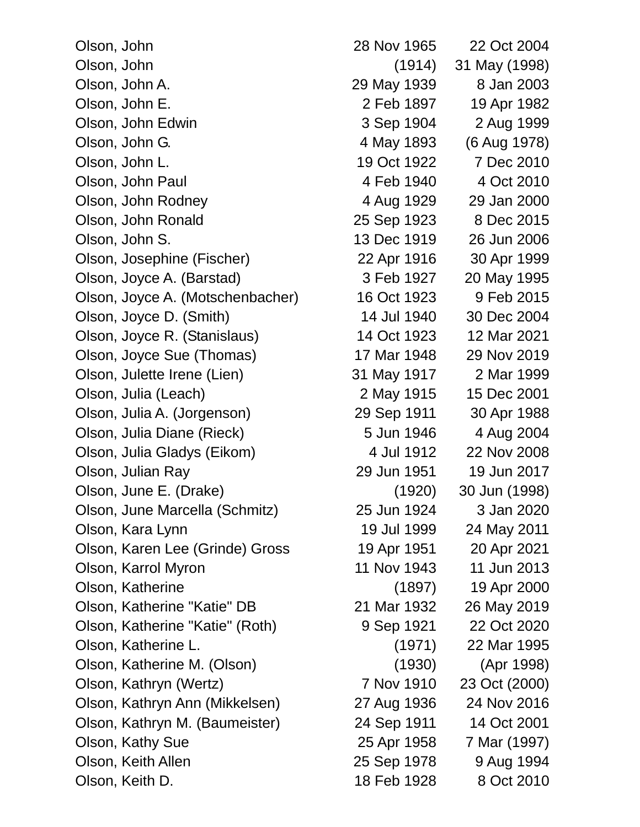| Olson, John                      | 28 Nov 1965 | 22 Oct 2004   |
|----------------------------------|-------------|---------------|
| Olson, John                      | (1914)      | 31 May (1998) |
| Olson, John A.                   | 29 May 1939 | 8 Jan 2003    |
| Olson, John E.                   | 2 Feb 1897  | 19 Apr 1982   |
| Olson, John Edwin                | 3 Sep 1904  | 2 Aug 1999    |
| Olson, John G.                   | 4 May 1893  | (6 Aug 1978)  |
| Olson, John L.                   | 19 Oct 1922 | 7 Dec 2010    |
| Olson, John Paul                 | 4 Feb 1940  | 4 Oct 2010    |
| Olson, John Rodney               | 4 Aug 1929  | 29 Jan 2000   |
| Olson, John Ronald               | 25 Sep 1923 | 8 Dec 2015    |
| Olson, John S.                   | 13 Dec 1919 | 26 Jun 2006   |
| Olson, Josephine (Fischer)       | 22 Apr 1916 | 30 Apr 1999   |
| Olson, Joyce A. (Barstad)        | 3 Feb 1927  | 20 May 1995   |
| Olson, Joyce A. (Motschenbacher) | 16 Oct 1923 | 9 Feb 2015    |
| Olson, Joyce D. (Smith)          | 14 Jul 1940 | 30 Dec 2004   |
| Olson, Joyce R. (Stanislaus)     | 14 Oct 1923 | 12 Mar 2021   |
| Olson, Joyce Sue (Thomas)        | 17 Mar 1948 | 29 Nov 2019   |
| Olson, Julette Irene (Lien)      | 31 May 1917 | 2 Mar 1999    |
| Olson, Julia (Leach)             | 2 May 1915  | 15 Dec 2001   |
| Olson, Julia A. (Jorgenson)      | 29 Sep 1911 | 30 Apr 1988   |
| Olson, Julia Diane (Rieck)       | 5 Jun 1946  | 4 Aug 2004    |
| Olson, Julia Gladys (Eikom)      | 4 Jul 1912  | 22 Nov 2008   |
| Olson, Julian Ray                | 29 Jun 1951 | 19 Jun 2017   |
| Olson, June E. (Drake)           | (1920)      | 30 Jun (1998) |
| Olson, June Marcella (Schmitz)   | 25 Jun 1924 | 3 Jan 2020    |
| Olson, Kara Lynn                 | 19 Jul 1999 | 24 May 2011   |
| Olson, Karen Lee (Grinde) Gross  | 19 Apr 1951 | 20 Apr 2021   |
| Olson, Karrol Myron              | 11 Nov 1943 | 11 Jun 2013   |
| Olson, Katherine                 | (1897)      | 19 Apr 2000   |
| Olson, Katherine "Katie" DB      | 21 Mar 1932 | 26 May 2019   |
| Olson, Katherine "Katie" (Roth)  | 9 Sep 1921  | 22 Oct 2020   |
| Olson, Katherine L.              | (1971)      | 22 Mar 1995   |
| Olson, Katherine M. (Olson)      | (1930)      | (Apr 1998)    |
| Olson, Kathryn (Wertz)           | 7 Nov 1910  | 23 Oct (2000) |
| Olson, Kathryn Ann (Mikkelsen)   | 27 Aug 1936 | 24 Nov 2016   |
| Olson, Kathryn M. (Baumeister)   | 24 Sep 1911 | 14 Oct 2001   |
| Olson, Kathy Sue                 | 25 Apr 1958 | 7 Mar (1997)  |
| Olson, Keith Allen               | 25 Sep 1978 | 9 Aug 1994    |
| Olson, Keith D.                  | 18 Feb 1928 | 8 Oct 2010    |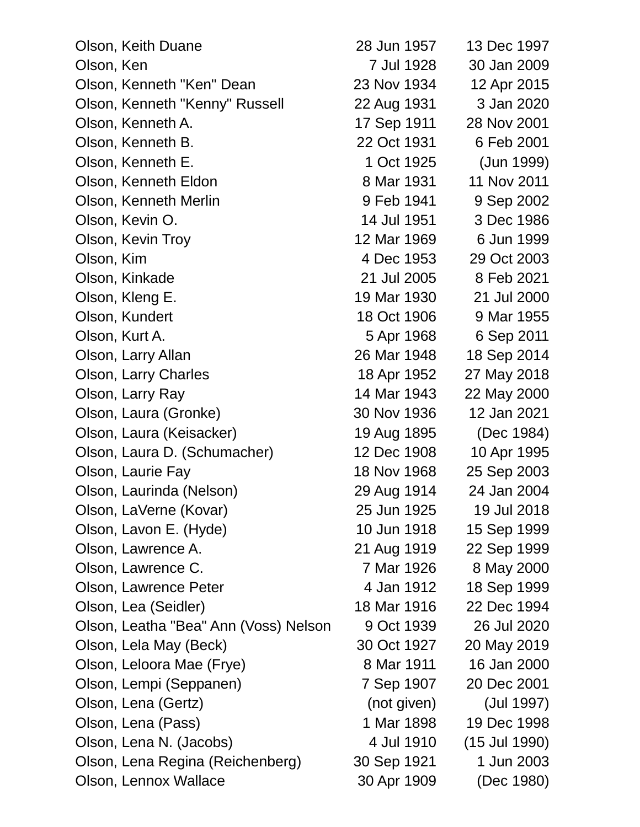| Olson, Keith Duane                    | 28 Jun 1957 | 13 Dec 1997   |
|---------------------------------------|-------------|---------------|
| Olson, Ken                            | 7 Jul 1928  | 30 Jan 2009   |
| Olson, Kenneth "Ken" Dean             | 23 Nov 1934 | 12 Apr 2015   |
| Olson, Kenneth "Kenny" Russell        | 22 Aug 1931 | 3 Jan 2020    |
| Olson, Kenneth A.                     | 17 Sep 1911 | 28 Nov 2001   |
| Olson, Kenneth B.                     | 22 Oct 1931 | 6 Feb 2001    |
| Olson, Kenneth E.                     | 1 Oct 1925  | (Jun 1999)    |
| Olson, Kenneth Eldon                  | 8 Mar 1931  | 11 Nov 2011   |
| Olson, Kenneth Merlin                 | 9 Feb 1941  | 9 Sep 2002    |
| Olson, Kevin O.                       | 14 Jul 1951 | 3 Dec 1986    |
| Olson, Kevin Troy                     | 12 Mar 1969 | 6 Jun 1999    |
| Olson, Kim                            | 4 Dec 1953  | 29 Oct 2003   |
| Olson, Kinkade                        | 21 Jul 2005 | 8 Feb 2021    |
| Olson, Kleng E.                       | 19 Mar 1930 | 21 Jul 2000   |
| Olson, Kundert                        | 18 Oct 1906 | 9 Mar 1955    |
| Olson, Kurt A.                        | 5 Apr 1968  | 6 Sep 2011    |
| Olson, Larry Allan                    | 26 Mar 1948 | 18 Sep 2014   |
| Olson, Larry Charles                  | 18 Apr 1952 | 27 May 2018   |
| Olson, Larry Ray                      | 14 Mar 1943 | 22 May 2000   |
| Olson, Laura (Gronke)                 | 30 Nov 1936 | 12 Jan 2021   |
| Olson, Laura (Keisacker)              | 19 Aug 1895 | (Dec 1984)    |
| Olson, Laura D. (Schumacher)          | 12 Dec 1908 | 10 Apr 1995   |
| Olson, Laurie Fay                     | 18 Nov 1968 | 25 Sep 2003   |
| Olson, Laurinda (Nelson)              | 29 Aug 1914 | 24 Jan 2004   |
| Olson, LaVerne (Kovar)                | 25 Jun 1925 | 19 Jul 2018   |
| Olson, Lavon E. (Hyde)                | 10 Jun 1918 | 15 Sep 1999   |
| Olson, Lawrence A.                    | 21 Aug 1919 | 22 Sep 1999   |
| Olson, Lawrence C.                    | 7 Mar 1926  | 8 May 2000    |
| Olson, Lawrence Peter                 | 4 Jan 1912  | 18 Sep 1999   |
| Olson, Lea (Seidler)                  | 18 Mar 1916 | 22 Dec 1994   |
| Olson, Leatha "Bea" Ann (Voss) Nelson | 9 Oct 1939  | 26 Jul 2020   |
| Olson, Lela May (Beck)                | 30 Oct 1927 | 20 May 2019   |
| Olson, Leloora Mae (Frye)             | 8 Mar 1911  | 16 Jan 2000   |
| Olson, Lempi (Seppanen)               | 7 Sep 1907  | 20 Dec 2001   |
| Olson, Lena (Gertz)                   | (not given) | (Jul 1997)    |
| Olson, Lena (Pass)                    | 1 Mar 1898  | 19 Dec 1998   |
| Olson, Lena N. (Jacobs)               | 4 Jul 1910  | (15 Jul 1990) |
| Olson, Lena Regina (Reichenberg)      | 30 Sep 1921 | 1 Jun 2003    |
| Olson, Lennox Wallace                 | 30 Apr 1909 | (Dec 1980)    |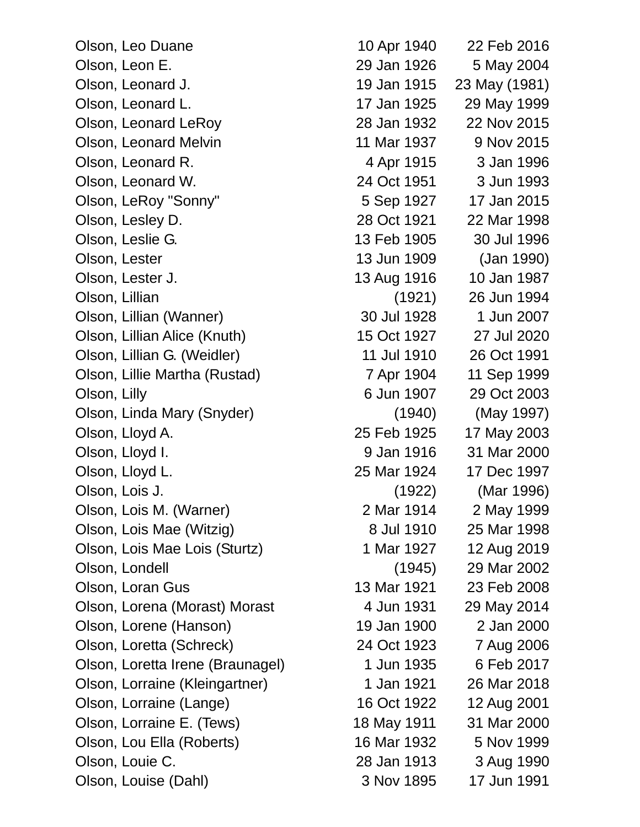Olson, Leo Duane 10 Apr 1940 22 Feb 2016 Olson, Leon E. 29 Jan 1926 5 May 2004 Olson, Leonard J. 19 Jan 1915 23 May (1981) Olson, Leonard L. 17 Jan 1925 29 May 1999 Olson, Leonard LeRoy 28 Jan 1932 22 Nov 2015 Olson, Leonard Melvin 11 Mar 1937 9 Nov 2015 Olson, Leonard R. 4 Apr 1915 3 Jan 1996 Olson, Leonard W. 24 Oct 1951 3 Jun 1993 Olson, LeRoy "Sonny" 5 Sep 1927 17 Jan 2015 Olson, Lesley D. 28 Oct 1921 22 Mar 1998 Olson, Leslie G. 13 Feb 1905 30 Jul 1996 Olson, Lester 13 Jun 1909 (Jan 1990) Olson, Lester J. 13 Aug 1916 10 Jan 1987 Olson, Lillian (1921) 26 Jun 1994 Olson, Lillian (Wanner) 30 Jul 1928 1 Jun 2007 Olson, Lillian Alice (Knuth) 15 Oct 1927 27 Jul 2020 Olson, Lillian G. (Weidler) 11 Jul 1910 26 Oct 1991 Olson, Lillie Martha (Rustad) 7 Apr 1904 11 Sep 1999 Olson, Lilly 6 Jun 1907 29 Oct 2003 Olson, Linda Mary (Snyder) (1940) (May 1997) Olson, Lloyd A. 25 Feb 1925 17 May 2003 Olson, Lloyd I. 9 Jan 1916 31 Mar 2000 Olson, Lloyd L. 25 Mar 1924 17 Dec 1997 Olson, Lois J. (1922) (Mar 1996) Olson, Lois M. (Warner) 2 Mar 1914 2 May 1999 Olson, Lois Mae (Witzig) 8 Jul 1910 25 Mar 1998 Olson, Lois Mae Lois (Sturtz) 1 Mar 1927 12 Aug 2019 Olson, Londell (1945) 29 Mar 2002 Olson, Loran Gus 13 Mar 1921 23 Feb 2008 Olson, Lorena (Morast) Morast 4 Jun 1931 29 May 2014 Olson, Lorene (Hanson) 19 Jan 1900 2 Jan 2000 Olson, Loretta (Schreck) 24 Oct 1923 7 Aug 2006 Olson, Loretta Irene (Braunagel) 1 Jun 1935 6 Feb 2017 Olson, Lorraine (Kleingartner) 1 Jan 1921 26 Mar 2018 Olson, Lorraine (Lange) 16 Oct 1922 12 Aug 2001 Olson, Lorraine E. (Tews) 18 May 1911 31 Mar 2000 Olson, Lou Ella (Roberts) 16 Mar 1932 5 Nov 1999 Olson, Louie C. 28 Jan 1913 3 Aug 1990

Olson, Louise (Dahl) 3 Nov 1895 17 Jun 1991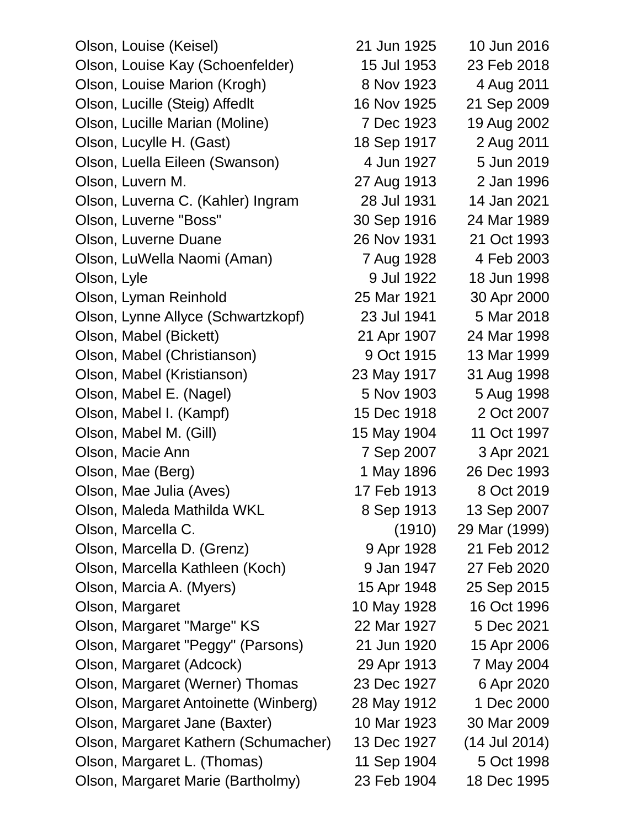Olson, Louise (Keisel) 21 Jun 1925 10 Jun 2016 Olson, Louise Kay (Schoenfelder) 15 Jul 1953 23 Feb 2018 Olson, Louise Marion (Krogh) 8 Nov 1923 4 Aug 2011 Olson, Lucille (Steig) Affedlt 16 Nov 1925 21 Sep 2009 Olson, Lucille Marian (Moline) 7 Dec 1923 19 Aug 2002 Olson, Lucylle H. (Gast) 18 Sep 1917 2 Aug 2011 Olson, Luella Eileen (Swanson) 4 Jun 1927 5 Jun 2019 Olson, Luvern M. 27 Aug 1913 2 Jan 1996 Olson, Luverna C. (Kahler) Ingram 28 Jul 1931 14 Jan 2021 Olson, Luverne "Boss" 30 Sep 1916 24 Mar 1989 Olson, Luverne Duane 26 Nov 1931 21 Oct 1993 Olson, LuWella Naomi (Aman) 7 Aug 1928 4 Feb 2003 Olson, Lyle 9 Jul 1922 18 Jun 1998 Olson, Lyman Reinhold 25 Mar 1921 30 Apr 2000 Olson, Lynne Allyce (Schwartzkopf) 23 Jul 1941 5 Mar 2018 Olson, Mabel (Bickett) 21 Apr 1907 24 Mar 1998 Olson, Mabel (Christianson) 9 Oct 1915 13 Mar 1999 Olson, Mabel (Kristianson) 23 May 1917 31 Aug 1998 Olson, Mabel E. (Nagel) 5 Nov 1903 5 Aug 1998 Olson, Mabel I. (Kampf) 15 Dec 1918 2 Oct 2007 Olson, Mabel M. (Gill) 15 May 1904 11 Oct 1997 Olson, Macie Ann 7 Sep 2007 3 Apr 2021 Olson, Mae (Berg) 1 May 1896 26 Dec 1993 Olson, Mae Julia (Aves) 17 Feb 1913 8 Oct 2019 Olson, Maleda Mathilda WKL 8 Sep 1913 13 Sep 2007 Olson, Marcella C. (1910) 29 Mar (1999) Olson, Marcella D. (Grenz) 9 Apr 1928 21 Feb 2012 Olson, Marcella Kathleen (Koch) 9 Jan 1947 27 Feb 2020 Olson, Marcia A. (Myers) 15 Apr 1948 25 Sep 2015 Olson, Margaret 10 May 1928 16 Oct 1996 Olson, Margaret "Marge" KS 22 Mar 1927 5 Dec 2021 Olson, Margaret "Peggy" (Parsons) 21 Jun 1920 15 Apr 2006 Olson, Margaret (Adcock) 29 Apr 1913 7 May 2004 Olson, Margaret (Werner) Thomas 23 Dec 1927 6 Apr 2020 Olson, Margaret Antoinette (Winberg) 28 May 1912 1 Dec 2000 Olson, Margaret Jane (Baxter) 10 Mar 1923 30 Mar 2009 Olson, Margaret Kathern (Schumacher) 13 Dec 1927 (14 Jul 2014) Olson, Margaret L. (Thomas) 11 Sep 1904 5 Oct 1998

Olson, Margaret Marie (Bartholmy) 23 Feb 1904 18 Dec 1995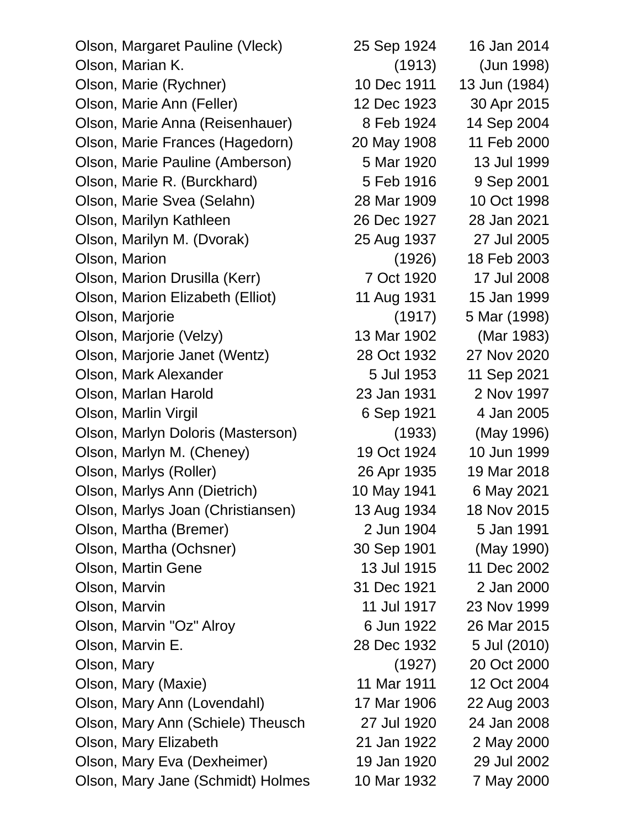Olson, Margaret Pauline (Vleck) 25 Sep 1924 16 Jan 2014 Olson, Marian K. (1913) (Jun 1998) Olson, Marie (Rychner) 10 Dec 1911 13 Jun (1984) Olson, Marie Ann (Feller) 12 Dec 1923 30 Apr 2015 Olson, Marie Anna (Reisenhauer) 8 Feb 1924 14 Sep 2004 Olson, Marie Frances (Hagedorn) 20 May 1908 11 Feb 2000 Olson, Marie Pauline (Amberson) 5 Mar 1920 13 Jul 1999 Olson, Marie R. (Burckhard) 5 Feb 1916 9 Sep 2001 Olson, Marie Svea (Selahn) 28 Mar 1909 10 Oct 1998 Olson, Marilyn Kathleen 26 Dec 1927 28 Jan 2021 Olson, Marilyn M. (Dvorak) 25 Aug 1937 27 Jul 2005 Olson, Marion (1926) 18 Feb 2003 Olson, Marion Drusilla (Kerr) 7 Oct 1920 17 Jul 2008 Olson, Marion Elizabeth (Elliot) 11 Aug 1931 15 Jan 1999 Olson, Marjorie (1917) 5 Mar (1998) Olson, Marjorie (Velzy) 13 Mar 1902 (Mar 1983) Olson, Marjorie Janet (Wentz) 28 Oct 1932 27 Nov 2020 Olson, Mark Alexander 5 Jul 1953 11 Sep 2021 Olson, Marlan Harold 23 Jan 1931 2 Nov 1997 Olson, Marlin Virgil 6 Sep 1921 4 Jan 2005 Olson, Marlyn Doloris (Masterson) (1933) (May 1996) Olson, Marlyn M. (Cheney) 19 Oct 1924 10 Jun 1999 Olson, Marlys (Roller) 26 Apr 1935 19 Mar 2018 Olson, Marlys Ann (Dietrich) 10 May 1941 6 May 2021 Olson, Marlys Joan (Christiansen) 13 Aug 1934 18 Nov 2015 Olson, Martha (Bremer) 2 Jun 1904 5 Jan 1991 Olson, Martha (Ochsner) 30 Sep 1901 (May 1990) Olson, Martin Gene 13 Jul 1915 11 Dec 2002 Olson, Marvin 31 Dec 1921 2 Jan 2000 Olson, Marvin 11 Jul 1917 23 Nov 1999 Olson, Marvin "Oz" Alroy 6 Jun 1922 26 Mar 2015 Olson, Marvin E. 28 Dec 1932 5 Jul (2010) Olson, Mary (1927) 20 Oct 2000 Olson, Mary (Maxie) 11 Mar 1911 12 Oct 2004 Olson, Mary Ann (Lovendahl) 17 Mar 1906 22 Aug 2003 Olson, Mary Ann (Schiele) Theusch 27 Jul 1920 24 Jan 2008 Olson, Mary Elizabeth 21 Jan 1922 2 May 2000 Olson, Mary Eva (Dexheimer) 19 Jan 1920 29 Jul 2002 Olson, Mary Jane (Schmidt) Holmes 10 Mar 1932 7 May 2000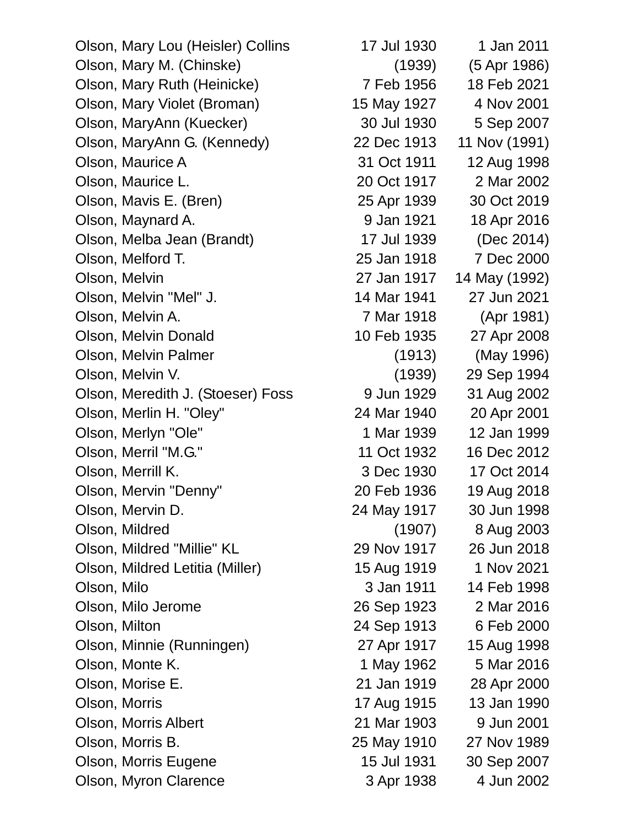Olson, Mary Lou (Heisler) Collins 17 Jul 1930 1 Jan 2011 Olson, Mary M. (Chinske) (1939) (5 Apr 1986) Olson, Mary Ruth (Heinicke) 7 Feb 1956 18 Feb 2021 Olson, Mary Violet (Broman) 15 May 1927 4 Nov 2001 Olson, MaryAnn (Kuecker) 30 Jul 1930 5 Sep 2007 Olson, MaryAnn G. (Kennedy) 22 Dec 1913 11 Nov (1991) Olson, Maurice A 31 Oct 1911 12 Aug 1998 Olson, Maurice L. 20 Oct 1917 2 Mar 2002 Olson, Mavis E. (Bren) 25 Apr 1939 30 Oct 2019 Olson, Maynard A. 9 Jan 1921 18 Apr 2016 Olson, Melba Jean (Brandt) 17 Jul 1939 (Dec 2014) Olson, Melford T. 25 Jan 1918 7 Dec 2000 Olson, Melvin 27 Jan 1917 14 May (1992) Olson, Melvin "Mel" J. 14 Mar 1941 27 Jun 2021 Olson, Melvin A. 7 Mar 1918 (Apr 1981) Olson, Melvin Donald 10 Feb 1935 27 Apr 2008 Olson, Melvin Palmer (1913) (May 1996) Olson, Melvin V. (1939) 29 Sep 1994 Olson, Meredith J. (Stoeser) Foss 9 Jun 1929 31 Aug 2002 Olson, Merlin H. "Oley" 24 Mar 1940 20 Apr 2001 Olson, Merlyn "Ole" 1 Mar 1939 12 Jan 1999 Olson, Merril "M.G." 11 Oct 1932 16 Dec 2012 Olson, Merrill K. 3 Dec 1930 17 Oct 2014 Olson, Mervin "Denny" 20 Feb 1936 19 Aug 2018 Olson, Mervin D. 24 May 1917 30 Jun 1998 Olson, Mildred (1907) 8 Aug 2003 Olson, Mildred "Millie" KL 29 Nov 1917 26 Jun 2018 Olson, Mildred Letitia (Miller) 15 Aug 1919 1 Nov 2021 Olson, Milo 3 Jan 1911 14 Feb 1998 Olson, Milo Jerome 26 Sep 1923 2 Mar 2016 Olson, Milton 24 Sep 1913 6 Feb 2000 Olson, Minnie (Runningen) 27 Apr 1917 15 Aug 1998 Olson, Monte K. 1 May 1962 5 Mar 2016 Olson, Morise E. 21 Jan 1919 28 Apr 2000 Olson, Morris 17 Aug 1915 13 Jan 1990 Olson, Morris Albert 21 Mar 1903 9 Jun 2001 Olson, Morris B. 25 May 1910 27 Nov 1989 Olson, Morris Eugene 15 Jul 1931 30 Sep 2007

Olson, Myron Clarence 3 Apr 1938 4 Jun 2002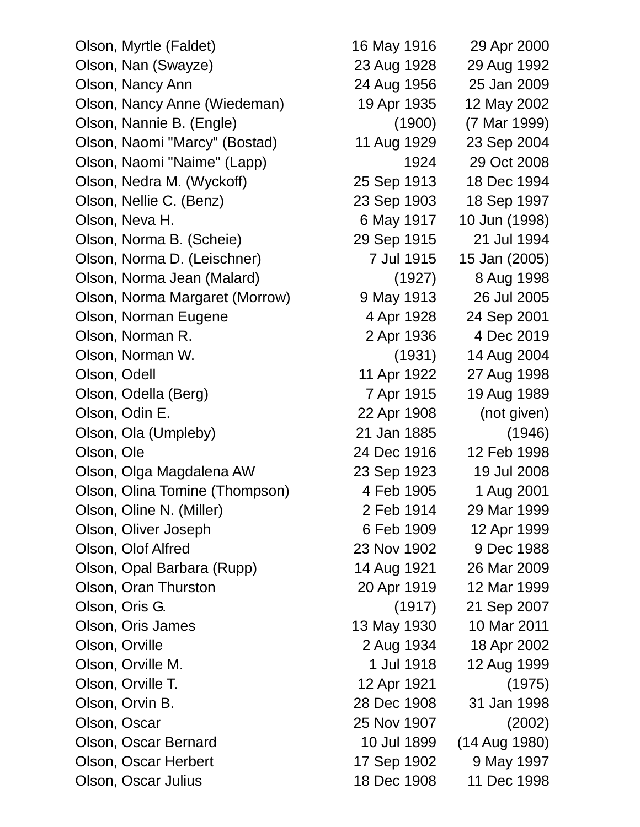Olson, Myrtle (Faldet) 16 May 1916 29 Apr 2000 Olson, Nan (Swayze) 23 Aug 1928 29 Aug 1992 Olson, Nancy Ann 24 Aug 1956 25 Jan 2009 Olson, Nancy Anne (Wiedeman) 19 Apr 1935 12 May 2002 Olson, Nannie B. (Engle) (1900) (7 Mar 1999) Olson, Naomi "Marcy" (Bostad) 11 Aug 1929 23 Sep 2004 Olson, Naomi "Naime" (Lapp) 1924 29 Oct 2008 Olson, Nedra M. (Wyckoff) 25 Sep 1913 18 Dec 1994 Olson, Nellie C. (Benz) 23 Sep 1903 18 Sep 1997 Olson, Neva H. 6 May 1917 10 Jun (1998) Olson, Norma B. (Scheie) 29 Sep 1915 21 Jul 1994 Olson, Norma D. (Leischner) 7 Jul 1915 15 Jan (2005) Olson, Norma Jean (Malard) (1927) 8 Aug 1998 Olson, Norma Margaret (Morrow) 9 May 1913 26 Jul 2005 Olson, Norman Eugene 4 Apr 1928 24 Sep 2001 Olson, Norman R. 2 Apr 1936 4 Dec 2019 Olson, Norman W. (1931) 14 Aug 2004 Olson, Odell 11 Apr 1922 27 Aug 1998 Olson, Odella (Berg) 7 Apr 1915 19 Aug 1989 Olson, Odin E. 22 Apr 1908 (not given) Olson, Ola (Umpleby) 21 Jan 1885 (1946) Olson, Ole 24 Dec 1916 12 Feb 1998 Olson, Olga Magdalena AW 23 Sep 1923 19 Jul 2008 Olson, Olina Tomine (Thompson) 4 Feb 1905 1 Aug 2001 Olson, Oline N. (Miller) 2 Feb 1914 29 Mar 1999 Olson, Oliver Joseph 6 Feb 1909 12 Apr 1999 Olson, Olof Alfred 23 Nov 1902 9 Dec 1988 Olson, Opal Barbara (Rupp) 14 Aug 1921 26 Mar 2009 Olson, Oran Thurston 20 Apr 1919 12 Mar 1999 Olson, Oris G. (1917) 21 Sep 2007 Olson, Oris James 13 May 1930 10 Mar 2011 Olson, Orville 2 Aug 1934 18 Apr 2002 Olson, Orville M. 1 Jul 1918 12 Aug 1999 Olson, Orville T. 12 Apr 1921 (1975) Olson, Orvin B. 28 Dec 1908 31 Jan 1998 Olson, Oscar 25 Nov 1907 (2002) Olson, Oscar Bernard 10 Jul 1899 (14 Aug 1980) Olson, Oscar Herbert 17 Sep 1902 9 May 1997 Olson, Oscar Julius 18 Dec 1908 11 Dec 1998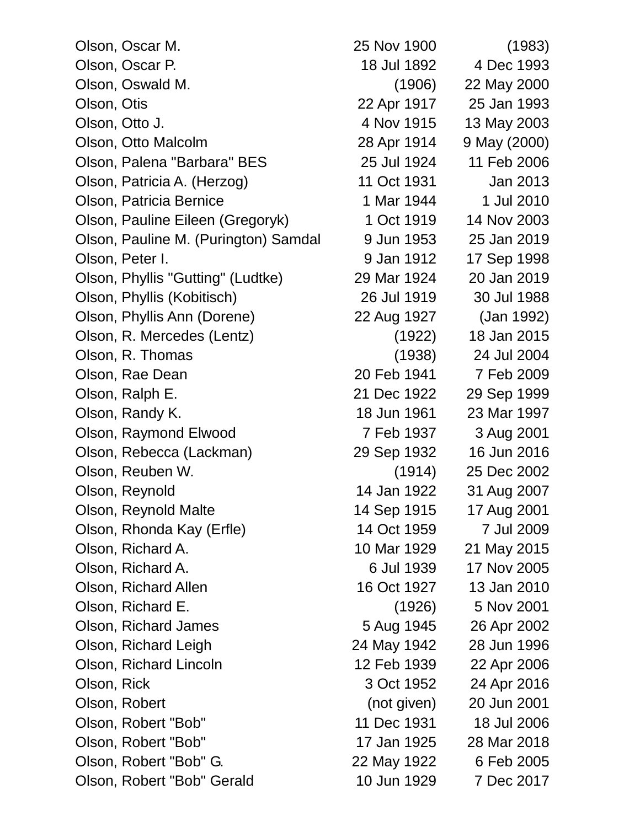| Olson, Oscar M.                      | 25 Nov 1900 | (1983)       |
|--------------------------------------|-------------|--------------|
| Olson, Oscar P.                      | 18 Jul 1892 | 4 Dec 1993   |
| Olson, Oswald M.                     | (1906)      | 22 May 2000  |
| Olson, Otis                          | 22 Apr 1917 | 25 Jan 1993  |
| Olson, Otto J.                       | 4 Nov 1915  | 13 May 2003  |
| Olson, Otto Malcolm                  | 28 Apr 1914 | 9 May (2000) |
| Olson, Palena "Barbara" BES          | 25 Jul 1924 | 11 Feb 2006  |
| Olson, Patricia A. (Herzog)          | 11 Oct 1931 | Jan 2013     |
| Olson, Patricia Bernice              | 1 Mar 1944  | 1 Jul 2010   |
| Olson, Pauline Eileen (Gregoryk)     | 1 Oct 1919  | 14 Nov 2003  |
| Olson, Pauline M. (Purington) Samdal | 9 Jun 1953  | 25 Jan 2019  |
| Olson, Peter I.                      | 9 Jan 1912  | 17 Sep 1998  |
| Olson, Phyllis "Gutting" (Ludtke)    | 29 Mar 1924 | 20 Jan 2019  |
| Olson, Phyllis (Kobitisch)           | 26 Jul 1919 | 30 Jul 1988  |
| Olson, Phyllis Ann (Dorene)          | 22 Aug 1927 | (Jan 1992)   |
| Olson, R. Mercedes (Lentz)           | (1922)      | 18 Jan 2015  |
| Olson, R. Thomas                     | (1938)      | 24 Jul 2004  |
| Olson, Rae Dean                      | 20 Feb 1941 | 7 Feb 2009   |
| Olson, Ralph E.                      | 21 Dec 1922 | 29 Sep 1999  |
| Olson, Randy K.                      | 18 Jun 1961 | 23 Mar 1997  |
| Olson, Raymond Elwood                | 7 Feb 1937  | 3 Aug 2001   |
| Olson, Rebecca (Lackman)             | 29 Sep 1932 | 16 Jun 2016  |
| Olson, Reuben W.                     | (1914)      | 25 Dec 2002  |
| Olson, Reynold                       | 14 Jan 1922 | 31 Aug 2007  |
| Olson, Reynold Malte                 | 14 Sep 1915 | 17 Aug 2001  |
| Olson, Rhonda Kay (Erfle)            | 14 Oct 1959 | 7 Jul 2009   |
| Olson, Richard A.                    | 10 Mar 1929 | 21 May 2015  |
| Olson, Richard A.                    | 6 Jul 1939  | 17 Nov 2005  |
| Olson, Richard Allen                 | 16 Oct 1927 | 13 Jan 2010  |
| Olson, Richard E.                    | (1926)      | 5 Nov 2001   |
| Olson, Richard James                 | 5 Aug 1945  | 26 Apr 2002  |
| Olson, Richard Leigh                 | 24 May 1942 | 28 Jun 1996  |
| Olson, Richard Lincoln               | 12 Feb 1939 | 22 Apr 2006  |
| Olson, Rick                          | 3 Oct 1952  | 24 Apr 2016  |
| Olson, Robert                        | (not given) | 20 Jun 2001  |
| Olson, Robert "Bob"                  | 11 Dec 1931 | 18 Jul 2006  |
| Olson, Robert "Bob"                  | 17 Jan 1925 | 28 Mar 2018  |
| Olson, Robert "Bob" G.               | 22 May 1922 | 6 Feb 2005   |
| Olson, Robert "Bob" Gerald           | 10 Jun 1929 | 7 Dec 2017   |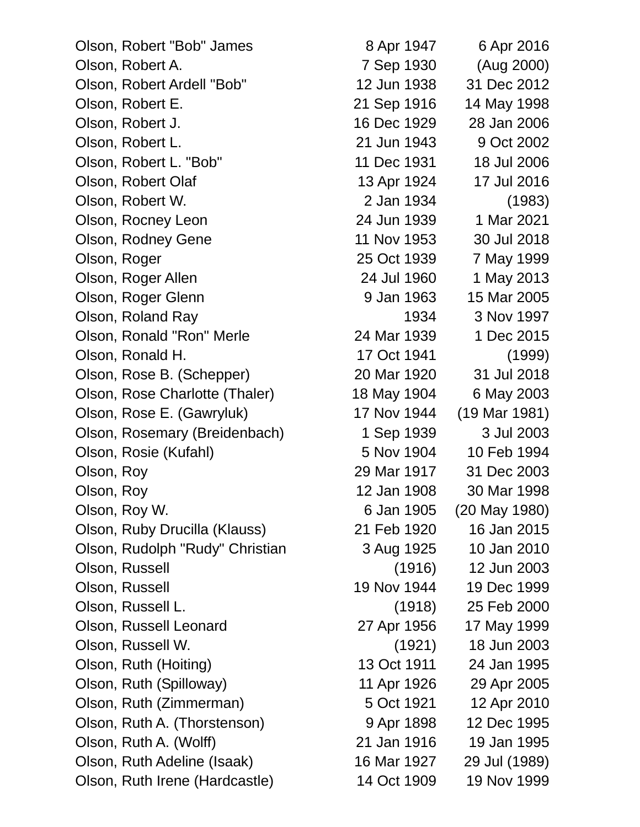| Olson, Robert "Bob" James       | 8 Apr 1947  | 6 Apr 2016    |
|---------------------------------|-------------|---------------|
| Olson, Robert A.                | 7 Sep 1930  | (Aug 2000)    |
| Olson, Robert Ardell "Bob"      | 12 Jun 1938 | 31 Dec 2012   |
| Olson, Robert E.                | 21 Sep 1916 | 14 May 1998   |
| Olson, Robert J.                | 16 Dec 1929 | 28 Jan 2006   |
| Olson, Robert L.                | 21 Jun 1943 | 9 Oct 2002    |
| Olson, Robert L. "Bob"          | 11 Dec 1931 | 18 Jul 2006   |
| Olson, Robert Olaf              | 13 Apr 1924 | 17 Jul 2016   |
| Olson, Robert W.                | 2 Jan 1934  | (1983)        |
| Olson, Rocney Leon              | 24 Jun 1939 | 1 Mar 2021    |
| Olson, Rodney Gene              | 11 Nov 1953 | 30 Jul 2018   |
| Olson, Roger                    | 25 Oct 1939 | 7 May 1999    |
| Olson, Roger Allen              | 24 Jul 1960 | 1 May 2013    |
| Olson, Roger Glenn              | 9 Jan 1963  | 15 Mar 2005   |
| Olson, Roland Ray               | 1934        | 3 Nov 1997    |
| Olson, Ronald "Ron" Merle       | 24 Mar 1939 | 1 Dec 2015    |
| Olson, Ronald H.                | 17 Oct 1941 | (1999)        |
| Olson, Rose B. (Schepper)       | 20 Mar 1920 | 31 Jul 2018   |
| Olson, Rose Charlotte (Thaler)  | 18 May 1904 | 6 May 2003    |
| Olson, Rose E. (Gawryluk)       | 17 Nov 1944 | (19 Mar 1981) |
| Olson, Rosemary (Breidenbach)   | 1 Sep 1939  | 3 Jul 2003    |
| Olson, Rosie (Kufahl)           | 5 Nov 1904  | 10 Feb 1994   |
| Olson, Roy                      | 29 Mar 1917 | 31 Dec 2003   |
| Olson, Roy                      | 12 Jan 1908 | 30 Mar 1998   |
| Olson, Roy W.                   | 6 Jan 1905  | (20 May 1980) |
| Olson, Ruby Drucilla (Klauss)   | 21 Feb 1920 | 16 Jan 2015   |
| Olson, Rudolph "Rudy" Christian | 3 Aug 1925  | 10 Jan 2010   |
| Olson, Russell                  | (1916)      | 12 Jun 2003   |
| Olson, Russell                  | 19 Nov 1944 | 19 Dec 1999   |
| Olson, Russell L.               | (1918)      | 25 Feb 2000   |
| Olson, Russell Leonard          | 27 Apr 1956 | 17 May 1999   |
| Olson, Russell W.               | (1921)      | 18 Jun 2003   |
| Olson, Ruth (Hoiting)           | 13 Oct 1911 | 24 Jan 1995   |
| Olson, Ruth (Spilloway)         | 11 Apr 1926 | 29 Apr 2005   |
| Olson, Ruth (Zimmerman)         | 5 Oct 1921  | 12 Apr 2010   |
| Olson, Ruth A. (Thorstenson)    | 9 Apr 1898  | 12 Dec 1995   |
| Olson, Ruth A. (Wolff)          | 21 Jan 1916 | 19 Jan 1995   |
| Olson, Ruth Adeline (Isaak)     | 16 Mar 1927 | 29 Jul (1989) |
| Olson, Ruth Irene (Hardcastle)  | 14 Oct 1909 | 19 Nov 1999   |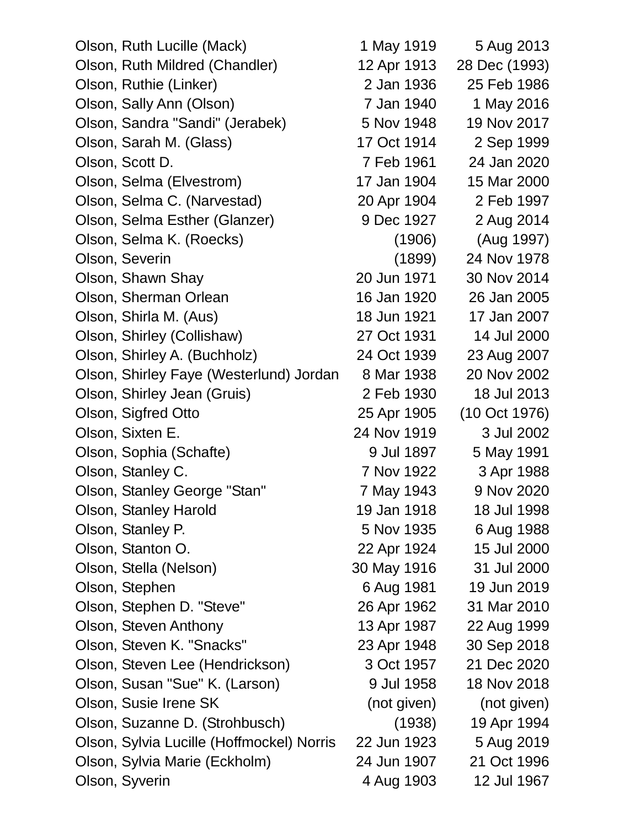| Olson, Ruth Lucille (Mack)                | 1 May 1919  | 5 Aug 2013    |
|-------------------------------------------|-------------|---------------|
| Olson, Ruth Mildred (Chandler)            | 12 Apr 1913 | 28 Dec (1993) |
| Olson, Ruthie (Linker)                    | 2 Jan 1936  | 25 Feb 1986   |
| Olson, Sally Ann (Olson)                  | 7 Jan 1940  | 1 May 2016    |
| Olson, Sandra "Sandi" (Jerabek)           | 5 Nov 1948  | 19 Nov 2017   |
| Olson, Sarah M. (Glass)                   | 17 Oct 1914 | 2 Sep 1999    |
| Olson, Scott D.                           | 7 Feb 1961  | 24 Jan 2020   |
| Olson, Selma (Elvestrom)                  | 17 Jan 1904 | 15 Mar 2000   |
| Olson, Selma C. (Narvestad)               | 20 Apr 1904 | 2 Feb 1997    |
| Olson, Selma Esther (Glanzer)             | 9 Dec 1927  | 2 Aug 2014    |
| Olson, Selma K. (Roecks)                  | (1906)      | (Aug 1997)    |
| Olson, Severin                            | (1899)      | 24 Nov 1978   |
| Olson, Shawn Shay                         | 20 Jun 1971 | 30 Nov 2014   |
| Olson, Sherman Orlean                     | 16 Jan 1920 | 26 Jan 2005   |
| Olson, Shirla M. (Aus)                    | 18 Jun 1921 | 17 Jan 2007   |
| Olson, Shirley (Collishaw)                | 27 Oct 1931 | 14 Jul 2000   |
| Olson, Shirley A. (Buchholz)              | 24 Oct 1939 | 23 Aug 2007   |
| Olson, Shirley Faye (Westerlund) Jordan   | 8 Mar 1938  | 20 Nov 2002   |
| Olson, Shirley Jean (Gruis)               | 2 Feb 1930  | 18 Jul 2013   |
| Olson, Sigfred Otto                       | 25 Apr 1905 | (10 Oct 1976) |
| Olson, Sixten E.                          | 24 Nov 1919 | 3 Jul 2002    |
| Olson, Sophia (Schafte)                   | 9 Jul 1897  | 5 May 1991    |
| Olson, Stanley C.                         | 7 Nov 1922  | 3 Apr 1988    |
| Olson, Stanley George "Stan"              | 7 May 1943  | 9 Nov 2020    |
| Olson, Stanley Harold                     | 19 Jan 1918 | 18 Jul 1998   |
| Olson, Stanley P.                         | 5 Nov 1935  | 6 Aug 1988    |
| Olson, Stanton O.                         | 22 Apr 1924 | 15 Jul 2000   |
| Olson, Stella (Nelson)                    | 30 May 1916 | 31 Jul 2000   |
| Olson, Stephen                            | 6 Aug 1981  | 19 Jun 2019   |
| Olson, Stephen D. "Steve"                 | 26 Apr 1962 | 31 Mar 2010   |
| Olson, Steven Anthony                     | 13 Apr 1987 | 22 Aug 1999   |
| Olson, Steven K. "Snacks"                 | 23 Apr 1948 | 30 Sep 2018   |
| Olson, Steven Lee (Hendrickson)           | 3 Oct 1957  | 21 Dec 2020   |
| Olson, Susan "Sue" K. (Larson)            | 9 Jul 1958  | 18 Nov 2018   |
| Olson, Susie Irene SK                     | (not given) | (not given)   |
| Olson, Suzanne D. (Strohbusch)            | (1938)      | 19 Apr 1994   |
| Olson, Sylvia Lucille (Hoffmockel) Norris | 22 Jun 1923 | 5 Aug 2019    |
| Olson, Sylvia Marie (Eckholm)             | 24 Jun 1907 | 21 Oct 1996   |
| Olson, Syverin                            | 4 Aug 1903  | 12 Jul 1967   |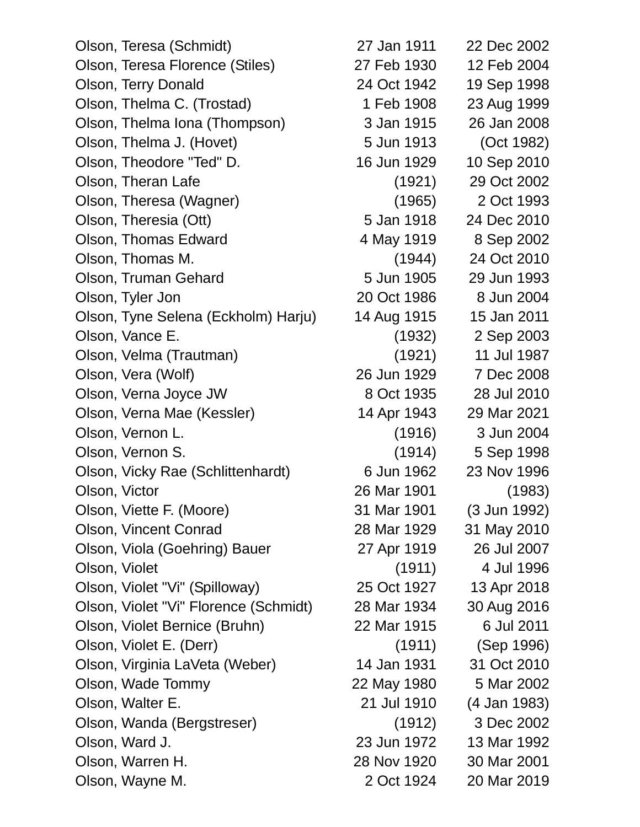Olson, Teresa (Schmidt) 27 Jan 1911 22 Dec 2002 Olson, Teresa Florence (Stiles) 27 Feb 1930 12 Feb 2004 Olson, Terry Donald 24 Oct 1942 19 Sep 1998 Olson, Thelma C. (Trostad) 1 Feb 1908 23 Aug 1999 Olson, Thelma Iona (Thompson) 3 Jan 1915 26 Jan 2008 Olson, Thelma J. (Hovet) 5 Jun 1913 (Oct 1982) Olson, Theodore "Ted" D. 16 Jun 1929 10 Sep 2010 Olson, Theran Lafe (1921) 29 Oct 2002 Olson, Theresa (Wagner) (1965) 2 Oct 1993 Olson, Theresia (Ott) 5 Jan 1918 24 Dec 2010 Olson, Thomas Edward 4 May 1919 8 Sep 2002 Olson, Thomas M. (1944) 24 Oct 2010 Olson, Truman Gehard 5 Jun 1905 29 Jun 1993 Olson, Tyler Jon 20 Oct 1986 8 Jun 2004 Olson, Tyne Selena (Eckholm) Harju) 14 Aug 1915 15 Jan 2011 Olson, Vance E. (1932) 2 Sep 2003 Olson, Velma (Trautman) (1921) 11 Jul 1987 Olson, Vera (Wolf) 26 Jun 1929 7 Dec 2008 Olson, Verna Joyce JW 8 Oct 1935 28 Jul 2010 Olson, Verna Mae (Kessler) 14 Apr 1943 29 Mar 2021 Olson, Vernon L. (1916) 3 Jun 2004 Olson, Vernon S. (1914) 5 Sep 1998 Olson, Vicky Rae (Schlittenhardt) 6 Jun 1962 23 Nov 1996 Olson, Victor 26 Mar 1901 (1983) Olson, Viette F. (Moore) 31 Mar 1901 (3 Jun 1992) Olson, Vincent Conrad 28 Mar 1929 31 May 2010 Olson, Viola (Goehring) Bauer 27 Apr 1919 26 Jul 2007 Olson, Violet (1911) 4 Jul 1996 Olson, Violet "Vi" (Spilloway) 25 Oct 1927 13 Apr 2018 Olson, Violet "Vi" Florence (Schmidt) 28 Mar 1934 30 Aug 2016 Olson, Violet Bernice (Bruhn) 22 Mar 1915 6 Jul 2011 Olson, Violet E. (Derr) (1911) (Sep 1996) Olson, Virginia LaVeta (Weber) 14 Jan 1931 31 Oct 2010 Olson, Wade Tommy 22 May 1980 5 Mar 2002 Olson, Walter E. 21 Jul 1910 (4 Jan 1983) Olson, Wanda (Bergstreser) (1912) 3 Dec 2002 Olson, Ward J. 23 Jun 1972 13 Mar 1992 Olson, Warren H. 28 Nov 1920 30 Mar 2001 Olson, Wayne M. 2 Oct 1924 20 Mar 2019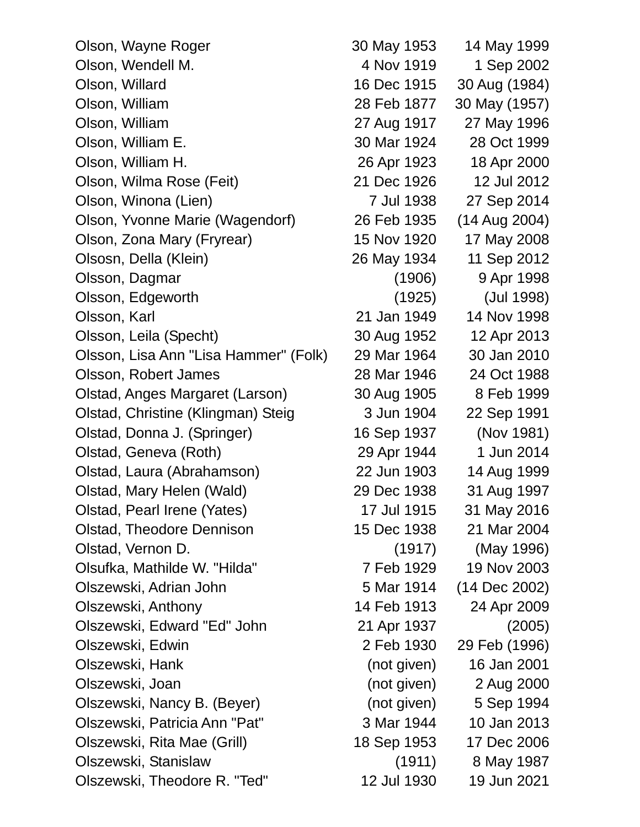| Olson, Wayne Roger                    | 30 May 1953 | 14 May 1999   |
|---------------------------------------|-------------|---------------|
| Olson, Wendell M.                     | 4 Nov 1919  | 1 Sep 2002    |
| Olson, Willard                        | 16 Dec 1915 | 30 Aug (1984) |
| Olson, William                        | 28 Feb 1877 | 30 May (1957) |
| Olson, William                        | 27 Aug 1917 | 27 May 1996   |
| Olson, William E.                     | 30 Mar 1924 | 28 Oct 1999   |
| Olson, William H.                     | 26 Apr 1923 | 18 Apr 2000   |
| Olson, Wilma Rose (Feit)              | 21 Dec 1926 | 12 Jul 2012   |
| Olson, Winona (Lien)                  | 7 Jul 1938  | 27 Sep 2014   |
| Olson, Yvonne Marie (Wagendorf)       | 26 Feb 1935 | (14 Aug 2004) |
| Olson, Zona Mary (Fryrear)            | 15 Nov 1920 | 17 May 2008   |
| Olsosn, Della (Klein)                 | 26 May 1934 | 11 Sep 2012   |
| Olsson, Dagmar                        | (1906)      | 9 Apr 1998    |
| Olsson, Edgeworth                     | (1925)      | (Jul 1998)    |
| Olsson, Karl                          | 21 Jan 1949 | 14 Nov 1998   |
| Olsson, Leila (Specht)                | 30 Aug 1952 | 12 Apr 2013   |
| Olsson, Lisa Ann "Lisa Hammer" (Folk) | 29 Mar 1964 | 30 Jan 2010   |
| Olsson, Robert James                  | 28 Mar 1946 | 24 Oct 1988   |
| Olstad, Anges Margaret (Larson)       | 30 Aug 1905 | 8 Feb 1999    |
| Olstad, Christine (Klingman) Steig    | 3 Jun 1904  | 22 Sep 1991   |
| Olstad, Donna J. (Springer)           | 16 Sep 1937 | (Nov 1981)    |
| Olstad, Geneva (Roth)                 | 29 Apr 1944 | 1 Jun 2014    |
| Olstad, Laura (Abrahamson)            | 22 Jun 1903 | 14 Aug 1999   |
| Olstad, Mary Helen (Wald)             | 29 Dec 1938 | 31 Aug 1997   |
| Olstad, Pearl Irene (Yates)           | 17 Jul 1915 | 31 May 2016   |
| <b>Olstad, Theodore Dennison</b>      | 15 Dec 1938 | 21 Mar 2004   |
| Olstad, Vernon D.                     | (1917)      | (May 1996)    |
| Olsufka, Mathilde W. "Hilda"          | 7 Feb 1929  | 19 Nov 2003   |
| Olszewski, Adrian John                | 5 Mar 1914  | (14 Dec 2002) |
| Olszewski, Anthony                    | 14 Feb 1913 | 24 Apr 2009   |
| Olszewski, Edward "Ed" John           | 21 Apr 1937 | (2005)        |
| Olszewski, Edwin                      | 2 Feb 1930  | 29 Feb (1996) |
| Olszewski, Hank                       | (not given) | 16 Jan 2001   |
| Olszewski, Joan                       | (not given) | 2 Aug 2000    |
| Olszewski, Nancy B. (Beyer)           | (not given) | 5 Sep 1994    |
| Olszewski, Patricia Ann "Pat"         | 3 Mar 1944  | 10 Jan 2013   |
| Olszewski, Rita Mae (Grill)           | 18 Sep 1953 | 17 Dec 2006   |
| Olszewski, Stanislaw                  | (1911)      | 8 May 1987    |
| Olszewski, Theodore R. "Ted"          | 12 Jul 1930 | 19 Jun 2021   |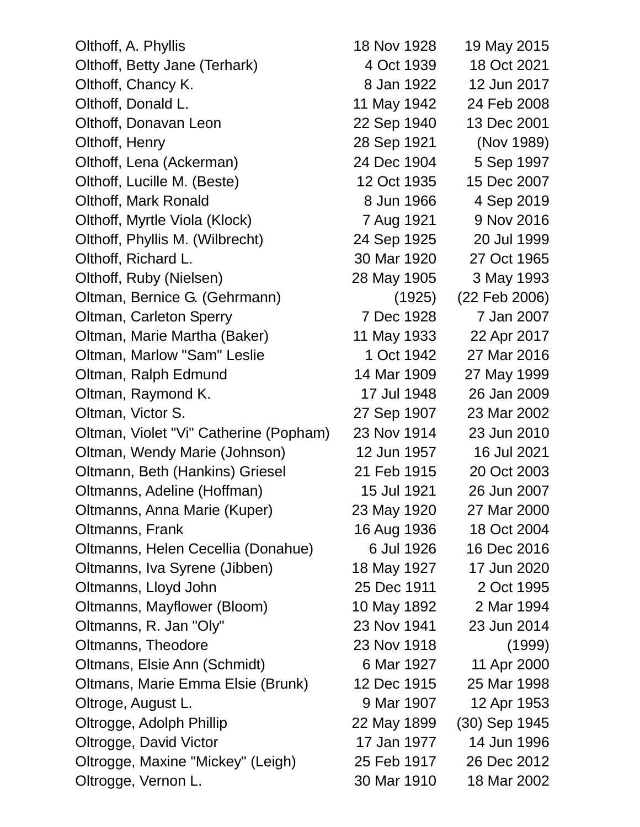| Olthoff, A. Phyllis                    | 18 Nov 1928 | 19 May 2015   |
|----------------------------------------|-------------|---------------|
| Olthoff, Betty Jane (Terhark)          | 4 Oct 1939  | 18 Oct 2021   |
| Olthoff, Chancy K.                     | 8 Jan 1922  | 12 Jun 2017   |
| Olthoff, Donald L.                     | 11 May 1942 | 24 Feb 2008   |
| Olthoff, Donavan Leon                  | 22 Sep 1940 | 13 Dec 2001   |
| Olthoff, Henry                         | 28 Sep 1921 | (Nov 1989)    |
| Olthoff, Lena (Ackerman)               | 24 Dec 1904 | 5 Sep 1997    |
| Olthoff, Lucille M. (Beste)            | 12 Oct 1935 | 15 Dec 2007   |
| Olthoff, Mark Ronald                   | 8 Jun 1966  | 4 Sep 2019    |
| Olthoff, Myrtle Viola (Klock)          | 7 Aug 1921  | 9 Nov 2016    |
| Olthoff, Phyllis M. (Wilbrecht)        | 24 Sep 1925 | 20 Jul 1999   |
| Olthoff, Richard L.                    | 30 Mar 1920 | 27 Oct 1965   |
| Olthoff, Ruby (Nielsen)                | 28 May 1905 | 3 May 1993    |
| Oltman, Bernice G. (Gehrmann)          | (1925)      | (22 Feb 2006) |
| Oltman, Carleton Sperry                | 7 Dec 1928  | 7 Jan 2007    |
| Oltman, Marie Martha (Baker)           | 11 May 1933 | 22 Apr 2017   |
| Oltman, Marlow "Sam" Leslie            | 1 Oct 1942  | 27 Mar 2016   |
| Oltman, Ralph Edmund                   | 14 Mar 1909 | 27 May 1999   |
| Oltman, Raymond K.                     | 17 Jul 1948 | 26 Jan 2009   |
| Oltman, Victor S.                      | 27 Sep 1907 | 23 Mar 2002   |
| Oltman, Violet "Vi" Catherine (Popham) | 23 Nov 1914 | 23 Jun 2010   |
| Oltman, Wendy Marie (Johnson)          | 12 Jun 1957 | 16 Jul 2021   |
| Oltmann, Beth (Hankins) Griesel        | 21 Feb 1915 | 20 Oct 2003   |
| Oltmanns, Adeline (Hoffman)            | 15 Jul 1921 | 26 Jun 2007   |
| Oltmanns, Anna Marie (Kuper)           | 23 May 1920 | 27 Mar 2000   |
| Oltmanns, Frank                        | 16 Aug 1936 | 18 Oct 2004   |
| Oltmanns, Helen Cecellia (Donahue)     | 6 Jul 1926  | 16 Dec 2016   |
| Oltmanns, Iva Syrene (Jibben)          | 18 May 1927 | 17 Jun 2020   |
| Oltmanns, Lloyd John                   | 25 Dec 1911 | 2 Oct 1995    |
| Oltmanns, Mayflower (Bloom)            | 10 May 1892 | 2 Mar 1994    |
| Oltmanns, R. Jan "Oly"                 | 23 Nov 1941 | 23 Jun 2014   |
| Oltmanns, Theodore                     | 23 Nov 1918 | (1999)        |
| Oltmans, Elsie Ann (Schmidt)           | 6 Mar 1927  | 11 Apr 2000   |
| Oltmans, Marie Emma Elsie (Brunk)      | 12 Dec 1915 | 25 Mar 1998   |
| Oltroge, August L.                     | 9 Mar 1907  | 12 Apr 1953   |
| Oltrogge, Adolph Phillip               | 22 May 1899 | (30) Sep 1945 |
| Oltrogge, David Victor                 | 17 Jan 1977 | 14 Jun 1996   |
| Oltrogge, Maxine "Mickey" (Leigh)      | 25 Feb 1917 | 26 Dec 2012   |
| Oltrogge, Vernon L.                    | 30 Mar 1910 | 18 Mar 2002   |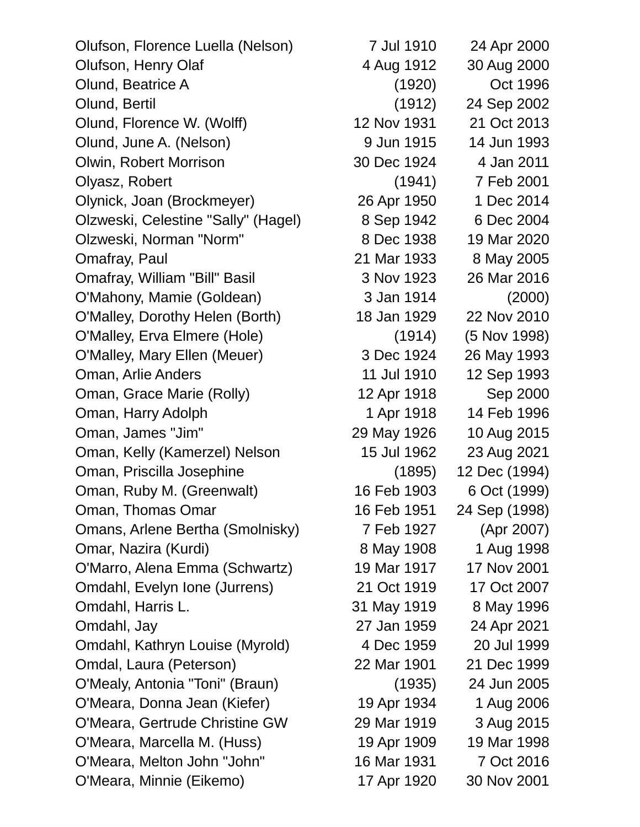Olufson, Florence Luella (Nelson) 7 Jul 1910 24 Apr 2000 Olufson, Henry Olaf 4 Aug 1912 30 Aug 2000 Olund, Beatrice A (1920) Oct 1996 Olund, Bertil (1912) 24 Sep 2002 Olund, Florence W. (Wolff) 12 Nov 1931 21 Oct 2013 Olund, June A. (Nelson) 9 Jun 1915 14 Jun 1993 Olwin, Robert Morrison 30 Dec 1924 4 Jan 2011 Olyasz, Robert (1941) 7 Feb 2001 Olynick, Joan (Brockmeyer) 26 Apr 1950 1 Dec 2014 Olzweski, Celestine "Sally" (Hagel) 8 Sep 1942 6 Dec 2004 Olzweski, Norman "Norm" 8 Dec 1938 19 Mar 2020 Omafray, Paul 21 Mar 1933 8 May 2005 Omafray, William "Bill" Basil 3 Nov 1923 26 Mar 2016 O'Mahony, Mamie (Goldean) 3 Jan 1914 (2000) O'Malley, Dorothy Helen (Borth) 18 Jan 1929 22 Nov 2010 O'Malley, Erva Elmere (Hole) (1914) (5 Nov 1998) O'Malley, Mary Ellen (Meuer) 3 Dec 1924 26 May 1993 Oman, Arlie Anders 11 Jul 1910 12 Sep 1993 Oman, Grace Marie (Rolly) 12 Apr 1918 Sep 2000 Oman, Harry Adolph 1 Apr 1918 14 Feb 1996 Oman, James "Jim" 29 May 1926 10 Aug 2015 Oman, Kelly (Kamerzel) Nelson 15 Jul 1962 23 Aug 2021 Oman, Priscilla Josephine (1895) 12 Dec (1994) Oman, Ruby M. (Greenwalt) 16 Feb 1903 6 Oct (1999) Oman, Thomas Omar 16 Feb 1951 24 Sep (1998) Omans, Arlene Bertha (Smolnisky) 7 Feb 1927 (Apr 2007) Omar, Nazira (Kurdi) 8 May 1908 1 Aug 1998 O'Marro, Alena Emma (Schwartz) 19 Mar 1917 17 Nov 2001 Omdahl, Evelyn Ione (Jurrens) 21 Oct 1919 17 Oct 2007 Omdahl, Harris L. 31 May 1919 8 May 1996 Omdahl, Jay 27 Jan 1959 24 Apr 2021 Omdahl, Kathryn Louise (Myrold) 4 Dec 1959 20 Jul 1999 Omdal, Laura (Peterson) 22 Mar 1901 21 Dec 1999 O'Mealy, Antonia "Toni" (Braun) (1935) 24 Jun 2005 O'Meara, Donna Jean (Kiefer) 19 Apr 1934 1 Aug 2006 O'Meara, Gertrude Christine GW 29 Mar 1919 3 Aug 2015 O'Meara, Marcella M. (Huss) 19 Apr 1909 19 Mar 1998 O'Meara, Melton John "John" 16 Mar 1931 7 Oct 2016 O'Meara, Minnie (Eikemo) 17 Apr 1920 30 Nov 2001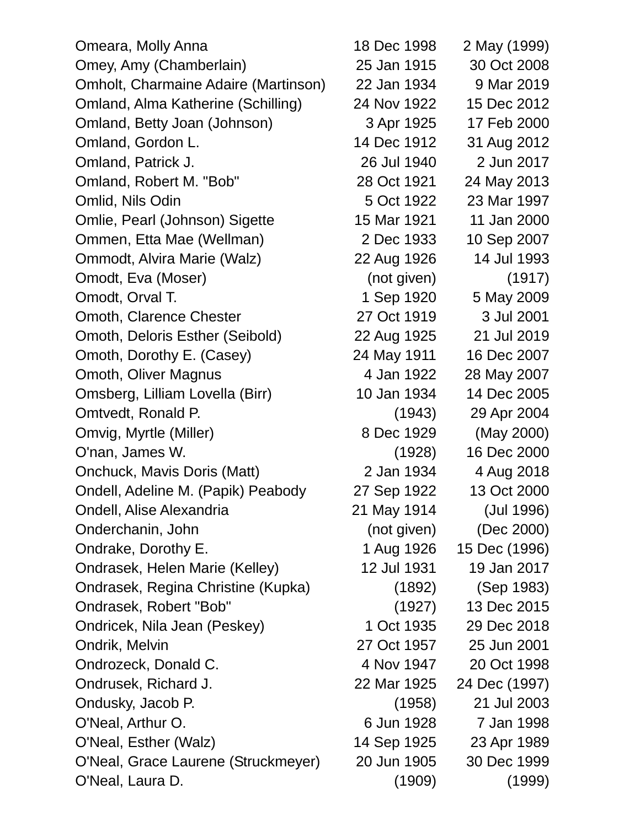| Omeara, Molly Anna                   | 18 Dec 1998 | 2 May (1999)  |
|--------------------------------------|-------------|---------------|
| Omey, Amy (Chamberlain)              | 25 Jan 1915 | 30 Oct 2008   |
| Omholt, Charmaine Adaire (Martinson) | 22 Jan 1934 | 9 Mar 2019    |
| Omland, Alma Katherine (Schilling)   | 24 Nov 1922 | 15 Dec 2012   |
| Omland, Betty Joan (Johnson)         | 3 Apr 1925  | 17 Feb 2000   |
| Omland, Gordon L.                    | 14 Dec 1912 | 31 Aug 2012   |
| Omland, Patrick J.                   | 26 Jul 1940 | 2 Jun 2017    |
| Omland, Robert M. "Bob"              | 28 Oct 1921 | 24 May 2013   |
| Omlid, Nils Odin                     | 5 Oct 1922  | 23 Mar 1997   |
| Omlie, Pearl (Johnson) Sigette       | 15 Mar 1921 | 11 Jan 2000   |
| Ommen, Etta Mae (Wellman)            | 2 Dec 1933  | 10 Sep 2007   |
| Ommodt, Alvira Marie (Walz)          | 22 Aug 1926 | 14 Jul 1993   |
| Omodt, Eva (Moser)                   | (not given) | (1917)        |
| Omodt, Orval T.                      | 1 Sep 1920  | 5 May 2009    |
| Omoth, Clarence Chester              | 27 Oct 1919 | 3 Jul 2001    |
| Omoth, Deloris Esther (Seibold)      | 22 Aug 1925 | 21 Jul 2019   |
| Omoth, Dorothy E. (Casey)            | 24 May 1911 | 16 Dec 2007   |
| Omoth, Oliver Magnus                 | 4 Jan 1922  | 28 May 2007   |
| Omsberg, Lilliam Lovella (Birr)      | 10 Jan 1934 | 14 Dec 2005   |
| Omtvedt, Ronald P.                   | (1943)      | 29 Apr 2004   |
| Omvig, Myrtle (Miller)               | 8 Dec 1929  | (May 2000)    |
| O'nan, James W.                      | (1928)      | 16 Dec 2000   |
| Onchuck, Mavis Doris (Matt)          | 2 Jan 1934  | 4 Aug 2018    |
| Ondell, Adeline M. (Papik) Peabody   | 27 Sep 1922 | 13 Oct 2000   |
| Ondell, Alise Alexandria             | 21 May 1914 | (Jul 1996)    |
| Onderchanin, John                    | (not given) | (Dec 2000)    |
| Ondrake, Dorothy E.                  | 1 Aug 1926  | 15 Dec (1996) |
| Ondrasek, Helen Marie (Kelley)       | 12 Jul 1931 | 19 Jan 2017   |
| Ondrasek, Regina Christine (Kupka)   | (1892)      | (Sep 1983)    |
| Ondrasek, Robert "Bob"               | (1927)      | 13 Dec 2015   |
| Ondricek, Nila Jean (Peskey)         | 1 Oct 1935  | 29 Dec 2018   |
| Ondrik, Melvin                       | 27 Oct 1957 | 25 Jun 2001   |
| Ondrozeck, Donald C.                 | 4 Nov 1947  | 20 Oct 1998   |
| Ondrusek, Richard J.                 | 22 Mar 1925 | 24 Dec (1997) |
| Ondusky, Jacob P.                    | (1958)      | 21 Jul 2003   |
| O'Neal, Arthur O.                    | 6 Jun 1928  | 7 Jan 1998    |
| O'Neal, Esther (Walz)                | 14 Sep 1925 | 23 Apr 1989   |
| O'Neal, Grace Laurene (Struckmeyer)  | 20 Jun 1905 | 30 Dec 1999   |
| O'Neal, Laura D.                     | (1909)      | (1999)        |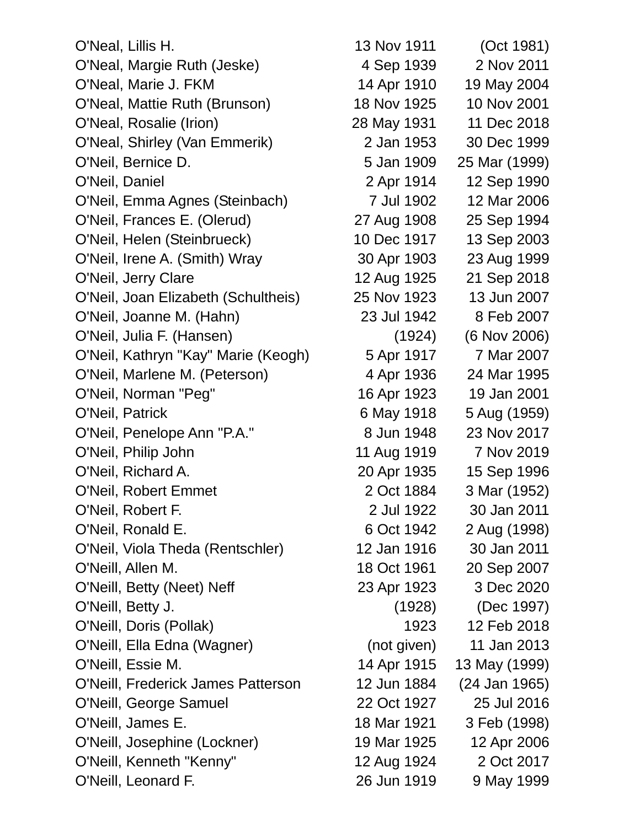O'Neal, Lillis H. 13 Nov 1911 (Oct 1981) O'Neal, Margie Ruth (Jeske) 4 Sep 1939 2 Nov 2011 O'Neal, Marie J. FKM 14 Apr 1910 19 May 2004 O'Neal, Mattie Ruth (Brunson) 18 Nov 1925 10 Nov 2001 O'Neal, Rosalie (Irion) 28 May 1931 11 Dec 2018 O'Neal, Shirley (Van Emmerik) 2 Jan 1953 30 Dec 1999 O'Neil, Bernice D. 5 Jan 1909 25 Mar (1999) O'Neil, Daniel 2 Apr 1914 12 Sep 1990 O'Neil, Emma Agnes (Steinbach) 7 Jul 1902 12 Mar 2006 O'Neil, Frances E. (Olerud) 27 Aug 1908 25 Sep 1994 O'Neil, Helen (Steinbrueck) 10 Dec 1917 13 Sep 2003 O'Neil, Irene A. (Smith) Wray 30 Apr 1903 23 Aug 1999 O'Neil, Jerry Clare 12 Aug 1925 21 Sep 2018 O'Neil, Joan Elizabeth (Schultheis) 25 Nov 1923 13 Jun 2007 O'Neil, Joanne M. (Hahn) 23 Jul 1942 8 Feb 2007 O'Neil, Julia F. (Hansen) (1924) (6 Nov 2006) O'Neil, Kathryn "Kay" Marie (Keogh) 5 Apr 1917 7 Mar 2007 O'Neil, Marlene M. (Peterson) 4 Apr 1936 24 Mar 1995 O'Neil, Norman "Peg" 16 Apr 1923 19 Jan 2001 O'Neil, Patrick 6 May 1918 5 Aug (1959) O'Neil, Penelope Ann "P.A." 8 Jun 1948 23 Nov 2017 O'Neil, Philip John 11 Aug 1919 7 Nov 2019 O'Neil, Richard A. 20 Apr 1935 15 Sep 1996 O'Neil, Robert Emmet 2 Oct 1884 3 Mar (1952) O'Neil, Robert F. 2 Jul 1922 30 Jan 2011 O'Neil, Ronald E. 6 Oct 1942 2 Aug (1998) O'Neil, Viola Theda (Rentschler) 12 Jan 1916 30 Jan 2011 O'Neill, Allen M. 18 Oct 1961 20 Sep 2007 O'Neill, Betty (Neet) Neff 23 Apr 1923 3 Dec 2020 O'Neill, Betty J. (1928) (Dec 1997) O'Neill, Doris (Pollak) 1923 12 Feb 2018 O'Neill, Ella Edna (Wagner) (not given) 11 Jan 2013 O'Neill, Essie M. 14 Apr 1915 13 May (1999) O'Neill, Frederick James Patterson 12 Jun 1884 (24 Jan 1965) O'Neill, George Samuel 22 Oct 1927 25 Jul 2016 O'Neill, James E. 18 Mar 1921 3 Feb (1998) O'Neill, Josephine (Lockner) 19 Mar 1925 12 Apr 2006 O'Neill, Kenneth "Kenny" 12 Aug 1924 2 Oct 2017 O'Neill, Leonard F. 26 Jun 1919 9 May 1999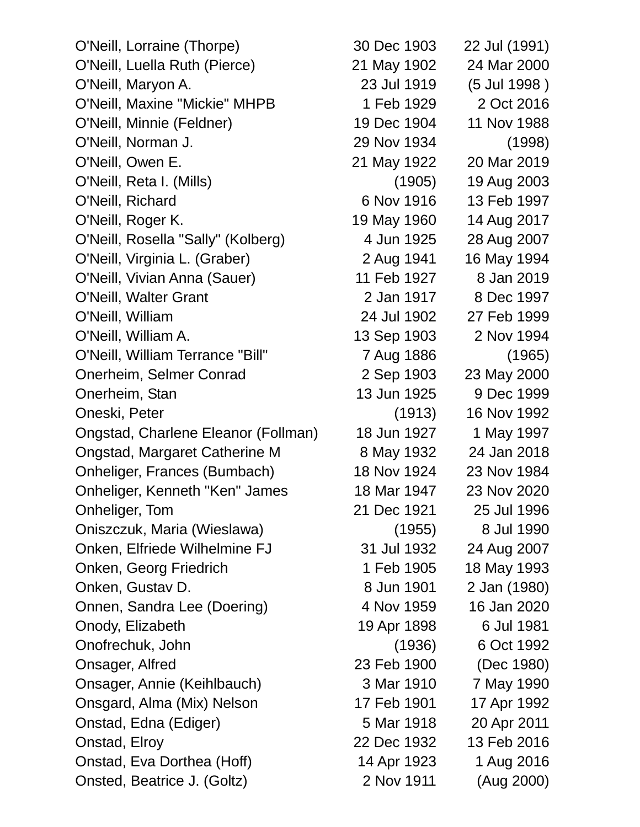O'Neill, Lorraine (Thorpe) 30 Dec 1903 22 Jul (1991) O'Neill, Luella Ruth (Pierce) 21 May 1902 24 Mar 2000 O'Neill, Maryon A. 23 Jul 1919 (5 Jul 1998 ) O'Neill, Maxine "Mickie" MHPB 1 Feb 1929 2 Oct 2016 O'Neill, Minnie (Feldner) 19 Dec 1904 11 Nov 1988 O'Neill, Norman J. 29 Nov 1934 (1998) O'Neill, Owen E. 21 May 1922 20 Mar 2019 O'Neill, Reta I. (Mills) (1905) 19 Aug 2003 O'Neill, Richard 6 Nov 1916 13 Feb 1997 O'Neill, Roger K. 19 May 1960 14 Aug 2017 O'Neill, Rosella "Sally" (Kolberg) 4 Jun 1925 28 Aug 2007 O'Neill, Virginia L. (Graber) 2 Aug 1941 16 May 1994 O'Neill, Vivian Anna (Sauer) 11 Feb 1927 8 Jan 2019 O'Neill, Walter Grant 2 Jan 1917 8 Dec 1997 O'Neill, William 24 Jul 1902 27 Feb 1999 O'Neill, William A. 13 Sep 1903 2 Nov 1994 O'Neill, William Terrance "Bill" 7 Aug 1886 (1965) Onerheim, Selmer Conrad 2 Sep 1903 23 May 2000 Onerheim, Stan 13 Jun 1925 9 Dec 1999 Oneski, Peter (1913) 16 Nov 1992 Ongstad, Charlene Eleanor (Follman) 18 Jun 1927 1 May 1997 Ongstad, Margaret Catherine M 8 May 1932 24 Jan 2018 Onheliger, Frances (Bumbach) 18 Nov 1924 23 Nov 1984 Onheliger, Kenneth "Ken" James 18 Mar 1947 23 Nov 2020 Onheliger, Tom 21 Dec 1921 25 Jul 1996 Oniszczuk, Maria (Wieslawa) (1955) 8 Jul 1990 Onken, Elfriede Wilhelmine FJ 31 Jul 1932 24 Aug 2007 Onken, Georg Friedrich 1 Feb 1905 18 May 1993 Onken, Gustav D. 68 Jun 1901 2 Jan (1980) Onnen, Sandra Lee (Doering) 4 Nov 1959 16 Jan 2020 Onody, Elizabeth 19 Apr 1898 6 Jul 1981 Onofrechuk, John (1936) 6 Oct 1992 Onsager, Alfred 23 Feb 1900 (Dec 1980) Onsager, Annie (Keihlbauch) 3 Mar 1910 7 May 1990 Onsgard, Alma (Mix) Nelson 17 Feb 1901 17 Apr 1992 Onstad, Edna (Ediger) 5 Mar 1918 20 Apr 2011 Onstad, Elroy 22 Dec 1932 13 Feb 2016 Onstad, Eva Dorthea (Hoff) 14 Apr 1923 1 Aug 2016 Onsted, Beatrice J. (Goltz) 2 Nov 1911 (Aug 2000)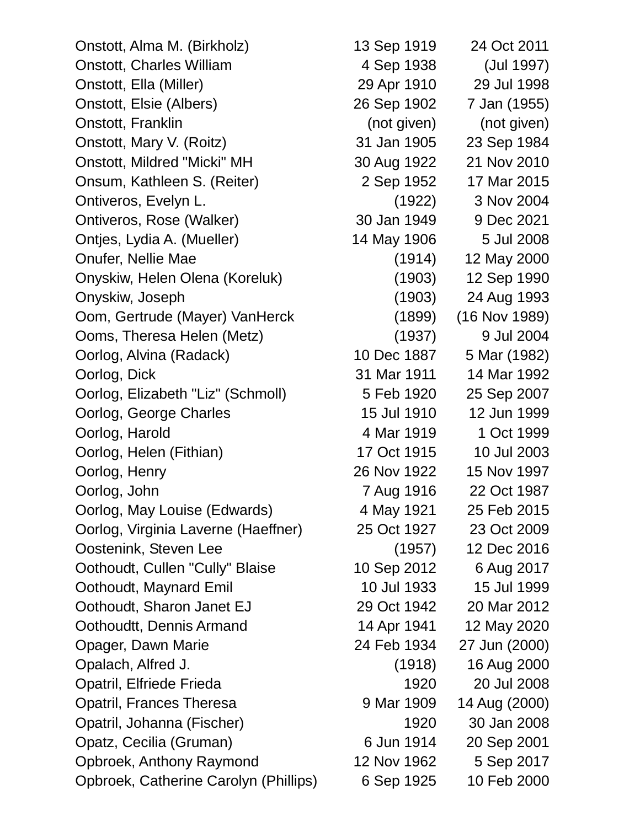Onstott, Alma M. (Birkholz) 13 Sep 1919 24 Oct 2011 Onstott, Charles William 4 Sep 1938 (Jul 1997) Onstott, Ella (Miller) 29 Apr 1910 29 Jul 1998 Onstott, Elsie (Albers) 26 Sep 1902 7 Jan (1955) Onstott, Franklin (not given) (not given) Onstott, Mary V. (Roitz) 31 Jan 1905 23 Sep 1984 Onstott, Mildred "Micki" MH 30 Aug 1922 21 Nov 2010 Onsum, Kathleen S. (Reiter) 2 Sep 1952 17 Mar 2015 Ontiveros, Evelyn L. (1922) 3 Nov 2004 Ontiveros, Rose (Walker) 30 Jan 1949 9 Dec 2021 Ontjes, Lydia A. (Mueller) 14 May 1906 5 Jul 2008 Onufer, Nellie Mae (1914) 12 May 2000 Onyskiw, Helen Olena (Koreluk) (1903) 12 Sep 1990 Onyskiw, Joseph (1903) 24 Aug 1993 Oom, Gertrude (Mayer) VanHerck (1899) (16 Nov 1989) Ooms, Theresa Helen (Metz) (1937) 9 Jul 2004 Oorlog, Alvina (Radack) 10 Dec 1887 5 Mar (1982) Oorlog, Dick 31 Mar 1911 14 Mar 1992 Oorlog, Elizabeth "Liz" (Schmoll) 5 Feb 1920 25 Sep 2007 Oorlog, George Charles 15 Jul 1910 12 Jun 1999 Oorlog, Harold **4 Mar 1919** 1 Oct 1999 Oorlog, Helen (Fithian) 17 Oct 1915 10 Jul 2003 Oorlog, Henry 26 Nov 1922 15 Nov 1997 Oorlog, John 7 Aug 1916 22 Oct 1987 Oorlog, May Louise (Edwards) 4 May 1921 25 Feb 2015 Oorlog, Virginia Laverne (Haeffner) 25 Oct 1927 23 Oct 2009 Oostenink, Steven Lee (1957) 12 Dec 2016 Oothoudt, Cullen "Cully" Blaise 10 Sep 2012 6 Aug 2017 Oothoudt, Maynard Emil 10 Jul 1933 15 Jul 1999 Oothoudt, Sharon Janet EJ 29 Oct 1942 20 Mar 2012 Oothoudtt, Dennis Armand 14 Apr 1941 12 May 2020 Opager, Dawn Marie 24 Feb 1934 27 Jun (2000) Opalach, Alfred J. (1918) 16 Aug 2000 Opatril, Elfriede Frieda 1920 20 Jul 2008 Opatril, Frances Theresa 9 Mar 1909 14 Aug (2000) Opatril, Johanna (Fischer) 1920 30 Jan 2008 Opatz, Cecilia (Gruman) 6 Jun 1914 20 Sep 2001 Opbroek, Anthony Raymond 12 Nov 1962 5 Sep 2017 Opbroek, Catherine Carolyn (Phillips) 6 Sep 1925 10 Feb 2000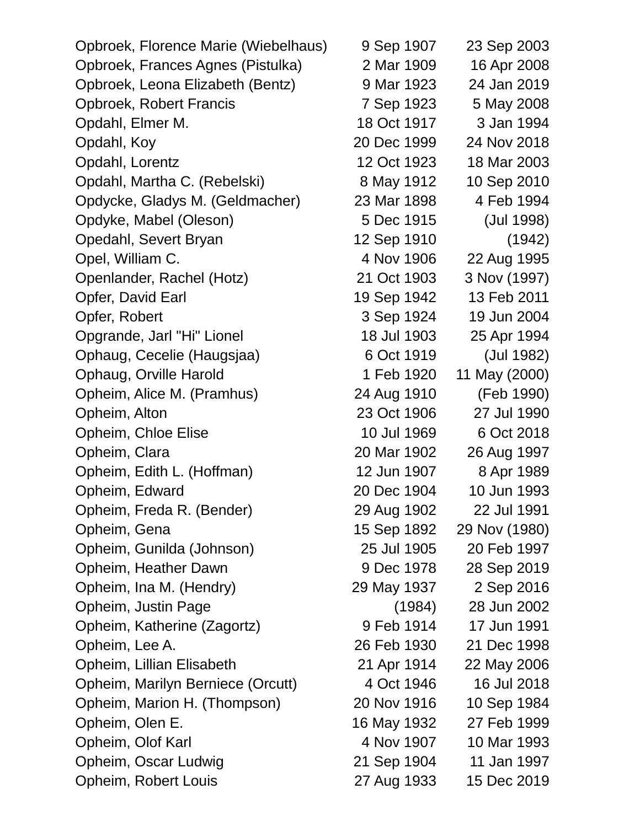Opbroek, Florence Marie (Wiebelhaus) 9 Sep 1907 23 Sep 2003 Opbroek, Frances Agnes (Pistulka) 2 Mar 1909 16 Apr 2008 Opbroek, Leona Elizabeth (Bentz) 9 Mar 1923 24 Jan 2019 Opbroek, Robert Francis 7 Sep 1923 5 May 2008 Opdahl, Elmer M. 18 Oct 1917 3 Jan 1994 Opdahl, Koy 20 Dec 1999 24 Nov 2018 Opdahl, Lorentz 12 Oct 1923 18 Mar 2003 Opdahl, Martha C. (Rebelski) 8 May 1912 10 Sep 2010 Opdycke, Gladys M. (Geldmacher) 23 Mar 1898 4 Feb 1994 Opdyke, Mabel (Oleson) 5 Dec 1915 (Jul 1998) Opedahl, Severt Bryan 12 Sep 1910 (1942) Opel, William C. 4 Nov 1906 22 Aug 1995 Openlander, Rachel (Hotz) 21 Oct 1903 3 Nov (1997) Opfer, David Earl 19 Sep 1942 13 Feb 2011 Opfer, Robert 3 Sep 1924 19 Jun 2004 Opgrande, Jarl "Hi" Lionel 18 Jul 1903 25 Apr 1994 Ophaug, Cecelie (Haugsjaa) 6 Oct 1919 (Jul 1982) Ophaug, Orville Harold 1 Feb 1920 11 May (2000) Opheim, Alice M. (Pramhus) 24 Aug 1910 (Feb 1990) Opheim, Alton 23 Oct 1906 27 Jul 1990 Opheim, Chloe Elise 10 Jul 1969 6 Oct 2018 Opheim, Clara 20 Mar 1902 26 Aug 1997 Opheim, Edith L. (Hoffman) 12 Jun 1907 8 Apr 1989 Opheim, Edward 20 Dec 1904 10 Jun 1993 Opheim, Freda R. (Bender) 29 Aug 1902 22 Jul 1991 Opheim, Gena 15 Sep 1892 29 Nov (1980) Opheim, Gunilda (Johnson) 25 Jul 1905 20 Feb 1997 Opheim, Heather Dawn 9 Dec 1978 28 Sep 2019 Opheim, Ina M. (Hendry) 29 May 1937 2 Sep 2016 Opheim, Justin Page (1984) 28 Jun 2002 Opheim, Katherine (Zagortz) 9 Feb 1914 17 Jun 1991 Opheim, Lee A. 26 Feb 1930 21 Dec 1998 Opheim, Lillian Elisabeth 21 Apr 1914 22 May 2006 Opheim, Marilyn Berniece (Orcutt) 4 Oct 1946 16 Jul 2018 Opheim, Marion H. (Thompson) 20 Nov 1916 10 Sep 1984 Opheim, Olen E. 16 May 1932 27 Feb 1999 Opheim, Olof Karl 1993 **4 Nov 1907** 10 Mar 1993 Opheim, Oscar Ludwig 21 Sep 1904 11 Jan 1997 Opheim, Robert Louis 27 Aug 1933 15 Dec 2019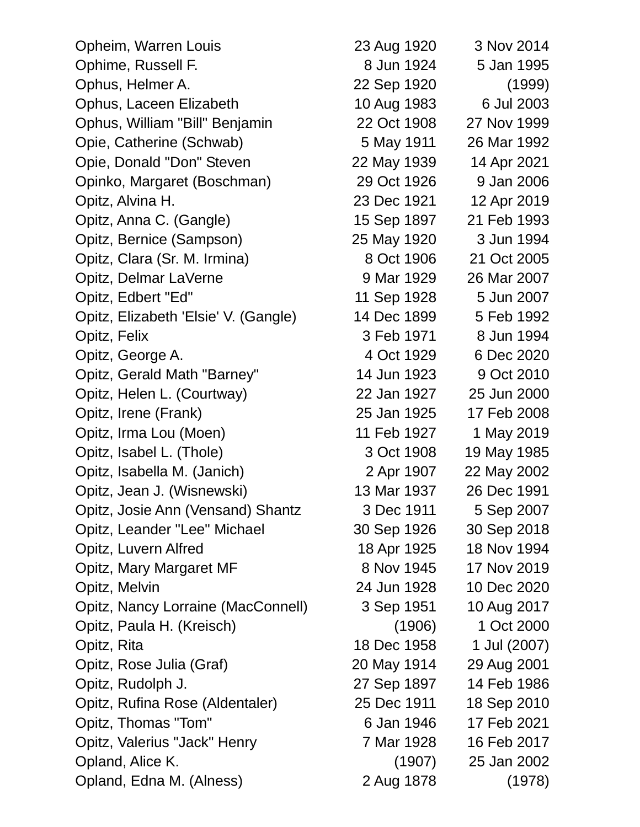| Opheim, Warren Louis                 | 23 Aug 1920 | 3 Nov 2014   |
|--------------------------------------|-------------|--------------|
| Ophime, Russell F.                   | 8 Jun 1924  | 5 Jan 1995   |
| Ophus, Helmer A.                     | 22 Sep 1920 | (1999)       |
| Ophus, Laceen Elizabeth              | 10 Aug 1983 | 6 Jul 2003   |
| Ophus, William "Bill" Benjamin       | 22 Oct 1908 | 27 Nov 1999  |
| Opie, Catherine (Schwab)             | 5 May 1911  | 26 Mar 1992  |
| Opie, Donald "Don" Steven            | 22 May 1939 | 14 Apr 2021  |
| Opinko, Margaret (Boschman)          | 29 Oct 1926 | 9 Jan 2006   |
| Opitz, Alvina H.                     | 23 Dec 1921 | 12 Apr 2019  |
| Opitz, Anna C. (Gangle)              | 15 Sep 1897 | 21 Feb 1993  |
| Opitz, Bernice (Sampson)             | 25 May 1920 | 3 Jun 1994   |
| Opitz, Clara (Sr. M. Irmina)         | 8 Oct 1906  | 21 Oct 2005  |
| Opitz, Delmar LaVerne                | 9 Mar 1929  | 26 Mar 2007  |
| Opitz, Edbert "Ed"                   | 11 Sep 1928 | 5 Jun 2007   |
| Opitz, Elizabeth 'Elsie' V. (Gangle) | 14 Dec 1899 | 5 Feb 1992   |
| Opitz, Felix                         | 3 Feb 1971  | 8 Jun 1994   |
| Opitz, George A.                     | 4 Oct 1929  | 6 Dec 2020   |
| Opitz, Gerald Math "Barney"          | 14 Jun 1923 | 9 Oct 2010   |
| Opitz, Helen L. (Courtway)           | 22 Jan 1927 | 25 Jun 2000  |
| Opitz, Irene (Frank)                 | 25 Jan 1925 | 17 Feb 2008  |
| Opitz, Irma Lou (Moen)               | 11 Feb 1927 | 1 May 2019   |
| Opitz, Isabel L. (Thole)             | 3 Oct 1908  | 19 May 1985  |
| Opitz, Isabella M. (Janich)          | 2 Apr 1907  | 22 May 2002  |
| Opitz, Jean J. (Wisnewski)           | 13 Mar 1937 | 26 Dec 1991  |
| Opitz, Josie Ann (Vensand) Shantz    | 3 Dec 1911  | 5 Sep 2007   |
| Opitz, Leander "Lee" Michael         | 30 Sep 1926 | 30 Sep 2018  |
| Opitz, Luvern Alfred                 | 18 Apr 1925 | 18 Nov 1994  |
| Opitz, Mary Margaret MF              | 8 Nov 1945  | 17 Nov 2019  |
| Opitz, Melvin                        | 24 Jun 1928 | 10 Dec 2020  |
| Opitz, Nancy Lorraine (MacConnell)   | 3 Sep 1951  | 10 Aug 2017  |
| Opitz, Paula H. (Kreisch)            | (1906)      | 1 Oct 2000   |
| Opitz, Rita                          | 18 Dec 1958 | 1 Jul (2007) |
| Opitz, Rose Julia (Graf)             | 20 May 1914 | 29 Aug 2001  |
| Opitz, Rudolph J.                    | 27 Sep 1897 | 14 Feb 1986  |
| Opitz, Rufina Rose (Aldentaler)      | 25 Dec 1911 | 18 Sep 2010  |
| Opitz, Thomas "Tom"                  | 6 Jan 1946  | 17 Feb 2021  |
| Opitz, Valerius "Jack" Henry         | 7 Mar 1928  | 16 Feb 2017  |
| Opland, Alice K.                     | (1907)      | 25 Jan 2002  |
| Opland, Edna M. (Alness)             | 2 Aug 1878  | (1978)       |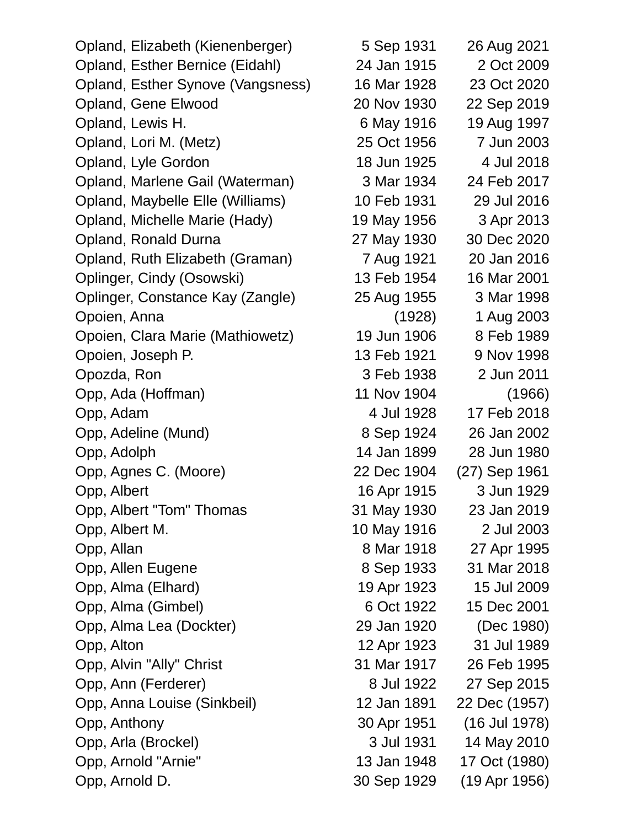Opland, Elizabeth (Kienenberger) 5 Sep 1931 26 Aug 2021 Opland, Esther Bernice (Eidahl) 24 Jan 1915 2 Oct 2009 Opland, Esther Synove (Vangsness) 16 Mar 1928 23 Oct 2020 Opland, Gene Elwood 20 Nov 1930 22 Sep 2019 Opland, Lewis H. 6 May 1916 19 Aug 1997 Opland, Lori M. (Metz) 25 Oct 1956 7 Jun 2003 Opland, Lyle Gordon 18 Jun 1925 4 Jul 2018 Opland, Marlene Gail (Waterman) 3 Mar 1934 24 Feb 2017 Opland, Maybelle Elle (Williams) 10 Feb 1931 29 Jul 2016 Opland, Michelle Marie (Hady) 19 May 1956 3 Apr 2013 Opland, Ronald Durna 27 May 1930 30 Dec 2020 Opland, Ruth Elizabeth (Graman) 7 Aug 1921 20 Jan 2016 Oplinger, Cindy (Osowski) 13 Feb 1954 16 Mar 2001 Oplinger, Constance Kay (Zangle) 25 Aug 1955 3 Mar 1998 Opoien, Anna (1928) 1 Aug 2003 Opoien, Clara Marie (Mathiowetz) 19 Jun 1906 8 Feb 1989 Opoien, Joseph P. 13 Feb 1921 9 Nov 1998 Opozda, Ron 3 Feb 1938 2 Jun 2011 Opp, Ada (Hoffman) 11 Nov 1904 (1966) Opp, Adam 4 Jul 1928 17 Feb 2018 Opp, Adeline (Mund) 8 Sep 1924 26 Jan 2002 Opp, Adolph 14 Jan 1899 28 Jun 1980 Opp, Agnes C. (Moore) 22 Dec 1904 (27) Sep 1961 Opp, Albert 16 Apr 1915 3 Jun 1929 Opp, Albert "Tom" Thomas 31 May 1930 23 Jan 2019 Opp, Albert M. 10 May 1916 2 Jul 2003 Opp, Allan 8 Mar 1918 27 Apr 1995 Opp, Allen Eugene 8 Sep 1933 31 Mar 2018 Opp, Alma (Elhard) 19 Apr 1923 15 Jul 2009 Opp, Alma (Gimbel) 6 Oct 1922 15 Dec 2001 Opp, Alma Lea (Dockter) 29 Jan 1920 (Dec 1980) Opp, Alton 12 Apr 1923 31 Jul 1989 Opp, Alvin "Ally" Christ 31 Mar 1917 26 Feb 1995 Opp, Ann (Ferderer) 8 Jul 1922 27 Sep 2015 Opp, Anna Louise (Sinkbeil) 12 Jan 1891 22 Dec (1957) Opp, Anthony 30 Apr 1951 (16 Jul 1978) Opp, Arla (Brockel) 3 Jul 1931 14 May 2010 Opp, Arnold "Arnie" 13 Jan 1948 17 Oct (1980)

Opp, Arnold D. 30 Sep 1929 (19 Apr 1956)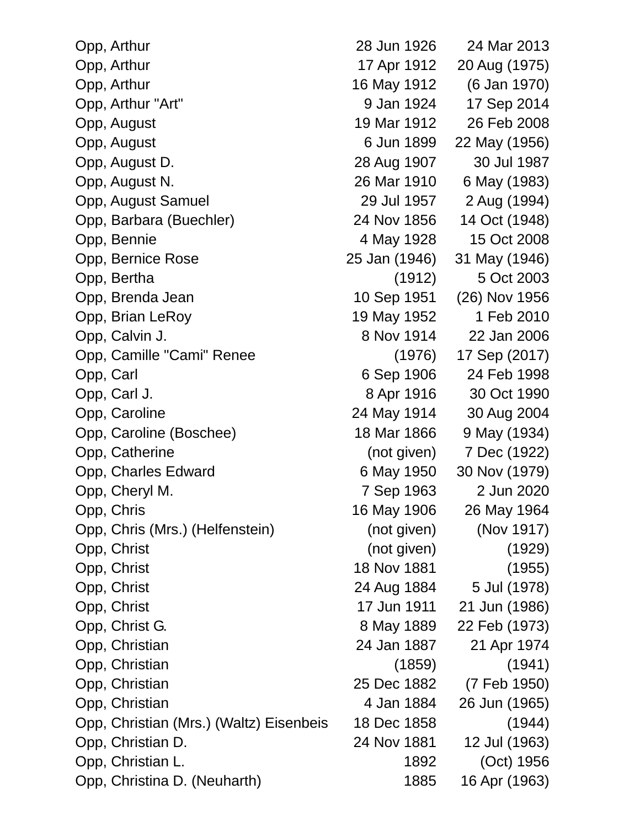| Opp, Arthur                             | 28 Jun 1926   | 24 Mar 2013   |
|-----------------------------------------|---------------|---------------|
| Opp, Arthur                             | 17 Apr 1912   | 20 Aug (1975) |
| Opp, Arthur                             | 16 May 1912   | (6 Jan 1970)  |
| Opp, Arthur "Art"                       | 9 Jan 1924    | 17 Sep 2014   |
| Opp, August                             | 19 Mar 1912   | 26 Feb 2008   |
| Opp, August                             | 6 Jun 1899    | 22 May (1956) |
| Opp, August D.                          | 28 Aug 1907   | 30 Jul 1987   |
| Opp, August N.                          | 26 Mar 1910   | 6 May (1983)  |
| Opp, August Samuel                      | 29 Jul 1957   | 2 Aug (1994)  |
| Opp, Barbara (Buechler)                 | 24 Nov 1856   | 14 Oct (1948) |
| Opp, Bennie                             | 4 May 1928    | 15 Oct 2008   |
| Opp, Bernice Rose                       | 25 Jan (1946) | 31 May (1946) |
| Opp, Bertha                             | (1912)        | 5 Oct 2003    |
| Opp, Brenda Jean                        | 10 Sep 1951   | (26) Nov 1956 |
| Opp, Brian LeRoy                        | 19 May 1952   | 1 Feb 2010    |
| Opp, Calvin J.                          | 8 Nov 1914    | 22 Jan 2006   |
| Opp, Camille "Cami" Renee               | (1976)        | 17 Sep (2017) |
| Opp, Carl                               | 6 Sep 1906    | 24 Feb 1998   |
| Opp, Carl J.                            | 8 Apr 1916    | 30 Oct 1990   |
| Opp, Caroline                           | 24 May 1914   | 30 Aug 2004   |
| Opp, Caroline (Boschee)                 | 18 Mar 1866   | 9 May (1934)  |
| Opp, Catherine                          | (not given)   | 7 Dec (1922)  |
| Opp, Charles Edward                     | 6 May 1950    | 30 Nov (1979) |
| Opp, Cheryl M.                          | 7 Sep 1963    | 2 Jun 2020    |
| Opp, Chris                              | 16 May 1906   | 26 May 1964   |
| Opp, Chris (Mrs.) (Helfenstein)         | (not given)   | (Nov 1917)    |
| Opp, Christ                             | (not given)   | (1929)        |
| Opp, Christ                             | 18 Nov 1881   | (1955)        |
| Opp, Christ                             | 24 Aug 1884   | 5 Jul (1978)  |
| Opp, Christ                             | 17 Jun 1911   | 21 Jun (1986) |
| Opp, Christ G.                          | 8 May 1889    | 22 Feb (1973) |
| Opp, Christian                          | 24 Jan 1887   | 21 Apr 1974   |
| Opp, Christian                          | (1859)        | (1941)        |
| Opp, Christian                          | 25 Dec 1882   | (7 Feb 1950)  |
| Opp, Christian                          | 4 Jan 1884    | 26 Jun (1965) |
| Opp, Christian (Mrs.) (Waltz) Eisenbeis | 18 Dec 1858   | (1944)        |
| Opp, Christian D.                       | 24 Nov 1881   | 12 Jul (1963) |
| Opp, Christian L.                       | 1892          | (Oct) 1956    |
| Opp, Christina D. (Neuharth)            | 1885          | 16 Apr (1963) |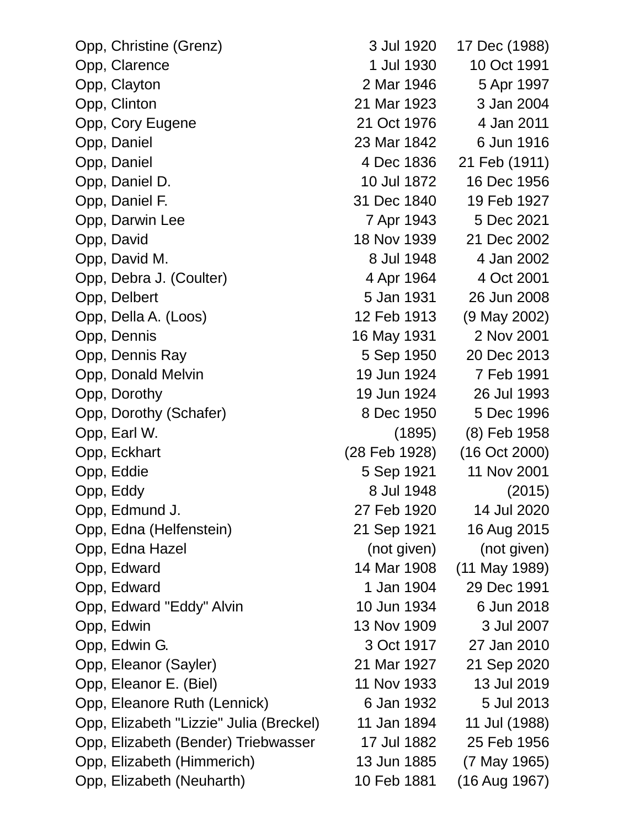| Opp, Christine (Grenz)                  | 3 Jul 1920    | 17 Dec (1988)           |  |
|-----------------------------------------|---------------|-------------------------|--|
| Opp, Clarence                           | 1 Jul 1930    | 10 Oct 1991             |  |
| Opp, Clayton                            | 2 Mar 1946    | 5 Apr 1997              |  |
| Opp, Clinton                            | 21 Mar 1923   | 3 Jan 2004              |  |
| Opp, Cory Eugene                        | 21 Oct 1976   | 4 Jan 2011              |  |
| Opp, Daniel                             | 23 Mar 1842   | 6 Jun 1916              |  |
| Opp, Daniel                             | 4 Dec 1836    | 21 Feb (1911)           |  |
| Opp, Daniel D.                          | 10 Jul 1872   | 16 Dec 1956             |  |
| Opp, Daniel F.                          | 31 Dec 1840   | 19 Feb 1927             |  |
| Opp, Darwin Lee                         | 7 Apr 1943    | 5 Dec 2021              |  |
| Opp, David                              | 18 Nov 1939   | 21 Dec 2002             |  |
| Opp, David M.                           | 8 Jul 1948    | 4 Jan 2002              |  |
| Opp, Debra J. (Coulter)                 | 4 Apr 1964    | 4 Oct 2001              |  |
| Opp, Delbert                            | 5 Jan 1931    | 26 Jun 2008             |  |
| Opp, Della A. (Loos)                    | 12 Feb 1913   | (9 May 2002)            |  |
| Opp, Dennis                             | 16 May 1931   | 2 Nov 2001              |  |
| Opp, Dennis Ray                         | 5 Sep 1950    | 20 Dec 2013             |  |
| Opp, Donald Melvin                      | 19 Jun 1924   | 7 Feb 1991              |  |
| Opp, Dorothy                            | 19 Jun 1924   | 26 Jul 1993             |  |
| Opp, Dorothy (Schafer)                  | 8 Dec 1950    | 5 Dec 1996              |  |
| Opp, Earl W.                            |               | $(1895)$ $(8)$ Feb 1958 |  |
| Opp, Eckhart                            | (28 Feb 1928) | (16 Oct 2000)           |  |
| Opp, Eddie                              | 5 Sep 1921    | 11 Nov 2001             |  |
| Opp, Eddy                               | 8 Jul 1948    | (2015)                  |  |
| Opp, Edmund J.                          | 27 Feb 1920   | 14 Jul 2020             |  |
| Opp, Edna (Helfenstein)                 | 21 Sep 1921   | 16 Aug 2015             |  |
| Opp, Edna Hazel                         | (not given)   | (not given)             |  |
| Opp, Edward                             | 14 Mar 1908   | (11 May 1989)           |  |
| Opp, Edward                             | 1 Jan 1904    | 29 Dec 1991             |  |
| Opp, Edward "Eddy" Alvin                | 10 Jun 1934   | 6 Jun 2018              |  |
| Opp, Edwin                              | 13 Nov 1909   | 3 Jul 2007              |  |
| Opp, Edwin G.                           | 3 Oct 1917    | 27 Jan 2010             |  |
| Opp, Eleanor (Sayler)                   | 21 Mar 1927   | 21 Sep 2020             |  |
| Opp, Eleanor E. (Biel)                  | 11 Nov 1933   | 13 Jul 2019             |  |
| Opp, Eleanore Ruth (Lennick)            | 6 Jan 1932    | 5 Jul 2013              |  |
| Opp, Elizabeth "Lizzie" Julia (Breckel) | 11 Jan 1894   | 11 Jul (1988)           |  |
| Opp, Elizabeth (Bender) Triebwasser     | 17 Jul 1882   | 25 Feb 1956             |  |
| Opp, Elizabeth (Himmerich)              | 13 Jun 1885   | (7 May 1965)            |  |
| Opp, Elizabeth (Neuharth)               | 10 Feb 1881   | (16 Aug 1967)           |  |
|                                         |               |                         |  |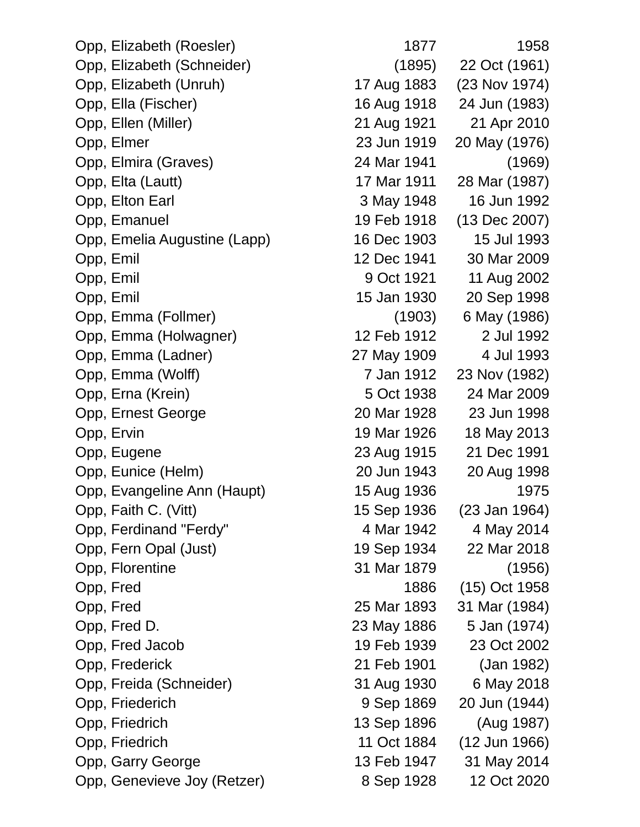| Opp, Elizabeth (Roesler)     | 1877        | 1958          |
|------------------------------|-------------|---------------|
| Opp, Elizabeth (Schneider)   | (1895)      | 22 Oct (1961) |
| Opp, Elizabeth (Unruh)       | 17 Aug 1883 | (23 Nov 1974) |
| Opp, Ella (Fischer)          | 16 Aug 1918 | 24 Jun (1983) |
| Opp, Ellen (Miller)          | 21 Aug 1921 | 21 Apr 2010   |
| Opp, Elmer                   | 23 Jun 1919 | 20 May (1976) |
| Opp, Elmira (Graves)         | 24 Mar 1941 | (1969)        |
| Opp, Elta (Lautt)            | 17 Mar 1911 | 28 Mar (1987) |
| Opp, Elton Earl              | 3 May 1948  | 16 Jun 1992   |
| Opp, Emanuel                 | 19 Feb 1918 | (13 Dec 2007) |
| Opp, Emelia Augustine (Lapp) | 16 Dec 1903 | 15 Jul 1993   |
| Opp, Emil                    | 12 Dec 1941 | 30 Mar 2009   |
| Opp, Emil                    | 9 Oct 1921  | 11 Aug 2002   |
| Opp, Emil                    | 15 Jan 1930 | 20 Sep 1998   |
| Opp, Emma (Follmer)          | (1903)      | 6 May (1986)  |
| Opp, Emma (Holwagner)        | 12 Feb 1912 | 2 Jul 1992    |
| Opp, Emma (Ladner)           | 27 May 1909 | 4 Jul 1993    |
| Opp, Emma (Wolff)            | 7 Jan 1912  | 23 Nov (1982) |
| Opp, Erna (Krein)            | 5 Oct 1938  | 24 Mar 2009   |
| Opp, Ernest George           | 20 Mar 1928 | 23 Jun 1998   |
| Opp, Ervin                   | 19 Mar 1926 | 18 May 2013   |
| Opp, Eugene                  | 23 Aug 1915 | 21 Dec 1991   |
| Opp, Eunice (Helm)           | 20 Jun 1943 | 20 Aug 1998   |
| Opp, Evangeline Ann (Haupt)  | 15 Aug 1936 | 1975          |
| Opp, Faith C. (Vitt)         | 15 Sep 1936 | (23 Jan 1964) |
| Opp, Ferdinand "Ferdy"       | 4 Mar 1942  | 4 May 2014    |
| Opp, Fern Opal (Just)        | 19 Sep 1934 | 22 Mar 2018   |
| Opp, Florentine              | 31 Mar 1879 | (1956)        |
| Opp, Fred                    | 1886        | (15) Oct 1958 |
| Opp, Fred                    | 25 Mar 1893 | 31 Mar (1984) |
| Opp, Fred D.                 | 23 May 1886 | 5 Jan (1974)  |
| Opp, Fred Jacob              | 19 Feb 1939 | 23 Oct 2002   |
| Opp, Frederick               | 21 Feb 1901 | (Jan 1982)    |
| Opp, Freida (Schneider)      | 31 Aug 1930 | 6 May 2018    |
| Opp, Friederich              | 9 Sep 1869  | 20 Jun (1944) |
| Opp, Friedrich               | 13 Sep 1896 | (Aug 1987)    |
| Opp, Friedrich               | 11 Oct 1884 | (12 Jun 1966) |
| Opp, Garry George            | 13 Feb 1947 | 31 May 2014   |
| Opp, Genevieve Joy (Retzer)  | 8 Sep 1928  | 12 Oct 2020   |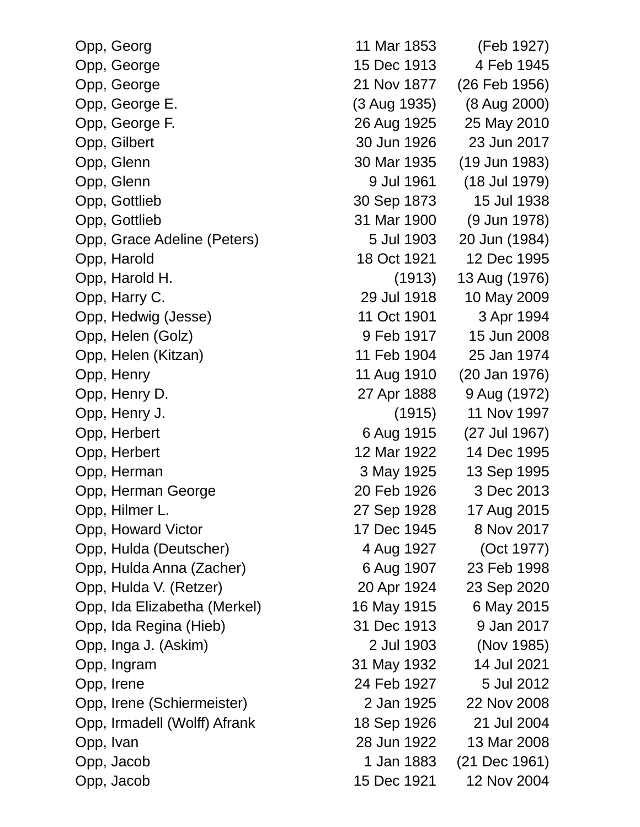|           | Opp, Georg                   |
|-----------|------------------------------|
|           | Opp, George                  |
|           | Opp, George                  |
|           | Opp, George E.               |
|           | Opp, George F.               |
|           | Opp, Gilbert                 |
|           | Opp, Glenn                   |
|           | Opp, Glenn                   |
|           | Opp, Gottlieb                |
|           | Opp, Gottlieb                |
|           | Opp, Grace Adeline (Peters)  |
|           | Opp, Harold                  |
|           | Opp, Harold H.               |
|           | Opp, Harry C.                |
|           | Opp, Hedwig (Jesse)          |
|           | Opp, Helen (Golz)            |
|           | Opp, Helen (Kitzan)          |
|           | Opp, Henry                   |
|           | Opp, Henry D.                |
|           | Opp, Henry J.                |
|           | Opp, Herbert                 |
|           | Opp, Herbert                 |
|           | Opp, Herman                  |
|           | Opp, Herman George           |
|           | Opp, Hilmer L.               |
|           | Opp, Howard Victor           |
|           | Opp, Hulda (Deutscher)       |
|           | Opp, Hulda Anna (Zacher)     |
|           | Opp, Hulda V. (Retzer)       |
|           | Opp, Ida Elizabetha (Merkel) |
|           | Opp, Ida Regina (Hieb)       |
|           | Opp, Inga J. (Askim)         |
|           | Opp, Ingram                  |
|           | Opp, Irene                   |
|           | Opp, Irene (Schiermeister)   |
|           | Opp, Irmadell (Wolff) Afrank |
| Opp, Ivan |                              |
|           | Opp, Jacob                   |
|           | Opp, Jacob                   |

| Opp, Georg                   | 11 Mar 1853  | (Feb 1927)    |
|------------------------------|--------------|---------------|
| Opp, George                  | 15 Dec 1913  | 4 Feb 1945    |
| Opp, George                  | 21 Nov 1877  | (26 Feb 1956) |
| Opp, George E.               | (3 Aug 1935) | (8 Aug 2000)  |
| Opp, George F.               | 26 Aug 1925  | 25 May 2010   |
| Opp, Gilbert                 | 30 Jun 1926  | 23 Jun 2017   |
| Opp, Glenn                   | 30 Mar 1935  | (19 Jun 1983) |
| Opp, Glenn                   | 9 Jul 1961   | (18 Jul 1979) |
| Opp, Gottlieb                | 30 Sep 1873  | 15 Jul 1938   |
| Opp, Gottlieb                | 31 Mar 1900  | (9 Jun 1978)  |
| Opp, Grace Adeline (Peters)  | 5 Jul 1903   | 20 Jun (1984) |
| Opp, Harold                  | 18 Oct 1921  | 12 Dec 1995   |
| Opp, Harold H.               | (1913)       | 13 Aug (1976) |
| Opp, Harry C.                | 29 Jul 1918  | 10 May 2009   |
| Opp, Hedwig (Jesse)          | 11 Oct 1901  | 3 Apr 1994    |
| Opp, Helen (Golz)            | 9 Feb 1917   | 15 Jun 2008   |
| Opp, Helen (Kitzan)          | 11 Feb 1904  | 25 Jan 1974   |
| Opp, Henry                   | 11 Aug 1910  | (20 Jan 1976) |
| Opp, Henry D.                | 27 Apr 1888  | 9 Aug (1972)  |
| Opp, Henry J.                | (1915)       | 11 Nov 1997   |
| Opp, Herbert                 | 6 Aug 1915   | (27 Jul 1967) |
| Opp, Herbert                 | 12 Mar 1922  | 14 Dec 1995   |
| Opp, Herman                  | 3 May 1925   | 13 Sep 1995   |
| Opp, Herman George           | 20 Feb 1926  | 3 Dec 2013    |
| Opp, Hilmer L.               | 27 Sep 1928  | 17 Aug 2015   |
| Opp, Howard Victor           | 17 Dec 1945  | 8 Nov 2017    |
| Opp, Hulda (Deutscher)       | 4 Aug 1927   | (Oct 1977)    |
| Opp, Hulda Anna (Zacher)     | 6 Aug 1907   | 23 Feb 1998   |
| Opp, Hulda V. (Retzer)       | 20 Apr 1924  | 23 Sep 2020   |
| Opp, Ida Elizabetha (Merkel) | 16 May 1915  | 6 May 2015    |
| Opp, Ida Regina (Hieb)       | 31 Dec 1913  | 9 Jan 2017    |
| Opp, Inga J. (Askim)         | 2 Jul 1903   | (Nov 1985)    |
| Opp, Ingram                  | 31 May 1932  | 14 Jul 2021   |
| Opp, Irene                   | 24 Feb 1927  | 5 Jul 2012    |
| Opp, Irene (Schiermeister)   | 2 Jan 1925   | 22 Nov 2008   |
| Opp, Irmadell (Wolff) Afrank | 18 Sep 1926  | 21 Jul 2004   |
| Opp, Ivan                    | 28 Jun 1922  | 13 Mar 2008   |
| Opp, Jacob                   | 1 Jan 1883   | (21 Dec 1961) |
| Opp, Jacob                   | 15 Dec 1921  | 12 Nov 2004   |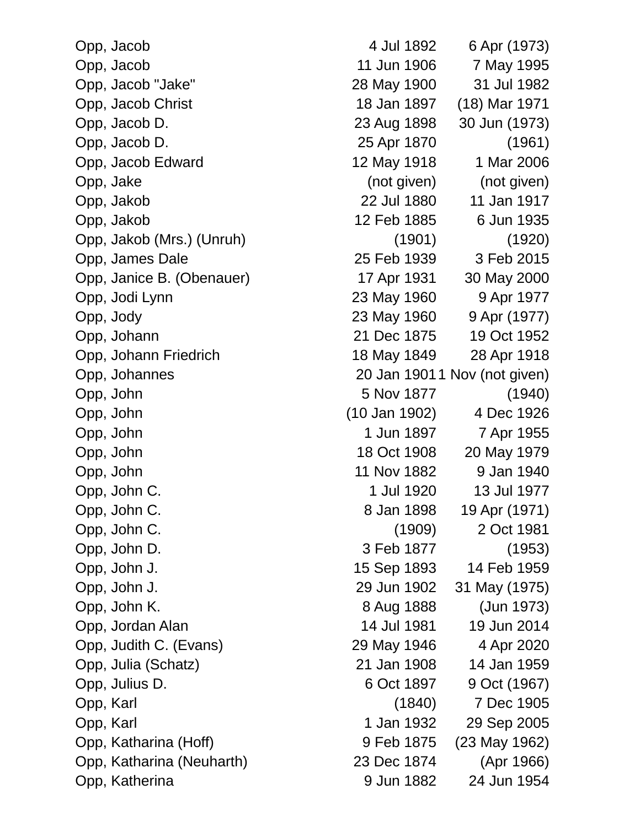Opp, Jacob 4 Jul 1892 6 Apr (1973) Opp, Jacob 11 Jun 1906 7 May 1995 Opp, Jacob "Jake" 28 May 1900 31 Jul 1982 Opp, Jacob Christ 18 Jan 1897 (18) Mar 1971 Opp, Jacob D. 23 Aug 1898 30 Jun (1973) Opp, Jacob D. 25 Apr 1870 (1961) Opp, Jacob Edward 12 May 1918 1 Mar 2006 Opp, Jake (not given) (not given) Opp, Jakob 22 Jul 1880 11 Jan 1917 Opp, Jakob 12 Feb 1885 6 Jun 1935 Opp, Jakob (Mrs.) (Unruh) (1901) (1920) Opp, James Dale 25 Feb 1939 3 Feb 2015 Opp, Janice B. (Obenauer) 17 Apr 1931 30 May 2000 Opp, Jodi Lynn 23 May 1960 9 Apr 1977 Opp, Jody 23 May 1960 9 Apr (1977) Opp, Johann 21 Dec 1875 19 Oct 1952 Opp, Johann Friedrich 18 May 1849 28 Apr 1918 Opp, Johannes 20 Jan 19011 Nov (not given) Opp, John 5 Nov 1877 (1940) Opp, John (10 Jan 1902) 4 Dec 1926 Opp, John 1897 7 Apr 1955 Opp, John 18 Oct 1908 20 May 1979 Opp, John 11 Nov 1882 9 Jan 1940 Opp, John C. 1 Jul 1920 13 Jul 1977 Opp, John C. 8 Jan 1898 19 Apr (1971) Opp, John C. (1909) 2 Oct 1981 Opp, John D. 3 Feb 1877 (1953) Opp, John J. 15 Sep 1893 14 Feb 1959 Opp, John J. 29 Jun 1902 31 May (1975) Opp, John K. 8 Aug 1888 (Jun 1973) Opp, Jordan Alan 14 Jul 1981 19 Jun 2014 Opp, Judith C. (Evans) 29 May 1946 4 Apr 2020 Opp, Julia (Schatz) 21 Jan 1908 14 Jan 1959 Opp, Julius D. 6 Oct 1897 9 Oct (1967) Opp, Karl (1840) 7 Dec 1905 Opp, Karl 1 Jan 1932 29 Sep 2005 Opp, Katharina (Hoff) 9 Feb 1875 (23 May 1962) Opp, Katharina (Neuharth) 23 Dec 1874 (Apr 1966) Opp, Katherina 24 Jun 1882 24 Jun 1954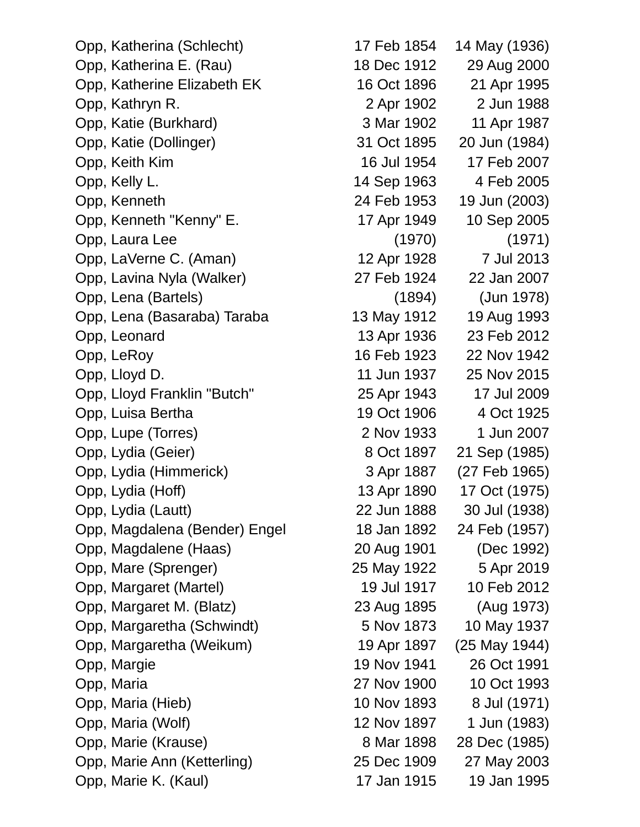Opp, Katherina (Schlecht) 17 Feb 1854 14 May (1936) Opp, Katherina E. (Rau) 18 Dec 1912 29 Aug 2000 Opp, Katherine Elizabeth EK 16 Oct 1896 21 Apr 1995 Opp, Kathryn R. 2 Apr 1902 2 Jun 1988 Opp, Katie (Burkhard) 3 Mar 1902 11 Apr 1987 Opp, Katie (Dollinger) 31 Oct 1895 20 Jun (1984) Opp, Keith Kim 16 Jul 1954 17 Feb 2007 Opp, Kelly L. 14 Sep 1963 4 Feb 2005 Opp, Kenneth 24 Feb 1953 19 Jun (2003) Opp, Kenneth "Kenny" E. 17 Apr 1949 10 Sep 2005 Opp, Laura Lee (1970) (1971) Opp, LaVerne C. (Aman) 12 Apr 1928 7 Jul 2013 Opp, Lavina Nyla (Walker) 27 Feb 1924 22 Jan 2007 Opp, Lena (Bartels) (1894) (Jun 1978) Opp, Lena (Basaraba) Taraba 13 May 1912 19 Aug 1993 Opp, Leonard 13 Apr 1936 23 Feb 2012 Opp, LeRoy 16 Feb 1923 22 Nov 1942 Opp, Lloyd D. 11 Jun 1937 25 Nov 2015 Opp, Lloyd Franklin "Butch" 25 Apr 1943 17 Jul 2009 Opp, Luisa Bertha 19 Oct 1906 4 Oct 1925 Opp, Lupe (Torres) 2 Nov 1933 1 Jun 2007 Opp, Lydia (Geier) 8 Oct 1897 21 Sep (1985) Opp, Lydia (Himmerick) 3 Apr 1887 (27 Feb 1965) Opp, Lydia (Hoff) 13 Apr 1890 17 Oct (1975) Opp, Lydia (Lautt) 22 Jun 1888 30 Jul (1938) Opp, Magdalena (Bender) Engel 18 Jan 1892 24 Feb (1957) Opp, Magdalene (Haas) 20 Aug 1901 (Dec 1992) Opp, Mare (Sprenger) 25 May 1922 5 Apr 2019 Opp, Margaret (Martel) 19 Jul 1917 10 Feb 2012 Opp, Margaret M. (Blatz) 23 Aug 1895 (Aug 1973) Opp, Margaretha (Schwindt) 5 Nov 1873 10 May 1937 Opp, Margaretha (Weikum) 19 Apr 1897 (25 May 1944) Opp, Margie 19 Nov 1941 26 Oct 1991 Opp, Maria 27 Nov 1900 10 Oct 1993 Opp, Maria (Hieb) 10 Nov 1893 8 Jul (1971) Opp, Maria (Wolf) 12 Nov 1897 1 Jun (1983) Opp, Marie (Krause) 8 Mar 1898 28 Dec (1985) Opp, Marie Ann (Ketterling) 25 Dec 1909 27 May 2003 Opp, Marie K. (Kaul) 17 Jan 1915 19 Jan 1995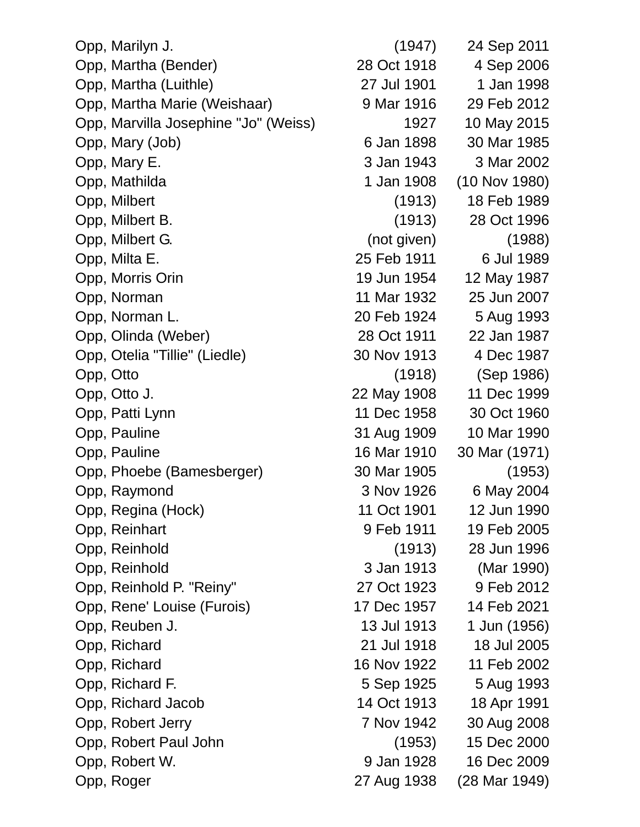| Opp, Marilyn J.                      | (1947)      | 24 Sep 2011   |
|--------------------------------------|-------------|---------------|
| Opp, Martha (Bender)                 | 28 Oct 1918 | 4 Sep 2006    |
| Opp, Martha (Luithle)                | 27 Jul 1901 | 1 Jan 1998    |
| Opp, Martha Marie (Weishaar)         | 9 Mar 1916  | 29 Feb 2012   |
| Opp, Marvilla Josephine "Jo" (Weiss) | 1927        | 10 May 2015   |
| Opp, Mary (Job)                      | 6 Jan 1898  | 30 Mar 1985   |
| Opp, Mary E.                         | 3 Jan 1943  | 3 Mar 2002    |
| Opp, Mathilda                        | 1 Jan 1908  | (10 Nov 1980) |
| Opp, Milbert                         | (1913)      | 18 Feb 1989   |
| Opp, Milbert B.                      | (1913)      | 28 Oct 1996   |
| Opp, Milbert G.                      | (not given) | (1988)        |
| Opp, Milta E.                        | 25 Feb 1911 | 6 Jul 1989    |
| Opp, Morris Orin                     | 19 Jun 1954 | 12 May 1987   |
| Opp, Norman                          | 11 Mar 1932 | 25 Jun 2007   |
| Opp, Norman L.                       | 20 Feb 1924 | 5 Aug 1993    |
| Opp, Olinda (Weber)                  | 28 Oct 1911 | 22 Jan 1987   |
| Opp, Otelia "Tillie" (Liedle)        | 30 Nov 1913 | 4 Dec 1987    |
| Opp, Otto                            | (1918)      | (Sep 1986)    |
| Opp, Otto J.                         | 22 May 1908 | 11 Dec 1999   |
| Opp, Patti Lynn                      | 11 Dec 1958 | 30 Oct 1960   |
| Opp, Pauline                         | 31 Aug 1909 | 10 Mar 1990   |
| Opp, Pauline                         | 16 Mar 1910 | 30 Mar (1971) |
| Opp, Phoebe (Bamesberger)            | 30 Mar 1905 | (1953)        |
| Opp, Raymond                         | 3 Nov 1926  | 6 May 2004    |
| Opp, Regina (Hock)                   | 11 Oct 1901 | 12 Jun 1990   |
| Opp, Reinhart                        | 9 Feb 1911  | 19 Feb 2005   |
| Opp, Reinhold                        | (1913)      | 28 Jun 1996   |
| Opp, Reinhold                        | 3 Jan 1913  | (Mar 1990)    |
| Opp, Reinhold P. "Reiny"             | 27 Oct 1923 | 9 Feb 2012    |
| Opp, Rene' Louise (Furois)           | 17 Dec 1957 | 14 Feb 2021   |
| Opp, Reuben J.                       | 13 Jul 1913 | 1 Jun (1956)  |
| Opp, Richard                         | 21 Jul 1918 | 18 Jul 2005   |
| Opp, Richard                         | 16 Nov 1922 | 11 Feb 2002   |
| Opp, Richard F.                      | 5 Sep 1925  | 5 Aug 1993    |
| Opp, Richard Jacob                   | 14 Oct 1913 | 18 Apr 1991   |
| Opp, Robert Jerry                    | 7 Nov 1942  | 30 Aug 2008   |
| Opp, Robert Paul John                | (1953)      | 15 Dec 2000   |
| Opp, Robert W.                       | 9 Jan 1928  | 16 Dec 2009   |
| Opp, Roger                           | 27 Aug 1938 | (28 Mar 1949) |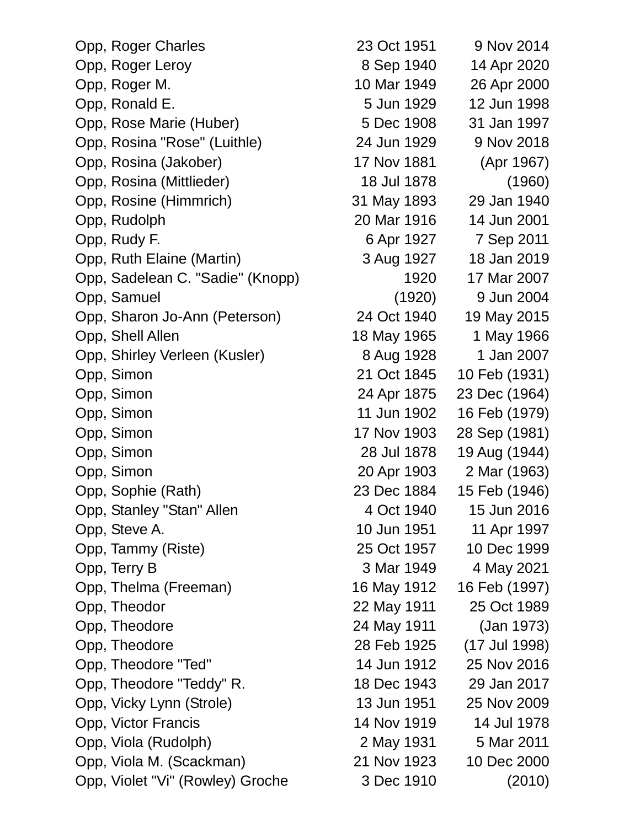| Opp, Roger Charles               | 23 Oct 1951 | 9 Nov 2014    |
|----------------------------------|-------------|---------------|
| Opp, Roger Leroy                 | 8 Sep 1940  | 14 Apr 2020   |
| Opp, Roger M.                    | 10 Mar 1949 | 26 Apr 2000   |
| Opp, Ronald E.                   | 5 Jun 1929  | 12 Jun 1998   |
| Opp, Rose Marie (Huber)          | 5 Dec 1908  | 31 Jan 1997   |
| Opp, Rosina "Rose" (Luithle)     | 24 Jun 1929 | 9 Nov 2018    |
| Opp, Rosina (Jakober)            | 17 Nov 1881 | (Apr 1967)    |
| Opp, Rosina (Mittlieder)         | 18 Jul 1878 | (1960)        |
| Opp, Rosine (Himmrich)           | 31 May 1893 | 29 Jan 1940   |
| Opp, Rudolph                     | 20 Mar 1916 | 14 Jun 2001   |
| Opp, Rudy F.                     | 6 Apr 1927  | 7 Sep 2011    |
| Opp, Ruth Elaine (Martin)        | 3 Aug 1927  | 18 Jan 2019   |
| Opp, Sadelean C. "Sadie" (Knopp) | 1920        | 17 Mar 2007   |
| Opp, Samuel                      | (1920)      | 9 Jun 2004    |
| Opp, Sharon Jo-Ann (Peterson)    | 24 Oct 1940 | 19 May 2015   |
| Opp, Shell Allen                 | 18 May 1965 | 1 May 1966    |
| Opp, Shirley Verleen (Kusler)    | 8 Aug 1928  | 1 Jan 2007    |
| Opp, Simon                       | 21 Oct 1845 | 10 Feb (1931) |
| Opp, Simon                       | 24 Apr 1875 | 23 Dec (1964) |
| Opp, Simon                       | 11 Jun 1902 | 16 Feb (1979) |
| Opp, Simon                       | 17 Nov 1903 | 28 Sep (1981) |
| Opp, Simon                       | 28 Jul 1878 | 19 Aug (1944) |
| Opp, Simon                       | 20 Apr 1903 | 2 Mar (1963)  |
| Opp, Sophie (Rath)               | 23 Dec 1884 | 15 Feb (1946) |
| Opp, Stanley "Stan" Allen        | 4 Oct 1940  | 15 Jun 2016   |
| Opp, Steve A.                    | 10 Jun 1951 | 11 Apr 1997   |
| Opp, Tammy (Riste)               | 25 Oct 1957 | 10 Dec 1999   |
| Opp, Terry B                     | 3 Mar 1949  | 4 May 2021    |
| Opp, Thelma (Freeman)            | 16 May 1912 | 16 Feb (1997) |
| Opp, Theodor                     | 22 May 1911 | 25 Oct 1989   |
| Opp, Theodore                    | 24 May 1911 | (Jan 1973)    |
| Opp, Theodore                    | 28 Feb 1925 | (17 Jul 1998) |
| Opp, Theodore "Ted"              | 14 Jun 1912 | 25 Nov 2016   |
| Opp, Theodore "Teddy" R.         | 18 Dec 1943 | 29 Jan 2017   |
| Opp, Vicky Lynn (Strole)         | 13 Jun 1951 | 25 Nov 2009   |
| Opp, Victor Francis              | 14 Nov 1919 | 14 Jul 1978   |
| Opp, Viola (Rudolph)             | 2 May 1931  | 5 Mar 2011    |
| Opp, Viola M. (Scackman)         | 21 Nov 1923 | 10 Dec 2000   |
| Opp, Violet "Vi" (Rowley) Groche | 3 Dec 1910  | (2010)        |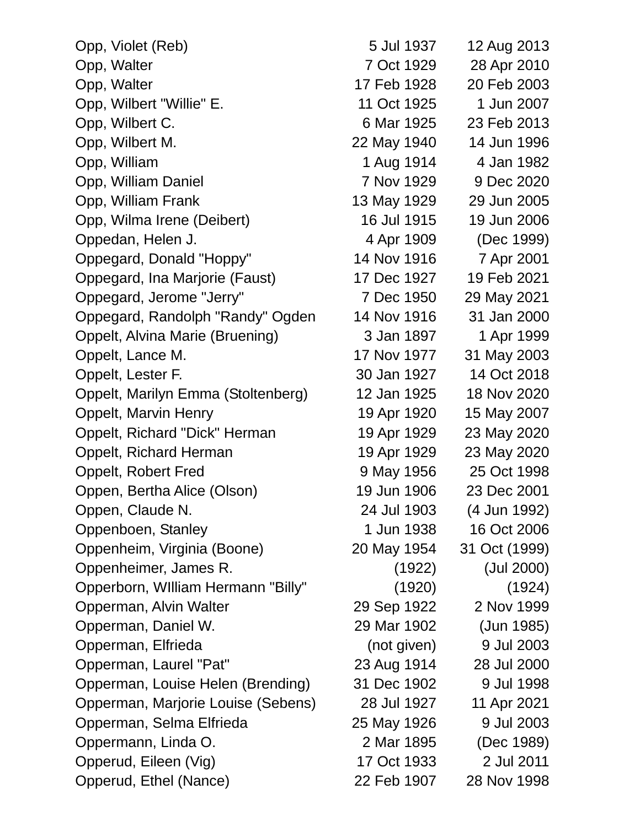| Opp, Violet (Reb)                  | 5 Jul 1937  | 12 Aug 2013   |
|------------------------------------|-------------|---------------|
| Opp, Walter                        | 7 Oct 1929  | 28 Apr 2010   |
| Opp, Walter                        | 17 Feb 1928 | 20 Feb 2003   |
| Opp, Wilbert "Willie" E.           | 11 Oct 1925 | 1 Jun 2007    |
| Opp, Wilbert C.                    | 6 Mar 1925  | 23 Feb 2013   |
| Opp, Wilbert M.                    | 22 May 1940 | 14 Jun 1996   |
| Opp, William                       | 1 Aug 1914  | 4 Jan 1982    |
| Opp, William Daniel                | 7 Nov 1929  | 9 Dec 2020    |
| Opp, William Frank                 | 13 May 1929 | 29 Jun 2005   |
| Opp, Wilma Irene (Deibert)         | 16 Jul 1915 | 19 Jun 2006   |
| Oppedan, Helen J.                  | 4 Apr 1909  | (Dec 1999)    |
| Oppegard, Donald "Hoppy"           | 14 Nov 1916 | 7 Apr 2001    |
| Oppegard, Ina Marjorie (Faust)     | 17 Dec 1927 | 19 Feb 2021   |
| Oppegard, Jerome "Jerry"           | 7 Dec 1950  | 29 May 2021   |
| Oppegard, Randolph "Randy" Ogden   | 14 Nov 1916 | 31 Jan 2000   |
| Oppelt, Alvina Marie (Bruening)    | 3 Jan 1897  | 1 Apr 1999    |
| Oppelt, Lance M.                   | 17 Nov 1977 | 31 May 2003   |
| Oppelt, Lester F.                  | 30 Jan 1927 | 14 Oct 2018   |
| Oppelt, Marilyn Emma (Stoltenberg) | 12 Jan 1925 | 18 Nov 2020   |
| <b>Oppelt, Marvin Henry</b>        | 19 Apr 1920 | 15 May 2007   |
| Oppelt, Richard "Dick" Herman      | 19 Apr 1929 | 23 May 2020   |
| Oppelt, Richard Herman             | 19 Apr 1929 | 23 May 2020   |
| <b>Oppelt, Robert Fred</b>         | 9 May 1956  | 25 Oct 1998   |
| Oppen, Bertha Alice (Olson)        | 19 Jun 1906 | 23 Dec 2001   |
| Oppen, Claude N.                   | 24 Jul 1903 | (4 Jun 1992)  |
| Oppenboen, Stanley                 | 1 Jun 1938  | 16 Oct 2006   |
| Oppenheim, Virginia (Boone)        | 20 May 1954 | 31 Oct (1999) |
| Oppenheimer, James R.              | (1922)      | (Jul 2000)    |
| Opperborn, William Hermann "Billy" | (1920)      | (1924)        |
| Opperman, Alvin Walter             | 29 Sep 1922 | 2 Nov 1999    |
| Opperman, Daniel W.                | 29 Mar 1902 | (Jun 1985)    |
| Opperman, Elfrieda                 | (not given) | 9 Jul 2003    |
| Opperman, Laurel "Pat"             | 23 Aug 1914 | 28 Jul 2000   |
| Opperman, Louise Helen (Brending)  | 31 Dec 1902 | 9 Jul 1998    |
| Opperman, Marjorie Louise (Sebens) | 28 Jul 1927 | 11 Apr 2021   |
| Opperman, Selma Elfrieda           | 25 May 1926 | 9 Jul 2003    |
| Oppermann, Linda O.                | 2 Mar 1895  | (Dec 1989)    |
| Opperud, Eileen (Vig)              | 17 Oct 1933 | 2 Jul 2011    |
| Opperud, Ethel (Nance)             | 22 Feb 1907 | 28 Nov 1998   |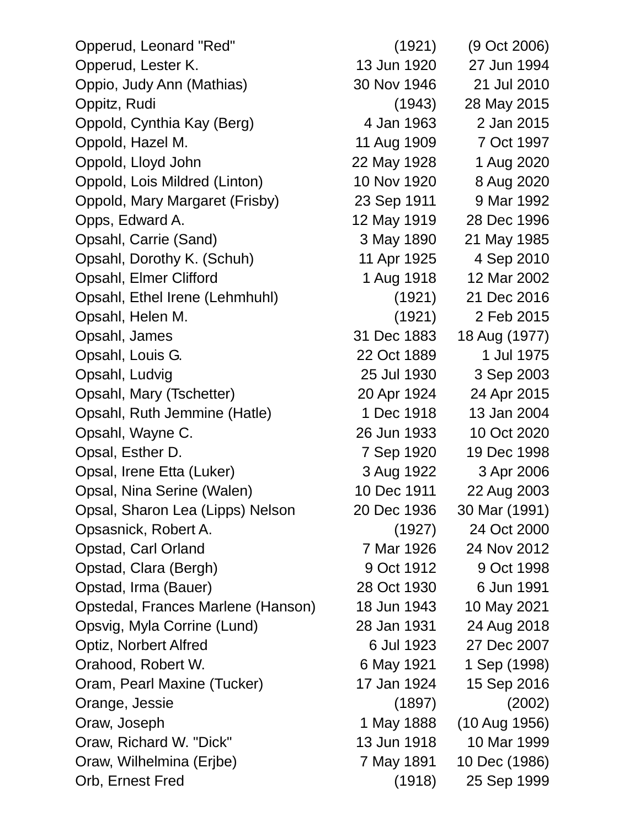| Opperud, Leonard "Red"             | (1921)      | (9 Oct 2006)  |
|------------------------------------|-------------|---------------|
| Opperud, Lester K.                 | 13 Jun 1920 | 27 Jun 1994   |
| Oppio, Judy Ann (Mathias)          | 30 Nov 1946 | 21 Jul 2010   |
| Oppitz, Rudi                       | (1943)      | 28 May 2015   |
| Oppold, Cynthia Kay (Berg)         | 4 Jan 1963  | 2 Jan 2015    |
| Oppold, Hazel M.                   | 11 Aug 1909 | 7 Oct 1997    |
| Oppold, Lloyd John                 | 22 May 1928 | 1 Aug 2020    |
| Oppold, Lois Mildred (Linton)      | 10 Nov 1920 | 8 Aug 2020    |
| Oppold, Mary Margaret (Frisby)     | 23 Sep 1911 | 9 Mar 1992    |
| Opps, Edward A.                    | 12 May 1919 | 28 Dec 1996   |
| Opsahl, Carrie (Sand)              | 3 May 1890  | 21 May 1985   |
| Opsahl, Dorothy K. (Schuh)         | 11 Apr 1925 | 4 Sep 2010    |
| Opsahl, Elmer Clifford             | 1 Aug 1918  | 12 Mar 2002   |
| Opsahl, Ethel Irene (Lehmhuhl)     | (1921)      | 21 Dec 2016   |
| Opsahl, Helen M.                   | (1921)      | 2 Feb 2015    |
| Opsahl, James                      | 31 Dec 1883 | 18 Aug (1977) |
| Opsahl, Louis G.                   | 22 Oct 1889 | 1 Jul 1975    |
| Opsahl, Ludvig                     | 25 Jul 1930 | 3 Sep 2003    |
| Opsahl, Mary (Tschetter)           | 20 Apr 1924 | 24 Apr 2015   |
| Opsahl, Ruth Jemmine (Hatle)       | 1 Dec 1918  | 13 Jan 2004   |
| Opsahl, Wayne C.                   | 26 Jun 1933 | 10 Oct 2020   |
| Opsal, Esther D.                   | 7 Sep 1920  | 19 Dec 1998   |
| Opsal, Irene Etta (Luker)          | 3 Aug 1922  | 3 Apr 2006    |
| Opsal, Nina Serine (Walen)         | 10 Dec 1911 | 22 Aug 2003   |
| Opsal, Sharon Lea (Lipps) Nelson   | 20 Dec 1936 | 30 Mar (1991) |
| Opsasnick, Robert A.               | (1927)      | 24 Oct 2000   |
| Opstad, Carl Orland                | 7 Mar 1926  | 24 Nov 2012   |
| Opstad, Clara (Bergh)              | 9 Oct 1912  | 9 Oct 1998    |
| Opstad, Irma (Bauer)               | 28 Oct 1930 | 6 Jun 1991    |
| Opstedal, Frances Marlene (Hanson) | 18 Jun 1943 | 10 May 2021   |
| Opsvig, Myla Corrine (Lund)        | 28 Jan 1931 | 24 Aug 2018   |
| Optiz, Norbert Alfred              | 6 Jul 1923  | 27 Dec 2007   |
| Orahood, Robert W.                 | 6 May 1921  | 1 Sep (1998)  |
| Oram, Pearl Maxine (Tucker)        | 17 Jan 1924 | 15 Sep 2016   |
| Orange, Jessie                     | (1897)      | (2002)        |
| Oraw, Joseph                       | 1 May 1888  | (10 Aug 1956) |
| Oraw, Richard W. "Dick"            | 13 Jun 1918 | 10 Mar 1999   |
| Oraw, Wilhelmina (Erjbe)           | 7 May 1891  | 10 Dec (1986) |
| Orb, Ernest Fred                   | (1918)      | 25 Sep 1999   |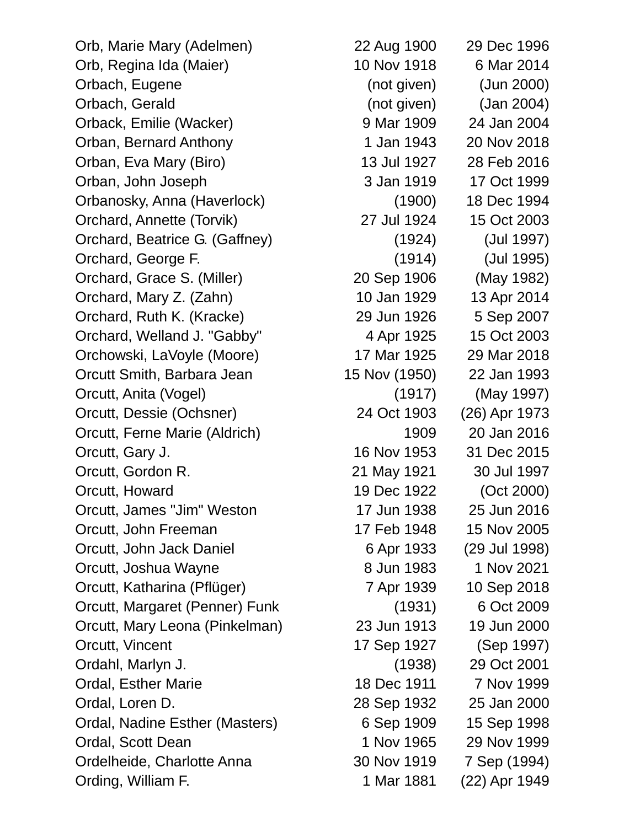Orb, Marie Mary (Adelmen) 22 Aug 1900 29 Dec 1996 Orb, Regina Ida (Maier) 10 Nov 1918 6 Mar 2014 Orbach, Eugene (not given) (Jun 2000) Orbach, Gerald (not given) (Jan 2004) Orback, Emilie (Wacker) 9 Mar 1909 24 Jan 2004 Orban, Bernard Anthony 1 Jan 1943 20 Nov 2018 Orban, Eva Mary (Biro) 13 Jul 1927 28 Feb 2016 Orban, John Joseph 3 Jan 1919 17 Oct 1999 Orbanosky, Anna (Haverlock) (1900) 18 Dec 1994 Orchard, Annette (Torvik) 27 Jul 1924 15 Oct 2003 Orchard, Beatrice G. (Gaffney) (1924) (Jul 1997) Orchard, George F. (1914) (Jul 1995) Orchard, Grace S. (Miller) 20 Sep 1906 (May 1982) Orchard, Mary Z. (Zahn) 10 Jan 1929 13 Apr 2014 Orchard, Ruth K. (Kracke) 29 Jun 1926 5 Sep 2007 Orchard, Welland J. "Gabby" 4 Apr 1925 15 Oct 2003 Orchowski, LaVoyle (Moore) 17 Mar 1925 29 Mar 2018 Orcutt Smith, Barbara Jean 15 Nov (1950) 22 Jan 1993 Orcutt, Anita (Vogel) (1917) (May 1997) Orcutt, Dessie (Ochsner) 24 Oct 1903 (26) Apr 1973 Orcutt, Ferne Marie (Aldrich) 1909 20 Jan 2016 Orcutt, Gary J. 16 Nov 1953 31 Dec 2015 Orcutt, Gordon R. 21 May 1921 30 Jul 1997 Orcutt, Howard 19 Dec 1922 (Oct 2000) Orcutt, James "Jim" Weston 17 Jun 1938 25 Jun 2016 Orcutt, John Freeman 17 Feb 1948 15 Nov 2005 Orcutt, John Jack Daniel 6 Apr 1933 (29 Jul 1998) Orcutt, Joshua Wayne 8 Jun 1983 1 Nov 2021 Orcutt, Katharina (Pflüger) 7 Apr 1939 10 Sep 2018 Orcutt, Margaret (Penner) Funk (1931) 6 Oct 2009 Orcutt, Mary Leona (Pinkelman) 23 Jun 1913 19 Jun 2000 Orcutt, Vincent 17 Sep 1927 (Sep 1997) Ordahl, Marlyn J. (1938) 29 Oct 2001 Ordal, Esther Marie 18 Dec 1911 7 Nov 1999 Ordal, Loren D. 28 Sep 1932 25 Jan 2000 Ordal, Nadine Esther (Masters) 6 Sep 1909 15 Sep 1998 Ordal, Scott Dean 1 Nov 1965 29 Nov 1999 Ordelheide, Charlotte Anna 30 Nov 1919 7 Sep (1994) Ording, William F. 1 Mar 1881 (22) Apr 1949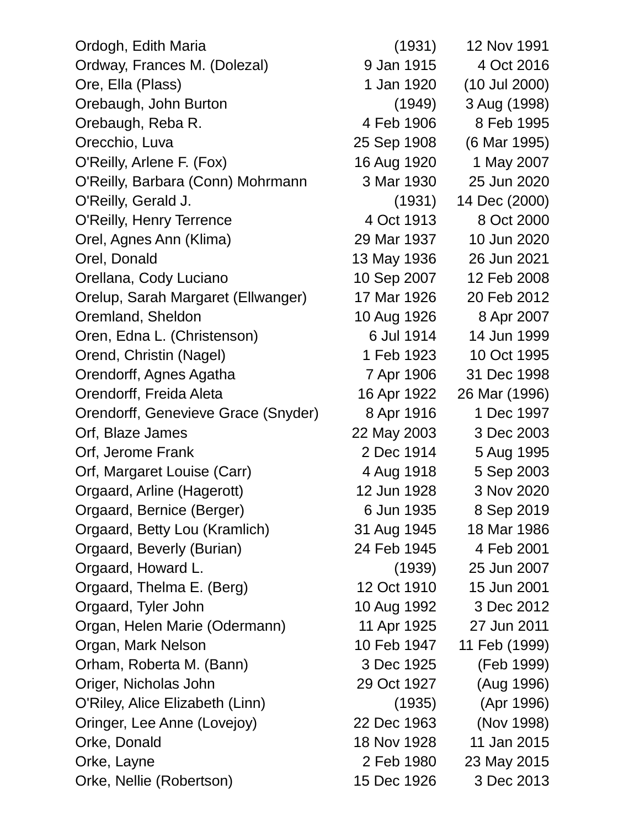Ordogh, Edith Maria (1931) 12 Nov 1991 Ordway, Frances M. (Dolezal) 9 Jan 1915 4 Oct 2016 Ore, Ella (Plass) 1 Jan 1920 (10 Jul 2000) Orebaugh, John Burton (1949) 3 Aug (1998) Orebaugh, Reba R. 1995 **4 Feb 1906** 8 Feb 1995 Orecchio, Luva 25 Sep 1908 (6 Mar 1995) O'Reilly, Arlene F. (Fox) 16 Aug 1920 1 May 2007 O'Reilly, Barbara (Conn) Mohrmann 3 Mar 1930 25 Jun 2020 O'Reilly, Gerald J. (1931) 14 Dec (2000) O'Reilly, Henry Terrence 4 Oct 1913 8 Oct 2000 Orel, Agnes Ann (Klima) 29 Mar 1937 10 Jun 2020 Orel, Donald 13 May 1936 26 Jun 2021 Orellana, Cody Luciano 10 Sep 2007 12 Feb 2008 Orelup, Sarah Margaret (Ellwanger) 17 Mar 1926 20 Feb 2012 Oremland, Sheldon 10 Aug 1926 8 Apr 2007 Oren, Edna L. (Christenson) 6 Jul 1914 14 Jun 1999 Orend, Christin (Nagel) 1 Feb 1923 10 Oct 1995 Orendorff, Agnes Agatha 7 Apr 1906 31 Dec 1998 Orendorff, Freida Aleta 16 Apr 1922 26 Mar (1996) Orendorff, Genevieve Grace (Snyder) 8 Apr 1916 1 Dec 1997 Orf, Blaze James 22 May 2003 3 Dec 2003 Orf, Jerome Frank 2 Dec 1914 5 Aug 1995 Orf, Margaret Louise (Carr) 4 Aug 1918 5 Sep 2003 Orgaard, Arline (Hagerott) 12 Jun 1928 3 Nov 2020 Orgaard, Bernice (Berger) 6 Jun 1935 8 Sep 2019 Orgaard, Betty Lou (Kramlich) 31 Aug 1945 18 Mar 1986 Orgaard, Beverly (Burian) 24 Feb 1945 4 Feb 2001 Orgaard, Howard L. (1939) 25 Jun 2007 Orgaard, Thelma E. (Berg) 12 Oct 1910 15 Jun 2001 Orgaard, Tyler John 10 Aug 1992 3 Dec 2012 Organ, Helen Marie (Odermann) 11 Apr 1925 27 Jun 2011 Organ, Mark Nelson 10 Feb 1947 11 Feb (1999) Orham, Roberta M. (Bann) 3 Dec 1925 (Feb 1999) Origer, Nicholas John 29 Oct 1927 (Aug 1996) O'Riley, Alice Elizabeth (Linn) (1935) (Apr 1996) Oringer, Lee Anne (Lovejoy) 22 Dec 1963 (Nov 1998) Orke, Donald 18 Nov 1928 11 Jan 2015 Orke, Layne 2 Feb 1980 23 May 2015 Orke, Nellie (Robertson) 15 Dec 1926 3 Dec 2013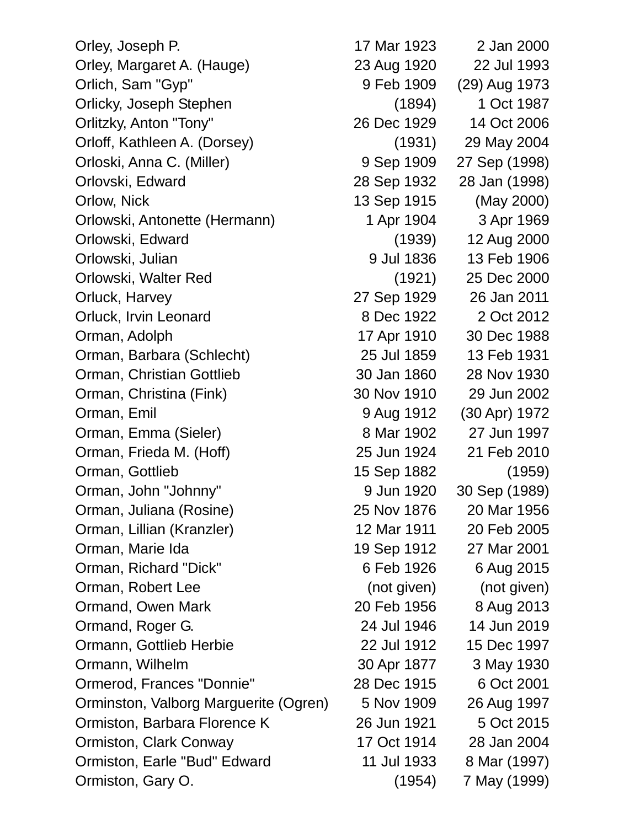Orley, Joseph P. 17 Mar 1923 2 Jan 2000 Orley, Margaret A. (Hauge) 23 Aug 1920 22 Jul 1993 Orlich, Sam "Gyp" 9 Feb 1909 (29) Aug 1973 Orlicky, Joseph Stephen (1894) 1 Oct 1987 Orlitzky, Anton "Tony" 26 Dec 1929 14 Oct 2006 Orloff, Kathleen A. (Dorsey) (1931) 29 May 2004 Orloski, Anna C. (Miller) 9 Sep 1909 27 Sep (1998) Orlovski, Edward 28 Sep 1932 28 Jan (1998) Orlow, Nick 13 Sep 1915 (May 2000) Orlowski, Antonette (Hermann) 1 Apr 1904 3 Apr 1969 Orlowski, Edward (1939) 12 Aug 2000 Orlowski, Julian 9 Jul 1836 13 Feb 1906 Orlowski, Walter Red (1921) 25 Dec 2000 Orluck, Harvey 27 Sep 1929 26 Jan 2011 Orluck, Irvin Leonard 8 Dec 1922 2 Oct 2012 Orman, Adolph 17 Apr 1910 30 Dec 1988 Orman, Barbara (Schlecht) 25 Jul 1859 13 Feb 1931 Orman, Christian Gottlieb 30 Jan 1860 28 Nov 1930 Orman, Christina (Fink) 30 Nov 1910 29 Jun 2002 Orman, Emil 9 Aug 1912 (30 Apr) 1972 Orman, Emma (Sieler) 8 Mar 1902 27 Jun 1997 Orman, Frieda M. (Hoff) 25 Jun 1924 21 Feb 2010 Orman, Gottlieb 15 Sep 1882 (1959) Orman, John "Johnny" 9 Jun 1920 30 Sep (1989) Orman, Juliana (Rosine) 25 Nov 1876 20 Mar 1956 Orman, Lillian (Kranzler) 12 Mar 1911 20 Feb 2005 Orman, Marie Ida 19 Sep 1912 27 Mar 2001 Orman, Richard "Dick" 6 Feb 1926 6 Aug 2015 Orman, Robert Lee (not given) (not given) Ormand, Owen Mark 20 Feb 1956 8 Aug 2013 Ormand, Roger G. 24 Jul 1946 14 Jun 2019 Ormann, Gottlieb Herbie 22 Jul 1912 15 Dec 1997 Ormann, Wilhelm 30 Apr 1877 3 May 1930 Ormerod, Frances "Donnie" 28 Dec 1915 6 Oct 2001 Orminston, Valborg Marguerite (Ogren) 5 Nov 1909 26 Aug 1997 Ormiston, Barbara Florence K 26 Jun 1921 5 Oct 2015 Ormiston, Clark Conway 17 Oct 1914 28 Jan 2004 Ormiston, Earle "Bud" Edward 11 Jul 1933 8 Mar (1997) Ormiston, Gary O. (1954) 7 May (1999)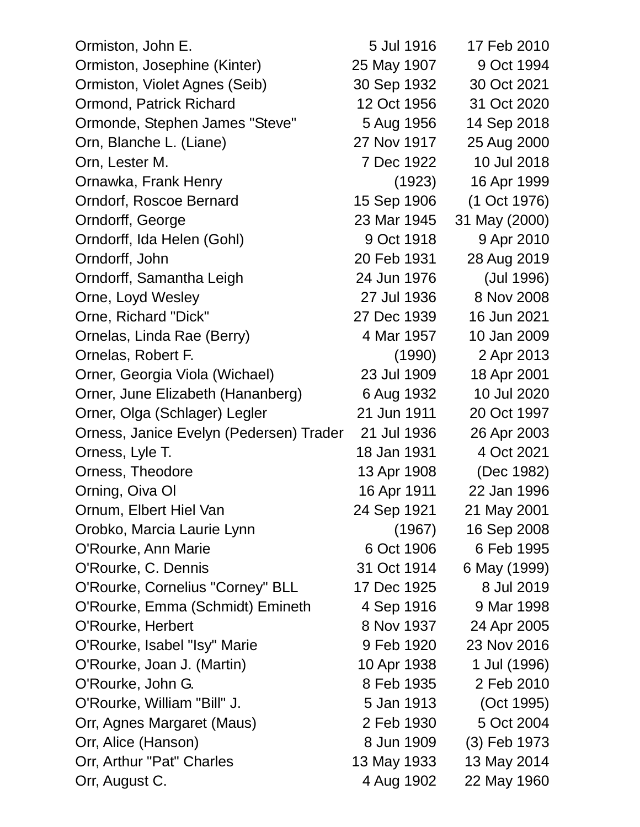| Ormiston, John E.                       | 5 Jul 1916  | 17 Feb 2010   |
|-----------------------------------------|-------------|---------------|
| Ormiston, Josephine (Kinter)            | 25 May 1907 | 9 Oct 1994    |
| Ormiston, Violet Agnes (Seib)           | 30 Sep 1932 | 30 Oct 2021   |
| Ormond, Patrick Richard                 | 12 Oct 1956 | 31 Oct 2020   |
| Ormonde, Stephen James "Steve"          | 5 Aug 1956  | 14 Sep 2018   |
| Orn, Blanche L. (Liane)                 | 27 Nov 1917 | 25 Aug 2000   |
| Orn, Lester M.                          | 7 Dec 1922  | 10 Jul 2018   |
| Ornawka, Frank Henry                    | (1923)      | 16 Apr 1999   |
| Orndorf, Roscoe Bernard                 | 15 Sep 1906 | (1 Oct 1976)  |
| Orndorff, George                        | 23 Mar 1945 | 31 May (2000) |
| Orndorff, Ida Helen (Gohl)              | 9 Oct 1918  | 9 Apr 2010    |
| Orndorff, John                          | 20 Feb 1931 | 28 Aug 2019   |
| Orndorff, Samantha Leigh                | 24 Jun 1976 | (Jul 1996)    |
| Orne, Loyd Wesley                       | 27 Jul 1936 | 8 Nov 2008    |
| Orne, Richard "Dick"                    | 27 Dec 1939 | 16 Jun 2021   |
| Ornelas, Linda Rae (Berry)              | 4 Mar 1957  | 10 Jan 2009   |
| Ornelas, Robert F.                      | (1990)      | 2 Apr 2013    |
| Orner, Georgia Viola (Wichael)          | 23 Jul 1909 | 18 Apr 2001   |
| Orner, June Elizabeth (Hananberg)       | 6 Aug 1932  | 10 Jul 2020   |
| Orner, Olga (Schlager) Legler           | 21 Jun 1911 | 20 Oct 1997   |
| Orness, Janice Evelyn (Pedersen) Trader | 21 Jul 1936 | 26 Apr 2003   |
| Orness, Lyle T.                         | 18 Jan 1931 | 4 Oct 2021    |
| Orness, Theodore                        | 13 Apr 1908 | (Dec 1982)    |
| Orning, Oiva OI                         | 16 Apr 1911 | 22 Jan 1996   |
| Ornum, Elbert Hiel Van                  | 24 Sep 1921 | 21 May 2001   |
| Orobko, Marcia Laurie Lynn              | (1967)      | 16 Sep 2008   |
| O'Rourke, Ann Marie                     | 6 Oct 1906  | 6 Feb 1995    |
| O'Rourke, C. Dennis                     | 31 Oct 1914 | 6 May (1999)  |
| O'Rourke, Cornelius "Corney" BLL        | 17 Dec 1925 | 8 Jul 2019    |
| O'Rourke, Emma (Schmidt) Emineth        | 4 Sep 1916  | 9 Mar 1998    |
| O'Rourke, Herbert                       | 8 Nov 1937  | 24 Apr 2005   |
| O'Rourke, Isabel "Isy" Marie            | 9 Feb 1920  | 23 Nov 2016   |
| O'Rourke, Joan J. (Martin)              | 10 Apr 1938 | 1 Jul (1996)  |
| O'Rourke, John G.                       | 8 Feb 1935  | 2 Feb 2010    |
| O'Rourke, William "Bill" J.             | 5 Jan 1913  | (Oct 1995)    |
| Orr, Agnes Margaret (Maus)              | 2 Feb 1930  | 5 Oct 2004    |
| Orr, Alice (Hanson)                     | 8 Jun 1909  | (3) Feb 1973  |
| Orr, Arthur "Pat" Charles               | 13 May 1933 | 13 May 2014   |
| Orr, August C.                          | 4 Aug 1902  | 22 May 1960   |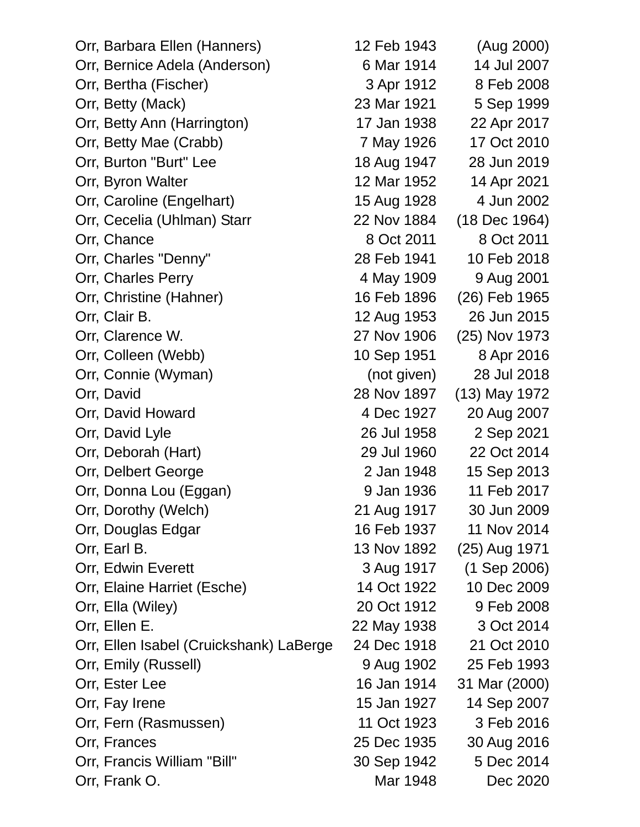| Orr, Barbara Ellen (Hanners)            | 12 Feb 1943 | (Aug 2000)     |
|-----------------------------------------|-------------|----------------|
| Orr, Bernice Adela (Anderson)           | 6 Mar 1914  | 14 Jul 2007    |
| Orr, Bertha (Fischer)                   | 3 Apr 1912  | 8 Feb 2008     |
| Orr, Betty (Mack)                       | 23 Mar 1921 | 5 Sep 1999     |
| Orr, Betty Ann (Harrington)             | 17 Jan 1938 | 22 Apr 2017    |
| Orr, Betty Mae (Crabb)                  | 7 May 1926  | 17 Oct 2010    |
| Orr, Burton "Burt" Lee                  | 18 Aug 1947 | 28 Jun 2019    |
| Orr, Byron Walter                       | 12 Mar 1952 | 14 Apr 2021    |
| Orr, Caroline (Engelhart)               | 15 Aug 1928 | 4 Jun 2002     |
| Orr, Cecelia (Uhlman) Starr             | 22 Nov 1884 | (18 Dec 1964)  |
| Orr, Chance                             | 8 Oct 2011  | 8 Oct 2011     |
| Orr, Charles "Denny"                    | 28 Feb 1941 | 10 Feb 2018    |
| Orr, Charles Perry                      | 4 May 1909  | 9 Aug 2001     |
| Orr, Christine (Hahner)                 | 16 Feb 1896 | (26) Feb 1965  |
| Orr, Clair B.                           | 12 Aug 1953 | 26 Jun 2015    |
| Orr, Clarence W.                        | 27 Nov 1906 | (25) Nov 1973  |
| Orr, Colleen (Webb)                     | 10 Sep 1951 | 8 Apr 2016     |
| Orr, Connie (Wyman)                     | (not given) | 28 Jul 2018    |
| Orr, David                              | 28 Nov 1897 | (13) May 1972  |
| Orr, David Howard                       | 4 Dec 1927  | 20 Aug 2007    |
| Orr, David Lyle                         | 26 Jul 1958 | 2 Sep 2021     |
| Orr, Deborah (Hart)                     | 29 Jul 1960 | 22 Oct 2014    |
| Orr, Delbert George                     | 2 Jan 1948  | 15 Sep 2013    |
| Orr, Donna Lou (Eggan)                  | 9 Jan 1936  | 11 Feb 2017    |
| Orr, Dorothy (Welch)                    | 21 Aug 1917 | 30 Jun 2009    |
| Orr, Douglas Edgar                      | 16 Feb 1937 | 11 Nov 2014    |
| Orr, Earl B.                            | 13 Nov 1892 | (25) Aug 1971  |
| Orr, Edwin Everett                      | 3 Aug 1917  | $(1$ Sep 2006) |
| Orr, Elaine Harriet (Esche)             | 14 Oct 1922 | 10 Dec 2009    |
| Orr, Ella (Wiley)                       | 20 Oct 1912 | 9 Feb 2008     |
| Orr, Ellen E.                           | 22 May 1938 | 3 Oct 2014     |
| Orr, Ellen Isabel (Cruickshank) LaBerge | 24 Dec 1918 | 21 Oct 2010    |
| Orr, Emily (Russell)                    | 9 Aug 1902  | 25 Feb 1993    |
| Orr, Ester Lee                          | 16 Jan 1914 | 31 Mar (2000)  |
| Orr, Fay Irene                          | 15 Jan 1927 | 14 Sep 2007    |
| Orr, Fern (Rasmussen)                   | 11 Oct 1923 | 3 Feb 2016     |
| Orr, Frances                            | 25 Dec 1935 | 30 Aug 2016    |
| Orr, Francis William "Bill"             | 30 Sep 1942 | 5 Dec 2014     |
| Orr, Frank O.                           | Mar 1948    | Dec 2020       |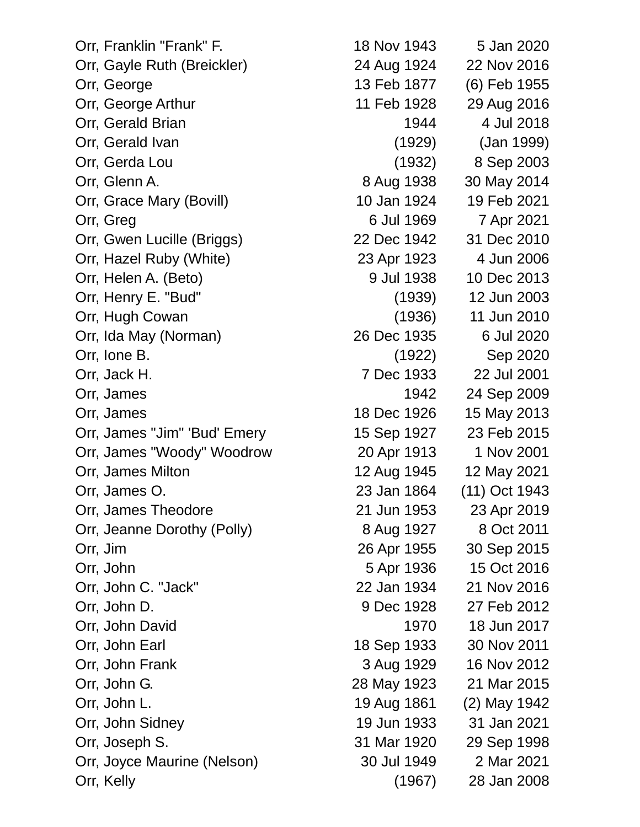Orr, Franklin "Frank" F. 18 Nov 1943 5 Jan 2020 Orr, Gayle Ruth (Breickler) 24 Aug 1924 22 Nov 2016 Orr, George 13 Feb 1877 (6) Feb 1955 Orr, George Arthur 11 Feb 1928 29 Aug 2016 Orr, Gerald Brian 1944 4 Jul 2018 Orr, Gerald Ivan (1929) (Jan 1999) Orr, Gerda Lou (1932) 8 Sep 2003 Orr, Glenn A. 8 Aug 1938 30 May 2014 Orr, Grace Mary (Bovill) 10 Jan 1924 19 Feb 2021 Orr, Greg 6 Jul 1969 7 Apr 2021 Orr, Gwen Lucille (Briggs) 22 Dec 1942 31 Dec 2010 Orr, Hazel Ruby (White) 23 Apr 1923 4 Jun 2006 Orr, Helen A. (Beto) 9 Jul 1938 10 Dec 2013 Orr, Henry E. "Bud" (1939) 12 Jun 2003 Orr, Hugh Cowan (1936) 11 Jun 2010 Orr, Ida May (Norman) 26 Dec 1935 6 Jul 2020 Orr, Ione B. (1922) Sep 2020 Orr, Jack H. 7 Dec 1933 22 Jul 2001 Orr, James 1942 24 Sep 2009 Orr, James 18 Dec 1926 15 May 2013 Orr, James "Jim" 'Bud' Emery 15 Sep 1927 23 Feb 2015 Orr, James "Woody" Woodrow 20 Apr 1913 1 Nov 2001 Orr, James Milton 12 Aug 1945 12 May 2021 Orr, James O. 23 Jan 1864 (11) Oct 1943 Orr, James Theodore 21 Jun 1953 23 Apr 2019 Orr, Jeanne Dorothy (Polly) 8 Aug 1927 8 Oct 2011 Orr, Jim 26 Apr 1955 30 Sep 2015 Orr, John 5 Apr 1936 15 Oct 2016 Orr, John C. "Jack" 22 Jan 1934 21 Nov 2016 Orr, John D. 9 Dec 1928 27 Feb 2012 Orr, John David 1970 18 Jun 2017 Orr, John Earl 18 Sep 1933 30 Nov 2011 Orr, John Frank 3 Aug 1929 16 Nov 2012 Orr, John G. 28 May 1923 21 Mar 2015 Orr, John L. 19 Aug 1861 (2) May 1942 Orr, John Sidney 19 Jun 1933 31 Jan 2021 Orr, Joseph S. 31 Mar 1920 29 Sep 1998 Orr, Joyce Maurine (Nelson) 30 Jul 1949 2 Mar 2021 Orr, Kelly (1967) 28 Jan 2008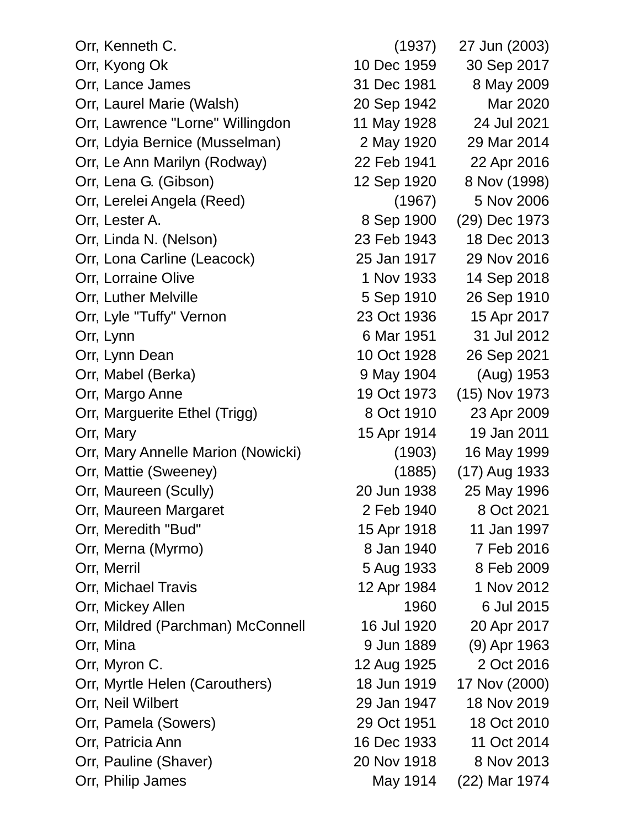| Orr, Kenneth C.                    | (1937)      | 27 Jun (2003) |
|------------------------------------|-------------|---------------|
| Orr, Kyong Ok                      | 10 Dec 1959 | 30 Sep 2017   |
| Orr, Lance James                   | 31 Dec 1981 | 8 May 2009    |
| Orr, Laurel Marie (Walsh)          | 20 Sep 1942 | Mar 2020      |
| Orr, Lawrence "Lorne" Willingdon   | 11 May 1928 | 24 Jul 2021   |
| Orr, Ldyia Bernice (Musselman)     | 2 May 1920  | 29 Mar 2014   |
| Orr, Le Ann Marilyn (Rodway)       | 22 Feb 1941 | 22 Apr 2016   |
| Orr, Lena G. (Gibson)              | 12 Sep 1920 | 8 Nov (1998)  |
| Orr, Lerelei Angela (Reed)         | (1967)      | 5 Nov 2006    |
| Orr, Lester A.                     | 8 Sep 1900  | (29) Dec 1973 |
| Orr, Linda N. (Nelson)             | 23 Feb 1943 | 18 Dec 2013   |
| Orr, Lona Carline (Leacock)        | 25 Jan 1917 | 29 Nov 2016   |
| Orr, Lorraine Olive                | 1 Nov 1933  | 14 Sep 2018   |
| Orr, Luther Melville               | 5 Sep 1910  | 26 Sep 1910   |
| Orr, Lyle "Tuffy" Vernon           | 23 Oct 1936 | 15 Apr 2017   |
| Orr, Lynn                          | 6 Mar 1951  | 31 Jul 2012   |
| Orr, Lynn Dean                     | 10 Oct 1928 | 26 Sep 2021   |
| Orr, Mabel (Berka)                 | 9 May 1904  | (Aug) 1953    |
| Orr, Margo Anne                    | 19 Oct 1973 | (15) Nov 1973 |
| Orr, Marguerite Ethel (Trigg)      | 8 Oct 1910  | 23 Apr 2009   |
| Orr, Mary                          | 15 Apr 1914 | 19 Jan 2011   |
| Orr, Mary Annelle Marion (Nowicki) | (1903)      | 16 May 1999   |
| Orr, Mattie (Sweeney)              | (1885)      | (17) Aug 1933 |
| Orr, Maureen (Scully)              | 20 Jun 1938 | 25 May 1996   |
| Orr, Maureen Margaret              | 2 Feb 1940  | 8 Oct 2021    |
| Orr, Meredith "Bud"                | 15 Apr 1918 | 11 Jan 1997   |
| Orr, Merna (Myrmo)                 | 8 Jan 1940  | 7 Feb 2016    |
| Orr, Merril                        | 5 Aug 1933  | 8 Feb 2009    |
| Orr, Michael Travis                | 12 Apr 1984 | 1 Nov 2012    |
| Orr, Mickey Allen                  | 1960        | 6 Jul 2015    |
| Orr, Mildred (Parchman) McConnell  | 16 Jul 1920 | 20 Apr 2017   |
| Orr, Mina                          | 9 Jun 1889  | (9) Apr 1963  |
| Orr, Myron C.                      | 12 Aug 1925 | 2 Oct 2016    |
| Orr, Myrtle Helen (Carouthers)     | 18 Jun 1919 | 17 Nov (2000) |
| Orr, Neil Wilbert                  | 29 Jan 1947 | 18 Nov 2019   |
| Orr, Pamela (Sowers)               | 29 Oct 1951 | 18 Oct 2010   |
| Orr, Patricia Ann                  | 16 Dec 1933 | 11 Oct 2014   |
| Orr, Pauline (Shaver)              | 20 Nov 1918 | 8 Nov 2013    |
| Orr, Philip James                  | May 1914    | (22) Mar 1974 |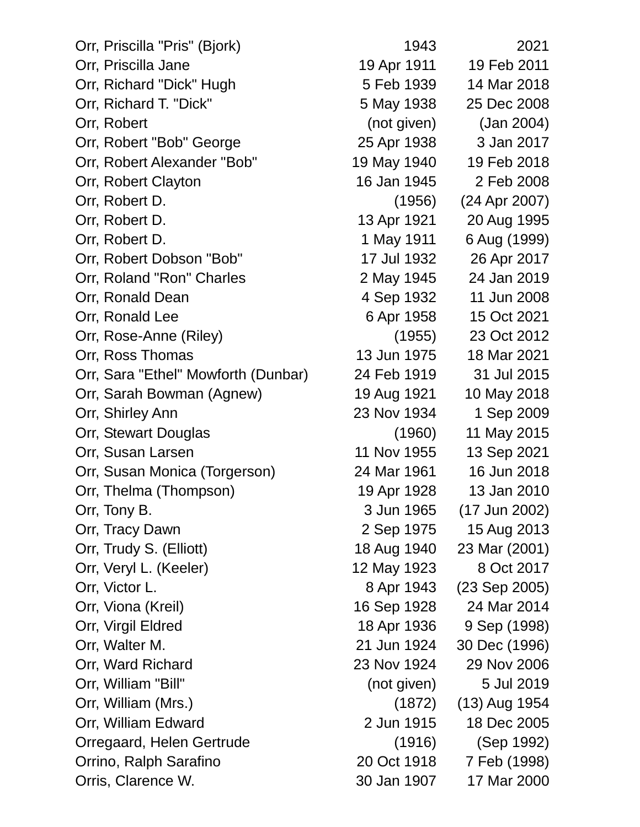| Orr, Priscilla "Pris" (Bjork)       | 1943        | 2021          |
|-------------------------------------|-------------|---------------|
| Orr, Priscilla Jane                 | 19 Apr 1911 | 19 Feb 2011   |
| Orr, Richard "Dick" Hugh            | 5 Feb 1939  | 14 Mar 2018   |
| Orr, Richard T. "Dick"              | 5 May 1938  | 25 Dec 2008   |
| Orr, Robert                         | (not given) | (Jan 2004)    |
| Orr, Robert "Bob" George            | 25 Apr 1938 | 3 Jan 2017    |
| Orr, Robert Alexander "Bob"         | 19 May 1940 | 19 Feb 2018   |
| Orr, Robert Clayton                 | 16 Jan 1945 | 2 Feb 2008    |
| Orr, Robert D.                      | (1956)      | (24 Apr 2007) |
| Orr, Robert D.                      | 13 Apr 1921 | 20 Aug 1995   |
| Orr, Robert D.                      | 1 May 1911  | 6 Aug (1999)  |
| Orr, Robert Dobson "Bob"            | 17 Jul 1932 | 26 Apr 2017   |
| Orr, Roland "Ron" Charles           | 2 May 1945  | 24 Jan 2019   |
| Orr, Ronald Dean                    | 4 Sep 1932  | 11 Jun 2008   |
| Orr, Ronald Lee                     | 6 Apr 1958  | 15 Oct 2021   |
| Orr, Rose-Anne (Riley)              | (1955)      | 23 Oct 2012   |
| Orr, Ross Thomas                    | 13 Jun 1975 | 18 Mar 2021   |
| Orr, Sara "Ethel" Mowforth (Dunbar) | 24 Feb 1919 | 31 Jul 2015   |
| Orr, Sarah Bowman (Agnew)           | 19 Aug 1921 | 10 May 2018   |
| Orr, Shirley Ann                    | 23 Nov 1934 | 1 Sep 2009    |
| Orr, Stewart Douglas                | (1960)      | 11 May 2015   |
| Orr, Susan Larsen                   | 11 Nov 1955 | 13 Sep 2021   |
| Orr, Susan Monica (Torgerson)       | 24 Mar 1961 | 16 Jun 2018   |
| Orr, Thelma (Thompson)              | 19 Apr 1928 | 13 Jan 2010   |
| Orr, Tony B.                        | 3 Jun 1965  | (17 Jun 2002) |
| Orr, Tracy Dawn                     | 2 Sep 1975  | 15 Aug 2013   |
| Orr, Trudy S. (Elliott)             | 18 Aug 1940 | 23 Mar (2001) |
| Orr, Veryl L. (Keeler)              | 12 May 1923 | 8 Oct 2017    |
| Orr, Victor L.                      | 8 Apr 1943  | (23 Sep 2005) |
| Orr, Viona (Kreil)                  | 16 Sep 1928 | 24 Mar 2014   |
| Orr, Virgil Eldred                  | 18 Apr 1936 | 9 Sep (1998)  |
| Orr, Walter M.                      | 21 Jun 1924 | 30 Dec (1996) |
| Orr, Ward Richard                   | 23 Nov 1924 | 29 Nov 2006   |
| Orr, William "Bill"                 | (not given) | 5 Jul 2019    |
| Orr, William (Mrs.)                 | (1872)      | (13) Aug 1954 |
| Orr, William Edward                 | 2 Jun 1915  | 18 Dec 2005   |
| Orregaard, Helen Gertrude           | (1916)      | (Sep 1992)    |
| Orrino, Ralph Sarafino              | 20 Oct 1918 | 7 Feb (1998)  |
| Orris, Clarence W.                  | 30 Jan 1907 | 17 Mar 2000   |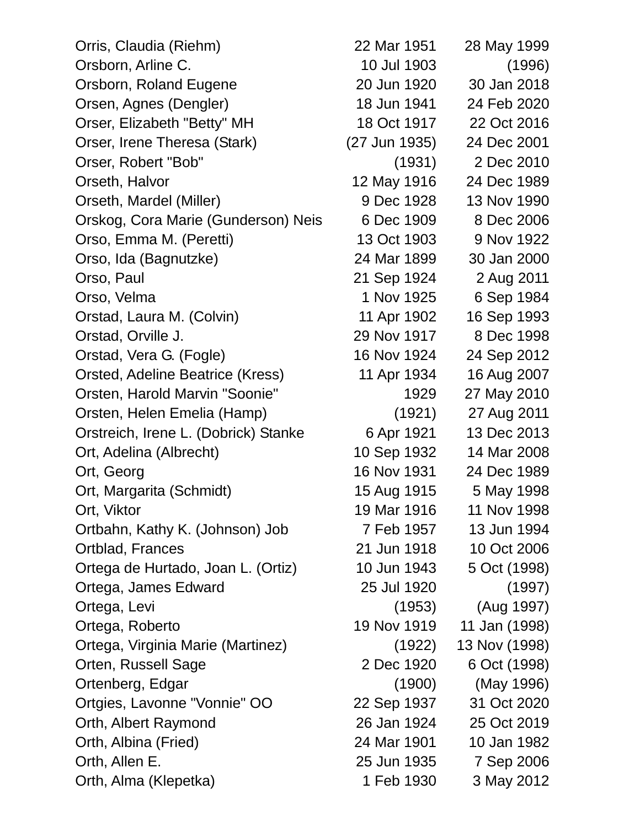| Orris, Claudia (Riehm)               | 22 Mar 1951   | 28 May 1999   |
|--------------------------------------|---------------|---------------|
| Orsborn, Arline C.                   | 10 Jul 1903   | (1996)        |
| Orsborn, Roland Eugene               | 20 Jun 1920   | 30 Jan 2018   |
| Orsen, Agnes (Dengler)               | 18 Jun 1941   | 24 Feb 2020   |
| Orser, Elizabeth "Betty" MH          | 18 Oct 1917   | 22 Oct 2016   |
| Orser, Irene Theresa (Stark)         | (27 Jun 1935) | 24 Dec 2001   |
| Orser, Robert "Bob"                  | (1931)        | 2 Dec 2010    |
| Orseth, Halvor                       | 12 May 1916   | 24 Dec 1989   |
| Orseth, Mardel (Miller)              | 9 Dec 1928    | 13 Nov 1990   |
| Orskog, Cora Marie (Gunderson) Neis  | 6 Dec 1909    | 8 Dec 2006    |
| Orso, Emma M. (Peretti)              | 13 Oct 1903   | 9 Nov 1922    |
| Orso, Ida (Bagnutzke)                | 24 Mar 1899   | 30 Jan 2000   |
| Orso, Paul                           | 21 Sep 1924   | 2 Aug 2011    |
| Orso, Velma                          | 1 Nov 1925    | 6 Sep 1984    |
| Orstad, Laura M. (Colvin)            | 11 Apr 1902   | 16 Sep 1993   |
| Orstad, Orville J.                   | 29 Nov 1917   | 8 Dec 1998    |
| Orstad, Vera G. (Fogle)              | 16 Nov 1924   | 24 Sep 2012   |
| Orsted, Adeline Beatrice (Kress)     | 11 Apr 1934   | 16 Aug 2007   |
| Orsten, Harold Marvin "Soonie"       | 1929          | 27 May 2010   |
| Orsten, Helen Emelia (Hamp)          | (1921)        | 27 Aug 2011   |
| Orstreich, Irene L. (Dobrick) Stanke | 6 Apr 1921    | 13 Dec 2013   |
| Ort, Adelina (Albrecht)              | 10 Sep 1932   | 14 Mar 2008   |
| Ort, Georg                           | 16 Nov 1931   | 24 Dec 1989   |
| Ort, Margarita (Schmidt)             | 15 Aug 1915   | 5 May 1998    |
| Ort, Viktor                          | 19 Mar 1916   | 11 Nov 1998   |
| Ortbahn, Kathy K. (Johnson) Job      | 7 Feb 1957    | 13 Jun 1994   |
| Ortblad, Frances                     | 21 Jun 1918   | 10 Oct 2006   |
| Ortega de Hurtado, Joan L. (Ortiz)   | 10 Jun 1943   | 5 Oct (1998)  |
| Ortega, James Edward                 | 25 Jul 1920   | (1997)        |
| Ortega, Levi                         | (1953)        | (Aug 1997)    |
| Ortega, Roberto                      | 19 Nov 1919   | 11 Jan (1998) |
| Ortega, Virginia Marie (Martinez)    | (1922)        | 13 Nov (1998) |
| Orten, Russell Sage                  | 2 Dec 1920    | 6 Oct (1998)  |
| Ortenberg, Edgar                     | (1900)        | (May 1996)    |
| Ortgies, Lavonne "Vonnie" OO         | 22 Sep 1937   | 31 Oct 2020   |
| Orth, Albert Raymond                 | 26 Jan 1924   | 25 Oct 2019   |
| Orth, Albina (Fried)                 | 24 Mar 1901   | 10 Jan 1982   |
| Orth, Allen E.                       | 25 Jun 1935   | 7 Sep 2006    |
| Orth, Alma (Klepetka)                | 1 Feb 1930    | 3 May 2012    |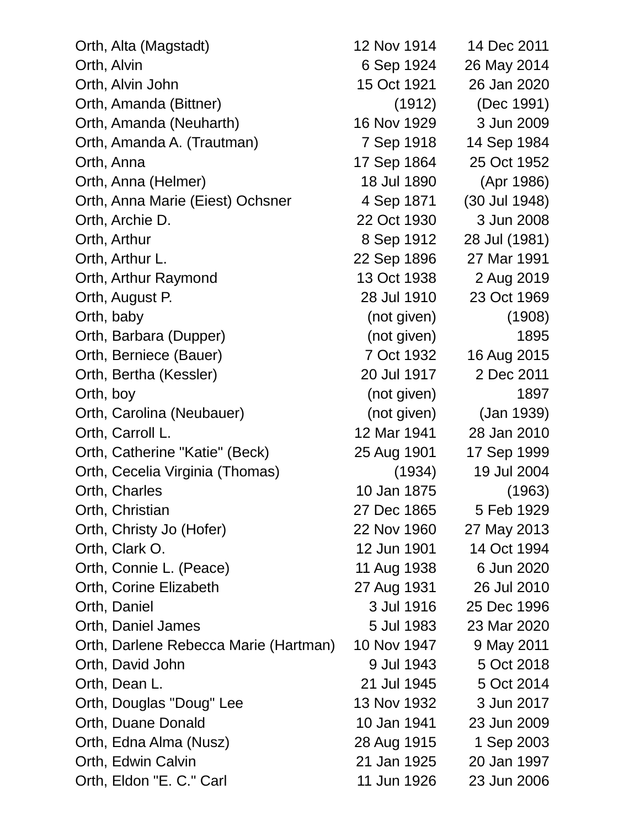| Orth, Alta (Magstadt)                 | 12 Nov 1914 | 14 Dec 2011   |
|---------------------------------------|-------------|---------------|
| Orth, Alvin                           | 6 Sep 1924  | 26 May 2014   |
| Orth, Alvin John                      | 15 Oct 1921 | 26 Jan 2020   |
| Orth, Amanda (Bittner)                | (1912)      | (Dec 1991)    |
| Orth, Amanda (Neuharth)               | 16 Nov 1929 | 3 Jun 2009    |
| Orth, Amanda A. (Trautman)            | 7 Sep 1918  | 14 Sep 1984   |
| Orth, Anna                            | 17 Sep 1864 | 25 Oct 1952   |
| Orth, Anna (Helmer)                   | 18 Jul 1890 | (Apr 1986)    |
| Orth, Anna Marie (Eiest) Ochsner      | 4 Sep 1871  | (30 Jul 1948) |
| Orth, Archie D.                       | 22 Oct 1930 | 3 Jun 2008    |
| Orth, Arthur                          | 8 Sep 1912  | 28 Jul (1981) |
| Orth, Arthur L.                       | 22 Sep 1896 | 27 Mar 1991   |
| Orth, Arthur Raymond                  | 13 Oct 1938 | 2 Aug 2019    |
| Orth, August P.                       | 28 Jul 1910 | 23 Oct 1969   |
| Orth, baby                            | (not given) | (1908)        |
| Orth, Barbara (Dupper)                | (not given) | 1895          |
| Orth, Berniece (Bauer)                | 7 Oct 1932  | 16 Aug 2015   |
| Orth, Bertha (Kessler)                | 20 Jul 1917 | 2 Dec 2011    |
| Orth, boy                             | (not given) | 1897          |
| Orth, Carolina (Neubauer)             | (not given) | (Jan 1939)    |
| Orth, Carroll L.                      | 12 Mar 1941 | 28 Jan 2010   |
| Orth, Catherine "Katie" (Beck)        | 25 Aug 1901 | 17 Sep 1999   |
| Orth, Cecelia Virginia (Thomas)       | (1934)      | 19 Jul 2004   |
| Orth, Charles                         | 10 Jan 1875 | (1963)        |
| Orth, Christian                       | 27 Dec 1865 | 5 Feb 1929    |
| Orth, Christy Jo (Hofer)              | 22 Nov 1960 | 27 May 2013   |
| Orth, Clark O.                        | 12 Jun 1901 | 14 Oct 1994   |
| Orth, Connie L. (Peace)               | 11 Aug 1938 | 6 Jun 2020    |
| Orth, Corine Elizabeth                | 27 Aug 1931 | 26 Jul 2010   |
| Orth, Daniel                          | 3 Jul 1916  | 25 Dec 1996   |
| Orth, Daniel James                    | 5 Jul 1983  | 23 Mar 2020   |
| Orth, Darlene Rebecca Marie (Hartman) | 10 Nov 1947 | 9 May 2011    |
| Orth, David John                      | 9 Jul 1943  | 5 Oct 2018    |
| Orth, Dean L.                         | 21 Jul 1945 | 5 Oct 2014    |
| Orth, Douglas "Doug" Lee              | 13 Nov 1932 | 3 Jun 2017    |
| Orth, Duane Donald                    | 10 Jan 1941 | 23 Jun 2009   |
| Orth, Edna Alma (Nusz)                | 28 Aug 1915 | 1 Sep 2003    |
| Orth, Edwin Calvin                    | 21 Jan 1925 | 20 Jan 1997   |
| Orth, Eldon "E. C." Carl              | 11 Jun 1926 | 23 Jun 2006   |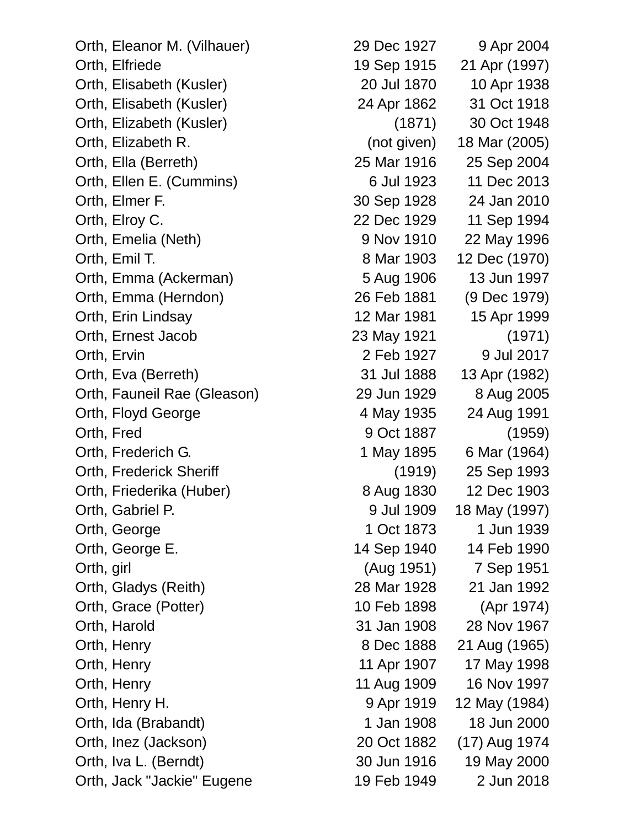Orth, Jack "Jackie" Eugene 19 Feb 1949 2 Jun 2018

Orth, Eleanor M. (Vilhauer) 29 Dec 1927 9 Apr 2004 Orth, Elfriede 19 Sep 1915 21 Apr (1997) Orth, Elisabeth (Kusler) 20 Jul 1870 10 Apr 1938 Orth, Elisabeth (Kusler) 24 Apr 1862 31 Oct 1918 Orth, Elizabeth (Kusler) (1871) 30 Oct 1948 Orth, Elizabeth R. (not given) 18 Mar (2005) Orth, Ella (Berreth) 25 Mar 1916 25 Sep 2004 Orth, Ellen E. (Cummins) 6 Jul 1923 11 Dec 2013 Orth, Elmer F. 30 Sep 1928 24 Jan 2010 Orth, Elroy C. 22 Dec 1929 11 Sep 1994 Orth, Emelia (Neth) 9 Nov 1910 22 May 1996 Orth, Emil T. 8 Mar 1903 12 Dec (1970) Orth, Emma (Ackerman) 5 Aug 1906 13 Jun 1997 Orth, Emma (Herndon) 26 Feb 1881 (9 Dec 1979) Orth, Erin Lindsay 12 Mar 1981 15 Apr 1999 Orth, Ernest Jacob 23 May 1921 (1971) Orth, Ervin 2 Feb 1927 9 Jul 2017 Orth, Eva (Berreth) 31 Jul 1888 13 Apr (1982) Orth, Fauneil Rae (Gleason) 29 Jun 1929 8 Aug 2005 Orth, Floyd George **4 May 1935** 24 Aug 1991 Orth, Fred 9 Oct 1887 (1959) Orth, Frederich G. 1 May 1895 6 Mar (1964) Orth, Frederick Sheriff (1919) 25 Sep 1993 Orth, Friederika (Huber) 8 Aug 1830 12 Dec 1903 Orth, Gabriel P. 9 Jul 1909 18 May (1997) Orth, George 2012 1 2004 1 Oct 1873 1 Jun 1939 Orth, George E. 14 Sep 1940 14 Feb 1990 Orth, girl (Aug 1951) 7 Sep 1951 Orth, Gladys (Reith) 28 Mar 1928 21 Jan 1992 Orth, Grace (Potter) 10 Feb 1898 (Apr 1974) Orth, Harold 31 Jan 1908 28 Nov 1967 Orth, Henry 8 Dec 1888 21 Aug (1965) Orth, Henry 2008 11 Apr 1907 17 May 1998 Orth, Henry 2008 11 Aug 1909 16 Nov 1997 Orth, Henry H. 9 Apr 1919 12 May (1984) Orth, Ida (Brabandt) 1 Jan 1908 18 Jun 2000 Orth, Inez (Jackson) 20 Oct 1882 (17) Aug 1974 Orth, Iva L. (Berndt) 30 Jun 1916 19 May 2000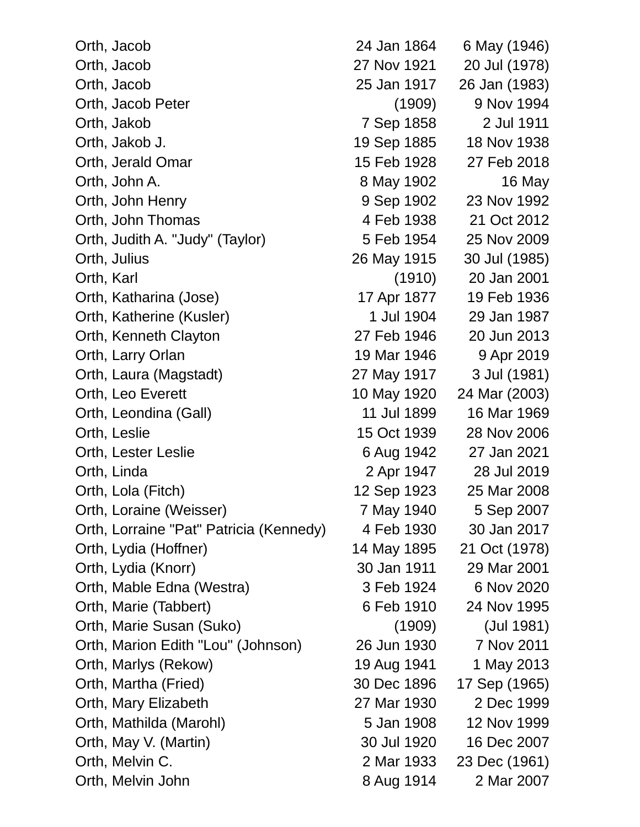| Orth, Jacob                             | 24 Jan 1864 | 6 May (1946)  |
|-----------------------------------------|-------------|---------------|
| Orth, Jacob                             | 27 Nov 1921 | 20 Jul (1978) |
| Orth, Jacob                             | 25 Jan 1917 | 26 Jan (1983) |
| Orth, Jacob Peter                       | (1909)      | 9 Nov 1994    |
| Orth, Jakob                             | 7 Sep 1858  | 2 Jul 1911    |
| Orth, Jakob J.                          | 19 Sep 1885 | 18 Nov 1938   |
| Orth, Jerald Omar                       | 15 Feb 1928 | 27 Feb 2018   |
| Orth, John A.                           | 8 May 1902  | 16 May        |
| Orth, John Henry                        | 9 Sep 1902  | 23 Nov 1992   |
| Orth, John Thomas                       | 4 Feb 1938  | 21 Oct 2012   |
| Orth, Judith A. "Judy" (Taylor)         | 5 Feb 1954  | 25 Nov 2009   |
| Orth, Julius                            | 26 May 1915 | 30 Jul (1985) |
| Orth, Karl                              | (1910)      | 20 Jan 2001   |
| Orth, Katharina (Jose)                  | 17 Apr 1877 | 19 Feb 1936   |
| Orth, Katherine (Kusler)                | 1 Jul 1904  | 29 Jan 1987   |
| Orth, Kenneth Clayton                   | 27 Feb 1946 | 20 Jun 2013   |
| Orth, Larry Orlan                       | 19 Mar 1946 | 9 Apr 2019    |
| Orth, Laura (Magstadt)                  | 27 May 1917 | 3 Jul (1981)  |
| Orth, Leo Everett                       | 10 May 1920 | 24 Mar (2003) |
| Orth, Leondina (Gall)                   | 11 Jul 1899 | 16 Mar 1969   |
| Orth, Leslie                            | 15 Oct 1939 | 28 Nov 2006   |
| Orth, Lester Leslie                     | 6 Aug 1942  | 27 Jan 2021   |
| Orth, Linda                             | 2 Apr 1947  | 28 Jul 2019   |
| Orth, Lola (Fitch)                      | 12 Sep 1923 | 25 Mar 2008   |
| Orth, Loraine (Weisser)                 | 7 May 1940  | 5 Sep 2007    |
| Orth, Lorraine "Pat" Patricia (Kennedy) | 4 Feb 1930  | 30 Jan 2017   |
| Orth, Lydia (Hoffner)                   | 14 May 1895 | 21 Oct (1978) |
| Orth, Lydia (Knorr)                     | 30 Jan 1911 | 29 Mar 2001   |
| Orth, Mable Edna (Westra)               | 3 Feb 1924  | 6 Nov 2020    |
| Orth, Marie (Tabbert)                   | 6 Feb 1910  | 24 Nov 1995   |
| Orth, Marie Susan (Suko)                | (1909)      | (Jul 1981)    |
| Orth, Marion Edith "Lou" (Johnson)      | 26 Jun 1930 | 7 Nov 2011    |
| Orth, Marlys (Rekow)                    | 19 Aug 1941 | 1 May 2013    |
| Orth, Martha (Fried)                    | 30 Dec 1896 | 17 Sep (1965) |
| Orth, Mary Elizabeth                    | 27 Mar 1930 | 2 Dec 1999    |
| Orth, Mathilda (Marohl)                 | 5 Jan 1908  | 12 Nov 1999   |
| Orth, May V. (Martin)                   | 30 Jul 1920 | 16 Dec 2007   |
| Orth, Melvin C.                         | 2 Mar 1933  | 23 Dec (1961) |
| Orth, Melvin John                       | 8 Aug 1914  | 2 Mar 2007    |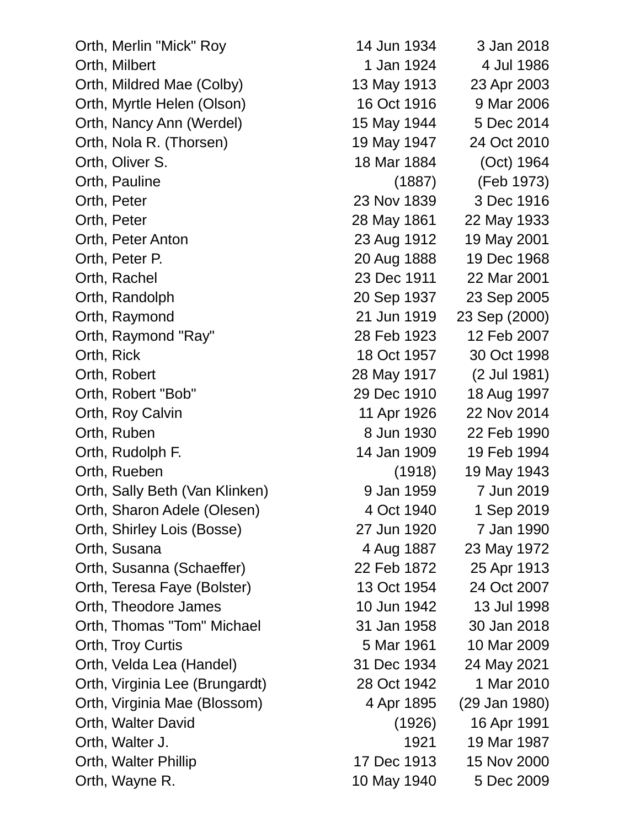| Orth, Merlin "Mick" Roy        | 14 Jun 1934 | 3 Jan 2018    |
|--------------------------------|-------------|---------------|
| Orth, Milbert                  | 1 Jan 1924  | 4 Jul 1986    |
| Orth, Mildred Mae (Colby)      | 13 May 1913 | 23 Apr 2003   |
| Orth, Myrtle Helen (Olson)     | 16 Oct 1916 | 9 Mar 2006    |
| Orth, Nancy Ann (Werdel)       | 15 May 1944 | 5 Dec 2014    |
| Orth, Nola R. (Thorsen)        | 19 May 1947 | 24 Oct 2010   |
| Orth, Oliver S.                | 18 Mar 1884 | (Oct) 1964    |
| Orth, Pauline                  | (1887)      | (Feb 1973)    |
| Orth, Peter                    | 23 Nov 1839 | 3 Dec 1916    |
| Orth, Peter                    | 28 May 1861 | 22 May 1933   |
| Orth, Peter Anton              | 23 Aug 1912 | 19 May 2001   |
| Orth, Peter P.                 | 20 Aug 1888 | 19 Dec 1968   |
| Orth, Rachel                   | 23 Dec 1911 | 22 Mar 2001   |
| Orth, Randolph                 | 20 Sep 1937 | 23 Sep 2005   |
| Orth, Raymond                  | 21 Jun 1919 | 23 Sep (2000) |
| Orth, Raymond "Ray"            | 28 Feb 1923 | 12 Feb 2007   |
| Orth, Rick                     | 18 Oct 1957 | 30 Oct 1998   |
| Orth, Robert                   | 28 May 1917 | (2 Jul 1981)  |
| Orth, Robert "Bob"             | 29 Dec 1910 | 18 Aug 1997   |
| Orth, Roy Calvin               | 11 Apr 1926 | 22 Nov 2014   |
| Orth, Ruben                    | 8 Jun 1930  | 22 Feb 1990   |
| Orth, Rudolph F.               | 14 Jan 1909 | 19 Feb 1994   |
| Orth, Rueben                   | (1918)      | 19 May 1943   |
| Orth, Sally Beth (Van Klinken) | 9 Jan 1959  | 7 Jun 2019    |
| Orth, Sharon Adele (Olesen)    | 4 Oct 1940  | 1 Sep 2019    |
| Orth, Shirley Lois (Bosse)     | 27 Jun 1920 | 7 Jan 1990    |
| Orth, Susana                   | 4 Aug 1887  | 23 May 1972   |
| Orth, Susanna (Schaeffer)      | 22 Feb 1872 | 25 Apr 1913   |
| Orth, Teresa Faye (Bolster)    | 13 Oct 1954 | 24 Oct 2007   |
| Orth, Theodore James           | 10 Jun 1942 | 13 Jul 1998   |
| Orth, Thomas "Tom" Michael     | 31 Jan 1958 | 30 Jan 2018   |
| Orth, Troy Curtis              | 5 Mar 1961  | 10 Mar 2009   |
| Orth, Velda Lea (Handel)       | 31 Dec 1934 | 24 May 2021   |
| Orth, Virginia Lee (Brungardt) | 28 Oct 1942 | 1 Mar 2010    |
| Orth, Virginia Mae (Blossom)   | 4 Apr 1895  | (29 Jan 1980) |
| Orth, Walter David             | (1926)      | 16 Apr 1991   |
| Orth, Walter J.                | 1921        | 19 Mar 1987   |
| Orth, Walter Phillip           | 17 Dec 1913 | 15 Nov 2000   |
| Orth, Wayne R.                 | 10 May 1940 | 5 Dec 2009    |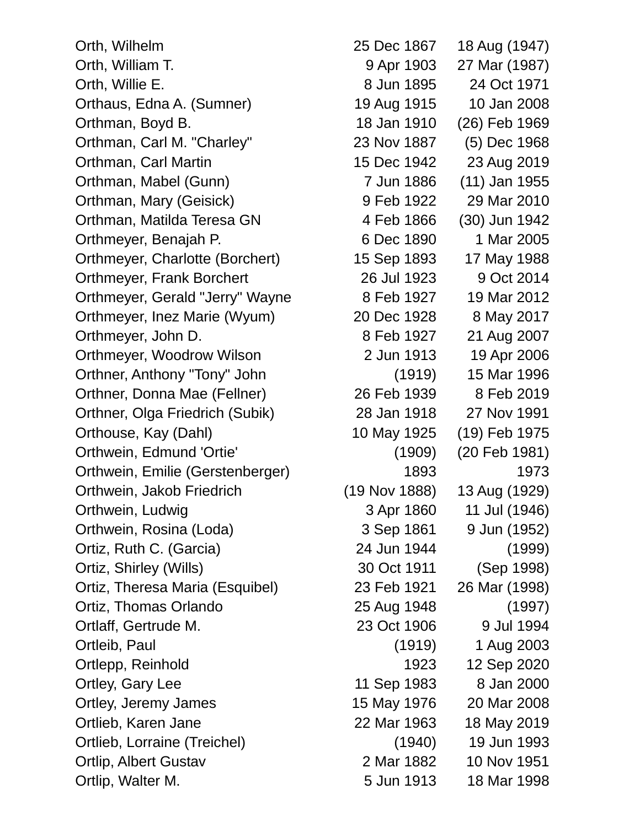Orth, Wilhelm 25 Dec 1867 18 Aug (1947) Orth, William T. 9 Apr 1903 27 Mar (1987) Orth, Willie E. 8 Jun 1895 24 Oct 1971 Orthaus, Edna A. (Sumner) 19 Aug 1915 10 Jan 2008 Orthman, Boyd B. 18 Jan 1910 (26) Feb 1969 Orthman, Carl M. "Charley" 23 Nov 1887 (5) Dec 1968 Orthman, Carl Martin 15 Dec 1942 23 Aug 2019 Orthman, Mabel (Gunn) 7 Jun 1886 (11) Jan 1955 Orthman, Mary (Geisick) 9 Feb 1922 29 Mar 2010 Orthman, Matilda Teresa GN 4 Feb 1866 (30) Jun 1942 Orthmeyer, Benajah P. 6 Dec 1890 1 Mar 2005 Orthmeyer, Charlotte (Borchert) 15 Sep 1893 17 May 1988 Orthmeyer, Frank Borchert 26 Jul 1923 9 Oct 2014 Orthmeyer, Gerald "Jerry" Wayne 8 Feb 1927 19 Mar 2012 Orthmeyer, Inez Marie (Wyum) 20 Dec 1928 8 May 2017 Orthmeyer, John D. 8 Feb 1927 21 Aug 2007 Orthmeyer, Woodrow Wilson 2 Jun 1913 19 Apr 2006 Orthner, Anthony "Tony" John (1919) 15 Mar 1996 Orthner, Donna Mae (Fellner) 26 Feb 1939 8 Feb 2019 Orthner, Olga Friedrich (Subik) 28 Jan 1918 27 Nov 1991 Orthouse, Kay (Dahl) 10 May 1925 (19) Feb 1975 Orthwein, Edmund 'Ortie' (1909) (20 Feb 1981) Orthwein, Emilie (Gerstenberger) 1893 1973 Orthwein, Jakob Friedrich (19 Nov 1888) 13 Aug (1929) Orthwein, Ludwig **3 Apr 1860** 11 Jul (1946) Orthwein, Rosina (Loda) 3 Sep 1861 9 Jun (1952) Ortiz, Ruth C. (Garcia) 24 Jun 1944 (1999) Ortiz, Shirley (Wills) 30 Oct 1911 (Sep 1998) Ortiz, Theresa Maria (Esquibel) 23 Feb 1921 26 Mar (1998) Ortiz, Thomas Orlando 25 Aug 1948 (1997) Ortlaff, Gertrude M. 23 Oct 1906 9 Jul 1994 Ortleib, Paul (1919) 1 Aug 2003 Ortlepp, Reinhold 1923 12 Sep 2020 Ortley, Gary Lee 11 Sep 1983 8 Jan 2000 Ortley, Jeremy James 15 May 1976 20 Mar 2008 Ortlieb, Karen Jane 22 Mar 1963 18 May 2019 Ortlieb, Lorraine (Treichel) (1940) 19 Jun 1993 Ortlip, Albert Gustav 2 Mar 1882 10 Nov 1951 Ortlip, Walter M. 6 and 1913 18 Mar 1998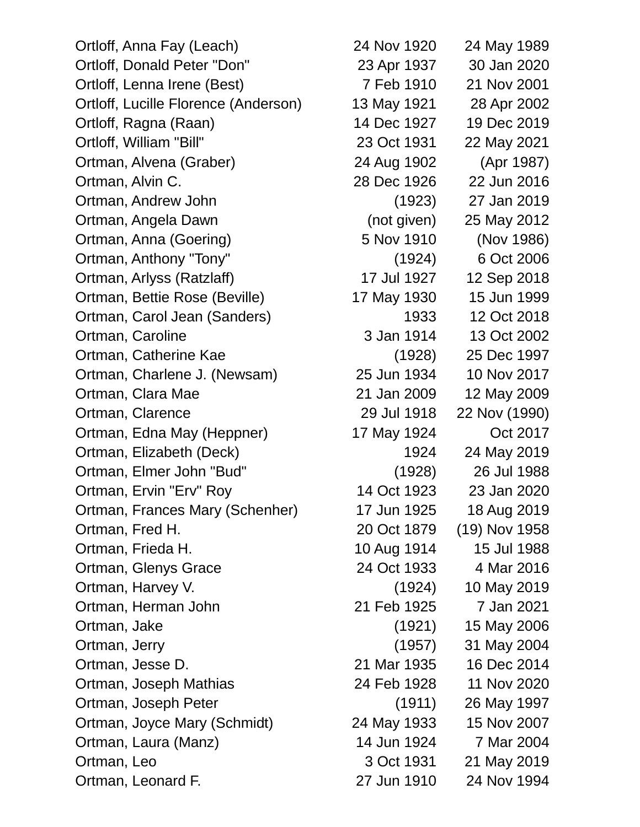Ortloff, Anna Fay (Leach) 24 Nov 1920 24 May 1989 Ortloff, Donald Peter "Don" 23 Apr 1937 30 Jan 2020 Ortloff, Lenna Irene (Best) 7 Feb 1910 21 Nov 2001 Ortloff, Lucille Florence (Anderson) 13 May 1921 28 Apr 2002 Ortloff, Ragna (Raan) 14 Dec 1927 19 Dec 2019 Ortloff, William "Bill" 23 Oct 1931 22 May 2021 Ortman, Alvena (Graber) 24 Aug 1902 (Apr 1987) Ortman, Alvin C. 28 Dec 1926 22 Jun 2016 Ortman, Andrew John (1923) 27 Jan 2019 Ortman, Angela Dawn (not given) 25 May 2012 Ortman, Anna (Goering) 5 Nov 1910 (Nov 1986) Ortman, Anthony "Tony" (1924) 6 Oct 2006 Ortman, Arlyss (Ratzlaff) 17 Jul 1927 12 Sep 2018 Ortman, Bettie Rose (Beville) 17 May 1930 15 Jun 1999 Ortman, Carol Jean (Sanders) 1933 12 Oct 2018 Ortman, Caroline 3 Jan 1914 13 Oct 2002 Ortman, Catherine Kae (1928) 25 Dec 1997 Ortman, Charlene J. (Newsam) 25 Jun 1934 10 Nov 2017 Ortman, Clara Mae 21 Jan 2009 12 May 2009 Ortman, Clarence 29 Jul 1918 22 Nov (1990) Ortman, Edna May (Heppner) 17 May 1924 Oct 2017 Ortman, Elizabeth (Deck) 1924 24 May 2019 Ortman, Elmer John "Bud" (1928) 26 Jul 1988 Ortman, Ervin "Erv" Roy 14 Oct 1923 23 Jan 2020 Ortman, Frances Mary (Schenher) 17 Jun 1925 18 Aug 2019 Ortman, Fred H. 20 Oct 1879 (19) Nov 1958 Ortman, Frieda H. 10 Aug 1914 15 Jul 1988 Ortman, Glenys Grace 24 Oct 1933 4 Mar 2016 Ortman, Harvey V. (1924) 10 May 2019 Ortman, Herman John 21 Feb 1925 7 Jan 2021 Ortman, Jake (1921) 15 May 2006 Ortman, Jerry (1957) 31 May 2004 Ortman, Jesse D. 21 Mar 1935 16 Dec 2014 Ortman, Joseph Mathias 24 Feb 1928 11 Nov 2020 Ortman, Joseph Peter (1911) 26 May 1997 Ortman, Joyce Mary (Schmidt) 24 May 1933 15 Nov 2007 Ortman, Laura (Manz) 14 Jun 1924 7 Mar 2004 Ortman, Leo 3 Oct 1931 21 May 2019 Ortman, Leonard F. 27 Jun 1910 24 Nov 1994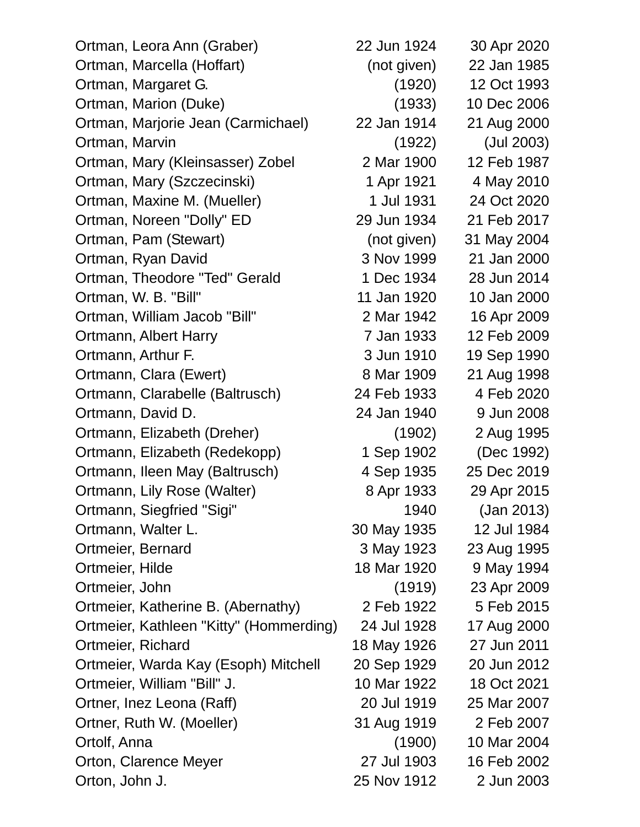| Ortman, Leora Ann (Graber)              | 22 Jun 1924 | 30 Apr 2020 |
|-----------------------------------------|-------------|-------------|
| Ortman, Marcella (Hoffart)              | (not given) | 22 Jan 1985 |
| Ortman, Margaret G.                     | (1920)      | 12 Oct 1993 |
| Ortman, Marion (Duke)                   | (1933)      | 10 Dec 2006 |
| Ortman, Marjorie Jean (Carmichael)      | 22 Jan 1914 | 21 Aug 2000 |
| Ortman, Marvin                          | (1922)      | (Jul 2003)  |
| Ortman, Mary (Kleinsasser) Zobel        | 2 Mar 1900  | 12 Feb 1987 |
| Ortman, Mary (Szczecinski)              | 1 Apr 1921  | 4 May 2010  |
| Ortman, Maxine M. (Mueller)             | 1 Jul 1931  | 24 Oct 2020 |
| Ortman, Noreen "Dolly" ED               | 29 Jun 1934 | 21 Feb 2017 |
| Ortman, Pam (Stewart)                   | (not given) | 31 May 2004 |
| Ortman, Ryan David                      | 3 Nov 1999  | 21 Jan 2000 |
| Ortman, Theodore "Ted" Gerald           | 1 Dec 1934  | 28 Jun 2014 |
| Ortman, W. B. "Bill"                    | 11 Jan 1920 | 10 Jan 2000 |
| Ortman, William Jacob "Bill"            | 2 Mar 1942  | 16 Apr 2009 |
| Ortmann, Albert Harry                   | 7 Jan 1933  | 12 Feb 2009 |
| Ortmann, Arthur F.                      | 3 Jun 1910  | 19 Sep 1990 |
| Ortmann, Clara (Ewert)                  | 8 Mar 1909  | 21 Aug 1998 |
| Ortmann, Clarabelle (Baltrusch)         | 24 Feb 1933 | 4 Feb 2020  |
| Ortmann, David D.                       | 24 Jan 1940 | 9 Jun 2008  |
| Ortmann, Elizabeth (Dreher)             | (1902)      | 2 Aug 1995  |
| Ortmann, Elizabeth (Redekopp)           | 1 Sep 1902  | (Dec 1992)  |
| Ortmann, Ileen May (Baltrusch)          | 4 Sep 1935  | 25 Dec 2019 |
| Ortmann, Lily Rose (Walter)             | 8 Apr 1933  | 29 Apr 2015 |
| Ortmann, Siegfried "Sigi"               | 1940        | (Jan 2013)  |
| Ortmann, Walter L.                      | 30 May 1935 | 12 Jul 1984 |
| Ortmeier, Bernard                       | 3 May 1923  | 23 Aug 1995 |
| Ortmeier, Hilde                         | 18 Mar 1920 | 9 May 1994  |
| Ortmeier, John                          | (1919)      | 23 Apr 2009 |
| Ortmeier, Katherine B. (Abernathy)      | 2 Feb 1922  | 5 Feb 2015  |
| Ortmeier, Kathleen "Kitty" (Hommerding) | 24 Jul 1928 | 17 Aug 2000 |
| Ortmeier, Richard                       | 18 May 1926 | 27 Jun 2011 |
| Ortmeier, Warda Kay (Esoph) Mitchell    | 20 Sep 1929 | 20 Jun 2012 |
| Ortmeier, William "Bill" J.             | 10 Mar 1922 | 18 Oct 2021 |
| Ortner, Inez Leona (Raff)               | 20 Jul 1919 | 25 Mar 2007 |
| Ortner, Ruth W. (Moeller)               | 31 Aug 1919 | 2 Feb 2007  |
| Ortolf, Anna                            | (1900)      | 10 Mar 2004 |
| Orton, Clarence Meyer                   | 27 Jul 1903 | 16 Feb 2002 |
| Orton, John J.                          | 25 Nov 1912 | 2 Jun 2003  |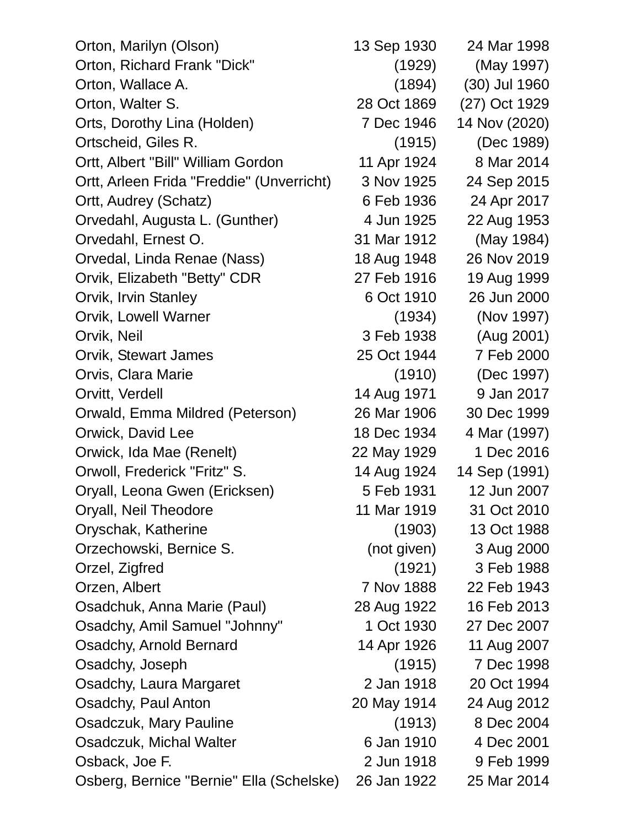| Orton, Marilyn (Olson)                    | 13 Sep 1930 | 24 Mar 1998   |
|-------------------------------------------|-------------|---------------|
| Orton, Richard Frank "Dick"               | (1929)      | (May 1997)    |
| Orton, Wallace A.                         | (1894)      | (30) Jul 1960 |
| Orton, Walter S.                          | 28 Oct 1869 | (27) Oct 1929 |
| Orts, Dorothy Lina (Holden)               | 7 Dec 1946  | 14 Nov (2020) |
| Ortscheid, Giles R.                       | (1915)      | (Dec 1989)    |
| Ortt, Albert "Bill" William Gordon        | 11 Apr 1924 | 8 Mar 2014    |
| Ortt, Arleen Frida "Freddie" (Unverricht) | 3 Nov 1925  | 24 Sep 2015   |
| Ortt, Audrey (Schatz)                     | 6 Feb 1936  | 24 Apr 2017   |
| Orvedahl, Augusta L. (Gunther)            | 4 Jun 1925  | 22 Aug 1953   |
| Orvedahl, Ernest O.                       | 31 Mar 1912 | (May 1984)    |
| Orvedal, Linda Renae (Nass)               | 18 Aug 1948 | 26 Nov 2019   |
| Orvik, Elizabeth "Betty" CDR              | 27 Feb 1916 | 19 Aug 1999   |
| Orvik, Irvin Stanley                      | 6 Oct 1910  | 26 Jun 2000   |
| Orvik, Lowell Warner                      | (1934)      | (Nov 1997)    |
| Orvik, Neil                               | 3 Feb 1938  | (Aug 2001)    |
| Orvik, Stewart James                      | 25 Oct 1944 | 7 Feb 2000    |
| Orvis, Clara Marie                        | (1910)      | (Dec 1997)    |
| Orvitt, Verdell                           | 14 Aug 1971 | 9 Jan 2017    |
| Orwald, Emma Mildred (Peterson)           | 26 Mar 1906 | 30 Dec 1999   |
| Orwick, David Lee                         | 18 Dec 1934 | 4 Mar (1997)  |
| Orwick, Ida Mae (Renelt)                  | 22 May 1929 | 1 Dec 2016    |
| Orwoll, Frederick "Fritz" S.              | 14 Aug 1924 | 14 Sep (1991) |
| Oryall, Leona Gwen (Ericksen)             | 5 Feb 1931  | 12 Jun 2007   |
| Oryall, Neil Theodore                     | 11 Mar 1919 | 31 Oct 2010   |
| Oryschak, Katherine                       | (1903)      | 13 Oct 1988   |
| Orzechowski, Bernice S.                   | (not given) | 3 Aug 2000    |
| Orzel, Zigfred                            | (1921)      | 3 Feb 1988    |
| Orzen, Albert                             | 7 Nov 1888  | 22 Feb 1943   |
| Osadchuk, Anna Marie (Paul)               | 28 Aug 1922 | 16 Feb 2013   |
| Osadchy, Amil Samuel "Johnny"             | 1 Oct 1930  | 27 Dec 2007   |
| Osadchy, Arnold Bernard                   | 14 Apr 1926 | 11 Aug 2007   |
| Osadchy, Joseph                           | (1915)      | 7 Dec 1998    |
| Osadchy, Laura Margaret                   | 2 Jan 1918  | 20 Oct 1994   |
| Osadchy, Paul Anton                       | 20 May 1914 | 24 Aug 2012   |
| Osadczuk, Mary Pauline                    | (1913)      | 8 Dec 2004    |
| Osadczuk, Michal Walter                   | 6 Jan 1910  | 4 Dec 2001    |
| Osback, Joe F.                            | 2 Jun 1918  | 9 Feb 1999    |
| Osberg, Bernice "Bernie" Ella (Schelske)  | 26 Jan 1922 | 25 Mar 2014   |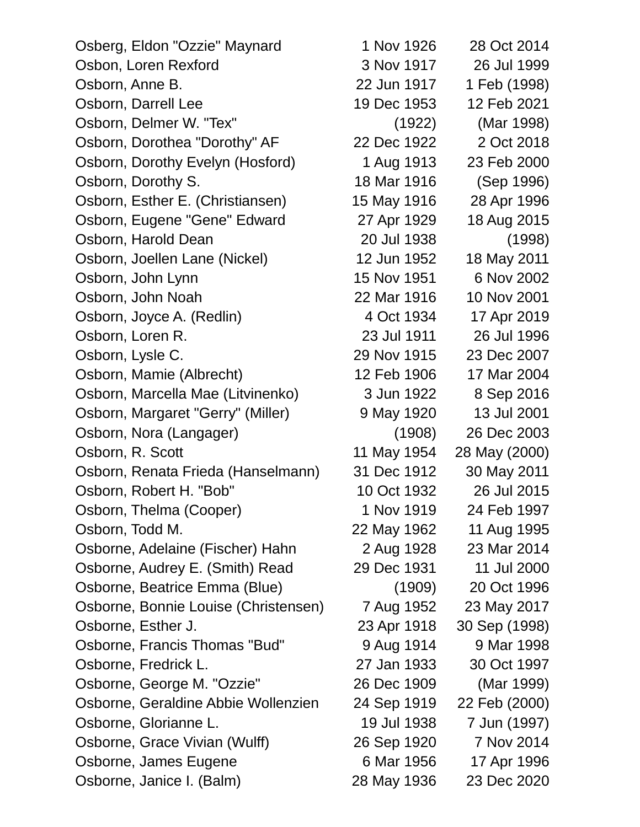| Osberg, Eldon "Ozzie" Maynard        | 1 Nov 1926  | 28 Oct 2014   |
|--------------------------------------|-------------|---------------|
| Osbon, Loren Rexford                 | 3 Nov 1917  | 26 Jul 1999   |
| Osborn, Anne B.                      | 22 Jun 1917 | 1 Feb (1998)  |
| Osborn, Darrell Lee                  | 19 Dec 1953 | 12 Feb 2021   |
| Osborn, Delmer W. "Tex"              | (1922)      | (Mar 1998)    |
| Osborn, Dorothea "Dorothy" AF        | 22 Dec 1922 | 2 Oct 2018    |
| Osborn, Dorothy Evelyn (Hosford)     | 1 Aug 1913  | 23 Feb 2000   |
| Osborn, Dorothy S.                   | 18 Mar 1916 | (Sep 1996)    |
| Osborn, Esther E. (Christiansen)     | 15 May 1916 | 28 Apr 1996   |
| Osborn, Eugene "Gene" Edward         | 27 Apr 1929 | 18 Aug 2015   |
| Osborn, Harold Dean                  | 20 Jul 1938 | (1998)        |
| Osborn, Joellen Lane (Nickel)        | 12 Jun 1952 | 18 May 2011   |
| Osborn, John Lynn                    | 15 Nov 1951 | 6 Nov 2002    |
| Osborn, John Noah                    | 22 Mar 1916 | 10 Nov 2001   |
| Osborn, Joyce A. (Redlin)            | 4 Oct 1934  | 17 Apr 2019   |
| Osborn, Loren R.                     | 23 Jul 1911 | 26 Jul 1996   |
| Osborn, Lysle C.                     | 29 Nov 1915 | 23 Dec 2007   |
| Osborn, Mamie (Albrecht)             | 12 Feb 1906 | 17 Mar 2004   |
| Osborn, Marcella Mae (Litvinenko)    | 3 Jun 1922  | 8 Sep 2016    |
| Osborn, Margaret "Gerry" (Miller)    | 9 May 1920  | 13 Jul 2001   |
| Osborn, Nora (Langager)              | (1908)      | 26 Dec 2003   |
| Osborn, R. Scott                     | 11 May 1954 | 28 May (2000) |
| Osborn, Renata Frieda (Hanselmann)   | 31 Dec 1912 | 30 May 2011   |
| Osborn, Robert H. "Bob"              | 10 Oct 1932 | 26 Jul 2015   |
| Osborn, Thelma (Cooper)              | 1 Nov 1919  | 24 Feb 1997   |
| Osborn, Todd M.                      | 22 May 1962 | 11 Aug 1995   |
| Osborne, Adelaine (Fischer) Hahn     | 2 Aug 1928  | 23 Mar 2014   |
| Osborne, Audrey E. (Smith) Read      | 29 Dec 1931 | 11 Jul 2000   |
| Osborne, Beatrice Emma (Blue)        | (1909)      | 20 Oct 1996   |
| Osborne, Bonnie Louise (Christensen) | 7 Aug 1952  | 23 May 2017   |
| Osborne, Esther J.                   | 23 Apr 1918 | 30 Sep (1998) |
| Osborne, Francis Thomas "Bud"        | 9 Aug 1914  | 9 Mar 1998    |
| Osborne, Fredrick L.                 | 27 Jan 1933 | 30 Oct 1997   |
| Osborne, George M. "Ozzie"           | 26 Dec 1909 | (Mar 1999)    |
| Osborne, Geraldine Abbie Wollenzien  | 24 Sep 1919 | 22 Feb (2000) |
| Osborne, Glorianne L.                | 19 Jul 1938 | 7 Jun (1997)  |
| Osborne, Grace Vivian (Wulff)        | 26 Sep 1920 | 7 Nov 2014    |
| Osborne, James Eugene                | 6 Mar 1956  | 17 Apr 1996   |
| Osborne, Janice I. (Balm)            | 28 May 1936 | 23 Dec 2020   |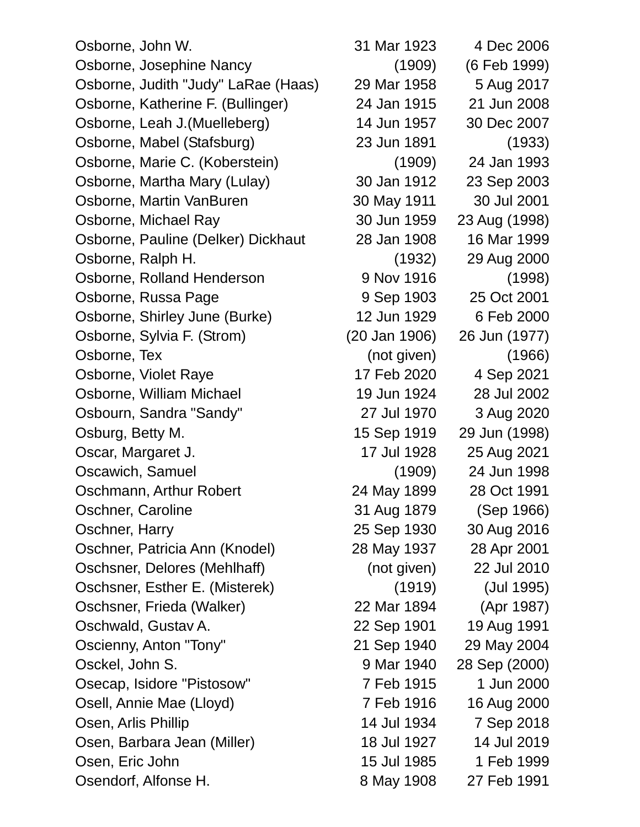Osborne, John W. 31 Mar 1923 4 Dec 2006 Osborne, Josephine Nancy (1909) (6 Feb 1999) Osborne, Judith "Judy" LaRae (Haas) 29 Mar 1958 5 Aug 2017 Osborne, Katherine F. (Bullinger) 24 Jan 1915 21 Jun 2008 Osborne, Leah J.(Muelleberg) 14 Jun 1957 30 Dec 2007 Osborne, Mabel (Stafsburg) 23 Jun 1891 (1933) Osborne, Marie C. (Koberstein) (1909) 24 Jan 1993 Osborne, Martha Mary (Lulay) 30 Jan 1912 23 Sep 2003 Osborne, Martin VanBuren 30 May 1911 30 Jul 2001 Osborne, Michael Ray 30 Jun 1959 23 Aug (1998) Osborne, Pauline (Delker) Dickhaut 28 Jan 1908 16 Mar 1999 Osborne, Ralph H. (1932) 29 Aug 2000 Osborne, Rolland Henderson 9 Nov 1916 (1998) Osborne, Russa Page 9 Sep 1903 25 Oct 2001 Osborne, Shirley June (Burke) 12 Jun 1929 6 Feb 2000 Osborne, Sylvia F. (Strom) (20 Jan 1906) 26 Jun (1977) Osborne, Tex (not given) (1966) Osborne, Violet Raye 17 Feb 2020 4 Sep 2021 Osborne, William Michael 19 Jun 1924 28 Jul 2002 Osbourn, Sandra "Sandy" 27 Jul 1970 3 Aug 2020 Osburg, Betty M. 15 Sep 1919 29 Jun (1998) Oscar, Margaret J. 17 Jul 1928 25 Aug 2021 Oscawich, Samuel (1909) 24 Jun 1998 Oschmann, Arthur Robert 24 May 1899 28 Oct 1991 Oschner, Caroline 31 Aug 1879 (Sep 1966) Oschner, Harry 25 Sep 1930 30 Aug 2016 Oschner, Patricia Ann (Knodel) 28 May 1937 28 Apr 2001 Oschsner, Delores (Mehlhaff) (not given) 22 Jul 2010 Oschsner, Esther E. (Misterek) (1919) (Jul 1995) Oschsner, Frieda (Walker) 22 Mar 1894 (Apr 1987) Oschwald, Gustav A. 22 Sep 1901 19 Aug 1991 Oscienny, Anton "Tony" 21 Sep 1940 29 May 2004 Osckel, John S. 9 Mar 1940 28 Sep (2000) Osecap, Isidore "Pistosow" 7 Feb 1915 1 Jun 2000 Osell, Annie Mae (Lloyd) 7 Feb 1916 16 Aug 2000 Osen, Arlis Phillip 14 Jul 1934 7 Sep 2018 Osen, Barbara Jean (Miller) 18 Jul 1927 14 Jul 2019 Osen, Eric John 15 Jul 1985 1 Feb 1999 Osendorf, Alfonse H. 8 May 1908 27 Feb 1991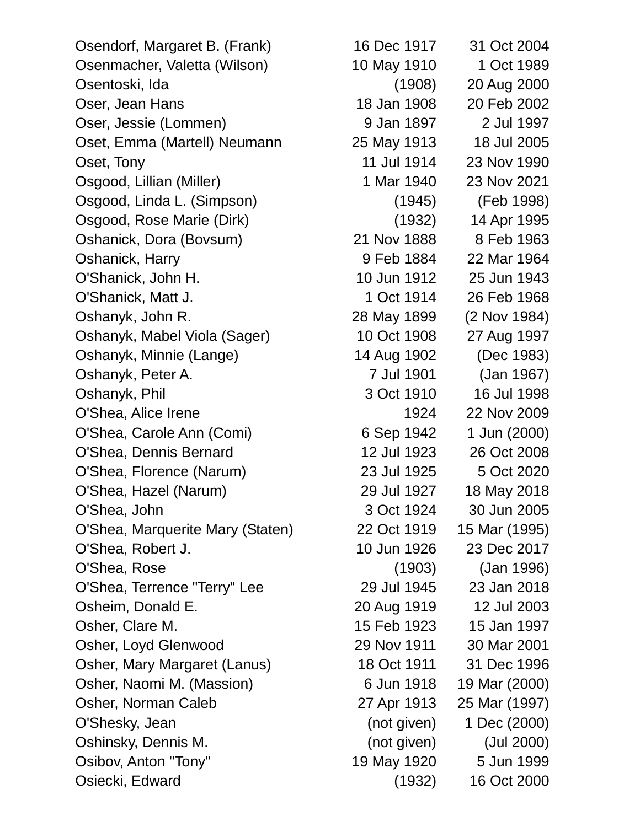Osendorf, Margaret B. (Frank) 16 Dec 1917 31 Oct 2004 Osenmacher, Valetta (Wilson) 10 May 1910 1 Oct 1989 Osentoski, Ida (1908) 20 Aug 2000 Oser, Jean Hans 18 Jan 1908 20 Feb 2002 Oser, Jessie (Lommen) 9 Jan 1897 2 Jul 1997 Oset, Emma (Martell) Neumann 25 May 1913 18 Jul 2005 Oset, Tony 11 Jul 1914 23 Nov 1990 Osgood, Lillian (Miller) 1 Mar 1940 23 Nov 2021 Osgood, Linda L. (Simpson) (1945) (Feb 1998) Osgood, Rose Marie (Dirk) (1932) 14 Apr 1995 Oshanick, Dora (Bovsum) 21 Nov 1888 8 Feb 1963 Oshanick, Harry 9 Feb 1884 22 Mar 1964 O'Shanick, John H. 10 Jun 1912 25 Jun 1943 O'Shanick, Matt J. 1 Oct 1914 26 Feb 1968 Oshanyk, John R. 28 May 1899 (2 Nov 1984) Oshanyk, Mabel Viola (Sager) 10 Oct 1908 27 Aug 1997 Oshanyk, Minnie (Lange) 14 Aug 1902 (Dec 1983) Oshanyk, Peter A. 7 Jul 1901 (Jan 1967) Oshanyk, Phil 3 Oct 1910 16 Jul 1998 O'Shea, Alice Irene 1924 22 Nov 2009 O'Shea, Carole Ann (Comi) 6 Sep 1942 1 Jun (2000) O'Shea, Dennis Bernard 12 Jul 1923 26 Oct 2008 O'Shea, Florence (Narum) 23 Jul 1925 5 Oct 2020 O'Shea, Hazel (Narum) 29 Jul 1927 18 May 2018 O'Shea, John 3 Oct 1924 30 Jun 2005 O'Shea, Marquerite Mary (Staten) 22 Oct 1919 15 Mar (1995) O'Shea, Robert J. 10 Jun 1926 23 Dec 2017 O'Shea, Rose (1903) (Jan 1996) O'Shea, Terrence "Terry" Lee 29 Jul 1945 23 Jan 2018 Osheim, Donald E. 20 Aug 1919 12 Jul 2003 Osher, Clare M. 15 Feb 1923 15 Jan 1997 Osher, Loyd Glenwood 29 Nov 1911 30 Mar 2001 Osher, Mary Margaret (Lanus) 18 Oct 1911 31 Dec 1996 Osher, Naomi M. (Massion) 6 Jun 1918 19 Mar (2000) Osher, Norman Caleb 27 Apr 1913 25 Mar (1997) O'Shesky, Jean (not given) 1 Dec (2000) Oshinsky, Dennis M. (not given) (Jul 2000) Osibov, Anton "Tony" 19 May 1920 5 Jun 1999 Osiecki, Edward (1932) 16 Oct 2000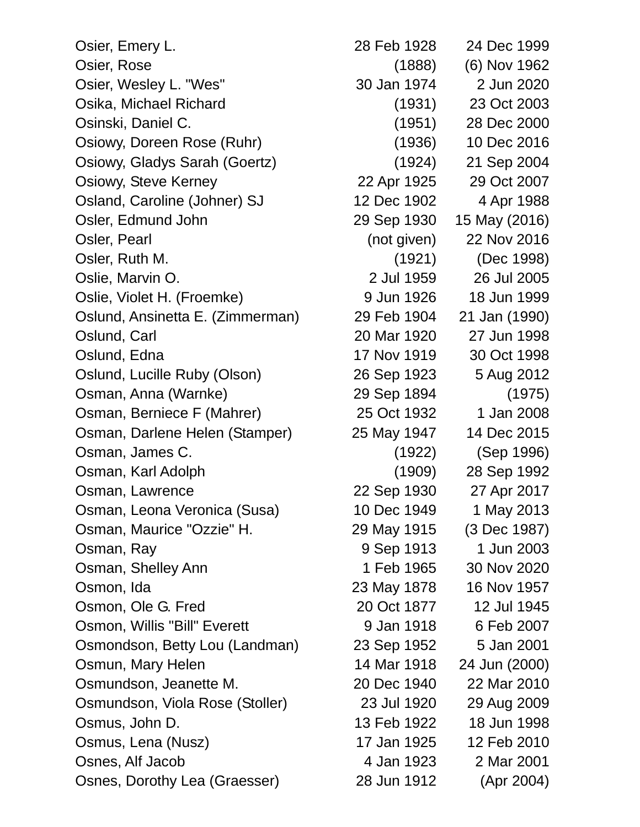Osier, Emery L. 28 Feb 1928 24 Dec 1999 Osier, Rose (1888) (6) Nov 1962 Osier, Wesley L. "Wes" 30 Jan 1974 2 Jun 2020 Osika, Michael Richard (1931) 23 Oct 2003 Osinski, Daniel C. (1951) 28 Dec 2000 Osiowy, Doreen Rose (Ruhr) (1936) 10 Dec 2016 Osiowy, Gladys Sarah (Goertz) (1924) 21 Sep 2004 Osiowy, Steve Kerney 22 Apr 1925 29 Oct 2007 Osland, Caroline (Johner) SJ 12 Dec 1902 4 Apr 1988 Osler, Edmund John 29 Sep 1930 15 May (2016) Osler, Pearl (not given) 22 Nov 2016 Osler, Ruth M. (1921) (Dec 1998) Oslie, Marvin O. 2 Jul 1959 26 Jul 2005 Oslie, Violet H. (Froemke) 9 Jun 1926 18 Jun 1999 Oslund, Ansinetta E. (Zimmerman) 29 Feb 1904 21 Jan (1990) Oslund, Carl 20 Mar 1920 27 Jun 1998 Oslund, Edna 17 Nov 1919 30 Oct 1998 Oslund, Lucille Ruby (Olson) 26 Sep 1923 5 Aug 2012 Osman, Anna (Warnke) 29 Sep 1894 (1975) Osman, Berniece F (Mahrer) 25 Oct 1932 1 Jan 2008 Osman, Darlene Helen (Stamper) 25 May 1947 14 Dec 2015 Osman, James C. (1922) (Sep 1996) Osman, Karl Adolph (1909) 28 Sep 1992 Osman, Lawrence 22 Sep 1930 27 Apr 2017 Osman, Leona Veronica (Susa) 10 Dec 1949 1 May 2013 Osman, Maurice "Ozzie" H. 29 May 1915 (3 Dec 1987) Osman, Ray 9 Sep 1913 1 Jun 2003 Osman, Shelley Ann 1 Feb 1965 30 Nov 2020 Osmon, Ida 23 May 1878 16 Nov 1957 Osmon, Ole G. Fred 20 Oct 1877 12 Jul 1945 Osmon, Willis "Bill" Everett 9 Jan 1918 6 Feb 2007 Osmondson, Betty Lou (Landman) 23 Sep 1952 5 Jan 2001 Osmun, Mary Helen 14 Mar 1918 24 Jun (2000) Osmundson, Jeanette M. 20 Dec 1940 22 Mar 2010 Osmundson, Viola Rose (Stoller) 23 Jul 1920 29 Aug 2009 Osmus, John D. 13 Feb 1922 18 Jun 1998 Osmus, Lena (Nusz) 17 Jan 1925 12 Feb 2010 Osnes, Alf Jacob 4 Jan 1923 2 Mar 2001 Osnes, Dorothy Lea (Graesser) 28 Jun 1912 (Apr 2004)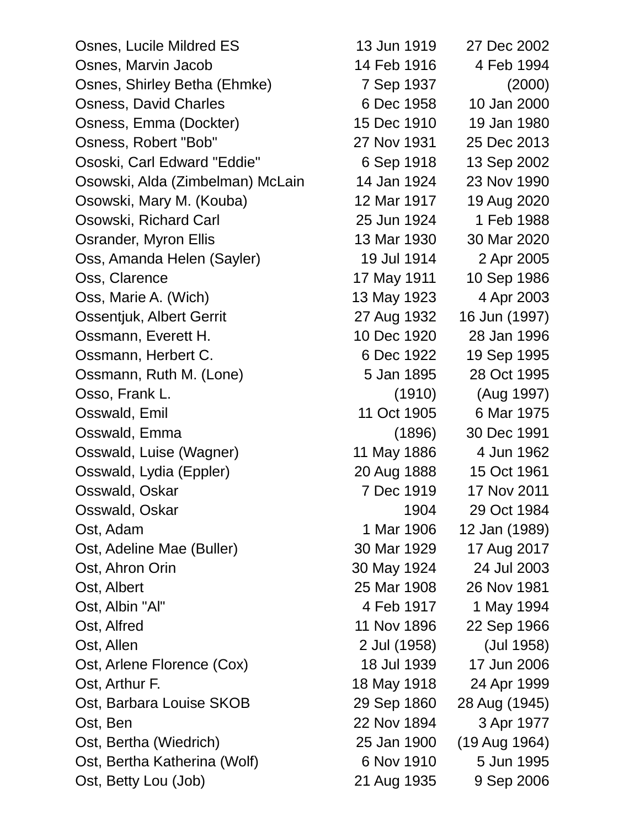Osnes, Lucile Mildred ES 13 Jun 1919 27 Dec 2002 Osnes, Marvin Jacob 14 Feb 1916 4 Feb 1994 Osnes, Shirley Betha (Ehmke) 7 Sep 1937 (2000) Osness, David Charles 6 Dec 1958 10 Jan 2000 Osness, Emma (Dockter) 15 Dec 1910 19 Jan 1980 Osness, Robert "Bob" 27 Nov 1931 25 Dec 2013 Ososki, Carl Edward "Eddie" 6 Sep 1918 13 Sep 2002 Osowski, Alda (Zimbelman) McLain 14 Jan 1924 23 Nov 1990 Osowski, Mary M. (Kouba) 12 Mar 1917 19 Aug 2020 Osowski, Richard Carl 25 Jun 1924 1 Feb 1988 Osrander, Myron Ellis 13 Mar 1930 30 Mar 2020 Oss, Amanda Helen (Sayler) 19 Jul 1914 2 Apr 2005 Oss, Clarence 17 May 1911 10 Sep 1986 Oss, Marie A. (Wich) 13 May 1923 4 Apr 2003 Ossentjuk, Albert Gerrit 27 Aug 1932 16 Jun (1997) Ossmann, Everett H. 10 Dec 1920 28 Jan 1996 Ossmann, Herbert C. 6 Dec 1922 19 Sep 1995 Ossmann, Ruth M. (Lone) 5 Jan 1895 28 Oct 1995 Osso, Frank L. (1910) (Aug 1997) Osswald, Emil 11 Oct 1905 6 Mar 1975 Osswald, Emma (1896) 30 Dec 1991 Osswald, Luise (Wagner) 11 May 1886 4 Jun 1962 Osswald, Lydia (Eppler) 20 Aug 1888 15 Oct 1961 Osswald, Oskar 7 Dec 1919 17 Nov 2011 Osswald, Oskar 1904 29 Oct 1984 Ost, Adam 1906 12 Jan (1989) Ost, Adeline Mae (Buller) 30 Mar 1929 17 Aug 2017 Ost, Ahron Orin 30 May 1924 24 Jul 2003 Ost, Albert 25 Mar 1908 26 Nov 1981 Ost, Albin "Al" 1994 Ost, Alfred 11 Nov 1896 22 Sep 1966 Ost, Allen 2 Jul (1958) (Jul 1958) Ost, Arlene Florence (Cox) 18 Jul 1939 17 Jun 2006 Ost, Arthur F. 18 May 1918 24 Apr 1999 Ost, Barbara Louise SKOB 29 Sep 1860 28 Aug (1945) Ost, Ben 22 Nov 1894 3 Apr 1977 Ost, Bertha (Wiedrich) 25 Jan 1900 (19 Aug 1964) Ost, Bertha Katherina (Wolf) 6 Nov 1910 5 Jun 1995 Ost, Betty Lou (Job) 21 Aug 1935 9 Sep 2006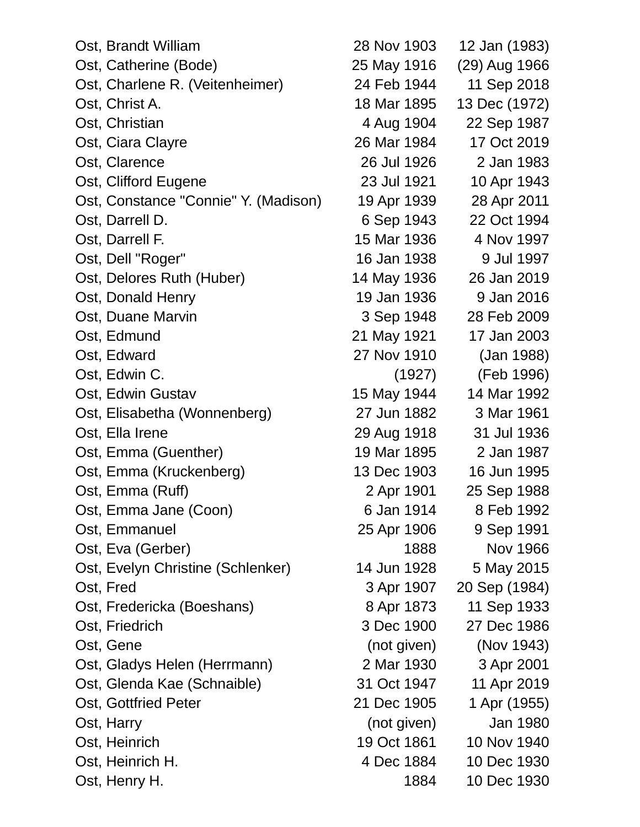| Ost, Brandt William                  | 28 Nov 1903 | 12 Jan (1983) |
|--------------------------------------|-------------|---------------|
| Ost, Catherine (Bode)                | 25 May 1916 | (29) Aug 1966 |
| Ost, Charlene R. (Veitenheimer)      | 24 Feb 1944 | 11 Sep 2018   |
| Ost, Christ A.                       | 18 Mar 1895 | 13 Dec (1972) |
| Ost, Christian                       | 4 Aug 1904  | 22 Sep 1987   |
| Ost, Ciara Clayre                    | 26 Mar 1984 | 17 Oct 2019   |
| Ost, Clarence                        | 26 Jul 1926 | 2 Jan 1983    |
| Ost, Clifford Eugene                 | 23 Jul 1921 | 10 Apr 1943   |
| Ost, Constance "Connie" Y. (Madison) | 19 Apr 1939 | 28 Apr 2011   |
| Ost, Darrell D.                      | 6 Sep 1943  | 22 Oct 1994   |
| Ost, Darrell F.                      | 15 Mar 1936 | 4 Nov 1997    |
| Ost, Dell "Roger"                    | 16 Jan 1938 | 9 Jul 1997    |
| Ost, Delores Ruth (Huber)            | 14 May 1936 | 26 Jan 2019   |
| Ost, Donald Henry                    | 19 Jan 1936 | 9 Jan 2016    |
| Ost, Duane Marvin                    | 3 Sep 1948  | 28 Feb 2009   |
| Ost, Edmund                          | 21 May 1921 | 17 Jan 2003   |
| Ost, Edward                          | 27 Nov 1910 | (Jan 1988)    |
| Ost, Edwin C.                        | (1927)      | (Feb 1996)    |
| Ost, Edwin Gustav                    | 15 May 1944 | 14 Mar 1992   |
| Ost, Elisabetha (Wonnenberg)         | 27 Jun 1882 | 3 Mar 1961    |
| Ost, Ella Irene                      | 29 Aug 1918 | 31 Jul 1936   |
| Ost, Emma (Guenther)                 | 19 Mar 1895 | 2 Jan 1987    |
| Ost, Emma (Kruckenberg)              | 13 Dec 1903 | 16 Jun 1995   |
| Ost, Emma (Ruff)                     | 2 Apr 1901  | 25 Sep 1988   |
| Ost, Emma Jane (Coon)                | 6 Jan 1914  | 8 Feb 1992    |
| Ost, Emmanuel                        | 25 Apr 1906 | 9 Sep 1991    |
| Ost, Eva (Gerber)                    | 1888        | Nov 1966      |
| Ost, Evelyn Christine (Schlenker)    | 14 Jun 1928 | 5 May 2015    |
| Ost, Fred                            | 3 Apr 1907  | 20 Sep (1984) |
| Ost, Fredericka (Boeshans)           | 8 Apr 1873  | 11 Sep 1933   |
| Ost, Friedrich                       | 3 Dec 1900  | 27 Dec 1986   |
| Ost, Gene                            | (not given) | (Nov 1943)    |
| Ost, Gladys Helen (Herrmann)         | 2 Mar 1930  | 3 Apr 2001    |
| Ost, Glenda Kae (Schnaible)          | 31 Oct 1947 | 11 Apr 2019   |
| Ost, Gottfried Peter                 | 21 Dec 1905 | 1 Apr (1955)  |
| Ost, Harry                           | (not given) | Jan 1980      |
| Ost, Heinrich                        | 19 Oct 1861 | 10 Nov 1940   |
| Ost, Heinrich H.                     | 4 Dec 1884  | 10 Dec 1930   |
| Ost, Henry H.                        | 1884        | 10 Dec 1930   |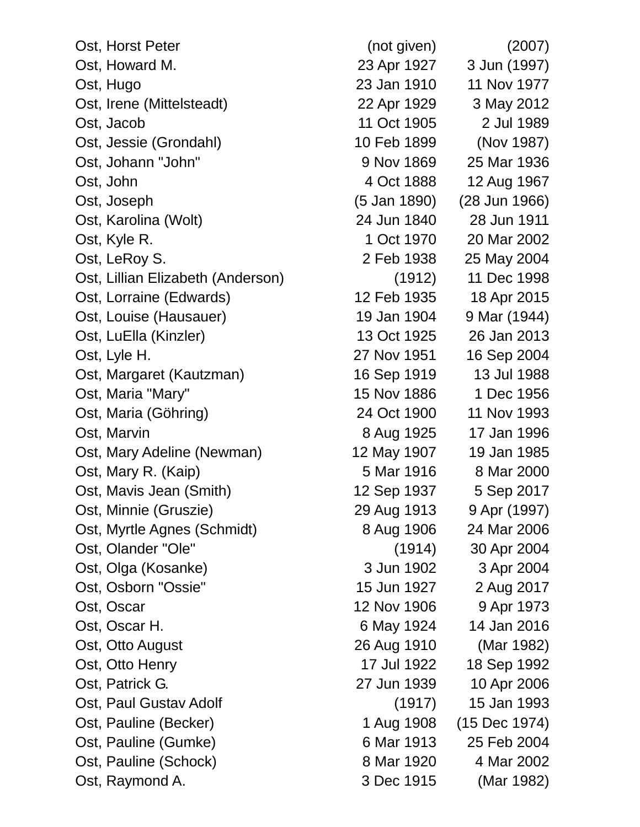| Ost, Horst Peter                  | (not given)  | (2007)        |
|-----------------------------------|--------------|---------------|
| Ost, Howard M.                    | 23 Apr 1927  | 3 Jun (1997)  |
| Ost, Hugo                         | 23 Jan 1910  | 11 Nov 1977   |
| Ost, Irene (Mittelsteadt)         | 22 Apr 1929  | 3 May 2012    |
| Ost, Jacob                        | 11 Oct 1905  | 2 Jul 1989    |
| Ost, Jessie (Grondahl)            | 10 Feb 1899  | (Nov 1987)    |
| Ost, Johann "John"                | 9 Nov 1869   | 25 Mar 1936   |
| Ost, John                         | 4 Oct 1888   | 12 Aug 1967   |
| Ost, Joseph                       | (5 Jan 1890) | (28 Jun 1966) |
| Ost, Karolina (Wolt)              | 24 Jun 1840  | 28 Jun 1911   |
| Ost, Kyle R.                      | 1 Oct 1970   | 20 Mar 2002   |
| Ost, LeRoy S.                     | 2 Feb 1938   | 25 May 2004   |
| Ost, Lillian Elizabeth (Anderson) | (1912)       | 11 Dec 1998   |
| Ost, Lorraine (Edwards)           | 12 Feb 1935  | 18 Apr 2015   |
| Ost, Louise (Hausauer)            | 19 Jan 1904  | 9 Mar (1944)  |
| Ost, LuElla (Kinzler)             | 13 Oct 1925  | 26 Jan 2013   |
| Ost, Lyle H.                      | 27 Nov 1951  | 16 Sep 2004   |
| Ost, Margaret (Kautzman)          | 16 Sep 1919  | 13 Jul 1988   |
| Ost, Maria "Mary"                 | 15 Nov 1886  | 1 Dec 1956    |
| Ost, Maria (Göhring)              | 24 Oct 1900  | 11 Nov 1993   |
| Ost, Marvin                       | 8 Aug 1925   | 17 Jan 1996   |
| Ost, Mary Adeline (Newman)        | 12 May 1907  | 19 Jan 1985   |
| Ost, Mary R. (Kaip)               | 5 Mar 1916   | 8 Mar 2000    |
| Ost, Mavis Jean (Smith)           | 12 Sep 1937  | 5 Sep 2017    |
| Ost, Minnie (Gruszie)             | 29 Aug 1913  | 9 Apr (1997)  |
| Ost, Myrtle Agnes (Schmidt)       | 8 Aug 1906   | 24 Mar 2006   |
| Ost, Olander "Ole"                | (1914)       | 30 Apr 2004   |
| Ost, Olga (Kosanke)               | 3 Jun 1902   | 3 Apr 2004    |
| Ost, Osborn "Ossie"               | 15 Jun 1927  | 2 Aug 2017    |
| Ost, Oscar                        | 12 Nov 1906  | 9 Apr 1973    |
| Ost, Oscar H.                     | 6 May 1924   | 14 Jan 2016   |
| Ost, Otto August                  | 26 Aug 1910  | (Mar 1982)    |
| Ost, Otto Henry                   | 17 Jul 1922  | 18 Sep 1992   |
| Ost, Patrick G.                   | 27 Jun 1939  | 10 Apr 2006   |
| Ost, Paul Gustav Adolf            | (1917)       | 15 Jan 1993   |
| Ost, Pauline (Becker)             | 1 Aug 1908   | (15 Dec 1974) |
| Ost, Pauline (Gumke)              | 6 Mar 1913   | 25 Feb 2004   |
| Ost, Pauline (Schock)             | 8 Mar 1920   | 4 Mar 2002    |
| Ost, Raymond A.                   | 3 Dec 1915   | (Mar 1982)    |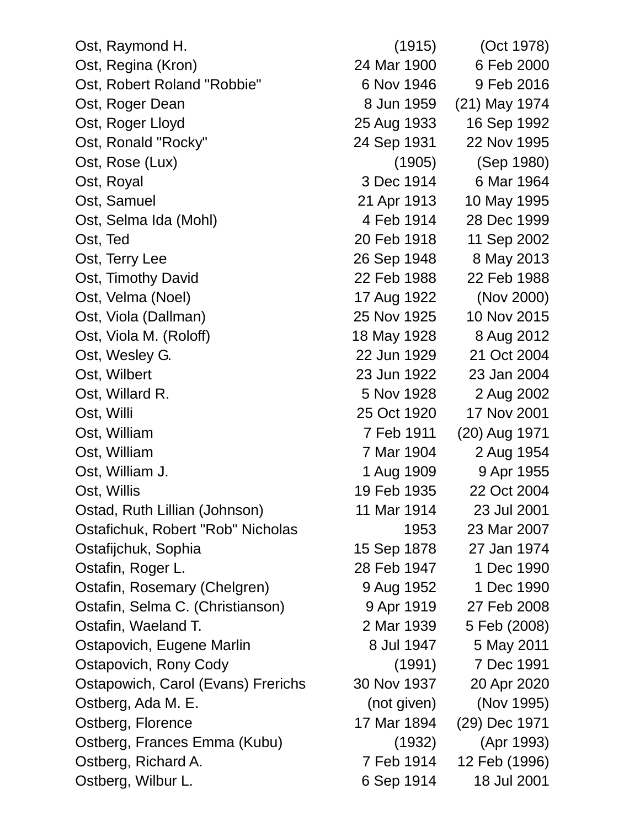| Ost, Raymond H.                    | (1915)      | (Oct 1978)    |
|------------------------------------|-------------|---------------|
| Ost, Regina (Kron)                 | 24 Mar 1900 | 6 Feb 2000    |
| Ost, Robert Roland "Robbie"        | 6 Nov 1946  | 9 Feb 2016    |
| Ost, Roger Dean                    | 8 Jun 1959  | (21) May 1974 |
| Ost, Roger Lloyd                   | 25 Aug 1933 | 16 Sep 1992   |
| Ost, Ronald "Rocky"                | 24 Sep 1931 | 22 Nov 1995   |
| Ost, Rose (Lux)                    | (1905)      | (Sep 1980)    |
| Ost, Royal                         | 3 Dec 1914  | 6 Mar 1964    |
| Ost, Samuel                        | 21 Apr 1913 | 10 May 1995   |
| Ost, Selma Ida (Mohl)              | 4 Feb 1914  | 28 Dec 1999   |
| Ost, Ted                           | 20 Feb 1918 | 11 Sep 2002   |
| Ost, Terry Lee                     | 26 Sep 1948 | 8 May 2013    |
| Ost, Timothy David                 | 22 Feb 1988 | 22 Feb 1988   |
| Ost, Velma (Noel)                  | 17 Aug 1922 | (Nov 2000)    |
| Ost, Viola (Dallman)               | 25 Nov 1925 | 10 Nov 2015   |
| Ost, Viola M. (Roloff)             | 18 May 1928 | 8 Aug 2012    |
| Ost, Wesley G.                     | 22 Jun 1929 | 21 Oct 2004   |
| Ost, Wilbert                       | 23 Jun 1922 | 23 Jan 2004   |
| Ost, Willard R.                    | 5 Nov 1928  | 2 Aug 2002    |
| Ost, Willi                         | 25 Oct 1920 | 17 Nov 2001   |
| Ost, William                       | 7 Feb 1911  | (20) Aug 1971 |
| Ost, William                       | 7 Mar 1904  | 2 Aug 1954    |
| Ost, William J.                    | 1 Aug 1909  | 9 Apr 1955    |
| Ost, Willis                        | 19 Feb 1935 | 22 Oct 2004   |
| Ostad, Ruth Lillian (Johnson)      | 11 Mar 1914 | 23 Jul 2001   |
| Ostafichuk, Robert "Rob" Nicholas  | 1953        | 23 Mar 2007   |
| Ostafijchuk, Sophia                | 15 Sep 1878 | 27 Jan 1974   |
| Ostafin, Roger L.                  | 28 Feb 1947 | 1 Dec 1990    |
| Ostafin, Rosemary (Chelgren)       | 9 Aug 1952  | 1 Dec 1990    |
| Ostafin, Selma C. (Christianson)   | 9 Apr 1919  | 27 Feb 2008   |
| Ostafin, Waeland T.                | 2 Mar 1939  | 5 Feb (2008)  |
| Ostapovich, Eugene Marlin          | 8 Jul 1947  | 5 May 2011    |
| Ostapovich, Rony Cody              | (1991)      | 7 Dec 1991    |
| Ostapowich, Carol (Evans) Frerichs | 30 Nov 1937 | 20 Apr 2020   |
| Ostberg, Ada M. E.                 | (not given) | (Nov 1995)    |
| Ostberg, Florence                  | 17 Mar 1894 | (29) Dec 1971 |
| Ostberg, Frances Emma (Kubu)       | (1932)      | (Apr 1993)    |
| Ostberg, Richard A.                | 7 Feb 1914  | 12 Feb (1996) |
| Ostberg, Wilbur L.                 | 6 Sep 1914  | 18 Jul 2001   |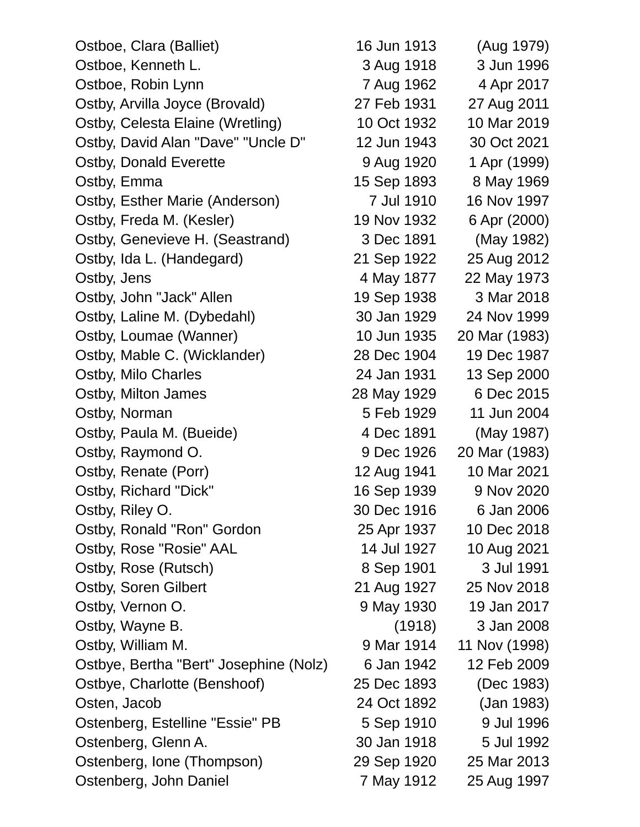Ostboe, Clara (Balliet) 16 Jun 1913 (Aug 1979) Ostboe, Kenneth L. 3 Aug 1918 3 Jun 1996 Ostboe, Robin Lynn 7 Aug 1962 4 Apr 2017 Ostby, Arvilla Joyce (Brovald) 27 Feb 1931 27 Aug 2011 Ostby, Celesta Elaine (Wretling) 10 Oct 1932 10 Mar 2019 Ostby, David Alan "Dave" "Uncle D" 12 Jun 1943 30 Oct 2021 Ostby, Donald Everette 9 Aug 1920 1 Apr (1999) Ostby, Emma 15 Sep 1893 8 May 1969 Ostby, Esther Marie (Anderson) 7 Jul 1910 16 Nov 1997 Ostby, Freda M. (Kesler) 19 Nov 1932 6 Apr (2000) Ostby, Genevieve H. (Seastrand) 3 Dec 1891 (May 1982) Ostby, Ida L. (Handegard) 21 Sep 1922 25 Aug 2012 Ostby, Jens 22 May 1877 22 May 1973 Ostby, John "Jack" Allen 19 Sep 1938 3 Mar 2018 Ostby, Laline M. (Dybedahl) 30 Jan 1929 24 Nov 1999 Ostby, Loumae (Wanner) 10 Jun 1935 20 Mar (1983) Ostby, Mable C. (Wicklander) 28 Dec 1904 19 Dec 1987 Ostby, Milo Charles 24 Jan 1931 13 Sep 2000 Ostby, Milton James 28 May 1929 6 Dec 2015 Ostby, Norman 5 Feb 1929 11 Jun 2004 Ostby, Paula M. (Bueide) 4 Dec 1891 (May 1987) Ostby, Raymond O. 9 Dec 1926 20 Mar (1983) Ostby, Renate (Porr) 12 Aug 1941 10 Mar 2021 Ostby, Richard "Dick" 16 Sep 1939 9 Nov 2020 Ostby, Riley O. 30 Dec 1916 6 Jan 2006 Ostby, Ronald "Ron" Gordon 25 Apr 1937 10 Dec 2018 Ostby, Rose "Rosie" AAL 14 Jul 1927 10 Aug 2021 Ostby, Rose (Rutsch) 8 Sep 1901 3 Jul 1991 Ostby, Soren Gilbert 21 Aug 1927 25 Nov 2018 Ostby, Vernon O. 2008 19 May 1930 19 Jan 2017 Ostby, Wayne B. (1918) 3 Jan 2008 Ostby, William M. 2008 1914 11 Nov (1998) Ostbye, Bertha "Bert" Josephine (Nolz) 6 Jan 1942 12 Feb 2009 Ostbye, Charlotte (Benshoof) 25 Dec 1893 (Dec 1983) Osten, Jacob 24 Oct 1892 (Jan 1983) Ostenberg, Estelline "Essie" PB 5 Sep 1910 9 Jul 1996 Ostenberg, Glenn A. 30 Jan 1918 5 Jul 1992 Ostenberg, Ione (Thompson) 29 Sep 1920 25 Mar 2013 Ostenberg, John Daniel 7 May 1912 25 Aug 1997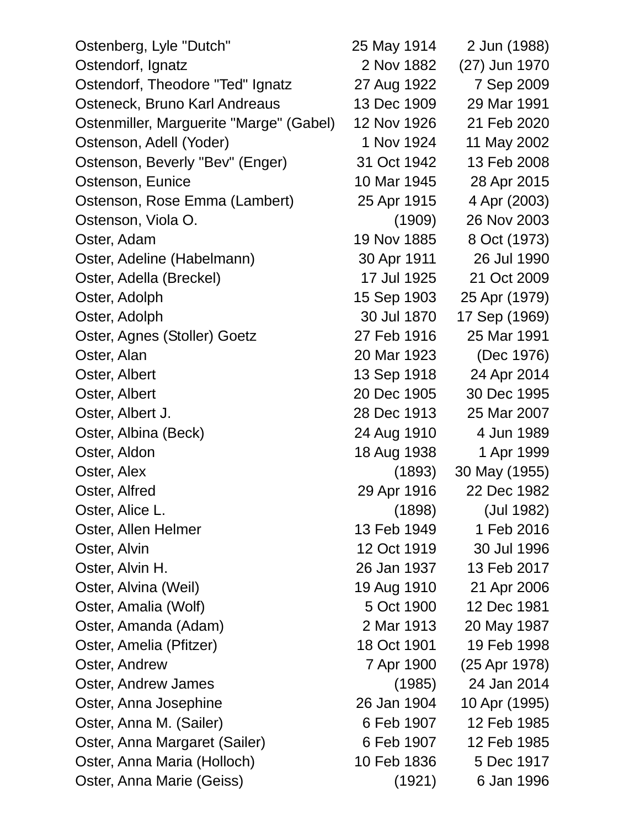| Ostenberg, Lyle "Dutch"                 | 25 May 1914 | 2 Jun (1988)  |
|-----------------------------------------|-------------|---------------|
| Ostendorf, Ignatz                       | 2 Nov 1882  | (27) Jun 1970 |
| Ostendorf, Theodore "Ted" Ignatz        | 27 Aug 1922 | 7 Sep 2009    |
| Osteneck, Bruno Karl Andreaus           | 13 Dec 1909 | 29 Mar 1991   |
| Ostenmiller, Marguerite "Marge" (Gabel) | 12 Nov 1926 | 21 Feb 2020   |
| Ostenson, Adell (Yoder)                 | 1 Nov 1924  | 11 May 2002   |
| Ostenson, Beverly "Bev" (Enger)         | 31 Oct 1942 | 13 Feb 2008   |
| Ostenson, Eunice                        | 10 Mar 1945 | 28 Apr 2015   |
| Ostenson, Rose Emma (Lambert)           | 25 Apr 1915 | 4 Apr (2003)  |
| Ostenson, Viola O.                      | (1909)      | 26 Nov 2003   |
| Oster, Adam                             | 19 Nov 1885 | 8 Oct (1973)  |
| Oster, Adeline (Habelmann)              | 30 Apr 1911 | 26 Jul 1990   |
| Oster, Adella (Breckel)                 | 17 Jul 1925 | 21 Oct 2009   |
| Oster, Adolph                           | 15 Sep 1903 | 25 Apr (1979) |
| Oster, Adolph                           | 30 Jul 1870 | 17 Sep (1969) |
| Oster, Agnes (Stoller) Goetz            | 27 Feb 1916 | 25 Mar 1991   |
| Oster, Alan                             | 20 Mar 1923 | (Dec 1976)    |
| Oster, Albert                           | 13 Sep 1918 | 24 Apr 2014   |
| Oster, Albert                           | 20 Dec 1905 | 30 Dec 1995   |
| Oster, Albert J.                        | 28 Dec 1913 | 25 Mar 2007   |
| Oster, Albina (Beck)                    | 24 Aug 1910 | 4 Jun 1989    |
| Oster, Aldon                            | 18 Aug 1938 | 1 Apr 1999    |
| Oster, Alex                             | (1893)      | 30 May (1955) |
| Oster, Alfred                           | 29 Apr 1916 | 22 Dec 1982   |
| Oster, Alice L.                         | (1898)      | (Jul 1982)    |
| Oster, Allen Helmer                     | 13 Feb 1949 | 1 Feb 2016    |
| Oster, Alvin                            | 12 Oct 1919 | 30 Jul 1996   |
| Oster, Alvin H.                         | 26 Jan 1937 | 13 Feb 2017   |
| Oster, Alvina (Weil)                    | 19 Aug 1910 | 21 Apr 2006   |
| Oster, Amalia (Wolf)                    | 5 Oct 1900  | 12 Dec 1981   |
| Oster, Amanda (Adam)                    | 2 Mar 1913  | 20 May 1987   |
| Oster, Amelia (Pfitzer)                 | 18 Oct 1901 | 19 Feb 1998   |
| Oster, Andrew                           | 7 Apr 1900  | (25 Apr 1978) |
| Oster, Andrew James                     | (1985)      | 24 Jan 2014   |
| Oster, Anna Josephine                   | 26 Jan 1904 | 10 Apr (1995) |
| Oster, Anna M. (Sailer)                 | 6 Feb 1907  | 12 Feb 1985   |
| Oster, Anna Margaret (Sailer)           | 6 Feb 1907  | 12 Feb 1985   |
| Oster, Anna Maria (Holloch)             | 10 Feb 1836 | 5 Dec 1917    |
| Oster, Anna Marie (Geiss)               | (1921)      | 6 Jan 1996    |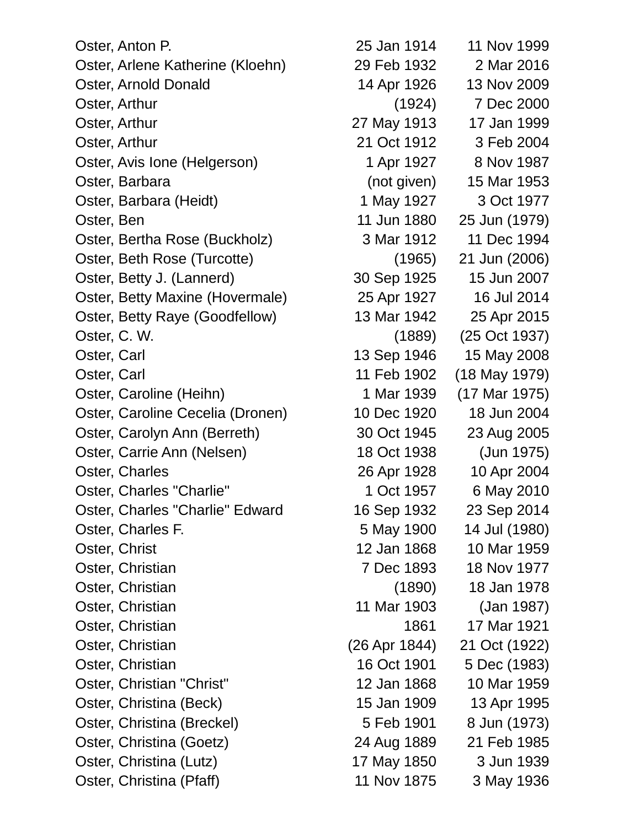Oster, Anton P. 25 Jan 1914 11 Nov 1999 Oster, Arlene Katherine (Kloehn) 29 Feb 1932 2 Mar 2016 Oster, Arnold Donald 14 Apr 1926 13 Nov 2009 Oster, Arthur (1924) 7 Dec 2000 Oster, Arthur 27 May 1913 17 Jan 1999 Oster, Arthur 21 Oct 1912 3 Feb 2004 Oster, Avis Ione (Helgerson) 1 Apr 1927 8 Nov 1987 Oster, Barbara (not given) 15 Mar 1953 Oster, Barbara (Heidt) 1 May 1927 3 Oct 1977 Oster, Ben 11 Jun 1880 25 Jun (1979) Oster, Bertha Rose (Buckholz) 3 Mar 1912 11 Dec 1994 Oster, Beth Rose (Turcotte) (1965) 21 Jun (2006) Oster, Betty J. (Lannerd) 30 Sep 1925 15 Jun 2007 Oster, Betty Maxine (Hovermale) 25 Apr 1927 16 Jul 2014 Oster, Betty Raye (Goodfellow) 13 Mar 1942 25 Apr 2015 Oster, C. W. (1889) (25 Oct 1937) Oster, Carl **13 Sep 1946** 15 May 2008 Oster, Carl 11 Feb 1902 (18 May 1979) Oster, Caroline (Heihn) 1 Mar 1939 (17 Mar 1975) Oster, Caroline Cecelia (Dronen) 10 Dec 1920 18 Jun 2004 Oster, Carolyn Ann (Berreth) 30 Oct 1945 23 Aug 2005 Oster, Carrie Ann (Nelsen) 18 Oct 1938 (Jun 1975) Oster, Charles 26 Apr 1928 10 Apr 2004 Oster, Charles "Charlie" 1 Oct 1957 6 May 2010 Oster, Charles "Charlie" Edward 16 Sep 1932 23 Sep 2014 Oster, Charles F. 5 May 1900 14 Jul (1980) Oster, Christ 12 Jan 1868 10 Mar 1959 Oster, Christian 7 Dec 1893 18 Nov 1977 Oster, Christian (1890) 18 Jan 1978 Oster, Christian 11 Mar 1903 (Jan 1987) Oster, Christian 1861 17 Mar 1921 Oster, Christian (26 Apr 1844) 21 Oct (1922) Oster, Christian 16 Oct 1901 5 Dec (1983) Oster, Christian "Christ" 12 Jan 1868 10 Mar 1959 Oster, Christina (Beck) 15 Jan 1909 13 Apr 1995 Oster, Christina (Breckel) 6 Feb 1901 8 Jun (1973) Oster, Christina (Goetz) 24 Aug 1889 21 Feb 1985 Oster, Christina (Lutz) 17 May 1850 3 Jun 1939

Oster, Christina (Pfaff) 11 Nov 1875 3 May 1936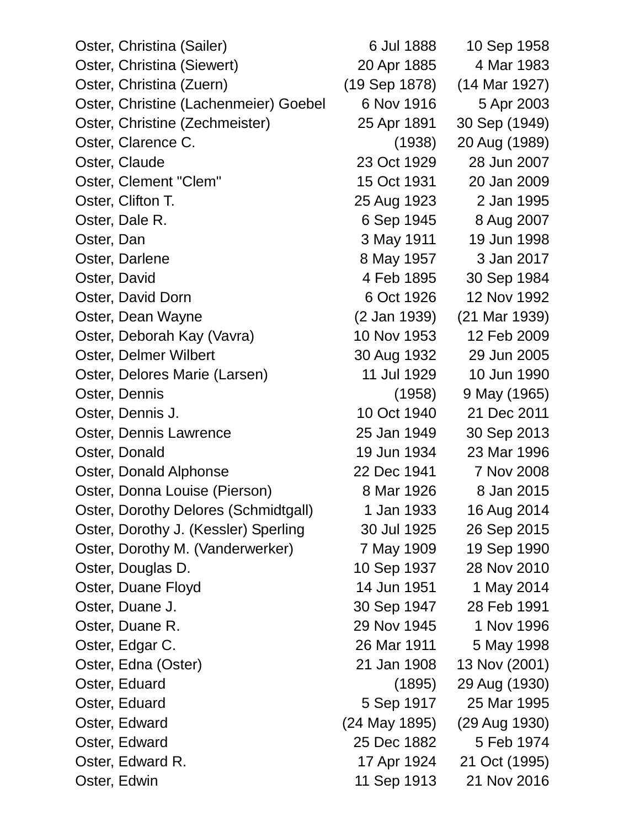| Oster, Christina (Sailer)             | 6 Jul 1888    | 10 Sep 1958   |
|---------------------------------------|---------------|---------------|
| Oster, Christina (Siewert)            | 20 Apr 1885   | 4 Mar 1983    |
| Oster, Christina (Zuern)              | (19 Sep 1878) | (14 Mar 1927) |
| Oster, Christine (Lachenmeier) Goebel | 6 Nov 1916    | 5 Apr 2003    |
| Oster, Christine (Zechmeister)        | 25 Apr 1891   | 30 Sep (1949) |
| Oster, Clarence C.                    | (1938)        | 20 Aug (1989) |
| Oster, Claude                         | 23 Oct 1929   | 28 Jun 2007   |
| Oster, Clement "Clem"                 | 15 Oct 1931   | 20 Jan 2009   |
| Oster, Clifton T.                     | 25 Aug 1923   | 2 Jan 1995    |
| Oster, Dale R.                        | 6 Sep 1945    | 8 Aug 2007    |
| Oster, Dan                            | 3 May 1911    | 19 Jun 1998   |
| Oster, Darlene                        | 8 May 1957    | 3 Jan 2017    |
| Oster, David                          | 4 Feb 1895    | 30 Sep 1984   |
| Oster, David Dorn                     | 6 Oct 1926    | 12 Nov 1992   |
| Oster, Dean Wayne                     | (2 Jan 1939)  | (21 Mar 1939) |
| Oster, Deborah Kay (Vavra)            | 10 Nov 1953   | 12 Feb 2009   |
| Oster, Delmer Wilbert                 | 30 Aug 1932   | 29 Jun 2005   |
| Oster, Delores Marie (Larsen)         | 11 Jul 1929   | 10 Jun 1990   |
| Oster, Dennis                         | (1958)        | 9 May (1965)  |
| Oster, Dennis J.                      | 10 Oct 1940   | 21 Dec 2011   |
| Oster, Dennis Lawrence                | 25 Jan 1949   | 30 Sep 2013   |
| Oster, Donald                         | 19 Jun 1934   | 23 Mar 1996   |
| Oster, Donald Alphonse                | 22 Dec 1941   | 7 Nov 2008    |
| Oster, Donna Louise (Pierson)         | 8 Mar 1926    | 8 Jan 2015    |
| Oster, Dorothy Delores (Schmidtgall)  | 1 Jan 1933    | 16 Aug 2014   |
| Oster, Dorothy J. (Kessler) Sperling  | 30 Jul 1925   | 26 Sep 2015   |
| Oster, Dorothy M. (Vanderwerker)      | 7 May 1909    | 19 Sep 1990   |
| Oster, Douglas D.                     | 10 Sep 1937   | 28 Nov 2010   |
| Oster, Duane Floyd                    | 14 Jun 1951   | 1 May 2014    |
| Oster, Duane J.                       | 30 Sep 1947   | 28 Feb 1991   |
| Oster, Duane R.                       | 29 Nov 1945   | 1 Nov 1996    |
| Oster, Edgar C.                       | 26 Mar 1911   | 5 May 1998    |
| Oster, Edna (Oster)                   | 21 Jan 1908   | 13 Nov (2001) |
| Oster, Eduard                         | (1895)        | 29 Aug (1930) |
| Oster, Eduard                         | 5 Sep 1917    | 25 Mar 1995   |
| Oster, Edward                         | (24 May 1895) | (29 Aug 1930) |
| Oster, Edward                         | 25 Dec 1882   | 5 Feb 1974    |
| Oster, Edward R.                      | 17 Apr 1924   | 21 Oct (1995) |
| Oster, Edwin                          | 11 Sep 1913   | 21 Nov 2016   |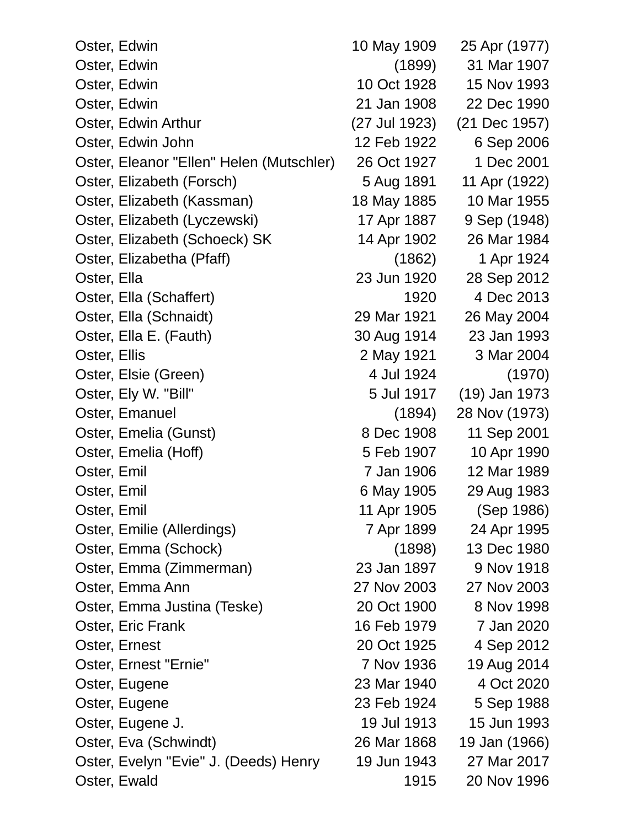| Oster, Edwin                             | 10 May 1909   | 25 Apr (1977)   |
|------------------------------------------|---------------|-----------------|
| Oster, Edwin                             | (1899)        | 31 Mar 1907     |
| Oster, Edwin                             | 10 Oct 1928   | 15 Nov 1993     |
| Oster, Edwin                             | 21 Jan 1908   | 22 Dec 1990     |
| Oster, Edwin Arthur                      | (27 Jul 1923) | (21 Dec 1957)   |
| Oster, Edwin John                        | 12 Feb 1922   | 6 Sep 2006      |
| Oster, Eleanor "Ellen" Helen (Mutschler) | 26 Oct 1927   | 1 Dec 2001      |
| Oster, Elizabeth (Forsch)                | 5 Aug 1891    | 11 Apr (1922)   |
| Oster, Elizabeth (Kassman)               | 18 May 1885   | 10 Mar 1955     |
| Oster, Elizabeth (Lyczewski)             | 17 Apr 1887   | 9 Sep (1948)    |
| Oster, Elizabeth (Schoeck) SK            | 14 Apr 1902   | 26 Mar 1984     |
| Oster, Elizabetha (Pfaff)                | (1862)        | 1 Apr 1924      |
| Oster, Ella                              | 23 Jun 1920   | 28 Sep 2012     |
| Oster, Ella (Schaffert)                  | 1920          | 4 Dec 2013      |
| Oster, Ella (Schnaidt)                   | 29 Mar 1921   | 26 May 2004     |
| Oster, Ella E. (Fauth)                   | 30 Aug 1914   | 23 Jan 1993     |
| Oster, Ellis                             | 2 May 1921    | 3 Mar 2004      |
| Oster, Elsie (Green)                     | 4 Jul 1924    | (1970)          |
| Oster, Ely W. "Bill"                     | 5 Jul 1917    | $(19)$ Jan 1973 |
| Oster, Emanuel                           | (1894)        | 28 Nov (1973)   |
| Oster, Emelia (Gunst)                    | 8 Dec 1908    | 11 Sep 2001     |
| Oster, Emelia (Hoff)                     | 5 Feb 1907    | 10 Apr 1990     |
| Oster, Emil                              | 7 Jan 1906    | 12 Mar 1989     |
| Oster, Emil                              | 6 May 1905    | 29 Aug 1983     |
| Oster, Emil                              | 11 Apr 1905   | (Sep 1986)      |
| Oster, Emilie (Allerdings)               | 7 Apr 1899    | 24 Apr 1995     |
| Oster, Emma (Schock)                     | (1898)        | 13 Dec 1980     |
| Oster, Emma (Zimmerman)                  | 23 Jan 1897   | 9 Nov 1918      |
| Oster, Emma Ann                          | 27 Nov 2003   | 27 Nov 2003     |
| Oster, Emma Justina (Teske)              | 20 Oct 1900   | 8 Nov 1998      |
| Oster, Eric Frank                        | 16 Feb 1979   | 7 Jan 2020      |
| Oster, Ernest                            | 20 Oct 1925   | 4 Sep 2012      |
| Oster, Ernest "Ernie"                    | 7 Nov 1936    | 19 Aug 2014     |
| Oster, Eugene                            | 23 Mar 1940   | 4 Oct 2020      |
| Oster, Eugene                            | 23 Feb 1924   | 5 Sep 1988      |
| Oster, Eugene J.                         | 19 Jul 1913   | 15 Jun 1993     |
| Oster, Eva (Schwindt)                    | 26 Mar 1868   | 19 Jan (1966)   |
| Oster, Evelyn "Evie" J. (Deeds) Henry    | 19 Jun 1943   | 27 Mar 2017     |
| Oster, Ewald                             | 1915          | 20 Nov 1996     |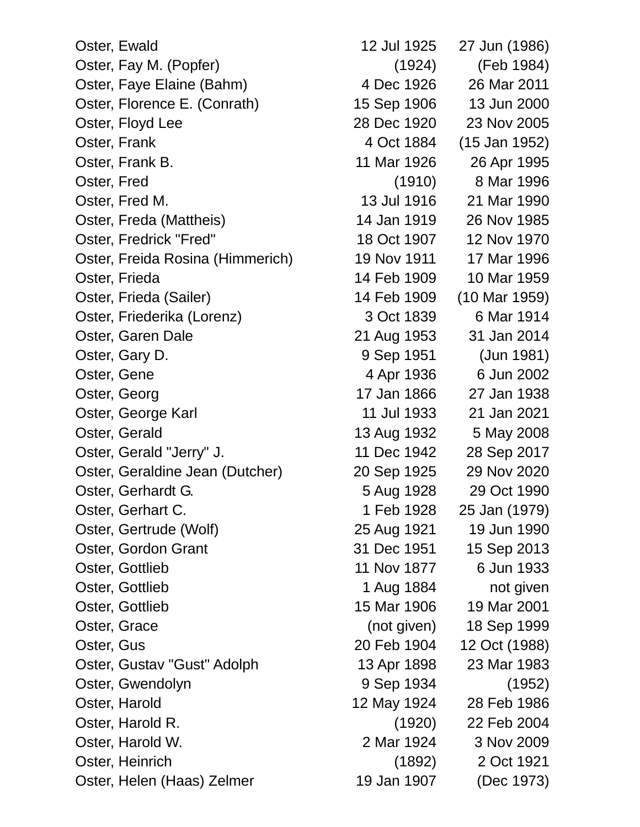Oster, Ewald 12 Jul 1925 27 Jun (1986) Oster, Fay M. (Popfer) (1924) (Feb 1984) Oster, Faye Elaine (Bahm) 4 Dec 1926 26 Mar 2011 Oster, Florence E. (Conrath) 15 Sep 1906 13 Jun 2000 Oster, Floyd Lee 28 Dec 1920 23 Nov 2005 Oster, Frank 1952) Oster, Frank B. 11 Mar 1926 26 Apr 1995 Oster, Fred (1910) 8 Mar 1996 Oster, Fred M. 13 Jul 1916 21 Mar 1990 Oster, Freda (Mattheis) 14 Jan 1919 26 Nov 1985 Oster, Fredrick "Fred" 18 Oct 1907 12 Nov 1970 Oster, Freida Rosina (Himmerich) 19 Nov 1911 17 Mar 1996 Oster, Frieda 14 Feb 1909 10 Mar 1959 Oster, Frieda (Sailer) 14 Feb 1909 (10 Mar 1959) Oster, Friederika (Lorenz) 3 Oct 1839 6 Mar 1914 Oster, Garen Dale 21 Aug 1953 31 Jan 2014 Oster, Gary D. 3. 1992 1951 1951 1981) Oster, Gene 1936 6 Jun 2002 Oster, Georg 17 Jan 1866 27 Jan 1938 Oster, George Karl 11 Jul 1933 21 Jan 2021 Oster, Gerald 13 Aug 1932 5 May 2008 Oster, Gerald "Jerry" J. 11 Dec 1942 28 Sep 2017 Oster, Geraldine Jean (Dutcher) 20 Sep 1925 29 Nov 2020 Oster, Gerhardt G. 5 Aug 1928 29 Oct 1990 Oster, Gerhart C. 1 Feb 1928 25 Jan (1979) Oster, Gertrude (Wolf) 25 Aug 1921 19 Jun 1990 Oster, Gordon Grant 31 Dec 1951 15 Sep 2013 Oster, Gottlieb 11 Nov 1877 6 Jun 1933 Oster, Gottlieb 1 Aug 1884 not given Oster, Gottlieb 15 Mar 1906 19 Mar 2001 Oster, Grace (not given) 18 Sep 1999 Oster, Gus 20 Feb 1904 12 Oct (1988) Oster, Gustav "Gust" Adolph 13 Apr 1898 23 Mar 1983 Oster, Gwendolyn 9 Sep 1934 (1952) Oster, Harold 12 May 1924 28 Feb 1986 Oster, Harold R. (1920) 22 Feb 2004 Oster, Harold W. 2 Mar 1924 3 Nov 2009 Oster, Heinrich (1892) 2 Oct 1921 Oster, Helen (Haas) Zelmer 19 Jan 1907 (Dec 1973)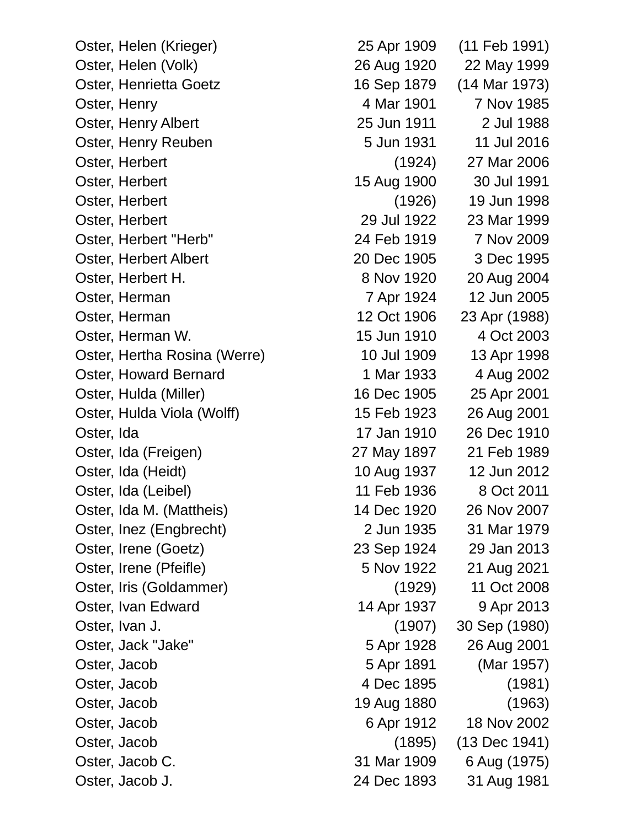Oster, Helen (Krieger) 25 Apr 1909 (11 Feb 1991) Oster, Helen (Volk) 26 Aug 1920 22 May 1999 Oster, Henrietta Goetz 16 Sep 1879 (14 Mar 1973) Oster, Henry 2001 2004 Mar 1901 2 Nov 1985 Oster, Henry Albert 25 Jun 1911 2 Jul 1988 Oster, Henry Reuben 5 Jun 1931 11 Jul 2016 Oster, Herbert (1924) 27 Mar 2006 Oster, Herbert 15 Aug 1900 30 Jul 1991 Oster, Herbert (1926) 19 Jun 1998 Oster, Herbert 29 Jul 1922 23 Mar 1999 Oster, Herbert "Herb" 24 Feb 1919 7 Nov 2009 Oster, Herbert Albert 20 Dec 1905 3 Dec 1995 Oster, Herbert H. 8 Nov 1920 20 Aug 2004 Oster, Herman 7 Apr 1924 12 Jun 2005 Oster, Herman 12 Oct 1906 23 Apr (1988) Oster, Herman W. 15 Jun 1910 4 Oct 2003 Oster, Hertha Rosina (Werre) 10 Jul 1909 13 Apr 1998 Oster, Howard Bernard 1 Mar 1933 4 Aug 2002 Oster, Hulda (Miller) 16 Dec 1905 25 Apr 2001 Oster, Hulda Viola (Wolff) 15 Feb 1923 26 Aug 2001 Oster, Ida 17 Jan 1910 26 Dec 1910 Oster, Ida (Freigen) 27 May 1897 21 Feb 1989 Oster, Ida (Heidt) 10 Aug 1937 12 Jun 2012 Oster, Ida (Leibel) 11 Feb 1936 8 Oct 2011 Oster, Ida M. (Mattheis) 14 Dec 1920 26 Nov 2007 Oster, Inez (Engbrecht) 2 Jun 1935 31 Mar 1979 Oster, Irene (Goetz) 23 Sep 1924 29 Jan 2013 Oster, Irene (Pfeifle) 5 Nov 1922 21 Aug 2021 Oster, Iris (Goldammer) (1929) 11 Oct 2008 Oster, Ivan Edward 14 Apr 1937 9 Apr 2013 Oster, Ivan J. (1907) 30 Sep (1980) Oster, Jack "Jake" 5 Apr 1928 26 Aug 2001 Oster, Jacob 5 Apr 1891 (Mar 1957) Oster, Jacob 4 Dec 1895 (1981) Oster, Jacob 19 Aug 1880 (1963) Oster, Jacob 6 Apr 1912 18 Nov 2002 Oster, Jacob (1895) (13 Dec 1941) Oster, Jacob C. 31 Mar 1909 6 Aug (1975) Oster, Jacob J. 24 Dec 1893 31 Aug 1981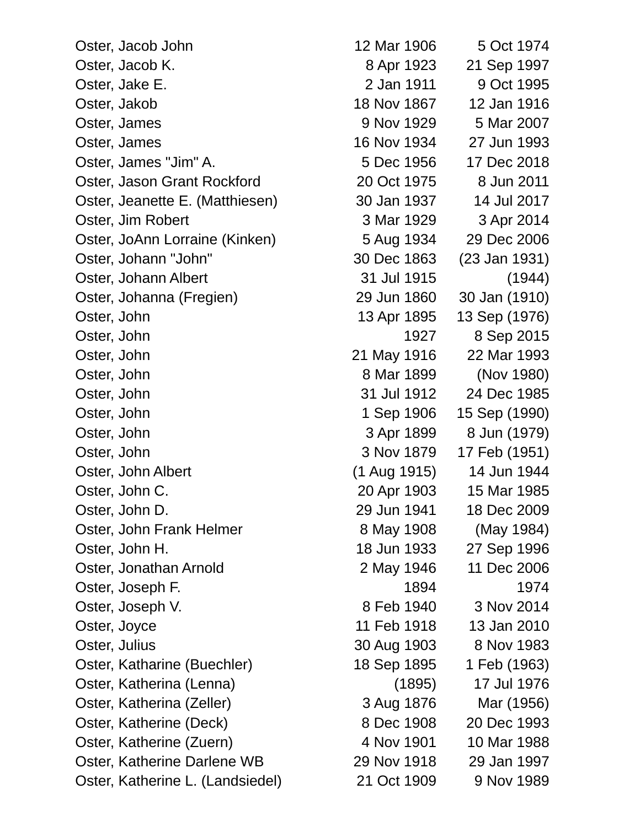Oster, Jacob John 12 Mar 1906 5 Oct 1974 Oster, Jacob K. 68 Apr 1923 21 Sep 1997 Oster, Jake E. 2 Jan 1911 9 Oct 1995 Oster, Jakob 18 Nov 1867 12 Jan 1916 Oster, James 8 Nov 1929 5 Mar 2007 Oster, James 16 Nov 1934 27 Jun 1993 Oster, James "Jim" A. 5 Dec 1956 17 Dec 2018 Oster, Jason Grant Rockford 20 Oct 1975 8 Jun 2011 Oster, Jeanette E. (Matthiesen) 30 Jan 1937 14 Jul 2017 Oster, Jim Robert 3 Mar 1929 3 Apr 2014 Oster, JoAnn Lorraine (Kinken) 5 Aug 1934 29 Dec 2006 Oster, Johann "John" 30 Dec 1863 (23 Jan 1931) Oster, Johann Albert 31 Jul 1915 (1944) Oster, Johanna (Fregien) 29 Jun 1860 30 Jan (1910) Oster, John 13 Apr 1895 13 Sep (1976) Oster, John 1927 8 Sep 2015 Oster, John 21 May 1916 22 Mar 1993 Oster, John 8 Mar 1899 (Nov 1980) Oster, John 31 Jul 1912 24 Dec 1985 Oster, John 1 Sep 1906 15 Sep (1990) Oster, John 3 Apr 1899 8 Jun (1979) Oster, John 3 Nov 1879 17 Feb (1951) Oster, John Albert (1 Aug 1915) 14 Jun 1944 Oster, John C. 20 Apr 1903 15 Mar 1985 Oster, John D. 29 Jun 1941 18 Dec 2009 Oster, John Frank Helmer 8 May 1908 (May 1984) Oster, John H. 18 Jun 1933 27 Sep 1996 Oster, Jonathan Arnold 2 May 1946 11 Dec 2006 Oster, Joseph F. 2006 1894 1974 Oster, Joseph V. 2014 Oster, Joyce 11 Feb 1918 13 Jan 2010 Oster, Julius 30 Aug 1903 8 Nov 1983 Oster, Katharine (Buechler) 18 Sep 1895 1 Feb (1963) Oster, Katherina (Lenna) (1895) 17 Jul 1976 Oster, Katherina (Zeller) 3 Aug 1876 Mar (1956) Oster, Katherine (Deck) 8 Dec 1908 20 Dec 1993 Oster, Katherine (Zuern) 4 Nov 1901 10 Mar 1988 Oster, Katherine Darlene WB 29 Nov 1918 29 Jan 1997 Oster, Katherine L. (Landsiedel) 21 Oct 1909 9 Nov 1989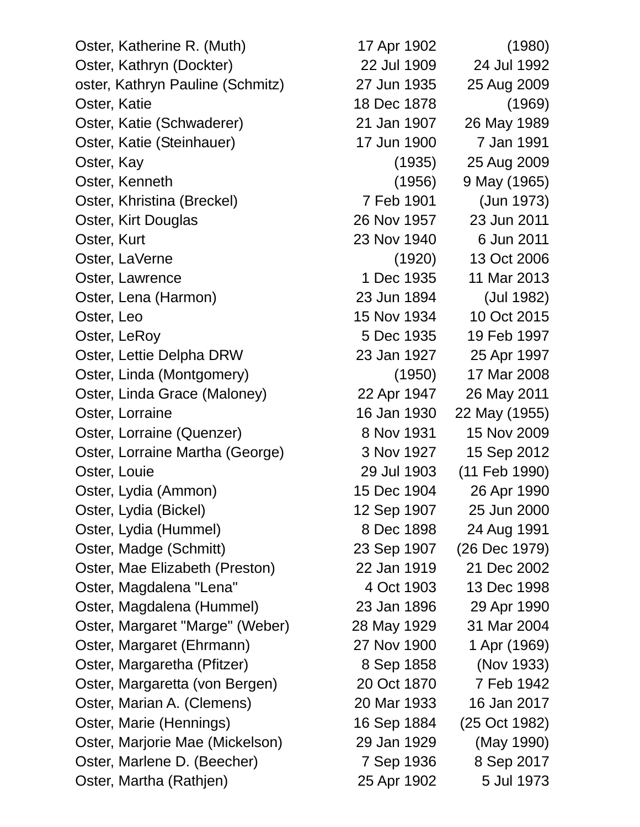Oster, Katherine R. (Muth) 17 Apr 1902 (1980) Oster, Kathryn (Dockter) 22 Jul 1909 24 Jul 1992 oster, Kathryn Pauline (Schmitz) 27 Jun 1935 25 Aug 2009 Oster, Katie 1878 (1969) Oster, Katie (Schwaderer) 21 Jan 1907 26 May 1989 Oster, Katie (Steinhauer) 17 Jun 1900 7 Jan 1991 Oster, Kay (1935) 25 Aug 2009 Oster, Kenneth (1956) 9 May (1965) Oster, Khristina (Breckel) 7 Feb 1901 (Jun 1973) Oster, Kirt Douglas 26 Nov 1957 23 Jun 2011 Oster, Kurt 23 Nov 1940 6 Jun 2011 Oster, LaVerne (1920) 13 Oct 2006 Oster, Lawrence 1 Dec 1935 11 Mar 2013 Oster, Lena (Harmon) 23 Jun 1894 (Jul 1982) Oster, Leo 15 Nov 1934 10 Oct 2015 Oster, LeRoy 6 Dec 1935 19 Feb 1997 Oster, Lettie Delpha DRW 23 Jan 1927 25 Apr 1997 Oster, Linda (Montgomery) (1950) 17 Mar 2008 Oster, Linda Grace (Maloney) 22 Apr 1947 26 May 2011 Oster, Lorraine 16 Jan 1930 22 May (1955) Oster, Lorraine (Quenzer) 8 Nov 1931 15 Nov 2009 Oster, Lorraine Martha (George) 3 Nov 1927 15 Sep 2012 Oster, Louie 29 Jul 1903 (11 Feb 1990) Oster, Lydia (Ammon) 15 Dec 1904 26 Apr 1990 Oster, Lydia (Bickel) 12 Sep 1907 25 Jun 2000 Oster, Lydia (Hummel) 8 Dec 1898 24 Aug 1991 Oster, Madge (Schmitt) 23 Sep 1907 (26 Dec 1979) Oster, Mae Elizabeth (Preston) 22 Jan 1919 21 Dec 2002 Oster, Magdalena "Lena" 13 Dec 1998 Oster, Magdalena (Hummel) 23 Jan 1896 29 Apr 1990 Oster, Margaret "Marge" (Weber) 28 May 1929 31 Mar 2004 Oster, Margaret (Ehrmann) 27 Nov 1900 1 Apr (1969) Oster, Margaretha (Pfitzer) 8 Sep 1858 (Nov 1933) Oster, Margaretta (von Bergen) 20 Oct 1870 7 Feb 1942 Oster, Marian A. (Clemens) 20 Mar 1933 16 Jan 2017 Oster, Marie (Hennings) 16 Sep 1884 (25 Oct 1982) Oster, Marjorie Mae (Mickelson) 29 Jan 1929 (May 1990) Oster, Marlene D. (Beecher) 7 Sep 1936 8 Sep 2017

Oster, Martha (Rathjen) 25 Apr 1902 5 Jul 1973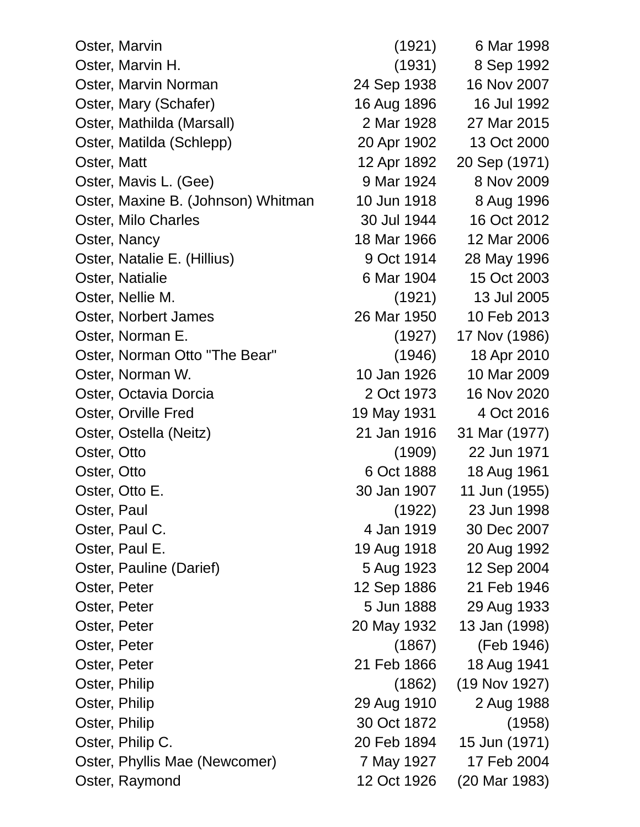| Oster, Marvin                      | (1921)      | 6 Mar 1998    |
|------------------------------------|-------------|---------------|
| Oster, Marvin H.                   | (1931)      | 8 Sep 1992    |
| Oster, Marvin Norman               | 24 Sep 1938 | 16 Nov 2007   |
| Oster, Mary (Schafer)              | 16 Aug 1896 | 16 Jul 1992   |
| Oster, Mathilda (Marsall)          | 2 Mar 1928  | 27 Mar 2015   |
| Oster, Matilda (Schlepp)           | 20 Apr 1902 | 13 Oct 2000   |
| Oster, Matt                        | 12 Apr 1892 | 20 Sep (1971) |
| Oster, Mavis L. (Gee)              | 9 Mar 1924  | 8 Nov 2009    |
| Oster, Maxine B. (Johnson) Whitman | 10 Jun 1918 | 8 Aug 1996    |
| Oster, Milo Charles                | 30 Jul 1944 | 16 Oct 2012   |
| Oster, Nancy                       | 18 Mar 1966 | 12 Mar 2006   |
| Oster, Natalie E. (Hillius)        | 9 Oct 1914  | 28 May 1996   |
| Oster, Natialie                    | 6 Mar 1904  | 15 Oct 2003   |
| Oster, Nellie M.                   | (1921)      | 13 Jul 2005   |
| Oster, Norbert James               | 26 Mar 1950 | 10 Feb 2013   |
| Oster, Norman E.                   | (1927)      | 17 Nov (1986) |
| Oster, Norman Otto "The Bear"      | (1946)      | 18 Apr 2010   |
| Oster, Norman W.                   | 10 Jan 1926 | 10 Mar 2009   |
| Oster, Octavia Dorcia              | 2 Oct 1973  | 16 Nov 2020   |
| Oster, Orville Fred                | 19 May 1931 | 4 Oct 2016    |
| Oster, Ostella (Neitz)             | 21 Jan 1916 | 31 Mar (1977) |
| Oster, Otto                        | (1909)      | 22 Jun 1971   |
| Oster, Otto                        | 6 Oct 1888  | 18 Aug 1961   |
| Oster, Otto E.                     | 30 Jan 1907 | 11 Jun (1955) |
| Oster, Paul                        | (1922)      | 23 Jun 1998   |
| Oster, Paul C.                     | 4 Jan 1919  | 30 Dec 2007   |
| Oster, Paul E.                     | 19 Aug 1918 | 20 Aug 1992   |
| Oster, Pauline (Darief)            | 5 Aug 1923  | 12 Sep 2004   |
| Oster, Peter                       | 12 Sep 1886 | 21 Feb 1946   |
| Oster, Peter                       | 5 Jun 1888  | 29 Aug 1933   |
| Oster, Peter                       | 20 May 1932 | 13 Jan (1998) |
| Oster, Peter                       | (1867)      | (Feb 1946)    |
| Oster, Peter                       | 21 Feb 1866 | 18 Aug 1941   |
| Oster, Philip                      | (1862)      | (19 Nov 1927) |
| Oster, Philip                      | 29 Aug 1910 | 2 Aug 1988    |
| Oster, Philip                      | 30 Oct 1872 | (1958)        |
| Oster, Philip C.                   | 20 Feb 1894 | 15 Jun (1971) |
| Oster, Phyllis Mae (Newcomer)      | 7 May 1927  | 17 Feb 2004   |
| Oster, Raymond                     | 12 Oct 1926 | (20 Mar 1983) |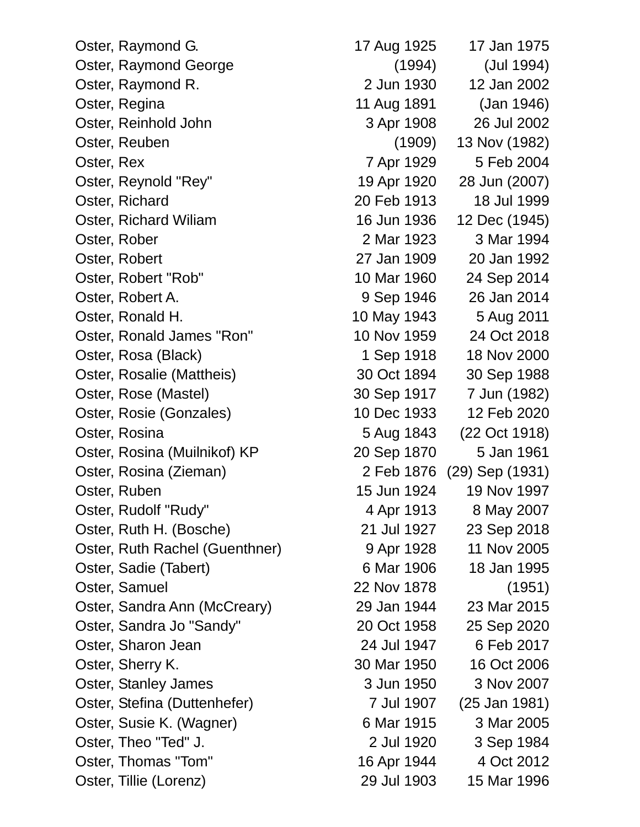Oster, Ronald H. 10 May 1943 5 Aug 2011 Oster, Rosina (Muilnikof) KP 20 Sep 1870 5 Jan 1961

Oster, Raymond G. 17 Aug 1925 17 Jan 1975 Oster, Raymond George (1994) (Jul 1994) Oster, Raymond R. 2 Jun 1930 12 Jan 2002 Oster, Regina 11 Aug 1891 (Jan 1946) Oster, Reinhold John 3 Apr 1908 26 Jul 2002 Oster, Reuben (1909) 13 Nov (1982) Oster, Rex 7 Apr 1929 5 Feb 2004 Oster, Reynold "Rey" 19 Apr 1920 28 Jun (2007) Oster, Richard 20 Feb 1913 18 Jul 1999 Oster, Richard Wiliam 16 Jun 1936 12 Dec (1945) Oster, Rober 2 Mar 1923 3 Mar 1994 Oster, Robert 27 Jan 1909 20 Jan 1992 Oster, Robert "Rob" 10 Mar 1960 24 Sep 2014 Oster, Robert A. 9 Sep 1946 26 Jan 2014 Oster, Ronald James "Ron" 10 Nov 1959 24 Oct 2018 Oster, Rosa (Black) 1 Sep 1918 18 Nov 2000 Oster, Rosalie (Mattheis) 30 Oct 1894 30 Sep 1988 Oster, Rose (Mastel) 30 Sep 1917 7 Jun (1982) Oster, Rosie (Gonzales) 10 Dec 1933 12 Feb 2020 Oster, Rosina 5 Aug 1843 (22 Oct 1918) Oster, Rosina (Zieman) 2 Feb 1876 (29) Sep (1931) Oster, Ruben 15 Jun 1924 19 Nov 1997 Oster, Rudolf "Rudy" 4 Apr 1913 8 May 2007 Oster, Ruth H. (Bosche) 21 Jul 1927 23 Sep 2018 Oster, Ruth Rachel (Guenthner) 9 Apr 1928 11 Nov 2005 Oster, Sadie (Tabert) 6 Mar 1906 18 Jan 1995 Oster, Samuel 22 Nov 1878 (1951) Oster, Sandra Ann (McCreary) 29 Jan 1944 23 Mar 2015 Oster, Sandra Jo "Sandy" 20 Oct 1958 25 Sep 2020 Oster, Sharon Jean 24 Jul 1947 6 Feb 2017 Oster, Sherry K. 30 Mar 1950 16 Oct 2006 Oster, Stanley James 3 Jun 1950 3 Nov 2007 Oster, Stefina (Duttenhefer) 7 Jul 1907 (25 Jan 1981) Oster, Susie K. (Wagner) 6 Mar 1915 3 Mar 2005 Oster, Theo "Ted" J. 2 Jul 1920 3 Sep 1984 Oster, Thomas "Tom" 16 Apr 1944 4 Oct 2012 Oster, Tillie (Lorenz) 29 Jul 1903 15 Mar 1996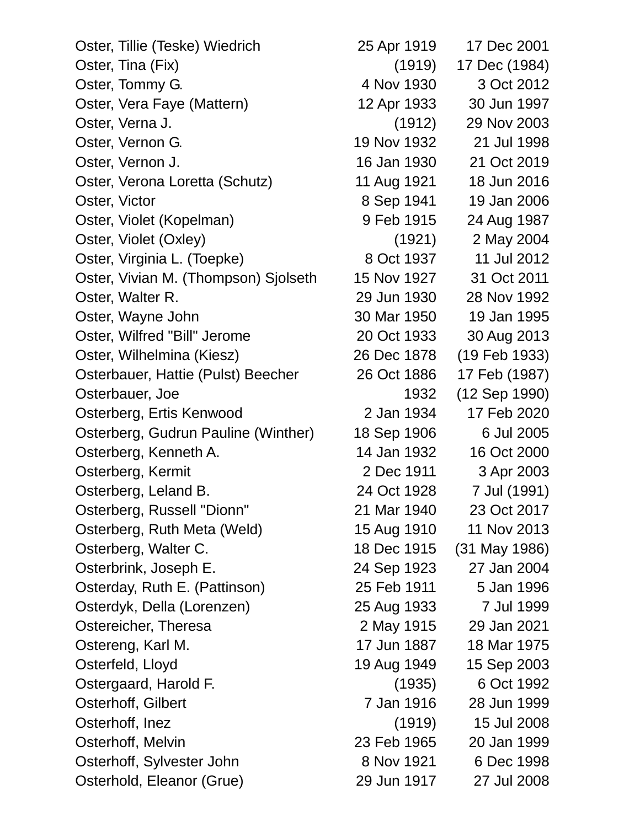Oster, Tillie (Teske) Wiedrich 25 Apr 1919 17 Dec 2001 Oster, Tina (Fix) (1919) 17 Dec (1984) Oster, Tommy G. 2012 Oster, Vera Faye (Mattern) 12 Apr 1933 30 Jun 1997 Oster, Verna J. (1912) 29 Nov 2003 Oster, Vernon G. 19 Nov 1932 21 Jul 1998 Oster, Vernon J. 16 Jan 1930 21 Oct 2019 Oster, Verona Loretta (Schutz) 11 Aug 1921 18 Jun 2016 Oster, Victor 8 Sep 1941 19 Jan 2006 Oster, Violet (Kopelman) 9 Feb 1915 24 Aug 1987 Oster, Violet (Oxley) (1921) 2 May 2004 Oster, Virginia L. (Toepke) 8 Oct 1937 11 Jul 2012 Oster, Vivian M. (Thompson) Sjolseth 15 Nov 1927 31 Oct 2011 Oster, Walter R. 29 Jun 1930 28 Nov 1992 Oster, Wayne John 30 Mar 1950 19 Jan 1995 Oster, Wilfred "Bill" Jerome 20 Oct 1933 30 Aug 2013 Oster, Wilhelmina (Kiesz) 26 Dec 1878 (19 Feb 1933) Osterbauer, Hattie (Pulst) Beecher 26 Oct 1886 17 Feb (1987) Osterbauer, Joe 1932 (12 Sep 1990) Osterberg, Ertis Kenwood 2 Jan 1934 17 Feb 2020 Osterberg, Gudrun Pauline (Winther) 18 Sep 1906 6 Jul 2005 Osterberg, Kenneth A. 14 Jan 1932 16 Oct 2000 Osterberg, Kermit 2 Dec 1911 3 Apr 2003 Osterberg, Leland B. 24 Oct 1928 7 Jul (1991) Osterberg, Russell "Dionn" 21 Mar 1940 23 Oct 2017 Osterberg, Ruth Meta (Weld) 15 Aug 1910 11 Nov 2013 Osterberg, Walter C. 18 Dec 1915 (31 May 1986) Osterbrink, Joseph E. 24 Sep 1923 27 Jan 2004 Osterday, Ruth E. (Pattinson) 25 Feb 1911 5 Jan 1996 Osterdyk, Della (Lorenzen) 25 Aug 1933 7 Jul 1999 Ostereicher, Theresa 2 May 1915 29 Jan 2021 Ostereng, Karl M. 17 Jun 1887 18 Mar 1975 Osterfeld, Lloyd 1949 1949 15 Sep 2003 Ostergaard, Harold F. (1935) 6 Oct 1992 Osterhoff, Gilbert 7 Jan 1916 28 Jun 1999 Osterhoff, Inez (1919) 15 Jul 2008 Osterhoff, Melvin 23 Feb 1965 20 Jan 1999 Osterhoff, Sylvester John 8 Nov 1921 6 Dec 1998 Osterhold, Eleanor (Grue) 29 Jun 1917 27 Jul 2008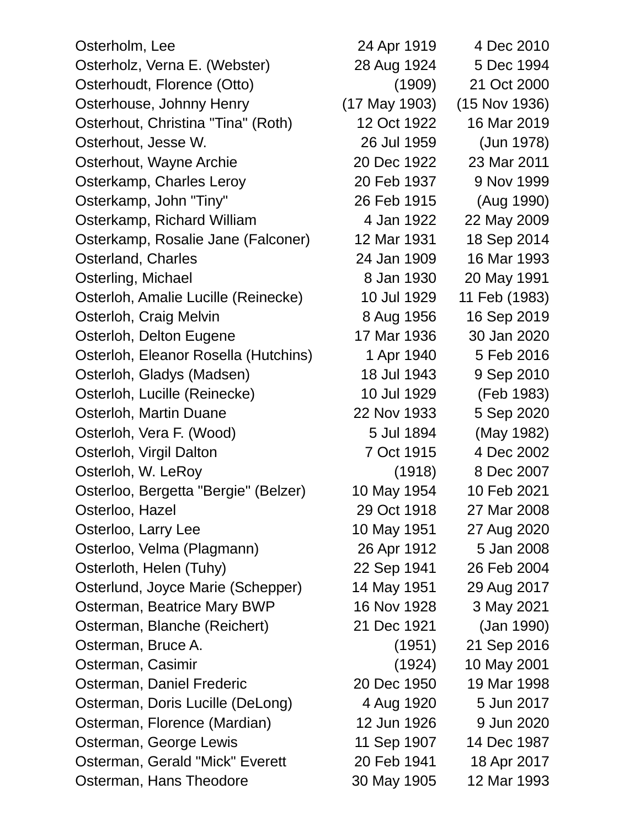Osterholm, Lee 2010 Osterholz, Verna E. (Webster) 28 Aug 1924 5 Dec 1994 Osterhoudt, Florence (Otto) (1909) 21 Oct 2000 Osterhouse, Johnny Henry (17 May 1903) (15 Nov 1936) Osterhout, Christina "Tina" (Roth) 12 Oct 1922 16 Mar 2019 Osterhout, Jesse W. 26 Jul 1959 (Jun 1978) Osterhout, Wayne Archie 20 Dec 1922 23 Mar 2011 Osterkamp, Charles Leroy 20 Feb 1937 9 Nov 1999 Osterkamp, John "Tiny" 26 Feb 1915 (Aug 1990) Osterkamp, Richard William 4 Jan 1922 22 May 2009 Osterkamp, Rosalie Jane (Falconer) 12 Mar 1931 18 Sep 2014 Osterland, Charles 24 Jan 1909 16 Mar 1993 Osterling, Michael 8 Jan 1930 20 May 1991 Osterloh, Amalie Lucille (Reinecke) 10 Jul 1929 11 Feb (1983) Osterloh, Craig Melvin 8 Aug 1956 16 Sep 2019 Osterloh, Delton Eugene 17 Mar 1936 30 Jan 2020 Osterloh, Eleanor Rosella (Hutchins) 1 Apr 1940 5 Feb 2016 Osterloh, Gladys (Madsen) 18 Jul 1943 9 Sep 2010 Osterloh, Lucille (Reinecke) 10 Jul 1929 (Feb 1983) Osterloh, Martin Duane 22 Nov 1933 5 Sep 2020 Osterloh, Vera F. (Wood) 5 Jul 1894 (May 1982) Osterloh, Virgil Dalton 7 Oct 1915 4 Dec 2002 Osterloh, W. LeRoy (1918) 8 Dec 2007 Osterloo, Bergetta "Bergie" (Belzer) 10 May 1954 10 Feb 2021 Osterloo, Hazel 29 Oct 1918 27 Mar 2008 Osterloo, Larry Lee 10 May 1951 27 Aug 2020 Osterloo, Velma (Plagmann) 26 Apr 1912 5 Jan 2008 Osterloth, Helen (Tuhy) 22 Sep 1941 26 Feb 2004 Osterlund, Joyce Marie (Schepper) 14 May 1951 29 Aug 2017 Osterman, Beatrice Mary BWP 16 Nov 1928 3 May 2021 Osterman, Blanche (Reichert) 21 Dec 1921 (Jan 1990) Osterman, Bruce A. (1951) 21 Sep 2016 Osterman, Casimir (1924) 10 May 2001 Osterman, Daniel Frederic 20 Dec 1950 19 Mar 1998 Osterman, Doris Lucille (DeLong) 4 Aug 1920 5 Jun 2017 Osterman, Florence (Mardian) 12 Jun 1926 9 Jun 2020 Osterman, George Lewis 11 Sep 1907 14 Dec 1987 Osterman, Gerald "Mick" Everett 20 Feb 1941 18 Apr 2017 Osterman, Hans Theodore 30 May 1905 12 Mar 1993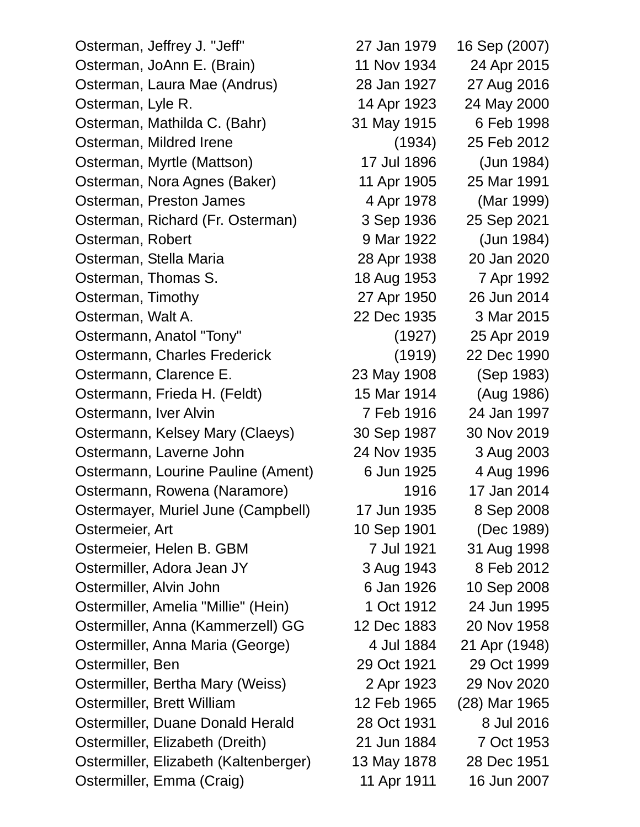Osterman, Jeffrey J. "Jeff" 27 Jan 1979 16 Sep (2007) Osterman, JoAnn E. (Brain) 11 Nov 1934 24 Apr 2015 Osterman, Laura Mae (Andrus) 28 Jan 1927 27 Aug 2016 Osterman, Lyle R. 14 Apr 1923 24 May 2000 Osterman, Mathilda C. (Bahr) 31 May 1915 6 Feb 1998 Osterman, Mildred Irene (1934) 25 Feb 2012 Osterman, Myrtle (Mattson) 17 Jul 1896 (Jun 1984) Osterman, Nora Agnes (Baker) 11 Apr 1905 25 Mar 1991 Osterman, Preston James 4 Apr 1978 (Mar 1999) Osterman, Richard (Fr. Osterman) 3 Sep 1936 25 Sep 2021 Osterman, Robert 9 Mar 1922 (Jun 1984) Osterman, Stella Maria 28 Apr 1938 20 Jan 2020 Osterman, Thomas S. 18 Aug 1953 7 Apr 1992 Osterman, Timothy 27 Apr 1950 26 Jun 2014 Osterman, Walt A. 22 Dec 1935 3 Mar 2015 Ostermann, Anatol "Tony" (1927) 25 Apr 2019 Ostermann, Charles Frederick (1919) 22 Dec 1990 Ostermann, Clarence E. 23 May 1908 (Sep 1983) Ostermann, Frieda H. (Feldt) 15 Mar 1914 (Aug 1986) Ostermann, Iver Alvin **7 Feb 1916** 24 Jan 1997 Ostermann, Kelsey Mary (Claeys) 30 Sep 1987 30 Nov 2019 Ostermann, Laverne John 24 Nov 1935 3 Aug 2003 Ostermann, Lourine Pauline (Ament) 6 Jun 1925 4 Aug 1996 Ostermann, Rowena (Naramore) 1916 17 Jan 2014 Ostermayer, Muriel June (Campbell) 17 Jun 1935 8 Sep 2008 Ostermeier, Art 10 Sep 1901 (Dec 1989) Ostermeier, Helen B. GBM 7 Jul 1921 31 Aug 1998 Ostermiller, Adora Jean JY 3 Aug 1943 8 Feb 2012 Ostermiller, Alvin John 6 Jan 1926 10 Sep 2008 Ostermiller, Amelia "Millie" (Hein) 1 Oct 1912 24 Jun 1995 Ostermiller, Anna (Kammerzell) GG 12 Dec 1883 20 Nov 1958 Ostermiller, Anna Maria (George) 4 Jul 1884 21 Apr (1948) Ostermiller, Ben 29 Oct 1921 29 Oct 1999 Ostermiller, Bertha Mary (Weiss) 2 Apr 1923 29 Nov 2020 Ostermiller, Brett William 12 Feb 1965 (28) Mar 1965 Ostermiller, Duane Donald Herald 28 Oct 1931 8 Jul 2016 Ostermiller, Elizabeth (Dreith) 21 Jun 1884 7 Oct 1953 Ostermiller, Elizabeth (Kaltenberger) 13 May 1878 28 Dec 1951 Ostermiller, Emma (Craig) 11 Apr 1911 16 Jun 2007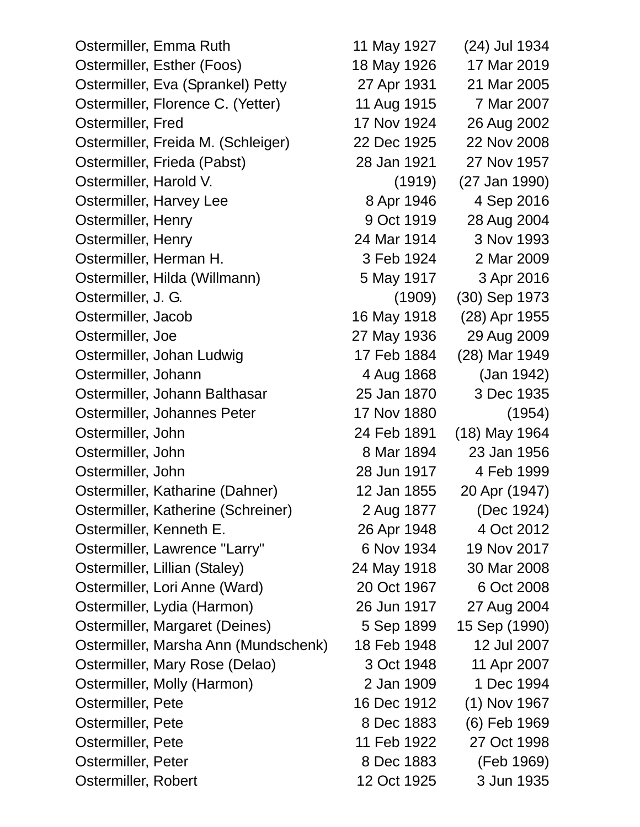Ostermiller, Emma Ruth 11 May 1927 (24) Jul 1934 Ostermiller, Esther (Foos) 18 May 1926 17 Mar 2019 Ostermiller, Eva (Sprankel) Petty 27 Apr 1931 21 Mar 2005 Ostermiller, Florence C. (Yetter) 11 Aug 1915 7 Mar 2007 Ostermiller, Fred 17 Nov 1924 26 Aug 2002 Ostermiller, Freida M. (Schleiger) 22 Dec 1925 22 Nov 2008 Ostermiller, Frieda (Pabst) 28 Jan 1921 27 Nov 1957 Ostermiller, Harold V. (1919) (27 Jan 1990) Ostermiller, Harvey Lee 8 Apr 1946 4 Sep 2016 Ostermiller, Henry 9 Oct 1919 28 Aug 2004 Ostermiller, Henry 24 Mar 1914 3 Nov 1993 Ostermiller, Herman H. 3 Feb 1924 2 Mar 2009 Ostermiller, Hilda (Willmann) 5 May 1917 3 Apr 2016 Ostermiller, J. G. (1909) (30) Sep 1973 Ostermiller, Jacob 16 May 1918 (28) Apr 1955 Ostermiller, Joe 27 May 1936 29 Aug 2009 Ostermiller, Johan Ludwig 17 Feb 1884 (28) Mar 1949 Ostermiller, Johann 4 Aug 1868 (Jan 1942) Ostermiller, Johann Balthasar 25 Jan 1870 3 Dec 1935 Ostermiller, Johannes Peter 17 Nov 1880 (1954) Ostermiller, John 24 Feb 1891 (18) May 1964 Ostermiller, John 8 Mar 1894 23 Jan 1956 Ostermiller, John 28 Jun 1917 4 Feb 1999 Ostermiller, Katharine (Dahner) 12 Jan 1855 20 Apr (1947) Ostermiller, Katherine (Schreiner) 2 Aug 1877 (Dec 1924) Ostermiller, Kenneth E. 26 Apr 1948 4 Oct 2012 Ostermiller, Lawrence "Larry" 6 Nov 1934 19 Nov 2017 Ostermiller, Lillian (Staley) 24 May 1918 30 Mar 2008 Ostermiller, Lori Anne (Ward) 20 Oct 1967 6 Oct 2008 Ostermiller, Lydia (Harmon) 26 Jun 1917 27 Aug 2004 Ostermiller, Margaret (Deines) 5 Sep 1899 15 Sep (1990) Ostermiller, Marsha Ann (Mundschenk) 18 Feb 1948 12 Jul 2007 Ostermiller, Mary Rose (Delao) 3 Oct 1948 11 Apr 2007 Ostermiller, Molly (Harmon) 2 Jan 1909 1 Dec 1994 Ostermiller, Pete 16 Dec 1912 (1) Nov 1967 Ostermiller, Pete 8 Dec 1883 (6) Feb 1969 Ostermiller, Pete 11 Feb 1922 27 Oct 1998 Ostermiller, Peter 8 Dec 1883 (Feb 1969)

Ostermiller, Robert 12 Oct 1925 3 Jun 1935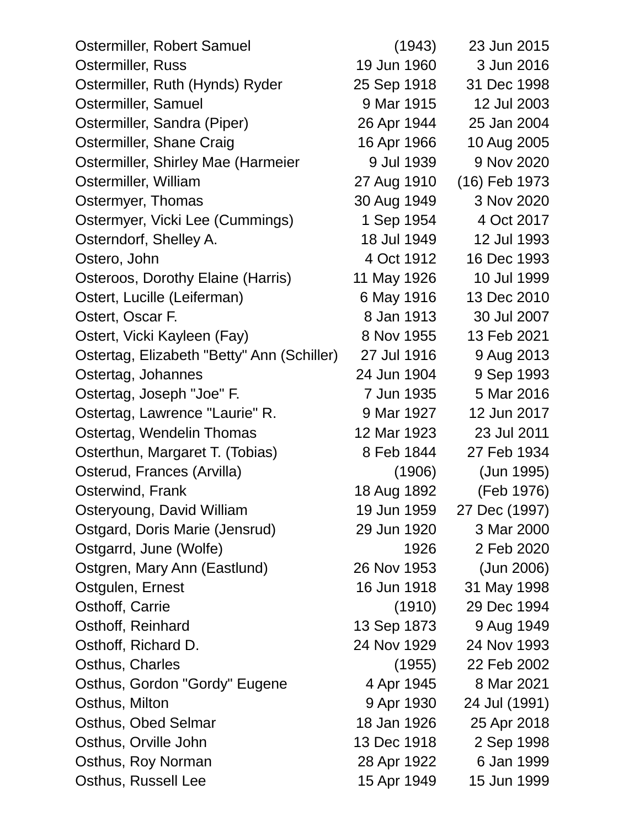| Ostermiller, Robert Samuel                 | (1943)      | 23 Jun 2015   |
|--------------------------------------------|-------------|---------------|
| Ostermiller, Russ                          | 19 Jun 1960 | 3 Jun 2016    |
| Ostermiller, Ruth (Hynds) Ryder            | 25 Sep 1918 | 31 Dec 1998   |
| Ostermiller, Samuel                        | 9 Mar 1915  | 12 Jul 2003   |
| Ostermiller, Sandra (Piper)                | 26 Apr 1944 | 25 Jan 2004   |
| Ostermiller, Shane Craig                   | 16 Apr 1966 | 10 Aug 2005   |
| Ostermiller, Shirley Mae (Harmeier         | 9 Jul 1939  | 9 Nov 2020    |
| Ostermiller, William                       | 27 Aug 1910 | (16) Feb 1973 |
| Ostermyer, Thomas                          | 30 Aug 1949 | 3 Nov 2020    |
| Ostermyer, Vicki Lee (Cummings)            | 1 Sep 1954  | 4 Oct 2017    |
| Osterndorf, Shelley A.                     | 18 Jul 1949 | 12 Jul 1993   |
| Ostero, John                               | 4 Oct 1912  | 16 Dec 1993   |
| Osteroos, Dorothy Elaine (Harris)          | 11 May 1926 | 10 Jul 1999   |
| Ostert, Lucille (Leiferman)                | 6 May 1916  | 13 Dec 2010   |
| Ostert, Oscar F.                           | 8 Jan 1913  | 30 Jul 2007   |
| Ostert, Vicki Kayleen (Fay)                | 8 Nov 1955  | 13 Feb 2021   |
| Ostertag, Elizabeth "Betty" Ann (Schiller) | 27 Jul 1916 | 9 Aug 2013    |
| Ostertag, Johannes                         | 24 Jun 1904 | 9 Sep 1993    |
| Ostertag, Joseph "Joe" F.                  | 7 Jun 1935  | 5 Mar 2016    |
| Ostertag, Lawrence "Laurie" R.             | 9 Mar 1927  | 12 Jun 2017   |
| Ostertag, Wendelin Thomas                  | 12 Mar 1923 | 23 Jul 2011   |
| Osterthun, Margaret T. (Tobias)            | 8 Feb 1844  | 27 Feb 1934   |
| Osterud, Frances (Arvilla)                 | (1906)      | (Jun 1995)    |
| Osterwind, Frank                           | 18 Aug 1892 | (Feb 1976)    |
| Osteryoung, David William                  | 19 Jun 1959 | 27 Dec (1997) |
| Ostgard, Doris Marie (Jensrud)             | 29 Jun 1920 | 3 Mar 2000    |
| Ostgarrd, June (Wolfe)                     | 1926        | 2 Feb 2020    |
| Ostgren, Mary Ann (Eastlund)               | 26 Nov 1953 | (Jun 2006)    |
| Ostgulen, Ernest                           | 16 Jun 1918 | 31 May 1998   |
| Osthoff, Carrie                            | (1910)      | 29 Dec 1994   |
| Osthoff, Reinhard                          | 13 Sep 1873 | 9 Aug 1949    |
| Osthoff, Richard D.                        | 24 Nov 1929 | 24 Nov 1993   |
| Osthus, Charles                            | (1955)      | 22 Feb 2002   |
| Osthus, Gordon "Gordy" Eugene              | 4 Apr 1945  | 8 Mar 2021    |
| Osthus, Milton                             | 9 Apr 1930  | 24 Jul (1991) |
| Osthus, Obed Selmar                        | 18 Jan 1926 | 25 Apr 2018   |
| Osthus, Orville John                       | 13 Dec 1918 | 2 Sep 1998    |
| Osthus, Roy Norman                         | 28 Apr 1922 | 6 Jan 1999    |
| Osthus, Russell Lee                        | 15 Apr 1949 | 15 Jun 1999   |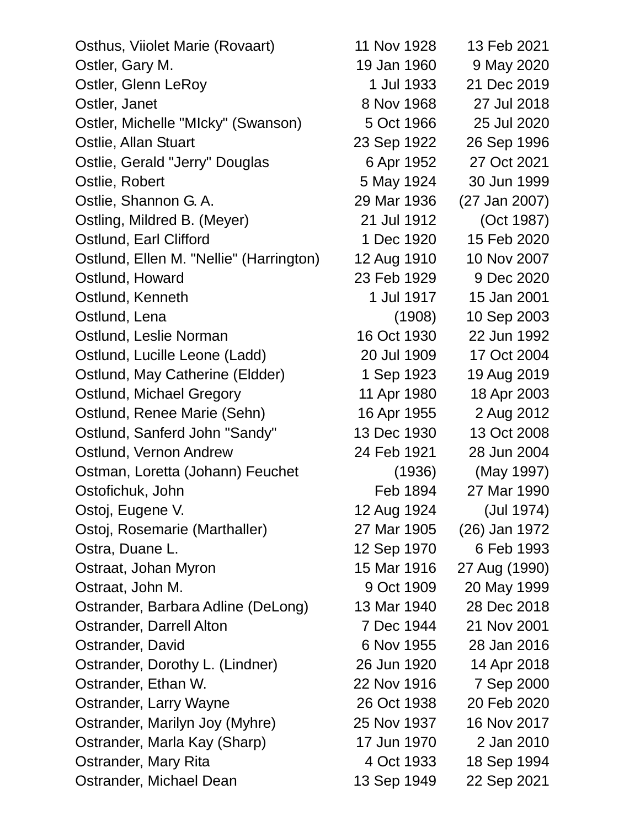| Osthus, Viiolet Marie (Rovaart)         | 11 Nov 1928 | 13 Feb 2021   |
|-----------------------------------------|-------------|---------------|
| Ostler, Gary M.                         | 19 Jan 1960 | 9 May 2020    |
| Ostler, Glenn LeRoy                     | 1 Jul 1933  | 21 Dec 2019   |
| Ostler, Janet                           | 8 Nov 1968  | 27 Jul 2018   |
| Ostler, Michelle "MIcky" (Swanson)      | 5 Oct 1966  | 25 Jul 2020   |
| Ostlie, Allan Stuart                    | 23 Sep 1922 | 26 Sep 1996   |
| Ostlie, Gerald "Jerry" Douglas          | 6 Apr 1952  | 27 Oct 2021   |
| Ostlie, Robert                          | 5 May 1924  | 30 Jun 1999   |
| Ostlie, Shannon G. A.                   | 29 Mar 1936 | (27 Jan 2007) |
| Ostling, Mildred B. (Meyer)             | 21 Jul 1912 | (Oct 1987)    |
| Ostlund, Earl Clifford                  | 1 Dec 1920  | 15 Feb 2020   |
| Ostlund, Ellen M. "Nellie" (Harrington) | 12 Aug 1910 | 10 Nov 2007   |
| Ostlund, Howard                         | 23 Feb 1929 | 9 Dec 2020    |
| Ostlund, Kenneth                        | 1 Jul 1917  | 15 Jan 2001   |
| Ostlund, Lena                           | (1908)      | 10 Sep 2003   |
| Ostlund, Leslie Norman                  | 16 Oct 1930 | 22 Jun 1992   |
| Ostlund, Lucille Leone (Ladd)           | 20 Jul 1909 | 17 Oct 2004   |
| Ostlund, May Catherine (Eldder)         | 1 Sep 1923  | 19 Aug 2019   |
| Ostlund, Michael Gregory                | 11 Apr 1980 | 18 Apr 2003   |
| Ostlund, Renee Marie (Sehn)             | 16 Apr 1955 | 2 Aug 2012    |
| Ostlund, Sanferd John "Sandy"           | 13 Dec 1930 | 13 Oct 2008   |
| Ostlund, Vernon Andrew                  | 24 Feb 1921 | 28 Jun 2004   |
| Ostman, Loretta (Johann) Feuchet        | (1936)      | (May 1997)    |
| Ostofichuk, John                        | Feb 1894    | 27 Mar 1990   |
| Ostoj, Eugene V.                        | 12 Aug 1924 | (Jul 1974)    |
| Ostoj, Rosemarie (Marthaller)           | 27 Mar 1905 | (26) Jan 1972 |
| Ostra, Duane L.                         | 12 Sep 1970 | 6 Feb 1993    |
| Ostraat, Johan Myron                    | 15 Mar 1916 | 27 Aug (1990) |
| Ostraat, John M.                        | 9 Oct 1909  | 20 May 1999   |
| Ostrander, Barbara Adline (DeLong)      | 13 Mar 1940 | 28 Dec 2018   |
| Ostrander, Darrell Alton                | 7 Dec 1944  | 21 Nov 2001   |
| Ostrander, David                        | 6 Nov 1955  | 28 Jan 2016   |
| Ostrander, Dorothy L. (Lindner)         | 26 Jun 1920 | 14 Apr 2018   |
| Ostrander, Ethan W.                     | 22 Nov 1916 | 7 Sep 2000    |
| Ostrander, Larry Wayne                  | 26 Oct 1938 | 20 Feb 2020   |
| Ostrander, Marilyn Joy (Myhre)          | 25 Nov 1937 | 16 Nov 2017   |
| Ostrander, Marla Kay (Sharp)            | 17 Jun 1970 | 2 Jan 2010    |
| Ostrander, Mary Rita                    | 4 Oct 1933  | 18 Sep 1994   |
| Ostrander, Michael Dean                 | 13 Sep 1949 | 22 Sep 2021   |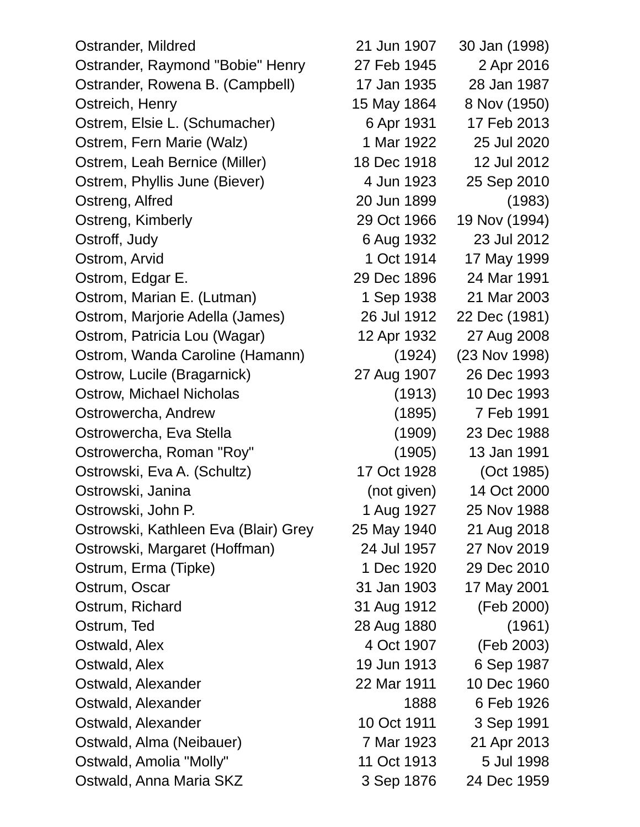Ostrander, Mildred 21 Jun 1907 30 Jan (1998) Ostrander, Raymond "Bobie" Henry 27 Feb 1945 2 Apr 2016 Ostrander, Rowena B. (Campbell) 17 Jan 1935 28 Jan 1987 Ostreich, Henry 15 May 1864 8 Nov (1950) Ostrem, Elsie L. (Schumacher) 6 Apr 1931 17 Feb 2013 Ostrem, Fern Marie (Walz) 1 Mar 1922 25 Jul 2020 Ostrem, Leah Bernice (Miller) 18 Dec 1918 12 Jul 2012 Ostrem, Phyllis June (Biever) 4 Jun 1923 25 Sep 2010 Ostreng, Alfred 20 Jun 1899 (1983) Ostreng, Kimberly 29 Oct 1966 19 Nov (1994) Ostroff, Judy 6 Aug 1932 23 Jul 2012 Ostrom, Arvid 1 Oct 1914 17 May 1999 Ostrom, Edgar E. 29 Dec 1896 24 Mar 1991 Ostrom, Marian E. (Lutman) 1 Sep 1938 21 Mar 2003 Ostrom, Marjorie Adella (James) 26 Jul 1912 22 Dec (1981) Ostrom, Patricia Lou (Wagar) 12 Apr 1932 27 Aug 2008 Ostrom, Wanda Caroline (Hamann) (1924) (23 Nov 1998) Ostrow, Lucile (Bragarnick) 27 Aug 1907 26 Dec 1993 Ostrow, Michael Nicholas (1913) 10 Dec 1993 Ostrowercha, Andrew (1895) 7 Feb 1991 Ostrowercha, Eva Stella (1909) 23 Dec 1988 Ostrowercha, Roman "Roy" (1905) 13 Jan 1991 Ostrowski, Eva A. (Schultz) 17 Oct 1928 (Oct 1985) Ostrowski, Janina (not given) 14 Oct 2000 Ostrowski, John P. 1 Aug 1927 25 Nov 1988 Ostrowski, Kathleen Eva (Blair) Grey 25 May 1940 21 Aug 2018 Ostrowski, Margaret (Hoffman) 24 Jul 1957 27 Nov 2019 Ostrum, Erma (Tipke) 1 Dec 1920 29 Dec 2010 Ostrum, Oscar 31 Jan 1903 17 May 2001 Ostrum, Richard 31 Aug 1912 (Feb 2000) Ostrum, Ted 28 Aug 1880 (1961) Ostwald, Alex 4 Oct 1907 (Feb 2003) Ostwald, Alex 19 Jun 1913 6 Sep 1987 Ostwald, Alexander 22 Mar 1911 10 Dec 1960 Ostwald, Alexander 1888 6 Feb 1926 Ostwald, Alexander 10 Oct 1911 3 Sep 1991 Ostwald, Alma (Neibauer) 7 Mar 1923 21 Apr 2013 Ostwald, Amolia "Molly" 11 Oct 1913 5 Jul 1998 Ostwald, Anna Maria SKZ 3 Sep 1876 24 Dec 1959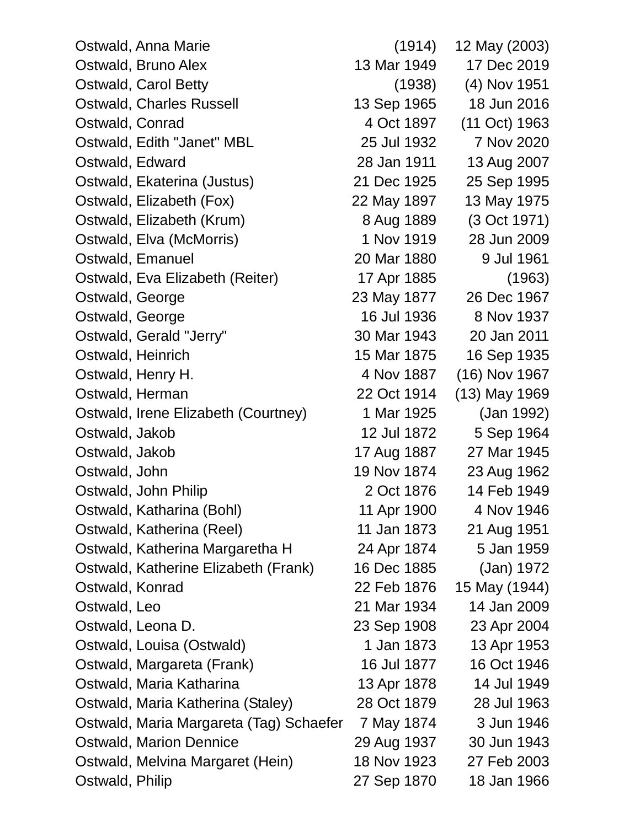| Ostwald, Anna Marie                     | (1914)      | 12 May (2003)  |
|-----------------------------------------|-------------|----------------|
| Ostwald, Bruno Alex                     | 13 Mar 1949 | 17 Dec 2019    |
| Ostwald, Carol Betty                    | (1938)      | $(4)$ Nov 1951 |
| <b>Ostwald, Charles Russell</b>         | 13 Sep 1965 | 18 Jun 2016    |
| Ostwald, Conrad                         | 4 Oct 1897  | (11 Oct) 1963  |
| Ostwald, Edith "Janet" MBL              | 25 Jul 1932 | 7 Nov 2020     |
| Ostwald, Edward                         | 28 Jan 1911 | 13 Aug 2007    |
| Ostwald, Ekaterina (Justus)             | 21 Dec 1925 | 25 Sep 1995    |
| Ostwald, Elizabeth (Fox)                | 22 May 1897 | 13 May 1975    |
| Ostwald, Elizabeth (Krum)               | 8 Aug 1889  | (3 Oct 1971)   |
| Ostwald, Elva (McMorris)                | 1 Nov 1919  | 28 Jun 2009    |
| Ostwald, Emanuel                        | 20 Mar 1880 | 9 Jul 1961     |
| Ostwald, Eva Elizabeth (Reiter)         | 17 Apr 1885 | (1963)         |
| Ostwald, George                         | 23 May 1877 | 26 Dec 1967    |
| Ostwald, George                         | 16 Jul 1936 | 8 Nov 1937     |
| Ostwald, Gerald "Jerry"                 | 30 Mar 1943 | 20 Jan 2011    |
| Ostwald, Heinrich                       | 15 Mar 1875 | 16 Sep 1935    |
| Ostwald, Henry H.                       | 4 Nov 1887  | (16) Nov 1967  |
| Ostwald, Herman                         | 22 Oct 1914 | (13) May 1969  |
| Ostwald, Irene Elizabeth (Courtney)     | 1 Mar 1925  | (Jan 1992)     |
| Ostwald, Jakob                          | 12 Jul 1872 | 5 Sep 1964     |
| Ostwald, Jakob                          | 17 Aug 1887 | 27 Mar 1945    |
| Ostwald, John                           | 19 Nov 1874 | 23 Aug 1962    |
| Ostwald, John Philip                    | 2 Oct 1876  | 14 Feb 1949    |
| Ostwald, Katharina (Bohl)               | 11 Apr 1900 | 4 Nov 1946     |
| Ostwald, Katherina (Reel)               | 11 Jan 1873 | 21 Aug 1951    |
| Ostwald, Katherina Margaretha H         | 24 Apr 1874 | 5 Jan 1959     |
| Ostwald, Katherine Elizabeth (Frank)    | 16 Dec 1885 | (Jan) 1972     |
| Ostwald, Konrad                         | 22 Feb 1876 | 15 May (1944)  |
| Ostwald, Leo                            | 21 Mar 1934 | 14 Jan 2009    |
| Ostwald, Leona D.                       | 23 Sep 1908 | 23 Apr 2004    |
| Ostwald, Louisa (Ostwald)               | 1 Jan 1873  | 13 Apr 1953    |
| Ostwald, Margareta (Frank)              | 16 Jul 1877 | 16 Oct 1946    |
| Ostwald, Maria Katharina                | 13 Apr 1878 | 14 Jul 1949    |
| Ostwald, Maria Katherina (Staley)       | 28 Oct 1879 | 28 Jul 1963    |
| Ostwald, Maria Margareta (Tag) Schaefer | 7 May 1874  | 3 Jun 1946     |
| <b>Ostwald, Marion Dennice</b>          | 29 Aug 1937 | 30 Jun 1943    |
| Ostwald, Melvina Margaret (Hein)        | 18 Nov 1923 | 27 Feb 2003    |
| Ostwald, Philip                         | 27 Sep 1870 | 18 Jan 1966    |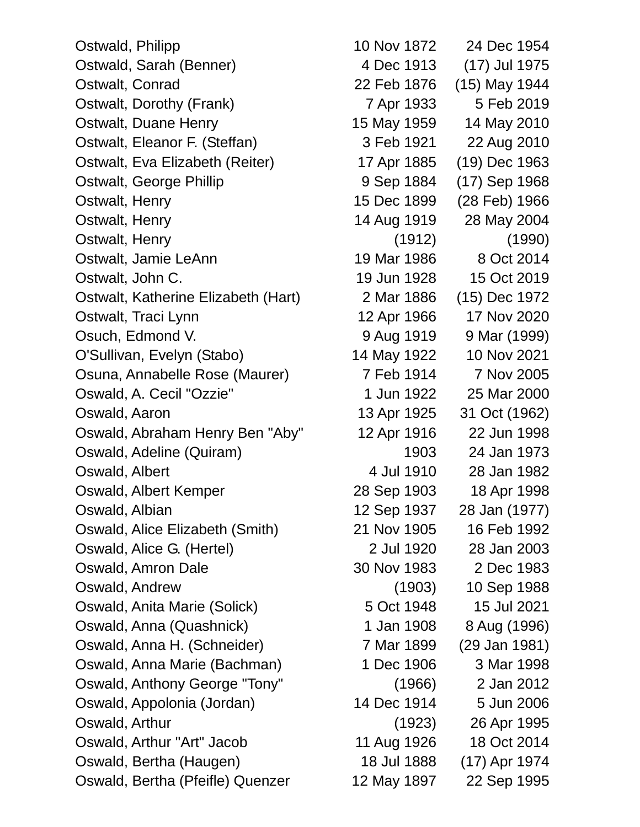Ostwald, Philipp 10 Nov 1872 24 Dec 1954 Ostwald, Sarah (Benner) 4 Dec 1913 (17) Jul 1975 Ostwalt, Conrad 22 Feb 1876 (15) May 1944 Ostwalt, Dorothy (Frank) 7 Apr 1933 5 Feb 2019 Ostwalt, Duane Henry 15 May 1959 14 May 2010 Ostwalt, Eleanor F. (Steffan) 3 Feb 1921 22 Aug 2010 Ostwalt, Eva Elizabeth (Reiter) 17 Apr 1885 (19) Dec 1963 Ostwalt, George Phillip 1988 1884 (17) Sep 1968 Ostwalt, Henry 15 Dec 1899 (28 Feb) 1966 Ostwalt, Henry 14 Aug 1919 28 May 2004 Ostwalt, Henry (1912) (1990) Ostwalt, Jamie LeAnn 19 Mar 1986 8 Oct 2014 Ostwalt, John C. 19 Jun 1928 15 Oct 2019 Ostwalt, Katherine Elizabeth (Hart) 2 Mar 1886 (15) Dec 1972 Ostwalt, Traci Lynn 12 Apr 1966 17 Nov 2020 Osuch, Edmond V. 9 Aug 1919 9 Mar (1999) O'Sullivan, Evelyn (Stabo) 14 May 1922 10 Nov 2021 Osuna, Annabelle Rose (Maurer) 7 Feb 1914 7 Nov 2005 Oswald, A. Cecil "Ozzie" 1 Jun 1922 25 Mar 2000 Oswald, Aaron 13 Apr 1925 31 Oct (1962) Oswald, Abraham Henry Ben "Aby" 12 Apr 1916 22 Jun 1998 Oswald, Adeline (Quiram) 1903 24 Jan 1973 Oswald, Albert 1982 **4 Jul 1910** 28 Jan 1982 Oswald, Albert Kemper 28 Sep 1903 18 Apr 1998 Oswald, Albian 12 Sep 1937 28 Jan (1977) Oswald, Alice Elizabeth (Smith) 21 Nov 1905 16 Feb 1992 Oswald, Alice G. (Hertel) 2 Jul 1920 28 Jan 2003 Oswald, Amron Dale 30 Nov 1983 2 Dec 1983 Oswald, Andrew (1903) 10 Sep 1988 Oswald, Anita Marie (Solick) 5 Oct 1948 15 Jul 2021 Oswald, Anna (Quashnick) 1 Jan 1908 8 Aug (1996) Oswald, Anna H. (Schneider) 7 Mar 1899 (29 Jan 1981) Oswald, Anna Marie (Bachman) 1 Dec 1906 3 Mar 1998 Oswald, Anthony George "Tony" (1966) 2 Jan 2012 Oswald, Appolonia (Jordan) 14 Dec 1914 5 Jun 2006 Oswald, Arthur (1923) 26 Apr 1995 Oswald, Arthur "Art" Jacob 11 Aug 1926 18 Oct 2014 Oswald, Bertha (Haugen) 18 Jul 1888 (17) Apr 1974 Oswald, Bertha (Pfeifle) Quenzer 12 May 1897 22 Sep 1995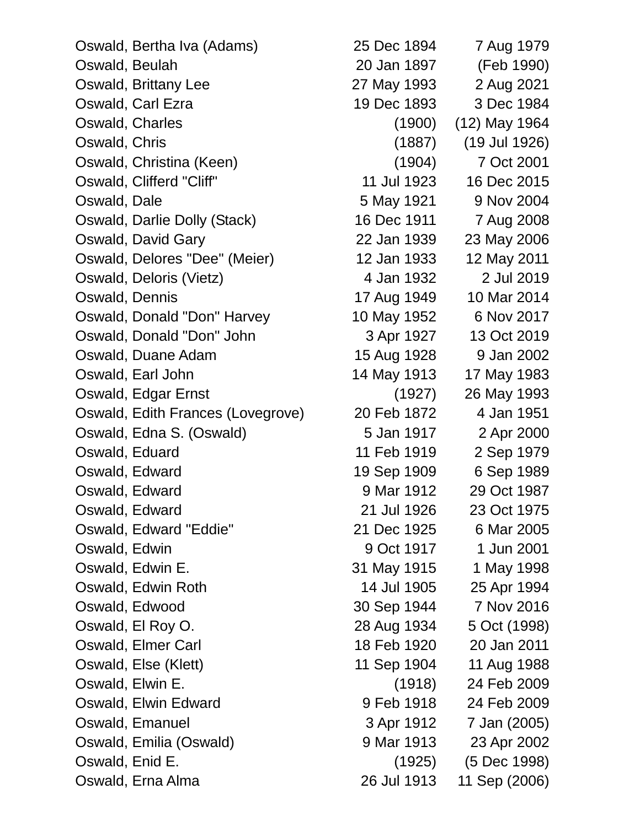| Oswald, Bertha Iva (Adams)        | 25 Dec 1894 | 7 Aug 1979    |
|-----------------------------------|-------------|---------------|
| Oswald, Beulah                    | 20 Jan 1897 | (Feb 1990)    |
| Oswald, Brittany Lee              | 27 May 1993 | 2 Aug 2021    |
| Oswald, Carl Ezra                 | 19 Dec 1893 | 3 Dec 1984    |
| Oswald, Charles                   | (1900)      | (12) May 1964 |
| Oswald, Chris                     | (1887)      | (19 Jul 1926) |
| Oswald, Christina (Keen)          | (1904)      | 7 Oct 2001    |
| Oswald, Clifferd "Cliff"          | 11 Jul 1923 | 16 Dec 2015   |
| Oswald, Dale                      | 5 May 1921  | 9 Nov 2004    |
| Oswald, Darlie Dolly (Stack)      | 16 Dec 1911 | 7 Aug 2008    |
| Oswald, David Gary                | 22 Jan 1939 | 23 May 2006   |
| Oswald, Delores "Dee" (Meier)     | 12 Jan 1933 | 12 May 2011   |
| Oswald, Deloris (Vietz)           | 4 Jan 1932  | 2 Jul 2019    |
| Oswald, Dennis                    | 17 Aug 1949 | 10 Mar 2014   |
| Oswald, Donald "Don" Harvey       | 10 May 1952 | 6 Nov 2017    |
| Oswald, Donald "Don" John         | 3 Apr 1927  | 13 Oct 2019   |
| Oswald, Duane Adam                | 15 Aug 1928 | 9 Jan 2002    |
| Oswald, Earl John                 | 14 May 1913 | 17 May 1983   |
| Oswald, Edgar Ernst               | (1927)      | 26 May 1993   |
| Oswald, Edith Frances (Lovegrove) | 20 Feb 1872 | 4 Jan 1951    |
| Oswald, Edna S. (Oswald)          | 5 Jan 1917  | 2 Apr 2000    |
| Oswald, Eduard                    | 11 Feb 1919 | 2 Sep 1979    |
| Oswald, Edward                    | 19 Sep 1909 | 6 Sep 1989    |
| Oswald, Edward                    | 9 Mar 1912  | 29 Oct 1987   |
| Oswald, Edward                    | 21 Jul 1926 | 23 Oct 1975   |
| Oswald, Edward "Eddie"            | 21 Dec 1925 | 6 Mar 2005    |
| Oswald, Edwin                     | 9 Oct 1917  | 1 Jun 2001    |
| Oswald, Edwin E.                  | 31 May 1915 | 1 May 1998    |
| Oswald, Edwin Roth                | 14 Jul 1905 | 25 Apr 1994   |
| Oswald, Edwood                    | 30 Sep 1944 | 7 Nov 2016    |
| Oswald, El Roy O.                 | 28 Aug 1934 | 5 Oct (1998)  |
| Oswald, Elmer Carl                | 18 Feb 1920 | 20 Jan 2011   |
| Oswald, Else (Klett)              | 11 Sep 1904 | 11 Aug 1988   |
| Oswald, Elwin E.                  | (1918)      | 24 Feb 2009   |
| Oswald, Elwin Edward              | 9 Feb 1918  | 24 Feb 2009   |
| Oswald, Emanuel                   | 3 Apr 1912  | 7 Jan (2005)  |
| Oswald, Emilia (Oswald)           | 9 Mar 1913  | 23 Apr 2002   |
| Oswald, Enid E.                   | (1925)      | (5 Dec 1998)  |
| Oswald, Erna Alma                 | 26 Jul 1913 | 11 Sep (2006) |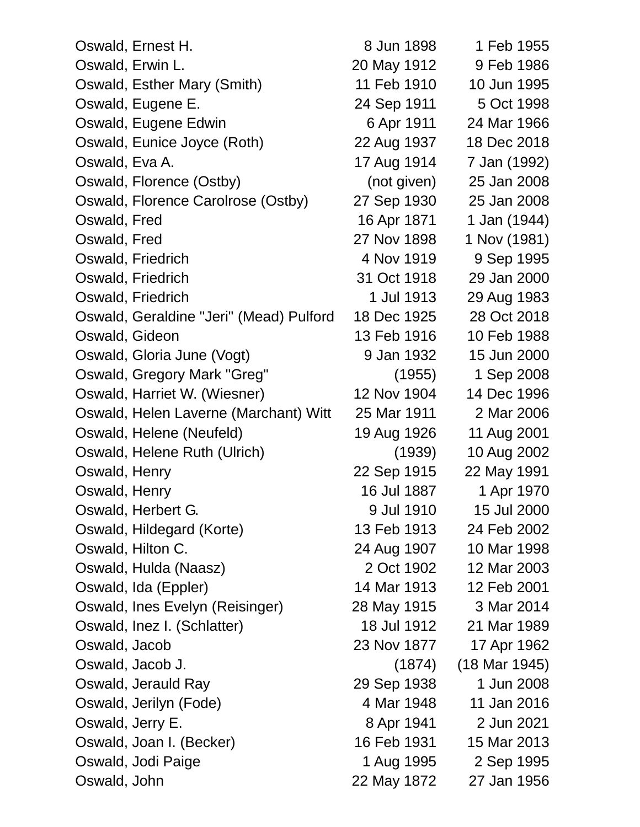| Oswald, Ernest H.                       | 8 Jun 1898  | 1 Feb 1955      |
|-----------------------------------------|-------------|-----------------|
| Oswald, Erwin L.                        | 20 May 1912 | 9 Feb 1986      |
| Oswald, Esther Mary (Smith)             | 11 Feb 1910 | 10 Jun 1995     |
| Oswald, Eugene E.                       | 24 Sep 1911 | 5 Oct 1998      |
| Oswald, Eugene Edwin                    | 6 Apr 1911  | 24 Mar 1966     |
| Oswald, Eunice Joyce (Roth)             | 22 Aug 1937 | 18 Dec 2018     |
| Oswald, Eva A.                          | 17 Aug 1914 | 7 Jan (1992)    |
| Oswald, Florence (Ostby)                | (not given) | 25 Jan 2008     |
| Oswald, Florence Carolrose (Ostby)      | 27 Sep 1930 | 25 Jan 2008     |
| Oswald, Fred                            | 16 Apr 1871 | 1 Jan (1944)    |
| Oswald, Fred                            | 27 Nov 1898 | 1 Nov (1981)    |
| Oswald, Friedrich                       | 4 Nov 1919  | 9 Sep 1995      |
| Oswald, Friedrich                       | 31 Oct 1918 | 29 Jan 2000     |
| Oswald, Friedrich                       | 1 Jul 1913  | 29 Aug 1983     |
| Oswald, Geraldine "Jeri" (Mead) Pulford | 18 Dec 1925 | 28 Oct 2018     |
| Oswald, Gideon                          | 13 Feb 1916 | 10 Feb 1988     |
| Oswald, Gloria June (Vogt)              | 9 Jan 1932  | 15 Jun 2000     |
| Oswald, Gregory Mark "Greg"             | (1955)      | 1 Sep 2008      |
| Oswald, Harriet W. (Wiesner)            | 12 Nov 1904 | 14 Dec 1996     |
| Oswald, Helen Laverne (Marchant) Witt   | 25 Mar 1911 | 2 Mar 2006      |
| Oswald, Helene (Neufeld)                | 19 Aug 1926 | 11 Aug 2001     |
| Oswald, Helene Ruth (Ulrich)            | (1939)      | 10 Aug 2002     |
| Oswald, Henry                           | 22 Sep 1915 | 22 May 1991     |
| Oswald, Henry                           | 16 Jul 1887 | 1 Apr 1970      |
| Oswald, Herbert G.                      | 9 Jul 1910  | 15 Jul 2000     |
| Oswald, Hildegard (Korte)               | 13 Feb 1913 | 24 Feb 2002     |
| Oswald, Hilton C.                       | 24 Aug 1907 | 10 Mar 1998     |
| Oswald, Hulda (Naasz)                   | 2 Oct 1902  | 12 Mar 2003     |
| Oswald, Ida (Eppler)                    | 14 Mar 1913 | 12 Feb 2001     |
| Oswald, Ines Evelyn (Reisinger)         | 28 May 1915 | 3 Mar 2014      |
| Oswald, Inez I. (Schlatter)             | 18 Jul 1912 | 21 Mar 1989     |
| Oswald, Jacob                           | 23 Nov 1877 | 17 Apr 1962     |
| Oswald, Jacob J.                        | (1874)      | $(18$ Mar 1945) |
| Oswald, Jerauld Ray                     | 29 Sep 1938 | 1 Jun 2008      |
| Oswald, Jerilyn (Fode)                  | 4 Mar 1948  | 11 Jan 2016     |
| Oswald, Jerry E.                        | 8 Apr 1941  | 2 Jun 2021      |
| Oswald, Joan I. (Becker)                | 16 Feb 1931 | 15 Mar 2013     |
| Oswald, Jodi Paige                      | 1 Aug 1995  | 2 Sep 1995      |
| Oswald, John                            | 22 May 1872 | 27 Jan 1956     |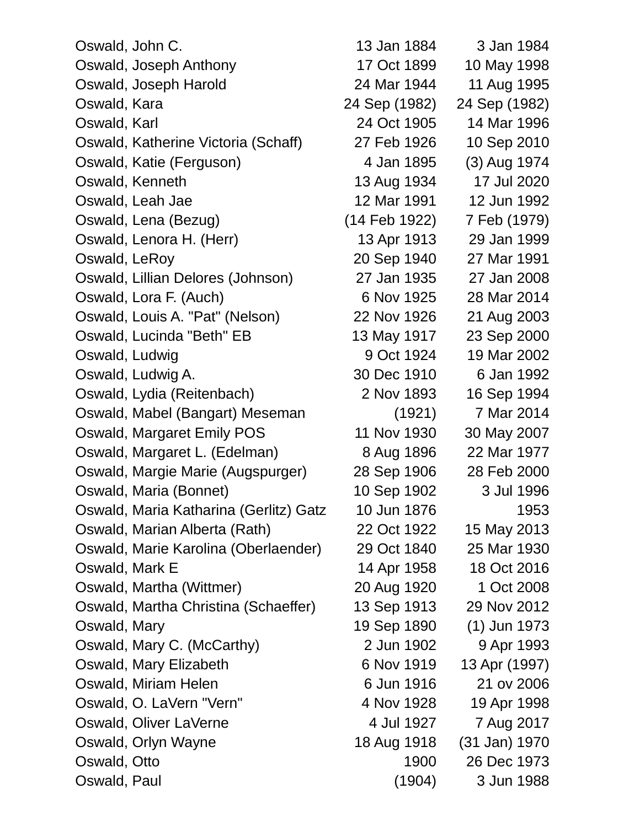| Oswald, John C.                        | 13 Jan 1884   | 3 Jan 1984    |
|----------------------------------------|---------------|---------------|
| Oswald, Joseph Anthony                 | 17 Oct 1899   | 10 May 1998   |
| Oswald, Joseph Harold                  | 24 Mar 1944   | 11 Aug 1995   |
| Oswald, Kara                           | 24 Sep (1982) | 24 Sep (1982) |
| Oswald, Karl                           | 24 Oct 1905   | 14 Mar 1996   |
| Oswald, Katherine Victoria (Schaff)    | 27 Feb 1926   | 10 Sep 2010   |
| Oswald, Katie (Ferguson)               | 4 Jan 1895    | (3) Aug 1974  |
| Oswald, Kenneth                        | 13 Aug 1934   | 17 Jul 2020   |
| Oswald, Leah Jae                       | 12 Mar 1991   | 12 Jun 1992   |
| Oswald, Lena (Bezug)                   | (14 Feb 1922) | 7 Feb (1979)  |
| Oswald, Lenora H. (Herr)               | 13 Apr 1913   | 29 Jan 1999   |
| Oswald, LeRoy                          | 20 Sep 1940   | 27 Mar 1991   |
| Oswald, Lillian Delores (Johnson)      | 27 Jan 1935   | 27 Jan 2008   |
| Oswald, Lora F. (Auch)                 | 6 Nov 1925    | 28 Mar 2014   |
| Oswald, Louis A. "Pat" (Nelson)        | 22 Nov 1926   | 21 Aug 2003   |
| Oswald, Lucinda "Beth" EB              | 13 May 1917   | 23 Sep 2000   |
| Oswald, Ludwig                         | 9 Oct 1924    | 19 Mar 2002   |
| Oswald, Ludwig A.                      | 30 Dec 1910   | 6 Jan 1992    |
| Oswald, Lydia (Reitenbach)             | 2 Nov 1893    | 16 Sep 1994   |
| Oswald, Mabel (Bangart) Meseman        | (1921)        | 7 Mar 2014    |
| Oswald, Margaret Emily POS             | 11 Nov 1930   | 30 May 2007   |
| Oswald, Margaret L. (Edelman)          | 8 Aug 1896    | 22 Mar 1977   |
| Oswald, Margie Marie (Augspurger)      | 28 Sep 1906   | 28 Feb 2000   |
| Oswald, Maria (Bonnet)                 | 10 Sep 1902   | 3 Jul 1996    |
| Oswald, Maria Katharina (Gerlitz) Gatz | 10 Jun 1876   | 1953          |
| Oswald, Marian Alberta (Rath)          | 22 Oct 1922   | 15 May 2013   |
| Oswald, Marie Karolina (Oberlaender)   | 29 Oct 1840   | 25 Mar 1930   |
| Oswald, Mark E                         | 14 Apr 1958   | 18 Oct 2016   |
| Oswald, Martha (Wittmer)               | 20 Aug 1920   | 1 Oct 2008    |
| Oswald, Martha Christina (Schaeffer)   | 13 Sep 1913   | 29 Nov 2012   |
| Oswald, Mary                           | 19 Sep 1890   | (1) Jun 1973  |
| Oswald, Mary C. (McCarthy)             | 2 Jun 1902    | 9 Apr 1993    |
| Oswald, Mary Elizabeth                 | 6 Nov 1919    | 13 Apr (1997) |
| Oswald, Miriam Helen                   | 6 Jun 1916    | 21 ov 2006    |
| Oswald, O. LaVern "Vern"               | 4 Nov 1928    | 19 Apr 1998   |
| Oswald, Oliver LaVerne                 | 4 Jul 1927    | 7 Aug 2017    |
| Oswald, Orlyn Wayne                    | 18 Aug 1918   | (31 Jan) 1970 |
| Oswald, Otto                           | 1900          | 26 Dec 1973   |
| Oswald, Paul                           | (1904)        | 3 Jun 1988    |
|                                        |               |               |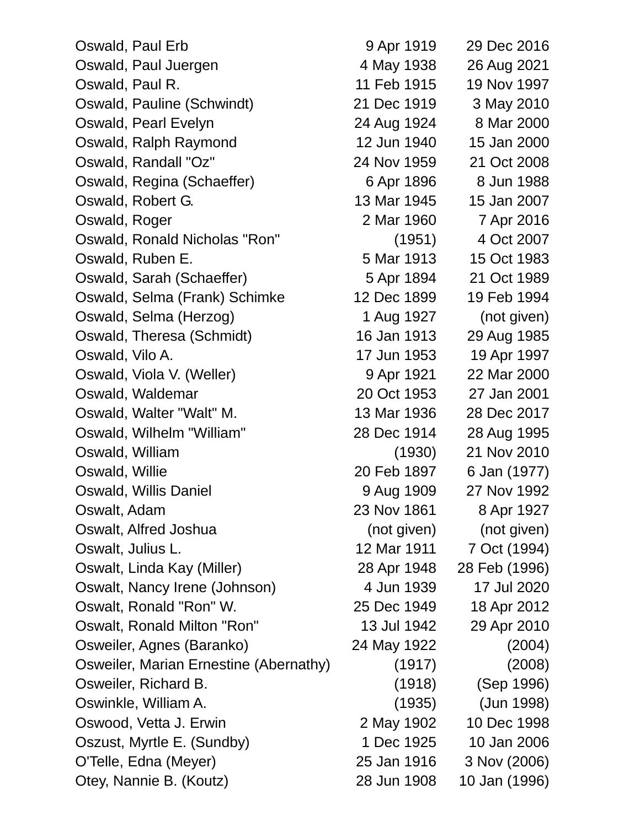| Oswald, Paul Erb                       | 9 Apr 1919  | 29 Dec 2016   |  |
|----------------------------------------|-------------|---------------|--|
| Oswald, Paul Juergen                   | 4 May 1938  | 26 Aug 2021   |  |
| Oswald, Paul R.                        | 11 Feb 1915 | 19 Nov 1997   |  |
| Oswald, Pauline (Schwindt)             | 21 Dec 1919 | 3 May 2010    |  |
| Oswald, Pearl Evelyn                   | 24 Aug 1924 | 8 Mar 2000    |  |
| Oswald, Ralph Raymond                  | 12 Jun 1940 | 15 Jan 2000   |  |
| Oswald, Randall "Oz"                   | 24 Nov 1959 | 21 Oct 2008   |  |
| Oswald, Regina (Schaeffer)             | 6 Apr 1896  | 8 Jun 1988    |  |
| Oswald, Robert G.                      | 13 Mar 1945 | 15 Jan 2007   |  |
| Oswald, Roger                          | 2 Mar 1960  | 7 Apr 2016    |  |
| Oswald, Ronald Nicholas "Ron"          | (1951)      | 4 Oct 2007    |  |
| Oswald, Ruben E.                       | 5 Mar 1913  | 15 Oct 1983   |  |
| Oswald, Sarah (Schaeffer)              | 5 Apr 1894  | 21 Oct 1989   |  |
| Oswald, Selma (Frank) Schimke          | 12 Dec 1899 | 19 Feb 1994   |  |
| Oswald, Selma (Herzog)                 | 1 Aug 1927  | (not given)   |  |
| Oswald, Theresa (Schmidt)              | 16 Jan 1913 | 29 Aug 1985   |  |
| Oswald, Vilo A.                        | 17 Jun 1953 | 19 Apr 1997   |  |
| Oswald, Viola V. (Weller)              | 9 Apr 1921  | 22 Mar 2000   |  |
| Oswald, Waldemar                       | 20 Oct 1953 | 27 Jan 2001   |  |
| Oswald, Walter "Walt" M.               | 13 Mar 1936 | 28 Dec 2017   |  |
| Oswald, Wilhelm "William"              | 28 Dec 1914 | 28 Aug 1995   |  |
| Oswald, William                        | (1930)      | 21 Nov 2010   |  |
| Oswald, Willie                         | 20 Feb 1897 | 6 Jan (1977)  |  |
| Oswald, Willis Daniel                  | 9 Aug 1909  | 27 Nov 1992   |  |
| Oswalt, Adam                           | 23 Nov 1861 | 8 Apr 1927    |  |
| Oswalt, Alfred Joshua                  | (not given) | (not given)   |  |
| Oswalt, Julius L.                      | 12 Mar 1911 | 7 Oct (1994)  |  |
| Oswalt, Linda Kay (Miller)             | 28 Apr 1948 | 28 Feb (1996) |  |
| Oswalt, Nancy Irene (Johnson)          | 4 Jun 1939  | 17 Jul 2020   |  |
| Oswalt, Ronald "Ron" W.                | 25 Dec 1949 | 18 Apr 2012   |  |
| Oswalt, Ronald Milton "Ron"            | 13 Jul 1942 | 29 Apr 2010   |  |
| Osweiler, Agnes (Baranko)              | 24 May 1922 | (2004)        |  |
| Osweiler, Marian Ernestine (Abernathy) | (1917)      | (2008)        |  |
| Osweiler, Richard B.                   | (1918)      | (Sep 1996)    |  |
| Oswinkle, William A.                   | (1935)      | (Jun 1998)    |  |
| Oswood, Vetta J. Erwin                 | 2 May 1902  | 10 Dec 1998   |  |
| Oszust, Myrtle E. (Sundby)             | 1 Dec 1925  | 10 Jan 2006   |  |
| O'Telle, Edna (Meyer)                  | 25 Jan 1916 | 3 Nov (2006)  |  |
| Otey, Nannie B. (Koutz)                | 28 Jun 1908 | 10 Jan (1996) |  |
|                                        |             |               |  |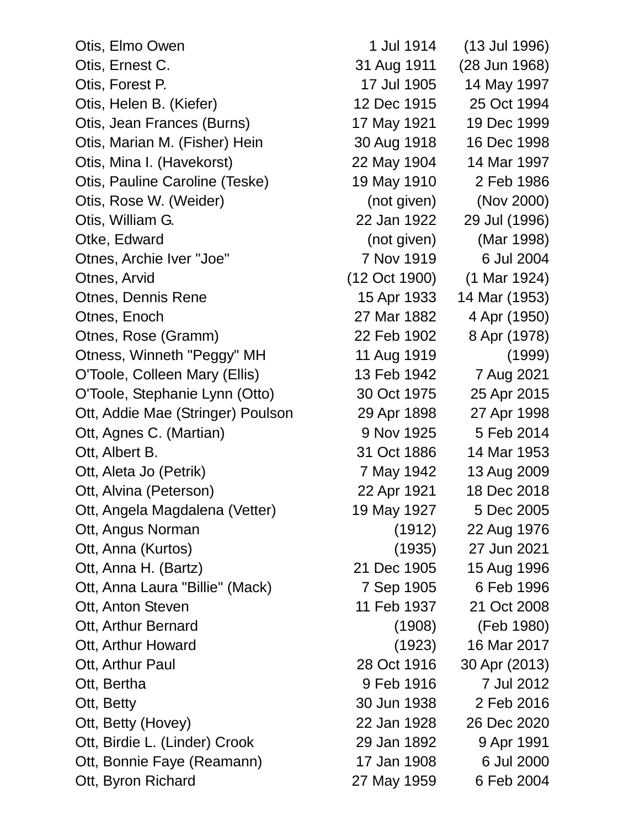Otis, Elmo Owen 1 Jul 1914 (13 Jul 1996) Otis, Ernest C. 31 Aug 1911 (28 Jun 1968) Otis, Forest P. 17 Jul 1905 14 May 1997 Otis, Helen B. (Kiefer) 12 Dec 1915 25 Oct 1994 Otis, Jean Frances (Burns) 17 May 1921 19 Dec 1999 Otis, Marian M. (Fisher) Hein 30 Aug 1918 16 Dec 1998 Otis, Mina I. (Havekorst) 22 May 1904 14 Mar 1997 Otis, Pauline Caroline (Teske) 19 May 1910 2 Feb 1986 Otis, Rose W. (Weider) (not given) (Nov 2000) Otis, William G. 22 Jan 1922 29 Jul (1996) Otke, Edward (not given) (Mar 1998) Otnes, Archie Iver "Joe" 7 Nov 1919 6 Jul 2004 Otnes, Arvid (12 Oct 1900) (1 Mar 1924) Otnes, Dennis Rene 15 Apr 1933 14 Mar (1953) Otnes, Enoch 27 Mar 1882 4 Apr (1950) Otnes, Rose (Gramm) 22 Feb 1902 8 Apr (1978) Otness, Winneth "Peggy" MH 11 Aug 1919 (1999) O'Toole, Colleen Mary (Ellis) 13 Feb 1942 7 Aug 2021 O'Toole, Stephanie Lynn (Otto) 30 Oct 1975 25 Apr 2015 Ott, Addie Mae (Stringer) Poulson 29 Apr 1898 27 Apr 1998 Ott, Agnes C. (Martian) 9 Nov 1925 5 Feb 2014 Ott, Albert B. 31 Oct 1886 14 Mar 1953 Ott, Aleta Jo (Petrik) 7 May 1942 13 Aug 2009 Ott, Alvina (Peterson) 22 Apr 1921 18 Dec 2018 Ott, Angela Magdalena (Vetter) 19 May 1927 5 Dec 2005 Ott, Angus Norman (1912) 22 Aug 1976 Ott, Anna (Kurtos) (1935) 27 Jun 2021 Ott, Anna H. (Bartz) 21 Dec 1905 15 Aug 1996 Ott, Anna Laura "Billie" (Mack) 7 Sep 1905 6 Feb 1996 Ott, Anton Steven 11 Feb 1937 21 Oct 2008 Ott, Arthur Bernard (1908) (Feb 1980) Ott, Arthur Howard (1923) 16 Mar 2017 Ott, Arthur Paul 28 Oct 1916 30 Apr (2013) Ott, Bertha 9 Feb 1916 7 Jul 2012 Ott, Betty 30 Jun 1938 2 Feb 2016 Ott, Betty (Hovey) 22 Jan 1928 26 Dec 2020 Ott, Birdie L. (Linder) Crook 29 Jan 1892 9 Apr 1991 Ott, Bonnie Faye (Reamann) 17 Jan 1908 6 Jul 2000 Ott, Byron Richard 27 May 1959 6 Feb 2004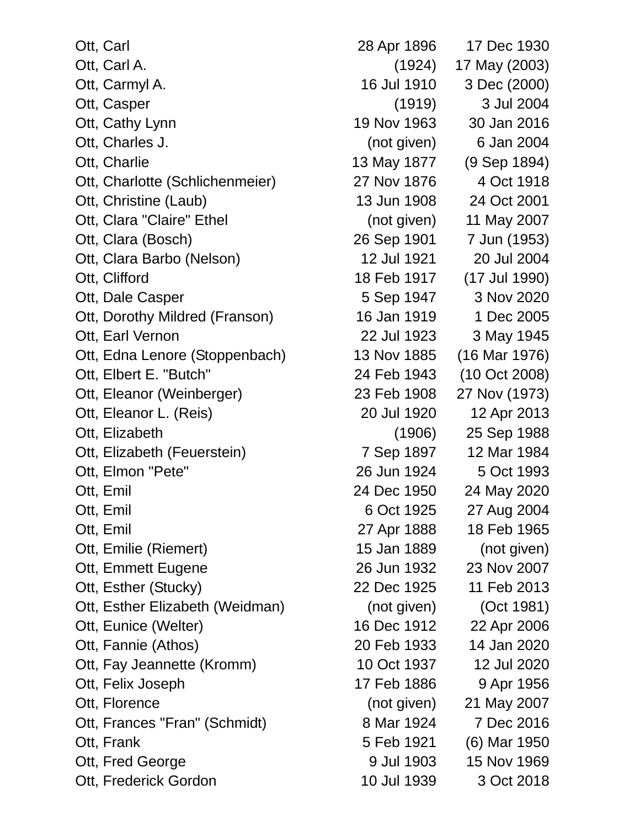Ott, Carl 28 Apr 1896 17 Dec 1930 Ott, Carl A. (1924) 17 May (2003) Ott, Carmyl A. 16 Jul 1910 3 Dec (2000) Ott, Casper (1919) 3 Jul 2004 Ott, Cathy Lynn 19 Nov 1963 30 Jan 2016 Ott, Charles J. (not given) 6 Jan 2004 Ott, Charlie 13 May 1877 (9 Sep 1894) Ott, Charlotte (Schlichenmeier) 27 Nov 1876 4 Oct 1918 Ott, Christine (Laub) 13 Jun 1908 24 Oct 2001 Ott, Clara "Claire" Ethel (not given) 11 May 2007 Ott, Clara (Bosch) 26 Sep 1901 7 Jun (1953) Ott, Clara Barbo (Nelson) 12 Jul 1921 20 Jul 2004 Ott, Clifford 18 Feb 1917 (17 Jul 1990) Ott, Dale Casper 5 Sep 1947 3 Nov 2020 Ott, Dorothy Mildred (Franson) 16 Jan 1919 1 Dec 2005 Ott, Earl Vernon 22 Jul 1923 3 May 1945 Ott, Edna Lenore (Stoppenbach) 13 Nov 1885 (16 Mar 1976) Ott, Elbert E. "Butch" 24 Feb 1943 (10 Oct 2008) Ott, Eleanor (Weinberger) 23 Feb 1908 27 Nov (1973) Ott, Eleanor L. (Reis) 20 Jul 1920 12 Apr 2013 Ott, Elizabeth (1906) 25 Sep 1988 Ott, Elizabeth (Feuerstein) 7 Sep 1897 12 Mar 1984 Ott, Elmon "Pete" 26 Jun 1924 5 Oct 1993 Ott, Emil 24 Dec 1950 24 May 2020 Ott, Emil 6 Oct 1925 27 Aug 2004 Ott, Emil 27 Apr 1888 18 Feb 1965 Ott, Emilie (Riemert) 15 Jan 1889 (not given) Ott, Emmett Eugene 26 Jun 1932 23 Nov 2007 Ott, Esther (Stucky) 22 Dec 1925 11 Feb 2013 Ott, Esther Elizabeth (Weidman) (not given) (Oct 1981) Ott, Eunice (Welter) 16 Dec 1912 22 Apr 2006 Ott, Fannie (Athos) 20 Feb 1933 14 Jan 2020 Ott, Fay Jeannette (Kromm) 10 Oct 1937 12 Jul 2020 Ott, Felix Joseph 17 Feb 1886 9 Apr 1956 Ott, Florence **(iii)** (not given) 21 May 2007 Ott, Frances "Fran" (Schmidt) 8 Mar 1924 7 Dec 2016 Ott, Frank 5 Feb 1921 (6) Mar 1950 Ott, Fred George 1903 15 Nov 1969 Ott, Frederick Gordon 10 Jul 1939 3 Oct 2018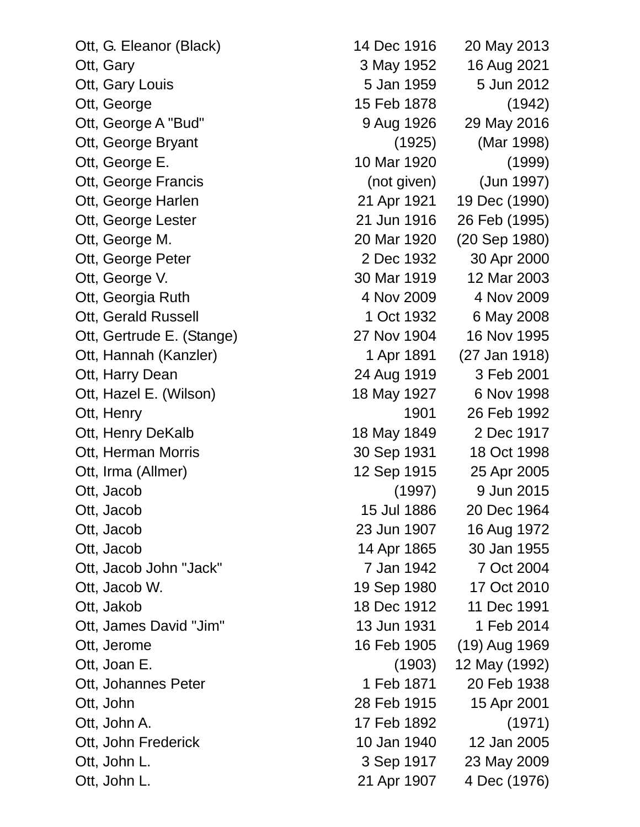Ott, G. Eleanor (Black) 14 Dec 1916 20 May 2013 Ott, Gary 3 May 1952 16 Aug 2021 Ott, Gary Louis 5 Jan 1959 5 Jun 2012 Ott, George 15 Feb 1878 (1942) Ott, George A "Bud" 9 Aug 1926 29 May 2016 Ott, George Bryant (1925) (Mar 1998) Ott, George E. 10 Mar 1920 (1999) Ott, George Francis (not given) (Jun 1997) Ott, George Harlen 21 Apr 1921 19 Dec (1990) Ott, George Lester 21 Jun 1916 26 Feb (1995) Ott, George M. 20 Mar 1920 (20 Sep 1980) Ott, George Peter 2 Dec 1932 30 Apr 2000 Ott, George V. 2003 20 Mar 1919 12 Mar 2003 Ott, Georgia Ruth 4 Nov 2009 4 Nov 2009 Ott, Gerald Russell **1 Oct 1932** 6 May 2008 Ott, Gertrude E. (Stange) 27 Nov 1904 16 Nov 1995 Ott, Hannah (Kanzler) 1 Apr 1891 (27 Jan 1918) Ott, Harry Dean 24 Aug 1919 3 Feb 2001 Ott, Hazel E. (Wilson) 18 May 1927 6 Nov 1998 Ott, Henry 1901 26 Feb 1992 Ott, Henry DeKalb 18 May 1849 2 Dec 1917 Ott, Herman Morris 20 Sep 1931 18 Oct 1998 Ott, Irma (Allmer) 12 Sep 1915 25 Apr 2005 Ott, Jacob (1997) 9 Jun 2015 Ott, Jacob 15 Jul 1886 20 Dec 1964 Ott, Jacob 23 Jun 1907 16 Aug 1972 Ott, Jacob 14 Apr 1865 30 Jan 1955 Ott, Jacob John "Jack" 7 Jan 1942 7 Oct 2004 Ott, Jacob W. 19 Sep 1980 17 Oct 2010 Ott, Jakob 18 Dec 1912 11 Dec 1991 Ott, James David "Jim" 13 Jun 1931 1 Feb 2014 Ott, Jerome 16 Feb 1905 (19) Aug 1969 Ott, Joan E. (1903) 12 May (1992) Ott, Johannes Peter 1 Feb 1871 20 Feb 1938 Ott, John 28 Feb 1915 15 Apr 2001 Ott, John A. 17 Feb 1892 (1971) Ott, John Frederick 10 Jan 1940 12 Jan 2005 Ott, John L. 23 May 2009 Ott, John L. 21 Apr 1907 4 Dec (1976)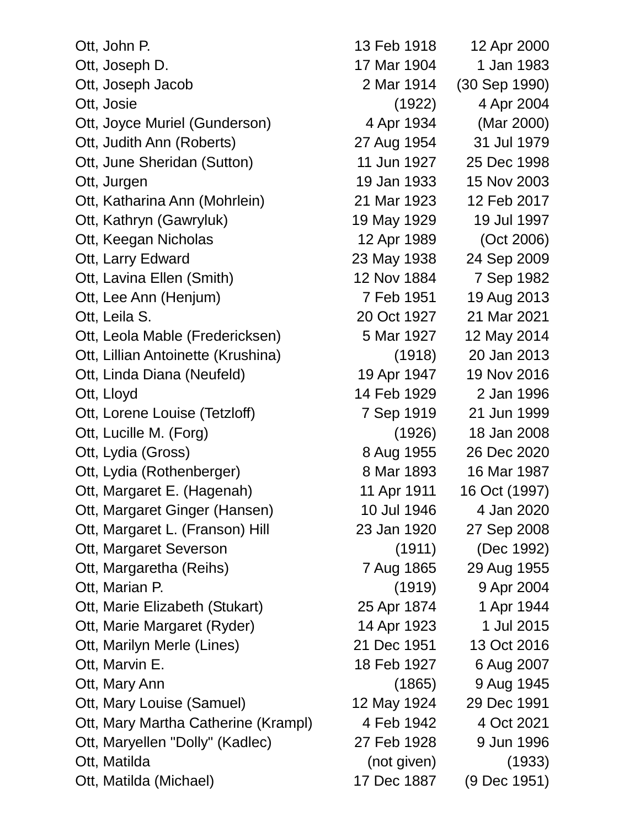| Ott, John P.                        | 13 Feb 1918 | 12 Apr 2000   |
|-------------------------------------|-------------|---------------|
| Ott, Joseph D.                      | 17 Mar 1904 | 1 Jan 1983    |
| Ott, Joseph Jacob                   | 2 Mar 1914  | (30 Sep 1990) |
| Ott, Josie                          | (1922)      | 4 Apr 2004    |
| Ott, Joyce Muriel (Gunderson)       | 4 Apr 1934  | (Mar 2000)    |
| Ott, Judith Ann (Roberts)           | 27 Aug 1954 | 31 Jul 1979   |
| Ott, June Sheridan (Sutton)         | 11 Jun 1927 | 25 Dec 1998   |
| Ott, Jurgen                         | 19 Jan 1933 | 15 Nov 2003   |
| Ott, Katharina Ann (Mohrlein)       | 21 Mar 1923 | 12 Feb 2017   |
| Ott, Kathryn (Gawryluk)             | 19 May 1929 | 19 Jul 1997   |
| Ott, Keegan Nicholas                | 12 Apr 1989 | (Oct 2006)    |
| Ott, Larry Edward                   | 23 May 1938 | 24 Sep 2009   |
| Ott, Lavina Ellen (Smith)           | 12 Nov 1884 | 7 Sep 1982    |
| Ott, Lee Ann (Henjum)               | 7 Feb 1951  | 19 Aug 2013   |
| Ott, Leila S.                       | 20 Oct 1927 | 21 Mar 2021   |
| Ott, Leola Mable (Fredericksen)     | 5 Mar 1927  | 12 May 2014   |
| Ott, Lillian Antoinette (Krushina)  | (1918)      | 20 Jan 2013   |
| Ott, Linda Diana (Neufeld)          | 19 Apr 1947 | 19 Nov 2016   |
| Ott, Lloyd                          | 14 Feb 1929 | 2 Jan 1996    |
| Ott, Lorene Louise (Tetzloff)       | 7 Sep 1919  | 21 Jun 1999   |
| Ott, Lucille M. (Forg)              | (1926)      | 18 Jan 2008   |
| Ott, Lydia (Gross)                  | 8 Aug 1955  | 26 Dec 2020   |
| Ott, Lydia (Rothenberger)           | 8 Mar 1893  | 16 Mar 1987   |
| Ott, Margaret E. (Hagenah)          | 11 Apr 1911 | 16 Oct (1997) |
| Ott, Margaret Ginger (Hansen)       | 10 Jul 1946 | 4 Jan 2020    |
| Ott, Margaret L. (Franson) Hill     | 23 Jan 1920 | 27 Sep 2008   |
| Ott, Margaret Severson              | (1911)      | (Dec 1992)    |
| Ott, Margaretha (Reihs)             | 7 Aug 1865  | 29 Aug 1955   |
| Ott, Marian P.                      | (1919)      | 9 Apr 2004    |
| Ott, Marie Elizabeth (Stukart)      | 25 Apr 1874 | 1 Apr 1944    |
| Ott, Marie Margaret (Ryder)         | 14 Apr 1923 | 1 Jul 2015    |
| Ott, Marilyn Merle (Lines)          | 21 Dec 1951 | 13 Oct 2016   |
| Ott, Marvin E.                      | 18 Feb 1927 | 6 Aug 2007    |
| Ott, Mary Ann                       | (1865)      | 9 Aug 1945    |
| Ott, Mary Louise (Samuel)           | 12 May 1924 | 29 Dec 1991   |
| Ott, Mary Martha Catherine (Krampl) | 4 Feb 1942  | 4 Oct 2021    |
| Ott, Maryellen "Dolly" (Kadlec)     | 27 Feb 1928 | 9 Jun 1996    |
| Ott, Matilda                        | (not given) | (1933)        |
| Ott, Matilda (Michael)              | 17 Dec 1887 | (9 Dec 1951)  |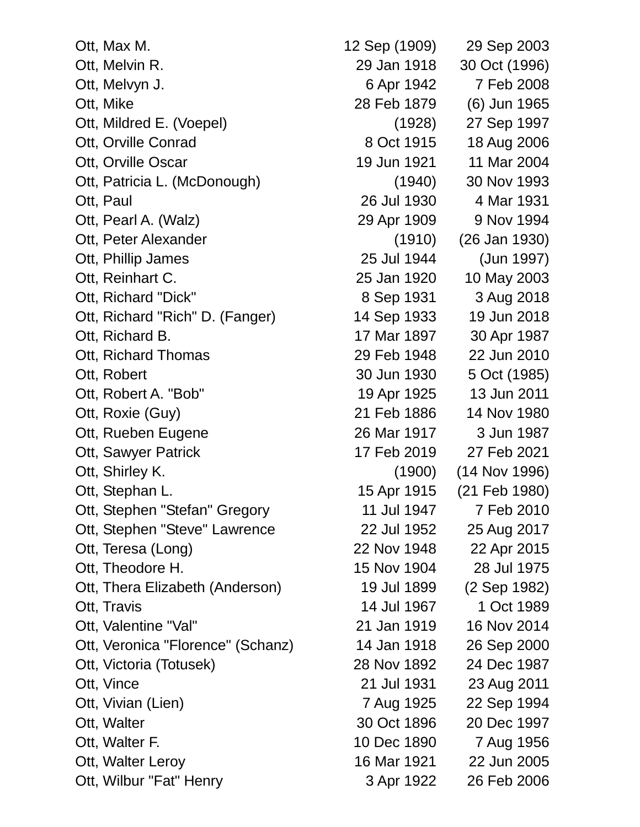| Ott, Max M.                       |
|-----------------------------------|
| Ott, Melvin R.                    |
| Ott, Melvyn J.                    |
| Ott, Mike                         |
| Ott, Mildred E. (Voepel)          |
| Ott, Orville Conrad               |
| Ott, Orville Oscar                |
| Ott, Patricia L. (McDonough)      |
| Ott, Paul                         |
| Ott, Pearl A. (Walz)              |
| Ott, Peter Alexander              |
| Ott, Phillip James                |
| Ott, Reinhart C.                  |
| Ott, Richard "Dick"               |
| Ott, Richard "Rich" D. (Fanger)   |
| Ott, Richard B.                   |
| Ott, Richard Thomas               |
| Ott, Robert                       |
| Ott, Robert A. "Bob"              |
| Ott, Roxie (Guy)                  |
| Ott, Rueben Eugene                |
| Ott, Sawyer Patrick               |
| Ott, Shirley K.                   |
| Ott, Stephan L.                   |
| Ott, Stephen "Stefan" Gregory     |
| Ott, Stephen "Steve" Lawrence     |
| Ott, Teresa (Long)                |
| Ott, Theodore H.                  |
| Ott, Thera Elizabeth (Anderson)   |
| Ott, Travis                       |
| Ott, Valentine "Val"              |
| Ott, Veronica "Florence" (Schanz) |
| Ott, Victoria (Totusek)           |
| Ott, Vince                        |
| Ott, Vivian (Lien)                |
| Ott, Walter                       |
| Ott, Walter F.                    |
| Ott, Walter Leroy                 |
| Ott, Wilbur "Fat" Henry           |

12 Sep (1909) 29 Sep 2003 29 Jan 1918 30 Oct (1996) 6 Apr 1942 7 Feb 2008 28 Feb 1879 (6) Jun 1965 (1928) 27 Sep 1997 8 Oct 1915 18 Aug 2006 19 Jun 1921 11 Mar 2004  $(1940)$  30 Nov 1993 26 Jul 1930 4 Mar 1931 29 Apr 1909 9 Nov 1994  $(1910)$   $(26$  Jan 1930) 25 Jul 1944 (Jun 1997) 25 Jan 1920 10 May 2003 8 Sep 1931 3 Aug 2018 14 Sep 1933 19 Jun 2018 17 Mar 1897 30 Apr 1987 29 Feb 1948 22 Jun 2010 30 Jun 1930 5 Oct (1985) 19 Apr 1925 13 Jun 2011 21 Feb 1886 14 Nov 1980 26 Mar 1917 3 Jun 1987 17 Feb 2019 27 Feb 2021  $(1900)$   $(14$  Nov 1996) 15 Apr 1915 (21 Feb 1980) 11 Jul 1947 7 Feb 2010 22 Jul 1952 25 Aug 2017 22 Nov 1948 22 Apr 2015 15 Nov 1904 28 Jul 1975 19 Jul 1899 (2 Sep 1982) 14 Jul 1967 1 Oct 1989 21 Jan 1919 16 Nov 2014 14 Jan 1918 26 Sep 2000 28 Nov 1892 24 Dec 1987 21 Jul 1931 23 Aug 2011 7 Aug 1925 22 Sep 1994 30 Oct 1896 20 Dec 1997 10 Dec 1890 7 Aug 1956 16 Mar 1921 22 Jun 2005 3 Apr 1922 26 Feb 2006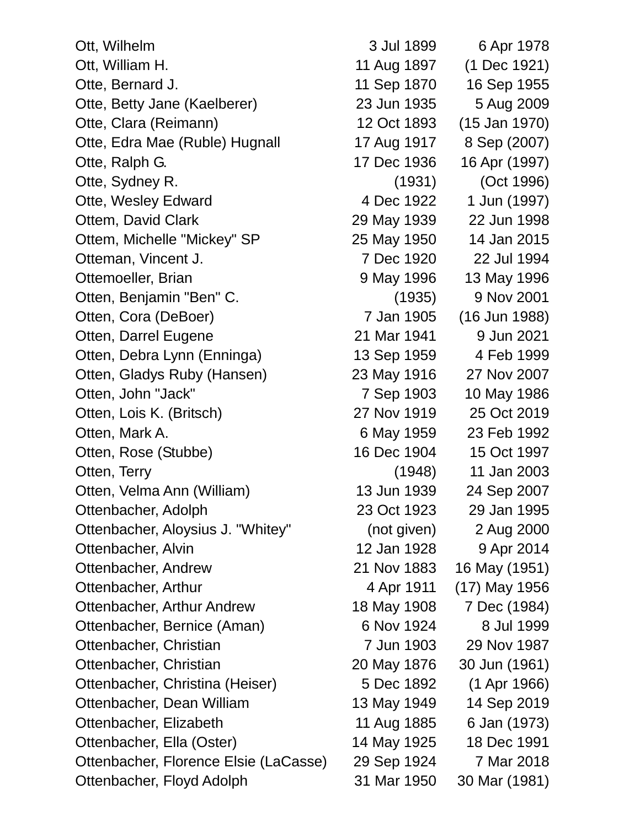| Ott, Wilhelm                          | 3 Jul 1899  | 6 Apr 1978      |
|---------------------------------------|-------------|-----------------|
| Ott, William H.                       | 11 Aug 1897 | (1 Dec 1921)    |
| Otte, Bernard J.                      | 11 Sep 1870 | 16 Sep 1955     |
| Otte, Betty Jane (Kaelberer)          | 23 Jun 1935 | 5 Aug 2009      |
| Otte, Clara (Reimann)                 | 12 Oct 1893 | $(15$ Jan 1970) |
| Otte, Edra Mae (Ruble) Hugnall        | 17 Aug 1917 | 8 Sep (2007)    |
| Otte, Ralph G.                        | 17 Dec 1936 | 16 Apr (1997)   |
| Otte, Sydney R.                       | (1931)      | (Oct 1996)      |
| <b>Otte, Wesley Edward</b>            | 4 Dec 1922  | 1 Jun (1997)    |
| Ottem, David Clark                    | 29 May 1939 | 22 Jun 1998     |
| Ottem, Michelle "Mickey" SP           | 25 May 1950 | 14 Jan 2015     |
| Otteman, Vincent J.                   | 7 Dec 1920  | 22 Jul 1994     |
| Ottemoeller, Brian                    | 9 May 1996  | 13 May 1996     |
| Otten, Benjamin "Ben" C.              | (1935)      | 9 Nov 2001      |
| Otten, Cora (DeBoer)                  | 7 Jan 1905  | (16 Jun 1988)   |
| Otten, Darrel Eugene                  | 21 Mar 1941 | 9 Jun 2021      |
| Otten, Debra Lynn (Enninga)           | 13 Sep 1959 | 4 Feb 1999      |
| Otten, Gladys Ruby (Hansen)           | 23 May 1916 | 27 Nov 2007     |
| Otten, John "Jack"                    | 7 Sep 1903  | 10 May 1986     |
| Otten, Lois K. (Britsch)              | 27 Nov 1919 | 25 Oct 2019     |
| Otten, Mark A.                        | 6 May 1959  | 23 Feb 1992     |
| Otten, Rose (Stubbe)                  | 16 Dec 1904 | 15 Oct 1997     |
| Otten, Terry                          | (1948)      | 11 Jan 2003     |
| Otten, Velma Ann (William)            | 13 Jun 1939 | 24 Sep 2007     |
| Ottenbacher, Adolph                   | 23 Oct 1923 | 29 Jan 1995     |
| Ottenbacher, Aloysius J. "Whitey"     | (not given) | 2 Aug 2000      |
| Ottenbacher, Alvin                    | 12 Jan 1928 | 9 Apr 2014      |
| Ottenbacher, Andrew                   | 21 Nov 1883 | 16 May (1951)   |
| Ottenbacher, Arthur                   | 4 Apr 1911  | (17) May 1956   |
| Ottenbacher, Arthur Andrew            | 18 May 1908 | 7 Dec (1984)    |
| Ottenbacher, Bernice (Aman)           | 6 Nov 1924  | 8 Jul 1999      |
| Ottenbacher, Christian                | 7 Jun 1903  | 29 Nov 1987     |
| Ottenbacher, Christian                | 20 May 1876 | 30 Jun (1961)   |
| Ottenbacher, Christina (Heiser)       | 5 Dec 1892  | (1 Apr 1966)    |
| Ottenbacher, Dean William             | 13 May 1949 | 14 Sep 2019     |
| Ottenbacher, Elizabeth                | 11 Aug 1885 | 6 Jan (1973)    |
| Ottenbacher, Ella (Oster)             | 14 May 1925 | 18 Dec 1991     |
| Ottenbacher, Florence Elsie (LaCasse) | 29 Sep 1924 | 7 Mar 2018      |
| Ottenbacher, Floyd Adolph             | 31 Mar 1950 | 30 Mar (1981)   |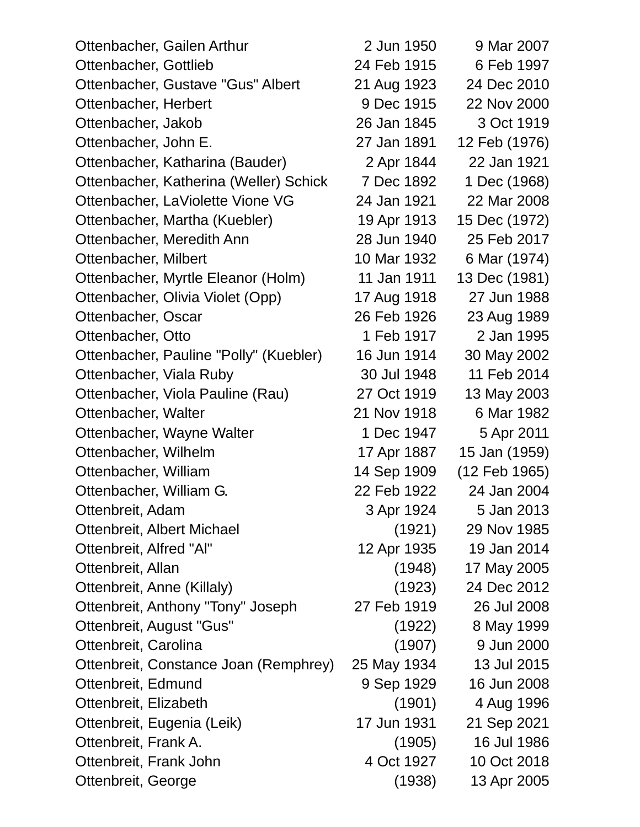| Ottenbacher, Gailen Arthur             | 2 Jun 1950  | 9 Mar 2007    |
|----------------------------------------|-------------|---------------|
| Ottenbacher, Gottlieb                  | 24 Feb 1915 | 6 Feb 1997    |
| Ottenbacher, Gustave "Gus" Albert      | 21 Aug 1923 | 24 Dec 2010   |
| Ottenbacher, Herbert                   | 9 Dec 1915  | 22 Nov 2000   |
| Ottenbacher, Jakob                     | 26 Jan 1845 | 3 Oct 1919    |
| Ottenbacher, John E.                   | 27 Jan 1891 | 12 Feb (1976) |
| Ottenbacher, Katharina (Bauder)        | 2 Apr 1844  | 22 Jan 1921   |
| Ottenbacher, Katherina (Weller) Schick | 7 Dec 1892  | 1 Dec (1968)  |
| Ottenbacher, LaViolette Vione VG       | 24 Jan 1921 | 22 Mar 2008   |
| Ottenbacher, Martha (Kuebler)          | 19 Apr 1913 | 15 Dec (1972) |
| Ottenbacher, Meredith Ann              | 28 Jun 1940 | 25 Feb 2017   |
| Ottenbacher, Milbert                   | 10 Mar 1932 | 6 Mar (1974)  |
| Ottenbacher, Myrtle Eleanor (Holm)     | 11 Jan 1911 | 13 Dec (1981) |
| Ottenbacher, Olivia Violet (Opp)       | 17 Aug 1918 | 27 Jun 1988   |
| Ottenbacher, Oscar                     | 26 Feb 1926 | 23 Aug 1989   |
| Ottenbacher, Otto                      | 1 Feb 1917  | 2 Jan 1995    |
| Ottenbacher, Pauline "Polly" (Kuebler) | 16 Jun 1914 | 30 May 2002   |
| Ottenbacher, Viala Ruby                | 30 Jul 1948 | 11 Feb 2014   |
| Ottenbacher, Viola Pauline (Rau)       | 27 Oct 1919 | 13 May 2003   |
| Ottenbacher, Walter                    | 21 Nov 1918 | 6 Mar 1982    |
| Ottenbacher, Wayne Walter              | 1 Dec 1947  | 5 Apr 2011    |
| Ottenbacher, Wilhelm                   | 17 Apr 1887 | 15 Jan (1959) |
| Ottenbacher, William                   | 14 Sep 1909 | (12 Feb 1965) |
| Ottenbacher, William G.                | 22 Feb 1922 | 24 Jan 2004   |
| Ottenbreit, Adam                       | 3 Apr 1924  | 5 Jan 2013    |
| <b>Ottenbreit, Albert Michael</b>      | (1921)      | 29 Nov 1985   |
| Ottenbreit, Alfred "Al"                | 12 Apr 1935 | 19 Jan 2014   |
| Ottenbreit, Allan                      | (1948)      | 17 May 2005   |
| Ottenbreit, Anne (Killaly)             | (1923)      | 24 Dec 2012   |
| Ottenbreit, Anthony "Tony" Joseph      | 27 Feb 1919 | 26 Jul 2008   |
| Ottenbreit, August "Gus"               | (1922)      | 8 May 1999    |
| Ottenbreit, Carolina                   | (1907)      | 9 Jun 2000    |
| Ottenbreit, Constance Joan (Remphrey)  | 25 May 1934 | 13 Jul 2015   |
| Ottenbreit, Edmund                     | 9 Sep 1929  | 16 Jun 2008   |
| Ottenbreit, Elizabeth                  | (1901)      | 4 Aug 1996    |
| Ottenbreit, Eugenia (Leik)             | 17 Jun 1931 | 21 Sep 2021   |
| Ottenbreit, Frank A.                   | (1905)      | 16 Jul 1986   |
| Ottenbreit, Frank John                 | 4 Oct 1927  | 10 Oct 2018   |
| Ottenbreit, George                     | (1938)      | 13 Apr 2005   |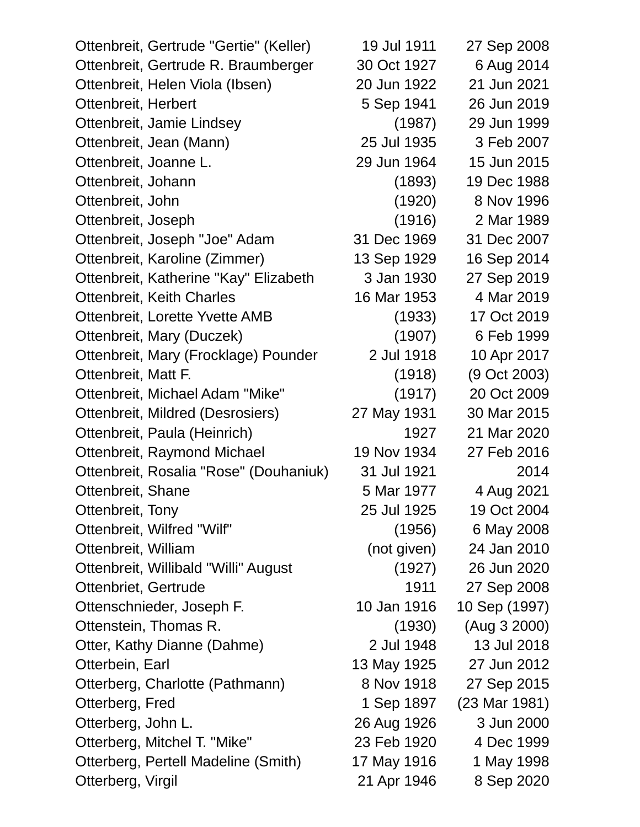| Ottenbreit, Gertrude "Gertie" (Keller) | 19 Jul 1911 | 27 Sep 2008   |
|----------------------------------------|-------------|---------------|
| Ottenbreit, Gertrude R. Braumberger    | 30 Oct 1927 | 6 Aug 2014    |
| Ottenbreit, Helen Viola (Ibsen)        | 20 Jun 1922 | 21 Jun 2021   |
| Ottenbreit, Herbert                    | 5 Sep 1941  | 26 Jun 2019   |
| Ottenbreit, Jamie Lindsey              | (1987)      | 29 Jun 1999   |
| Ottenbreit, Jean (Mann)                | 25 Jul 1935 | 3 Feb 2007    |
| Ottenbreit, Joanne L.                  | 29 Jun 1964 | 15 Jun 2015   |
| Ottenbreit, Johann                     | (1893)      | 19 Dec 1988   |
| Ottenbreit, John                       | (1920)      | 8 Nov 1996    |
| Ottenbreit, Joseph                     | (1916)      | 2 Mar 1989    |
| Ottenbreit, Joseph "Joe" Adam          | 31 Dec 1969 | 31 Dec 2007   |
| Ottenbreit, Karoline (Zimmer)          | 13 Sep 1929 | 16 Sep 2014   |
| Ottenbreit, Katherine "Kay" Elizabeth  | 3 Jan 1930  | 27 Sep 2019   |
| Ottenbreit, Keith Charles              | 16 Mar 1953 | 4 Mar 2019    |
| Ottenbreit, Lorette Yvette AMB         | (1933)      | 17 Oct 2019   |
| Ottenbreit, Mary (Duczek)              | (1907)      | 6 Feb 1999    |
| Ottenbreit, Mary (Frocklage) Pounder   | 2 Jul 1918  | 10 Apr 2017   |
| Ottenbreit, Matt F.                    | (1918)      | (9 Oct 2003)  |
| Ottenbreit, Michael Adam "Mike"        | (1917)      | 20 Oct 2009   |
| Ottenbreit, Mildred (Desrosiers)       | 27 May 1931 | 30 Mar 2015   |
| Ottenbreit, Paula (Heinrich)           | 1927        | 21 Mar 2020   |
| Ottenbreit, Raymond Michael            | 19 Nov 1934 | 27 Feb 2016   |
| Ottenbreit, Rosalia "Rose" (Douhaniuk) | 31 Jul 1921 | 2014          |
| Ottenbreit, Shane                      | 5 Mar 1977  | 4 Aug 2021    |
| Ottenbreit, Tony                       | 25 Jul 1925 | 19 Oct 2004   |
| Ottenbreit, Wilfred "Wilf"             | (1956)      | 6 May 2008    |
| Ottenbreit, William                    | (not given) | 24 Jan 2010   |
| Ottenbreit, Willibald "Willi" August   | (1927)      | 26 Jun 2020   |
| Ottenbriet, Gertrude                   | 1911        | 27 Sep 2008   |
| Ottenschnieder, Joseph F.              | 10 Jan 1916 | 10 Sep (1997) |
| Ottenstein, Thomas R.                  | (1930)      | (Aug 3 2000)  |
| Otter, Kathy Dianne (Dahme)            | 2 Jul 1948  | 13 Jul 2018   |
| Otterbein, Earl                        | 13 May 1925 | 27 Jun 2012   |
| Otterberg, Charlotte (Pathmann)        | 8 Nov 1918  | 27 Sep 2015   |
| Otterberg, Fred                        | 1 Sep 1897  | (23 Mar 1981) |
| Otterberg, John L.                     | 26 Aug 1926 | 3 Jun 2000    |
| Otterberg, Mitchel T. "Mike"           | 23 Feb 1920 | 4 Dec 1999    |
| Otterberg, Pertell Madeline (Smith)    | 17 May 1916 | 1 May 1998    |
| Otterberg, Virgil                      | 21 Apr 1946 | 8 Sep 2020    |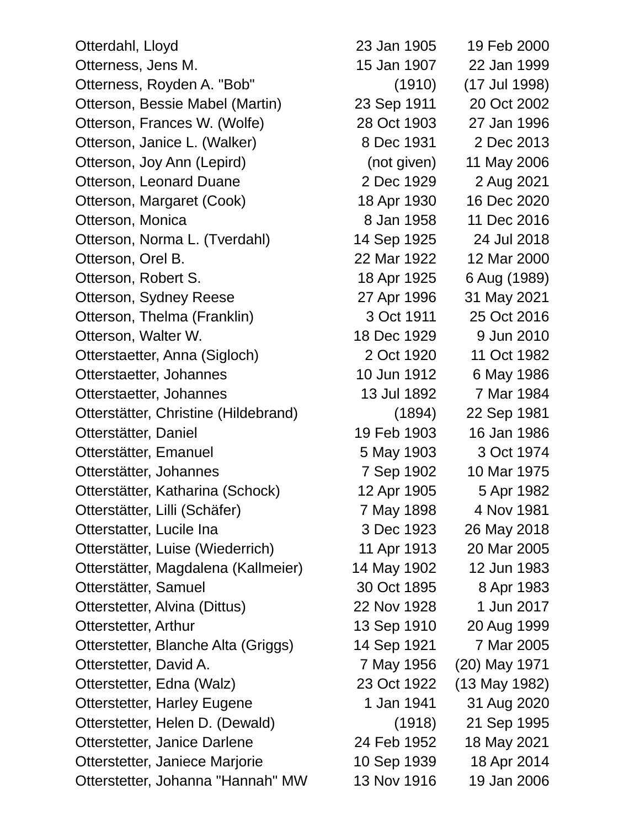Otterdahl, Lloyd 23 Jan 1905 19 Feb 2000 Otterness, Jens M. 15 Jan 1907 22 Jan 1999 Otterness, Royden A. "Bob" (1910) (17 Jul 1998) Otterson, Bessie Mabel (Martin) 23 Sep 1911 20 Oct 2002 Otterson, Frances W. (Wolfe) 28 Oct 1903 27 Jan 1996 Otterson, Janice L. (Walker) 8 Dec 1931 2 Dec 2013 Otterson, Joy Ann (Lepird) (not given) 11 May 2006 Otterson, Leonard Duane 2 Dec 1929 2 Aug 2021 Otterson, Margaret (Cook) 18 Apr 1930 16 Dec 2020 Otterson, Monica 2016 Otterson, Norma L. (Tverdahl) 14 Sep 1925 24 Jul 2018 Otterson, Orel B. 22 Mar 1922 12 Mar 2000 Otterson, Robert S. 18 Apr 1925 6 Aug (1989) Otterson, Sydney Reese 27 Apr 1996 31 May 2021 Otterson, Thelma (Franklin) 3 Oct 1911 25 Oct 2016 Otterson, Walter W. 18 Dec 1929 9 Jun 2010 Otterstaetter, Anna (Sigloch) 2 Oct 1920 11 Oct 1982 Otterstaetter, Johannes 10 Jun 1912 6 May 1986 Otterstaetter, Johannes 13 Jul 1892 7 Mar 1984 Otterstätter, Christine (Hildebrand) (1894) 22 Sep 1981 Otterstätter, Daniel 19 Feb 1903 16 Jan 1986 Otterstätter, Emanuel 5 May 1903 3 Oct 1974 Otterstätter, Johannes 7 Sep 1902 10 Mar 1975 Otterstätter, Katharina (Schock) 12 Apr 1905 5 Apr 1982 Otterstätter, Lilli (Schäfer) 7 May 1898 4 Nov 1981 Otterstatter, Lucile Ina 3 Dec 1923 26 May 2018 Otterstätter, Luise (Wiederrich) 11 Apr 1913 20 Mar 2005 Otterstätter, Magdalena (Kallmeier) 14 May 1902 12 Jun 1983 Otterstätter, Samuel 30 Oct 1895 8 Apr 1983 Otterstetter, Alvina (Dittus) 22 Nov 1928 1 Jun 2017 Otterstetter, Arthur 13 Sep 1910 20 Aug 1999 Otterstetter, Blanche Alta (Griggs) 14 Sep 1921 7 Mar 2005 Otterstetter, David A. 2001 7 May 1956 (20) May 1971 Otterstetter, Edna (Walz) 23 Oct 1922 (13 May 1982) Otterstetter, Harley Eugene 1 Jan 1941 31 Aug 2020 Otterstetter, Helen D. (Dewald) (1918) 21 Sep 1995 Otterstetter, Janice Darlene 24 Feb 1952 18 May 2021 Otterstetter, Janiece Marjorie 10 Sep 1939 18 Apr 2014 Otterstetter, Johanna "Hannah" MW 13 Nov 1916 19 Jan 2006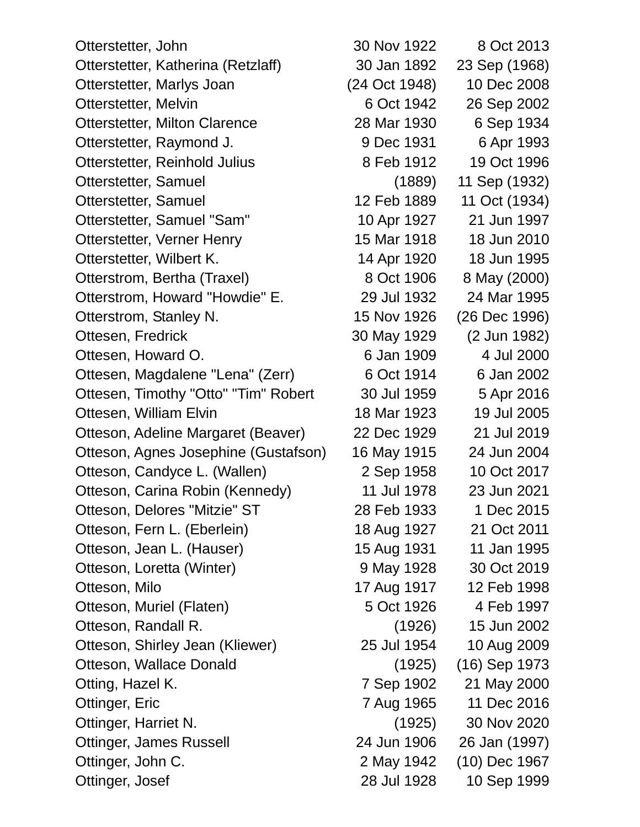Otterstetter, John 30 Nov 1922 8 Oct 2013 Otterstetter, Katherina (Retzlaff) 30 Jan 1892 23 Sep (1968) Otterstetter, Marlys Joan (24 Oct 1948) 10 Dec 2008 Otterstetter, Melvin 6 Oct 1942 26 Sep 2002 Otterstetter, Milton Clarence 28 Mar 1930 6 Sep 1934 Otterstetter, Raymond J. 30 9 Dec 1931 6 Apr 1993 Otterstetter, Reinhold Julius 8 Feb 1912 19 Oct 1996 Otterstetter, Samuel (1889) 11 Sep (1932) Otterstetter, Samuel 12 Feb 1889 11 Oct (1934) Otterstetter, Samuel "Sam" 10 Apr 1927 21 Jun 1997 Otterstetter, Verner Henry 15 Mar 1918 18 Jun 2010 Otterstetter, Wilbert K. 14 Apr 1920 18 Jun 1995 Otterstrom, Bertha (Traxel) 8 Oct 1906 8 May (2000) Otterstrom, Howard "Howdie" E. 29 Jul 1932 24 Mar 1995 Otterstrom, Stanley N. 15 Nov 1926 (26 Dec 1996) Ottesen, Fredrick 30 May 1929 (2 Jun 1982) Ottesen, Howard O. 6 Jan 1909 4 Jul 2000 Ottesen, Magdalene "Lena" (Zerr) 6 Oct 1914 6 Jan 2002 Ottesen, Timothy "Otto" "Tim" Robert 30 Jul 1959 5 Apr 2016 Ottesen, William Elvin 18 Mar 1923 19 Jul 2005 Otteson, Adeline Margaret (Beaver) 22 Dec 1929 21 Jul 2019 Otteson, Agnes Josephine (Gustafson) 16 May 1915 24 Jun 2004 Otteson, Candyce L. (Wallen) 2 Sep 1958 10 Oct 2017 Otteson, Carina Robin (Kennedy) 11 Jul 1978 23 Jun 2021 Otteson, Delores "Mitzie" ST 28 Feb 1933 1 Dec 2015 Otteson, Fern L. (Eberlein) 18 Aug 1927 21 Oct 2011 Otteson, Jean L. (Hauser) 15 Aug 1931 11 Jan 1995 Otteson, Loretta (Winter) 9 May 1928 30 Oct 2019 Otteson, Milo 17 Aug 1917 12 Feb 1998 Otteson, Muriel (Flaten) 6 Oct 1926 4 Feb 1997 Otteson, Randall R. (1926) 15 Jun 2002 Otteson, Shirley Jean (Kliewer) 25 Jul 1954 10 Aug 2009 Otteson, Wallace Donald (1925) (16) Sep 1973 Otting, Hazel K. 7 Sep 1902 21 May 2000 Ottinger, Eric 7 Aug 1965 11 Dec 2016 Ottinger, Harriet N. (1925) 30 Nov 2020 Ottinger, James Russell 24 Jun 1906 26 Jan (1997) Ottinger, John C. 2 May 1942 (10) Dec 1967 Ottinger, Josef 28 Jul 1928 10 Sep 1999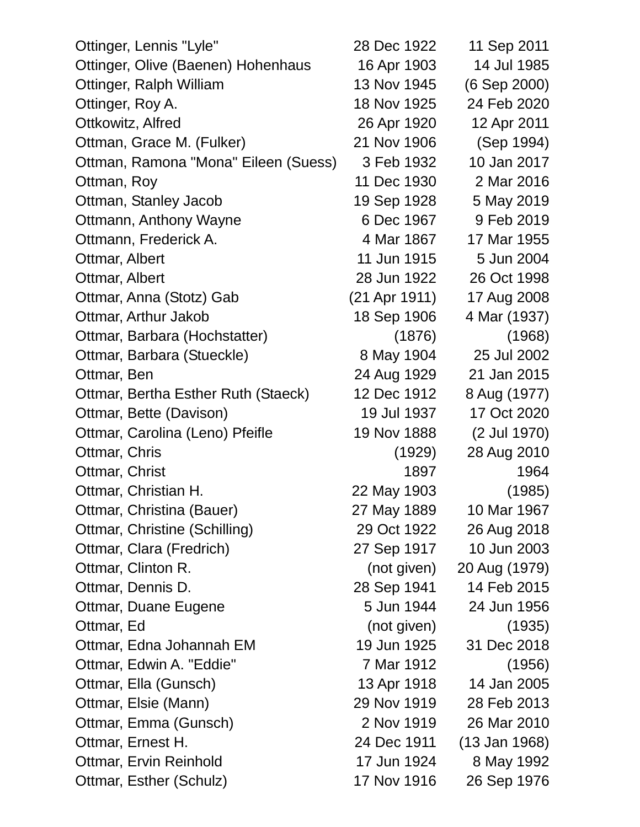| Ottinger, Lennis "Lyle"              | 28 Dec 1922   | 11 Sep 2011              |
|--------------------------------------|---------------|--------------------------|
| Ottinger, Olive (Baenen) Hohenhaus   | 16 Apr 1903   | 14 Jul 1985              |
| Ottinger, Ralph William              | 13 Nov 1945   | (6 Sep 2000)             |
| Ottinger, Roy A.                     | 18 Nov 1925   | 24 Feb 2020              |
| Ottkowitz, Alfred                    | 26 Apr 1920   | 12 Apr 2011              |
| Ottman, Grace M. (Fulker)            | 21 Nov 1906   | (Sep 1994)               |
| Ottman, Ramona "Mona" Eileen (Suess) | 3 Feb 1932    | 10 Jan 2017              |
| Ottman, Roy                          | 11 Dec 1930   | 2 Mar 2016               |
| Ottman, Stanley Jacob                | 19 Sep 1928   | 5 May 2019               |
| Ottmann, Anthony Wayne               | 6 Dec 1967    | 9 Feb 2019               |
| Ottmann, Frederick A.                | 4 Mar 1867    | 17 Mar 1955              |
| Ottmar, Albert                       | 11 Jun 1915   | 5 Jun 2004               |
| Ottmar, Albert                       | 28 Jun 1922   | 26 Oct 1998              |
| Ottmar, Anna (Stotz) Gab             | (21 Apr 1911) | 17 Aug 2008              |
| Ottmar, Arthur Jakob                 | 18 Sep 1906   | 4 Mar (1937)             |
| Ottmar, Barbara (Hochstatter)        | (1876)        | (1968)                   |
| Ottmar, Barbara (Stueckle)           | 8 May 1904    | 25 Jul 2002              |
| Ottmar, Ben                          | 24 Aug 1929   | 21 Jan 2015              |
| Ottmar, Bertha Esther Ruth (Staeck)  | 12 Dec 1912   | 8 Aug (1977)             |
| Ottmar, Bette (Davison)              | 19 Jul 1937   | 17 Oct 2020              |
| Ottmar, Carolina (Leno) Pfeifle      | 19 Nov 1888   | (2 Jul 1970)             |
| Ottmar, Chris                        | (1929)        | 28 Aug 2010              |
| Ottmar, Christ                       | 1897          | 1964                     |
| Ottmar, Christian H.                 | 22 May 1903   | (1985)                   |
| Ottmar, Christina (Bauer)            | 27 May 1889   | 10 Mar 1967              |
| Ottmar, Christine (Schilling)        | 29 Oct 1922   | 26 Aug 2018              |
| Ottmar, Clara (Fredrich)             | 27 Sep 1917   | 10 Jun 2003              |
| Ottmar, Clinton R.                   | (not given)   | 20 Aug (1979)            |
| Ottmar, Dennis D.                    | 28 Sep 1941   | 14 Feb 2015              |
| Ottmar, Duane Eugene                 | 5 Jun 1944    | 24 Jun 1956              |
| Ottmar, Ed                           | (not given)   | (1935)                   |
| Ottmar, Edna Johannah EM             | 19 Jun 1925   | 31 Dec 2018              |
| Ottmar, Edwin A. "Eddie"             | 7 Mar 1912    | (1956)                   |
| Ottmar, Ella (Gunsch)                | 13 Apr 1918   | 14 Jan 2005              |
| Ottmar, Elsie (Mann)                 | 29 Nov 1919   | 28 Feb 2013              |
| Ottmar, Emma (Gunsch)                | 2 Nov 1919    | 26 Mar 2010              |
| Ottmar, Ernest H.                    | 24 Dec 1911   | $(13 \text{ Jan } 1968)$ |
| <b>Ottmar, Ervin Reinhold</b>        | 17 Jun 1924   | 8 May 1992               |
| Ottmar, Esther (Schulz)              | 17 Nov 1916   | 26 Sep 1976              |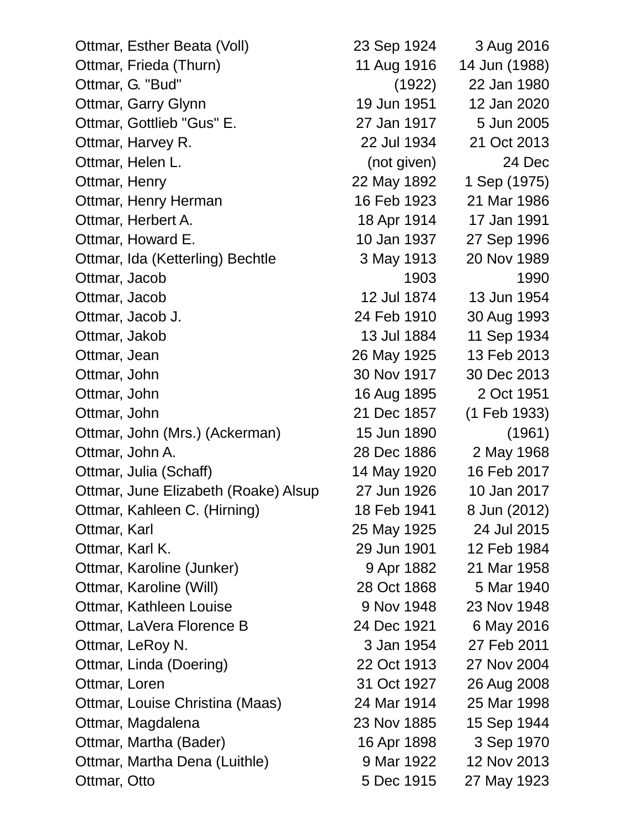| Ottmar, Esther Beata (Voll)          | 23 Sep 1924 | 3 Aug 2016    |
|--------------------------------------|-------------|---------------|
| Ottmar, Frieda (Thurn)               | 11 Aug 1916 | 14 Jun (1988) |
| Ottmar, G. "Bud"                     | (1922)      | 22 Jan 1980   |
| Ottmar, Garry Glynn                  | 19 Jun 1951 | 12 Jan 2020   |
| Ottmar, Gottlieb "Gus" E.            | 27 Jan 1917 | 5 Jun 2005    |
| Ottmar, Harvey R.                    | 22 Jul 1934 | 21 Oct 2013   |
| Ottmar, Helen L.                     | (not given) | 24 Dec        |
| Ottmar, Henry                        | 22 May 1892 | 1 Sep (1975)  |
| Ottmar, Henry Herman                 | 16 Feb 1923 | 21 Mar 1986   |
| Ottmar, Herbert A.                   | 18 Apr 1914 | 17 Jan 1991   |
| Ottmar, Howard E.                    | 10 Jan 1937 | 27 Sep 1996   |
| Ottmar, Ida (Ketterling) Bechtle     | 3 May 1913  | 20 Nov 1989   |
| Ottmar, Jacob                        | 1903        | 1990          |
| Ottmar, Jacob                        | 12 Jul 1874 | 13 Jun 1954   |
| Ottmar, Jacob J.                     | 24 Feb 1910 | 30 Aug 1993   |
| Ottmar, Jakob                        | 13 Jul 1884 | 11 Sep 1934   |
| Ottmar, Jean                         | 26 May 1925 | 13 Feb 2013   |
| Ottmar, John                         | 30 Nov 1917 | 30 Dec 2013   |
| Ottmar, John                         | 16 Aug 1895 | 2 Oct 1951    |
| Ottmar, John                         | 21 Dec 1857 | (1 Feb 1933)  |
| Ottmar, John (Mrs.) (Ackerman)       | 15 Jun 1890 | (1961)        |
| Ottmar, John A.                      | 28 Dec 1886 | 2 May 1968    |
| Ottmar, Julia (Schaff)               | 14 May 1920 | 16 Feb 2017   |
| Ottmar, June Elizabeth (Roake) Alsup | 27 Jun 1926 | 10 Jan 2017   |
| Ottmar, Kahleen C. (Hirning)         | 18 Feb 1941 | 8 Jun (2012)  |
| Ottmar, Karl                         | 25 May 1925 | 24 Jul 2015   |
| Ottmar, Karl K.                      | 29 Jun 1901 | 12 Feb 1984   |
| Ottmar, Karoline (Junker)            | 9 Apr 1882  | 21 Mar 1958   |
| Ottmar, Karoline (Will)              | 28 Oct 1868 | 5 Mar 1940    |
| Ottmar, Kathleen Louise              | 9 Nov 1948  | 23 Nov 1948   |
| Ottmar, LaVera Florence B            | 24 Dec 1921 | 6 May 2016    |
| Ottmar, LeRoy N.                     | 3 Jan 1954  | 27 Feb 2011   |
| Ottmar, Linda (Doering)              | 22 Oct 1913 | 27 Nov 2004   |
| Ottmar, Loren                        | 31 Oct 1927 | 26 Aug 2008   |
| Ottmar, Louise Christina (Maas)      | 24 Mar 1914 | 25 Mar 1998   |
| Ottmar, Magdalena                    | 23 Nov 1885 | 15 Sep 1944   |
| Ottmar, Martha (Bader)               | 16 Apr 1898 | 3 Sep 1970    |
| Ottmar, Martha Dena (Luithle)        | 9 Mar 1922  | 12 Nov 2013   |
| Ottmar, Otto                         | 5 Dec 1915  | 27 May 1923   |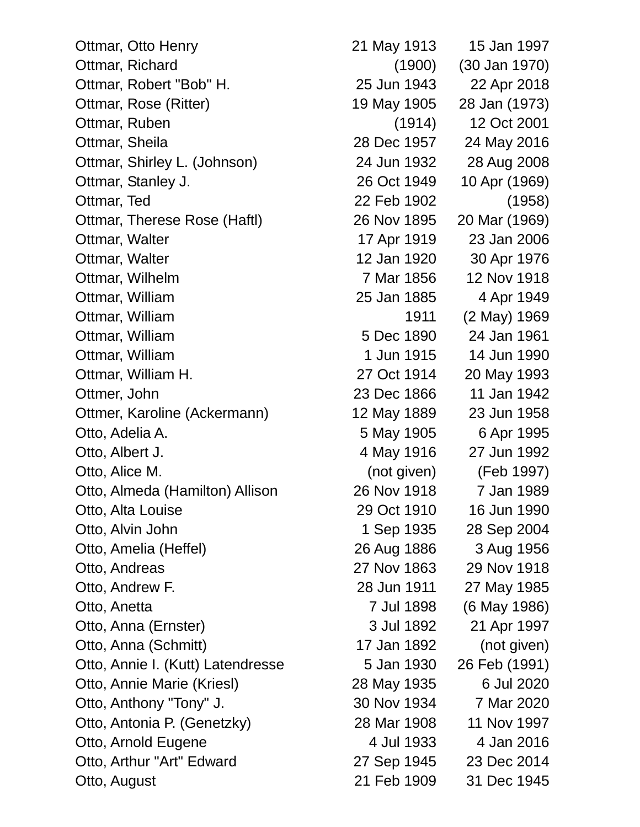| Ottmar, Otto Henry                | 21 May 1913 | 15 Jan 1997   |
|-----------------------------------|-------------|---------------|
| Ottmar, Richard                   | (1900)      | (30 Jan 1970) |
| Ottmar, Robert "Bob" H.           | 25 Jun 1943 | 22 Apr 2018   |
| Ottmar, Rose (Ritter)             | 19 May 1905 | 28 Jan (1973) |
| Ottmar, Ruben                     | (1914)      | 12 Oct 2001   |
| Ottmar, Sheila                    | 28 Dec 1957 | 24 May 2016   |
| Ottmar, Shirley L. (Johnson)      | 24 Jun 1932 | 28 Aug 2008   |
| Ottmar, Stanley J.                | 26 Oct 1949 | 10 Apr (1969) |
| Ottmar, Ted                       | 22 Feb 1902 | (1958)        |
| Ottmar, Therese Rose (Haftl)      | 26 Nov 1895 | 20 Mar (1969) |
| Ottmar, Walter                    | 17 Apr 1919 | 23 Jan 2006   |
| Ottmar, Walter                    | 12 Jan 1920 | 30 Apr 1976   |
| Ottmar, Wilhelm                   | 7 Mar 1856  | 12 Nov 1918   |
| Ottmar, William                   | 25 Jan 1885 | 4 Apr 1949    |
| Ottmar, William                   | 1911        | (2 May) 1969  |
| Ottmar, William                   | 5 Dec 1890  | 24 Jan 1961   |
| Ottmar, William                   | 1 Jun 1915  | 14 Jun 1990   |
| Ottmar, William H.                | 27 Oct 1914 | 20 May 1993   |
| Ottmer, John                      | 23 Dec 1866 | 11 Jan 1942   |
| Ottmer, Karoline (Ackermann)      | 12 May 1889 | 23 Jun 1958   |
| Otto, Adelia A.                   | 5 May 1905  | 6 Apr 1995    |
| Otto, Albert J.                   | 4 May 1916  | 27 Jun 1992   |
| Otto, Alice M.                    | (not given) | (Feb 1997)    |
| Otto, Almeda (Hamilton) Allison   | 26 Nov 1918 | 7 Jan 1989    |
| Otto, Alta Louise                 | 29 Oct 1910 | 16 Jun 1990   |
| Otto, Alvin John                  | 1 Sep 1935  | 28 Sep 2004   |
| Otto, Amelia (Heffel)             | 26 Aug 1886 | 3 Aug 1956    |
| Otto, Andreas                     | 27 Nov 1863 | 29 Nov 1918   |
| Otto, Andrew F.                   | 28 Jun 1911 | 27 May 1985   |
| Otto, Anetta                      | 7 Jul 1898  | (6 May 1986)  |
| Otto, Anna (Ernster)              | 3 Jul 1892  | 21 Apr 1997   |
| Otto, Anna (Schmitt)              | 17 Jan 1892 | (not given)   |
| Otto, Annie I. (Kutt) Latendresse | 5 Jan 1930  | 26 Feb (1991) |
| Otto, Annie Marie (Kriesl)        | 28 May 1935 | 6 Jul 2020    |
| Otto, Anthony "Tony" J.           | 30 Nov 1934 | 7 Mar 2020    |
| Otto, Antonia P. (Genetzky)       | 28 Mar 1908 | 11 Nov 1997   |
| Otto, Arnold Eugene               | 4 Jul 1933  | 4 Jan 2016    |
| Otto, Arthur "Art" Edward         | 27 Sep 1945 | 23 Dec 2014   |
| Otto, August                      | 21 Feb 1909 | 31 Dec 1945   |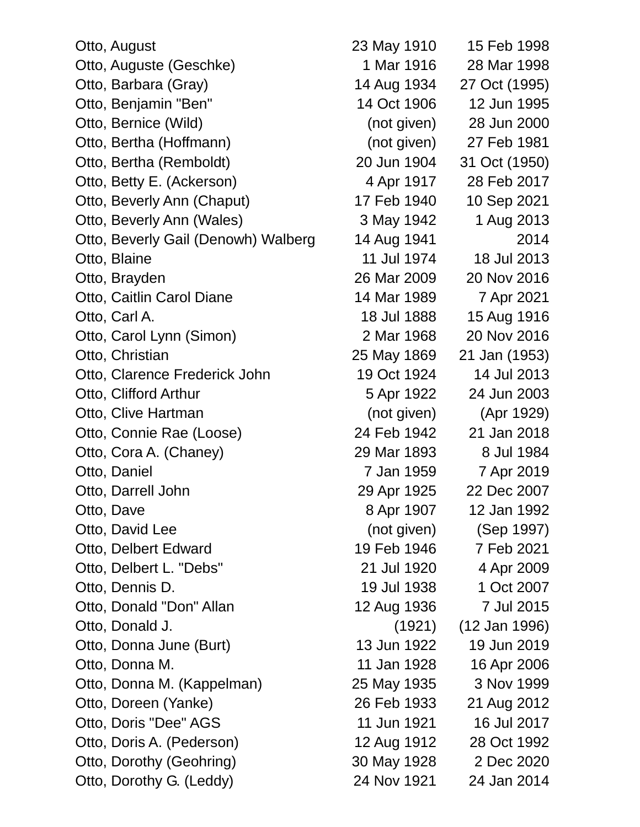Otto, August 23 May 1910 15 Feb 1998 Otto, Auguste (Geschke) 1 Mar 1916 28 Mar 1998 Otto, Barbara (Gray) 14 Aug 1934 27 Oct (1995) Otto, Benjamin "Ben" 14 Oct 1906 12 Jun 1995 Otto, Bernice (Wild) (not given) 28 Jun 2000 Otto, Bertha (Hoffmann) (not given) 27 Feb 1981 Otto, Bertha (Remboldt) 20 Jun 1904 31 Oct (1950) Otto, Betty E. (Ackerson) 4 Apr 1917 28 Feb 2017 Otto, Beverly Ann (Chaput) 17 Feb 1940 10 Sep 2021 Otto, Beverly Ann (Wales) 3 May 1942 1 Aug 2013 Otto, Beverly Gail (Denowh) Walberg 14 Aug 1941 2014 Otto, Blaine 11 Jul 1974 18 Jul 2013 Otto, Brayden 26 Mar 2009 20 Nov 2016 Otto, Caitlin Carol Diane 14 Mar 1989 7 Apr 2021 Otto, Carl A. 18 Jul 1888 15 Aug 1916 Otto, Carol Lynn (Simon) 2 Mar 1968 20 Nov 2016 Otto, Christian 25 May 1869 21 Jan (1953) Otto, Clarence Frederick John 19 Oct 1924 14 Jul 2013 Otto, Clifford Arthur 5 Apr 1922 24 Jun 2003 Otto, Clive Hartman (not given) (Apr 1929) Otto, Connie Rae (Loose) 24 Feb 1942 21 Jan 2018 Otto, Cora A. (Chaney) 29 Mar 1893 8 Jul 1984 Otto, Daniel 7 Jan 1959 7 Apr 2019 Otto, Darrell John 29 Apr 1925 22 Dec 2007 Otto, Dave 2011 2012 12:30 12:30 12:30 12:30 12:30 12:30 12:30 13:30 14:30 15:30 16:30 16:30 16:30 16:30 16:30 Otto, David Lee (not given) (Sep 1997) Otto, Delbert Edward 19 Feb 1946 7 Feb 2021 Otto, Delbert L. "Debs" 21 Jul 1920 4 Apr 2009 Otto, Dennis D. 19 Jul 1938 1 Oct 2007 Otto, Donald "Don" Allan 12 Aug 1936 7 Jul 2015 Otto, Donald J. (1921) (12 Jan 1996) Otto, Donna June (Burt) 13 Jun 1922 19 Jun 2019 Otto, Donna M. 11 Jan 1928 16 Apr 2006 Otto, Donna M. (Kappelman) 25 May 1935 3 Nov 1999 Otto, Doreen (Yanke) 26 Feb 1933 21 Aug 2012 Otto, Doris "Dee" AGS 11 Jun 1921 16 Jul 2017 Otto, Doris A. (Pederson) 12 Aug 1912 28 Oct 1992 Otto, Dorothy (Geohring) 30 May 1928 2 Dec 2020 Otto, Dorothy G. (Leddy) 24 Nov 1921 24 Jan 2014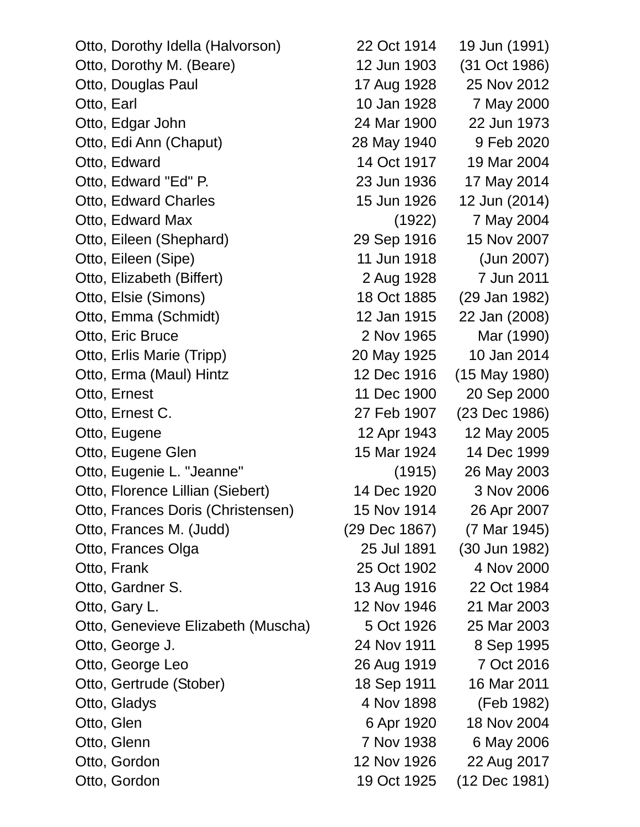Otto, Dorothy Idella (Halvorson) 22 Oct 1914 19 Jun (1991) Otto, Dorothy M. (Beare) 12 Jun 1903 (31 Oct 1986) Otto, Douglas Paul 17 Aug 1928 25 Nov 2012 Otto, Earl 10 Jan 1928 7 May 2000 Otto, Edgar John 24 Mar 1900 22 Jun 1973 Otto, Edi Ann (Chaput) 28 May 1940 9 Feb 2020 Otto, Edward 14 Oct 1917 19 Mar 2004 Otto, Edward "Ed" P. 23 Jun 1936 17 May 2014 Otto, Edward Charles 15 Jun 1926 12 Jun (2014) Otto, Edward Max (1922) 7 May 2004 Otto, Eileen (Shephard) 29 Sep 1916 15 Nov 2007 Otto, Eileen (Sipe) 11 Jun 1918 (Jun 2007) Otto, Elizabeth (Biffert) 2 Aug 1928 7 Jun 2011 Otto, Elsie (Simons) 18 Oct 1885 (29 Jan 1982) Otto, Emma (Schmidt) 12 Jan 1915 22 Jan (2008) Otto, Eric Bruce 2 Nov 1965 Mar (1990) Otto, Erlis Marie (Tripp) 20 May 1925 10 Jan 2014 Otto, Erma (Maul) Hintz 12 Dec 1916 (15 May 1980) Otto, Ernest 11 Dec 1900 20 Sep 2000 Otto, Ernest C. 27 Feb 1907 (23 Dec 1986) Otto, Eugene 12 Apr 1943 12 May 2005 Otto, Eugene Glen 15 Mar 1924 14 Dec 1999 Otto, Eugenie L. "Jeanne" (1915) 26 May 2003 Otto, Florence Lillian (Siebert) 14 Dec 1920 3 Nov 2006 Otto, Frances Doris (Christensen) 15 Nov 1914 26 Apr 2007 Otto, Frances M. (Judd) (29 Dec 1867) (7 Mar 1945) Otto, Frances Olga 25 Jul 1891 (30 Jun 1982) Otto, Frank 25 Oct 1902 4 Nov 2000 Otto, Gardner S. 13 Aug 1916 22 Oct 1984 Otto, Gary L. 12 Nov 1946 21 Mar 2003 Otto, Genevieve Elizabeth (Muscha) 5 Oct 1926 25 Mar 2003 Otto, George J. 24 Nov 1911 8 Sep 1995 Otto, George Leo 26 Aug 1919 7 Oct 2016 Otto, Gertrude (Stober) 18 Sep 1911 16 Mar 2011 Otto, Gladys **1982** (Feb 1982) Otto, Glen 6 Apr 1920 18 Nov 2004 Otto, Glenn 7 Nov 1938 6 May 2006 Otto, Gordon 12 Nov 1926 22 Aug 2017

Otto, Gordon 19 Oct 1925 (12 Dec 1981)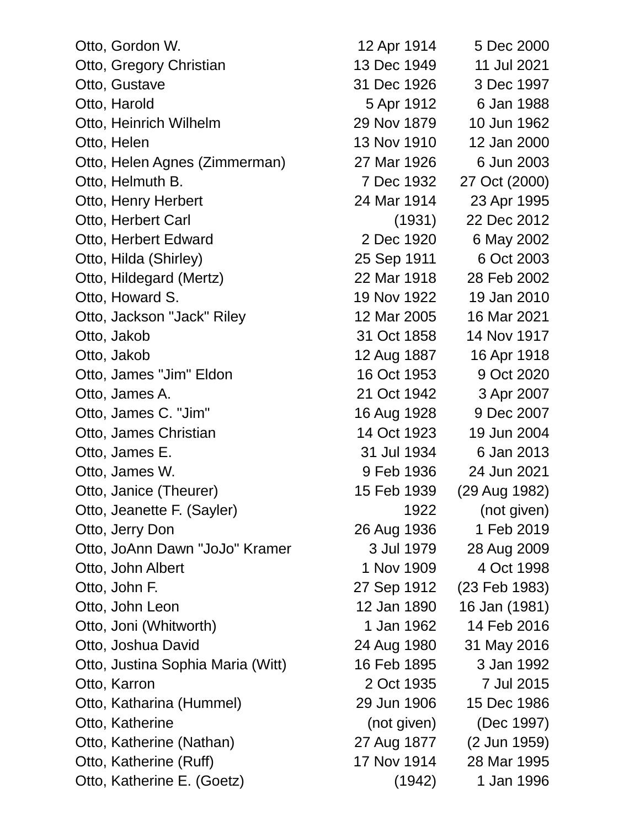| Otto, Gordon W.                   | 12 Apr 1914 | 5 Dec 2000    |
|-----------------------------------|-------------|---------------|
| Otto, Gregory Christian           | 13 Dec 1949 | 11 Jul 2021   |
| Otto, Gustave                     | 31 Dec 1926 | 3 Dec 1997    |
| Otto, Harold                      | 5 Apr 1912  | 6 Jan 1988    |
| Otto, Heinrich Wilhelm            | 29 Nov 1879 | 10 Jun 1962   |
| Otto, Helen                       | 13 Nov 1910 | 12 Jan 2000   |
| Otto, Helen Agnes (Zimmerman)     | 27 Mar 1926 | 6 Jun 2003    |
| Otto, Helmuth B.                  | 7 Dec 1932  | 27 Oct (2000) |
| Otto, Henry Herbert               | 24 Mar 1914 | 23 Apr 1995   |
| Otto, Herbert Carl                | (1931)      | 22 Dec 2012   |
| Otto, Herbert Edward              | 2 Dec 1920  | 6 May 2002    |
| Otto, Hilda (Shirley)             | 25 Sep 1911 | 6 Oct 2003    |
| Otto, Hildegard (Mertz)           | 22 Mar 1918 | 28 Feb 2002   |
| Otto, Howard S.                   | 19 Nov 1922 | 19 Jan 2010   |
| Otto, Jackson "Jack" Riley        | 12 Mar 2005 | 16 Mar 2021   |
| Otto, Jakob                       | 31 Oct 1858 | 14 Nov 1917   |
| Otto, Jakob                       | 12 Aug 1887 | 16 Apr 1918   |
| Otto, James "Jim" Eldon           | 16 Oct 1953 | 9 Oct 2020    |
| Otto, James A.                    | 21 Oct 1942 | 3 Apr 2007    |
| Otto, James C. "Jim"              | 16 Aug 1928 | 9 Dec 2007    |
| Otto, James Christian             | 14 Oct 1923 | 19 Jun 2004   |
| Otto, James E.                    | 31 Jul 1934 | 6 Jan 2013    |
| Otto, James W.                    | 9 Feb 1936  | 24 Jun 2021   |
| Otto, Janice (Theurer)            | 15 Feb 1939 | (29 Aug 1982) |
| Otto, Jeanette F. (Sayler)        | 1922        | (not given)   |
| Otto, Jerry Don                   | 26 Aug 1936 | 1 Feb 2019    |
| Otto, JoAnn Dawn "JoJo" Kramer    | 3 Jul 1979  | 28 Aug 2009   |
| Otto, John Albert                 | 1 Nov 1909  | 4 Oct 1998    |
| Otto, John F.                     | 27 Sep 1912 | (23 Feb 1983) |
| Otto, John Leon                   | 12 Jan 1890 | 16 Jan (1981) |
| Otto, Joni (Whitworth)            | 1 Jan 1962  | 14 Feb 2016   |
| Otto, Joshua David                | 24 Aug 1980 | 31 May 2016   |
| Otto, Justina Sophia Maria (Witt) | 16 Feb 1895 | 3 Jan 1992    |
| Otto, Karron                      | 2 Oct 1935  | 7 Jul 2015    |
| Otto, Katharina (Hummel)          | 29 Jun 1906 | 15 Dec 1986   |
| Otto, Katherine                   | (not given) | (Dec 1997)    |
| Otto, Katherine (Nathan)          | 27 Aug 1877 | (2 Jun 1959)  |
| Otto, Katherine (Ruff)            | 17 Nov 1914 | 28 Mar 1995   |
| Otto, Katherine E. (Goetz)        | (1942)      | 1 Jan 1996    |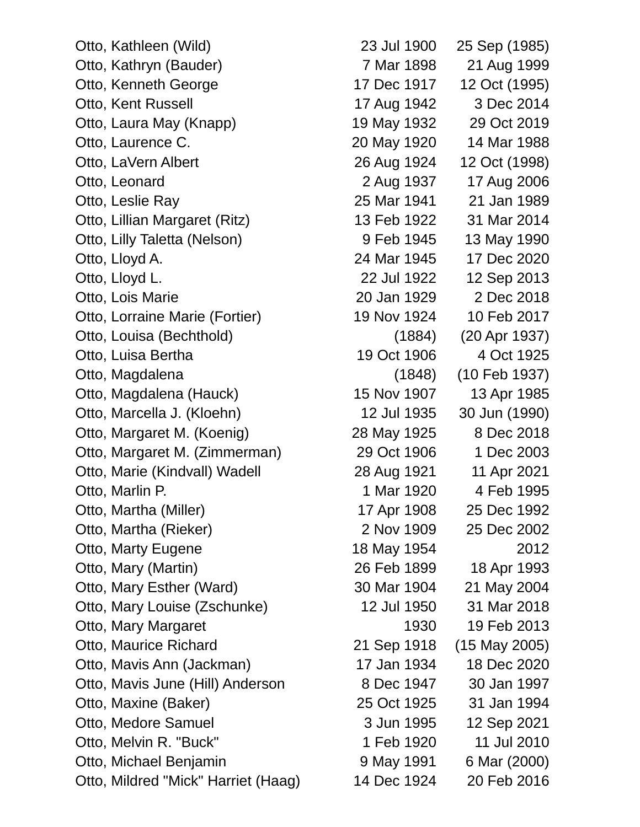Otto, Kathleen (Wild) 23 Jul 1900 25 Sep (1985) Otto, Kathryn (Bauder) 7 Mar 1898 21 Aug 1999 Otto, Kenneth George 17 Dec 1917 12 Oct (1995) Otto, Kent Russell **17 Aug 1942** 3 Dec 2014 Otto, Laura May (Knapp) 19 May 1932 29 Oct 2019 Otto, Laurence C. 20 May 1920 14 Mar 1988 Otto, LaVern Albert 26 Aug 1924 12 Oct (1998) Otto, Leonard 2 Aug 1937 17 Aug 2006 Otto, Leslie Ray 25 Mar 1941 21 Jan 1989 Otto, Lillian Margaret (Ritz) 13 Feb 1922 31 Mar 2014 Otto, Lilly Taletta (Nelson) 9 Feb 1945 13 May 1990 Otto, Lloyd A. 24 Mar 1945 17 Dec 2020 Otto, Lloyd L. 22 Jul 1922 12 Sep 2013 Otto, Lois Marie 20 Jan 1929 2 Dec 2018 Otto, Lorraine Marie (Fortier) 19 Nov 1924 10 Feb 2017 Otto, Louisa (Bechthold) (1884) (20 Apr 1937) Otto, Luisa Bertha 19 Oct 1906 4 Oct 1925 Otto, Magdalena (1848) (10 Feb 1937) Otto, Magdalena (Hauck) 15 Nov 1907 13 Apr 1985 Otto, Marcella J. (Kloehn) 12 Jul 1935 30 Jun (1990) Otto, Margaret M. (Koenig) 28 May 1925 8 Dec 2018 Otto, Margaret M. (Zimmerman) 29 Oct 1906 1 Dec 2003 Otto, Marie (Kindvall) Wadell 28 Aug 1921 11 Apr 2021 Otto, Marlin P. 2006 1 Mar 1920 4 Feb 1995 Otto, Martha (Miller) 17 Apr 1908 25 Dec 1992 Otto, Martha (Rieker) 2 Nov 1909 25 Dec 2002 Otto, Marty Eugene 18 May 1954 2012 Otto, Mary (Martin) 26 Feb 1899 18 Apr 1993 Otto, Mary Esther (Ward) 30 Mar 1904 21 May 2004 Otto, Mary Louise (Zschunke) 12 Jul 1950 31 Mar 2018 Otto, Mary Margaret 1930 19 Feb 2013 Otto, Maurice Richard 21 Sep 1918 (15 May 2005) Otto, Mavis Ann (Jackman) 17 Jan 1934 18 Dec 2020 Otto, Mavis June (Hill) Anderson 8 Dec 1947 30 Jan 1997 Otto, Maxine (Baker) 25 Oct 1925 31 Jan 1994 Otto, Medore Samuel 3 Jun 1995 12 Sep 2021 Otto, Melvin R. "Buck" 1 Feb 1920 11 Jul 2010 Otto, Michael Benjamin 9 May 1991 6 Mar (2000) Otto, Mildred "Mick" Harriet (Haag) 14 Dec 1924 20 Feb 2016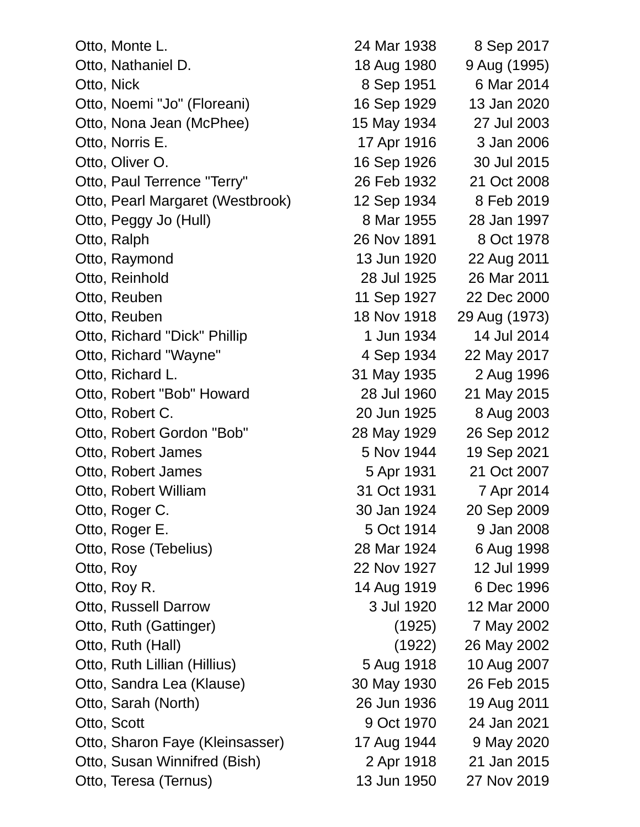| Otto, Monte L.                   | 24 Mar 1938 | 8 Sep 2017    |
|----------------------------------|-------------|---------------|
| Otto, Nathaniel D.               | 18 Aug 1980 | 9 Aug (1995)  |
| Otto, Nick                       | 8 Sep 1951  | 6 Mar 2014    |
| Otto, Noemi "Jo" (Floreani)      | 16 Sep 1929 | 13 Jan 2020   |
| Otto, Nona Jean (McPhee)         | 15 May 1934 | 27 Jul 2003   |
| Otto, Norris E.                  | 17 Apr 1916 | 3 Jan 2006    |
| Otto, Oliver O.                  | 16 Sep 1926 | 30 Jul 2015   |
| Otto, Paul Terrence "Terry"      | 26 Feb 1932 | 21 Oct 2008   |
| Otto, Pearl Margaret (Westbrook) | 12 Sep 1934 | 8 Feb 2019    |
| Otto, Peggy Jo (Hull)            | 8 Mar 1955  | 28 Jan 1997   |
| Otto, Ralph                      | 26 Nov 1891 | 8 Oct 1978    |
| Otto, Raymond                    | 13 Jun 1920 | 22 Aug 2011   |
| Otto, Reinhold                   | 28 Jul 1925 | 26 Mar 2011   |
| Otto, Reuben                     | 11 Sep 1927 | 22 Dec 2000   |
| Otto, Reuben                     | 18 Nov 1918 | 29 Aug (1973) |
| Otto, Richard "Dick" Phillip     | 1 Jun 1934  | 14 Jul 2014   |
| Otto, Richard "Wayne"            | 4 Sep 1934  | 22 May 2017   |
| Otto, Richard L.                 | 31 May 1935 | 2 Aug 1996    |
| Otto, Robert "Bob" Howard        | 28 Jul 1960 | 21 May 2015   |
| Otto, Robert C.                  | 20 Jun 1925 | 8 Aug 2003    |
| Otto, Robert Gordon "Bob"        | 28 May 1929 | 26 Sep 2012   |
| Otto, Robert James               | 5 Nov 1944  | 19 Sep 2021   |
| Otto, Robert James               | 5 Apr 1931  | 21 Oct 2007   |
| Otto, Robert William             | 31 Oct 1931 | 7 Apr 2014    |
| Otto, Roger C.                   | 30 Jan 1924 | 20 Sep 2009   |
| Otto, Roger E.                   | 5 Oct 1914  | 9 Jan 2008    |
| Otto, Rose (Tebelius)            | 28 Mar 1924 | 6 Aug 1998    |
| Otto, Roy                        | 22 Nov 1927 | 12 Jul 1999   |
| Otto, Roy R.                     | 14 Aug 1919 | 6 Dec 1996    |
| Otto, Russell Darrow             | 3 Jul 1920  | 12 Mar 2000   |
| Otto, Ruth (Gattinger)           | (1925)      | 7 May 2002    |
| Otto, Ruth (Hall)                | (1922)      | 26 May 2002   |
| Otto, Ruth Lillian (Hillius)     | 5 Aug 1918  | 10 Aug 2007   |
| Otto, Sandra Lea (Klause)        | 30 May 1930 | 26 Feb 2015   |
| Otto, Sarah (North)              | 26 Jun 1936 | 19 Aug 2011   |
| Otto, Scott                      | 9 Oct 1970  | 24 Jan 2021   |
| Otto, Sharon Faye (Kleinsasser)  | 17 Aug 1944 | 9 May 2020    |
| Otto, Susan Winnifred (Bish)     | 2 Apr 1918  | 21 Jan 2015   |
| Otto, Teresa (Ternus)            | 13 Jun 1950 | 27 Nov 2019   |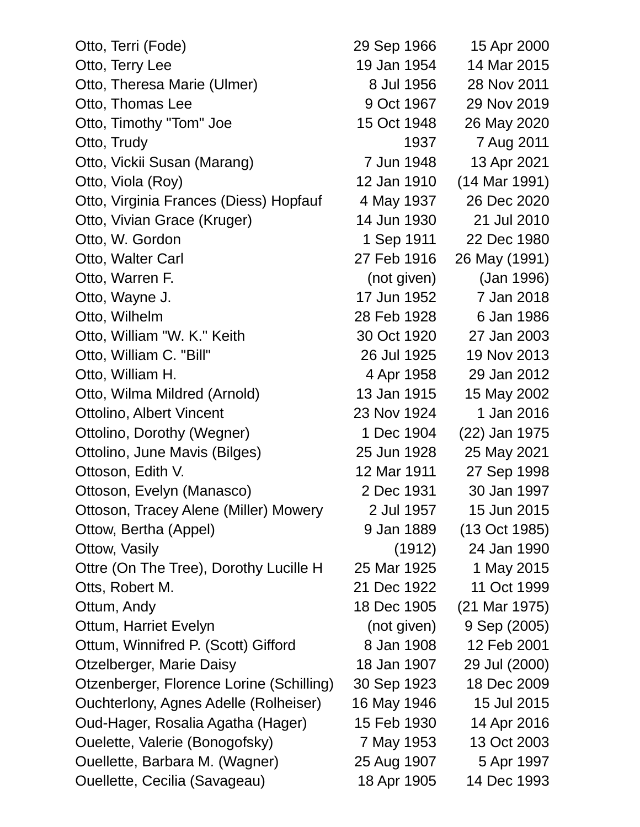| Otto, Terri (Fode)                       | 29 Sep 1966 | 15 Apr 2000   |
|------------------------------------------|-------------|---------------|
| Otto, Terry Lee                          | 19 Jan 1954 | 14 Mar 2015   |
| Otto, Theresa Marie (Ulmer)              | 8 Jul 1956  | 28 Nov 2011   |
| Otto, Thomas Lee                         | 9 Oct 1967  | 29 Nov 2019   |
| Otto, Timothy "Tom" Joe                  | 15 Oct 1948 | 26 May 2020   |
| Otto, Trudy                              | 1937        | 7 Aug 2011    |
| Otto, Vickii Susan (Marang)              | 7 Jun 1948  | 13 Apr 2021   |
| Otto, Viola (Roy)                        | 12 Jan 1910 | (14 Mar 1991) |
| Otto, Virginia Frances (Diess) Hopfauf   | 4 May 1937  | 26 Dec 2020   |
| Otto, Vivian Grace (Kruger)              | 14 Jun 1930 | 21 Jul 2010   |
| Otto, W. Gordon                          | 1 Sep 1911  | 22 Dec 1980   |
| Otto, Walter Carl                        | 27 Feb 1916 | 26 May (1991) |
| Otto, Warren F.                          | (not given) | (Jan 1996)    |
| Otto, Wayne J.                           | 17 Jun 1952 | 7 Jan 2018    |
| Otto, Wilhelm                            | 28 Feb 1928 | 6 Jan 1986    |
| Otto, William "W. K." Keith              | 30 Oct 1920 | 27 Jan 2003   |
| Otto, William C. "Bill"                  | 26 Jul 1925 | 19 Nov 2013   |
| Otto, William H.                         | 4 Apr 1958  | 29 Jan 2012   |
| Otto, Wilma Mildred (Arnold)             | 13 Jan 1915 | 15 May 2002   |
| <b>Ottolino, Albert Vincent</b>          | 23 Nov 1924 | 1 Jan 2016    |
| Ottolino, Dorothy (Wegner)               | 1 Dec 1904  | (22) Jan 1975 |
| Ottolino, June Mavis (Bilges)            | 25 Jun 1928 | 25 May 2021   |
| Ottoson, Edith V.                        | 12 Mar 1911 | 27 Sep 1998   |
| Ottoson, Evelyn (Manasco)                | 2 Dec 1931  | 30 Jan 1997   |
| Ottoson, Tracey Alene (Miller) Mowery    | 2 Jul 1957  | 15 Jun 2015   |
| Ottow, Bertha (Appel)                    | 9 Jan 1889  | (13 Oct 1985) |
| Ottow, Vasily                            | (1912)      | 24 Jan 1990   |
| Ottre (On The Tree), Dorothy Lucille H   | 25 Mar 1925 | 1 May 2015    |
| Otts, Robert M.                          | 21 Dec 1922 | 11 Oct 1999   |
| Ottum, Andy                              | 18 Dec 1905 | (21 Mar 1975) |
| Ottum, Harriet Evelyn                    | (not given) | 9 Sep (2005)  |
| Ottum, Winnifred P. (Scott) Gifford      | 8 Jan 1908  | 12 Feb 2001   |
| Otzelberger, Marie Daisy                 | 18 Jan 1907 | 29 Jul (2000) |
| Otzenberger, Florence Lorine (Schilling) | 30 Sep 1923 | 18 Dec 2009   |
| Ouchterlony, Agnes Adelle (Rolheiser)    | 16 May 1946 | 15 Jul 2015   |
| Oud-Hager, Rosalia Agatha (Hager)        | 15 Feb 1930 | 14 Apr 2016   |
| Ouelette, Valerie (Bonogofsky)           | 7 May 1953  | 13 Oct 2003   |
| Ouellette, Barbara M. (Wagner)           | 25 Aug 1907 | 5 Apr 1997    |
| Ouellette, Cecilia (Savageau)            | 18 Apr 1905 | 14 Dec 1993   |
|                                          |             |               |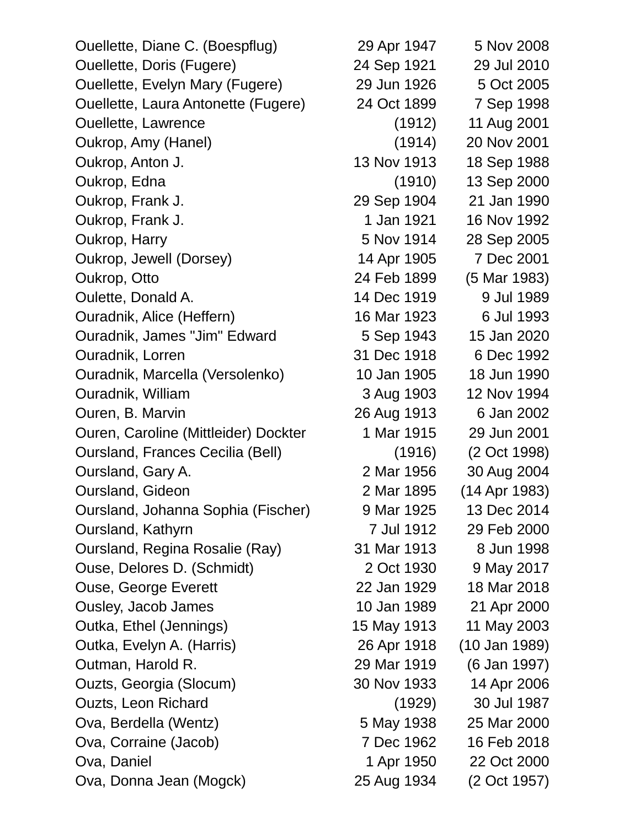| Ouellette, Diane C. (Boespflug)         | 29 Apr 1947 | 5 Nov 2008      |
|-----------------------------------------|-------------|-----------------|
| <b>Ouellette, Doris (Fugere)</b>        | 24 Sep 1921 | 29 Jul 2010     |
| <b>Ouellette, Evelyn Mary (Fugere)</b>  | 29 Jun 1926 | 5 Oct 2005      |
| Ouellette, Laura Antonette (Fugere)     | 24 Oct 1899 | 7 Sep 1998      |
| <b>Ouellette, Lawrence</b>              | (1912)      | 11 Aug 2001     |
| Oukrop, Amy (Hanel)                     | (1914)      | 20 Nov 2001     |
| Oukrop, Anton J.                        | 13 Nov 1913 | 18 Sep 1988     |
| Oukrop, Edna                            | (1910)      | 13 Sep 2000     |
| Oukrop, Frank J.                        | 29 Sep 1904 | 21 Jan 1990     |
| Oukrop, Frank J.                        | 1 Jan 1921  | 16 Nov 1992     |
| Oukrop, Harry                           | 5 Nov 1914  | 28 Sep 2005     |
| Oukrop, Jewell (Dorsey)                 | 14 Apr 1905 | 7 Dec 2001      |
| Oukrop, Otto                            | 24 Feb 1899 | (5 Mar 1983)    |
| Oulette, Donald A.                      | 14 Dec 1919 | 9 Jul 1989      |
| Ouradnik, Alice (Heffern)               | 16 Mar 1923 | 6 Jul 1993      |
| Ouradnik, James "Jim" Edward            | 5 Sep 1943  | 15 Jan 2020     |
| Ouradnik, Lorren                        | 31 Dec 1918 | 6 Dec 1992      |
| Ouradnik, Marcella (Versolenko)         | 10 Jan 1905 | 18 Jun 1990     |
| Ouradnik, William                       | 3 Aug 1903  | 12 Nov 1994     |
| Ouren, B. Marvin                        | 26 Aug 1913 | 6 Jan 2002      |
| Ouren, Caroline (Mittleider) Dockter    | 1 Mar 1915  | 29 Jun 2001     |
| <b>Oursland, Frances Cecilia (Bell)</b> | (1916)      | (2 Oct 1998)    |
| Oursland, Gary A.                       | 2 Mar 1956  | 30 Aug 2004     |
| Oursland, Gideon                        | 2 Mar 1895  | (14 Apr 1983)   |
| Oursland, Johanna Sophia (Fischer)      | 9 Mar 1925  | 13 Dec 2014     |
| Oursland, Kathyrn                       | 7 Jul 1912  | 29 Feb 2000     |
| Oursland, Regina Rosalie (Ray)          | 31 Mar 1913 | 8 Jun 1998      |
| Ouse, Delores D. (Schmidt)              | 2 Oct 1930  | 9 May 2017      |
| <b>Ouse, George Everett</b>             | 22 Jan 1929 | 18 Mar 2018     |
| Ousley, Jacob James                     | 10 Jan 1989 | 21 Apr 2000     |
| Outka, Ethel (Jennings)                 | 15 May 1913 | 11 May 2003     |
| Outka, Evelyn A. (Harris)               | 26 Apr 1918 | $(10$ Jan 1989) |
| Outman, Harold R.                       | 29 Mar 1919 | (6 Jan 1997)    |
| Ouzts, Georgia (Slocum)                 | 30 Nov 1933 | 14 Apr 2006     |
| Ouzts, Leon Richard                     | (1929)      | 30 Jul 1987     |
| Ova, Berdella (Wentz)                   | 5 May 1938  | 25 Mar 2000     |
| Ova, Corraine (Jacob)                   | 7 Dec 1962  | 16 Feb 2018     |
| Ova, Daniel                             | 1 Apr 1950  | 22 Oct 2000     |
| Ova, Donna Jean (Mogck)                 | 25 Aug 1934 | (2 Oct 1957)    |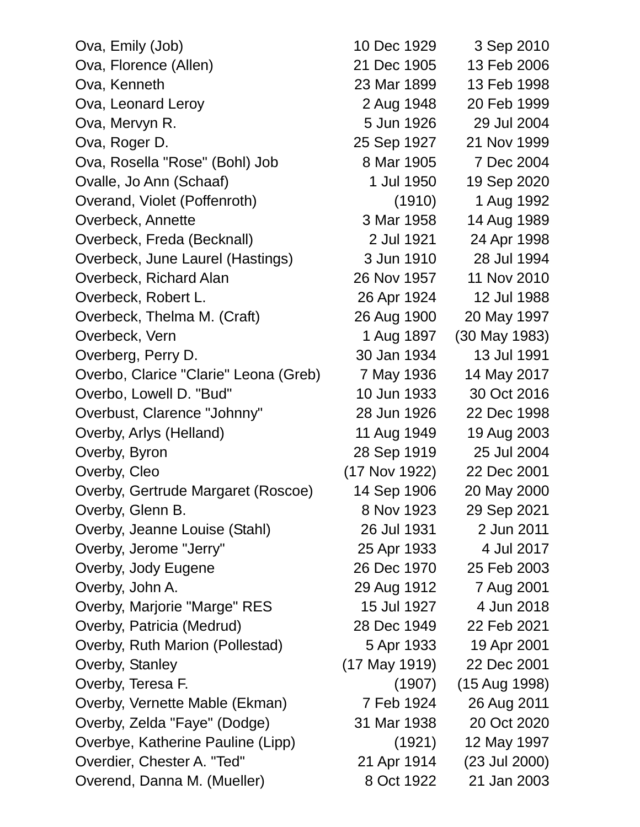| Ova, Emily (Job)                      | 10 Dec 1929     | 3 Sep 2010      |
|---------------------------------------|-----------------|-----------------|
| Ova, Florence (Allen)                 | 21 Dec 1905     | 13 Feb 2006     |
| Ova, Kenneth                          | 23 Mar 1899     | 13 Feb 1998     |
| Ova, Leonard Leroy                    | 2 Aug 1948      | 20 Feb 1999     |
| Ova, Mervyn R.                        | 5 Jun 1926      | 29 Jul 2004     |
| Ova, Roger D.                         | 25 Sep 1927     | 21 Nov 1999     |
| Ova, Rosella "Rose" (Bohl) Job        | 8 Mar 1905      | 7 Dec 2004      |
| Ovalle, Jo Ann (Schaaf)               | 1 Jul 1950      | 19 Sep 2020     |
| Overand, Violet (Poffenroth)          | (1910)          | 1 Aug 1992      |
| Overbeck, Annette                     | 3 Mar 1958      | 14 Aug 1989     |
| Overbeck, Freda (Becknall)            | 2 Jul 1921      | 24 Apr 1998     |
| Overbeck, June Laurel (Hastings)      | 3 Jun 1910      | 28 Jul 1994     |
| Overbeck, Richard Alan                | 26 Nov 1957     | 11 Nov 2010     |
| Overbeck, Robert L.                   | 26 Apr 1924     | 12 Jul 1988     |
| Overbeck, Thelma M. (Craft)           | 26 Aug 1900     | 20 May 1997     |
| Overbeck, Vern                        | 1 Aug 1897      | (30 May 1983)   |
| Overberg, Perry D.                    | 30 Jan 1934     | 13 Jul 1991     |
| Overbo, Clarice "Clarie" Leona (Greb) | 7 May 1936      | 14 May 2017     |
| Overbo, Lowell D. "Bud"               | 10 Jun 1933     | 30 Oct 2016     |
| Overbust, Clarence "Johnny"           | 28 Jun 1926     | 22 Dec 1998     |
| Overby, Arlys (Helland)               | 11 Aug 1949     | 19 Aug 2003     |
| Overby, Byron                         | 28 Sep 1919     | 25 Jul 2004     |
| Overby, Cleo                          | (17 Nov 1922)   | 22 Dec 2001     |
| Overby, Gertrude Margaret (Roscoe)    | 14 Sep 1906     | 20 May 2000     |
| Overby, Glenn B.                      | 8 Nov 1923      | 29 Sep 2021     |
| Overby, Jeanne Louise (Stahl)         | 26 Jul 1931     | 2 Jun 2011      |
| Overby, Jerome "Jerry"                | 25 Apr 1933     | 4 Jul 2017      |
| Overby, Jody Eugene                   | 26 Dec 1970     | 25 Feb 2003     |
| Overby, John A.                       | 29 Aug 1912     | 7 Aug 2001      |
| Overby, Marjorie "Marge" RES          | 15 Jul 1927     | 4 Jun 2018      |
| Overby, Patricia (Medrud)             | 28 Dec 1949     | 22 Feb 2021     |
| Overby, Ruth Marion (Pollestad)       | 5 Apr 1933      | 19 Apr 2001     |
| Overby, Stanley                       | $(17$ May 1919) | 22 Dec 2001     |
| Overby, Teresa F.                     | (1907)          | (15 Aug 1998)   |
| Overby, Vernette Mable (Ekman)        | 7 Feb 1924      | 26 Aug 2011     |
| Overby, Zelda "Faye" (Dodge)          | 31 Mar 1938     | 20 Oct 2020     |
| Overbye, Katherine Pauline (Lipp)     | (1921)          | 12 May 1997     |
| Overdier, Chester A. "Ted"            | 21 Apr 1914     | $(23$ Jul 2000) |
| Overend, Danna M. (Mueller)           | 8 Oct 1922      | 21 Jan 2003     |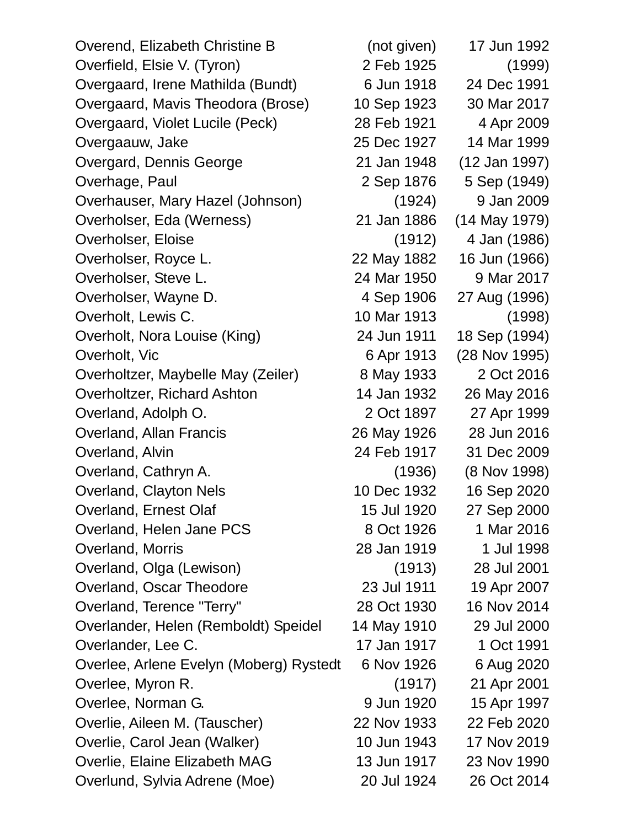| Overend, Elizabeth Christine B          | (not given) | 17 Jun 1992     |
|-----------------------------------------|-------------|-----------------|
| Overfield, Elsie V. (Tyron)             | 2 Feb 1925  | (1999)          |
| Overgaard, Irene Mathilda (Bundt)       | 6 Jun 1918  | 24 Dec 1991     |
| Overgaard, Mavis Theodora (Brose)       | 10 Sep 1923 | 30 Mar 2017     |
| Overgaard, Violet Lucile (Peck)         | 28 Feb 1921 | 4 Apr 2009      |
| Overgaauw, Jake                         | 25 Dec 1927 | 14 Mar 1999     |
| Overgard, Dennis George                 | 21 Jan 1948 | (12 Jan 1997)   |
| Overhage, Paul                          | 2 Sep 1876  | 5 Sep (1949)    |
| Overhauser, Mary Hazel (Johnson)        | (1924)      | 9 Jan 2009      |
| Overholser, Eda (Werness)               | 21 Jan 1886 | $(14$ May 1979) |
| Overholser, Eloise                      | (1912)      | 4 Jan (1986)    |
| Overholser, Royce L.                    | 22 May 1882 | 16 Jun (1966)   |
| Overholser, Steve L.                    | 24 Mar 1950 | 9 Mar 2017      |
| Overholser, Wayne D.                    | 4 Sep 1906  | 27 Aug (1996)   |
| Overholt, Lewis C.                      | 10 Mar 1913 | (1998)          |
| Overholt, Nora Louise (King)            | 24 Jun 1911 | 18 Sep (1994)   |
| Overholt, Vic                           | 6 Apr 1913  | (28 Nov 1995)   |
| Overholtzer, Maybelle May (Zeiler)      | 8 May 1933  | 2 Oct 2016      |
| Overholtzer, Richard Ashton             | 14 Jan 1932 | 26 May 2016     |
| Overland, Adolph O.                     | 2 Oct 1897  | 27 Apr 1999     |
| <b>Overland, Allan Francis</b>          | 26 May 1926 | 28 Jun 2016     |
| Overland, Alvin                         | 24 Feb 1917 | 31 Dec 2009     |
| Overland, Cathryn A.                    | (1936)      | (8 Nov 1998)    |
| Overland, Clayton Nels                  | 10 Dec 1932 | 16 Sep 2020     |
| Overland, Ernest Olaf                   | 15 Jul 1920 | 27 Sep 2000     |
| Overland, Helen Jane PCS                | 8 Oct 1926  | 1 Mar 2016      |
| Overland, Morris                        | 28 Jan 1919 | 1 Jul 1998      |
| Overland, Olga (Lewison)                | (1913)      | 28 Jul 2001     |
| Overland, Oscar Theodore                | 23 Jul 1911 | 19 Apr 2007     |
| Overland, Terence "Terry"               | 28 Oct 1930 | 16 Nov 2014     |
| Overlander, Helen (Remboldt) Speidel    | 14 May 1910 | 29 Jul 2000     |
| Overlander, Lee C.                      | 17 Jan 1917 | 1 Oct 1991      |
| Overlee, Arlene Evelyn (Moberg) Rystedt | 6 Nov 1926  | 6 Aug 2020      |
| Overlee, Myron R.                       | (1917)      | 21 Apr 2001     |
| Overlee, Norman G.                      | 9 Jun 1920  | 15 Apr 1997     |
| Overlie, Aileen M. (Tauscher)           | 22 Nov 1933 | 22 Feb 2020     |
| Overlie, Carol Jean (Walker)            | 10 Jun 1943 | 17 Nov 2019     |
| Overlie, Elaine Elizabeth MAG           | 13 Jun 1917 | 23 Nov 1990     |
| Overlund, Sylvia Adrene (Moe)           | 20 Jul 1924 | 26 Oct 2014     |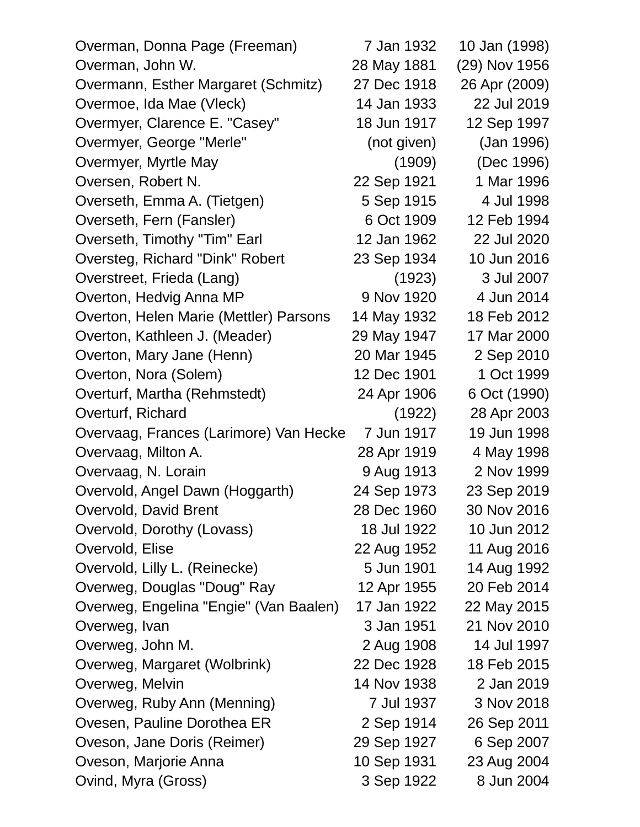| Overman, Donna Page (Freeman)          | 7 Jan 1932  | 10 Jan (1998) |
|----------------------------------------|-------------|---------------|
| Overman, John W.                       | 28 May 1881 | (29) Nov 1956 |
| Overmann, Esther Margaret (Schmitz)    | 27 Dec 1918 | 26 Apr (2009) |
| Overmoe, Ida Mae (Vleck)               | 14 Jan 1933 | 22 Jul 2019   |
| Overmyer, Clarence E. "Casey"          | 18 Jun 1917 | 12 Sep 1997   |
| Overmyer, George "Merle"               | (not given) | (Jan 1996)    |
| Overmyer, Myrtle May                   | (1909)      | (Dec 1996)    |
| Oversen, Robert N.                     | 22 Sep 1921 | 1 Mar 1996    |
| Overseth, Emma A. (Tietgen)            | 5 Sep 1915  | 4 Jul 1998    |
| Overseth, Fern (Fansler)               | 6 Oct 1909  | 12 Feb 1994   |
| Overseth, Timothy "Tim" Earl           | 12 Jan 1962 | 22 Jul 2020   |
| Oversteg, Richard "Dink" Robert        | 23 Sep 1934 | 10 Jun 2016   |
| Overstreet, Frieda (Lang)              | (1923)      | 3 Jul 2007    |
| Overton, Hedvig Anna MP                | 9 Nov 1920  | 4 Jun 2014    |
| Overton, Helen Marie (Mettler) Parsons | 14 May 1932 | 18 Feb 2012   |
| Overton, Kathleen J. (Meader)          | 29 May 1947 | 17 Mar 2000   |
| Overton, Mary Jane (Henn)              | 20 Mar 1945 | 2 Sep 2010    |
| Overton, Nora (Solem)                  | 12 Dec 1901 | 1 Oct 1999    |
| Overturf, Martha (Rehmstedt)           | 24 Apr 1906 | 6 Oct (1990)  |
| Overturf, Richard                      | (1922)      | 28 Apr 2003   |
| Overvaag, Frances (Larimore) Van Hecke | 7 Jun 1917  | 19 Jun 1998   |
| Overvaag, Milton A.                    | 28 Apr 1919 | 4 May 1998    |
| Overvaag, N. Lorain                    | 9 Aug 1913  | 2 Nov 1999    |
| Overvold, Angel Dawn (Hoggarth)        | 24 Sep 1973 | 23 Sep 2019   |
| Overvold, David Brent                  | 28 Dec 1960 | 30 Nov 2016   |
| Overvold, Dorothy (Lovass)             | 18 Jul 1922 | 10 Jun 2012   |
| Overvold, Elise                        | 22 Aug 1952 | 11 Aug 2016   |
| Overvold, Lilly L. (Reinecke)          | 5 Jun 1901  | 14 Aug 1992   |
| Overweg, Douglas "Doug" Ray            | 12 Apr 1955 | 20 Feb 2014   |
| Overweg, Engelina "Engie" (Van Baalen) | 17 Jan 1922 | 22 May 2015   |
| Overweg, Ivan                          | 3 Jan 1951  | 21 Nov 2010   |
| Overweg, John M.                       | 2 Aug 1908  | 14 Jul 1997   |
| Overweg, Margaret (Wolbrink)           | 22 Dec 1928 | 18 Feb 2015   |
| Overweg, Melvin                        | 14 Nov 1938 | 2 Jan 2019    |
| Overweg, Ruby Ann (Menning)            | 7 Jul 1937  | 3 Nov 2018    |
| Ovesen, Pauline Dorothea ER            | 2 Sep 1914  | 26 Sep 2011   |
| Oveson, Jane Doris (Reimer)            | 29 Sep 1927 | 6 Sep 2007    |
| Oveson, Marjorie Anna                  | 10 Sep 1931 | 23 Aug 2004   |
| Ovind, Myra (Gross)                    | 3 Sep 1922  | 8 Jun 2004    |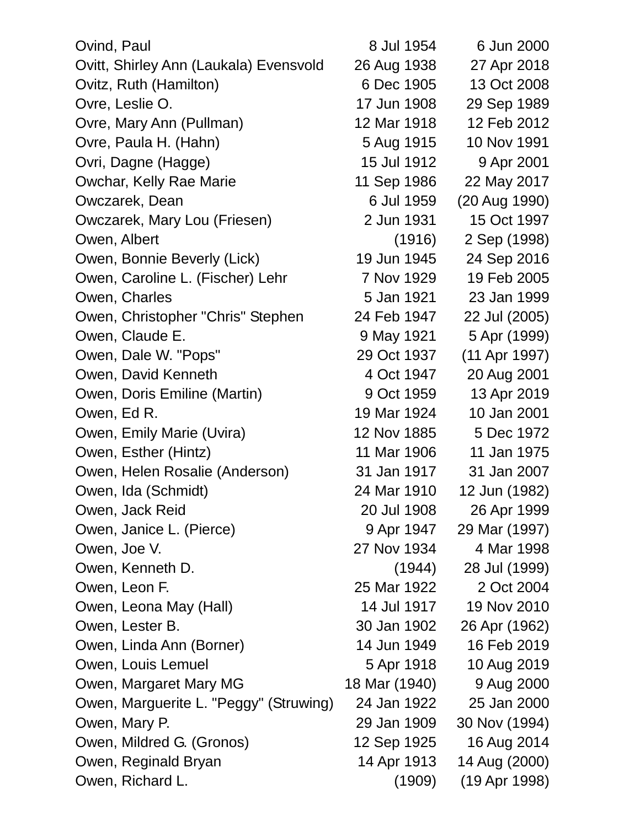| Ovind, Paul                            | 8 Jul 1954    | 6 Jun 2000    |
|----------------------------------------|---------------|---------------|
| Ovitt, Shirley Ann (Laukala) Evensvold | 26 Aug 1938   | 27 Apr 2018   |
| Ovitz, Ruth (Hamilton)                 | 6 Dec 1905    | 13 Oct 2008   |
| Ovre, Leslie O.                        | 17 Jun 1908   | 29 Sep 1989   |
| Ovre, Mary Ann (Pullman)               | 12 Mar 1918   | 12 Feb 2012   |
| Ovre, Paula H. (Hahn)                  | 5 Aug 1915    | 10 Nov 1991   |
| Ovri, Dagne (Hagge)                    | 15 Jul 1912   | 9 Apr 2001    |
| Owchar, Kelly Rae Marie                | 11 Sep 1986   | 22 May 2017   |
| Owczarek, Dean                         | 6 Jul 1959    | (20 Aug 1990) |
| Owczarek, Mary Lou (Friesen)           | 2 Jun 1931    | 15 Oct 1997   |
| Owen, Albert                           | (1916)        | 2 Sep (1998)  |
| Owen, Bonnie Beverly (Lick)            | 19 Jun 1945   | 24 Sep 2016   |
| Owen, Caroline L. (Fischer) Lehr       | 7 Nov 1929    | 19 Feb 2005   |
| Owen, Charles                          | 5 Jan 1921    | 23 Jan 1999   |
| Owen, Christopher "Chris" Stephen      | 24 Feb 1947   | 22 Jul (2005) |
| Owen, Claude E.                        | 9 May 1921    | 5 Apr (1999)  |
| Owen, Dale W. "Pops"                   | 29 Oct 1937   | (11 Apr 1997) |
| Owen, David Kenneth                    | 4 Oct 1947    | 20 Aug 2001   |
| Owen, Doris Emiline (Martin)           | 9 Oct 1959    | 13 Apr 2019   |
| Owen, Ed R.                            | 19 Mar 1924   | 10 Jan 2001   |
| Owen, Emily Marie (Uvira)              | 12 Nov 1885   | 5 Dec 1972    |
| Owen, Esther (Hintz)                   | 11 Mar 1906   | 11 Jan 1975   |
| Owen, Helen Rosalie (Anderson)         | 31 Jan 1917   | 31 Jan 2007   |
| Owen, Ida (Schmidt)                    | 24 Mar 1910   | 12 Jun (1982) |
| Owen, Jack Reid                        | 20 Jul 1908   | 26 Apr 1999   |
| Owen, Janice L. (Pierce)               | 9 Apr 1947    | 29 Mar (1997) |
| Owen, Joe V.                           | 27 Nov 1934   | 4 Mar 1998    |
| Owen, Kenneth D.                       | (1944)        | 28 Jul (1999) |
| Owen, Leon F.                          | 25 Mar 1922   | 2 Oct 2004    |
| Owen, Leona May (Hall)                 | 14 Jul 1917   | 19 Nov 2010   |
| Owen, Lester B.                        | 30 Jan 1902   | 26 Apr (1962) |
| Owen, Linda Ann (Borner)               | 14 Jun 1949   | 16 Feb 2019   |
| Owen, Louis Lemuel                     | 5 Apr 1918    | 10 Aug 2019   |
| Owen, Margaret Mary MG                 | 18 Mar (1940) | 9 Aug 2000    |
| Owen, Marguerite L. "Peggy" (Struwing) | 24 Jan 1922   | 25 Jan 2000   |
| Owen, Mary P.                          | 29 Jan 1909   | 30 Nov (1994) |
| Owen, Mildred G. (Gronos)              | 12 Sep 1925   | 16 Aug 2014   |
| Owen, Reginald Bryan                   | 14 Apr 1913   | 14 Aug (2000) |
| Owen, Richard L.                       | (1909)        | (19 Apr 1998) |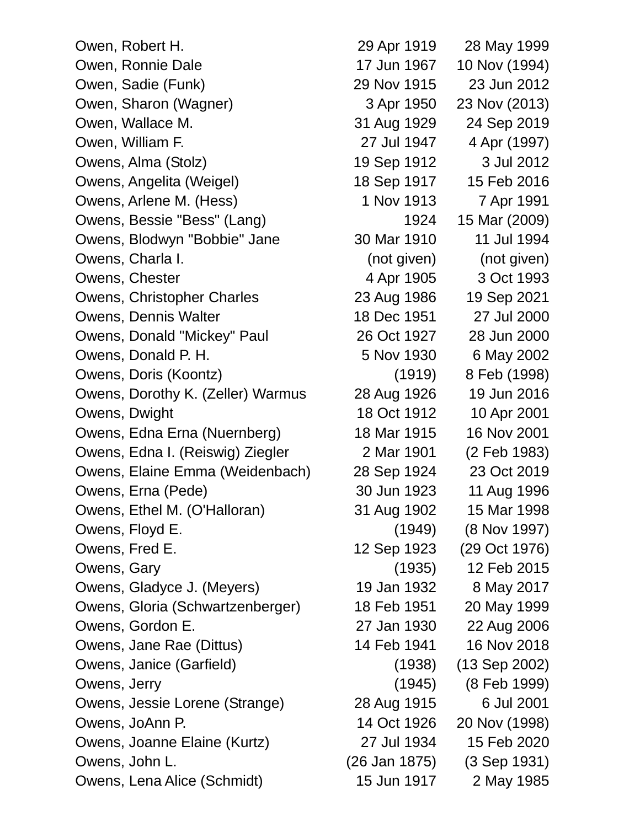Owen, Robert H. 29 Apr 1919 28 May 1999 Owen, Ronnie Dale 17 Jun 1967 10 Nov (1994) Owen, Sadie (Funk) 29 Nov 1915 23 Jun 2012 Owen, Sharon (Wagner) 3 Apr 1950 23 Nov (2013) Owen, Wallace M. 31 Aug 1929 24 Sep 2019 Owen, William F. 27 Jul 1947 4 Apr (1997) Owens, Alma (Stolz) 19 Sep 1912 3 Jul 2012 Owens, Angelita (Weigel) 18 Sep 1917 15 Feb 2016 Owens, Arlene M. (Hess) 1 Nov 1913 7 Apr 1991 Owens, Bessie "Bess" (Lang) 1924 15 Mar (2009) Owens, Blodwyn "Bobbie" Jane 30 Mar 1910 11 Jul 1994 Owens, Charla I. (not given) (not given) Owens, Chester 1905 4 Apr 1905 3 Oct 1993 Owens, Christopher Charles 23 Aug 1986 19 Sep 2021 Owens, Dennis Walter 18 Dec 1951 27 Jul 2000 Owens, Donald "Mickey" Paul 26 Oct 1927 28 Jun 2000 Owens, Donald P. H. 5 Nov 1930 6 May 2002 Owens, Doris (Koontz) (1919) 8 Feb (1998) Owens, Dorothy K. (Zeller) Warmus 28 Aug 1926 19 Jun 2016 **Owens, Dwight 18 Oct 1912 10 Apr 2001** Owens, Edna Erna (Nuernberg) 18 Mar 1915 16 Nov 2001 Owens, Edna I. (Reiswig) Ziegler 2 Mar 1901 (2 Feb 1983) Owens, Elaine Emma (Weidenbach) 28 Sep 1924 23 Oct 2019 Owens, Erna (Pede) 30 Jun 1923 11 Aug 1996 Owens, Ethel M. (O'Halloran) 31 Aug 1902 15 Mar 1998 Owens, Floyd E. (1949) (8 Nov 1997) Owens, Fred E. 12 Sep 1923 (29 Oct 1976) Owens, Gary (1935) 12 Feb 2015 Owens, Gladyce J. (Meyers) 19 Jan 1932 8 May 2017 Owens, Gloria (Schwartzenberger) 18 Feb 1951 20 May 1999 Owens, Gordon E. 27 Jan 1930 22 Aug 2006 Owens, Jane Rae (Dittus) 14 Feb 1941 16 Nov 2018 Owens, Janice (Garfield) (1938) (13 Sep 2002) Owens, Jerry (1945) (8 Feb 1999) Owens, Jessie Lorene (Strange) 28 Aug 1915 6 Jul 2001 Owens, JoAnn P. 14 Oct 1926 20 Nov (1998) Owens, Joanne Elaine (Kurtz) 27 Jul 1934 15 Feb 2020 Owens, John L. (26 Jan 1875) (3 Sep 1931) Owens, Lena Alice (Schmidt) 15 Jun 1917 2 May 1985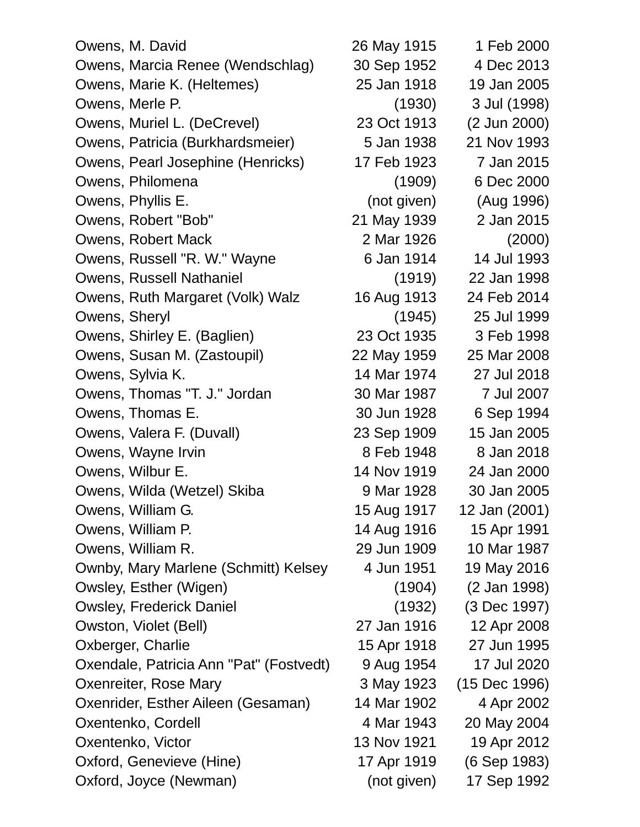| Owens, M. David                         | 26 May 1915 | 1 Feb 2000    |
|-----------------------------------------|-------------|---------------|
| Owens, Marcia Renee (Wendschlag)        | 30 Sep 1952 | 4 Dec 2013    |
| Owens, Marie K. (Heltemes)              | 25 Jan 1918 | 19 Jan 2005   |
| Owens, Merle P.                         | (1930)      | 3 Jul (1998)  |
| Owens, Muriel L. (DeCrevel)             | 23 Oct 1913 | (2 Jun 2000)  |
| Owens, Patricia (Burkhardsmeier)        | 5 Jan 1938  | 21 Nov 1993   |
| Owens, Pearl Josephine (Henricks)       | 17 Feb 1923 | 7 Jan 2015    |
| Owens, Philomena                        | (1909)      | 6 Dec 2000    |
| Owens, Phyllis E.                       | (not given) | (Aug 1996)    |
| Owens, Robert "Bob"                     | 21 May 1939 | 2 Jan 2015    |
| Owens, Robert Mack                      | 2 Mar 1926  | (2000)        |
| Owens, Russell "R. W." Wayne            | 6 Jan 1914  | 14 Jul 1993   |
| Owens, Russell Nathaniel                | (1919)      | 22 Jan 1998   |
| Owens, Ruth Margaret (Volk) Walz        | 16 Aug 1913 | 24 Feb 2014   |
| Owens, Sheryl                           | (1945)      | 25 Jul 1999   |
| Owens, Shirley E. (Baglien)             | 23 Oct 1935 | 3 Feb 1998    |
| Owens, Susan M. (Zastoupil)             | 22 May 1959 | 25 Mar 2008   |
| Owens, Sylvia K.                        | 14 Mar 1974 | 27 Jul 2018   |
| Owens, Thomas "T. J." Jordan            | 30 Mar 1987 | 7 Jul 2007    |
| Owens, Thomas E.                        | 30 Jun 1928 | 6 Sep 1994    |
| Owens, Valera F. (Duvall)               | 23 Sep 1909 | 15 Jan 2005   |
| Owens, Wayne Irvin                      | 8 Feb 1948  | 8 Jan 2018    |
| Owens, Wilbur E.                        | 14 Nov 1919 | 24 Jan 2000   |
| Owens, Wilda (Wetzel) Skiba             | 9 Mar 1928  | 30 Jan 2005   |
| Owens, William G.                       | 15 Aug 1917 | 12 Jan (2001) |
| Owens, William P.                       | 14 Aug 1916 | 15 Apr 1991   |
| Owens, William R.                       | 29 Jun 1909 | 10 Mar 1987   |
| Ownby, Mary Marlene (Schmitt) Kelsey    | 4 Jun 1951  | 19 May 2016   |
| Owsley, Esther (Wigen)                  | (1904)      | (2 Jan 1998)  |
| <b>Owsley, Frederick Daniel</b>         | (1932)      | (3 Dec 1997)  |
| Owston, Violet (Bell)                   | 27 Jan 1916 | 12 Apr 2008   |
| Oxberger, Charlie                       | 15 Apr 1918 | 27 Jun 1995   |
| Oxendale, Patricia Ann "Pat" (Fostvedt) | 9 Aug 1954  | 17 Jul 2020   |
| Oxenreiter, Rose Mary                   | 3 May 1923  | (15 Dec 1996) |
| Oxenrider, Esther Aileen (Gesaman)      | 14 Mar 1902 | 4 Apr 2002    |
| Oxentenko, Cordell                      | 4 Mar 1943  | 20 May 2004   |
| Oxentenko, Victor                       | 13 Nov 1921 | 19 Apr 2012   |
| Oxford, Genevieve (Hine)                | 17 Apr 1919 | (6 Sep 1983)  |
| Oxford, Joyce (Newman)                  | (not given) | 17 Sep 1992   |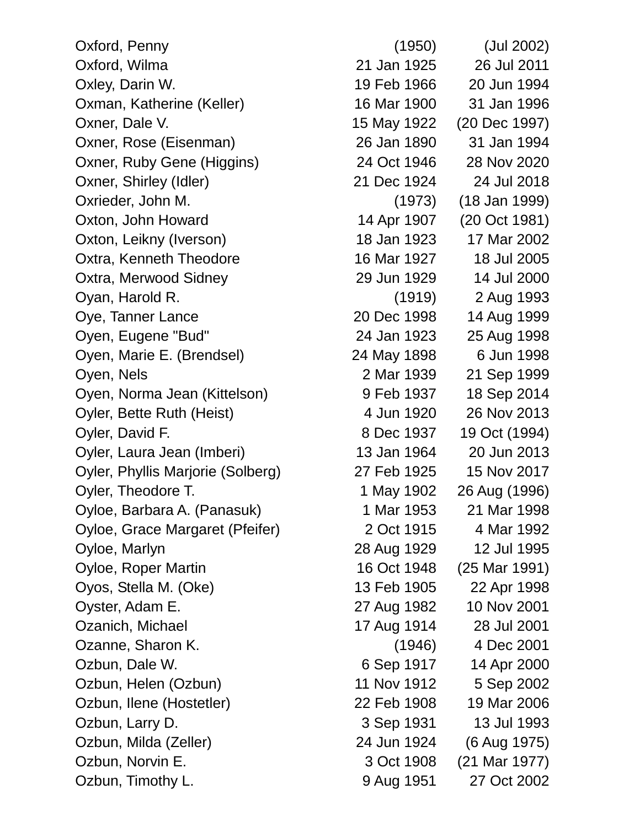Oxford, Penny (1950) (Jul 2002) Oxford, Wilma 21 Jan 1925 26 Jul 2011 Oxley, Darin W. 19 Feb 1966 20 Jun 1994 Oxman, Katherine (Keller) 16 Mar 1900 31 Jan 1996 Oxner, Dale V. 15 May 1922 (20 Dec 1997) Oxner, Rose (Eisenman) 26 Jan 1890 31 Jan 1994 Oxner, Ruby Gene (Higgins) 24 Oct 1946 28 Nov 2020 Oxner, Shirley (Idler) 21 Dec 1924 24 Jul 2018 Oxrieder, John M. (1973) (18 Jan 1999) Oxton, John Howard 14 Apr 1907 (20 Oct 1981) Oxton, Leikny (Iverson) 18 Jan 1923 17 Mar 2002 Oxtra, Kenneth Theodore 16 Mar 1927 18 Jul 2005 Oxtra, Merwood Sidney 29 Jun 1929 14 Jul 2000 Oyan, Harold R. (1919) 2 Aug 1993 Oye, Tanner Lance 20 Dec 1998 14 Aug 1999 Oyen, Eugene "Bud" 24 Jan 1923 25 Aug 1998 Oyen, Marie E. (Brendsel) 24 May 1898 6 Jun 1998 Oyen, Nels 2 Mar 1939 21 Sep 1999 Oyen, Norma Jean (Kittelson) 9 Feb 1937 18 Sep 2014 Oyler, Bette Ruth (Heist) 4 Jun 1920 26 Nov 2013 Oyler, David F. 8 Dec 1937 19 Oct (1994) Oyler, Laura Jean (Imberi) 13 Jan 1964 20 Jun 2013 Oyler, Phyllis Marjorie (Solberg) 27 Feb 1925 15 Nov 2017 Oyler, Theodore T. 1 May 1902 26 Aug (1996) Oyloe, Barbara A. (Panasuk) 1 Mar 1953 21 Mar 1998 Oyloe, Grace Margaret (Pfeifer) 2 Oct 1915 4 Mar 1992 Oyloe, Marlyn 28 Aug 1929 12 Jul 1995 Oyloe, Roper Martin 16 Oct 1948 (25 Mar 1991) Oyos, Stella M. (Oke) 13 Feb 1905 22 Apr 1998 Oyster, Adam E. 27 Aug 1982 10 Nov 2001 Ozanich, Michael 17 Aug 1914 28 Jul 2001 Ozanne, Sharon K. (1946) 4 Dec 2001 Ozbun, Dale W. 6 Sep 1917 14 Apr 2000 Ozbun, Helen (Ozbun) 11 Nov 1912 5 Sep 2002 Ozbun, Ilene (Hostetler) 22 Feb 1908 19 Mar 2006 Ozbun, Larry D. 3 Sep 1931 13 Jul 1993 Ozbun, Milda (Zeller) 24 Jun 1924 (6 Aug 1975) Ozbun, Norvin E. 3 Oct 1908 (21 Mar 1977) Ozbun, Timothy L. 9 Aug 1951 27 Oct 2002